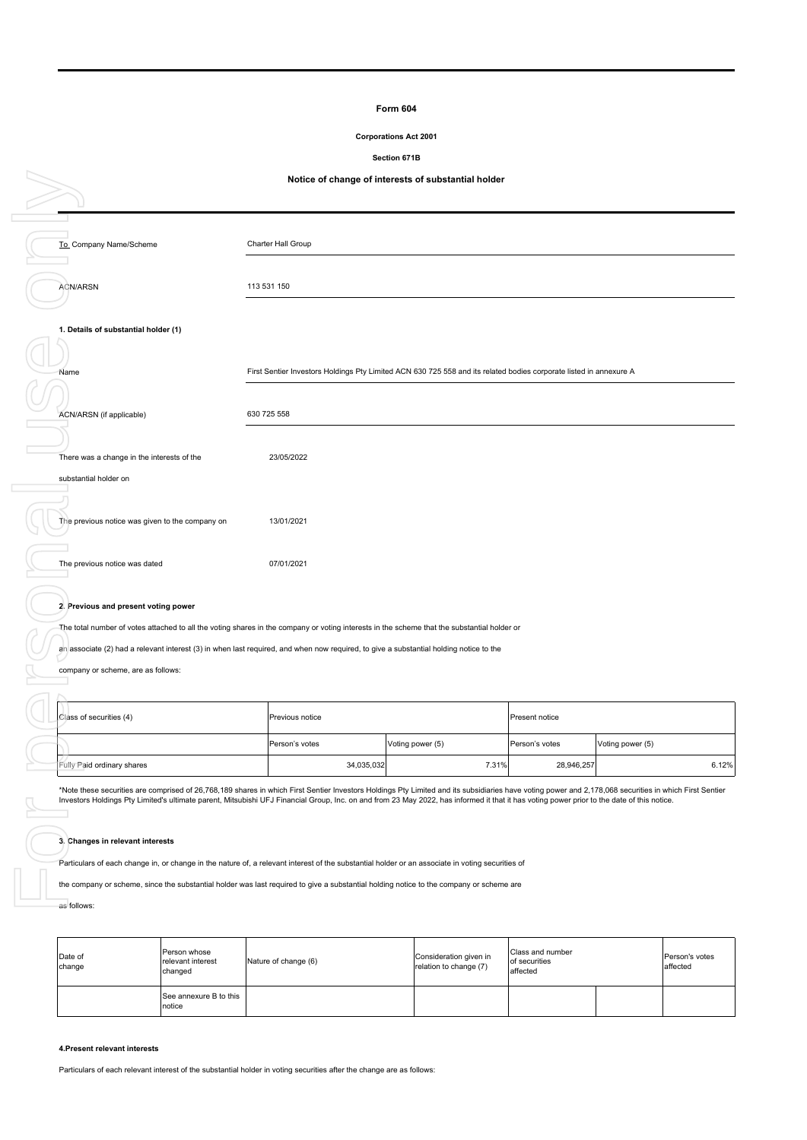## **Form 604**

### **Corporations Act 2001**

**Section 671B**



| Class of securities (4)    | Previous notice | <b>Present notice</b> |                |                  |
|----------------------------|-----------------|-----------------------|----------------|------------------|
|                            | Person's votes  | Voting power (5)      | Person's votes | Voting power (5) |
| Fully Paid ordinary shares | 34,035,032      | 7.31%                 | 28,946,257     | 6.12%            |

\*Note these securities are comprised of 26,768,189 shares in which First Sentier Investors Holdings Pty Limited and its subsidiaries have voting power and 2,178,068 securities in which First Sentier<br>Investors Holdings Pty

## **3. Changes in relevant interests**

Particulars of each change in, or change in the nature of, a relevant interest of the substantial holder or an associate in voting securities of

the company or scheme, since the substantial holder was last required to give a substantial holding notice to the company or scheme are

| as follows: |  |
|-------------|--|
|-------------|--|

| Date of<br>change | Person whose<br>relevant interest<br>changed | Nature of change (6) | Consideration given in<br>relation to change (7) | Class and number<br>of securities<br>affected | Person's votes<br>affected |
|-------------------|----------------------------------------------|----------------------|--------------------------------------------------|-----------------------------------------------|----------------------------|
|                   | See annexure B to this<br>notice             |                      |                                                  |                                               |                            |

### **4.Present relevant interests**

Particulars of each relevant interest of the substantial holder in voting securities after the change are as follows: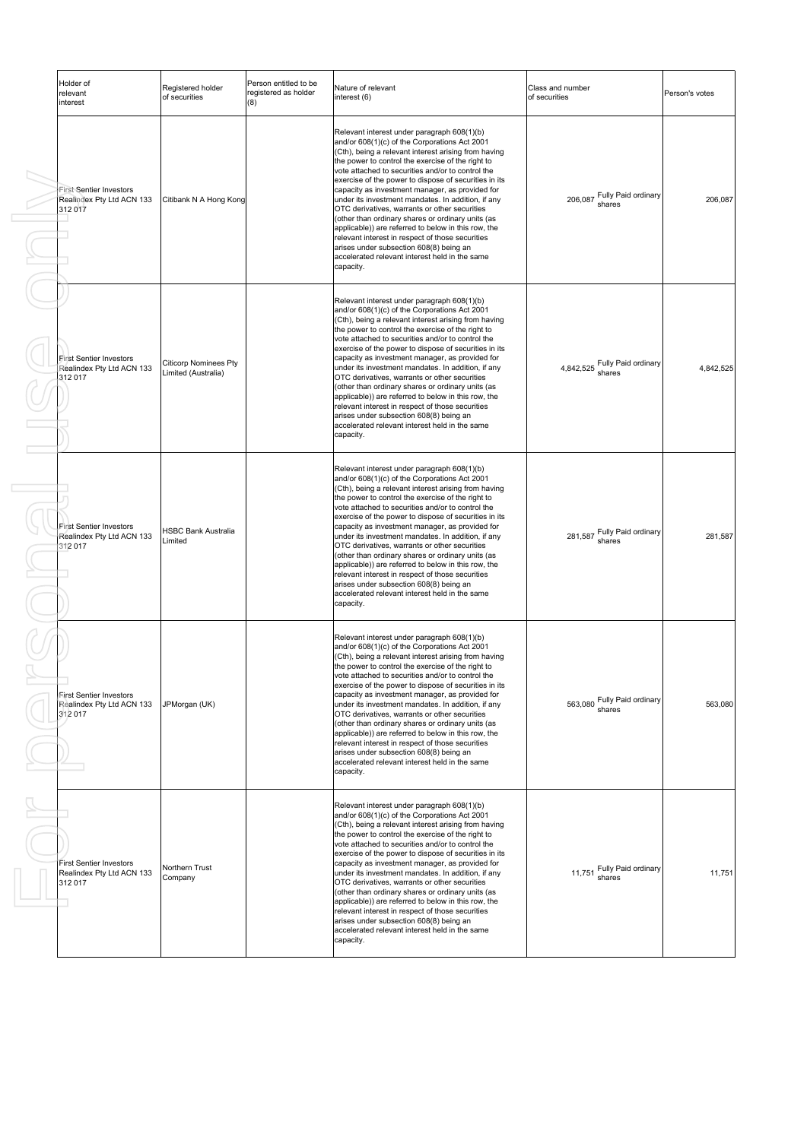| Person entitled to be<br>Holder of<br>Registered holder<br>registered as holder<br>relevant<br>of securities<br>(8)<br>interest |                                                     | Nature of relevant<br>interest (6) | Class and number<br>of securities                                                                                                                                                                                                                                                                                                                                                                                                                                                                                                                                                                                                                                                                                                                                                                    | Person's votes                          |           |
|---------------------------------------------------------------------------------------------------------------------------------|-----------------------------------------------------|------------------------------------|------------------------------------------------------------------------------------------------------------------------------------------------------------------------------------------------------------------------------------------------------------------------------------------------------------------------------------------------------------------------------------------------------------------------------------------------------------------------------------------------------------------------------------------------------------------------------------------------------------------------------------------------------------------------------------------------------------------------------------------------------------------------------------------------------|-----------------------------------------|-----------|
| <b>First Sentier Investors</b><br>Realindex Pty Ltd ACN 133<br>312 017                                                          | Citibank N A Hong Kong                              |                                    | Relevant interest under paragraph 608(1)(b)<br>and/or 608(1)(c) of the Corporations Act 2001<br>(Cth), being a relevant interest arising from having<br>the power to control the exercise of the right to<br>vote attached to securities and/or to control the<br>exercise of the power to dispose of securities in its<br>capacity as investment manager, as provided for<br>under its investment mandates. In addition, if any<br>OTC derivatives, warrants or other securities<br>(other than ordinary shares or ordinary units (as<br>applicable)) are referred to below in this row, the<br>relevant interest in respect of those securities<br>arises under subsection 608(8) being an<br>accelerated relevant interest held in the same<br>capacity.                                          | 206,087 Fully Paid ordinary<br>shares   | 206,087   |
| <b>First Sentier Investors</b><br>Realindex Pty Ltd ACN 133<br>312 017                                                          | <b>Citicorp Nominees Pty</b><br>Limited (Australia) |                                    | Relevant interest under paragraph 608(1)(b)<br>and/or 608(1)(c) of the Corporations Act 2001<br>(Cth), being a relevant interest arising from having<br>the power to control the exercise of the right to<br>vote attached to securities and/or to control the<br>exercise of the power to dispose of securities in its<br>capacity as investment manager, as provided for<br>under its investment mandates. In addition, if any<br>OTC derivatives, warrants or other securities<br>(other than ordinary shares or ordinary units (as<br>applicable)) are referred to below in this row, the<br>relevant interest in respect of those securities<br>arises under subsection 608(8) being an<br>accelerated relevant interest held in the same<br>capacity.                                          | 4,842,525 Fully Paid ordinary<br>shares | 4,842,525 |
| <b>First Sentier Investors</b><br>Realindex Pty Ltd ACN 133<br>312 017                                                          | <b>HSBC Bank Australia</b><br>Limited               |                                    | Relevant interest under paragraph 608(1)(b)<br>and/or 608(1)(c) of the Corporations Act 2001<br>(Cth), being a relevant interest arising from having<br>the power to control the exercise of the right to<br>vote attached to securities and/or to control the<br>exercise of the power to dispose of securities in its<br>capacity as investment manager, as provided for<br>281,587 Fully Paid ordinary<br>shares<br>under its investment mandates. In addition, if any<br>OTC derivatives, warrants or other securities<br>(other than ordinary shares or ordinary units (as<br>applicable)) are referred to below in this row, the<br>relevant interest in respect of those securities<br>arises under subsection 608(8) being an<br>accelerated relevant interest held in the same<br>capacity. |                                         | 281,587   |
| <b>First Sentier Investors</b><br>Realindex Pty Ltd ACN 133<br>312 017                                                          | JPMorgan (UK)                                       |                                    | Relevant interest under paragraph 608(1)(b)<br>and/or 608(1)(c) of the Corporations Act 2001<br>(Cth), being a relevant interest arising from having<br>the power to control the exercise of the right to<br>vote attached to securities and/or to control the<br>exercise of the power to dispose of securities in its<br>capacity as investment manager, as provided for<br>under its investment mandates. In addition, if any<br>OTC derivatives, warrants or other securities<br>(other than ordinary shares or ordinary units (as<br>applicable)) are referred to below in this row, the<br>relevant interest in respect of those securities<br>arises under subsection 608(8) being an<br>accelerated relevant interest held in the same<br>capacity.                                          | 563,080 Fully Paid ordinary<br>shares   | 563,080   |
| <b>First Sentier Investors</b><br>Realindex Pty Ltd ACN 133<br>312 017                                                          | Northern Trust<br>Company                           |                                    | Relevant interest under paragraph 608(1)(b)<br>and/or 608(1)(c) of the Corporations Act 2001<br>(Cth), being a relevant interest arising from having<br>the power to control the exercise of the right to<br>vote attached to securities and/or to control the<br>exercise of the power to dispose of securities in its<br>capacity as investment manager, as provided for<br>under its investment mandates. In addition, if any<br>OTC derivatives, warrants or other securities<br>(other than ordinary shares or ordinary units (as<br>applicable)) are referred to below in this row, the<br>relevant interest in respect of those securities<br>arises under subsection 608(8) being an<br>accelerated relevant interest held in the same<br>capacity.                                          | 11,751 Fully Paid ordinary<br>shares    | 11,751    |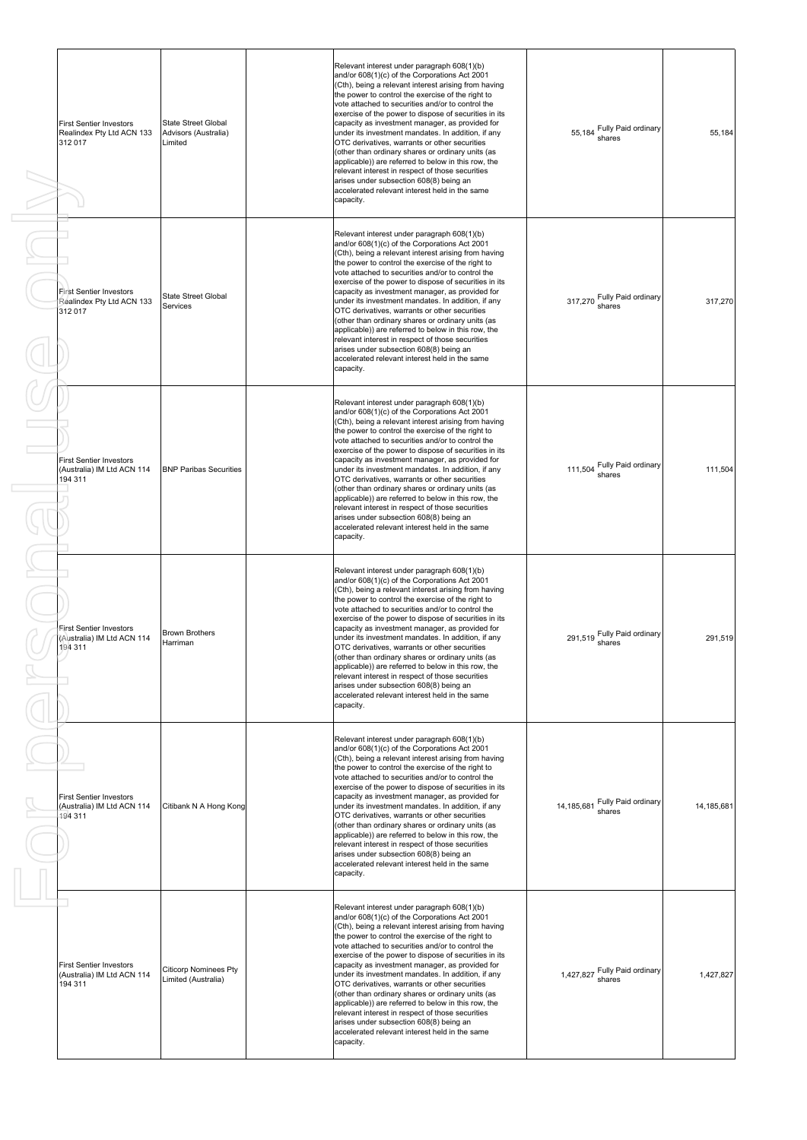| <b>First Sentier Investors</b><br>Realindex Pty Ltd ACN 133<br>312 017  | <b>State Street Global</b><br>Advisors (Australia)<br>Limited | Relevant interest under paragraph 608(1)(b)<br>and/or 608(1)(c) of the Corporations Act 2001<br>(Cth), being a relevant interest arising from having<br>the power to control the exercise of the right to<br>vote attached to securities and/or to control the<br>exercise of the power to dispose of securities in its<br>capacity as investment manager, as provided for<br>under its investment mandates. In addition, if any<br>OTC derivatives, warrants or other securities<br>(other than ordinary shares or ordinary units (as<br>applicable)) are referred to below in this row, the<br>relevant interest in respect of those securities<br>arises under subsection 608(8) being an<br>accelerated relevant interest held in the same<br>capacity. | 55,184 Fully Paid ordinary<br>shares    | 55,184     |
|-------------------------------------------------------------------------|---------------------------------------------------------------|-------------------------------------------------------------------------------------------------------------------------------------------------------------------------------------------------------------------------------------------------------------------------------------------------------------------------------------------------------------------------------------------------------------------------------------------------------------------------------------------------------------------------------------------------------------------------------------------------------------------------------------------------------------------------------------------------------------------------------------------------------------|-----------------------------------------|------------|
| <b>First Sentier Investors</b><br>Realindex Pty Ltd ACN 133<br>312 017  | <b>State Street Global</b><br>Services                        | Relevant interest under paragraph 608(1)(b)<br>and/or 608(1)(c) of the Corporations Act 2001<br>(Cth), being a relevant interest arising from having<br>the power to control the exercise of the right to<br>vote attached to securities and/or to control the<br>exercise of the power to dispose of securities in its<br>capacity as investment manager, as provided for<br>under its investment mandates. In addition, if any<br>OTC derivatives, warrants or other securities<br>(other than ordinary shares or ordinary units (as<br>applicable)) are referred to below in this row, the<br>relevant interest in respect of those securities<br>arises under subsection 608(8) being an<br>accelerated relevant interest held in the same<br>capacity. | 317,270 Fully Paid ordinary             | 317,270    |
| <b>First Sentier Investors</b><br>(Australia) IM Ltd ACN 114<br>194 311 | <b>BNP Paribas Securities</b>                                 | Relevant interest under paragraph 608(1)(b)<br>and/or 608(1)(c) of the Corporations Act 2001<br>(Cth), being a relevant interest arising from having<br>the power to control the exercise of the right to<br>vote attached to securities and/or to control the<br>exercise of the power to dispose of securities in its<br>capacity as investment manager, as provided for<br>under its investment mandates. In addition, if any<br>OTC derivatives, warrants or other securities<br>(other than ordinary shares or ordinary units (as<br>applicable)) are referred to below in this row, the<br>relevant interest in respect of those securities<br>arises under subsection 608(8) being an<br>accelerated relevant interest held in the same<br>capacity. | 111,504 Fully Paid ordinary<br>shares   | 111,504    |
| <b>First Sentier Investors</b><br>(Australia) IM Ltd ACN 114<br>194 311 | <b>Brown Brothers</b><br>Harriman                             | Relevant interest under paragraph 608(1)(b)<br>and/or 608(1)(c) of the Corporations Act 2001<br>(Cth), being a relevant interest arising from having<br>the power to control the exercise of the right to<br>vote attached to securities and/or to control the<br>exercise of the power to dispose of securities in its<br>capacity as investment manager, as provided for<br>under its investment mandates. In addition, if any<br>OTC derivatives, warrants or other securities<br>(other than ordinary shares or ordinary units (as<br>applicable)) are referred to below in this row, the<br>relevant interest in respect of those securities<br>arises under subsection 608(8) being an<br>accelerated relevant interest held in the same<br>capacity. | 291,519 Fully Paid ordinary<br>shares   | 291,519    |
| <b>First Sentier Investors</b><br>(Australia) IM Ltd ACN 114<br>194 311 | Citibank N A Hong Kong                                        | Relevant interest under paragraph 608(1)(b)<br>and/or 608(1)(c) of the Corporations Act 2001<br>(Cth), being a relevant interest arising from having<br>the power to control the exercise of the right to<br>vote attached to securities and/or to control the<br>exercise of the power to dispose of securities in its<br>capacity as investment manager, as provided for<br>under its investment mandates. In addition, if any<br>OTC derivatives, warrants or other securities<br>(other than ordinary shares or ordinary units (as<br>applicable)) are referred to below in this row, the<br>relevant interest in respect of those securities<br>arises under subsection 608(8) being an<br>accelerated relevant interest held in the same<br>capacity. | 14,185,681 Fully Paid ordinary          | 14,185,681 |
| <b>First Sentier Investors</b><br>(Australia) IM Ltd ACN 114<br>194 311 | <b>Citicorp Nominees Pty</b><br>Limited (Australia)           | Relevant interest under paragraph 608(1)(b)<br>and/or 608(1)(c) of the Corporations Act 2001<br>(Cth), being a relevant interest arising from having<br>the power to control the exercise of the right to<br>vote attached to securities and/or to control the<br>exercise of the power to dispose of securities in its<br>capacity as investment manager, as provided for<br>under its investment mandates. In addition, if any<br>OTC derivatives, warrants or other securities<br>(other than ordinary shares or ordinary units (as<br>applicable)) are referred to below in this row, the<br>relevant interest in respect of those securities<br>arises under subsection 608(8) being an<br>accelerated relevant interest held in the same<br>capacity. | 1,427,827 Fully Paid ordinary<br>shares | 1,427,827  |

 $\frac{1}{\sqrt{2}}$ 

 $\overline{\phantom{a}}$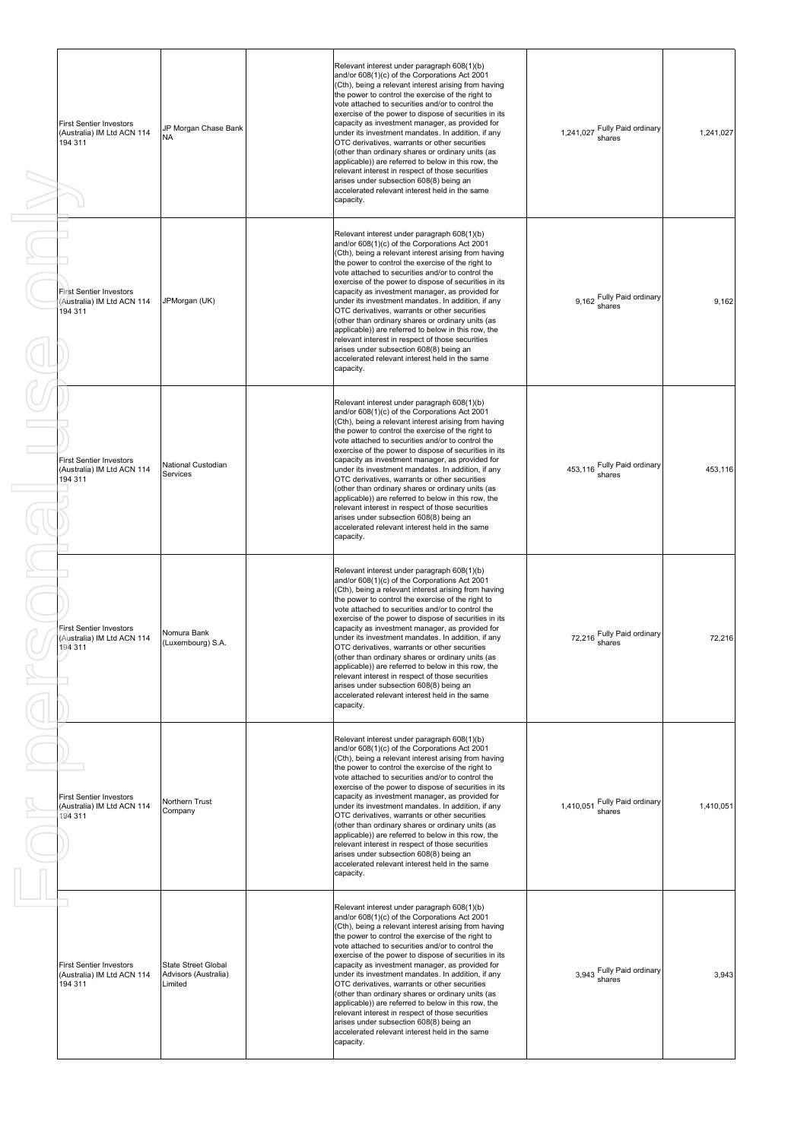| <b>First Sentier Investors</b><br>JP Morgan Chase Bank<br>(Australia) IM Ltd ACN 114<br>NA<br>194 311 |                                                        |                                                                                                                                                                                                                                                                                                                                                                                                                                                                                                                                                                                                                                                                                                                                                             | Relevant interest under paragraph 608(1)(b)<br>and/or 608(1)(c) of the Corporations Act 2001<br>(Cth), being a relevant interest arising from having<br>the power to control the exercise of the right to<br>vote attached to securities and/or to control the<br>exercise of the power to dispose of securities in its<br>capacity as investment manager, as provided for<br>under its investment mandates. In addition, if any<br>OTC derivatives, warrants or other securities<br>(other than ordinary shares or ordinary units (as<br>applicable)) are referred to below in this row, the<br>relevant interest in respect of those securities<br>arises under subsection 608(8) being an<br>accelerated relevant interest held in the same<br>capacity. | 1,241,027 Fully Paid ordinary         | 1,241,027 |
|-------------------------------------------------------------------------------------------------------|--------------------------------------------------------|-------------------------------------------------------------------------------------------------------------------------------------------------------------------------------------------------------------------------------------------------------------------------------------------------------------------------------------------------------------------------------------------------------------------------------------------------------------------------------------------------------------------------------------------------------------------------------------------------------------------------------------------------------------------------------------------------------------------------------------------------------------|-------------------------------------------------------------------------------------------------------------------------------------------------------------------------------------------------------------------------------------------------------------------------------------------------------------------------------------------------------------------------------------------------------------------------------------------------------------------------------------------------------------------------------------------------------------------------------------------------------------------------------------------------------------------------------------------------------------------------------------------------------------|---------------------------------------|-----------|
| <b>First Sentier Investors</b><br>(Australia) IM Ltd ACN 114<br>194 311                               | JPMorgan (UK)                                          |                                                                                                                                                                                                                                                                                                                                                                                                                                                                                                                                                                                                                                                                                                                                                             | Relevant interest under paragraph 608(1)(b)<br>and/or 608(1)(c) of the Corporations Act 2001<br>(Cth), being a relevant interest arising from having<br>the power to control the exercise of the right to<br>vote attached to securities and/or to control the<br>exercise of the power to dispose of securities in its<br>capacity as investment manager, as provided for<br>under its investment mandates. In addition, if any<br>OTC derivatives, warrants or other securities<br>(other than ordinary shares or ordinary units (as<br>applicable)) are referred to below in this row, the<br>relevant interest in respect of those securities<br>arises under subsection 608(8) being an<br>accelerated relevant interest held in the same<br>capacity. | 9,162 Fully Paid ordinary<br>shares   | 9,162     |
| <b>First Sentier Investors</b><br>(Australia) IM Ltd ACN 114<br>194 311                               | National Custodian<br>Services                         |                                                                                                                                                                                                                                                                                                                                                                                                                                                                                                                                                                                                                                                                                                                                                             | Relevant interest under paragraph 608(1)(b)<br>and/or 608(1)(c) of the Corporations Act 2001<br>(Cth), being a relevant interest arising from having<br>the power to control the exercise of the right to<br>vote attached to securities and/or to control the<br>exercise of the power to dispose of securities in its<br>capacity as investment manager, as provided for<br>under its investment mandates. In addition, if any<br>OTC derivatives, warrants or other securities<br>(other than ordinary shares or ordinary units (as<br>applicable)) are referred to below in this row, the<br>relevant interest in respect of those securities<br>arises under subsection 608(8) being an<br>accelerated relevant interest held in the same<br>capacity. | 453,116 Fully Paid ordinary<br>shares | 453,116   |
| <b>First Sentier Investors</b><br>(Australia) IM Ltd ACN 114<br>194 311                               | Nomura Bank<br>(Luxembourg) S.A.                       |                                                                                                                                                                                                                                                                                                                                                                                                                                                                                                                                                                                                                                                                                                                                                             | Relevant interest under paragraph 608(1)(b)<br>and/or 608(1)(c) of the Corporations Act 2001<br>(Cth), being a relevant interest arising from having<br>the power to control the exercise of the right to<br>vote attached to securities and/or to control the<br>exercise of the power to dispose of securities in its<br>capacity as investment manager, as provided for<br>under its investment mandates. In addition, if any<br>OTC derivatives, warrants or other securities<br>(other than ordinary shares or ordinary units (as<br>applicable)) are referred to below in this row, the<br>relevant interest in respect of those securities<br>arises under subsection 608(8) being an<br>accelerated relevant interest held in the same<br>capacity. | 72,216 Fully Paid ordinary            | 72,216    |
| <b>First Sentier Investors</b><br>Northern Trust<br>(Australia) IM Ltd ACN 114<br>Company<br>194 311  |                                                        | Relevant interest under paragraph 608(1)(b)<br>and/or 608(1)(c) of the Corporations Act 2001<br>(Cth), being a relevant interest arising from having<br>the power to control the exercise of the right to<br>vote attached to securities and/or to control the<br>exercise of the power to dispose of securities in its<br>capacity as investment manager, as provided for<br>under its investment mandates. In addition, if any<br>OTC derivatives, warrants or other securities<br>(other than ordinary shares or ordinary units (as<br>applicable)) are referred to below in this row, the<br>relevant interest in respect of those securities<br>arises under subsection 608(8) being an<br>accelerated relevant interest held in the same<br>capacity. | 1,410,051 Fully Paid ordinary<br>shares                                                                                                                                                                                                                                                                                                                                                                                                                                                                                                                                                                                                                                                                                                                     | 1,410,051                             |           |
| <b>First Sentier Investors</b><br>(Australia) IM Ltd ACN 114<br>194 311                               | State Street Global<br>Advisors (Australia)<br>Limited |                                                                                                                                                                                                                                                                                                                                                                                                                                                                                                                                                                                                                                                                                                                                                             | Relevant interest under paragraph 608(1)(b)<br>and/or 608(1)(c) of the Corporations Act 2001<br>(Cth), being a relevant interest arising from having<br>the power to control the exercise of the right to<br>vote attached to securities and/or to control the<br>exercise of the power to dispose of securities in its<br>capacity as investment manager, as provided for<br>under its investment mandates. In addition, if any<br>OTC derivatives, warrants or other securities<br>(other than ordinary shares or ordinary units (as<br>applicable)) are referred to below in this row, the<br>relevant interest in respect of those securities<br>arises under subsection 608(8) being an<br>accelerated relevant interest held in the same<br>capacity. | 3,943 Fully Paid ordinary<br>shares   | 3,943     |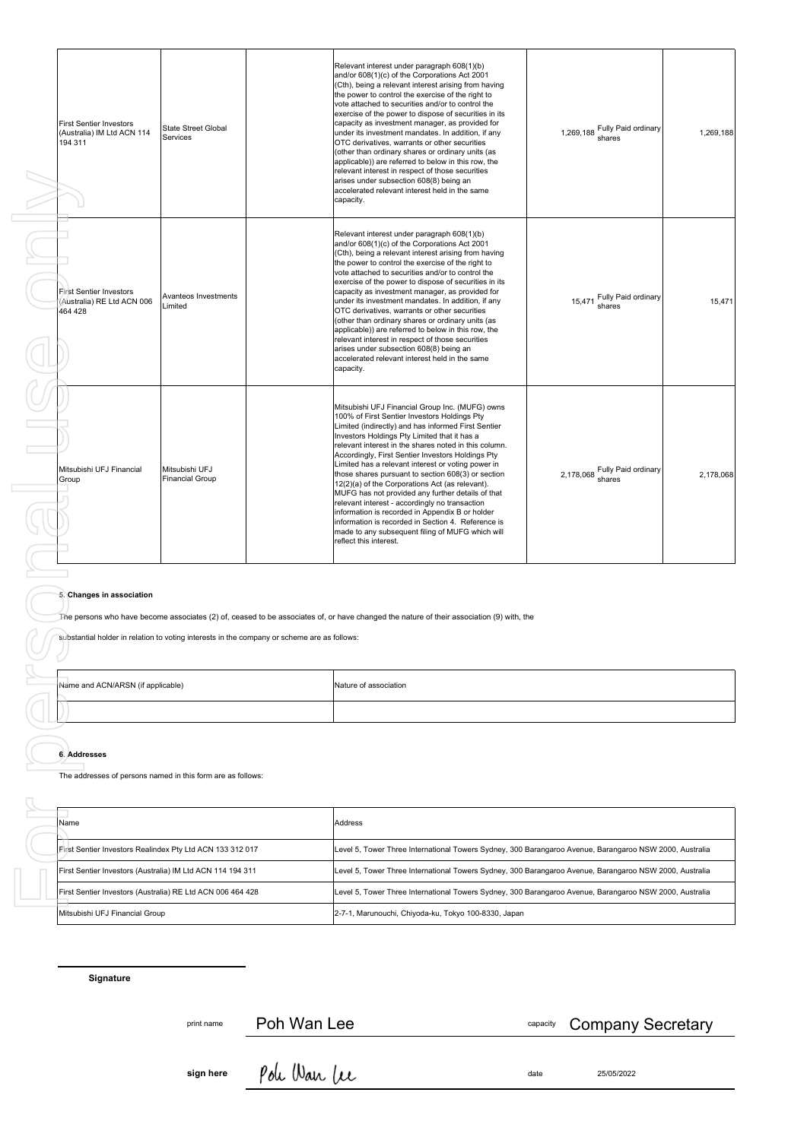| <b>First Sentier Investors</b><br>(Australia) IM Ltd ACN 114<br>194 311                                                                                       | State Street Global<br>Services          |  | Relevant interest under paragraph 608(1)(b)<br>and/or 608(1)(c) of the Corporations Act 2001<br>(Cth), being a relevant interest arising from having<br>the power to control the exercise of the right to<br>vote attached to securities and/or to control the<br>exercise of the power to dispose of securities in its<br>capacity as investment manager, as provided for<br>under its investment mandates. In addition, if any<br>OTC derivatives, warrants or other securities<br>(other than ordinary shares or ordinary units (as<br>applicable)) are referred to below in this row, the<br>relevant interest in respect of those securities<br>arises under subsection 608(8) being an<br>accelerated relevant interest held in the same<br>capacity.                       | 1,269,188 Fully Paid ordinary<br>shares | 1,269,188 |  |  |
|---------------------------------------------------------------------------------------------------------------------------------------------------------------|------------------------------------------|--|-----------------------------------------------------------------------------------------------------------------------------------------------------------------------------------------------------------------------------------------------------------------------------------------------------------------------------------------------------------------------------------------------------------------------------------------------------------------------------------------------------------------------------------------------------------------------------------------------------------------------------------------------------------------------------------------------------------------------------------------------------------------------------------|-----------------------------------------|-----------|--|--|
| <b>First Sentier Investors</b><br>(Australia) RE Ltd ACN 006<br>464 428                                                                                       | Avanteos Investments<br>Limited          |  | Relevant interest under paragraph 608(1)(b)<br>and/or 608(1)(c) of the Corporations Act 2001<br>(Cth), being a relevant interest arising from having<br>the power to control the exercise of the right to<br>vote attached to securities and/or to control the<br>exercise of the power to dispose of securities in its<br>capacity as investment manager, as provided for<br>under its investment mandates. In addition, if any<br>OTC derivatives, warrants or other securities<br>(other than ordinary shares or ordinary units (as<br>applicable)) are referred to below in this row, the<br>relevant interest in respect of those securities<br>arises under subsection 608(8) being an<br>accelerated relevant interest held in the same<br>capacity.                       | 15,471 Fully Paid ordinary              | 15,471    |  |  |
| Mitsubishi UFJ Financial<br>Group                                                                                                                             | Mitsubishi UFJ<br><b>Financial Group</b> |  | Mitsubishi UFJ Financial Group Inc. (MUFG) owns<br>100% of First Sentier Investors Holdings Pty<br>Limited (indirectly) and has informed First Sentier<br>Investors Holdings Pty Limited that it has a<br>relevant interest in the shares noted in this column.<br>Accordingly, First Sentier Investors Holdings Pty<br>Limited has a relevant interest or voting power in<br>those shares pursuant to section 608(3) or section<br>12(2)(a) of the Corporations Act (as relevant).<br>MUFG has not provided any further details of that<br>relevant interest - accordingly no transaction<br>information is recorded in Appendix B or holder<br>information is recorded in Section 4. Reference is<br>made to any subsequent filing of MUFG which will<br>reflect this interest. | 2,178,068 Fully Paid ordinary           | 2,178,068 |  |  |
| 5. Changes in association<br>substantial holder in relation to voting interests in the company or scheme are as follows:<br>Name and ACN/ARSN (if applicable) |                                          |  | The persons who have become associates (2) of, ceased to be associates of, or have changed the nature of their association (9) with, the<br>Nature of association                                                                                                                                                                                                                                                                                                                                                                                                                                                                                                                                                                                                                 |                                         |           |  |  |
|                                                                                                                                                               |                                          |  |                                                                                                                                                                                                                                                                                                                                                                                                                                                                                                                                                                                                                                                                                                                                                                                   |                                         |           |  |  |
|                                                                                                                                                               |                                          |  |                                                                                                                                                                                                                                                                                                                                                                                                                                                                                                                                                                                                                                                                                                                                                                                   |                                         |           |  |  |
| 6. Addresses<br>The addresses of persons named in this form are as follows:                                                                                   |                                          |  |                                                                                                                                                                                                                                                                                                                                                                                                                                                                                                                                                                                                                                                                                                                                                                                   |                                         |           |  |  |
| Name                                                                                                                                                          |                                          |  | Address                                                                                                                                                                                                                                                                                                                                                                                                                                                                                                                                                                                                                                                                                                                                                                           |                                         |           |  |  |
| First Sentier Investors Realindex Pty Ltd ACN 133 312 017                                                                                                     |                                          |  | Level 5, Tower Three International Towers Sydney, 300 Barangaroo Avenue, Barangaroo NSW 2000, Australia                                                                                                                                                                                                                                                                                                                                                                                                                                                                                                                                                                                                                                                                           |                                         |           |  |  |
| First Sentier Investors (Australia) IM Ltd ACN 114 194 311                                                                                                    |                                          |  | Level 5, Tower Three International Towers Sydney, 300 Barangaroo Avenue, Barangaroo NSW 2000, Australia                                                                                                                                                                                                                                                                                                                                                                                                                                                                                                                                                                                                                                                                           |                                         |           |  |  |
| First Sentier Investors (Australia) RE Ltd ACN 006 464 428                                                                                                    |                                          |  | Level 5, Tower Three International Towers Sydney, 300 Barangaroo Avenue, Barangaroo NSW 2000, Australia                                                                                                                                                                                                                                                                                                                                                                                                                                                                                                                                                                                                                                                                           |                                         |           |  |  |

# **5. Changes in association**

| Name and ACN/ARSN (if applicable) | Nature of association |
|-----------------------------------|-----------------------|
|                                   |                       |

## **6. Addresses**

|  | Name                                                       | Address                                                                                                 |  |  |
|--|------------------------------------------------------------|---------------------------------------------------------------------------------------------------------|--|--|
|  | First Sentier Investors Realindex Pty Ltd ACN 133 312 017  | Level 5, Tower Three International Towers Sydney, 300 Barangaroo Avenue, Barangaroo NSW 2000, Australia |  |  |
|  | First Sentier Investors (Australia) IM Ltd ACN 114 194 311 | Level 5, Tower Three International Towers Sydney, 300 Barangaroo Avenue, Barangaroo NSW 2000, Australia |  |  |
|  | First Sentier Investors (Australia) RE Ltd ACN 006 464 428 | Level 5, Tower Three International Towers Sydney, 300 Barangaroo Avenue, Barangaroo NSW 2000, Australia |  |  |
|  | Mitsubishi UFJ Financial Group                             | 2-7-1, Marunouchi, Chiyoda-ku, Tokyo 100-8330, Japan                                                    |  |  |

**Signature**

print name **Poh Wan Lee capacity** 

**Company Secretary**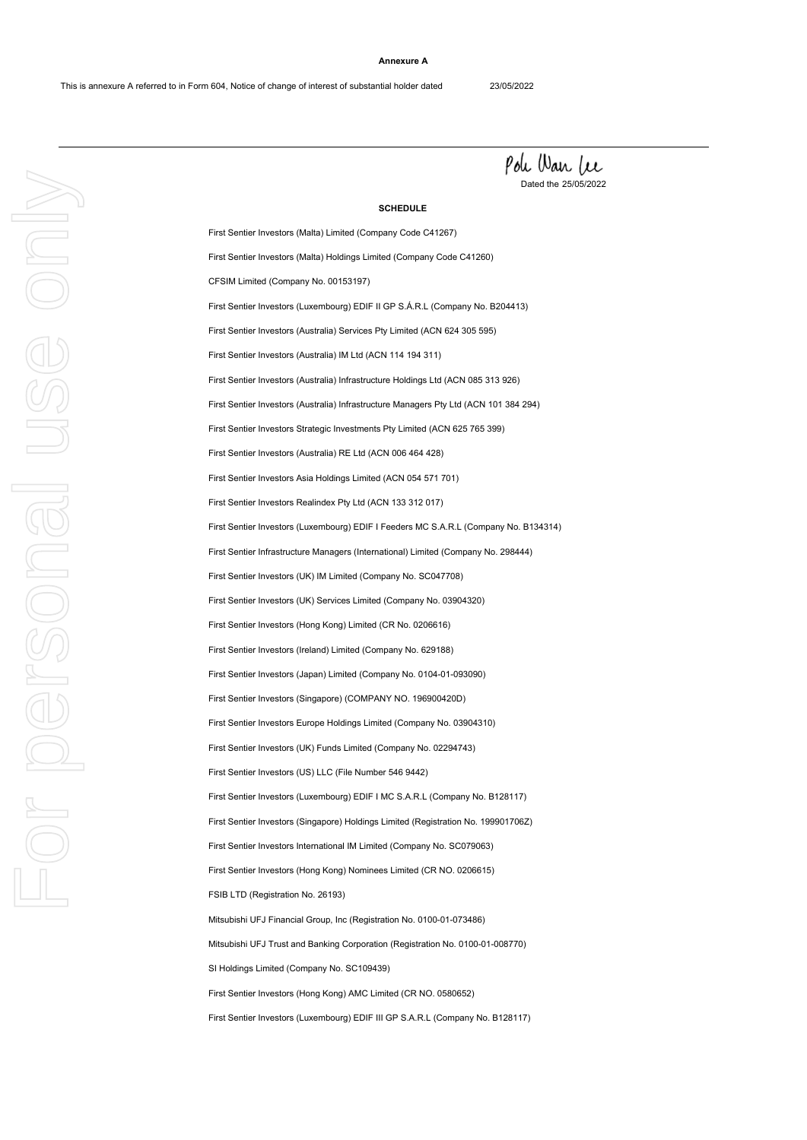#### **Annexure A**

Pole Wan Lee Dated the 25/05/2022

## **SCHEDULE**

First Sentier Investors (Luxembourg) EDIF II GP S.Á.R.L (Company No. B204413) First Sentier Investors (UK) IM Limited (Company No. SC047708) CFSIM Limited (Company No. 00153197) First Sentier Infrastructure Managers (International) Limited (Company No. 298444) First Sentier Investors (Singapore) Holdings Limited (Registration No. 199901706Z) First Sentier Investors (Singapore) (COMPANY NO. 196900420D) First Sentier Investors (Luxembourg) EDIF III GP S.A.R.L (Company No. B128117) First Sentier Investors (Australia) RE Ltd (ACN 006 464 428) First Sentier Investors Europe Holdings Limited (Company No. 03904310) First Sentier Investors (Hong Kong) AMC Limited (CR NO. 0580652) First Sentier Investors (Hong Kong) Nominees Limited (CR NO. 0206615) First Sentier Investors International IM Limited (Company No. SC079063) SI Holdings Limited (Company No. SC109439) First Sentier Investors (Hong Kong) Limited (CR No. 0206616) First Sentier Investors (Australia) Services Pty Limited (ACN 624 305 595) First Sentier Investors (UK) Services Limited (Company No. 03904320) First Sentier Investors Asia Holdings Limited (ACN 054 571 701) First Sentier Investors (UK) Funds Limited (Company No. 02294743) First Sentier Investors Strategic Investments Pty Limited (ACN 625 765 399) First Sentier Investors (Japan) Limited (Company No. 0104-01-093090) Mitsubishi UFJ Trust and Banking Corporation (Registration No. 0100-01-008770) First Sentier Investors (Australia) Infrastructure Managers Pty Ltd (ACN 101 384 294) First Sentier Investors (Australia) Infrastructure Holdings Ltd (ACN 085 313 926) First Sentier Investors (Malta) Holdings Limited (Company Code C41260) First Sentier Investors (Luxembourg) EDIF I Feeders MC S.A.R.L (Company No. B134314) First Sentier Investors (Luxembourg) EDIF I MC S.A.R.L (Company No. B128117) First Sentier Investors Realindex Pty Ltd (ACN 133 312 017) First Sentier Investors (US) LLC (File Number 546 9442) First Sentier Investors (Ireland) Limited (Company No. 629188) Mitsubishi UFJ Financial Group, Inc (Registration No. 0100-01-073486) First Sentier Investors (Malta) Limited (Company Code C41267) FSIB LTD (Registration No. 26193) First Sentier Investors (Australia) IM Ltd (ACN 114 194 311)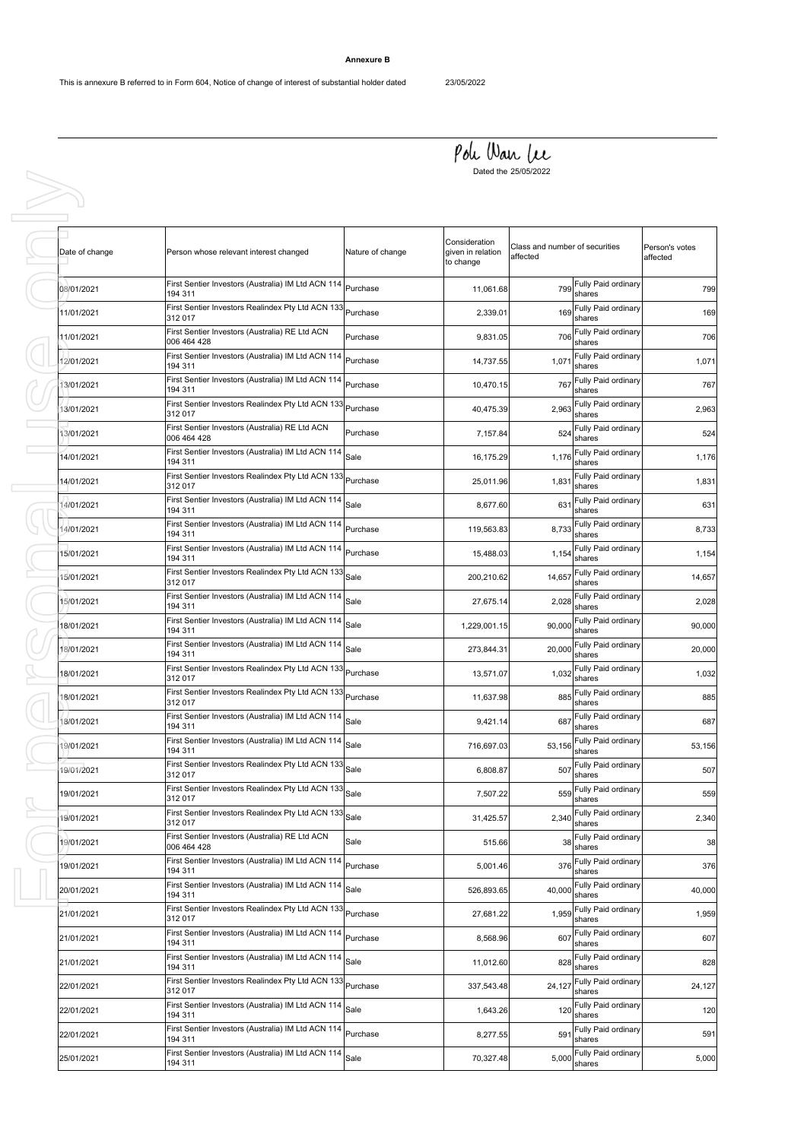## **Annexure B**

# $\rho$ oh Wan  $\mu$

| Dated the 25/05/2022 |                |                                                                       |                  |                                                 |                                            |                               |                            |
|----------------------|----------------|-----------------------------------------------------------------------|------------------|-------------------------------------------------|--------------------------------------------|-------------------------------|----------------------------|
|                      |                |                                                                       |                  |                                                 |                                            |                               |                            |
|                      |                |                                                                       |                  |                                                 |                                            |                               |                            |
|                      | Date of change | Person whose relevant interest changed                                | Nature of change | Consideration<br>given in relation<br>to change | Class and number of securities<br>affected |                               | Person's votes<br>affected |
|                      | 08/01/2021     | First Sentier Investors (Australia) IM Ltd ACN 114<br>194 311         | Purchase         | 11,061.68                                       | 799                                        | Fully Paid ordinary<br>shares | 799                        |
|                      | 11/01/2021     | First Sentier Investors Realindex Pty Ltd ACN 13:<br>312 017          | Purchase         | 2,339.01                                        | 169                                        | Fully Paid ordinary<br>shares | 169                        |
|                      | 11/01/2021     | First Sentier Investors (Australia) RE Ltd ACN<br>006 464 428         | Purchase         | 9,831.05                                        | 706                                        | Fully Paid ordinary<br>shares | 706                        |
|                      | 12/01/2021     | First Sentier Investors (Australia) IM Ltd ACN 114<br>194 311         | Purchase         | 14,737.55                                       | 1,071                                      | Fully Paid ordinary<br>shares | 1,071                      |
|                      | 13/01/2021     | First Sentier Investors (Australia) IM Ltd ACN 114<br>194 311         | Purchase         | 10,470.15                                       | 767                                        | Fully Paid ordinary<br>shares | 767                        |
|                      | 13/01/2021     | First Sentier Investors Realindex Pty Ltd ACN 133<br>312 017          | Purchase         | 40,475.39                                       | 2,963                                      | Fully Paid ordinary<br>shares | 2,963                      |
|                      | 13/01/2021     | First Sentier Investors (Australia) RE Ltd ACN<br>006 464 428         | Purchase         | 7,157.84                                        | 524                                        | Fully Paid ordinary<br>shares | 524                        |
|                      | 14/01/2021     | First Sentier Investors (Australia) IM Ltd ACN 114<br>194 311         | Sale             | 16,175.29                                       | 1,176                                      | Fully Paid ordinary<br>shares | 1,176                      |
|                      | 14/01/2021     | First Sentier Investors Realindex Pty Ltd ACN 133 Purchase<br>312 017 |                  | 25,011.96                                       | 1,831                                      | Fully Paid ordinary<br>shares | 1,831                      |
|                      | 14/01/2021     | First Sentier Investors (Australia) IM Ltd ACN 114<br>194 311         | Sale             | 8,677.60                                        | 631                                        | Fully Paid ordinary<br>shares | 631                        |
|                      | 14/01/2021     | First Sentier Investors (Australia) IM Ltd ACN 114<br>194 311         | Purchase         | 119,563.83                                      | 8,733                                      | Fully Paid ordinary<br>shares | 8,733                      |
|                      | 15/01/2021     | First Sentier Investors (Australia) IM Ltd ACN 114<br>194 311         | Purchase         | 15,488.03                                       | 1,154                                      | Fully Paid ordinary<br>shares | 1,154                      |
|                      | 15/01/2021     | First Sentier Investors Realindex Pty Ltd ACN 133<br>312 017          | Sale             | 200,210.62                                      | 14,657                                     | Fully Paid ordinary<br>shares | 14,657                     |
|                      | 15/01/2021     | First Sentier Investors (Australia) IM Ltd ACN 114<br>194 311         | Sale             | 27,675.14                                       | 2,028                                      | Fully Paid ordinary<br>shares | 2,028                      |
|                      | 18/01/2021     | First Sentier Investors (Australia) IM Ltd ACN 114<br>194 311         | Sale             | 1,229,001.15                                    | 90,000                                     | Fully Paid ordinary<br>shares | 90,000                     |
|                      | 18/01/2021     | First Sentier Investors (Australia) IM Ltd ACN 114<br>194 311         | Sale             | 273,844.31                                      | 20,000                                     | Fully Paid ordinary<br>shares | 20,000                     |
|                      | 18/01/2021     | First Sentier Investors Realindex Pty Ltd ACN 133<br>312 017          | Purchase         | 13,571.07                                       | 1,032                                      | Fully Paid ordinary<br>shares | 1,032                      |
|                      | 18/01/2021     | First Sentier Investors Realindex Pty Ltd ACN 13:<br>312 017          | Purchase         | 11,637.98                                       | 885                                        | Fully Paid ordinary<br>shares | 885                        |
|                      | 18/01/2021     | First Sentier Investors (Australia) IM Ltd ACN 114<br>194 311         | Sale             | 9,421.14                                        | 687                                        | Fully Paid ordinary<br>shares | 687                        |
|                      | 19/01/2021     | First Sentier Investors (Australia) IM Ltd ACN 114<br>194 311         | Sale             | 716,697.03                                      | 53,156                                     | Fully Paid ordinary<br>shares | 53,156                     |
|                      | 19/01/2021     | First Sentier Investors Realindex Pty Ltd ACN 133<br>312017           |                  | 6,808.87                                        | 507                                        | Fully Paid ordinary<br>shares | 507                        |
|                      | 19/01/2021     | First Sentier Investors Realindex Pty Ltd ACN 133 Sale<br>312017      |                  | 7,507.22                                        | 559                                        | Fully Paid ordinary<br>shares | 559                        |
|                      | 19/01/2021     | First Sentier Investors Realindex Pty Ltd ACN 133<br>312 017          |                  | 31,425.57                                       | 2,340                                      | Fully Paid ordinary<br>shares | 2,340                      |
|                      | 19/01/2021     | First Sentier Investors (Australia) RE Ltd ACN<br>006 464 428         | Sale             | 515.66                                          | 38                                         | Fully Paid ordinary<br>shares | 38                         |
|                      | 19/01/2021     | First Sentier Investors (Australia) IM Ltd ACN 114<br>194 311         | Purchase         | 5,001.46                                        | 376                                        | Fully Paid ordinary<br>shares | 376                        |
|                      | 20/01/2021     | First Sentier Investors (Australia) IM Ltd ACN 114<br>194 311         | Sale             | 526,893.65                                      | 40,000                                     | Fully Paid ordinary<br>shares | 40,000                     |
|                      | 21/01/2021     | First Sentier Investors Realindex Pty Ltd ACN 133<br>312 017          | Purchase         | 27,681.22                                       | 1,959                                      | Fully Paid ordinary<br>shares | 1,959                      |
|                      | 21/01/2021     | First Sentier Investors (Australia) IM Ltd ACN 114<br>194 311         | Purchase         | 8,568.96                                        | 607                                        | Fully Paid ordinary<br>shares | 607                        |
|                      | 21/01/2021     | First Sentier Investors (Australia) IM Ltd ACN 114<br>194 311         | Sale             | 11,012.60                                       | 828                                        | Fully Paid ordinary<br>shares | 828                        |
|                      | 22/01/2021     | First Sentier Investors Realindex Pty Ltd ACN 133 Purchase<br>312 017 |                  | 337,543.48                                      | 24,127                                     | Fully Paid ordinary<br>shares | 24,127                     |
|                      | 22/01/2021     | First Sentier Investors (Australia) IM Ltd ACN 114<br>194 311         | Sale             | 1,643.26                                        | 120                                        | Fully Paid ordinary<br>shares | 120                        |
|                      | 22/01/2021     | First Sentier Investors (Australia) IM Ltd ACN 114<br>194 311         | Purchase         | 8,277.55                                        | 591                                        | Fully Paid ordinary<br>shares | 591                        |
|                      | 25/01/2021     | First Sentier Investors (Australia) IM Ltd ACN 114<br>194 311         | Sale             | 70,327.48                                       | 5,000                                      | Fully Paid ordinary<br>shares | 5,000                      |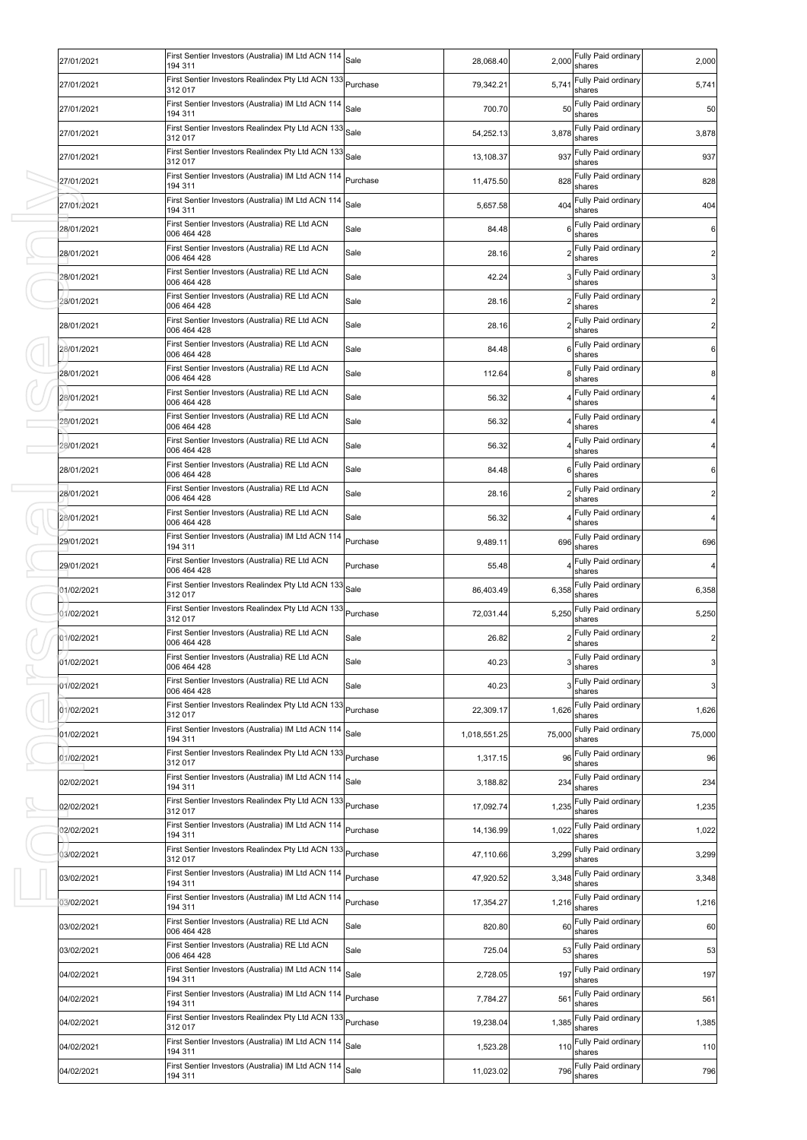| 27/01/2021 | First Sentier Investors (Australia) IM Ltd ACN 114 Sale<br>194 311    |          | 28,068.40    | 2,000  | Fully Paid ordinary<br>shares       | 2,000          |
|------------|-----------------------------------------------------------------------|----------|--------------|--------|-------------------------------------|----------------|
| 27/01/2021 | First Sentier Investors Realindex Pty Ltd ACN 133 Purchase<br>312 017 |          | 79,342.21    | 5,741  | Fully Paid ordinary<br>shares       | 5,741          |
| 27/01/2021 | First Sentier Investors (Australia) IM Ltd ACN 114<br>194 311         | Sale     | 700.70       | 50     | Fully Paid ordinary<br>shares       | 50             |
| 27/01/2021 | First Sentier Investors Realindex Pty Ltd ACN 133<br>312 017          | Sale     | 54,252.13    | 3,878  | Fully Paid ordinary<br>shares       | 3,878          |
| 27/01/2021 | First Sentier Investors Realindex Pty Ltd ACN 133<br>312 017          | Sale     | 13,108.37    | 937    | Fully Paid ordinary<br>shares       | 937            |
| 27/01/2021 | First Sentier Investors (Australia) IM Ltd ACN 114<br>194 311         | Purchase | 11,475.50    | 828    | Fully Paid ordinary<br>shares       | 828            |
| 27/01/2021 | First Sentier Investors (Australia) IM Ltd ACN 114<br>194 311         | Sale     | 5,657.58     | 404    | Fully Paid ordinary<br>shares       | 404            |
| 28/01/2021 | First Sentier Investors (Australia) RE Ltd ACN<br>006 464 428         | Sale     | 84.48        | 6      | Fully Paid ordinary<br>shares       | 6              |
| 28/01/2021 | First Sentier Investors (Australia) RE Ltd ACN<br>006 464 428         | Sale     | 28.16        |        | Fully Paid ordinary<br>shares       | $\overline{2}$ |
| 28/01/2021 | First Sentier Investors (Australia) RE Ltd ACN<br>006 464 428         | Sale     | 42.24        |        | Fully Paid ordinary<br>shares       | 3              |
| 28/01/2021 | First Sentier Investors (Australia) RE Ltd ACN<br>006 464 428         | Sale     | 28.16        |        | Fully Paid ordinary<br>shares       | $\overline{2}$ |
| 28/01/2021 | First Sentier Investors (Australia) RE Ltd ACN<br>006 464 428         | Sale     | 28.16        |        | Fully Paid ordinary<br>shares       | $\overline{c}$ |
| 28/01/2021 | First Sentier Investors (Australia) RE Ltd ACN<br>006 464 428         | Sale     | 84.48        |        | Fully Paid ordinary<br>shares       | 6              |
| 28/01/2021 | First Sentier Investors (Australia) RE Ltd ACN<br>006 464 428         | Sale     | 112.64       |        | Fully Paid ordinary<br>shares       | 8              |
| 28/01/2021 | First Sentier Investors (Australia) RE Ltd ACN<br>006 464 428         | Sale     | 56.32        |        | Fully Paid ordinary<br>shares       | 4              |
| 28/01/2021 | First Sentier Investors (Australia) RE Ltd ACN<br>006 464 428         | Sale     | 56.32        |        | Fully Paid ordinary<br>shares       | 4              |
| 28/01/2021 | First Sentier Investors (Australia) RE Ltd ACN<br>006 464 428         | Sale     | 56.32        |        | Fully Paid ordinary<br>shares       | 4              |
| 28/01/2021 | First Sentier Investors (Australia) RE Ltd ACN<br>006 464 428         | Sale     | 84.48        | 6      | Fully Paid ordinary<br>shares       | 6              |
| 28/01/2021 | First Sentier Investors (Australia) RE Ltd ACN<br>006 464 428         | Sale     | 28.16        |        | Fully Paid ordinary<br>shares       | $\overline{2}$ |
| 28/01/2021 | First Sentier Investors (Australia) RE Ltd ACN<br>006 464 428         | Sale     | 56.32        |        | Fully Paid ordinary<br>shares       | $\sqrt{4}$     |
| 29/01/2021 | First Sentier Investors (Australia) IM Ltd ACN 114<br>194 311         | Purchase | 9,489.11     | 696    | Fully Paid ordinary<br>shares       | 696            |
| 29/01/2021 | First Sentier Investors (Australia) RE Ltd ACN<br>006 464 428         | Purchase | 55.48        |        | Fully Paid ordinary<br>shares       | 4              |
| 01/02/2021 | First Sentier Investors Realindex Pty Ltd ACN 133<br>312 017          | Sale     | 86,403.49    | 6,358  | Fully Paid ordinary<br>shares       | 6,358          |
| 01/02/2021 | First Sentier Investors Realindex Pty Ltd ACN 133 Purchase<br>312 017 |          | 72,031.44    | 5,250  | Fully Paid ordinary<br>shares       | 5,250          |
| 01/02/2021 | First Sentier Investors (Australia) RE Ltd ACN<br>006 464 428         | Sale     | 26.82        |        | Fully Paid ordinary<br>shares       | $\overline{c}$ |
| 01/02/2021 | First Sentier Investors (Australia) RE Ltd ACN<br>006 464 428         | Sale     | 40.23        |        | 3 Fully Paid ordinary<br>shares     | 3              |
| 01/02/2021 | First Sentier Investors (Australia) RE Ltd ACN<br>006 464 428         | Sale     | 40.23        |        | Fully Paid ordinary<br>shares       | $\overline{3}$ |
| 01/02/2021 | First Sentier Investors Realindex Pty Ltd ACN 133<br>312 017          | Purchase | 22,309.17    | 1,626  | Fully Paid ordinary<br>shares       | 1,626          |
| 01/02/2021 | First Sentier Investors (Australia) IM Ltd ACN 114<br>194 311         | Sale     | 1,018,551.25 | 75,000 | Fully Paid ordinary<br>shares       | 75,000         |
| 01/02/2021 | First Sentier Investors Realindex Pty Ltd ACN 133<br>312 017          | Purchase | 1,317.15     | 96     | Fully Paid ordinary<br>shares       | 96             |
| 02/02/2021 | First Sentier Investors (Australia) IM Ltd ACN 114<br>194 311         | Sale     | 3,188.82     | 234    | Fully Paid ordinary<br>shares       | 234            |
| 02/02/2021 | First Sentier Investors Realindex Pty Ltd ACN 133<br>312 017          | Purchase | 17,092.74    | 1,235  | Fully Paid ordinary<br>shares       | 1,235          |
| 02/02/2021 | First Sentier Investors (Australia) IM Ltd ACN 114<br>194 311         | Purchase | 14,136.99    | 1,022  | Fully Paid ordinary<br>shares       | 1,022          |
| 03/02/2021 | First Sentier Investors Realindex Pty Ltd ACN 133<br>312 017          | Purchase | 47,110.66    |        | 3,299 Fully Paid ordinary<br>shares | 3,299          |
| 03/02/2021 | First Sentier Investors (Australia) IM Ltd ACN 114<br>194 311         | Purchase | 47,920.52    | 3,348  | Fully Paid ordinary<br>shares       | 3,348          |
| 03/02/2021 | First Sentier Investors (Australia) IM Ltd ACN 114<br>194 311         | Purchase | 17,354.27    | 1,216  | Fully Paid ordinary<br>shares       | 1,216          |
| 03/02/2021 | First Sentier Investors (Australia) RE Ltd ACN<br>006 464 428         | Sale     | 820.80       | 60     | Fully Paid ordinary<br>shares       | 60             |
| 03/02/2021 | First Sentier Investors (Australia) RE Ltd ACN<br>006 464 428         | Sale     | 725.04       | 53     | Fully Paid ordinary<br>shares       | 53             |
| 04/02/2021 | First Sentier Investors (Australia) IM Ltd ACN 114<br>194 311         | Sale     | 2,728.05     | 197    | Fully Paid ordinary<br>shares       | 197            |
| 04/02/2021 | First Sentier Investors (Australia) IM Ltd ACN 114<br>194 311         | Purchase | 7,784.27     | 561    | Fully Paid ordinary<br>shares       | 561            |
| 04/02/2021 | First Sentier Investors Realindex Pty Ltd ACN 133 Purchase<br>312 017 |          | 19,238.04    | 1,385  | Fully Paid ordinary<br>shares       | 1,385          |
| 04/02/2021 | First Sentier Investors (Australia) IM Ltd ACN 114<br>194 311         | Sale     | 1,523.28     | 110    | Fully Paid ordinary<br>shares       | 110            |
| 04/02/2021 | First Sentier Investors (Australia) IM Ltd ACN 114 Sale<br>194 311    |          | 11,023.02    | 796    | Fully Paid ordinary<br>shares       | 796            |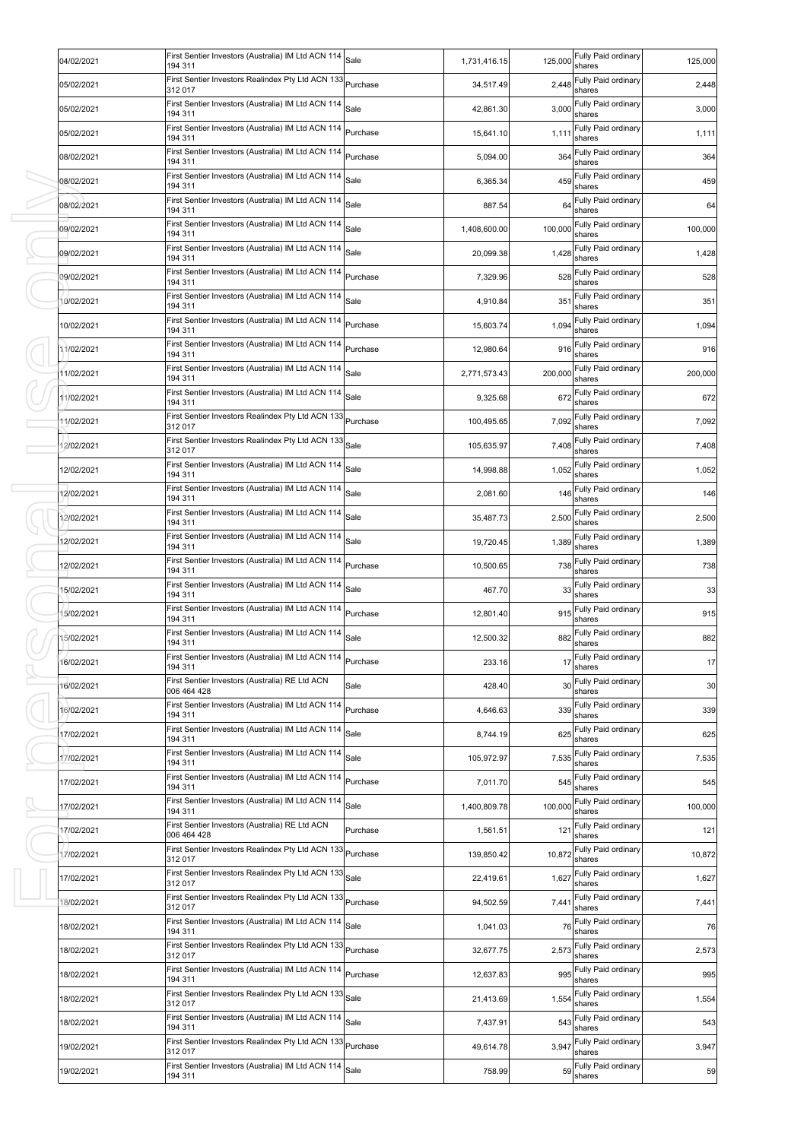| 04/02/2021 | First Sentier Investors (Australia) IM Ltd ACN 114<br>194 311         | Sale     | 1,731,416.15 | 125,000 | Fully Paid ordinary<br>shares    | 125,000 |
|------------|-----------------------------------------------------------------------|----------|--------------|---------|----------------------------------|---------|
| 05/02/2021 | First Sentier Investors Realindex Pty Ltd ACN 133<br>312 017          | Purchase | 34,517.49    | 2,448   | Fully Paid ordinary<br>shares    | 2,448   |
| 05/02/2021 | First Sentier Investors (Australia) IM Ltd ACN 114<br>194 311         | Sale     | 42,861.30    | 3,000   | Fully Paid ordinary<br>shares    | 3,000   |
| 05/02/2021 | First Sentier Investors (Australia) IM Ltd ACN 114<br>194 311         | Purchase | 15,641.10    | 1,111   | Fully Paid ordinary<br>shares    | 1,111   |
| 08/02/2021 | First Sentier Investors (Australia) IM Ltd ACN 114<br>194 311         | Purchase | 5,094.00     | 364     | Fully Paid ordinary<br>shares    | 364     |
| 08/02/2021 | First Sentier Investors (Australia) IM Ltd ACN 114<br>194 311         | Sale     | 6,365.34     | 459     | Fully Paid ordinary<br>shares    | 459     |
| 08/02/2021 | First Sentier Investors (Australia) IM Ltd ACN 114<br>194 311         | Sale     | 887.54       | 64      | Fully Paid ordinary<br>shares    | 64      |
| 09/02/2021 | First Sentier Investors (Australia) IM Ltd ACN 114<br>194 311         | Sale     | 1,408,600.00 | 100,000 | Fully Paid ordinary<br>shares    | 100,000 |
| 09/02/2021 | First Sentier Investors (Australia) IM Ltd ACN 114<br>194 311         | Sale     | 20,099.38    | 1,428   | Fully Paid ordinary<br>shares    | 1,428   |
| 09/02/2021 | First Sentier Investors (Australia) IM Ltd ACN 114<br>194 311         | Purchase | 7,329.96     | 528     | Fully Paid ordinary<br>shares    | 528     |
| 10/02/2021 | First Sentier Investors (Australia) IM Ltd ACN 114<br>194 311         | Sale     | 4,910.84     | 351     | Fully Paid ordinary<br>shares    | 351     |
| 10/02/2021 | First Sentier Investors (Australia) IM Ltd ACN 114<br>194 311         | Purchase | 15,603.74    | 1,094   | Fully Paid ordinary<br>shares    | 1,094   |
| 11/02/2021 | First Sentier Investors (Australia) IM Ltd ACN 114<br>194 311         | Purchase | 12,980.64    | 916     | Fully Paid ordinary<br>shares    | 916     |
| 11/02/2021 | First Sentier Investors (Australia) IM Ltd ACN 114<br>194 311         | Sale     | 2,771,573.43 | 200,000 | Fully Paid ordinary<br>shares    | 200,000 |
| 11/02/2021 | First Sentier Investors (Australia) IM Ltd ACN 114<br>194 311         | Sale     | 9,325.68     | 672     | Fully Paid ordinary<br>shares    | 672     |
| 1/02/2021  | First Sentier Investors Realindex Pty Ltd ACN 133 Purchase<br>312 017 |          | 100,495.65   | 7,092   | Fully Paid ordinary<br>shares    | 7,092   |
| 12/02/2021 | First Sentier Investors Realindex Pty Ltd ACN 133 Sale<br>312 017     |          | 105,635.97   | 7,408   | Fully Paid ordinary<br>shares    | 7,408   |
| 12/02/2021 | First Sentier Investors (Australia) IM Ltd ACN 114<br>194 311         | Sale     | 14,998.88    | 1,052   | Fully Paid ordinary<br>shares    | 1,052   |
| 12/02/2021 | First Sentier Investors (Australia) IM Ltd ACN 114<br>194 311         | Sale     | 2,081.60     | 146     | Fully Paid ordinary<br>shares    | 146     |
| 12/02/2021 | First Sentier Investors (Australia) IM Ltd ACN 114<br>194 311         | Sale     | 35,487.73    | 2,500   | Fully Paid ordinary<br>shares    | 2,500   |
| 12/02/2021 | First Sentier Investors (Australia) IM Ltd ACN 114<br>194 311         | Sale     | 19,720.45    | 1,389   | Fully Paid ordinary<br>shares    | 1,389   |
| 12/02/2021 | First Sentier Investors (Australia) IM Ltd ACN 114<br>194 311         | Purchase | 10,500.65    | 738     | Fully Paid ordinary<br>shares    | 738     |
| 15/02/2021 | First Sentier Investors (Australia) IM Ltd ACN 114<br>194 311         | Sale     | 467.70       | 33      | Fully Paid ordinary<br>shares    | 33      |
| 15/02/2021 | First Sentier Investors (Australia) IM Ltd ACN 114<br>194 311         | Purchase | 12,801.40    | 915     | Fully Paid ordinary<br>shares    | 915     |
| 15/02/2021 | First Sentier Investors (Australia) IM Ltd ACN 114<br>194 311         | Sale     | 12,500.32    | 882     | Fully Paid ordinary<br>shares    | 882     |
| 16/02/2021 | First Sentier Investors (Australia) IM Ltd ACN 11<br>194 311          | Purchase | 233.16       |         | 17 Fully Paid ordinary<br>shares | 17      |
| 16/02/2021 | First Sentier Investors (Australia) RE Ltd ACN<br>006 464 428         | Sale     | 428.40       | 30      | Fully Paid ordinary<br>shares    | 30      |
| 16/02/2021 | First Sentier Investors (Australia) IM Ltd ACN 114<br>194 311         | Purchase | 4,646.63     | 339     | Fully Paid ordinary<br>shares    | 339     |
| 17/02/2021 | First Sentier Investors (Australia) IM Ltd ACN 114<br>194 311         | Sale     | 8,744.19     | 625     | Fully Paid ordinary<br>shares    | 625     |
| 17/02/2021 | First Sentier Investors (Australia) IM Ltd ACN 114<br>194 311         | Sale     | 105,972.97   | 7,535   | Fully Paid ordinary<br>shares    | 7,535   |
| 17/02/2021 | First Sentier Investors (Australia) IM Ltd ACN 114<br>194 311         | Purchase | 7,011.70     | 545     | Fully Paid ordinary<br>shares    | 545     |
| 17/02/2021 | First Sentier Investors (Australia) IM Ltd ACN 114<br>194 311         | Sale     | 1,400,809.78 | 100,000 | Fully Paid ordinary<br>shares    | 100,000 |
| 17/02/2021 | First Sentier Investors (Australia) RE Ltd ACN<br>006 464 428         | Purchase | 1,561.51     | 121     | Fully Paid ordinary<br>shares    | 121     |
| 17/02/2021 | First Sentier Investors Realindex Pty Ltd ACN 133<br>312 017          | Purchase | 139,850.42   | 10,872  | Fully Paid ordinary<br>shares    | 10,872  |
| 17/02/2021 | First Sentier Investors Realindex Pty Ltd ACN 133<br>312 017          | Sale     | 22,419.61    | 1,627   | Fully Paid ordinary<br>shares    | 1,627   |
| 18/02/2021 | First Sentier Investors Realindex Pty Ltd ACN 133<br>312 017          | Purchase | 94,502.59    | 7,441   | Fully Paid ordinary<br>shares    | 7,441   |
| 18/02/2021 | First Sentier Investors (Australia) IM Ltd ACN 114<br>194 311         | Sale     | 1,041.03     | 76      | Fully Paid ordinary<br>shares    | 76      |
| 18/02/2021 | First Sentier Investors Realindex Pty Ltd ACN 133<br>312 017          | Purchase | 32,677.75    | 2,573   | Fully Paid ordinary<br>shares    | 2,573   |
| 18/02/2021 | First Sentier Investors (Australia) IM Ltd ACN 114<br>194 311         | Purchase | 12,637.83    | 995     | Fully Paid ordinary<br>shares    | 995     |
| 18/02/2021 | First Sentier Investors Realindex Pty Ltd ACN 133<br>312 017          | Sale     | 21,413.69    | 1,554   | Fully Paid ordinary<br>shares    | 1,554   |
| 18/02/2021 | First Sentier Investors (Australia) IM Ltd ACN 114<br>194 311         | Sale     | 7,437.91     | 543     | Fully Paid ordinary<br>shares    | 543     |
| 19/02/2021 | First Sentier Investors Realindex Pty Ltd ACN 133<br>312 017          | Purchase | 49,614.78    | 3,947   | Fully Paid ordinary<br>shares    | 3,947   |
| 19/02/2021 | First Sentier Investors (Australia) IM Ltd ACN 114<br>194 311         | Sale     | 758.99       |         | 59 Fully Paid ordinary<br>shares | 59      |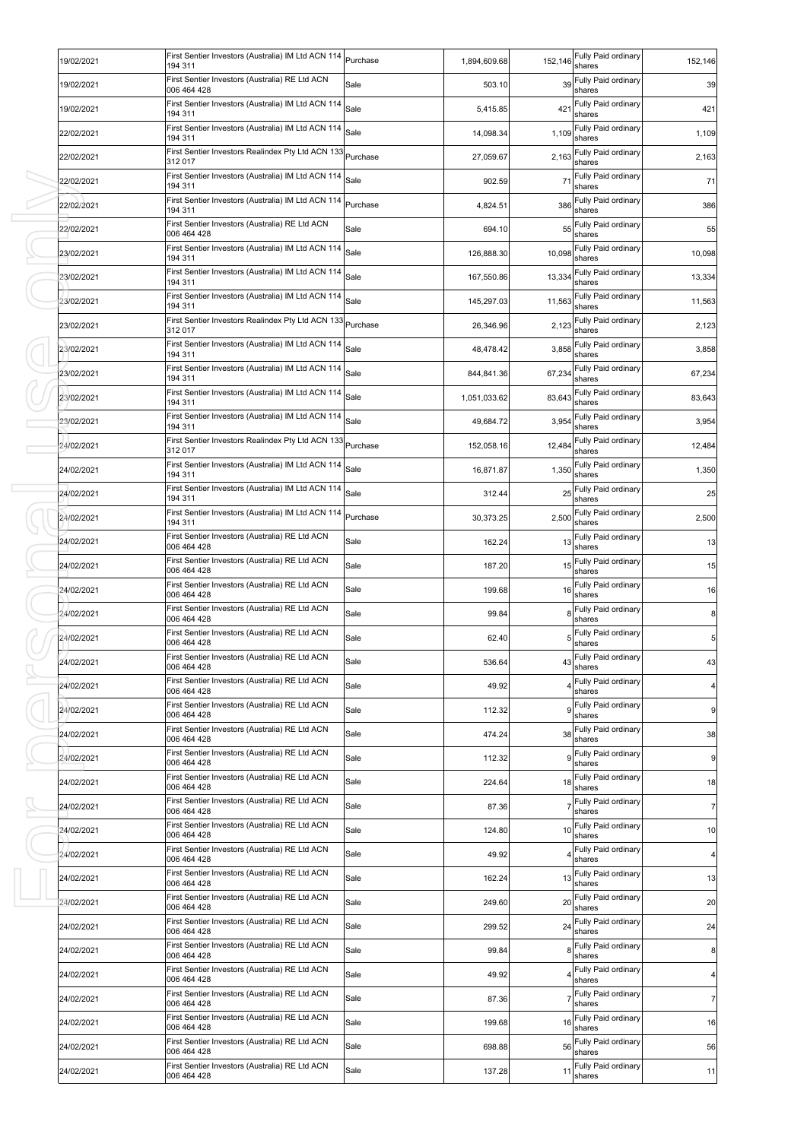| 19/02/2021 | First Sentier Investors (Australia) IM Ltd ACN 114<br>194 311         | Purchase | 1,894,609.68 | 152,146 | Fully Paid ordinary<br>shares    | 152,146         |
|------------|-----------------------------------------------------------------------|----------|--------------|---------|----------------------------------|-----------------|
| 19/02/2021 | First Sentier Investors (Australia) RE Ltd ACN<br>006 464 428         | Sale     | 503.10       | 39      | Fully Paid ordinary<br>shares    | 39              |
| 19/02/2021 | First Sentier Investors (Australia) IM Ltd ACN 114<br>194 311         | Sale     | 5,415.85     | 421     | Fully Paid ordinary<br>shares    | 421             |
| 22/02/2021 | First Sentier Investors (Australia) IM Ltd ACN 114<br>194 311         | Sale     | 14,098.34    | 1,109   | Fully Paid ordinary<br>shares    | 1,109           |
| 22/02/2021 | First Sentier Investors Realindex Pty Ltd ACN 133<br>312 017          | Purchase | 27,059.67    | 2,163   | Fully Paid ordinary<br>shares    | 2,163           |
| 22/02/2021 | First Sentier Investors (Australia) IM Ltd ACN 114<br>194 311         | Sale     | 902.59       | 71      | Fully Paid ordinary<br>shares    | 71              |
| 22/02/2021 | First Sentier Investors (Australia) IM Ltd ACN 114<br>194 311         | Purchase | 4,824.51     | 386     | Fully Paid ordinary<br>shares    | 386             |
| 22/02/2021 | First Sentier Investors (Australia) RE Ltd ACN<br>006 464 428         | Sale     | 694.10       | 55      | Fully Paid ordinary<br>shares    | 55              |
| 23/02/2021 | First Sentier Investors (Australia) IM Ltd ACN 114<br>194 311         | Sale     | 126,888.30   | 10,098  | Fully Paid ordinary<br>shares    | 10,098          |
| 23/02/2021 | First Sentier Investors (Australia) IM Ltd ACN 114<br>194 311         | Sale     | 167,550.86   | 13,334  | Fully Paid ordinary<br>shares    | 13,334          |
| 23/02/2021 | First Sentier Investors (Australia) IM Ltd ACN 114<br>194 311         | Sale     | 145,297.03   | 11,563  | Fully Paid ordinary<br>shares    | 11,563          |
| 23/02/2021 | First Sentier Investors Realindex Pty Ltd ACN 133<br>312 017          | Purchase | 26,346.96    | 2,123   | Fully Paid ordinary<br>shares    | 2,123           |
| 23/02/2021 | First Sentier Investors (Australia) IM Ltd ACN 114<br>194 311         | Sale     | 48,478.42    | 3,858   | Fully Paid ordinary<br>shares    | 3,858           |
| 23/02/2021 | First Sentier Investors (Australia) IM Ltd ACN 114<br>194 311         | Sale     | 844,841.36   | 67,234  | Fully Paid ordinary<br>shares    | 67,234          |
| 23/02/2021 | First Sentier Investors (Australia) IM Ltd ACN 114<br>194 311         | Sale     | 1,051,033.62 | 83,643  | Fully Paid ordinary<br>shares    | 83,643          |
| 23/02/2021 | First Sentier Investors (Australia) IM Ltd ACN 114<br>194 311         | Sale     | 49,684.72    | 3,954   | Fully Paid ordinary<br>shares    | 3,954           |
| 24/02/2021 | First Sentier Investors Realindex Pty Ltd ACN 133 Purchase<br>312 017 |          | 152,058.16   | 12,484  | Fully Paid ordinary<br>shares    | 12,484          |
| 24/02/2021 | First Sentier Investors (Australia) IM Ltd ACN 114<br>194 311         | Sale     | 16,871.87    | 1,350   | Fully Paid ordinary<br>shares    | 1,350           |
| 24/02/2021 | First Sentier Investors (Australia) IM Ltd ACN 114<br>194 311         | Sale     | 312.44       | 25      | Fully Paid ordinary<br>shares    | 25              |
| 24/02/2021 | First Sentier Investors (Australia) IM Ltd ACN 114<br>194 311         | Purchase | 30,373.25    | 2,500   | Fully Paid ordinary<br>shares    | 2,500           |
| 24/02/2021 | First Sentier Investors (Australia) RE Ltd ACN<br>006 464 428         | Sale     | 162.24       | 13      | Fully Paid ordinary<br>shares    | 13              |
| 24/02/2021 | First Sentier Investors (Australia) RE Ltd ACN<br>006 464 428         | Sale     | 187.20       | 15      | Fully Paid ordinary<br>shares    | 15              |
| 24/02/2021 | First Sentier Investors (Australia) RE Ltd ACN<br>006 464 428         | Sale     | 199.68       | 16      | Fully Paid ordinary<br>shares    | 16              |
| 24/02/2021 | First Sentier Investors (Australia) RE Ltd ACN<br>006 464 428         | Sale     | 99.84        |         | Fully Paid ordinary<br>shares    | 8               |
| 24/02/2021 | First Sentier Investors (Australia) RE Ltd ACN<br>006 464 428         | Sale     | 62.40        |         | Fully Paid ordinary<br>shares    | $5\phantom{.0}$ |
| 24/02/2021 | First Sentier Investors (Australia) RE Ltd ACN<br>006 464 428         | Sale     | 536.64       |         | 43 Fully Paid ordinary<br>shares | 43              |
| 24/02/2021 | First Sentier Investors (Australia) RE Ltd ACN<br>006 464 428         | Sale     | 49.92        |         | Fully Paid ordinary<br>shares    | 4 <sub>1</sub>  |
| 24/02/2021 | First Sentier Investors (Australia) RE Ltd ACN<br>006 464 428         | Sale     | 112.32       |         | Fully Paid ordinary<br>shares    | 9               |
| 24/02/2021 | First Sentier Investors (Australia) RE Ltd ACN<br>006 464 428         | Sale     | 474.24       | 38      | Fully Paid ordinary<br>shares    | 38              |
| 24/02/2021 | First Sentier Investors (Australia) RE Ltd ACN<br>006 464 428         | Sale     | 112.32       |         | Fully Paid ordinary<br>shares    | 9               |
| 24/02/2021 | First Sentier Investors (Australia) RE Ltd ACN<br>006 464 428         | Sale     | 224.64       | 18      | Fully Paid ordinary<br>shares    | 18              |
| 24/02/2021 | First Sentier Investors (Australia) RE Ltd ACN<br>006 464 428         | Sale     | 87.36        |         | Fully Paid ordinary<br>shares    | $\overline{7}$  |
| 24/02/2021 | First Sentier Investors (Australia) RE Ltd ACN<br>006 464 428         | Sale     | 124.80       | 10      | Fully Paid ordinary<br>shares    | 10              |
| 24/02/2021 | First Sentier Investors (Australia) RE Ltd ACN<br>006 464 428         | Sale     | 49.92        |         | Fully Paid ordinary<br>shares    | 4 <sub>1</sub>  |
| 24/02/2021 | First Sentier Investors (Australia) RE Ltd ACN<br>006 464 428         | Sale     | 162.24       | 13      | Fully Paid ordinary<br>shares    | 13              |
| 24/02/2021 | First Sentier Investors (Australia) RE Ltd ACN<br>006 464 428         | Sale     | 249.60       | 20      | Fully Paid ordinary<br>shares    | 20              |
| 24/02/2021 | First Sentier Investors (Australia) RE Ltd ACN<br>006 464 428         | Sale     | 299.52       | 24      | Fully Paid ordinary<br>shares    | 24              |
| 24/02/2021 | First Sentier Investors (Australia) RE Ltd ACN<br>006 464 428         | Sale     | 99.84        | 8       | Fully Paid ordinary<br>shares    | 8 <sup>1</sup>  |
| 24/02/2021 | First Sentier Investors (Australia) RE Ltd ACN<br>006 464 428         | Sale     | 49.92        |         | Fully Paid ordinary<br>shares    | 4 <sub>1</sub>  |
| 24/02/2021 | First Sentier Investors (Australia) RE Ltd ACN<br>006 464 428         | Sale     | 87.36        |         | Fully Paid ordinary<br>shares    | $\overline{7}$  |
| 24/02/2021 | First Sentier Investors (Australia) RE Ltd ACN<br>006 464 428         | Sale     | 199.68       | 16      | Fully Paid ordinary<br>shares    | 16              |
| 24/02/2021 | First Sentier Investors (Australia) RE Ltd ACN<br>006 464 428         | Sale     | 698.88       |         | 56 Fully Paid ordinary<br>shares | 56              |
| 24/02/2021 | First Sentier Investors (Australia) RE Ltd ACN<br>006 464 428         | Sale     | 137.28       | 11      | Fully Paid ordinary<br>shares    | 11              |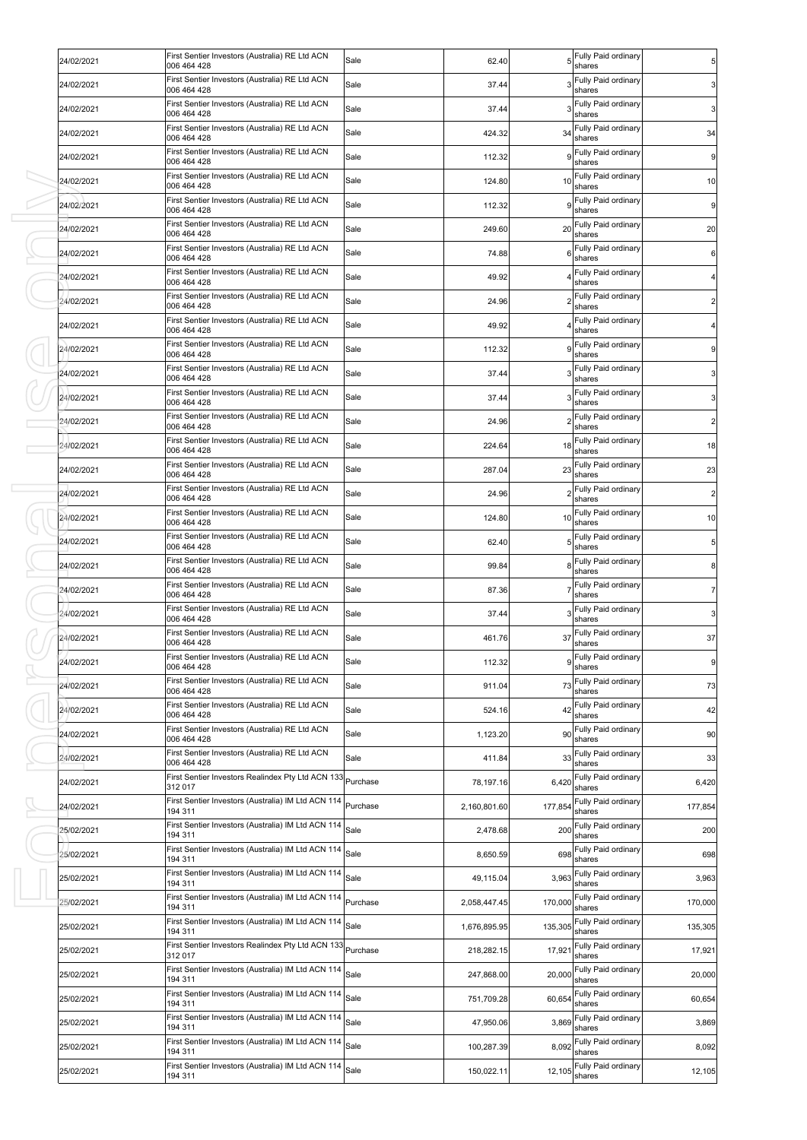| 24/02/2021 | First Sentier Investors (Australia) RE Ltd ACN<br>006 464 428             | Sale     | 62.40        |         | Fully Paid ordinary<br>shares              | 5                |
|------------|---------------------------------------------------------------------------|----------|--------------|---------|--------------------------------------------|------------------|
| 24/02/2021 | First Sentier Investors (Australia) RE Ltd ACN<br>006 464 428             | Sale     | 37.44        |         | Fully Paid ordinary<br>shares              | $\mathbf{3}$     |
| 24/02/2021 | First Sentier Investors (Australia) RE Ltd ACN<br>006 464 428             | Sale     | 37.44        |         | Fully Paid ordinary<br>shares              | $\mathbf{3}$     |
| 24/02/2021 | First Sentier Investors (Australia) RE Ltd ACN<br>006 464 428             | Sale     | 424.32       | 34      | Fully Paid ordinary<br>shares              | 34               |
| 24/02/2021 | First Sentier Investors (Australia) RE Ltd ACN<br>006 464 428             | Sale     | 112.32       |         | Fully Paid ordinary<br>shares              | $\boldsymbol{9}$ |
| 24/02/2021 | First Sentier Investors (Australia) RE Ltd ACN<br>006 464 428             | Sale     | 124.80       | 10      | Fully Paid ordinary<br>shares              | 10               |
| 24/02/2021 | First Sentier Investors (Australia) RE Ltd ACN<br>006 464 428             | Sale     | 112.32       |         | Fully Paid ordinary<br>shares              | $\boldsymbol{9}$ |
| 24/02/2021 | First Sentier Investors (Australia) RE Ltd ACN<br>006 464 428             | Sale     | 249.60       | 20      | Fully Paid ordinary<br>shares              | 20               |
| 24/02/2021 | First Sentier Investors (Australia) RE Ltd ACN<br>006 464 428             | Sale     | 74.88        | 6       | Fully Paid ordinary<br>shares              | $\,6$            |
| 24/02/2021 | First Sentier Investors (Australia) RE Ltd ACN<br>006 464 428             | Sale     | 49.92        |         | Fully Paid ordinary<br>shares              | 4                |
| 24/02/2021 | First Sentier Investors (Australia) RE Ltd ACN<br>006 464 428             | Sale     | 24.96        |         | Fully Paid ordinary<br>shares              | $\overline{a}$   |
| 24/02/2021 | First Sentier Investors (Australia) RE Ltd ACN<br>006 464 428             | Sale     | 49.92        |         | Fully Paid ordinary<br>shares              |                  |
| 24/02/2021 | First Sentier Investors (Australia) RE Ltd ACN<br>006 464 428             | Sale     | 112.32       | 9       | Fully Paid ordinary<br>shares              | 9                |
| 24/02/2021 | First Sentier Investors (Australia) RE Ltd ACN<br>006 464 428             | Sale     | 37.44        |         | Fully Paid ordinary<br>shares              | 3                |
| 24/02/2021 | First Sentier Investors (Australia) RE Ltd ACN                            | Sale     | 37.44        |         | Fully Paid ordinary                        | 3                |
| 24/02/2021 | 006 464 428<br>First Sentier Investors (Australia) RE Ltd ACN             | Sale     | 24.96        |         | shares<br>Fully Paid ordinary              | $\overline{c}$   |
| 24/02/2021 | 006 464 428<br>First Sentier Investors (Australia) RE Ltd ACN             | Sale     | 224.64       | 18      | shares<br>Fully Paid ordinary              | 18               |
| 24/02/2021 | 006 464 428<br>First Sentier Investors (Australia) RE Ltd ACN             | Sale     | 287.04       | 23      | shares<br>Fully Paid ordinary              | 23               |
| 24/02/2021 | 006 464 428<br>First Sentier Investors (Australia) RE Ltd ACN             | Sale     | 24.96        |         | shares<br>Fully Paid ordinary              | $\overline{c}$   |
| 24/02/2021 | 006 464 428<br>First Sentier Investors (Australia) RE Ltd ACN             | Sale     | 124.80       | 10      | shares<br>Fully Paid ordinary              | 10               |
| 24/02/2021 | 006 464 428<br>First Sentier Investors (Australia) RE Ltd ACN             | Sale     | 62.40        |         | shares<br>Fully Paid ordinary              | 5                |
| 24/02/2021 | 006 464 428<br>First Sentier Investors (Australia) RE Ltd ACN             | Sale     | 99.84        | 8       | shares<br>Fully Paid ordinary              | 8                |
| 24/02/2021 | 006 464 428<br>First Sentier Investors (Australia) RE Ltd ACN             | Sale     | 87.36        |         | shares<br>Fully Paid ordinary              | 7                |
|            | 006 464 428<br>First Sentier Investors (Australia) RE Ltd ACN             | Sale     |              |         | shares<br>Fully Paid ordinary              |                  |
| 24/02/2021 | 006 464 428<br>First Sentier Investors (Australia) RE Ltd ACN             |          | 37.44        |         | shares<br>Fully Paid ordinary              | 3                |
| 24/02/2021 | 006 464 428<br>First Sentier Investors (Australia) RE Ltd ACN             | Sale     | 461.76       | 37      | shares<br><sub>9</sub> Fully Paid ordinary | 37               |
| 24/02/2021 | 006 464 428<br>First Sentier Investors (Australia) RE Ltd ACN             | Sale     | 112.32       |         | shares<br>Fully Paid ordinary              | $\boldsymbol{9}$ |
| 24/02/2021 | 006 464 428<br>First Sentier Investors (Australia) RE Ltd ACN             | Sale     | 911.04       | 73      | shares<br>Fully Paid ordinary              | 73               |
| 24/02/2021 | 006 464 428<br>First Sentier Investors (Australia) RE Ltd ACN             | Sale     | 524.16       | 42      | shares<br>Fully Paid ordinary              | 42               |
| 24/02/2021 | 006 464 428<br>First Sentier Investors (Australia) RE Ltd ACN             | Sale     | 1,123.20     | 90      | shares<br>Fully Paid ordinary              | 90               |
| 24/02/2021 | 006 464 428<br>First Sentier Investors Realindex Pty Ltd ACN 133 Purchase | Sale     | 411.84       | 33      | shares<br>Fully Paid ordinary              | 33               |
| 24/02/2021 | 312 017<br>First Sentier Investors (Australia) IM Ltd ACN 114             |          | 78,197.16    | 6,420   | shares                                     | 6,420            |
| 24/02/2021 | 194 311                                                                   | Purchase | 2,160,801.60 | 177,854 | Fully Paid ordinary<br>shares              | 177,854          |
| 25/02/2021 | First Sentier Investors (Australia) IM Ltd ACN 114<br>194 311             | Sale     | 2,478.68     | 200     | Fully Paid ordinary<br>shares              | 200              |
| 25/02/2021 | First Sentier Investors (Australia) IM Ltd ACN 114<br>194 311             | Sale     | 8,650.59     | 698     | Fully Paid ordinary<br>shares              | 698              |
| 25/02/2021 | First Sentier Investors (Australia) IM Ltd ACN 114<br>194 311             | Sale     | 49,115.04    | 3,963   | Fully Paid ordinary<br>shares              | 3,963            |
| 25/02/2021 | First Sentier Investors (Australia) IM Ltd ACN 114<br>194 311             | Purchase | 2,058,447.45 | 170,000 | Fully Paid ordinary<br>shares              | 170,000          |
| 25/02/2021 | First Sentier Investors (Australia) IM Ltd ACN 114<br>194 311             | Sale     | 1,676,895.95 | 135,305 | Fully Paid ordinary<br>shares              | 135,305          |
| 25/02/2021 | First Sentier Investors Realindex Pty Ltd ACN 133 Purchase<br>312 017     |          | 218,282.15   | 17,921  | Fully Paid ordinary<br>shares              | 17,921           |
| 25/02/2021 | First Sentier Investors (Australia) IM Ltd ACN 114<br>194 311             | Sale     | 247,868.00   | 20,000  | Fully Paid ordinary<br>shares              | 20,000           |
| 25/02/2021 | First Sentier Investors (Australia) IM Ltd ACN 114<br>194 311             | Sale     | 751,709.28   | 60,654  | Fully Paid ordinary<br>shares              | 60,654           |
| 25/02/2021 | First Sentier Investors (Australia) IM Ltd ACN 114<br>194 311             | Sale     | 47,950.06    | 3,869   | Fully Paid ordinary<br>shares              | 3,869            |
| 25/02/2021 | First Sentier Investors (Australia) IM Ltd ACN 114<br>194 311             | Sale     | 100,287.39   | 8,092   | Fully Paid ordinary<br>shares              | 8,092            |
| 25/02/2021 | First Sentier Investors (Australia) IM Ltd ACN 114<br>194 311             | Sale     | 150,022.11   | 12,105  | Fully Paid ordinary<br>shares              | 12,105           |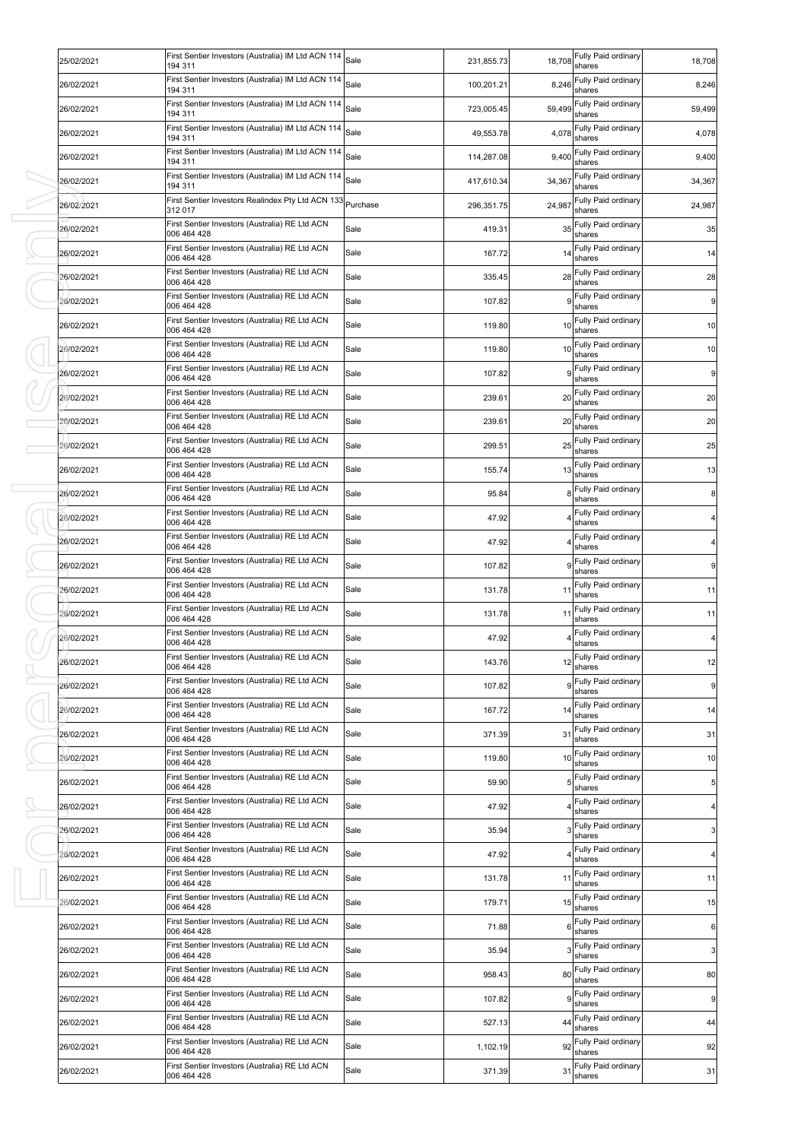| 25/02/2021 | First Sentier Investors (Australia) IM Ltd ACN 114<br>194 311 | Sale     | 231,855.73 | 18,708 | Fully Paid ordinary<br>shares    | 18,708           |
|------------|---------------------------------------------------------------|----------|------------|--------|----------------------------------|------------------|
| 26/02/2021 | First Sentier Investors (Australia) IM Ltd ACN 114<br>194 311 | Sale     | 100,201.21 | 8,246  | Fully Paid ordinary<br>shares    | 8,246            |
| 26/02/2021 | First Sentier Investors (Australia) IM Ltd ACN 114<br>194 311 | Sale     | 723,005.45 | 59,499 | Fully Paid ordinary<br>shares    | 59,499           |
| 26/02/2021 | First Sentier Investors (Australia) IM Ltd ACN 114<br>194 311 | Sale     | 49,553.78  | 4,078  | Fully Paid ordinary<br>shares    | 4,078            |
| 26/02/2021 | First Sentier Investors (Australia) IM Ltd ACN 114<br>194 311 | Sale     | 114,287.08 | 9,400  | Fully Paid ordinary<br>shares    | 9,400            |
| 26/02/2021 | First Sentier Investors (Australia) IM Ltd ACN 114<br>194 311 | Sale     | 417,610.34 | 34,367 | Fully Paid ordinary<br>shares    | 34,367           |
| 26/02/2021 | First Sentier Investors Realindex Pty Ltd ACN 133<br>312 017  | Purchase | 296,351.75 | 24,987 | Fully Paid ordinary<br>shares    | 24,987           |
| 26/02/2021 | First Sentier Investors (Australia) RE Ltd ACN<br>006 464 428 | Sale     | 419.31     | 35     | Fully Paid ordinary<br>shares    | 35               |
| 26/02/2021 | First Sentier Investors (Australia) RE Ltd ACN<br>006 464 428 | Sale     | 167.72     | 14     | Fully Paid ordinary<br>shares    | 14               |
| 26/02/2021 | First Sentier Investors (Australia) RE Ltd ACN<br>006 464 428 | Sale     | 335.45     | 28     | Fully Paid ordinary<br>shares    | 28               |
| 26/02/2021 | First Sentier Investors (Australia) RE Ltd ACN<br>006 464 428 | Sale     | 107.82     | 9      | Fully Paid ordinary<br>shares    | 9                |
| 26/02/2021 | First Sentier Investors (Australia) RE Ltd ACN<br>006 464 428 | Sale     | 119.80     | 10     | Fully Paid ordinary<br>shares    | 10               |
| 26/02/2021 | First Sentier Investors (Australia) RE Ltd ACN<br>006 464 428 | Sale     | 119.80     | 10     | Fully Paid ordinary<br>shares    | 10               |
| 26/02/2021 | First Sentier Investors (Australia) RE Ltd ACN<br>006 464 428 | Sale     | 107.82     | 9      | Fully Paid ordinary<br>shares    | 9                |
| 26/02/2021 | First Sentier Investors (Australia) RE Ltd ACN<br>006 464 428 | Sale     | 239.61     | 20     | Fully Paid ordinary<br>shares    | 20               |
| 26/02/2021 | First Sentier Investors (Australia) RE Ltd ACN<br>006 464 428 | Sale     | 239.61     | 20     | Fully Paid ordinary<br>shares    | 20               |
| 26/02/2021 | First Sentier Investors (Australia) RE Ltd ACN<br>006 464 428 | Sale     | 299.51     | 25     | Fully Paid ordinary<br>shares    | 25               |
| 26/02/2021 | First Sentier Investors (Australia) RE Ltd ACN<br>006 464 428 | Sale     | 155.74     | 13     | Fully Paid ordinary<br>shares    | 13               |
| 26/02/2021 | First Sentier Investors (Australia) RE Ltd ACN<br>006 464 428 | Sale     | 95.84      | 8      | Fully Paid ordinary<br>shares    | 8                |
| 26/02/2021 | First Sentier Investors (Australia) RE Ltd ACN<br>006 464 428 | Sale     | 47.92      |        | Fully Paid ordinary<br>shares    |                  |
| 26/02/2021 | First Sentier Investors (Australia) RE Ltd ACN<br>006 464 428 | Sale     | 47.92      |        | Fully Paid ordinary<br>shares    | 4                |
| 26/02/2021 | First Sentier Investors (Australia) RE Ltd ACN<br>006 464 428 | Sale     | 107.82     |        | Fully Paid ordinary<br>shares    | 9                |
| 26/02/2021 | First Sentier Investors (Australia) RE Ltd ACN<br>006 464 428 | Sale     | 131.78     | 11     | Fully Paid ordinary<br>shares    | 11               |
| 26/02/2021 | First Sentier Investors (Australia) RE Ltd ACN<br>006 464 428 | Sale     | 131.78     | 11     | Fully Paid ordinary<br>shares    | 11               |
| 26/02/2021 | First Sentier Investors (Australia) RE Ltd ACN<br>006 464 428 | Sale     | 47.92      |        | Fully Paid ordinary<br>shares    | 4                |
| 26/02/2021 | First Sentier Investors (Australia) RE Ltd ACN<br>006 464 428 | Sale     | 143.76     |        | 12 Fully Paid ordinary<br>shares | 12               |
| 26/02/2021 | First Sentier Investors (Australia) RE Ltd ACN<br>006 464 428 | Sale     | 107.82     |        | 9 Fully Paid ordinary<br>shares  | $\boldsymbol{9}$ |
| 26/02/2021 | First Sentier Investors (Australia) RE Ltd ACN<br>006 464 428 | Sale     | 167.72     | 14     | Fully Paid ordinary<br>shares    | 14               |
| 26/02/2021 | First Sentier Investors (Australia) RE Ltd ACN<br>006 464 428 | Sale     | 371.39     | 31     | Fully Paid ordinary<br>shares    | 31               |
| 26/02/2021 | First Sentier Investors (Australia) RE Ltd ACN<br>006 464 428 | Sale     | 119.80     | 10     | Fully Paid ordinary<br>shares    | 10               |
| 26/02/2021 | First Sentier Investors (Australia) RE Ltd ACN<br>006 464 428 | Sale     | 59.90      | 5      | Fully Paid ordinary<br>shares    | 5                |
| 26/02/2021 | First Sentier Investors (Australia) RE Ltd ACN<br>006 464 428 | Sale     | 47.92      |        | Fully Paid ordinary<br>shares    | $\overline{a}$   |
| 26/02/2021 | First Sentier Investors (Australia) RE Ltd ACN<br>006 464 428 | Sale     | 35.94      |        | Fully Paid ordinary<br>shares    | $\mathbf{3}$     |
| 26/02/2021 | First Sentier Investors (Australia) RE Ltd ACN<br>006 464 428 | Sale     | 47.92      |        | Fully Paid ordinary<br>shares    | 4                |
| 26/02/2021 | First Sentier Investors (Australia) RE Ltd ACN<br>006 464 428 | Sale     | 131.78     | 11     | Fully Paid ordinary<br>shares    | 11               |
| 26/02/2021 | First Sentier Investors (Australia) RE Ltd ACN<br>006 464 428 | Sale     | 179.71     | 15     | Fully Paid ordinary<br>shares    | 15               |
| 26/02/2021 | First Sentier Investors (Australia) RE Ltd ACN<br>006 464 428 | Sale     | 71.88      | 6      | Fully Paid ordinary<br>shares    | 6                |
| 26/02/2021 | First Sentier Investors (Australia) RE Ltd ACN<br>006 464 428 | Sale     | 35.94      |        | Fully Paid ordinary<br>shares    | $\mathbf{3}$     |
| 26/02/2021 | First Sentier Investors (Australia) RE Ltd ACN<br>006 464 428 | Sale     | 958.43     | 80     | Fully Paid ordinary<br>shares    | 80               |
| 26/02/2021 | First Sentier Investors (Australia) RE Ltd ACN<br>006 464 428 | Sale     | 107.82     | 9      | Fully Paid ordinary<br>shares    | $\boldsymbol{9}$ |
| 26/02/2021 | First Sentier Investors (Australia) RE Ltd ACN<br>006 464 428 | Sale     | 527.13     | 44     | Fully Paid ordinary<br>shares    | 44               |
| 26/02/2021 | First Sentier Investors (Australia) RE Ltd ACN<br>006 464 428 | Sale     | 1,102.19   |        | 92 Fully Paid ordinary<br>shares | 92               |
| 26/02/2021 | First Sentier Investors (Australia) RE Ltd ACN<br>006 464 428 | Sale     | 371.39     | 31     | Fully Paid ordinary<br>shares    | 31               |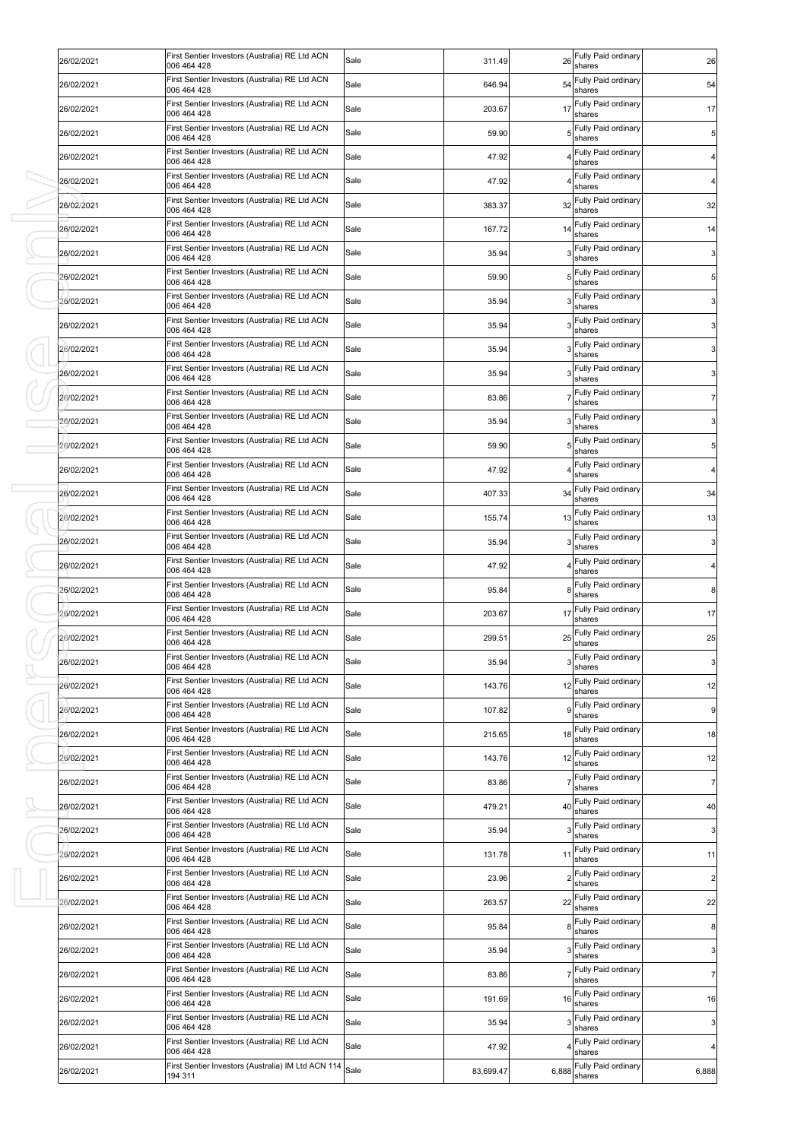| 26/02/2021 | First Sentier Investors (Australia) RE Ltd ACN<br>006 464 428 | Sale | 311.49    | 26             | Fully Paid ordinary<br>shares    | 26             |
|------------|---------------------------------------------------------------|------|-----------|----------------|----------------------------------|----------------|
| 26/02/2021 | First Sentier Investors (Australia) RE Ltd ACN<br>006 464 428 | Sale | 646.94    | 54             | Fully Paid ordinary<br>shares    | 54             |
| 26/02/2021 | First Sentier Investors (Australia) RE Ltd ACN<br>006 464 428 | Sale | 203.67    | 17             | Fully Paid ordinary<br>shares    | 17             |
| 26/02/2021 | First Sentier Investors (Australia) RE Ltd ACN<br>006 464 428 | Sale | 59.90     |                | Fully Paid ordinary<br>shares    | 5              |
| 26/02/2021 | First Sentier Investors (Australia) RE Ltd ACN<br>006 464 428 | Sale | 47.92     |                | Fully Paid ordinary<br>shares    | 4              |
| 26/02/2021 | First Sentier Investors (Australia) RE Ltd ACN<br>006 464 428 | Sale | 47.92     |                | Fully Paid ordinary<br>shares    | 4              |
| 26/02/2021 | First Sentier Investors (Australia) RE Ltd ACN<br>006 464 428 | Sale | 383.37    | 32             | Fully Paid ordinary<br>shares    | 32             |
| 26/02/2021 | First Sentier Investors (Australia) RE Ltd ACN<br>006 464 428 | Sale | 167.72    | 14             | Fully Paid ordinary<br>shares    | 14             |
| 26/02/2021 | First Sentier Investors (Australia) RE Ltd ACN<br>006 464 428 | Sale | 35.94     |                | Fully Paid ordinary<br>shares    | $\mathbf{3}$   |
| 26/02/2021 | First Sentier Investors (Australia) RE Ltd ACN<br>006 464 428 | Sale | 59.90     |                | Fully Paid ordinary<br>shares    | 5              |
| 26/02/2021 | First Sentier Investors (Australia) RE Ltd ACN<br>006 464 428 | Sale | 35.94     |                | Fully Paid ordinary<br>shares    | 3              |
| 26/02/2021 | First Sentier Investors (Australia) RE Ltd ACN<br>006 464 428 | Sale | 35.94     |                | Fully Paid ordinary<br>shares    | 3              |
| 26/02/2021 | First Sentier Investors (Australia) RE Ltd ACN<br>006 464 428 | Sale | 35.94     |                | Fully Paid ordinary<br>shares    | 3              |
| 26/02/2021 | First Sentier Investors (Australia) RE Ltd ACN<br>006 464 428 | Sale | 35.94     |                | Fully Paid ordinary<br>shares    | 3              |
| 26/02/2021 | First Sentier Investors (Australia) RE Ltd ACN<br>006 464 428 | Sale | 83.86     |                | Fully Paid ordinary<br>shares    | 7              |
| 26/02/2021 | First Sentier Investors (Australia) RE Ltd ACN<br>006 464 428 | Sale | 35.94     |                | Fully Paid ordinary<br>shares    | 3              |
| 26/02/2021 | First Sentier Investors (Australia) RE Ltd ACN<br>006 464 428 | Sale | 59.90     |                | Fully Paid ordinary<br>shares    | 5              |
| 26/02/2021 | First Sentier Investors (Australia) RE Ltd ACN<br>006 464 428 | Sale | 47.92     |                | Fully Paid ordinary<br>shares    | 4              |
| 26/02/2021 | First Sentier Investors (Australia) RE Ltd ACN<br>006 464 428 | Sale | 407.33    | 34             | Fully Paid ordinary<br>shares    | 34             |
| 26/02/2021 | First Sentier Investors (Australia) RE Ltd ACN<br>006 464 428 | Sale | 155.74    | 13             | Fully Paid ordinary<br>shares    | 13             |
| 26/02/2021 | First Sentier Investors (Australia) RE Ltd ACN<br>006 464 428 | Sale | 35.94     |                | Fully Paid ordinary<br>shares    | 3              |
| 26/02/2021 | First Sentier Investors (Australia) RE Ltd ACN<br>006 464 428 | Sale | 47.92     |                | Fully Paid ordinary<br>shares    | 4              |
| 26/02/2021 | First Sentier Investors (Australia) RE Ltd ACN<br>006 464 428 | Sale | 95.84     | 8              | Fully Paid ordinary<br>shares    | 8              |
| 26/02/2021 | First Sentier Investors (Australia) RE Ltd ACN<br>006 464 428 | Sale | 203.67    | 17             | Fully Paid ordinary<br>shares    | 17             |
| 26/02/2021 | First Sentier Investors (Australia) RE Ltd ACN<br>006 464 428 | Sale | 299.51    | 25             | Fully Paid ordinary<br>shares    | 25             |
| 26/02/2021 | First Sentier Investors (Australia) RE Ltd ACN<br>006 464 428 | Sale | 35.94     |                | 3 Fully Paid ordinary<br>shares  | 3              |
| 26/02/2021 | First Sentier Investors (Australia) RE Ltd ACN<br>006 464 428 | Sale | 143.76    | 12             | Fully Paid ordinary<br>shares    | 12             |
| 26/02/2021 | First Sentier Investors (Australia) RE Ltd ACN<br>006 464 428 | Sale | 107.82    | 9              | Fully Paid ordinary<br>shares    | $\overline{9}$ |
| 26/02/2021 | First Sentier Investors (Australia) RE Ltd ACN<br>006 464 428 | Sale | 215.65    | 18             | Fully Paid ordinary<br>shares    | 18             |
| 26/02/2021 | First Sentier Investors (Australia) RE Ltd ACN<br>006 464 428 | Sale | 143.76    |                | 12 Fully Paid ordinary<br>shares | 12             |
| 26/02/2021 | First Sentier Investors (Australia) RE Ltd ACN<br>006 464 428 | Sale | 83.86     |                | Fully Paid ordinary<br>shares    | $\overline{7}$ |
| 26/02/2021 | First Sentier Investors (Australia) RE Ltd ACN<br>006 464 428 | Sale | 479.21    | 40             | Fully Paid ordinary<br>shares    | 40             |
| 26/02/2021 | First Sentier Investors (Australia) RE Ltd ACN<br>006 464 428 | Sale | 35.94     | 3              | Fully Paid ordinary<br>shares    | 3              |
| 26/02/2021 | First Sentier Investors (Australia) RE Ltd ACN<br>006 464 428 | Sale | 131.78    | 11             | Fully Paid ordinary<br>shares    | 11             |
| 26/02/2021 | First Sentier Investors (Australia) RE Ltd ACN<br>006 464 428 | Sale | 23.96     | $\overline{a}$ | Fully Paid ordinary<br>shares    | $\overline{c}$ |
| 26/02/2021 | First Sentier Investors (Australia) RE Ltd ACN<br>006 464 428 | Sale | 263.57    | 22             | Fully Paid ordinary<br>shares    | 22             |
| 26/02/2021 | First Sentier Investors (Australia) RE Ltd ACN<br>006 464 428 | Sale | 95.84     | 8              | Fully Paid ordinary<br>shares    | 8              |
| 26/02/2021 | First Sentier Investors (Australia) RE Ltd ACN<br>006 464 428 | Sale | 35.94     |                | Fully Paid ordinary<br>shares    | $\mathbf{3}$   |
| 26/02/2021 | First Sentier Investors (Australia) RE Ltd ACN<br>006 464 428 | Sale | 83.86     |                | Fully Paid ordinary<br>shares    | $\overline{7}$ |
| 26/02/2021 | First Sentier Investors (Australia) RE Ltd ACN<br>006 464 428 | Sale | 191.69    | 16             | Fully Paid ordinary<br>shares    | 16             |
| 26/02/2021 | First Sentier Investors (Australia) RE Ltd ACN<br>006 464 428 | Sale | 35.94     |                | Fully Paid ordinary<br>shares    | $\mathbf{3}$   |
| 26/02/2021 | First Sentier Investors (Australia) RE Ltd ACN<br>006 464 428 | Sale | 47.92     |                | Fully Paid ordinary<br>shares    | 4              |
| 26/02/2021 | First Sentier Investors (Australia) IM Ltd ACN 114<br>194 311 | Sale | 83,699.47 | 6,888          | Fully Paid ordinary<br>shares    | 6,888          |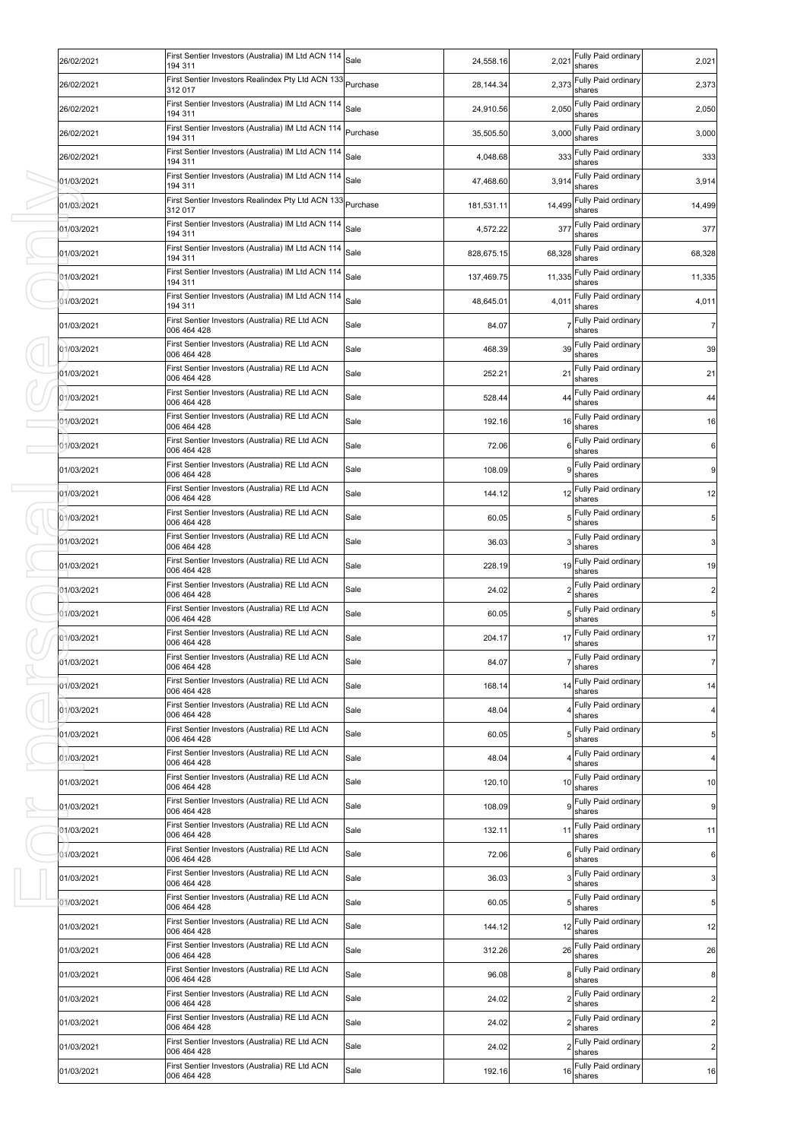| 26/02/2021 | First Sentier Investors (Australia) IM Ltd ACN 114<br>194 311 | Sale     | 24,558.16  | 2,021        | Fully Paid ordinary<br>shares   | 2,021            |
|------------|---------------------------------------------------------------|----------|------------|--------------|---------------------------------|------------------|
| 26/02/2021 | First Sentier Investors Realindex Pty Ltd ACN 133<br>312 017  | Purchase | 28,144.34  | 2,373        | Fully Paid ordinary<br>shares   | 2,373            |
| 26/02/2021 | First Sentier Investors (Australia) IM Ltd ACN 114<br>194 311 | Sale     | 24,910.56  | 2,050        | Fully Paid ordinary<br>shares   | 2,050            |
| 26/02/2021 | First Sentier Investors (Australia) IM Ltd ACN 114<br>194 311 | Purchase | 35,505.50  | 3,000        | Fully Paid ordinary<br>shares   | 3,000            |
| 26/02/2021 | First Sentier Investors (Australia) IM Ltd ACN 114<br>194 311 | Sale     | 4,048.68   | 333          | Fully Paid ordinary<br>shares   | 333              |
| 01/03/2021 | First Sentier Investors (Australia) IM Ltd ACN 114<br>194 311 | Sale     | 47,468.60  | 3,914        | Fully Paid ordinary<br>shares   | 3,914            |
| 01/03/2021 | First Sentier Investors Realindex Pty Ltd ACN 133<br>312 017  | Purchase | 181,531.11 | 14,499       | Fully Paid ordinary<br>shares   | 14,499           |
| 01/03/2021 | First Sentier Investors (Australia) IM Ltd ACN 114<br>194 311 | Sale     | 4,572.22   | 377          | Fully Paid ordinary<br>shares   | 377              |
| 01/03/2021 | First Sentier Investors (Australia) IM Ltd ACN 114<br>194 311 | Sale     | 828,675.15 | 68,328       | Fully Paid ordinary<br>shares   | 68,328           |
| 01/03/2021 | First Sentier Investors (Australia) IM Ltd ACN 114<br>194 311 | Sale     | 137,469.75 | 11,335       | Fully Paid ordinary<br>shares   | 11,335           |
| 01/03/2021 | First Sentier Investors (Australia) IM Ltd ACN 114<br>194 311 | Sale     | 48,645.01  | 4,011        | Fully Paid ordinary<br>shares   | 4,011            |
| 01/03/2021 | First Sentier Investors (Australia) RE Ltd ACN<br>006 464 428 | Sale     | 84.07      |              | Fully Paid ordinary<br>shares   | $\overline{7}$   |
| 01/03/2021 | First Sentier Investors (Australia) RE Ltd ACN<br>006 464 428 | Sale     | 468.39     | 39           | Fully Paid ordinary<br>shares   | 39               |
| 01/03/2021 | First Sentier Investors (Australia) RE Ltd ACN<br>006 464 428 | Sale     | 252.21     | 21           | Fully Paid ordinary<br>shares   | 21               |
| 01/03/2021 | First Sentier Investors (Australia) RE Ltd ACN<br>006 464 428 | Sale     | 528.44     | 44           | Fully Paid ordinary<br>shares   | 44               |
| 01/03/2021 | First Sentier Investors (Australia) RE Ltd ACN<br>006 464 428 | Sale     | 192.16     | 16           | Fully Paid ordinary<br>shares   | 16               |
| 01/03/2021 | First Sentier Investors (Australia) RE Ltd ACN<br>006 464 428 | Sale     | 72.06      | 6            | Fully Paid ordinary<br>shares   | 6                |
| 01/03/2021 | First Sentier Investors (Australia) RE Ltd ACN<br>006 464 428 | Sale     | 108.09     | 9            | Fully Paid ordinary<br>shares   | 9                |
| 01/03/2021 | First Sentier Investors (Australia) RE Ltd ACN<br>006 464 428 | Sale     | 144.12     | 12           | Fully Paid ordinary<br>shares   | 12               |
| 01/03/2021 | First Sentier Investors (Australia) RE Ltd ACN<br>006 464 428 | Sale     | 60.05      | 5            | Fully Paid ordinary<br>shares   | 5                |
| 01/03/2021 | First Sentier Investors (Australia) RE Ltd ACN<br>006 464 428 | Sale     | 36.03      |              | Fully Paid ordinary<br>shares   | 3                |
| 01/03/2021 | First Sentier Investors (Australia) RE Ltd ACN<br>006 464 428 | Sale     | 228.19     | 19           | Fully Paid ordinary<br>shares   | 19               |
| 01/03/2021 | First Sentier Investors (Australia) RE Ltd ACN<br>006 464 428 | Sale     | 24.02      |              | Fully Paid ordinary<br>shares   | $\overline{a}$   |
| 01/03/2021 | First Sentier Investors (Australia) RE Ltd ACN<br>006 464 428 | Sale     | 60.05      |              | Fully Paid ordinary<br>shares   | 5                |
| 01/03/2021 | First Sentier Investors (Australia) RE Ltd ACN<br>006 464 428 | Sale     | 204.17     | 17           | Fully Paid ordinary<br>shares   | 17               |
| 01/03/2021 | First Sentier Investors (Australia) RE Ltd ACN<br>006 464 428 | Sale     | 84.07      |              | 7 Fully Paid ordinary<br>shares | $\overline{7}$   |
| 01/03/2021 | First Sentier Investors (Australia) RE Ltd ACN<br>006 464 428 | Sale     | 168.14     | 14           | Fully Paid ordinary<br>shares   | 14               |
| 01/03/2021 | First Sentier Investors (Australia) RE Ltd ACN<br>006 464 428 | Sale     | 48.04      |              | Fully Paid ordinary<br>shares   | $\overline{4}$   |
| 01/03/2021 | First Sentier Investors (Australia) RE Ltd ACN<br>006 464 428 | Sale     | 60.05      |              | Fully Paid ordinary<br>shares   | 5                |
| 01/03/2021 | First Sentier Investors (Australia) RE Ltd ACN<br>006 464 428 | Sale     | 48.04      |              | Fully Paid ordinary<br>shares   | 4                |
| 01/03/2021 | First Sentier Investors (Australia) RE Ltd ACN<br>006 464 428 | Sale     | 120.10     | 10           | Fully Paid ordinary<br>shares   | 10               |
| 01/03/2021 | First Sentier Investors (Australia) RE Ltd ACN<br>006 464 428 | Sale     | 108.09     |              | Fully Paid ordinary<br>shares   | $\boldsymbol{9}$ |
| 01/03/2021 | First Sentier Investors (Australia) RE Ltd ACN<br>006 464 428 | Sale     | 132.11     | 11           | Fully Paid ordinary<br>shares   | 11               |
| 01/03/2021 | First Sentier Investors (Australia) RE Ltd ACN<br>006 464 428 | Sale     | 72.06      | 6            | Fully Paid ordinary<br>shares   | 6                |
| 01/03/2021 | First Sentier Investors (Australia) RE Ltd ACN<br>006 464 428 | Sale     | 36.03      |              | Fully Paid ordinary<br>shares   | 3                |
| 01/03/2021 | First Sentier Investors (Australia) RE Ltd ACN<br>006 464 428 | Sale     | 60.05      | 5            | Fully Paid ordinary<br>shares   | 5                |
| 01/03/2021 | First Sentier Investors (Australia) RE Ltd ACN<br>006 464 428 | Sale     | 144.12     | 12           | Fully Paid ordinary<br>shares   | 12               |
| 01/03/2021 | First Sentier Investors (Australia) RE Ltd ACN<br>006 464 428 | Sale     | 312.26     | 26           | Fully Paid ordinary<br>shares   | 26               |
| 01/03/2021 | First Sentier Investors (Australia) RE Ltd ACN<br>006 464 428 | Sale     | 96.08      | $\mathsf{R}$ | Fully Paid ordinary<br>shares   | 8                |
| 01/03/2021 | First Sentier Investors (Australia) RE Ltd ACN<br>006 464 428 | Sale     | 24.02      | 2            | Fully Paid ordinary<br>shares   | $\overline{c}$   |
| 01/03/2021 | First Sentier Investors (Australia) RE Ltd ACN<br>006 464 428 | Sale     | 24.02      |              | Fully Paid ordinary<br>shares   | $\overline{c}$   |
| 01/03/2021 | First Sentier Investors (Australia) RE Ltd ACN<br>006 464 428 | Sale     | 24.02      |              | Fully Paid ordinary<br>shares   | 2                |
| 01/03/2021 | First Sentier Investors (Australia) RE Ltd ACN<br>006 464 428 | Sale     | 192.16     | 16           | Fully Paid ordinary<br>shares   | 16               |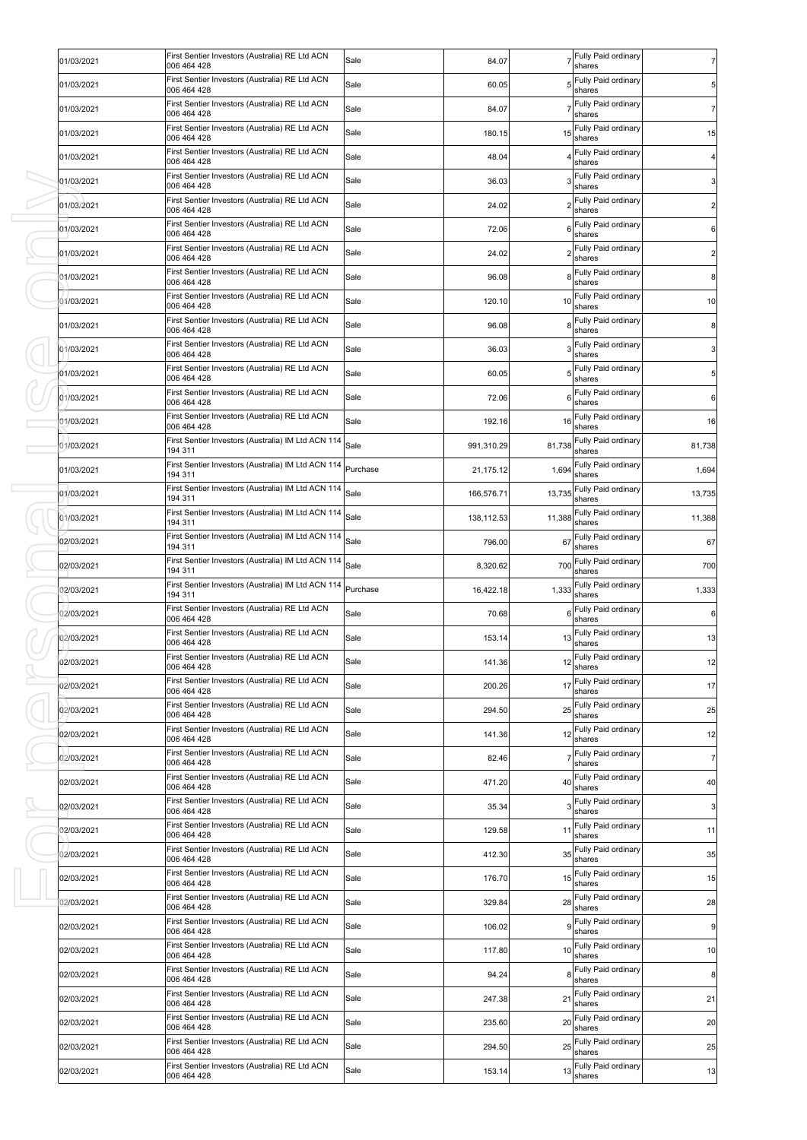| 01/03/2021 | First Sentier Investors (Australia) RE Ltd ACN<br>006 464 428 | Sale     | 84.07      |              | Fully Paid ordinary<br>shares           | $\overline{7}$   |
|------------|---------------------------------------------------------------|----------|------------|--------------|-----------------------------------------|------------------|
| 01/03/2021 | First Sentier Investors (Australia) RE Ltd ACN<br>006 464 428 | Sale     | 60.05      |              | Fully Paid ordinary<br>shares           | 5                |
| 01/03/2021 | First Sentier Investors (Australia) RE Ltd ACN<br>006 464 428 | Sale     | 84.07      |              | Fully Paid ordinary<br>shares           | $\overline{7}$   |
| 01/03/2021 | First Sentier Investors (Australia) RE Ltd ACN<br>006 464 428 | Sale     | 180.15     | 15           | Fully Paid ordinary<br>shares           | 15               |
| 01/03/2021 | First Sentier Investors (Australia) RE Ltd ACN<br>006 464 428 | Sale     | 48.04      |              | Fully Paid ordinary<br>shares           | 4                |
| 01/03/2021 | First Sentier Investors (Australia) RE Ltd ACN<br>006 464 428 | Sale     | 36.03      |              | Fully Paid ordinary<br>shares           | $\mathbf{3}$     |
| 01/03/2021 | First Sentier Investors (Australia) RE Ltd ACN<br>006 464 428 | Sale     | 24.02      |              | Fully Paid ordinary<br>shares           | $\overline{c}$   |
| 01/03/2021 | First Sentier Investors (Australia) RE Ltd ACN<br>006 464 428 | Sale     | 72.06      | 6            | Fully Paid ordinary<br>shares           | 6                |
| 01/03/2021 | First Sentier Investors (Australia) RE Ltd ACN<br>006 464 428 | Sale     | 24.02      |              | Fully Paid ordinary<br>shares           | 2                |
| 01/03/2021 | First Sentier Investors (Australia) RE Ltd ACN<br>006 464 428 | Sale     | 96.08      | $\mathsf{R}$ | Fully Paid ordinary<br>shares           | 8                |
| 01/03/2021 | First Sentier Investors (Australia) RE Ltd ACN<br>006 464 428 | Sale     | 120.10     | 10           | Fully Paid ordinary<br>shares           | 10               |
| 01/03/2021 | First Sentier Investors (Australia) RE Ltd ACN<br>006 464 428 | Sale     | 96.08      | $\mathsf{R}$ | Fully Paid ordinary<br>shares           | 8                |
| 01/03/2021 | First Sentier Investors (Australia) RE Ltd ACN<br>006 464 428 | Sale     | 36.03      |              | Fully Paid ordinary<br>shares           | 3                |
| 01/03/2021 | First Sentier Investors (Australia) RE Ltd ACN<br>006 464 428 | Sale     | 60.05      | 5            | Fully Paid ordinary<br>shares           | 5                |
| 01/03/2021 | First Sentier Investors (Australia) RE Ltd ACN<br>006 464 428 | Sale     | 72.06      |              | Fully Paid ordinary<br>shares           | 6                |
| 01/03/2021 | First Sentier Investors (Australia) RE Ltd ACN<br>006 464 428 | Sale     | 192.16     | 16           | Fully Paid ordinary<br>shares           | 16               |
| 01/03/2021 | First Sentier Investors (Australia) IM Ltd ACN 114<br>194 311 | Sale     | 991,310.29 | 81,738       | Fully Paid ordinary<br>shares           | 81,738           |
| 01/03/2021 | First Sentier Investors (Australia) IM Ltd ACN 114<br>194 311 | Purchase | 21,175.12  | 1,694        | Fully Paid ordinary<br>shares           | 1,694            |
| 01/03/2021 | First Sentier Investors (Australia) IM Ltd ACN 114<br>194 311 | Sale     | 166,576.71 | 13,735       | Fully Paid ordinary<br>shares           | 13,735           |
| 01/03/2021 | First Sentier Investors (Australia) IM Ltd ACN 114<br>194 311 | Sale     | 138,112.53 | 11,388       | Fully Paid ordinary<br>shares           | 11,388           |
| 02/03/2021 | First Sentier Investors (Australia) IM Ltd ACN 114<br>194 311 | Sale     | 796.00     | 67           | Fully Paid ordinary                     | 67               |
| 02/03/2021 | First Sentier Investors (Australia) IM Ltd ACN 114<br>194 311 | Sale     | 8,320.62   | 700          | shares<br>Fully Paid ordinary<br>shares | 700              |
| 02/03/2021 | First Sentier Investors (Australia) IM Ltd ACN 114            | Purchase | 16,422.18  | 1,333        | Fully Paid ordinary<br>shares           | 1,333            |
| 02/03/2021 | 194 311<br>First Sentier Investors (Australia) RE Ltd ACN     | Sale     | 70.68      |              | Fully Paid ordinary                     | 6                |
| 02/03/2021 | 006 464 428<br>First Sentier Investors (Australia) RE Ltd ACN | Sale     | 153.14     | 13           | shares<br>Fully Paid ordinary           | 13               |
| 02/03/2021 | 006 464 428<br>First Sentier Investors (Australia) RE Ltd ACN | Sale     | 141.36     |              | shares<br>12 Fully Paid ordinary        | 12               |
| 02/03/2021 | 006 464 428<br>First Sentier Investors (Australia) RE Ltd ACN | Sale     | 200.26     | 17           | shares<br>Fully Paid ordinary           | 17               |
| 02/03/2021 | 006 464 428<br>First Sentier Investors (Australia) RE Ltd ACN | Sale     | 294.50     | 25           | shares<br>Fully Paid ordinary           | 25               |
| 02/03/2021 | 006 464 428<br>First Sentier Investors (Australia) RE Ltd ACN | Sale     | 141.36     | 12           | shares<br>Fully Paid ordinary           | 12               |
| 02/03/2021 | 006 464 428<br>First Sentier Investors (Australia) RE Ltd ACN | Sale     | 82.46      |              | shares<br>Fully Paid ordinary           | $\overline{7}$   |
| 02/03/2021 | 006 464 428<br>First Sentier Investors (Australia) RE Ltd ACN | Sale     | 471.20     | 40           | shares<br>Fully Paid ordinary           | 40               |
| 02/03/2021 | 006 464 428<br>First Sentier Investors (Australia) RE Ltd ACN | Sale     | 35.34      | 3            | shares<br>Fully Paid ordinary           | $\mathbf{3}$     |
| 02/03/2021 | 006 464 428<br>First Sentier Investors (Australia) RE Ltd ACN | Sale     | 129.58     | 11           | shares<br>Fully Paid ordinary           | 11               |
| 02/03/2021 | 006 464 428<br>First Sentier Investors (Australia) RE Ltd ACN | Sale     | 412.30     | 35           | shares<br>Fully Paid ordinary           | 35               |
| 02/03/2021 | 006 464 428<br>First Sentier Investors (Australia) RE Ltd ACN | Sale     | 176.70     | 15           | shares<br>Fully Paid ordinary           | 15               |
| 02/03/2021 | 006 464 428<br>First Sentier Investors (Australia) RE Ltd ACN | Sale     | 329.84     | 28           | shares<br>Fully Paid ordinary           | 28               |
| 02/03/2021 | 006 464 428<br>First Sentier Investors (Australia) RE Ltd ACN | Sale     | 106.02     | 9            | shares<br>Fully Paid ordinary           | $\boldsymbol{9}$ |
| 02/03/2021 | 006 464 428<br>First Sentier Investors (Australia) RE Ltd ACN | Sale     | 117.80     | 10           | shares<br>Fully Paid ordinary           | 10               |
| 02/03/2021 | 006 464 428<br>First Sentier Investors (Australia) RE Ltd ACN | Sale     | 94.24      | 8            | shares<br>Fully Paid ordinary           | 8                |
| 02/03/2021 | 006 464 428<br>First Sentier Investors (Australia) RE Ltd ACN | Sale     | 247.38     | 21           | shares<br>Fully Paid ordinary           | 21               |
| 02/03/2021 | 006 464 428<br>First Sentier Investors (Australia) RE Ltd ACN | Sale     | 235.60     | 20           | shares<br>Fully Paid ordinary           | 20               |
| 02/03/2021 | 006 464 428<br>First Sentier Investors (Australia) RE Ltd ACN | Sale     | 294.50     | 25           | shares<br>Fully Paid ordinary           | 25               |
|            | 006 464 428<br>First Sentier Investors (Australia) RE Ltd ACN | Sale     |            | 13           | shares<br>Fully Paid ordinary           |                  |
| 02/03/2021 | 006 464 428                                                   |          | 153.14     |              | shares                                  | 13               |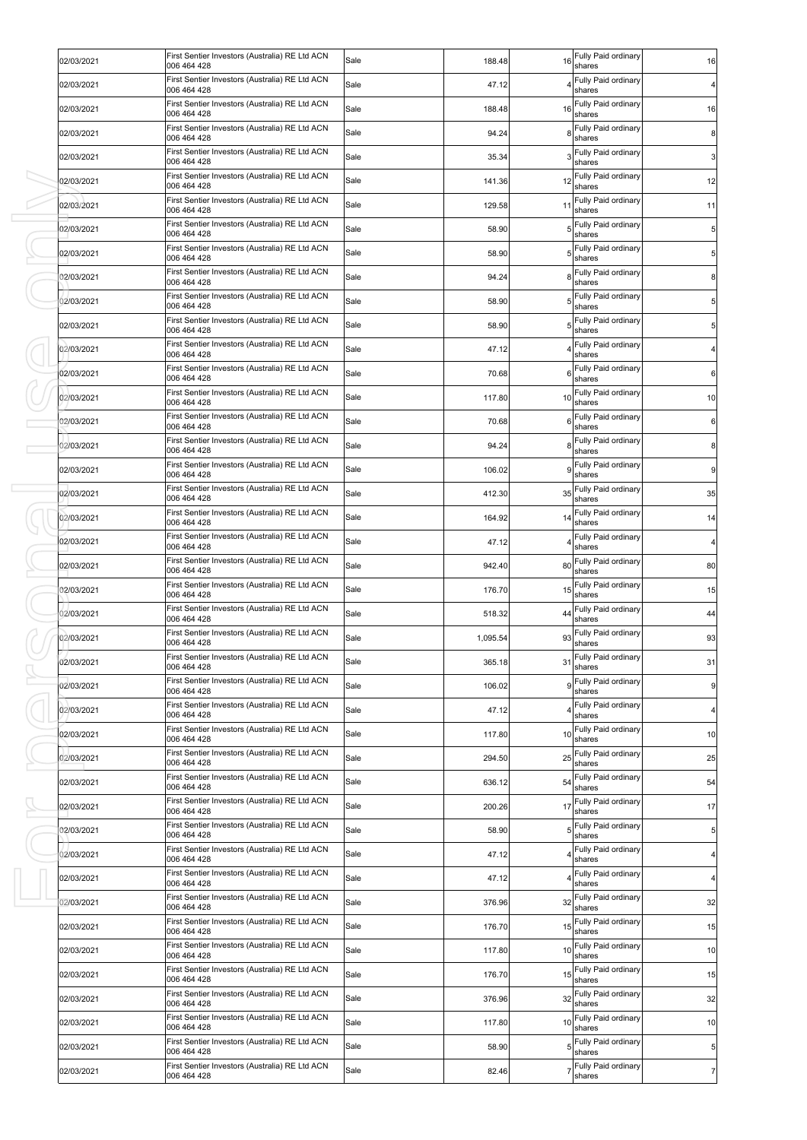| 02/03/2021 | First Sentier Investors (Australia) RE Ltd ACN<br>006 464 428 | Sale | 188.48   | 16 | Fully Paid ordinary<br>shares    | 16                      |
|------------|---------------------------------------------------------------|------|----------|----|----------------------------------|-------------------------|
| 02/03/2021 | First Sentier Investors (Australia) RE Ltd ACN<br>006 464 428 | Sale | 47.12    |    | Fully Paid ordinary<br>shares    | $\overline{4}$          |
| 02/03/2021 | First Sentier Investors (Australia) RE Ltd ACN<br>006 464 428 | Sale | 188.48   | 16 | Fully Paid ordinary<br>shares    | 16                      |
| 02/03/2021 | First Sentier Investors (Australia) RE Ltd ACN<br>006 464 428 | Sale | 94.24    |    | Fully Paid ordinary<br>shares    | 8 <sub>l</sub>          |
| 02/03/2021 | First Sentier Investors (Australia) RE Ltd ACN<br>006 464 428 | Sale | 35.34    |    | Fully Paid ordinary<br>shares    | 3 <sup>1</sup>          |
| 02/03/2021 | First Sentier Investors (Australia) RE Ltd ACN<br>006 464 428 | Sale | 141.36   | 12 | Fully Paid ordinary<br>shares    | 12                      |
| 02/03/2021 | First Sentier Investors (Australia) RE Ltd ACN<br>006 464 428 | Sale | 129.58   | 11 | Fully Paid ordinary<br>shares    | 11                      |
| 02/03/2021 | First Sentier Investors (Australia) RE Ltd ACN<br>006 464 428 | Sale | 58.90    |    | Fully Paid ordinary<br>shares    | 5 <sub>l</sub>          |
| 02/03/2021 | First Sentier Investors (Australia) RE Ltd ACN<br>006 464 428 | Sale | 58.90    |    | Fully Paid ordinary<br>shares    | 5                       |
| 02/03/2021 | First Sentier Investors (Australia) RE Ltd ACN<br>006 464 428 | Sale | 94.24    |    | Fully Paid ordinary<br>shares    | 8                       |
| 02/03/2021 | First Sentier Investors (Australia) RE Ltd ACN<br>006 464 428 | Sale | 58.90    | 5  | Fully Paid ordinary<br>shares    | 5                       |
| 02/03/2021 | First Sentier Investors (Australia) RE Ltd ACN<br>006 464 428 | Sale | 58.90    |    | Fully Paid ordinary<br>shares    | 5                       |
| 02/03/2021 | First Sentier Investors (Australia) RE Ltd ACN<br>006 464 428 | Sale | 47.12    |    | Fully Paid ordinary<br>shares    | $\overline{4}$          |
| 02/03/2021 | First Sentier Investors (Australia) RE Ltd ACN<br>006 464 428 | Sale | 70.68    |    | Fully Paid ordinary<br>shares    | 6                       |
| 02/03/2021 | First Sentier Investors (Australia) RE Ltd ACN<br>006 464 428 | Sale | 117.80   | 10 | Fully Paid ordinary<br>shares    | 10                      |
| 02/03/2021 | First Sentier Investors (Australia) RE Ltd ACN<br>006 464 428 | Sale | 70.68    | 6  | Fully Paid ordinary<br>shares    | 6                       |
| 02/03/2021 | First Sentier Investors (Australia) RE Ltd ACN<br>006 464 428 | Sale | 94.24    |    | Fully Paid ordinary<br>shares    | 8                       |
| 02/03/2021 | First Sentier Investors (Australia) RE Ltd ACN<br>006 464 428 | Sale | 106.02   | 9  | Fully Paid ordinary<br>shares    | 9                       |
| 02/03/2021 | First Sentier Investors (Australia) RE Ltd ACN<br>006 464 428 | Sale | 412.30   | 35 | Fully Paid ordinary<br>shares    | 35                      |
| 02/03/2021 | First Sentier Investors (Australia) RE Ltd ACN<br>006 464 428 | Sale | 164.92   | 14 | Fully Paid ordinary<br>shares    | 14                      |
| 02/03/2021 | First Sentier Investors (Australia) RE Ltd ACN<br>006 464 428 | Sale | 47.12    |    | Fully Paid ordinary<br>shares    | $\overline{\mathbf{4}}$ |
| 02/03/2021 | First Sentier Investors (Australia) RE Ltd ACN<br>006 464 428 | Sale | 942.40   | 80 | Fully Paid ordinary<br>shares    | 80                      |
| 02/03/2021 | First Sentier Investors (Australia) RE Ltd ACN<br>006 464 428 | Sale | 176.70   | 15 | Fully Paid ordinary<br>shares    | 15                      |
| 02/03/2021 | First Sentier Investors (Australia) RE Ltd ACN<br>006 464 428 | Sale | 518.32   | 44 | Fully Paid ordinary<br>shares    | 44                      |
| 02/03/2021 | First Sentier Investors (Australia) RE Ltd ACN<br>006 464 428 | Sale | 1,095.54 | 93 | Fully Paid ordinary<br>shares    | 93                      |
| 02/03/2021 | First Sentier Investors (Australia) RE Ltd ACN<br>006 464 428 | Sale | 365.18   |    | 31 Fully Paid ordinary<br>shares | 31                      |
| 02/03/2021 | First Sentier Investors (Australia) RE Ltd ACN<br>006 464 428 | Sale | 106.02   |    | Fully Paid ordinary<br>shares    | 9                       |
| 02/03/2021 | First Sentier Investors (Australia) RE Ltd ACN<br>006 464 428 | Sale | 47.12    |    | Fully Paid ordinary<br>shares    | 4 <sub>1</sub>          |
| 02/03/2021 | First Sentier Investors (Australia) RE Ltd ACN<br>006 464 428 | Sale | 117.80   | 10 | Fully Paid ordinary<br>shares    | 10                      |
| 02/03/2021 | First Sentier Investors (Australia) RE Ltd ACN<br>006 464 428 | Sale | 294.50   | 25 | Fully Paid ordinary<br>shares    | 25                      |
| 02/03/2021 | First Sentier Investors (Australia) RE Ltd ACN<br>006 464 428 | Sale | 636.12   | 54 | Fully Paid ordinary<br>shares    | 54                      |
| 02/03/2021 | First Sentier Investors (Australia) RE Ltd ACN<br>006 464 428 | Sale | 200.26   | 17 | Fully Paid ordinary<br>shares    | 17                      |
| 02/03/2021 | First Sentier Investors (Australia) RE Ltd ACN<br>006 464 428 | Sale | 58.90    |    | Fully Paid ordinary<br>shares    | 5 <sub>1</sub>          |
| 02/03/2021 | First Sentier Investors (Australia) RE Ltd ACN<br>006 464 428 | Sale | 47.12    |    | Fully Paid ordinary<br>shares    | $\overline{4}$          |
| 02/03/2021 | First Sentier Investors (Australia) RE Ltd ACN<br>006 464 428 | Sale | 47.12    |    | Fully Paid ordinary<br>shares    | $\overline{4}$          |
| 02/03/2021 | First Sentier Investors (Australia) RE Ltd ACN<br>006 464 428 | Sale | 376.96   | 32 | Fully Paid ordinary<br>shares    | 32                      |
| 02/03/2021 | First Sentier Investors (Australia) RE Ltd ACN<br>006 464 428 | Sale | 176.70   | 15 | Fully Paid ordinary<br>shares    | 15                      |
| 02/03/2021 | First Sentier Investors (Australia) RE Ltd ACN<br>006 464 428 | Sale | 117.80   | 10 | Fully Paid ordinary<br>shares    | 10                      |
| 02/03/2021 | First Sentier Investors (Australia) RE Ltd ACN<br>006 464 428 | Sale | 176.70   | 15 | Fully Paid ordinary<br>shares    | 15                      |
| 02/03/2021 | First Sentier Investors (Australia) RE Ltd ACN<br>006 464 428 | Sale | 376.96   | 32 | Fully Paid ordinary<br>shares    | 32                      |
| 02/03/2021 | First Sentier Investors (Australia) RE Ltd ACN<br>006 464 428 | Sale | 117.80   | 10 | Fully Paid ordinary<br>shares    | 10                      |
| 02/03/2021 | First Sentier Investors (Australia) RE Ltd ACN<br>006 464 428 | Sale | 58.90    | 5  | Fully Paid ordinary<br>shares    | 5 <sub>1</sub>          |
| 02/03/2021 | First Sentier Investors (Australia) RE Ltd ACN<br>006 464 428 | Sale | 82.46    |    | Fully Paid ordinary<br>shares    | $\overline{7}$          |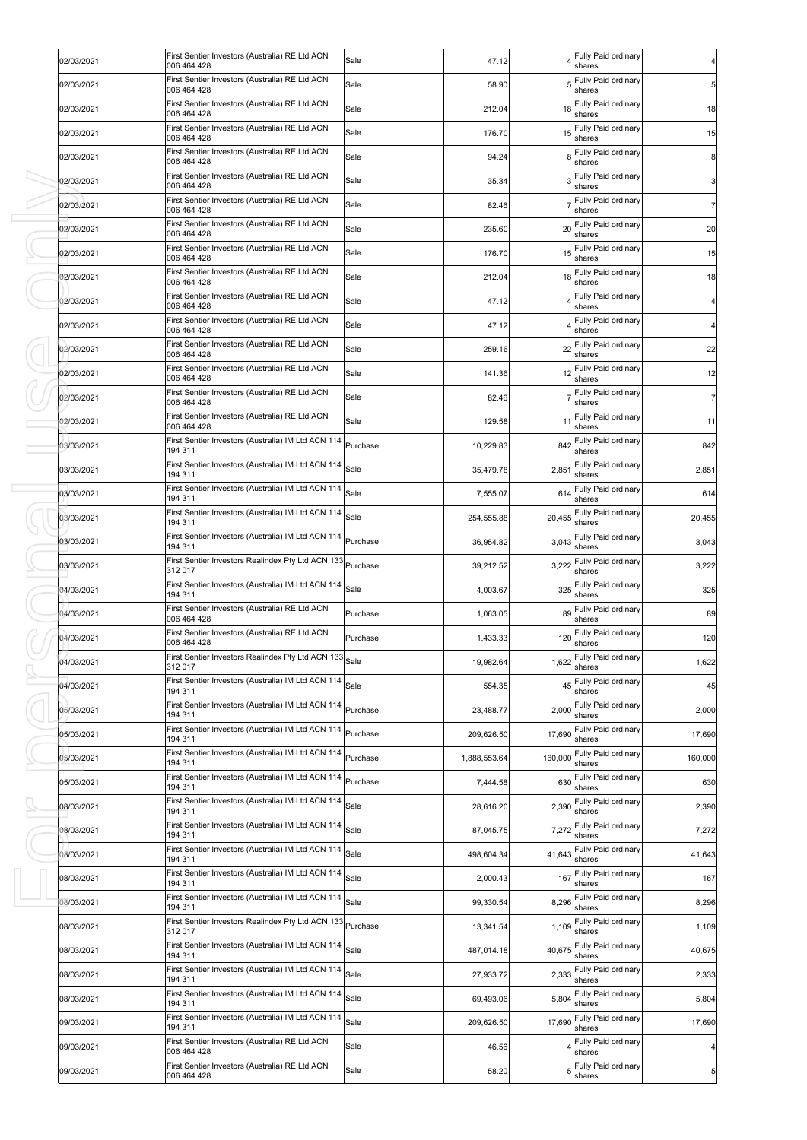| 02/03/2021 | First Sentier Investors (Australia) RE Ltd ACN<br>006 464 428         | Sale     | 47.12        |         | Fully Paid ordinary<br>shares       | 4 <sub>1</sub> |
|------------|-----------------------------------------------------------------------|----------|--------------|---------|-------------------------------------|----------------|
| 02/03/2021 | First Sentier Investors (Australia) RE Ltd ACN<br>006 464 428         | Sale     | 58.90        |         | Fully Paid ordinary<br>shares       | 5 <sub>l</sub> |
| 02/03/2021 | First Sentier Investors (Australia) RE Ltd ACN<br>006 464 428         | Sale     | 212.04       | 18      | Fully Paid ordinary<br>shares       | 18             |
| 02/03/2021 | First Sentier Investors (Australia) RE Ltd ACN<br>006 464 428         | Sale     | 176.70       | 15      | Fully Paid ordinary<br>shares       | 15             |
| 02/03/2021 | First Sentier Investors (Australia) RE Ltd ACN<br>006 464 428         | Sale     | 94.24        |         | Fully Paid ordinary<br>shares       | 8 <sub>l</sub> |
| 02/03/2021 | First Sentier Investors (Australia) RE Ltd ACN<br>006 464 428         | Sale     | 35.34        |         | Fully Paid ordinary<br>shares       | 3 <sub>l</sub> |
| 02/03/2021 | First Sentier Investors (Australia) RE Ltd ACN<br>006 464 428         | Sale     | 82.46        |         | Fully Paid ordinary<br>shares       | $\overline{7}$ |
| 02/03/2021 | First Sentier Investors (Australia) RE Ltd ACN<br>006 464 428         | Sale     | 235.60       | 20      | Fully Paid ordinary<br>shares       | 20             |
| 02/03/2021 | First Sentier Investors (Australia) RE Ltd ACN<br>006 464 428         | Sale     | 176.70       | 15      | Fully Paid ordinary<br>shares       | 15             |
| 02/03/2021 | First Sentier Investors (Australia) RE Ltd ACN<br>006 464 428         | Sale     | 212.04       | 18      | Fully Paid ordinary<br>shares       | 18             |
| 02/03/2021 | First Sentier Investors (Australia) RE Ltd ACN<br>006 464 428         | Sale     | 47.12        |         | Fully Paid ordinary<br>shares       | $\overline{4}$ |
| 02/03/2021 | First Sentier Investors (Australia) RE Ltd ACN<br>006 464 428         | Sale     | 47.12        |         | Fully Paid ordinary<br>shares       | $\overline{a}$ |
| 02/03/2021 | First Sentier Investors (Australia) RE Ltd ACN<br>006 464 428         | Sale     | 259.16       | 22      | Fully Paid ordinary<br>shares       | 22             |
| 02/03/2021 | First Sentier Investors (Australia) RE Ltd ACN<br>006 464 428         | Sale     | 141.36       | 12      | Fully Paid ordinary<br>shares       | 12             |
| 02/03/2021 | First Sentier Investors (Australia) RE Ltd ACN<br>006 464 428         | Sale     | 82.46        |         | Fully Paid ordinary<br>shares       | $\overline{7}$ |
| 02/03/2021 | First Sentier Investors (Australia) RE Ltd ACN<br>006 464 428         | Sale     | 129.58       | 11      | Fully Paid ordinary<br>shares       | 11             |
| 03/03/2021 | First Sentier Investors (Australia) IM Ltd ACN 114<br>194 311         | Purchase | 10,229.83    | 842     | Fully Paid ordinary<br>shares       | 842            |
| 03/03/2021 | First Sentier Investors (Australia) IM Ltd ACN 114<br>194 311         | Sale     | 35,479.78    | 2,851   | Fully Paid ordinary<br>shares       | 2,851          |
| 03/03/2021 | First Sentier Investors (Australia) IM Ltd ACN 114<br>194 311         | Sale     | 7,555.07     | 614     | Fully Paid ordinary<br>shares       | 614            |
| 03/03/2021 | First Sentier Investors (Australia) IM Ltd ACN 114<br>194 311         | Sale     | 254,555.88   | 20,455  | Fully Paid ordinary<br>shares       | 20,455         |
| 03/03/2021 | First Sentier Investors (Australia) IM Ltd ACN 114<br>194 311         | Purchase | 36,954.82    | 3,043   | Fully Paid ordinary<br>shares       | 3,043          |
| 03/03/2021 | First Sentier Investors Realindex Pty Ltd ACN 133<br>312 017          | Purchase | 39,212.52    | 3,222   | Fully Paid ordinary<br>shares       | 3,222          |
| 04/03/2021 | First Sentier Investors (Australia) IM Ltd ACN 114<br>194 311         | Sale     | 4,003.67     | 325     | Fully Paid ordinary<br>shares       | 325            |
| 04/03/2021 | First Sentier Investors (Australia) RE Ltd ACN<br>006 464 428         | Purchase | 1,063.05     | 89      | Fully Paid ordinary<br>shares       | 89             |
| 04/03/2021 | First Sentier Investors (Australia) RE Ltd ACN<br>006 464 428         | Purchase | 1,433.33     | 120     | Fully Paid ordinary<br>shares       | 120            |
| 04/03/2021 | First Sentier Investors Realindex Pty Ltd ACN 133 Sale<br>312 017     |          | 19,982.64    |         | 1,622 Fully Paid ordinary<br>shares | 1,622          |
| 04/03/2021 | First Sentier Investors (Australia) IM Ltd ACN 114<br>194 311         | Sale     | 554.35       | 45      | Fully Paid ordinary<br>shares       | 45             |
| 05/03/2021 | First Sentier Investors (Australia) IM Ltd ACN 114<br>194 311         | Purchase | 23,488.77    | 2,000   | Fully Paid ordinary<br>shares       | 2,000          |
| 05/03/2021 | First Sentier Investors (Australia) IM Ltd ACN 114<br>194 311         | Purchase | 209,626.50   | 17,690  | Fully Paid ordinary<br>shares       | 17,690         |
| 05/03/2021 | First Sentier Investors (Australia) IM Ltd ACN 114<br>194 311         | Purchase | 1,888,553.64 | 160,000 | Fully Paid ordinary<br>shares       | 160,000        |
| 05/03/2021 | First Sentier Investors (Australia) IM Ltd ACN 114<br>194 311         | Purchase | 7,444.58     | 630     | Fully Paid ordinary<br>shares       | 630            |
| 08/03/2021 | First Sentier Investors (Australia) IM Ltd ACN 114<br>194 311         | Sale     | 28.616.20    | 2,390   | Fully Paid ordinary<br>shares       | 2,390          |
| 08/03/2021 | First Sentier Investors (Australia) IM Ltd ACN 114<br>194 311         | Sale     | 87,045.75    | 7,272   | Fully Paid ordinary<br>shares       | 7,272          |
| 08/03/2021 | First Sentier Investors (Australia) IM Ltd ACN 114<br>194 311         | Sale     | 498,604.34   | 41,643  | Fully Paid ordinary<br>shares       | 41,643         |
| 08/03/2021 | First Sentier Investors (Australia) IM Ltd ACN 114<br>194 311         | Sale     | 2,000.43     | 167     | Fully Paid ordinary<br>shares       | 167            |
| 08/03/2021 | First Sentier Investors (Australia) IM Ltd ACN 114<br>194 311         | Sale     | 99,330.54    | 8,296   | Fully Paid ordinary<br>shares       | 8,296          |
| 08/03/2021 | First Sentier Investors Realindex Pty Ltd ACN 133 Purchase<br>312 017 |          | 13,341.54    | 1,109   | Fully Paid ordinary<br>shares       | 1,109          |
| 08/03/2021 | First Sentier Investors (Australia) IM Ltd ACN 114<br>194 311         | Sale     | 487,014.18   | 40,675  | Fully Paid ordinary<br>shares       | 40,675         |
| 08/03/2021 | First Sentier Investors (Australia) IM Ltd ACN 114<br>194 311         | Sale     | 27,933.72    | 2,333   | Fully Paid ordinary<br>shares       | 2,333          |
| 08/03/2021 | First Sentier Investors (Australia) IM Ltd ACN 114<br>194 311         | Sale     | 69,493.06    | 5,804   | Fully Paid ordinary<br>shares       | 5,804          |
| 09/03/2021 | First Sentier Investors (Australia) IM Ltd ACN 114<br>194 311         | Sale     | 209,626.50   | 17,690  | Fully Paid ordinary<br>shares       | 17,690         |
| 09/03/2021 | First Sentier Investors (Australia) RE Ltd ACN<br>006 464 428         | Sale     | 46.56        |         | Fully Paid ordinary<br>shares       | 4 <sub>1</sub> |
| 09/03/2021 | First Sentier Investors (Australia) RE Ltd ACN<br>006 464 428         | Sale     | 58.20        | 5       | Fully Paid ordinary<br>shares       | 5 <sub>5</sub> |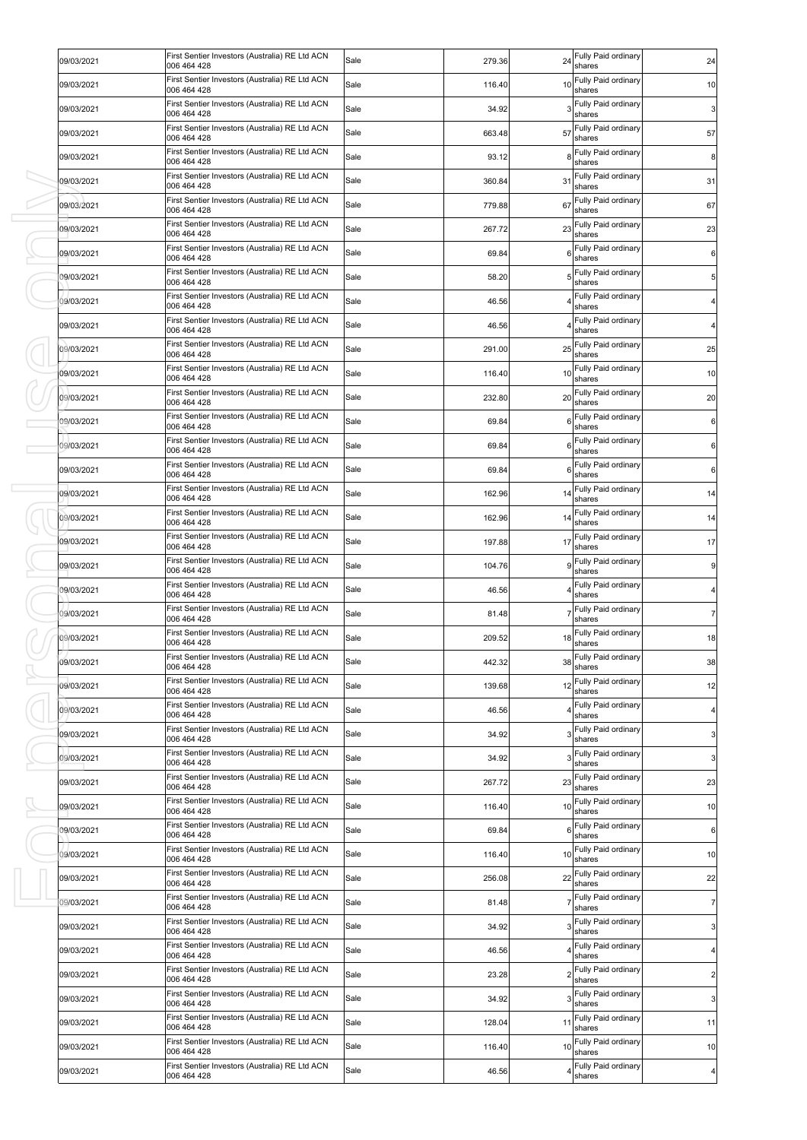| 09/03/2021 | First Sentier Investors (Australia) RE Ltd ACN<br>006 464 428 | Sale | 279.36 | 24 | Fully Paid ordinary<br>shares    | 24             |
|------------|---------------------------------------------------------------|------|--------|----|----------------------------------|----------------|
| 09/03/2021 | First Sentier Investors (Australia) RE Ltd ACN<br>006 464 428 | Sale | 116.40 | 10 | Fully Paid ordinary<br>shares    | 10             |
| 09/03/2021 | First Sentier Investors (Australia) RE Ltd ACN<br>006 464 428 | Sale | 34.92  |    | Fully Paid ordinary<br>shares    | 3 <sub>l</sub> |
| 09/03/2021 | First Sentier Investors (Australia) RE Ltd ACN<br>006 464 428 | Sale | 663.48 | 57 | Fully Paid ordinary<br>shares    | 57             |
| 09/03/2021 | First Sentier Investors (Australia) RE Ltd ACN<br>006 464 428 | Sale | 93.12  |    | Fully Paid ordinary<br>shares    | 8 <sup>1</sup> |
| 09/03/2021 | First Sentier Investors (Australia) RE Ltd ACN<br>006 464 428 | Sale | 360.84 | 31 | Fully Paid ordinary<br>shares    | 31             |
| 09/03/2021 | First Sentier Investors (Australia) RE Ltd ACN<br>006 464 428 | Sale | 779.88 | 67 | Fully Paid ordinary<br>shares    | 67             |
| 09/03/2021 | First Sentier Investors (Australia) RE Ltd ACN<br>006 464 428 | Sale | 267.72 | 23 | Fully Paid ordinary<br>shares    | 23             |
| 09/03/2021 | First Sentier Investors (Australia) RE Ltd ACN<br>006 464 428 | Sale | 69.84  | 6  | Fully Paid ordinary<br>shares    | 6              |
| 09/03/2021 | First Sentier Investors (Australia) RE Ltd ACN<br>006 464 428 | Sale | 58.20  |    | Fully Paid ordinary<br>shares    | 5              |
| 09/03/2021 | First Sentier Investors (Australia) RE Ltd ACN<br>006 464 428 | Sale | 46.56  |    | Fully Paid ordinary<br>shares    | $\overline{a}$ |
| 09/03/2021 | First Sentier Investors (Australia) RE Ltd ACN<br>006 464 428 | Sale | 46.56  |    | Fully Paid ordinary<br>shares    | $\overline{4}$ |
| 09/03/2021 | First Sentier Investors (Australia) RE Ltd ACN<br>006 464 428 | Sale | 291.00 | 25 | Fully Paid ordinary<br>shares    | 25             |
| 09/03/2021 | First Sentier Investors (Australia) RE Ltd ACN<br>006 464 428 | Sale | 116.40 | 10 | Fully Paid ordinary<br>shares    | 10             |
| 09/03/2021 | First Sentier Investors (Australia) RE Ltd ACN<br>006 464 428 | Sale | 232.80 | 20 | Fully Paid ordinary<br>shares    | 20             |
| 09/03/2021 | First Sentier Investors (Australia) RE Ltd ACN<br>006 464 428 | Sale | 69.84  | 6  | Fully Paid ordinary<br>shares    | 6              |
| 09/03/2021 | First Sentier Investors (Australia) RE Ltd ACN<br>006 464 428 | Sale | 69.84  | 6  | Fully Paid ordinary<br>shares    | 6              |
| 09/03/2021 | First Sentier Investors (Australia) RE Ltd ACN<br>006 464 428 | Sale | 69.84  | 6  | Fully Paid ordinary<br>shares    | 6              |
| 09/03/2021 | First Sentier Investors (Australia) RE Ltd ACN<br>006 464 428 | Sale | 162.96 | 14 | Fully Paid ordinary<br>shares    | 14             |
| 09/03/2021 | First Sentier Investors (Australia) RE Ltd ACN<br>006 464 428 | Sale | 162.96 | 14 | Fully Paid ordinary<br>shares    | 14             |
| 09/03/2021 | First Sentier Investors (Australia) RE Ltd ACN<br>006 464 428 | Sale | 197.88 | 17 | Fully Paid ordinary<br>shares    | 17             |
| 09/03/2021 | First Sentier Investors (Australia) RE Ltd ACN<br>006 464 428 | Sale | 104.76 | g  | Fully Paid ordinary<br>shares    | 9              |
| 09/03/2021 | First Sentier Investors (Australia) RE Ltd ACN<br>006 464 428 | Sale | 46.56  |    | Fully Paid ordinary<br>shares    | $\overline{a}$ |
| 09/03/2021 | First Sentier Investors (Australia) RE Ltd ACN<br>006 464 428 | Sale | 81.48  |    | Fully Paid ordinary<br>shares    | $\overline{7}$ |
| 09/03/2021 | First Sentier Investors (Australia) RE Ltd ACN<br>006 464 428 | Sale | 209.52 | 18 | Fully Paid ordinary<br>shares    | 18             |
| 09/03/2021 | First Sentier Investors (Australia) RE Ltd ACN<br>006 464 428 | Sale | 442.32 |    | 38 Fully Paid ordinary<br>shares | 38             |
| 09/03/2021 | First Sentier Investors (Australia) RE Ltd ACN<br>006 464 428 | Sale | 139.68 | 12 | Fully Paid ordinary<br>shares    | 12             |
| 09/03/2021 | First Sentier Investors (Australia) RE Ltd ACN<br>006 464 428 | Sale | 46.56  |    | Fully Paid ordinary<br>shares    | 4 <sub>1</sub> |
| 09/03/2021 | First Sentier Investors (Australia) RE Ltd ACN<br>006 464 428 | Sale | 34.92  |    | Fully Paid ordinary<br>shares    | 3 <sup>1</sup> |
| 09/03/2021 | First Sentier Investors (Australia) RE Ltd ACN<br>006 464 428 | Sale | 34.92  |    | Fully Paid ordinary<br>shares    | 3 <sup>1</sup> |
| 09/03/2021 | First Sentier Investors (Australia) RE Ltd ACN<br>006 464 428 | Sale | 267.72 | 23 | Fully Paid ordinary<br>shares    | 23             |
| 09/03/2021 | First Sentier Investors (Australia) RE Ltd ACN<br>006 464 428 | Sale | 116.40 | 10 | Fully Paid ordinary<br>shares    | 10             |
| 09/03/2021 | First Sentier Investors (Australia) RE Ltd ACN<br>006 464 428 | Sale | 69.84  | 6  | Fully Paid ordinary<br>shares    | 6              |
| 09/03/2021 | First Sentier Investors (Australia) RE Ltd ACN<br>006 464 428 | Sale | 116.40 | 10 | Fully Paid ordinary<br>shares    | 10             |
| 09/03/2021 | First Sentier Investors (Australia) RE Ltd ACN<br>006 464 428 | Sale | 256.08 | 22 | Fully Paid ordinary<br>shares    | 22             |
| 09/03/2021 | First Sentier Investors (Australia) RE Ltd ACN<br>006 464 428 | Sale | 81.48  |    | Fully Paid ordinary<br>shares    | $\overline{7}$ |
| 09/03/2021 | First Sentier Investors (Australia) RE Ltd ACN<br>006 464 428 | Sale | 34.92  |    | Fully Paid ordinary<br>shares    | 3 <sub>l</sub> |
| 09/03/2021 | First Sentier Investors (Australia) RE Ltd ACN<br>006 464 428 | Sale | 46.56  |    | Fully Paid ordinary<br>shares    | 4 <sub>1</sub> |
| 09/03/2021 | First Sentier Investors (Australia) RE Ltd ACN<br>006 464 428 | Sale | 23.28  |    | Fully Paid ordinary<br>shares    | $\overline{2}$ |
| 09/03/2021 | First Sentier Investors (Australia) RE Ltd ACN<br>006 464 428 | Sale | 34.92  |    | Fully Paid ordinary<br>shares    | 3 <sup>1</sup> |
| 09/03/2021 | First Sentier Investors (Australia) RE Ltd ACN<br>006 464 428 | Sale | 128.04 | 11 | Fully Paid ordinary<br>shares    | 11             |
| 09/03/2021 | First Sentier Investors (Australia) RE Ltd ACN<br>006 464 428 | Sale | 116.40 | 10 | Fully Paid ordinary<br>shares    | 10             |
| 09/03/2021 | First Sentier Investors (Australia) RE Ltd ACN<br>006 464 428 | Sale | 46.56  |    | Fully Paid ordinary<br>shares    | 4 <sub>1</sub> |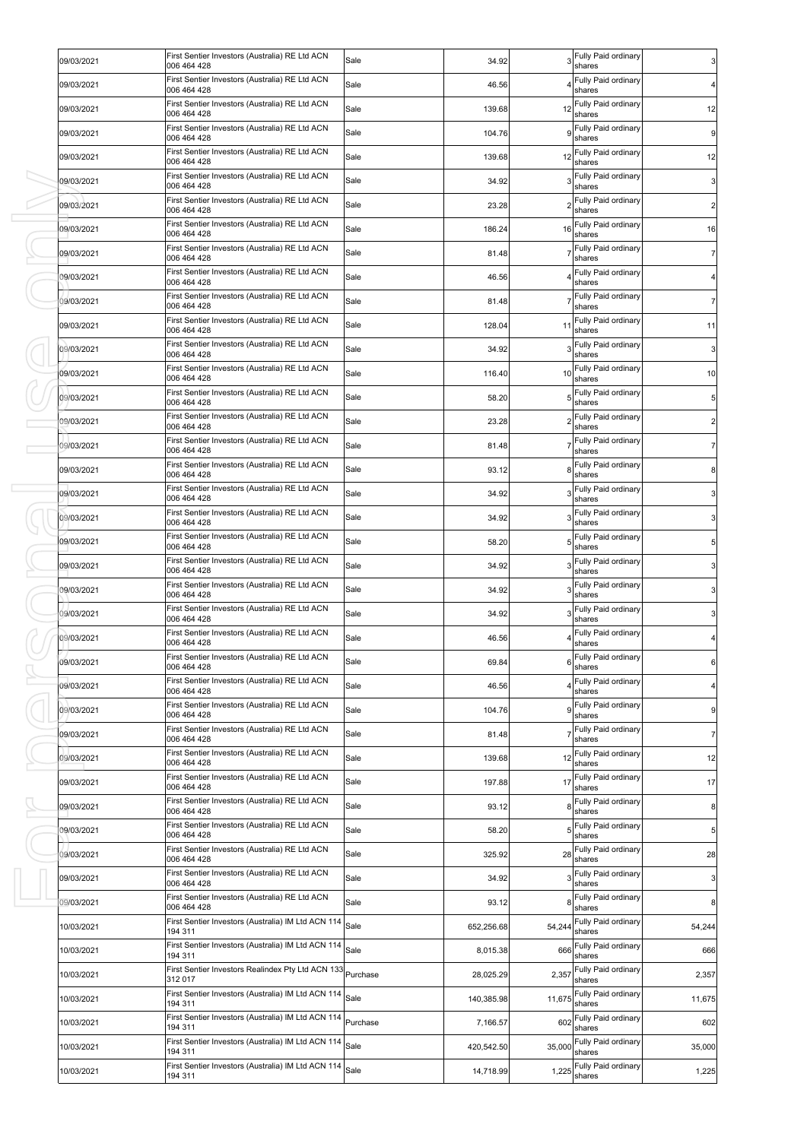| 09/03/2021 | First Sentier Investors (Australia) RE Ltd ACN<br>006 464 428          | Sale | 34.92      |        | Fully Paid ordinary<br>shares    | 3                |
|------------|------------------------------------------------------------------------|------|------------|--------|----------------------------------|------------------|
| 09/03/2021 | First Sentier Investors (Australia) RE Ltd ACN<br>006 464 428          | Sale | 46.56      |        | Fully Paid ordinary<br>shares    | 4                |
| 09/03/2021 | First Sentier Investors (Australia) RE Ltd ACN<br>006 464 428          | Sale | 139.68     | 12     | Fully Paid ordinary<br>shares    | 12               |
| 09/03/2021 | First Sentier Investors (Australia) RE Ltd ACN<br>006 464 428          | Sale | 104.76     |        | Fully Paid ordinary<br>shares    | $\boldsymbol{9}$ |
| 09/03/2021 | First Sentier Investors (Australia) RE Ltd ACN<br>006 464 428          | Sale | 139.68     | 12     | Fully Paid ordinary<br>shares    | 12               |
| 09/03/2021 | First Sentier Investors (Australia) RE Ltd ACN<br>006 464 428          | Sale | 34.92      |        | Fully Paid ordinary<br>shares    | $\mathbf{3}$     |
| 09/03/2021 | First Sentier Investors (Australia) RE Ltd ACN<br>006 464 428          | Sale | 23.28      |        | 2 Fully Paid ordinary<br>shares  | $\overline{a}$   |
| 09/03/2021 | First Sentier Investors (Australia) RE Ltd ACN<br>006 464 428          | Sale | 186.24     | 16     | Fully Paid ordinary<br>shares    | 16               |
| 09/03/2021 | First Sentier Investors (Australia) RE Ltd ACN<br>006 464 428          | Sale | 81.48      |        | Fully Paid ordinary<br>shares    | $\overline{7}$   |
| 09/03/2021 | First Sentier Investors (Australia) RE Ltd ACN<br>006 464 428          | Sale | 46.56      |        | Fully Paid ordinary<br>shares    | 4                |
| 09/03/2021 | First Sentier Investors (Australia) RE Ltd ACN<br>006 464 428          | Sale | 81.48      |        | Fully Paid ordinary<br>shares    | 7                |
| 09/03/2021 | First Sentier Investors (Australia) RE Ltd ACN<br>006 464 428          | Sale | 128.04     | 11     | Fully Paid ordinary<br>shares    | 11               |
| 09/03/2021 | First Sentier Investors (Australia) RE Ltd ACN<br>006 464 428          | Sale | 34.92      |        | Fully Paid ordinary<br>shares    | 3                |
| 09/03/2021 | First Sentier Investors (Australia) RE Ltd ACN<br>006 464 428          | Sale | 116.40     | 10     | Fully Paid ordinary<br>shares    | 10               |
| 09/03/2021 | First Sentier Investors (Australia) RE Ltd ACN<br>006 464 428          | Sale | 58.20      |        | Fully Paid ordinary<br>shares    | 5                |
| 09/03/2021 | First Sentier Investors (Australia) RE Ltd ACN<br>006 464 428          | Sale | 23.28      |        | Fully Paid ordinary<br>shares    | 2                |
| 09/03/2021 | First Sentier Investors (Australia) RE Ltd ACN<br>006 464 428          | Sale | 81.48      |        | Fully Paid ordinary<br>shares    | 7                |
| 09/03/2021 | First Sentier Investors (Australia) RE Ltd ACN<br>006 464 428          | Sale | 93.12      | 8      | Fully Paid ordinary<br>shares    | 8                |
| 09/03/2021 | First Sentier Investors (Australia) RE Ltd ACN<br>006 464 428          | Sale | 34.92      |        | Fully Paid ordinary<br>shares    | 3                |
| 09/03/2021 | First Sentier Investors (Australia) RE Ltd ACN<br>006 464 428          | Sale | 34.92      |        | Fully Paid ordinary<br>shares    | 3                |
| 09/03/2021 | First Sentier Investors (Australia) RE Ltd ACN<br>006 464 428          | Sale | 58.20      |        | Fully Paid ordinary<br>shares    | 5                |
| 09/03/2021 | First Sentier Investors (Australia) RE Ltd ACN<br>006 464 428          | Sale | 34.92      |        | Fully Paid ordinary<br>shares    | 3                |
| 09/03/2021 | First Sentier Investors (Australia) RE Ltd ACN<br>006 464 428          | Sale | 34.92      |        | Fully Paid ordinary<br>shares    | 3                |
| 09/03/2021 | First Sentier Investors (Australia) RE Ltd ACN<br>006 464 428          | Sale | 34.92      |        | Fully Paid ordinary<br>shares    | 3                |
| 09/03/2021 | First Sentier Investors (Australia) RE Ltd ACN<br>006 464 428          | Sale | 46.56      |        | Fully Paid ordinary<br>shares    |                  |
| 09/03/2021 | First Sentier Investors (Australia) RE Ltd ACN<br>006 464 428          | Sale | 69.84      |        | 6 Fully Paid ordinary<br>shares  | $\,$ 6           |
| 09/03/2021 | First Sentier Investors (Australia) RE Ltd ACN<br>006 464 428          | Sale | 46.56      |        | Fully Paid ordinary<br>shares    | 4                |
| 09/03/2021 | First Sentier Investors (Australia) RE Ltd ACN<br>006 464 428          | Sale | 104.76     |        | Fully Paid ordinary<br>shares    | 9                |
| 09/03/2021 | First Sentier Investors (Australia) RE Ltd ACN<br>006 464 428          | Sale | 81.48      |        | Fully Paid ordinary<br>shares    | $\overline{7}$   |
| 09/03/2021 | First Sentier Investors (Australia) RE Ltd ACN<br>006 464 428          | Sale | 139.68     | 12     | Fully Paid ordinary<br>shares    | 12               |
| 09/03/2021 | First Sentier Investors (Australia) RE Ltd ACN<br>006 464 428          | Sale | 197.88     |        | 17 Fully Paid ordinary<br>shares | 17               |
| 09/03/2021 | First Sentier Investors (Australia) RE Ltd ACN<br>006 464 428          | Sale | 93.12      | 8      | Fully Paid ordinary<br>shares    | 8                |
| 09/03/2021 | First Sentier Investors (Australia) RE Ltd ACN<br>006 464 428          | Sale | 58.20      | 5      | Fully Paid ordinary<br>shares    | $\sqrt{5}$       |
| 09/03/2021 | First Sentier Investors (Australia) RE Ltd ACN<br>006 464 428          | Sale | 325.92     | 28     | Fully Paid ordinary<br>shares    | 28               |
| 09/03/2021 | First Sentier Investors (Australia) RE Ltd ACN<br>006 464 428          | Sale | 34.92      | 3      | Fully Paid ordinary<br>shares    | $\mathbf{3}$     |
| 09/03/2021 | First Sentier Investors (Australia) RE Ltd ACN<br>006 464 428          | Sale | 93.12      |        | Fully Paid ordinary<br>shares    | 8                |
| 10/03/2021 | First Sentier Investors (Australia) IM Ltd ACN 114<br>194 311          | Sale | 652,256.68 | 54,244 | Fully Paid ordinary<br>shares    | 54,244           |
| 10/03/2021 | First Sentier Investors (Australia) IM Ltd ACN 114<br>194 311          | Sale | 8,015.38   | 666    | Fully Paid ordinary<br>shares    | 666              |
| 10/03/2021 | First Sentier Investors Realindex Pty Ltd ACN 133 Purchase<br>312 017  |      | 28,025.29  | 2,357  | Fully Paid ordinary<br>shares    | 2,357            |
| 10/03/2021 | First Sentier Investors (Australia) IM Ltd ACN 114<br>194 311          | Sale | 140,385.98 | 11,675 | Fully Paid ordinary<br>shares    | 11,675           |
| 10/03/2021 | First Sentier Investors (Australia) IM Ltd ACN 114 Purchase<br>194 311 |      | 7,166.57   | 602    | Fully Paid ordinary<br>shares    | 602              |
| 10/03/2021 | First Sentier Investors (Australia) IM Ltd ACN 114<br>194 311          | Sale | 420,542.50 | 35,000 | Fully Paid ordinary<br>shares    | 35,000           |
| 10/03/2021 | First Sentier Investors (Australia) IM Ltd ACN 114 Sale<br>194 311     |      | 14,718.99  | 1,225  | Fully Paid ordinary<br>shares    | 1,225            |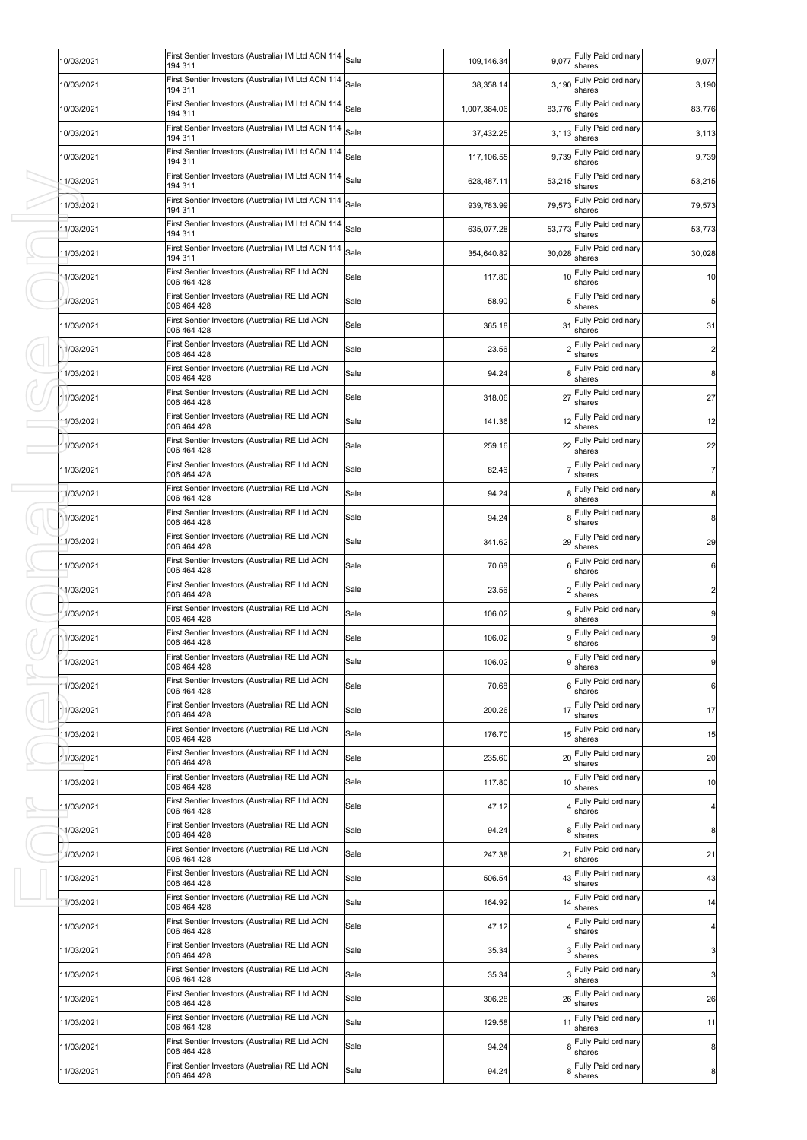| 10/03/2021 | First Sentier Investors (Australia) IM Ltd ACN 114<br>194 311 | Sale | 109,146.34   | 9,077  | Fully Paid ordinary<br>shares   | 9,077          |
|------------|---------------------------------------------------------------|------|--------------|--------|---------------------------------|----------------|
| 10/03/2021 | First Sentier Investors (Australia) IM Ltd ACN 114<br>194 311 | Sale | 38,358.14    | 3,190  | Fully Paid ordinary<br>shares   | 3,190          |
| 10/03/2021 | First Sentier Investors (Australia) IM Ltd ACN 114<br>194 311 | Sale | 1,007,364.06 | 83,776 | Fully Paid ordinary<br>shares   | 83,776         |
| 10/03/2021 | First Sentier Investors (Australia) IM Ltd ACN 114<br>194 311 | Sale | 37,432.25    | 3,113  | Fully Paid ordinary<br>shares   | 3,113          |
| 10/03/2021 | First Sentier Investors (Australia) IM Ltd ACN 114<br>194 311 | Sale | 117,106.55   | 9,739  | Fully Paid ordinary<br>shares   | 9,739          |
| 11/03/2021 | First Sentier Investors (Australia) IM Ltd ACN 114<br>194 311 | Sale | 628,487.11   | 53,215 | Fully Paid ordinary<br>shares   | 53,215         |
| 11/03/2021 | First Sentier Investors (Australia) IM Ltd ACN 114<br>194 311 | Sale | 939,783.99   | 79,573 | Fully Paid ordinary<br>shares   | 79,573         |
| 11/03/2021 | First Sentier Investors (Australia) IM Ltd ACN 114<br>194 311 | Sale | 635,077.28   | 53,773 | Fully Paid ordinary<br>shares   | 53,773         |
| 11/03/2021 | First Sentier Investors (Australia) IM Ltd ACN 114<br>194 311 | Sale | 354,640.82   | 30,028 | Fully Paid ordinary<br>shares   | 30,028         |
| 11/03/2021 | First Sentier Investors (Australia) RE Ltd ACN<br>006 464 428 | Sale | 117.80       | 10     | Fully Paid ordinary<br>shares   | 10             |
| 11/03/2021 | First Sentier Investors (Australia) RE Ltd ACN<br>006 464 428 | Sale | 58.90        |        | Fully Paid ordinary<br>shares   | 5              |
| 11/03/2021 | First Sentier Investors (Australia) RE Ltd ACN<br>006 464 428 | Sale | 365.18       | 31     | Fully Paid ordinary<br>shares   | 31             |
| 11/03/2021 | First Sentier Investors (Australia) RE Ltd ACN<br>006 464 428 | Sale | 23.56        |        | Fully Paid ordinary<br>shares   | $\overline{2}$ |
| 11/03/2021 | First Sentier Investors (Australia) RE Ltd ACN<br>006 464 428 | Sale | 94.24        | 8      | Fully Paid ordinary<br>shares   | 8              |
| 11/03/2021 | First Sentier Investors (Australia) RE Ltd ACN<br>006 464 428 | Sale | 318.06       | 27     | Fully Paid ordinary<br>shares   | 27             |
| 11/03/2021 | First Sentier Investors (Australia) RE Ltd ACN<br>006 464 428 | Sale | 141.36       | 12     | Fully Paid ordinary<br>shares   | 12             |
| 1/03/2021  | First Sentier Investors (Australia) RE Ltd ACN<br>006 464 428 | Sale | 259.16       | 22     | Fully Paid ordinary<br>shares   | 22             |
| 11/03/2021 | First Sentier Investors (Australia) RE Ltd ACN<br>006 464 428 | Sale | 82.46        |        | Fully Paid ordinary<br>shares   | $\overline{7}$ |
| 11/03/2021 | First Sentier Investors (Australia) RE Ltd ACN<br>006 464 428 | Sale | 94.24        | 8      | Fully Paid ordinary<br>shares   | 8 <sup>1</sup> |
| 11/03/2021 | First Sentier Investors (Australia) RE Ltd ACN<br>006 464 428 | Sale | 94.24        | 8      | Fully Paid ordinary<br>shares   | 8              |
| 11/03/2021 | First Sentier Investors (Australia) RE Ltd ACN<br>006 464 428 | Sale | 341.62       | 29     | Fully Paid ordinary<br>shares   | 29             |
| 11/03/2021 | First Sentier Investors (Australia) RE Ltd ACN<br>006 464 428 | Sale | 70.68        | 6      | Fully Paid ordinary<br>shares   | 6              |
| 11/03/2021 | First Sentier Investors (Australia) RE Ltd ACN<br>006 464 428 | Sale | 23.56        |        | Fully Paid ordinary<br>shares   | $\overline{c}$ |
| 11/03/2021 | First Sentier Investors (Australia) RE Ltd ACN<br>006 464 428 | Sale | 106.02       |        | Fully Paid ordinary<br>shares   | 9              |
| 11/03/2021 | First Sentier Investors (Australia) RE Ltd ACN<br>006 464 428 | Sale | 106.02       |        | Fully Paid ordinary<br>shares   | 9              |
| 11/03/2021 | First Sentier Investors (Australia) RE Ltd ACN<br>006 464 428 | Sale | 106.02       |        | 9 Fully Paid ordinary<br>shares | 9              |
| 11/03/2021 | First Sentier Investors (Australia) RE Ltd ACN<br>006 464 428 | Sale | 70.68        | 6      | Fully Paid ordinary<br>shares   | 6              |
| 11/03/2021 | First Sentier Investors (Australia) RE Ltd ACN<br>006 464 428 | Sale | 200.26       | 17     | Fully Paid ordinary<br>shares   | 17             |
| 11/03/2021 | First Sentier Investors (Australia) RE Ltd ACN<br>006 464 428 | Sale | 176.70       | 15     | Fully Paid ordinary<br>shares   | 15             |
| 11/03/2021 | First Sentier Investors (Australia) RE Ltd ACN<br>006 464 428 | Sale | 235.60       | 20     | Fully Paid ordinary<br>shares   | 20             |
| 11/03/2021 | First Sentier Investors (Australia) RE Ltd ACN<br>006 464 428 | Sale | 117.80       | 10     | Fully Paid ordinary<br>shares   | 10             |
| 11/03/2021 | First Sentier Investors (Australia) RE Ltd ACN<br>006 464 428 | Sale | 47.12        |        | Fully Paid ordinary<br>shares   | $\overline{4}$ |
| 11/03/2021 | First Sentier Investors (Australia) RE Ltd ACN<br>006 464 428 | Sale | 94.24        | 8      | Fully Paid ordinary<br>shares   | 8 <sub>l</sub> |
| 11/03/2021 | First Sentier Investors (Australia) RE Ltd ACN<br>006 464 428 | Sale | 247.38       | 21     | Fully Paid ordinary<br>shares   | 21             |
| 11/03/2021 | First Sentier Investors (Australia) RE Ltd ACN<br>006 464 428 | Sale | 506.54       | 43     | Fully Paid ordinary<br>shares   | 43             |
| 11/03/2021 | First Sentier Investors (Australia) RE Ltd ACN<br>006 464 428 | Sale | 164.92       | 14     | Fully Paid ordinary<br>shares   | 14             |
| 11/03/2021 | First Sentier Investors (Australia) RE Ltd ACN<br>006 464 428 | Sale | 47.12        |        | Fully Paid ordinary<br>shares   | 4 <sub>1</sub> |
| 11/03/2021 | First Sentier Investors (Australia) RE Ltd ACN<br>006 464 428 | Sale | 35.34        | 3      | Fully Paid ordinary<br>shares   | 3 <sub>l</sub> |
| 11/03/2021 | First Sentier Investors (Australia) RE Ltd ACN<br>006 464 428 | Sale | 35.34        | 3      | Fully Paid ordinary<br>shares   | 3 <sup>1</sup> |
| 11/03/2021 | First Sentier Investors (Australia) RE Ltd ACN<br>006 464 428 | Sale | 306.28       | 26     | Fully Paid ordinary<br>shares   | 26             |
| 11/03/2021 | First Sentier Investors (Australia) RE Ltd ACN<br>006 464 428 | Sale | 129.58       | 11     | Fully Paid ordinary<br>shares   | 11             |
| 11/03/2021 | First Sentier Investors (Australia) RE Ltd ACN<br>006 464 428 | Sale | 94.24        | 8      | Fully Paid ordinary<br>shares   | 8 <sub>l</sub> |
| 11/03/2021 | First Sentier Investors (Australia) RE Ltd ACN<br>006 464 428 | Sale | 94.24        | 8      | Fully Paid ordinary<br>shares   | 8              |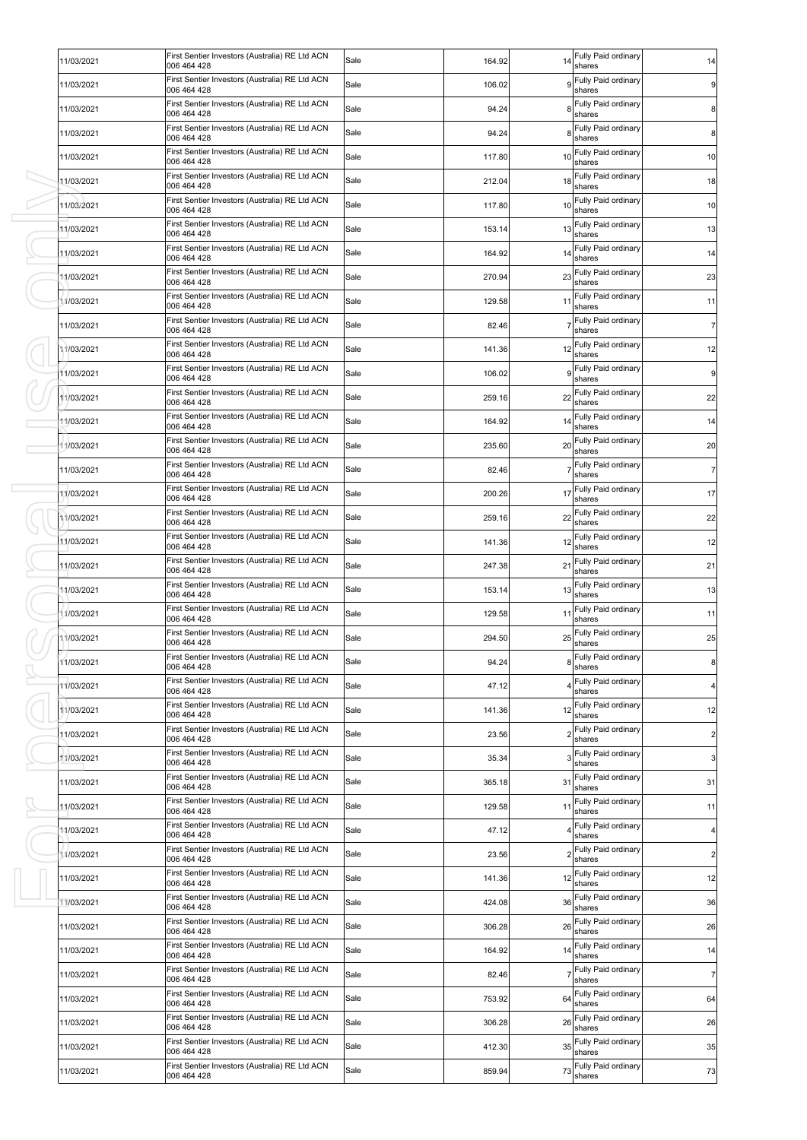| 11/03/2021 | First Sentier Investors (Australia) RE Ltd ACN<br>006 464 428 | Sale | 164.92 | 14 | Fully Paid ordinary<br>shares    | 14             |
|------------|---------------------------------------------------------------|------|--------|----|----------------------------------|----------------|
| 11/03/2021 | First Sentier Investors (Australia) RE Ltd ACN<br>006 464 428 | Sale | 106.02 |    | Fully Paid ordinary<br>shares    | 9              |
| 11/03/2021 | First Sentier Investors (Australia) RE Ltd ACN<br>006 464 428 | Sale | 94.24  |    | Fully Paid ordinary<br>shares    | 8 <sub>l</sub> |
| 11/03/2021 | First Sentier Investors (Australia) RE Ltd ACN<br>006 464 428 | Sale | 94.24  |    | Fully Paid ordinary<br>shares    | 8 <sup>1</sup> |
| 11/03/2021 | First Sentier Investors (Australia) RE Ltd ACN<br>006 464 428 | Sale | 117.80 | 10 | Fully Paid ordinary<br>shares    | 10             |
| 11/03/2021 | First Sentier Investors (Australia) RE Ltd ACN<br>006 464 428 | Sale | 212.04 | 18 | Fully Paid ordinary<br>shares    | 18             |
| 11/03/2021 | First Sentier Investors (Australia) RE Ltd ACN<br>006 464 428 | Sale | 117.80 | 10 | Fully Paid ordinary<br>shares    | 10             |
| 11/03/2021 | First Sentier Investors (Australia) RE Ltd ACN<br>006 464 428 | Sale | 153.14 | 13 | Fully Paid ordinary<br>shares    | 13             |
| 11/03/2021 | First Sentier Investors (Australia) RE Ltd ACN<br>006 464 428 | Sale | 164.92 | 14 | Fully Paid ordinary<br>shares    | 14             |
| 11/03/2021 | First Sentier Investors (Australia) RE Ltd ACN<br>006 464 428 | Sale | 270.94 | 23 | Fully Paid ordinary<br>shares    | 23             |
| 11/03/2021 | First Sentier Investors (Australia) RE Ltd ACN<br>006 464 428 | Sale | 129.58 | 11 | Fully Paid ordinary<br>shares    | 11             |
| 11/03/2021 | First Sentier Investors (Australia) RE Ltd ACN<br>006 464 428 | Sale | 82.46  |    | Fully Paid ordinary<br>shares    | $\overline{7}$ |
| 11/03/2021 | First Sentier Investors (Australia) RE Ltd ACN<br>006 464 428 | Sale | 141.36 | 12 | Fully Paid ordinary<br>shares    | 12             |
| 11/03/2021 | First Sentier Investors (Australia) RE Ltd ACN<br>006 464 428 | Sale | 106.02 |    | Fully Paid ordinary<br>shares    | 9              |
| 11/03/2021 | First Sentier Investors (Australia) RE Ltd ACN<br>006 464 428 | Sale | 259.16 | 22 | Fully Paid ordinary<br>shares    | 22             |
| 11/03/2021 | First Sentier Investors (Australia) RE Ltd ACN<br>006 464 428 | Sale | 164.92 | 14 | Fully Paid ordinary<br>shares    | 14             |
| 11/03/2021 | First Sentier Investors (Australia) RE Ltd ACN<br>006 464 428 | Sale | 235.60 | 20 | Fully Paid ordinary<br>shares    | 20             |
| 11/03/2021 | First Sentier Investors (Australia) RE Ltd ACN<br>006 464 428 | Sale | 82.46  |    | Fully Paid ordinary<br>shares    | $\overline{7}$ |
| 11/03/2021 | First Sentier Investors (Australia) RE Ltd ACN<br>006 464 428 | Sale | 200.26 | 17 | Fully Paid ordinary<br>shares    | 17             |
| 11/03/2021 | First Sentier Investors (Australia) RE Ltd ACN<br>006 464 428 | Sale | 259.16 | 22 | Fully Paid ordinary<br>shares    | 22             |
| 11/03/2021 | First Sentier Investors (Australia) RE Ltd ACN<br>006 464 428 | Sale | 141.36 | 12 | Fully Paid ordinary<br>shares    | 12             |
| 11/03/2021 | First Sentier Investors (Australia) RE Ltd ACN<br>006 464 428 | Sale | 247.38 | 21 | Fully Paid ordinary<br>shares    | 21             |
| 11/03/2021 | First Sentier Investors (Australia) RE Ltd ACN<br>006 464 428 | Sale | 153.14 | 13 | Fully Paid ordinary<br>shares    | 13             |
| 11/03/2021 | First Sentier Investors (Australia) RE Ltd ACN<br>006 464 428 | Sale | 129.58 | 11 | Fully Paid ordinary<br>shares    | 11             |
| 11/03/2021 | First Sentier Investors (Australia) RE Ltd ACN<br>006 464 428 | Sale | 294.50 | 25 | Fully Paid ordinary<br>shares    | 25             |
| 11/03/2021 | First Sentier Investors (Australia) RE Ltd ACN<br>006 464 428 | Sale | 94.24  |    | 8 Fully Paid ordinary<br>shares  | 8 <sup>1</sup> |
| 11/03/2021 | First Sentier Investors (Australia) RE Ltd ACN<br>006 464 428 | Sale | 47.12  |    | Fully Paid ordinary<br>shares    | $\overline{4}$ |
| 11/03/2021 | First Sentier Investors (Australia) RE Ltd ACN<br>006 464 428 | Sale | 141.36 | 12 | Fully Paid ordinary<br>shares    | 12             |
| 11/03/2021 | First Sentier Investors (Australia) RE Ltd ACN<br>006 464 428 | Sale | 23.56  |    | Fully Paid ordinary<br>shares    | $\overline{2}$ |
| 11/03/2021 | First Sentier Investors (Australia) RE Ltd ACN<br>006 464 428 | Sale | 35.34  |    | Fully Paid ordinary<br>shares    | 3 <sup>1</sup> |
| 11/03/2021 | First Sentier Investors (Australia) RE Ltd ACN<br>006 464 428 | Sale | 365.18 | 31 | Fully Paid ordinary<br>shares    | 31             |
| 11/03/2021 | First Sentier Investors (Australia) RE Ltd ACN<br>006 464 428 | Sale | 129.58 | 11 | Fully Paid ordinary<br>shares    | 11             |
| 11/03/2021 | First Sentier Investors (Australia) RE Ltd ACN<br>006 464 428 | Sale | 47.12  |    | Fully Paid ordinary<br>shares    | $\overline{4}$ |
| 11/03/2021 | First Sentier Investors (Australia) RE Ltd ACN<br>006 464 428 | Sale | 23.56  |    | Fully Paid ordinary<br>shares    | $\overline{2}$ |
| 11/03/2021 | First Sentier Investors (Australia) RE Ltd ACN<br>006 464 428 | Sale | 141.36 | 12 | Fully Paid ordinary<br>shares    | 12             |
| 11/03/2021 | First Sentier Investors (Australia) RE Ltd ACN<br>006 464 428 | Sale | 424.08 | 36 | Fully Paid ordinary<br>shares    | 36             |
| 11/03/2021 | First Sentier Investors (Australia) RE Ltd ACN<br>006 464 428 | Sale | 306.28 | 26 | Fully Paid ordinary<br>shares    | 26             |
| 11/03/2021 | First Sentier Investors (Australia) RE Ltd ACN<br>006 464 428 | Sale | 164.92 | 14 | Fully Paid ordinary<br>shares    | 14             |
| 11/03/2021 | First Sentier Investors (Australia) RE Ltd ACN<br>006 464 428 | Sale | 82.46  |    | Fully Paid ordinary<br>shares    | $\overline{7}$ |
| 11/03/2021 | First Sentier Investors (Australia) RE Ltd ACN<br>006 464 428 | Sale | 753.92 | 64 | Fully Paid ordinary<br>shares    | 64             |
| 11/03/2021 | First Sentier Investors (Australia) RE Ltd ACN<br>006 464 428 | Sale | 306.28 | 26 | Fully Paid ordinary<br>shares    | 26             |
| 11/03/2021 | First Sentier Investors (Australia) RE Ltd ACN<br>006 464 428 | Sale | 412.30 |    | 35 Fully Paid ordinary<br>shares | 35             |
| 11/03/2021 | First Sentier Investors (Australia) RE Ltd ACN<br>006 464 428 | Sale | 859.94 |    | 73 Fully Paid ordinary<br>shares | 73             |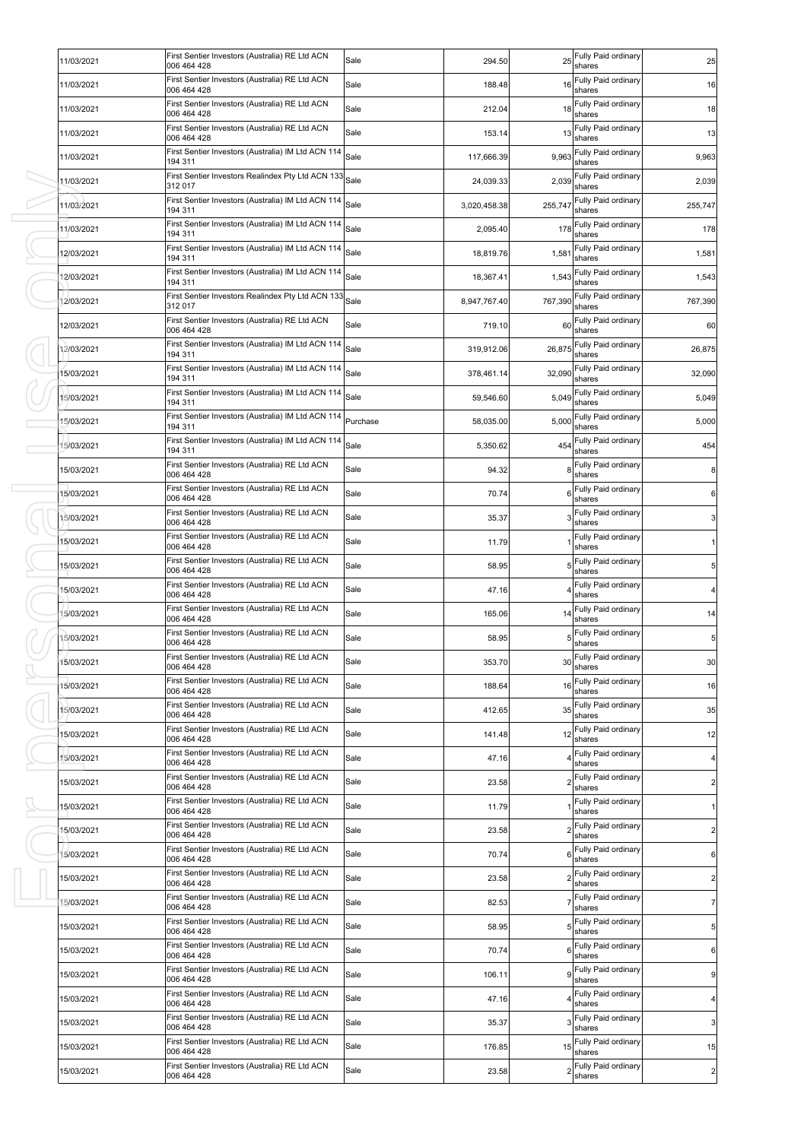| 11/03/2021 | First Sentier Investors (Australia) RE Ltd ACN<br>006 464 428 | Sale     | 294.50       | 25      | Fully Paid ordinary<br>shares    | 25             |
|------------|---------------------------------------------------------------|----------|--------------|---------|----------------------------------|----------------|
| 11/03/2021 | First Sentier Investors (Australia) RE Ltd ACN<br>006 464 428 | Sale     | 188.48       | 16      | Fully Paid ordinary<br>shares    | 16             |
| 11/03/2021 | First Sentier Investors (Australia) RE Ltd ACN<br>006 464 428 | Sale     | 212.04       | 18      | Fully Paid ordinary<br>shares    | 18             |
| 11/03/2021 | First Sentier Investors (Australia) RE Ltd ACN<br>006 464 428 | Sale     | 153.14       | 13      | Fully Paid ordinary<br>shares    | 13             |
| 11/03/2021 | First Sentier Investors (Australia) IM Ltd ACN 114<br>194 311 | Sale     | 117,666.39   | 9,963   | Fully Paid ordinary<br>shares    | 9,963          |
| 11/03/2021 | First Sentier Investors Realindex Pty Ltd ACN 133<br>312 017  | Sale     | 24,039.33    | 2,039   | Fully Paid ordinary<br>shares    | 2,039          |
| 11/03/2021 | First Sentier Investors (Australia) IM Ltd ACN 114<br>194 311 | Sale     | 3,020,458.38 | 255,747 | Fully Paid ordinary<br>shares    | 255,747        |
| 11/03/2021 | First Sentier Investors (Australia) IM Ltd ACN 114<br>194 311 | Sale     | 2,095.40     | 178     | Fully Paid ordinary<br>shares    | 178            |
| 12/03/2021 | First Sentier Investors (Australia) IM Ltd ACN 114<br>194 311 | Sale     | 18,819.76    | 1,581   | Fully Paid ordinary<br>shares    | 1,581          |
| 12/03/2021 | First Sentier Investors (Australia) IM Ltd ACN 114<br>194 311 | Sale     | 18,367.41    | 1,543   | Fully Paid ordinary<br>shares    | 1,543          |
| 12/03/2021 | First Sentier Investors Realindex Pty Ltd ACN 133<br>312 017  | Sale     | 8,947,767.40 | 767,390 | Fully Paid ordinary<br>shares    | 767,390        |
| 12/03/2021 | First Sentier Investors (Australia) RE Ltd ACN<br>006 464 428 | Sale     | 719.10       | 60      | Fully Paid ordinary<br>shares    | 60             |
| 12/03/2021 | First Sentier Investors (Australia) IM Ltd ACN 114<br>194 311 | Sale     | 319,912.06   | 26,875  | Fully Paid ordinary<br>shares    | 26,875         |
| 15/03/2021 | First Sentier Investors (Australia) IM Ltd ACN 114<br>194 311 | Sale     | 378,461.14   | 32,090  | Fully Paid ordinary<br>shares    | 32,090         |
| 15/03/2021 | First Sentier Investors (Australia) IM Ltd ACN 114<br>194 311 | Sale     | 59,546.60    | 5,049   | Fully Paid ordinary<br>shares    | 5,049          |
| 15/03/2021 | First Sentier Investors (Australia) IM Ltd ACN 114<br>194 311 | Purchase | 58,035.00    | 5,000   | Fully Paid ordinary<br>shares    | 5,000          |
| 15/03/2021 | First Sentier Investors (Australia) IM Ltd ACN 114<br>194 311 | Sale     | 5,350.62     | 454     | Fully Paid ordinary<br>shares    | 454            |
| 15/03/2021 | First Sentier Investors (Australia) RE Ltd ACN                | Sale     | 94.32        | 8       | Fully Paid ordinary              | 8              |
| 15/03/2021 | 006 464 428<br>First Sentier Investors (Australia) RE Ltd ACN | Sale     | 70.74        |         | shares<br>Fully Paid ordinary    | 6              |
| 15/03/2021 | 006 464 428<br>First Sentier Investors (Australia) RE Ltd ACN | Sale     | 35.37        |         | shares<br>Fully Paid ordinary    | 3              |
| 15/03/2021 | 006 464 428<br>First Sentier Investors (Australia) RE Ltd ACN | Sale     | 11.79        |         | shares<br>Fully Paid ordinary    | 1              |
| 15/03/2021 | 006 464 428<br>First Sentier Investors (Australia) RE Ltd ACN | Sale     | 58.95        |         | shares<br>Fully Paid ordinary    | 5              |
| 15/03/2021 | 006 464 428<br>First Sentier Investors (Australia) RE Ltd ACN | Sale     | 47.16        |         | shares<br>Fully Paid ordinary    | 4              |
| 15/03/2021 | 006 464 428<br>First Sentier Investors (Australia) RE Ltd ACN | Sale     | 165.06       | 14      | shares<br>Fully Paid ordinary    | 14             |
| 15/03/2021 | 006 464 428<br>First Sentier Investors (Australia) RE Ltd ACN | Sale     | 58.95        |         | shares<br>Fully Paid ordinary    | 5              |
| 15/03/2021 | 006 464 428<br>First Sentier Investors (Australia) RE Ltd ACN | Sale     | 353.70       |         | shares<br>30 Fully Paid ordinary | 30             |
| 15/03/2021 | 006 464 428<br>First Sentier Investors (Australia) RE Ltd ACN | Sale     | 188.64       | 16      | shares<br>Fully Paid ordinary    | 16             |
| 15/03/2021 | 006 464 428<br>First Sentier Investors (Australia) RE Ltd ACN | Sale     | 412.65       | 35      | shares<br>Fully Paid ordinary    | 35             |
| 15/03/2021 | 006 464 428<br>First Sentier Investors (Australia) RE Ltd ACN | Sale     | 141.48       | 12      | shares<br>Fully Paid ordinary    | 12             |
| 15/03/2021 | 006 464 428<br>First Sentier Investors (Australia) RE Ltd ACN | Sale     | 47.16        |         | shares<br>Fully Paid ordinary    | 4 <sub>1</sub> |
| 15/03/2021 | 006 464 428<br>First Sentier Investors (Australia) RE Ltd ACN | Sale     | 23.58        |         | shares<br>Fully Paid ordinary    | $2 \vert$      |
| 15/03/2021 | 006 464 428<br>First Sentier Investors (Australia) RE Ltd ACN | Sale     | 11.79        |         | shares<br>Fully Paid ordinary    | 1              |
| 15/03/2021 | 006 464 428<br>First Sentier Investors (Australia) RE Ltd ACN | Sale     | 23.58        |         | shares<br>Fully Paid ordinary    | $2 \vert$      |
| 15/03/2021 | 006 464 428<br>First Sentier Investors (Australia) RE Ltd ACN | Sale     | 70.74        |         | shares<br>Fully Paid ordinary    | 6              |
|            | 006 464 428<br>First Sentier Investors (Australia) RE Ltd ACN | Sale     |              |         | shares<br>Fully Paid ordinary    |                |
| 15/03/2021 | 006 464 428<br>First Sentier Investors (Australia) RE Ltd ACN |          | 23.58        |         | shares<br>Fully Paid ordinary    | $\overline{2}$ |
| 15/03/2021 | 006 464 428<br>First Sentier Investors (Australia) RE Ltd ACN | Sale     | 82.53        |         | shares<br>Fully Paid ordinary    | $\overline{7}$ |
| 15/03/2021 | 006 464 428<br>First Sentier Investors (Australia) RE Ltd ACN | Sale     | 58.95        | 5       | shares<br>Fully Paid ordinary    | 5              |
| 15/03/2021 | 006 464 428<br>First Sentier Investors (Australia) RE Ltd ACN | Sale     | 70.74        | 6       | shares<br>Fully Paid ordinary    | $6 \mid$       |
| 15/03/2021 | 006 464 428<br>First Sentier Investors (Australia) RE Ltd ACN | Sale     | 106.11       |         | shares<br>Fully Paid ordinary    | 9              |
| 15/03/2021 | 006 464 428<br>First Sentier Investors (Australia) RE Ltd ACN | Sale     | 47.16        |         | shares<br>Fully Paid ordinary    | $\overline{4}$ |
| 15/03/2021 | 006 464 428<br>First Sentier Investors (Australia) RE Ltd ACN | Sale     | 35.37        |         | shares<br>Fully Paid ordinary    | 3 <sup>1</sup> |
| 15/03/2021 | 006 464 428<br>First Sentier Investors (Australia) RE Ltd ACN | Sale     | 176.85       | 15      | shares<br>Fully Paid ordinary    | 15             |
| 15/03/2021 | 006 464 428                                                   | Sale     | 23.58        |         | shares                           | $2 \mid$       |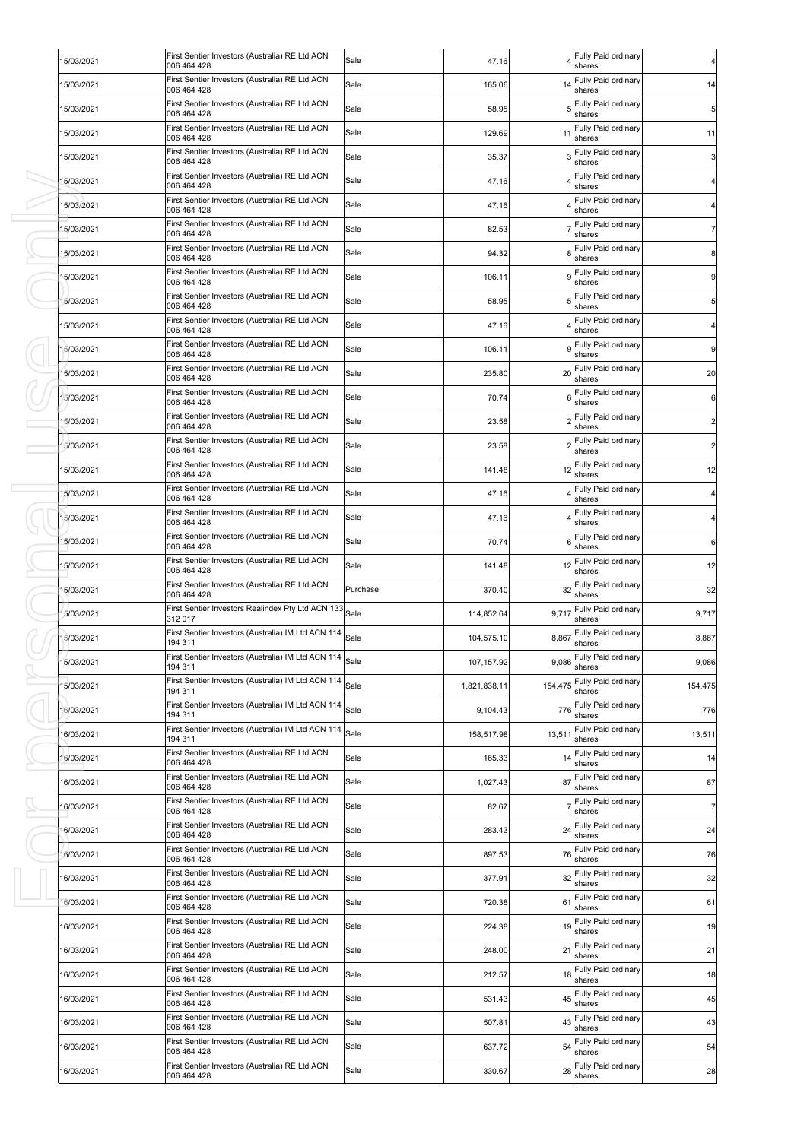| 15/03/2021 | First Sentier Investors (Australia) RE Ltd ACN<br>006 464 428      | Sale     | 47.16        |         | Fully Paid ordinary<br>shares       | 4              |
|------------|--------------------------------------------------------------------|----------|--------------|---------|-------------------------------------|----------------|
| 15/03/2021 | First Sentier Investors (Australia) RE Ltd ACN<br>006 464 428      | Sale     | 165.06       | 14      | Fully Paid ordinary<br>shares       | 14             |
| 15/03/2021 | First Sentier Investors (Australia) RE Ltd ACN<br>006 464 428      | Sale     | 58.95        |         | Fully Paid ordinary<br>shares       | 5              |
| 15/03/2021 | First Sentier Investors (Australia) RE Ltd ACN<br>006 464 428      | Sale     | 129.69       | 11      | Fully Paid ordinary<br>shares       | 11             |
| 15/03/2021 | First Sentier Investors (Australia) RE Ltd ACN<br>006 464 428      | Sale     | 35.37        |         | Fully Paid ordinary<br>shares       | 3              |
| 15/03/2021 | First Sentier Investors (Australia) RE Ltd ACN<br>006 464 428      | Sale     | 47.16        |         | Fully Paid ordinary<br>shares       | 4              |
| 15/03/2021 | First Sentier Investors (Australia) RE Ltd ACN<br>006 464 428      | Sale     | 47.16        |         | Fully Paid ordinary<br>shares       | 4              |
| 15/03/2021 | First Sentier Investors (Australia) RE Ltd ACN<br>006 464 428      | Sale     | 82.53        |         | Fully Paid ordinary<br>shares       | $\overline{7}$ |
| 15/03/2021 | First Sentier Investors (Australia) RE Ltd ACN<br>006 464 428      | Sale     | 94.32        | 8       | Fully Paid ordinary<br>shares       | 8              |
| 15/03/2021 | First Sentier Investors (Australia) RE Ltd ACN<br>006 464 428      | Sale     | 106.11       |         | 9 Fully Paid ordinary<br>shares     | 9              |
| 15/03/2021 | First Sentier Investors (Australia) RE Ltd ACN<br>006 464 428      | Sale     | 58.95        | 5       | Fully Paid ordinary<br>shares       | 5              |
| 15/03/2021 | First Sentier Investors (Australia) RE Ltd ACN<br>006 464 428      | Sale     | 47.16        |         | Fully Paid ordinary<br>shares       | 4              |
| 15/03/2021 | First Sentier Investors (Australia) RE Ltd ACN<br>006 464 428      | Sale     | 106.11       | 9       | Fully Paid ordinary<br>shares       | 9              |
| 15/03/2021 | First Sentier Investors (Australia) RE Ltd ACN<br>006 464 428      | Sale     | 235.80       | 20      | Fully Paid ordinary<br>shares       | 20             |
| 15/03/2021 | First Sentier Investors (Australia) RE Ltd ACN<br>006 464 428      | Sale     | 70.74        | 6       | Fully Paid ordinary<br>shares       | 6              |
| 15/03/2021 | First Sentier Investors (Australia) RE Ltd ACN<br>006 464 428      | Sale     | 23.58        | 2       | Fully Paid ordinary<br>shares       | 2              |
| 5/03/2021  | First Sentier Investors (Australia) RE Ltd ACN<br>006 464 428      | Sale     | 23.58        |         | Fully Paid ordinary<br>shares       | 2              |
| 15/03/2021 | First Sentier Investors (Australia) RE Ltd ACN<br>006 464 428      | Sale     | 141.48       | 12      | Fully Paid ordinary<br>shares       | 12             |
| 15/03/2021 | First Sentier Investors (Australia) RE Ltd ACN<br>006 464 428      | Sale     | 47.16        |         | Fully Paid ordinary<br>shares       |                |
| 15/03/2021 | First Sentier Investors (Australia) RE Ltd ACN<br>006 464 428      | Sale     | 47.16        |         | Fully Paid ordinary<br>shares       | 4              |
| 15/03/2021 | First Sentier Investors (Australia) RE Ltd ACN<br>006 464 428      | Sale     | 70.74        | 6       | Fully Paid ordinary<br>shares       | 6              |
| 15/03/2021 | First Sentier Investors (Australia) RE Ltd ACN<br>006 464 428      | Sale     | 141.48       | 12      | Fully Paid ordinary<br>shares       | 12             |
| 15/03/2021 | First Sentier Investors (Australia) RE Ltd ACN<br>006 464 428      | Purchase | 370.40       | 32      | Fully Paid ordinary<br>shares       | 32             |
| 15/03/2021 | First Sentier Investors Realindex Pty Ltd ACN 133<br>312 017       | Sale     | 114,852.64   | 9,717   | Fully Paid ordinary<br>shares       | 9,717          |
| 15/03/2021 | First Sentier Investors (Australia) IM Ltd ACN 114 Sale<br>194 311 |          | 104,575.10   | 8,867   | Fully Paid ordinary<br>shares       | 8,867          |
| 15/03/2021 | First Sentier Investors (Australia) IM Ltd ACN 114<br>194 311      | Sale     | 107,157.92   |         | 9,086 Fully Paid ordinary<br>shares | 9,086          |
| 15/03/2021 | First Sentier Investors (Australia) IM Ltd ACN 114<br>194 311      | Sale     | 1,821,838.11 | 154,475 | Fully Paid ordinary<br>shares       | 154,475        |
| 16/03/2021 | First Sentier Investors (Australia) IM Ltd ACN 114<br>194 311      | Sale     | 9,104.43     | 776     | Fully Paid ordinary<br>shares       | 776            |
| 16/03/2021 | First Sentier Investors (Australia) IM Ltd ACN 114<br>194 311      | Sale     | 158,517.98   | 13,511  | Fully Paid ordinary<br>shares       | 13,511         |
| 16/03/2021 | First Sentier Investors (Australia) RE Ltd ACN<br>006 464 428      | Sale     | 165.33       | 14      | Fully Paid ordinary<br>shares       | 14             |
| 16/03/2021 | First Sentier Investors (Australia) RE Ltd ACN<br>006 464 428      | Sale     | 1,027.43     |         | 87 Fully Paid ordinary<br>shares    | 87             |
| 16/03/2021 | First Sentier Investors (Australia) RE Ltd ACN<br>006 464 428      | Sale     | 82.67        |         | Fully Paid ordinary<br>shares       | $\overline{7}$ |
| 16/03/2021 | First Sentier Investors (Australia) RE Ltd ACN<br>006 464 428      | Sale     | 283.43       | 24      | Fully Paid ordinary<br>shares       | 24             |
| 16/03/2021 | First Sentier Investors (Australia) RE Ltd ACN<br>006 464 428      | Sale     | 897.53       | 76      | Fully Paid ordinary<br>shares       | 76             |
| 16/03/2021 | First Sentier Investors (Australia) RE Ltd ACN<br>006 464 428      | Sale     | 377.91       | 32      | Fully Paid ordinary<br>shares       | 32             |
| 16/03/2021 | First Sentier Investors (Australia) RE Ltd ACN<br>006 464 428      | Sale     | 720.38       | 61      | Fully Paid ordinary<br>shares       | 61             |
| 16/03/2021 | First Sentier Investors (Australia) RE Ltd ACN<br>006 464 428      | Sale     | 224.38       | 19      | Fully Paid ordinary<br>shares       | 19             |
| 16/03/2021 | First Sentier Investors (Australia) RE Ltd ACN<br>006 464 428      | Sale     | 248.00       | 21      | Fully Paid ordinary<br>shares       | 21             |
| 16/03/2021 | First Sentier Investors (Australia) RE Ltd ACN<br>006 464 428      | Sale     | 212.57       | 18      | Fully Paid ordinary<br>shares       | 18             |
| 16/03/2021 | First Sentier Investors (Australia) RE Ltd ACN<br>006 464 428      | Sale     | 531.43       | 45      | Fully Paid ordinary<br>shares       | 45             |
| 16/03/2021 | First Sentier Investors (Australia) RE Ltd ACN<br>006 464 428      | Sale     | 507.81       | 43      | Fully Paid ordinary<br>shares       | 43             |
| 16/03/2021 | First Sentier Investors (Australia) RE Ltd ACN<br>006 464 428      | Sale     | 637.72       | 54      | Fully Paid ordinary<br>shares       | 54             |
| 16/03/2021 | First Sentier Investors (Australia) RE Ltd ACN<br>006 464 428      | Sale     | 330.67       | 28      | Fully Paid ordinary<br>shares       | 28             |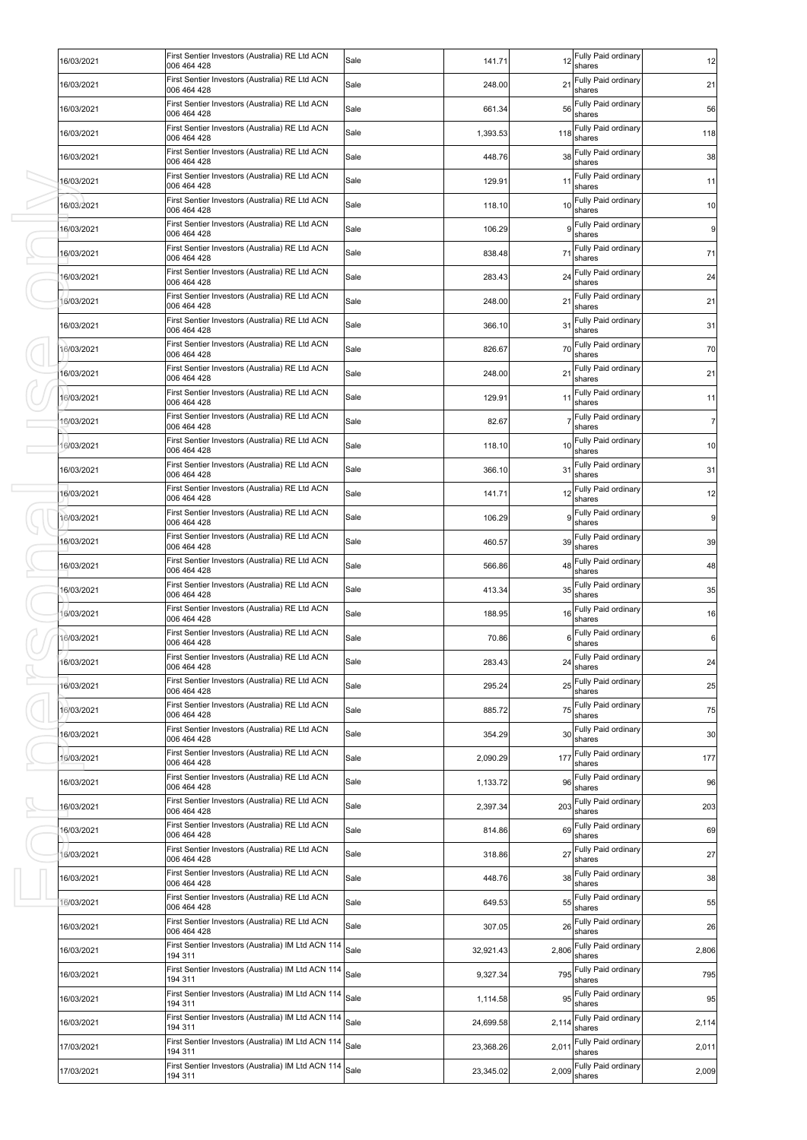| 16/03/2021 | First Sentier Investors (Australia) RE Ltd ACN<br>006 464 428      | Sale | 141.71    | 12    | Fully Paid ordinary<br>shares    | 12             |
|------------|--------------------------------------------------------------------|------|-----------|-------|----------------------------------|----------------|
| 16/03/2021 | First Sentier Investors (Australia) RE Ltd ACN<br>006 464 428      | Sale | 248.00    | 21    | Fully Paid ordinary<br>shares    | 21             |
| 16/03/2021 | First Sentier Investors (Australia) RE Ltd ACN<br>006 464 428      | Sale | 661.34    | 56    | Fully Paid ordinary<br>shares    | 56             |
| 16/03/2021 | First Sentier Investors (Australia) RE Ltd ACN<br>006 464 428      | Sale | 1,393.53  | 118   | Fully Paid ordinary<br>shares    | 118            |
| 16/03/2021 | First Sentier Investors (Australia) RE Ltd ACN<br>006 464 428      | Sale | 448.76    | 38    | Fully Paid ordinary<br>shares    | 38             |
| 16/03/2021 | First Sentier Investors (Australia) RE Ltd ACN<br>006 464 428      | Sale | 129.91    | 11    | Fully Paid ordinary<br>shares    | 11             |
| 16/03/2021 | First Sentier Investors (Australia) RE Ltd ACN<br>006 464 428      | Sale | 118.10    | 10    | Fully Paid ordinary<br>shares    | 10             |
| 16/03/2021 | First Sentier Investors (Australia) RE Ltd ACN<br>006 464 428      | Sale | 106.29    |       | Fully Paid ordinary<br>shares    | 9              |
| 16/03/2021 | First Sentier Investors (Australia) RE Ltd ACN<br>006 464 428      | Sale | 838.48    | 71    | Fully Paid ordinary<br>shares    | 71             |
| 16/03/2021 | First Sentier Investors (Australia) RE Ltd ACN<br>006 464 428      | Sale | 283.43    | 24    | Fully Paid ordinary<br>shares    | 24             |
| 16/03/2021 | First Sentier Investors (Australia) RE Ltd ACN<br>006 464 428      | Sale | 248.00    | 21    | Fully Paid ordinary<br>shares    | 21             |
| 16/03/2021 | First Sentier Investors (Australia) RE Ltd ACN<br>006 464 428      | Sale | 366.10    | 31    | Fully Paid ordinary<br>shares    | 31             |
| 16/03/2021 | First Sentier Investors (Australia) RE Ltd ACN<br>006 464 428      | Sale | 826.67    | 70    | Fully Paid ordinary<br>shares    | 70             |
| 16/03/2021 | First Sentier Investors (Australia) RE Ltd ACN<br>006 464 428      | Sale | 248.00    | 21    | Fully Paid ordinary<br>shares    | 21             |
| 16/03/2021 | First Sentier Investors (Australia) RE Ltd ACN<br>006 464 428      | Sale | 129.91    | 11    | Fully Paid ordinary<br>shares    | 11             |
| 16/03/2021 | First Sentier Investors (Australia) RE Ltd ACN<br>006 464 428      | Sale | 82.67     |       | Fully Paid ordinary<br>shares    | $\overline{7}$ |
| 16/03/2021 | First Sentier Investors (Australia) RE Ltd ACN<br>006 464 428      | Sale | 118.10    | 10    | Fully Paid ordinary<br>shares    | 10             |
| 16/03/2021 | First Sentier Investors (Australia) RE Ltd ACN<br>006 464 428      | Sale | 366.10    | 31    | Fully Paid ordinary<br>shares    | 31             |
| 16/03/2021 | First Sentier Investors (Australia) RE Ltd ACN<br>006 464 428      | Sale | 141.71    | 12    | Fully Paid ordinary<br>shares    | 12             |
| 16/03/2021 | First Sentier Investors (Australia) RE Ltd ACN<br>006 464 428      | Sale | 106.29    | 9     | Fully Paid ordinary<br>shares    | 9              |
| 16/03/2021 | First Sentier Investors (Australia) RE Ltd ACN<br>006 464 428      | Sale | 460.57    | 39    | Fully Paid ordinary<br>shares    | 39             |
| 16/03/2021 | First Sentier Investors (Australia) RE Ltd ACN<br>006 464 428      | Sale | 566.86    | 48    | Fully Paid ordinary<br>shares    | 48             |
| 16/03/2021 | First Sentier Investors (Australia) RE Ltd ACN<br>006 464 428      | Sale | 413.34    | 35    | Fully Paid ordinary<br>shares    | 35             |
| 16/03/2021 | First Sentier Investors (Australia) RE Ltd ACN<br>006 464 428      | Sale | 188.95    | 16    | Fully Paid ordinary<br>shares    | 16             |
| 16/03/2021 | First Sentier Investors (Australia) RE Ltd ACN<br>006 464 428      | Sale | 70.86     |       | Fully Paid ordinary<br>shares    | 6              |
| 16/03/2021 | First Sentier Investors (Australia) RE Ltd ACN<br>006 464 428      | Sale | 283.43    |       | 24 Fully Paid ordinary<br>shares | 24             |
| 16/03/2021 | First Sentier Investors (Australia) RE Ltd ACN<br>006 464 428      | Sale | 295.24    | 25    | Fully Paid ordinary<br>shares    | 25             |
| 16/03/2021 | First Sentier Investors (Australia) RE Ltd ACN<br>006 464 428      | Sale | 885.72    | 75    | Fully Paid ordinary<br>shares    | 75             |
| 16/03/2021 | First Sentier Investors (Australia) RE Ltd ACN<br>006 464 428      | Sale | 354.29    | 30    | Fully Paid ordinary<br>shares    | 30             |
| 16/03/2021 | First Sentier Investors (Australia) RE Ltd ACN<br>006 464 428      | Sale | 2,090.29  | 177   | Fully Paid ordinary<br>shares    | 177            |
| 16/03/2021 | First Sentier Investors (Australia) RE Ltd ACN<br>006 464 428      | Sale | 1,133.72  | 96    | Fully Paid ordinary<br>shares    | 96             |
| 16/03/2021 | First Sentier Investors (Australia) RE Ltd ACN<br>006 464 428      | Sale | 2,397.34  | 203   | Fully Paid ordinary<br>shares    | 203            |
| 16/03/2021 | First Sentier Investors (Australia) RE Ltd ACN<br>006 464 428      | Sale | 814.86    | 69    | Fully Paid ordinary<br>shares    | 69             |
| 16/03/2021 | First Sentier Investors (Australia) RE Ltd ACN<br>006 464 428      | Sale | 318.86    | 27    | Fully Paid ordinary<br>shares    | 27             |
| 16/03/2021 | First Sentier Investors (Australia) RE Ltd ACN<br>006 464 428      | Sale | 448.76    | 38    | Fully Paid ordinary<br>shares    | 38             |
| 16/03/2021 | First Sentier Investors (Australia) RE Ltd ACN<br>006 464 428      | Sale | 649.53    | 55    | Fully Paid ordinary<br>shares    | 55             |
| 16/03/2021 | First Sentier Investors (Australia) RE Ltd ACN<br>006 464 428      | Sale | 307.05    | 26    | Fully Paid ordinary<br>shares    | 26             |
| 16/03/2021 | First Sentier Investors (Australia) IM Ltd ACN 114<br>194 311      | Sale | 32,921.43 | 2,806 | Fully Paid ordinary<br>shares    | 2,806          |
| 16/03/2021 | First Sentier Investors (Australia) IM Ltd ACN 114<br>194 311      | Sale | 9,327.34  | 795   | Fully Paid ordinary<br>shares    | 795            |
| 16/03/2021 | First Sentier Investors (Australia) IM Ltd ACN 114<br>194 311      | Sale | 1,114.58  | 95    | Fully Paid ordinary<br>shares    | 95             |
| 16/03/2021 | First Sentier Investors (Australia) IM Ltd ACN 114<br>194 311      | Sale | 24,699.58 | 2,114 | Fully Paid ordinary<br>shares    | 2,114          |
| 17/03/2021 | First Sentier Investors (Australia) IM Ltd ACN 114<br>194 311      | Sale | 23,368.26 | 2,011 | Fully Paid ordinary<br>shares    | 2,011          |
| 17/03/2021 | First Sentier Investors (Australia) IM Ltd ACN 114 Sale<br>194 311 |      | 23,345.02 | 2,009 | Fully Paid ordinary<br>shares    | 2,009          |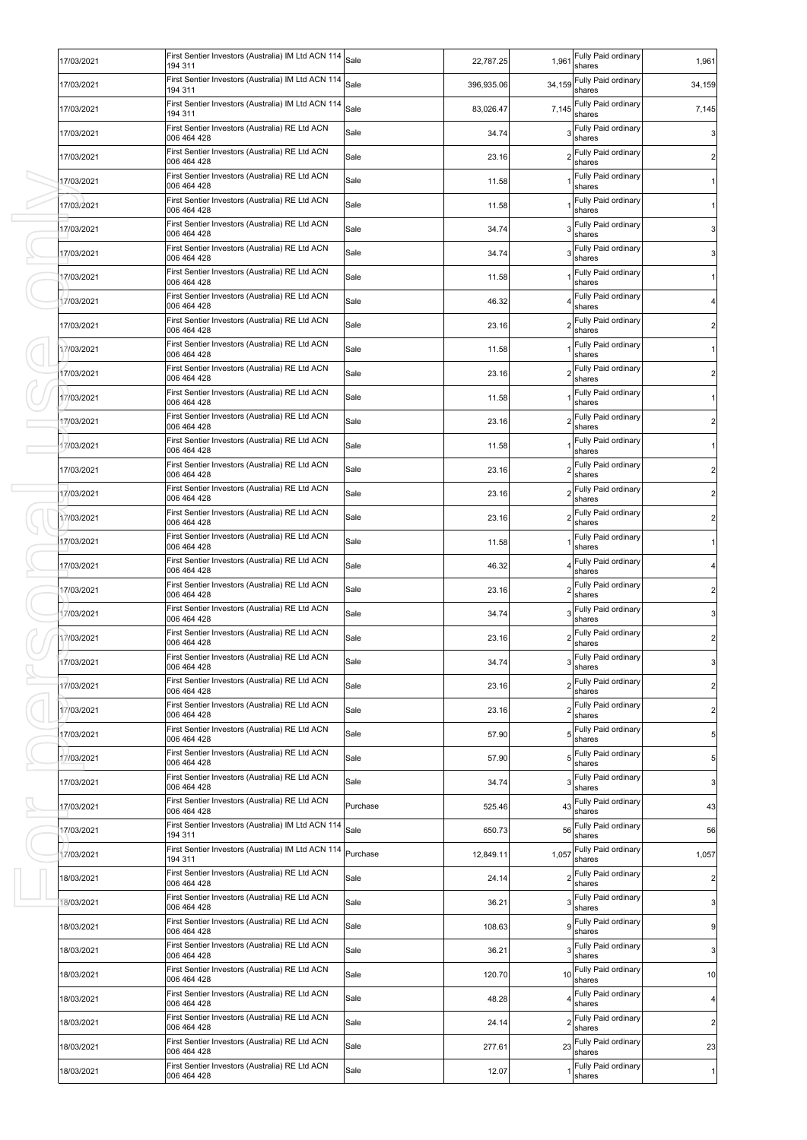| 17/03/2021 | First Sentier Investors (Australia) IM Ltd ACN 114<br>194 311                | Sale     | 22,787.25  | 1,961          | Fully Paid ordinary<br>shares    | 1,961          |
|------------|------------------------------------------------------------------------------|----------|------------|----------------|----------------------------------|----------------|
| 17/03/2021 | First Sentier Investors (Australia) IM Ltd ACN 114<br>194 311                | Sale     | 396.935.06 | 34,159         | Fully Paid ordinary<br>shares    | 34,159         |
| 17/03/2021 | First Sentier Investors (Australia) IM Ltd ACN 114<br>194 311                | Sale     | 83,026.47  | 7,145          | Fully Paid ordinary<br>shares    | 7,145          |
| 17/03/2021 | First Sentier Investors (Australia) RE Ltd ACN<br>006 464 428                | Sale     | 34.74      |                | Fully Paid ordinary<br>shares    | $\mathsf 3$    |
| 17/03/2021 | First Sentier Investors (Australia) RE Ltd ACN<br>006 464 428                | Sale     | 23.16      |                | Fully Paid ordinary<br>shares    | $\overline{a}$ |
| 17/03/2021 | First Sentier Investors (Australia) RE Ltd ACN<br>006 464 428                | Sale     | 11.58      |                | Fully Paid ordinary<br>shares    |                |
| 17/03/2021 | First Sentier Investors (Australia) RE Ltd ACN<br>006 464 428                | Sale     | 11.58      |                | Fully Paid ordinary<br>shares    |                |
| 17/03/2021 | First Sentier Investors (Australia) RE Ltd ACN<br>006 464 428                | Sale     | 34.74      |                | Fully Paid ordinary<br>shares    | 3              |
| 17/03/2021 | First Sentier Investors (Australia) RE Ltd ACN<br>006 464 428                | Sale     | 34.74      |                | Fully Paid ordinary<br>shares    | 3              |
| 17/03/2021 | First Sentier Investors (Australia) RE Ltd ACN<br>006 464 428                | Sale     | 11.58      |                | Fully Paid ordinary<br>shares    |                |
| 17/03/2021 | First Sentier Investors (Australia) RE Ltd ACN<br>006 464 428                | Sale     | 46.32      |                | Fully Paid ordinary<br>shares    |                |
| 17/03/2021 | First Sentier Investors (Australia) RE Ltd ACN<br>006 464 428                | Sale     | 23.16      |                | Fully Paid ordinary<br>shares    | 2              |
| 17/03/2021 | First Sentier Investors (Australia) RE Ltd ACN<br>006 464 428                | Sale     | 11.58      |                | Fully Paid ordinary<br>shares    |                |
| 17/03/2021 | First Sentier Investors (Australia) RE Ltd ACN<br>006 464 428                | Sale     | 23.16      |                | Fully Paid ordinary<br>shares    |                |
| 17/03/2021 | First Sentier Investors (Australia) RE Ltd ACN<br>006 464 428                | Sale     | 11.58      |                | Fully Paid ordinary<br>shares    |                |
| 17/03/2021 | First Sentier Investors (Australia) RE Ltd ACN<br>006 464 428                | Sale     | 23.16      |                | Fully Paid ordinary<br>shares    |                |
| 17/03/2021 | First Sentier Investors (Australia) RE Ltd ACN<br>006 464 428                | Sale     | 11.58      |                | Fully Paid ordinary<br>shares    |                |
| 17/03/2021 | First Sentier Investors (Australia) RE Ltd ACN<br>006 464 428                | Sale     | 23.16      |                | Fully Paid ordinary<br>shares    |                |
| 17/03/2021 | First Sentier Investors (Australia) RE Ltd ACN<br>006 464 428                | Sale     | 23.16      |                | Fully Paid ordinary<br>shares    |                |
| 17/03/2021 | First Sentier Investors (Australia) RE Ltd ACN<br>006 464 428                | Sale     | 23.16      |                | Fully Paid ordinary<br>shares    |                |
| 17/03/2021 | First Sentier Investors (Australia) RE Ltd ACN                               | Sale     | 11.58      |                | Fully Paid ordinary              |                |
| 17/03/2021 | 006 464 428<br>First Sentier Investors (Australia) RE Ltd ACN<br>006 464 428 | Sale     | 46.32      |                | shares<br>Fully Paid ordinary    |                |
| 17/03/2021 | First Sentier Investors (Australia) RE Ltd ACN                               | Sale     | 23.16      |                | shares<br>Fully Paid ordinary    | 2              |
| 17/03/2021 | 006 464 428<br>First Sentier Investors (Australia) RE Ltd ACN                | Sale     | 34.74      |                | shares<br>Fully Paid ordinary    | 3              |
| 17/03/2021 | 006 464 428<br>First Sentier Investors (Australia) RE Ltd ACN                | Sale     | 23.16      |                | shares<br>Fully Paid ordinary    | $\overline{c}$ |
| 17/03/2021 | 006 464 428<br>First Sentier Investors (Australia) RE Ltd ACN                | Sale     | 34.74      |                | shares<br>3 Fully Paid ordinary  | $\mathbf{3}$   |
| 17/03/2021 | 006 464 428<br>First Sentier Investors (Australia) RE Ltd ACN                | Sale     | 23.16      |                | shares<br>2 Fully Paid ordinary  | $\overline{c}$ |
| 17/03/2021 | 006 464 428<br>First Sentier Investors (Australia) RE Ltd ACN                | Sale     | 23.16      |                | shares<br>2 Fully Paid ordinary  | $\overline{c}$ |
| 17/03/2021 | 006 464 428<br>First Sentier Investors (Australia) RE Ltd ACN                | Sale     | 57.90      | 5              | shares<br>Fully Paid ordinary    | $\sqrt{5}$     |
| 17/03/2021 | 006 464 428<br>First Sentier Investors (Australia) RE Ltd ACN                | Sale     | 57.90      | 5              | shares<br>Fully Paid ordinary    | 5              |
| 17/03/2021 | 006 464 428<br>First Sentier Investors (Australia) RE Ltd ACN                | Sale     | 34.74      |                | shares<br>Fully Paid ordinary    | 3              |
| 17/03/2021 | 006 464 428<br>First Sentier Investors (Australia) RE Ltd ACN                | Purchase | 525.46     | 43             | shares<br>Fully Paid ordinary    | 43             |
| 17/03/2021 | 006 464 428<br>First Sentier Investors (Australia) IM Ltd ACN 114            | Sale     | 650.73     | 56             | shares<br>Fully Paid ordinary    | 56             |
| 17/03/2021 | 194 311<br>First Sentier Investors (Australia) IM Ltd ACN 114                | Purchase | 12,849.11  | 1,057          | shares<br>Fully Paid ordinary    | 1,057          |
| 18/03/2021 | 194 311<br>First Sentier Investors (Australia) RE Ltd ACN                    | Sale     | 24.14      | $\overline{2}$ | shares<br>Fully Paid ordinary    | $\overline{c}$ |
| 18/03/2021 | 006 464 428<br>First Sentier Investors (Australia) RE Ltd ACN                | Sale     | 36.21      |                | shares<br>Fully Paid ordinary    | $\mathbf{3}$   |
|            | 006 464 428<br>First Sentier Investors (Australia) RE Ltd ACN                | Sale     |            | 9              | shares<br>Fully Paid ordinary    | 9              |
| 18/03/2021 | 006 464 428<br>First Sentier Investors (Australia) RE Ltd ACN                | Sale     | 108.63     |                | shares<br>Fully Paid ordinary    |                |
| 18/03/2021 | 006 464 428<br>First Sentier Investors (Australia) RE Ltd ACN                |          | 36.21      | 10             | shares<br>Fully Paid ordinary    | 3              |
| 18/03/2021 | 006 464 428<br>First Sentier Investors (Australia) RE Ltd ACN                | Sale     | 120.70     |                | shares<br>Fully Paid ordinary    | 10             |
| 18/03/2021 | 006 464 428<br>First Sentier Investors (Australia) RE Ltd ACN                | Sale     | 48.28      |                | shares<br>Fully Paid ordinary    | 4              |
| 18/03/2021 | 006 464 428<br>First Sentier Investors (Australia) RE Ltd ACN                | Sale     | 24.14      |                | shares<br>23 Fully Paid ordinary | $\overline{c}$ |
| 18/03/2021 | 006 464 428<br>First Sentier Investors (Australia) RE Ltd ACN                | Sale     | 277.61     |                | shares<br>Fully Paid ordinary    | 23             |
| 18/03/2021 | 006 464 428                                                                  | Sale     | 12.07      |                | shares                           | 1              |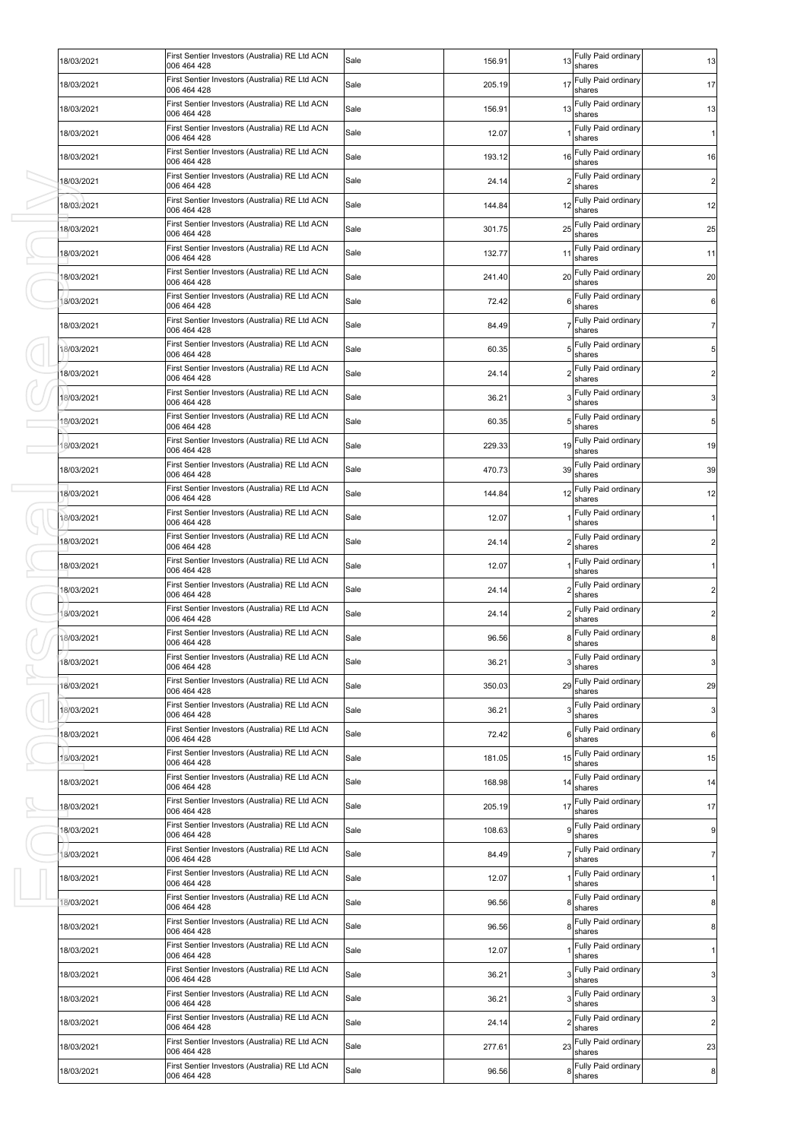| 18/03/2021               | First Sentier Investors (Australia) RE Ltd ACN<br>006 464 428 | Sale | 156.91 | 13 | Fully Paid ordinary<br>shares    | 13               |
|--------------------------|---------------------------------------------------------------|------|--------|----|----------------------------------|------------------|
| 18/03/2021               | First Sentier Investors (Australia) RE Ltd ACN<br>006 464 428 | Sale | 205.19 | 17 | Fully Paid ordinary<br>shares    | 17               |
| 18/03/2021               | First Sentier Investors (Australia) RE Ltd ACN<br>006 464 428 | Sale | 156.91 | 13 | Fully Paid ordinary<br>shares    | 13               |
| 18/03/2021               | First Sentier Investors (Australia) RE Ltd ACN<br>006 464 428 | Sale | 12.07  |    | Fully Paid ordinary<br>shares    | 1                |
| 18/03/2021               | First Sentier Investors (Australia) RE Ltd ACN<br>006 464 428 | Sale | 193.12 | 16 | Fully Paid ordinary<br>shares    | 16               |
| 18/03/2021               | First Sentier Investors (Australia) RE Ltd ACN<br>006 464 428 | Sale | 24.14  |    | Fully Paid ordinary<br>shares    | $\overline{a}$   |
| 18/03/2021               | First Sentier Investors (Australia) RE Ltd ACN<br>006 464 428 | Sale | 144.84 | 12 | Fully Paid ordinary<br>shares    | 12               |
| 18/03/2021               | First Sentier Investors (Australia) RE Ltd ACN<br>006 464 428 | Sale | 301.75 | 25 | Fully Paid ordinary<br>shares    | 25               |
| 18/03/2021               | First Sentier Investors (Australia) RE Ltd ACN<br>006 464 428 | Sale | 132.77 | 11 | Fully Paid ordinary<br>shares    | 11               |
| 18/03/2021               | First Sentier Investors (Australia) RE Ltd ACN<br>006 464 428 | Sale | 241.40 | 20 | Fully Paid ordinary<br>shares    | 20               |
| 18/03/2021               | First Sentier Investors (Australia) RE Ltd ACN<br>006 464 428 | Sale | 72.42  | 6  | Fully Paid ordinary<br>shares    | 6                |
| 18/03/2021               | First Sentier Investors (Australia) RE Ltd ACN<br>006 464 428 | Sale | 84.49  |    | Fully Paid ordinary<br>shares    | 7                |
| 18/03/2021               | First Sentier Investors (Australia) RE Ltd ACN<br>006 464 428 | Sale | 60.35  | 5  | Fully Paid ordinary<br>shares    | 5                |
| 18/03/2021               | First Sentier Investors (Australia) RE Ltd ACN<br>006 464 428 | Sale | 24.14  |    | Fully Paid ordinary<br>shares    | $\overline{2}$   |
| 18/03/2021               | First Sentier Investors (Australia) RE Ltd ACN<br>006 464 428 | Sale | 36.21  |    | Fully Paid ordinary<br>shares    | 3                |
| 18/03/2021               | First Sentier Investors (Australia) RE Ltd ACN<br>006 464 428 | Sale | 60.35  | 5  | Fully Paid ordinary              | 5                |
| 8/03/2021                | First Sentier Investors (Australia) RE Ltd ACN                | Sale | 229.33 | 19 | shares<br>Fully Paid ordinary    | 19               |
| 18/03/2021               | 006 464 428<br>First Sentier Investors (Australia) RE Ltd ACN | Sale | 470.73 |    | shares<br>39 Fully Paid ordinary | 39               |
| 18/03/2021               | 006 464 428<br>First Sentier Investors (Australia) RE Ltd ACN | Sale | 144.84 | 12 | shares<br>Fully Paid ordinary    | 12               |
| 18/03/2021               | 006 464 428<br>First Sentier Investors (Australia) RE Ltd ACN | Sale | 12.07  |    | shares<br>Fully Paid ordinary    |                  |
| 18/03/2021               | 006 464 428<br>First Sentier Investors (Australia) RE Ltd ACN | Sale | 24.14  |    | shares<br>Fully Paid ordinary    | $\overline{2}$   |
| 18/03/2021               | 006 464 428<br>First Sentier Investors (Australia) RE Ltd ACN | Sale | 12.07  |    | shares<br>Fully Paid ordinary    |                  |
| 18/03/2021               | 006 464 428<br>First Sentier Investors (Australia) RE Ltd ACN | Sale | 24.14  |    | shares<br>Fully Paid ordinary    | 2                |
| 18/03/2021               | 006 464 428<br>First Sentier Investors (Australia) RE Ltd ACN | Sale | 24.14  |    | shares<br>Fully Paid ordinary    | $\overline{c}$   |
| 18/03/2021               | 006 464 428<br>First Sentier Investors (Australia) RE Ltd ACN | Sale | 96.56  |    | shares<br>Fully Paid ordinary    | 8                |
| 18/03/2021               | 006 464 428<br>First Sentier Investors (Australia) RE Ltd ACN | Sale | 36.21  |    | shares<br>3 Fully Paid ordinary  | $\mathsf 3$      |
| 18/03/2021               | 006 464 428<br>First Sentier Investors (Australia) RE Ltd ACN | Sale | 350.03 | 29 | shares<br>Fully Paid ordinary    | 29               |
| 18/03/2021               | 006 464 428<br>First Sentier Investors (Australia) RE Ltd ACN | Sale | 36.21  |    | shares<br>Fully Paid ordinary    | 3                |
| 18/03/2021               | 006 464 428<br>First Sentier Investors (Australia) RE Ltd ACN | Sale | 72.42  | 6  | shares<br>Fully Paid ordinary    | 6                |
| 18/03/2021               | 006 464 428<br>First Sentier Investors (Australia) RE Ltd ACN | Sale | 181.05 | 15 | shares<br>Fully Paid ordinary    | 15               |
| 18/03/2021               | 006 464 428<br>First Sentier Investors (Australia) RE Ltd ACN | Sale | 168.98 | 14 | shares<br>Fully Paid ordinary    | 14               |
| 18/03/2021               | 006 464 428<br>First Sentier Investors (Australia) RE Ltd ACN | Sale | 205.19 |    | shares<br>17 Fully Paid ordinary | 17               |
| 18/03/2021               | 006 464 428<br>First Sentier Investors (Australia) RE Ltd ACN | Sale | 108.63 | 9  | shares<br>Fully Paid ordinary    | $\boldsymbol{9}$ |
| 18/03/2021               | 006 464 428<br>First Sentier Investors (Australia) RE Ltd ACN | Sale | 84.49  |    | shares<br>7 Fully Paid ordinary  | $\overline{7}$   |
| 18/03/2021               | 006 464 428<br>First Sentier Investors (Australia) RE Ltd ACN | Sale | 12.07  |    | shares<br>Fully Paid ordinary    | 1                |
| 18/03/2021               | 006 464 428<br>First Sentier Investors (Australia) RE Ltd ACN | Sale | 96.56  | 8  | shares<br>Fully Paid ordinary    | 8                |
|                          | 006 464 428<br>First Sentier Investors (Australia) RE Ltd ACN | Sale | 96.56  | 8  | shares<br>Fully Paid ordinary    |                  |
| 18/03/2021<br>18/03/2021 | 006 464 428<br>First Sentier Investors (Australia) RE Ltd ACN | Sale | 12.07  |    | shares<br>Fully Paid ordinary    | 8<br>1           |
|                          | 006 464 428<br>First Sentier Investors (Australia) RE Ltd ACN |      |        |    | shares<br>Fully Paid ordinary    |                  |
| 18/03/2021               | 006 464 428<br>First Sentier Investors (Australia) RE Ltd ACN | Sale | 36.21  |    | shares<br>Fully Paid ordinary    | 3                |
| 18/03/2021               | 006 464 428<br>First Sentier Investors (Australia) RE Ltd ACN | Sale | 36.21  |    | shares<br>Fully Paid ordinary    | $\mathbf{3}$     |
| 18/03/2021               | 006 464 428<br>First Sentier Investors (Australia) RE Ltd ACN | Sale | 24.14  |    | shares<br>Fully Paid ordinary    | $\overline{c}$   |
| 18/03/2021               | 006 464 428<br>First Sentier Investors (Australia) RE Ltd ACN | Sale | 277.61 | 23 | shares<br>Fully Paid ordinary    | 23               |
| 18/03/2021               | 006 464 428                                                   | Sale | 96.56  | 8  | shares                           | 8                |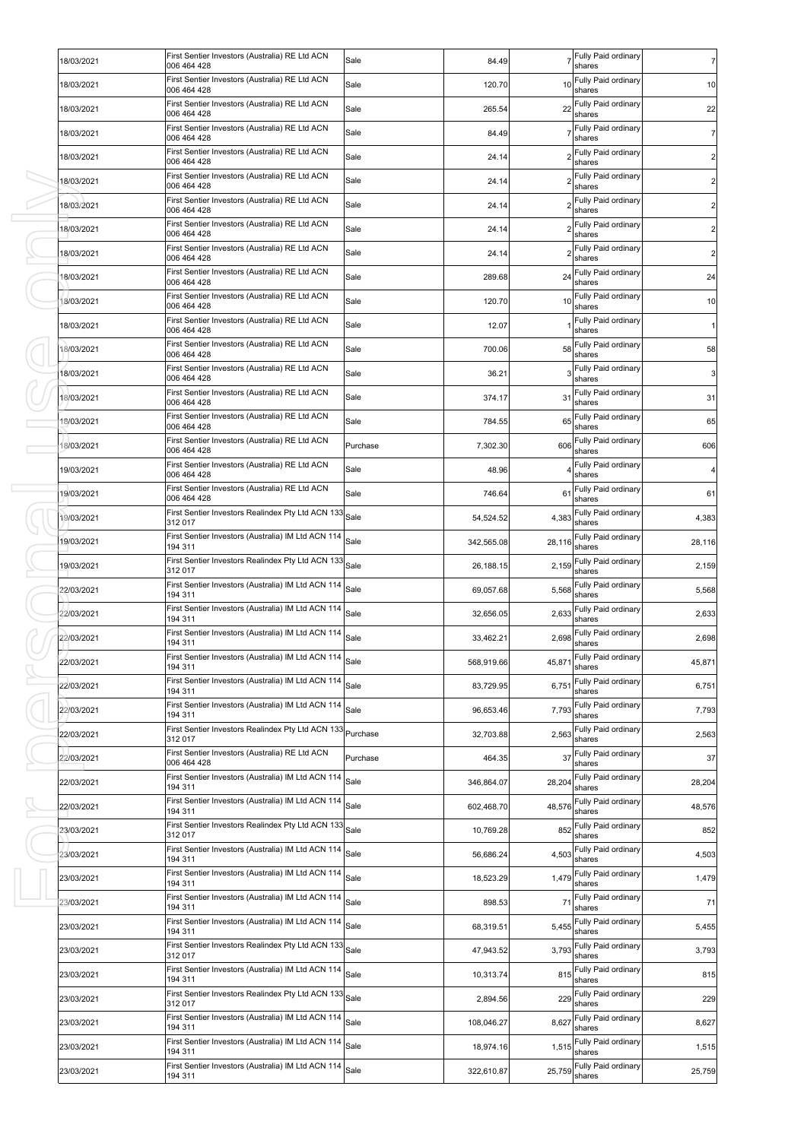| 18/03/2021 | First Sentier Investors (Australia) RE Ltd ACN<br>006 464 428         | Sale     | 84.49      |        | Fully Paid ordinary<br>shares        | $\overline{7}$ |
|------------|-----------------------------------------------------------------------|----------|------------|--------|--------------------------------------|----------------|
| 18/03/2021 | First Sentier Investors (Australia) RE Ltd ACN<br>006 464 428         | Sale     | 120.70     | 10     | Fully Paid ordinary<br>shares        | 10             |
| 18/03/2021 | First Sentier Investors (Australia) RE Ltd ACN<br>006 464 428         | Sale     | 265.54     | 22     | Fully Paid ordinary<br>shares        | 22             |
| 18/03/2021 | First Sentier Investors (Australia) RE Ltd ACN<br>006 464 428         | Sale     | 84.49      |        | Fully Paid ordinary<br>shares        | $\overline{7}$ |
| 18/03/2021 | First Sentier Investors (Australia) RE Ltd ACN<br>006 464 428         | Sale     | 24.14      |        | Fully Paid ordinary<br>shares        | $\overline{c}$ |
| 18/03/2021 | First Sentier Investors (Australia) RE Ltd ACN<br>006 464 428         | Sale     | 24.14      |        | Fully Paid ordinary<br>shares        | $\overline{2}$ |
| 8/03/2021  | First Sentier Investors (Australia) RE Ltd ACN<br>006 464 428         | Sale     | 24.14      |        | Fully Paid ordinary<br>shares        | $\overline{2}$ |
| 18/03/2021 | First Sentier Investors (Australia) RE Ltd ACN<br>006 464 428         | Sale     | 24.14      |        | Fully Paid ordinary<br>shares        | $2 \mid$       |
| 18/03/2021 | First Sentier Investors (Australia) RE Ltd ACN<br>006 464 428         | Sale     | 24.14      |        | Fully Paid ordinary<br>shares        | $2 \mid$       |
| 18/03/2021 | First Sentier Investors (Australia) RE Ltd ACN<br>006 464 428         | Sale     | 289.68     | 24     | Fully Paid ordinary<br>shares        | 24             |
| 18/03/2021 | First Sentier Investors (Australia) RE Ltd ACN<br>006 464 428         | Sale     | 120.70     | 10     | Fully Paid ordinary<br>shares        | 10             |
| 18/03/2021 | First Sentier Investors (Australia) RE Ltd ACN<br>006 464 428         | Sale     | 12.07      |        | Fully Paid ordinary<br>shares        | 1              |
| 18/03/2021 | First Sentier Investors (Australia) RE Ltd ACN<br>006 464 428         | Sale     | 700.06     | 58     | Fully Paid ordinary<br>shares        | 58             |
| 18/03/2021 | First Sentier Investors (Australia) RE Ltd ACN<br>006 464 428         | Sale     | 36.21      |        | Fully Paid ordinary<br>shares        | 3 <sub>l</sub> |
| 18/03/2021 | First Sentier Investors (Australia) RE Ltd ACN<br>006 464 428         | Sale     | 374.17     | 31     | Fully Paid ordinary<br>shares        | 31             |
| 18/03/2021 | First Sentier Investors (Australia) RE Ltd ACN<br>006 464 428         | Sale     | 784.55     | 65     | Fully Paid ordinary<br>shares        | 65             |
| 18/03/2021 | First Sentier Investors (Australia) RE Ltd ACN<br>006 464 428         | Purchase | 7,302.30   | 606    | Fully Paid ordinary<br>shares        | 606            |
| 19/03/2021 | First Sentier Investors (Australia) RE Ltd ACN<br>006 464 428         | Sale     | 48.96      |        | Fully Paid ordinary<br>shares        | 4              |
| 19/03/2021 | First Sentier Investors (Australia) RE Ltd ACN<br>006 464 428         | Sale     | 746.64     | 61     | Fully Paid ordinary<br>shares        | 61             |
| 19/03/2021 | First Sentier Investors Realindex Pty Ltd ACN 133<br>312 017          | Sale     | 54,524.52  | 4,383  | Fully Paid ordinary<br>shares        | 4,383          |
| 19/03/2021 | First Sentier Investors (Australia) IM Ltd ACN 114<br>194 311         | Sale     | 342,565.08 | 28,116 | Fully Paid ordinary<br>shares        | 28,116         |
| 19/03/2021 | First Sentier Investors Realindex Pty Ltd ACN 133<br>312 017          | Sale     | 26,188.15  | 2,159  | Fully Paid ordinary<br>shares        | 2,159          |
| 22/03/2021 | First Sentier Investors (Australia) IM Ltd ACN 114<br>194 311         | Sale     | 69,057.68  | 5,568  | Fully Paid ordinary<br>shares        | 5,568          |
| 22/03/2021 | First Sentier Investors (Australia) IM Ltd ACN 114<br>194 311         | Sale     | 32,656.05  | 2,633  | Fully Paid ordinary<br>shares        | 2,633          |
| 22/03/2021 | First Sentier Investors (Australia) IM Ltd ACN 114 Sale<br>194 311    |          | 33,462.21  | 2,698  | Fully Paid ordinary<br>shares        | 2,698          |
| 22/03/2021 | First Sentier Investors (Australia) IM Ltd ACN 114 Sale<br>194 311    |          | 568,919.66 |        | 45,871 Fully Paid ordinary<br>shares | 45,871         |
| 22/03/2021 | First Sentier Investors (Australia) IM Ltd ACN 114<br>194 311         | Sale     | 83,729.95  | 6,751  | Fully Paid ordinary<br>shares        | 6,751          |
| 22/03/2021 | First Sentier Investors (Australia) IM Ltd ACN 114<br>194 311         | Sale     | 96,653.46  | 7,793  | Fully Paid ordinary<br>shares        | 7,793          |
| 22/03/2021 | First Sentier Investors Realindex Pty Ltd ACN 133 Purchase<br>312 017 |          | 32,703.88  | 2,563  | Fully Paid ordinary<br>shares        | 2,563          |
| 22/03/2021 | First Sentier Investors (Australia) RE Ltd ACN<br>006 464 428         | Purchase | 464.35     | 37     | Fully Paid ordinary<br>shares        | 37             |
| 22/03/2021 | First Sentier Investors (Australia) IM Ltd ACN 114<br>194 311         | Sale     | 346,864.07 | 28,204 | Fully Paid ordinary<br>shares        | 28,204         |
| 22/03/2021 | First Sentier Investors (Australia) IM Ltd ACN 114<br>194 311         | Sale     | 602,468.70 | 48,576 | Fully Paid ordinary<br>shares        | 48,576         |
| 23/03/2021 | First Sentier Investors Realindex Pty Ltd ACN 133<br>312 017          | Sale     | 10,769.28  | 852    | Fully Paid ordinary<br>shares        | 852            |
| 23/03/2021 | First Sentier Investors (Australia) IM Ltd ACN 114<br>194 311         | Sale     | 56,686.24  |        | 4,503 Fully Paid ordinary<br>shares  | 4,503          |
| 23/03/2021 | First Sentier Investors (Australia) IM Ltd ACN 114<br>194 311         | Sale     | 18,523.29  | 1,479  | Fully Paid ordinary<br>shares        | 1,479          |
| 23/03/2021 | First Sentier Investors (Australia) IM Ltd ACN 114<br>194 311         | Sale     | 898.53     | 71     | Fully Paid ordinary<br>shares        | 71             |
| 23/03/2021 | First Sentier Investors (Australia) IM Ltd ACN 114<br>194 311         | Sale     | 68,319.51  | 5,455  | Fully Paid ordinary<br>shares        | 5,455          |
| 23/03/2021 | First Sentier Investors Realindex Pty Ltd ACN 133<br>312 017          | Sale     | 47,943.52  | 3,793  | Fully Paid ordinary<br>shares        | 3,793          |
| 23/03/2021 | First Sentier Investors (Australia) IM Ltd ACN 114<br>194 311         | Sale     | 10,313.74  | 815    | Fully Paid ordinary<br>shares        | 815            |
| 23/03/2021 | First Sentier Investors Realindex Pty Ltd ACN 133 Sale<br>312 017     |          | 2,894.56   | 229    | Fully Paid ordinary<br>shares        | 229            |
| 23/03/2021 | First Sentier Investors (Australia) IM Ltd ACN 114<br>194 311         | Sale     | 108,046.27 | 8,627  | Fully Paid ordinary<br>shares        | 8,627          |
| 23/03/2021 | First Sentier Investors (Australia) IM Ltd ACN 114<br>194 311         | Sale     | 18,974.16  | 1,515  | Fully Paid ordinary<br>shares        | 1,515          |
| 23/03/2021 | First Sentier Investors (Australia) IM Ltd ACN 114 Sale<br>194 311    |          | 322,610.87 | 25,759 | Fully Paid ordinary<br>shares        | 25,759         |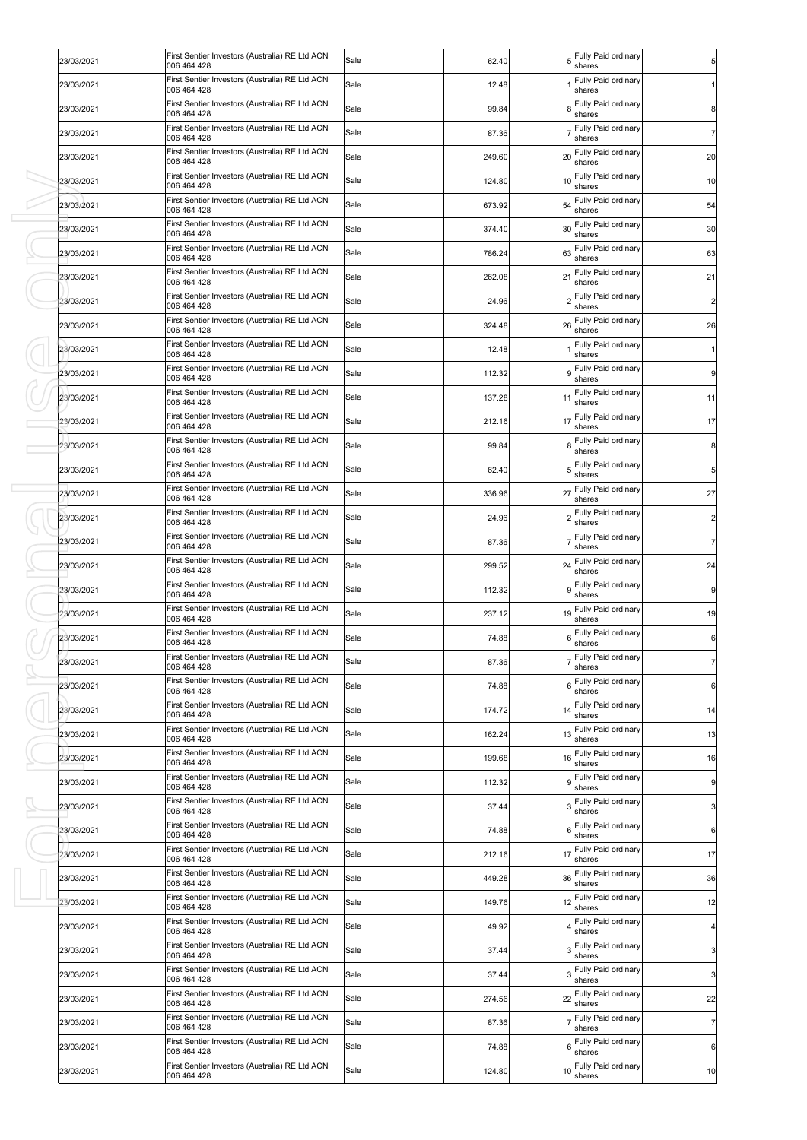| 23/03/2021 | First Sentier Investors (Australia) RE Ltd ACN                                                                                                                                                                                                                                                                                                                                                                                                                                                                                                                     | Sale | 62.40  |    | Fully Paid ordinary                                                                                                                                                                                                                                                                        | 5                |
|------------|--------------------------------------------------------------------------------------------------------------------------------------------------------------------------------------------------------------------------------------------------------------------------------------------------------------------------------------------------------------------------------------------------------------------------------------------------------------------------------------------------------------------------------------------------------------------|------|--------|----|--------------------------------------------------------------------------------------------------------------------------------------------------------------------------------------------------------------------------------------------------------------------------------------------|------------------|
| 23/03/2021 | 006 464 428<br>First Sentier Investors (Australia) RE Ltd ACN                                                                                                                                                                                                                                                                                                                                                                                                                                                                                                      | Sale | 12.48  |    | shares<br>Fully Paid ordinary                                                                                                                                                                                                                                                              |                  |
| 23/03/2021 | 006 464 428<br>First Sentier Investors (Australia) RE Ltd ACN                                                                                                                                                                                                                                                                                                                                                                                                                                                                                                      | Sale | 99.84  |    | shares<br>Fully Paid ordinary                                                                                                                                                                                                                                                              | 8                |
| 23/03/2021 | 006 464 428<br>First Sentier Investors (Australia) RE Ltd ACN                                                                                                                                                                                                                                                                                                                                                                                                                                                                                                      | Sale | 87.36  |    | shares<br>Fully Paid ordinary                                                                                                                                                                                                                                                              | $\overline{7}$   |
| 23/03/2021 | 006 464 428<br>First Sentier Investors (Australia) RE Ltd ACN                                                                                                                                                                                                                                                                                                                                                                                                                                                                                                      | Sale | 249.60 | 20 | shares<br>Fully Paid ordinary                                                                                                                                                                                                                                                              | 20               |
| 23/03/2021 | 006 464 428<br>First Sentier Investors (Australia) RE Ltd ACN                                                                                                                                                                                                                                                                                                                                                                                                                                                                                                      | Sale | 124.80 | 10 | shares<br>Fully Paid ordinary                                                                                                                                                                                                                                                              | 10               |
| 23/03/2021 | 006 464 428<br>First Sentier Investors (Australia) RE Ltd ACN                                                                                                                                                                                                                                                                                                                                                                                                                                                                                                      | Sale | 673.92 | 54 | shares<br>Fully Paid ordinary                                                                                                                                                                                                                                                              | 54               |
| 23/03/2021 | 006 464 428<br>First Sentier Investors (Australia) RE Ltd ACN                                                                                                                                                                                                                                                                                                                                                                                                                                                                                                      | Sale | 374.40 | 30 | shares<br>Fully Paid ordinary                                                                                                                                                                                                                                                              | 30               |
| 23/03/2021 | 006 464 428<br>First Sentier Investors (Australia) RE Ltd ACN                                                                                                                                                                                                                                                                                                                                                                                                                                                                                                      | Sale | 786.24 | 63 | shares<br>Fully Paid ordinary                                                                                                                                                                                                                                                              | 63               |
| 23/03/2021 | 006 464 428<br>First Sentier Investors (Australia) RE Ltd ACN                                                                                                                                                                                                                                                                                                                                                                                                                                                                                                      | Sale | 262.08 | 21 | shares<br>Fully Paid ordinary                                                                                                                                                                                                                                                              | 21               |
|            | 006 464 428<br>First Sentier Investors (Australia) RE Ltd ACN                                                                                                                                                                                                                                                                                                                                                                                                                                                                                                      |      |        |    | shares<br>Fully Paid ordinary                                                                                                                                                                                                                                                              |                  |
| 23/03/2021 | 006 464 428<br>First Sentier Investors (Australia) RE Ltd ACN                                                                                                                                                                                                                                                                                                                                                                                                                                                                                                      | Sale | 24.96  |    | shares<br>Fully Paid ordinary                                                                                                                                                                                                                                                              | $\overline{c}$   |
| 23/03/2021 | 006 464 428<br>First Sentier Investors (Australia) RE Ltd ACN                                                                                                                                                                                                                                                                                                                                                                                                                                                                                                      | Sale | 324.48 | 26 | shares<br>Fully Paid ordinary                                                                                                                                                                                                                                                              | 26               |
| 23/03/2021 | 006 464 428<br>First Sentier Investors (Australia) RE Ltd ACN                                                                                                                                                                                                                                                                                                                                                                                                                                                                                                      | Sale | 12.48  |    | shares<br>Fully Paid ordinary                                                                                                                                                                                                                                                              | 1                |
| 23/03/2021 | 006 464 428<br>First Sentier Investors (Australia) RE Ltd ACN                                                                                                                                                                                                                                                                                                                                                                                                                                                                                                      | Sale | 112.32 | 9  | shares<br>Fully Paid ordinary                                                                                                                                                                                                                                                              | 9                |
| 23/03/2021 | 006 464 428                                                                                                                                                                                                                                                                                                                                                                                                                                                                                                                                                        | Sale | 137.28 | 11 | shares                                                                                                                                                                                                                                                                                     | 11               |
| 23/03/2021 | 006 464 428                                                                                                                                                                                                                                                                                                                                                                                                                                                                                                                                                        | Sale | 212.16 | 17 | shares                                                                                                                                                                                                                                                                                     | 17               |
| 23/03/2021 | 006 464 428                                                                                                                                                                                                                                                                                                                                                                                                                                                                                                                                                        | Sale | 99.84  | 8  | shares                                                                                                                                                                                                                                                                                     | 8                |
| 23/03/2021 | 006 464 428                                                                                                                                                                                                                                                                                                                                                                                                                                                                                                                                                        | Sale | 62.40  | 5  | shares                                                                                                                                                                                                                                                                                     | 5                |
| 23/03/2021 | 006 464 428                                                                                                                                                                                                                                                                                                                                                                                                                                                                                                                                                        | Sale | 336.96 | 27 | shares                                                                                                                                                                                                                                                                                     | 27               |
| 23/03/2021 | 006 464 428                                                                                                                                                                                                                                                                                                                                                                                                                                                                                                                                                        | Sale | 24.96  |    | shares                                                                                                                                                                                                                                                                                     | $\overline{c}$   |
| 23/03/2021 | 006 464 428                                                                                                                                                                                                                                                                                                                                                                                                                                                                                                                                                        | Sale | 87.36  |    | shares                                                                                                                                                                                                                                                                                     | $\overline{7}$   |
| 23/03/2021 | 006 464 428                                                                                                                                                                                                                                                                                                                                                                                                                                                                                                                                                        | Sale | 299.52 | 24 | Fully Paid ordinary<br>shares                                                                                                                                                                                                                                                              | 24               |
| 23/03/2021 | First Sentier Investors (Australia) RE Ltd ACN<br>006 464 428                                                                                                                                                                                                                                                                                                                                                                                                                                                                                                      | Sale | 112.32 |    | Fully Paid ordinary<br>shares                                                                                                                                                                                                                                                              | 9                |
| 23/03/2021 | First Sentier Investors (Australia) RE Ltd ACN<br>006 464 428                                                                                                                                                                                                                                                                                                                                                                                                                                                                                                      | Sale | 237.12 | 19 | Fully Paid ordinary<br>shares                                                                                                                                                                                                                                                              | 19               |
| 23/03/2021 | First Sentier Investors (Australia) RE Ltd ACN<br>006 464 428                                                                                                                                                                                                                                                                                                                                                                                                                                                                                                      | Sale | 74.88  |    | Fully Paid ordinary<br>shares                                                                                                                                                                                                                                                              | 6                |
| 23/03/2021 | 006 464 428                                                                                                                                                                                                                                                                                                                                                                                                                                                                                                                                                        | Sale | 87.36  |    | shares                                                                                                                                                                                                                                                                                     | $\overline{7}$   |
| 23/03/2021 | First Sentier Investors (Australia) RE Ltd ACN<br>006 464 428                                                                                                                                                                                                                                                                                                                                                                                                                                                                                                      | Sale | 74.88  | 6  | Fully Paid ordinary<br>shares                                                                                                                                                                                                                                                              | $\,6$            |
| 23/03/2021 | First Sentier Investors (Australia) RE Ltd ACN<br>006 464 428                                                                                                                                                                                                                                                                                                                                                                                                                                                                                                      | Sale | 174.72 | 14 | Fully Paid ordinary<br>shares                                                                                                                                                                                                                                                              | 14               |
| 23/03/2021 | First Sentier Investors (Australia) RE Ltd ACN<br>006 464 428                                                                                                                                                                                                                                                                                                                                                                                                                                                                                                      | Sale | 162.24 | 13 | Fully Paid ordinary<br>shares                                                                                                                                                                                                                                                              | 13               |
| 23/03/2021 | First Sentier Investors (Australia) RE Ltd ACN<br>006 464 428                                                                                                                                                                                                                                                                                                                                                                                                                                                                                                      | Sale | 199.68 | 16 | Fully Paid ordinary<br>shares                                                                                                                                                                                                                                                              | 16               |
| 23/03/2021 | First Sentier Investors (Australia) RE Ltd ACN<br>006 464 428                                                                                                                                                                                                                                                                                                                                                                                                                                                                                                      | Sale | 112.32 |    | shares                                                                                                                                                                                                                                                                                     | $\boldsymbol{9}$ |
| 23/03/2021 | First Sentier Investors (Australia) RE Ltd ACN<br>006 464 428                                                                                                                                                                                                                                                                                                                                                                                                                                                                                                      | Sale | 37.44  |    | Fully Paid ordinary<br>shares                                                                                                                                                                                                                                                              | $\mathbf{3}$     |
| 23/03/2021 | First Sentier Investors (Australia) RE Ltd ACN<br>006 464 428                                                                                                                                                                                                                                                                                                                                                                                                                                                                                                      | Sale | 74.88  | 6  | Fully Paid ordinary<br>shares                                                                                                                                                                                                                                                              | $\,6$            |
| 23/03/2021 | First Sentier Investors (Australia) RE Ltd ACN                                                                                                                                                                                                                                                                                                                                                                                                                                                                                                                     | Sale | 212.16 | 17 | Fully Paid ordinary                                                                                                                                                                                                                                                                        | 17               |
| 23/03/2021 | First Sentier Investors (Australia) RE Ltd ACN                                                                                                                                                                                                                                                                                                                                                                                                                                                                                                                     | Sale | 449.28 | 36 | Fully Paid ordinary                                                                                                                                                                                                                                                                        | 36               |
| 23/03/2021 | First Sentier Investors (Australia) RE Ltd ACN                                                                                                                                                                                                                                                                                                                                                                                                                                                                                                                     | Sale | 149.76 | 12 | Fully Paid ordinary                                                                                                                                                                                                                                                                        | 12               |
| 23/03/2021 | First Sentier Investors (Australia) RE Ltd ACN                                                                                                                                                                                                                                                                                                                                                                                                                                                                                                                     | Sale | 49.92  |    | Fully Paid ordinary                                                                                                                                                                                                                                                                        | 4                |
| 23/03/2021 | First Sentier Investors (Australia) RE Ltd ACN                                                                                                                                                                                                                                                                                                                                                                                                                                                                                                                     | Sale | 37.44  |    | Fully Paid ordinary                                                                                                                                                                                                                                                                        | $\mathbf{3}$     |
| 23/03/2021 | First Sentier Investors (Australia) RE Ltd ACN                                                                                                                                                                                                                                                                                                                                                                                                                                                                                                                     | Sale | 37.44  |    | Fully Paid ordinary                                                                                                                                                                                                                                                                        | $\mathbf{3}$     |
| 23/03/2021 | First Sentier Investors (Australia) RE Ltd ACN                                                                                                                                                                                                                                                                                                                                                                                                                                                                                                                     | Sale | 274.56 | 22 | Fully Paid ordinary                                                                                                                                                                                                                                                                        | 22               |
| 23/03/2021 | First Sentier Investors (Australia) RE Ltd ACN                                                                                                                                                                                                                                                                                                                                                                                                                                                                                                                     | Sale | 87.36  |    | Fully Paid ordinary                                                                                                                                                                                                                                                                        | $\overline{7}$   |
| 23/03/2021 | First Sentier Investors (Australia) RE Ltd ACN                                                                                                                                                                                                                                                                                                                                                                                                                                                                                                                     | Sale | 74.88  | 6  | Fully Paid ordinary                                                                                                                                                                                                                                                                        | 6                |
| 23/03/2021 | First Sentier Investors (Australia) RE Ltd ACN                                                                                                                                                                                                                                                                                                                                                                                                                                                                                                                     | Sale | 124.80 |    | 10 Fully Paid ordinary                                                                                                                                                                                                                                                                     | 10               |
|            | First Sentier Investors (Australia) RE Ltd ACN<br>First Sentier Investors (Australia) RE Ltd ACN<br>First Sentier Investors (Australia) RE Ltd ACN<br>First Sentier Investors (Australia) RE Ltd ACN<br>First Sentier Investors (Australia) RE Ltd ACN<br>First Sentier Investors (Australia) RE Ltd ACN<br>First Sentier Investors (Australia) RE Ltd ACN<br>First Sentier Investors (Australia) RE Ltd ACN<br>006 464 428<br>006 464 428<br>006 464 428<br>006 464 428<br>006 464 428<br>006 464 428<br>006 464 428<br>006 464 428<br>006 464 428<br>006 464 428 |      |        |    | Fully Paid ordinary<br>Fully Paid ordinary<br>Fully Paid ordinary<br>Fully Paid ordinary<br>Fully Paid ordinary<br>Fully Paid ordinary<br>Fully Paid ordinary<br>9 Fully Paid ordinary<br>shares<br>shares<br>shares<br>shares<br>shares<br>shares<br>shares<br>shares<br>shares<br>shares |                  |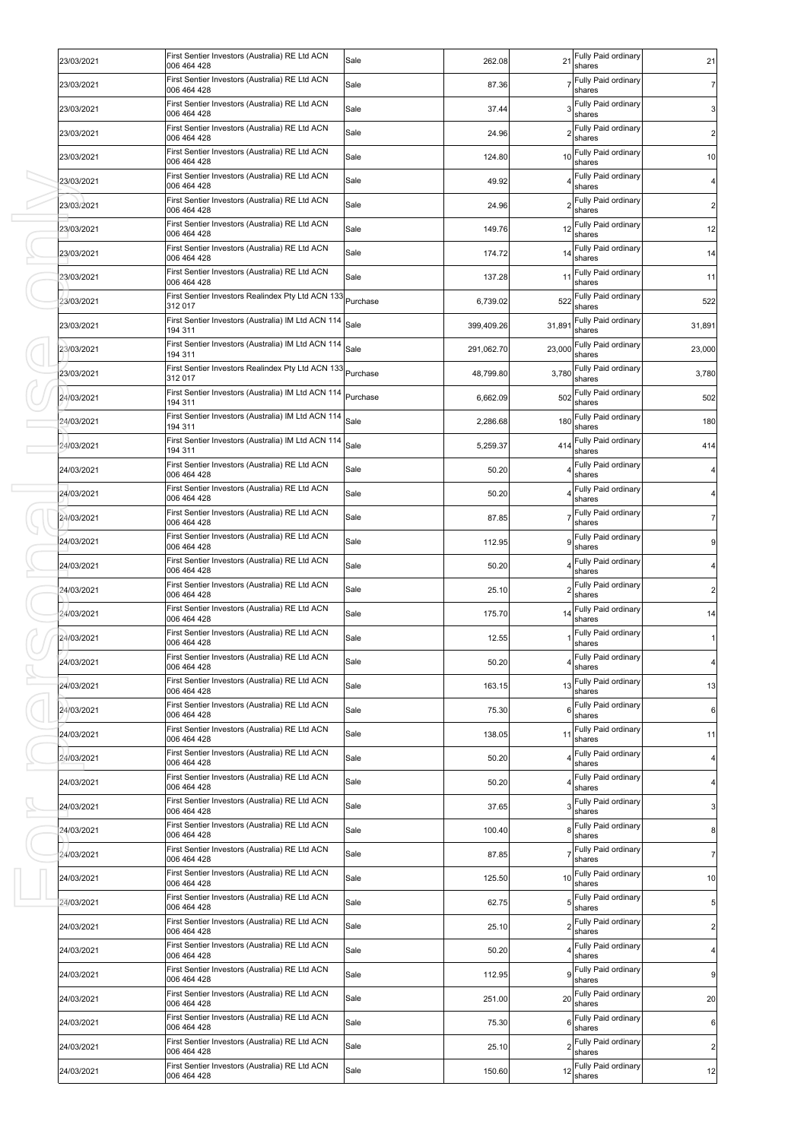| 23/03/2021 | First Sentier Investors (Australia) RE Ltd ACN<br>006 464 428         | Sale     | 262.08     | 21     | Fully Paid ordinary<br>shares   | 21             |
|------------|-----------------------------------------------------------------------|----------|------------|--------|---------------------------------|----------------|
| 23/03/2021 | First Sentier Investors (Australia) RE Ltd ACN<br>006 464 428         | Sale     | 87.36      |        | Fully Paid ordinary<br>shares   | $\overline{7}$ |
| 23/03/2021 | First Sentier Investors (Australia) RE Ltd ACN<br>006 464 428         | Sale     | 37.44      |        | Fully Paid ordinary<br>shares   | 3 <sub>l</sub> |
| 23/03/2021 | First Sentier Investors (Australia) RE Ltd ACN<br>006 464 428         | Sale     | 24.96      |        | Fully Paid ordinary<br>shares   | $\overline{2}$ |
| 23/03/2021 | First Sentier Investors (Australia) RE Ltd ACN<br>006 464 428         | Sale     | 124.80     | 10     | Fully Paid ordinary<br>shares   | 10             |
| 23/03/2021 | First Sentier Investors (Australia) RE Ltd ACN<br>006 464 428         | Sale     | 49.92      |        | Fully Paid ordinary<br>shares   | 4 <sub>1</sub> |
| 23/03/2021 | First Sentier Investors (Australia) RE Ltd ACN<br>006 464 428         | Sale     | 24.96      |        | Fully Paid ordinary<br>shares   | $2 \vert$      |
| 23/03/2021 | First Sentier Investors (Australia) RE Ltd ACN<br>006 464 428         | Sale     | 149.76     | 12     | Fully Paid ordinary<br>shares   | 12             |
| 23/03/2021 | First Sentier Investors (Australia) RE Ltd ACN<br>006 464 428         | Sale     | 174.72     | 14     | Fully Paid ordinary<br>shares   | 14             |
| 23/03/2021 | First Sentier Investors (Australia) RE Ltd ACN<br>006 464 428         | Sale     | 137.28     | 11     | Fully Paid ordinary<br>shares   | 11             |
| 23/03/2021 | First Sentier Investors Realindex Pty Ltd ACN 133<br>312 017          | Purchase | 6,739.02   | 522    | Fully Paid ordinary<br>shares   | 522            |
| 23/03/2021 | First Sentier Investors (Australia) IM Ltd ACN 114<br>194 311         | Sale     | 399,409.26 | 31,891 | Fully Paid ordinary<br>shares   | 31,891         |
| 23/03/2021 | First Sentier Investors (Australia) IM Ltd ACN 114<br>194 311         | Sale     | 291,062.70 | 23,000 | Fully Paid ordinary<br>shares   | 23,000         |
| 23/03/2021 | First Sentier Investors Realindex Pty Ltd ACN 133 Purchase<br>312 017 |          | 48,799.80  | 3,780  | Fully Paid ordinary<br>shares   | 3,780          |
| 24/03/2021 | First Sentier Investors (Australia) IM Ltd ACN 114<br>194 311         | Purchase | 6,662.09   | 502    | Fully Paid ordinary<br>shares   | 502            |
| 24/03/2021 | First Sentier Investors (Australia) IM Ltd ACN 114<br>194 311         | Sale     | 2,286.68   | 180    | Fully Paid ordinary<br>shares   | 180            |
| 24/03/2021 | First Sentier Investors (Australia) IM Ltd ACN 114<br>194 311         | Sale     | 5,259.37   | 414    | Fully Paid ordinary<br>shares   | 414            |
| 24/03/2021 | First Sentier Investors (Australia) RE Ltd ACN<br>006 464 428         | Sale     | 50.20      |        | Fully Paid ordinary<br>shares   | $\overline{a}$ |
| 24/03/2021 | First Sentier Investors (Australia) RE Ltd ACN<br>006 464 428         | Sale     | 50.20      |        | Fully Paid ordinary<br>shares   | 4              |
| 24/03/2021 | First Sentier Investors (Australia) RE Ltd ACN<br>006 464 428         | Sale     | 87.85      |        | Fully Paid ordinary<br>shares   | $\overline{7}$ |
| 24/03/2021 | First Sentier Investors (Australia) RE Ltd ACN<br>006 464 428         | Sale     | 112.95     |        | Fully Paid ordinary<br>shares   | 9              |
| 24/03/2021 | First Sentier Investors (Australia) RE Ltd ACN<br>006 464 428         | Sale     | 50.20      |        | Fully Paid ordinary<br>shares   | 4              |
| 24/03/2021 | First Sentier Investors (Australia) RE Ltd ACN<br>006 464 428         | Sale     | 25.10      |        | Fully Paid ordinary<br>shares   | $\overline{2}$ |
| 24/03/2021 | First Sentier Investors (Australia) RE Ltd ACN<br>006 464 428         | Sale     | 175.70     | 14     | Fully Paid ordinary<br>shares   | 14             |
| 24/03/2021 | First Sentier Investors (Australia) RE Ltd ACN<br>006 464 428         | Sale     | 12.55      |        | Fully Paid ordinary<br>shares   | $\mathbf{1}$   |
| 24/03/2021 | First Sentier Investors (Australia) RE Ltd ACN<br>006 464 428         | Sale     | 50.20      |        | 4 Fully Paid ordinary<br>shares | 4              |
| 24/03/2021 | First Sentier Investors (Australia) RE Ltd ACN<br>006 464 428         | Sale     | 163.15     | 13     | Fully Paid ordinary<br>shares   | 13             |
| 24/03/2021 | First Sentier Investors (Australia) RE Ltd ACN<br>006 464 428         | Sale     | 75.30      | 6      | Fully Paid ordinary<br>shares   | 6              |
| 24/03/2021 | First Sentier Investors (Australia) RE Ltd ACN<br>006 464 428         | Sale     | 138.05     | 11     | Fully Paid ordinary<br>shares   | 11             |
| 24/03/2021 | First Sentier Investors (Australia) RE Ltd ACN<br>006 464 428         | Sale     | 50.20      |        | Fully Paid ordinary<br>shares   | 4 <sub>1</sub> |
| 24/03/2021 | First Sentier Investors (Australia) RE Ltd ACN<br>006 464 428         | Sale     | 50.20      |        | Fully Paid ordinary<br>shares   | $\overline{4}$ |
| 24/03/2021 | First Sentier Investors (Australia) RE Ltd ACN<br>006 464 428         | Sale     | 37.65      |        | Fully Paid ordinary<br>shares   | 3 <sup>1</sup> |
| 24/03/2021 | First Sentier Investors (Australia) RE Ltd ACN<br>006 464 428         | Sale     | 100.40     |        | Fully Paid ordinary<br>shares   | 8              |
| 24/03/2021 | First Sentier Investors (Australia) RE Ltd ACN<br>006 464 428         | Sale     | 87.85      |        | Fully Paid ordinary<br>shares   | $\overline{7}$ |
| 24/03/2021 | First Sentier Investors (Australia) RE Ltd ACN<br>006 464 428         | Sale     | 125.50     | 10     | Fully Paid ordinary<br>shares   | 10             |
| 24/03/2021 | First Sentier Investors (Australia) RE Ltd ACN<br>006 464 428         | Sale     | 62.75      |        | Fully Paid ordinary<br>shares   | 5 <sub>1</sub> |
| 24/03/2021 | First Sentier Investors (Australia) RE Ltd ACN<br>006 464 428         | Sale     | 25.10      |        | Fully Paid ordinary<br>shares   | $\overline{2}$ |
| 24/03/2021 | First Sentier Investors (Australia) RE Ltd ACN<br>006 464 428         | Sale     | 50.20      |        | Fully Paid ordinary<br>shares   | 4 <sub>1</sub> |
| 24/03/2021 | First Sentier Investors (Australia) RE Ltd ACN<br>006 464 428         | Sale     | 112.95     |        | Fully Paid ordinary<br>shares   | 9              |
| 24/03/2021 | First Sentier Investors (Australia) RE Ltd ACN<br>006 464 428         | Sale     | 251.00     | 20     | Fully Paid ordinary<br>shares   | 20             |
| 24/03/2021 | First Sentier Investors (Australia) RE Ltd ACN<br>006 464 428         | Sale     | 75.30      | 6      | Fully Paid ordinary<br>shares   | 6              |
| 24/03/2021 | First Sentier Investors (Australia) RE Ltd ACN<br>006 464 428         | Sale     | 25.10      |        | Fully Paid ordinary<br>shares   | $\overline{2}$ |
| 24/03/2021 | First Sentier Investors (Australia) RE Ltd ACN<br>006 464 428         | Sale     | 150.60     | 12     | Fully Paid ordinary<br>shares   | 12             |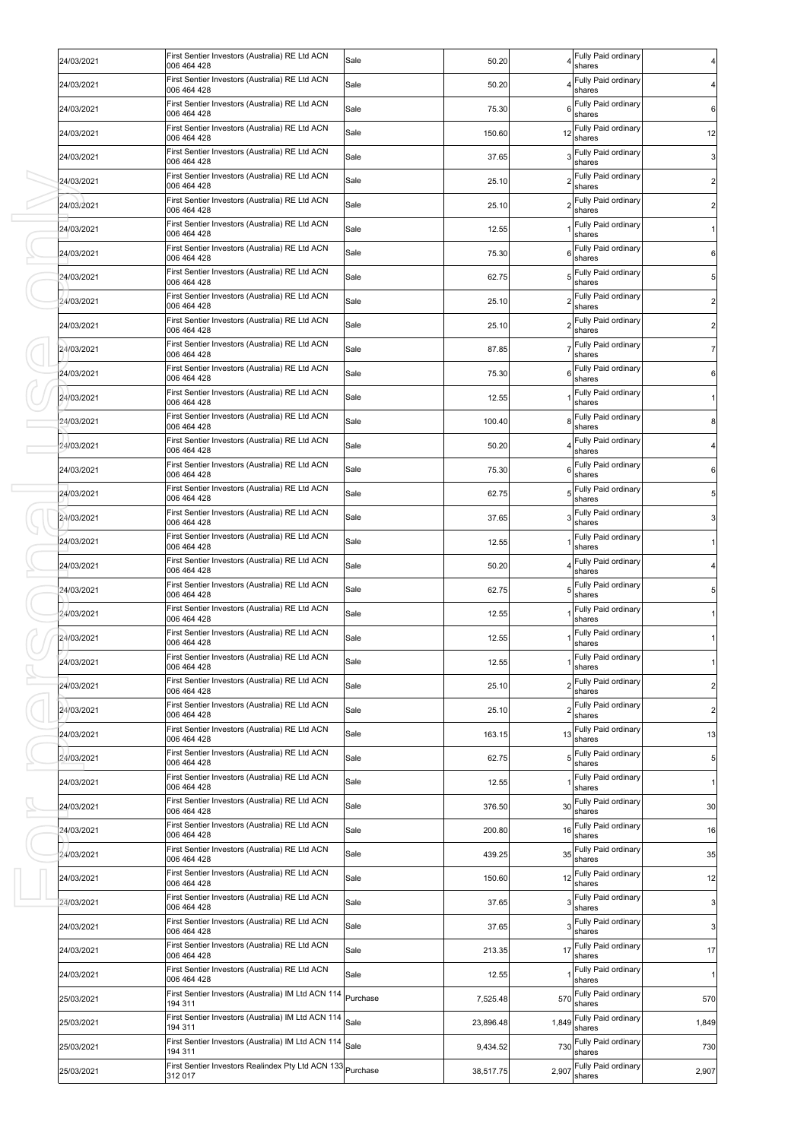| 24/03/2021 | First Sentier Investors (Australia) RE Ltd ACN<br>006 464 428         | Sale     | 50.20     |       | Fully Paid ordinary<br>shares     |                         |
|------------|-----------------------------------------------------------------------|----------|-----------|-------|-----------------------------------|-------------------------|
| 24/03/2021 | First Sentier Investors (Australia) RE Ltd ACN<br>006 464 428         | Sale     | 50.20     |       | Fully Paid ordinary<br>shares     | 4                       |
| 24/03/2021 | First Sentier Investors (Australia) RE Ltd ACN<br>006 464 428         | Sale     | 75.30     | 6     | Fully Paid ordinary<br>shares     | 6                       |
| 24/03/2021 | First Sentier Investors (Australia) RE Ltd ACN<br>006 464 428         | Sale     | 150.60    | 12    | Fully Paid ordinary<br>shares     | 12                      |
| 24/03/2021 | First Sentier Investors (Australia) RE Ltd ACN<br>006 464 428         | Sale     | 37.65     |       | Fully Paid ordinary<br>shares     | 3                       |
| 24/03/2021 | First Sentier Investors (Australia) RE Ltd ACN<br>006 464 428         | Sale     | 25.10     |       | Fully Paid ordinary<br>shares     | $\overline{\mathbf{c}}$ |
| 24/03/2021 | First Sentier Investors (Australia) RE Ltd ACN<br>006 464 428         | Sale     | 25.10     |       | 2 Fully Paid ordinary<br>shares   | $\overline{2}$          |
| 24/03/2021 | First Sentier Investors (Australia) RE Ltd ACN<br>006 464 428         | Sale     | 12.55     |       | Fully Paid ordinary<br>shares     |                         |
| 24/03/2021 | First Sentier Investors (Australia) RE Ltd ACN<br>006 464 428         | Sale     | 75.30     | 6     | Fully Paid ordinary<br>shares     | 6                       |
| 24/03/2021 | First Sentier Investors (Australia) RE Ltd ACN<br>006 464 428         | Sale     | 62.75     |       | Fully Paid ordinary<br>shares     | 5                       |
| 24/03/2021 | First Sentier Investors (Australia) RE Ltd ACN<br>006 464 428         | Sale     | 25.10     |       | Fully Paid ordinary<br>shares     | 2                       |
| 24/03/2021 | First Sentier Investors (Australia) RE Ltd ACN<br>006 464 428         | Sale     | 25.10     |       | Fully Paid ordinary<br>shares     | 2                       |
| 24/03/2021 | First Sentier Investors (Australia) RE Ltd ACN<br>006 464 428         | Sale     | 87.85     |       | Fully Paid ordinary<br>shares     | 7                       |
| 24/03/2021 | First Sentier Investors (Australia) RE Ltd ACN<br>006 464 428         | Sale     | 75.30     |       | Fully Paid ordinary<br>shares     | 6                       |
| 24/03/2021 | First Sentier Investors (Australia) RE Ltd ACN                        | Sale     | 12.55     |       | Fully Paid ordinary               |                         |
| 24/03/2021 | 006 464 428<br>First Sentier Investors (Australia) RE Ltd ACN         | Sale     | 100.40    | 8     | shares<br>Fully Paid ordinary     | 8                       |
| 24/03/2021 | 006 464 428<br>First Sentier Investors (Australia) RE Ltd ACN         | Sale     | 50.20     |       | shares<br>Fully Paid ordinary     |                         |
| 24/03/2021 | 006 464 428<br>First Sentier Investors (Australia) RE Ltd ACN         | Sale     | 75.30     | 6     | shares<br>Fully Paid ordinary     | 6                       |
| 24/03/2021 | 006 464 428<br>First Sentier Investors (Australia) RE Ltd ACN         | Sale     | 62.75     | 5     | shares<br>Fully Paid ordinary     | 5                       |
| 24/03/2021 | 006 464 428<br>First Sentier Investors (Australia) RE Ltd ACN         | Sale     | 37.65     |       | shares<br>Fully Paid ordinary     |                         |
| 24/03/2021 | 006 464 428<br>First Sentier Investors (Australia) RE Ltd ACN         | Sale     | 12.55     |       | shares<br>Fully Paid ordinary     |                         |
| 24/03/2021 | 006 464 428<br>First Sentier Investors (Australia) RE Ltd ACN         | Sale     | 50.20     |       | shares<br>Fully Paid ordinary     |                         |
| 24/03/2021 | 006 464 428<br>First Sentier Investors (Australia) RE Ltd ACN         | Sale     | 62.75     | 5     | shares<br>Fully Paid ordinary     |                         |
| 24/03/2021 | 006 464 428<br>First Sentier Investors (Australia) RE Ltd ACN         | Sale     |           |       | shares<br>Fully Paid ordinary     |                         |
|            | 006 464 428<br>First Sentier Investors (Australia) RE Ltd ACN         | Sale     | 12.55     |       | shares<br>Fully Paid ordinary     |                         |
| 24/03/2021 | 006 464 428<br>First Sentier Investors (Australia) RE Ltd ACN         |          | 12.55     |       | shares<br>1 Fully Paid ordinary   |                         |
| 24/03/2021 | 006 464 428<br>First Sentier Investors (Australia) RE Ltd ACN         | Sale     | 12.55     |       | shares<br>Fully Paid ordinary     | 1                       |
| 24/03/2021 | 006 464 428<br>First Sentier Investors (Australia) RE Ltd ACN         | Sale     | 25.10     |       | shares<br>Fully Paid ordinary     | $\overline{c}$          |
| 24/03/2021 | 006 464 428<br>First Sentier Investors (Australia) RE Ltd ACN         | Sale     | 25.10     |       | shares<br>Fully Paid ordinary     | $\overline{a}$          |
| 24/03/2021 | 006 464 428<br>First Sentier Investors (Australia) RE Ltd ACN         | Sale     | 163.15    | 13    | shares<br>Fully Paid ordinary     | 13                      |
| 24/03/2021 | 006 464 428<br>First Sentier Investors (Australia) RE Ltd ACN         | Sale     | 62.75     | 5     | shares<br>Fully Paid ordinary     | $\overline{5}$          |
| 24/03/2021 | 006 464 428                                                           | Sale     | 12.55     |       | shares                            | $\mathbf{1}$            |
| 24/03/2021 | First Sentier Investors (Australia) RE Ltd ACN<br>006 464 428         | Sale     | 376.50    |       | 30 Fully Paid ordinary<br>shares  | 30                      |
| 24/03/2021 | First Sentier Investors (Australia) RE Ltd ACN<br>006 464 428         | Sale     | 200.80    | 16    | Fully Paid ordinary<br>shares     | 16                      |
| 24/03/2021 | First Sentier Investors (Australia) RE Ltd ACN<br>006 464 428         | Sale     | 439.25    | 35    | Fully Paid ordinary<br>shares     | 35                      |
| 24/03/2021 | First Sentier Investors (Australia) RE Ltd ACN<br>006 464 428         | Sale     | 150.60    | 12    | Fully Paid ordinary<br>shares     | 12                      |
| 24/03/2021 | First Sentier Investors (Australia) RE Ltd ACN<br>006 464 428         | Sale     | 37.65     |       | Fully Paid ordinary<br>shares     | 3                       |
| 24/03/2021 | First Sentier Investors (Australia) RE Ltd ACN<br>006 464 428         | Sale     | 37.65     |       | Fully Paid ordinary<br>shares     | $\mathbf{3}$            |
| 24/03/2021 | First Sentier Investors (Australia) RE Ltd ACN<br>006 464 428         | Sale     | 213.35    | 17    | Fully Paid ordinary<br>shares     | 17                      |
| 24/03/2021 | First Sentier Investors (Australia) RE Ltd ACN<br>006 464 428         | Sale     | 12.55     |       | Fully Paid ordinary<br>shares     | 1                       |
| 25/03/2021 | First Sentier Investors (Australia) IM Ltd ACN 114<br>194 311         | Purchase | 7,525.48  | 570   | Fully Paid ordinary<br>shares     | 570                     |
| 25/03/2021 | First Sentier Investors (Australia) IM Ltd ACN 114<br>194 311         | Sale     | 23,896.48 | 1,849 | Fully Paid ordinary<br>shares     | 1,849                   |
| 25/03/2021 | First Sentier Investors (Australia) IM Ltd ACN 114<br>194 311         | Sale     | 9,434.52  |       | 730 Fully Paid ordinary<br>shares | 730                     |
| 25/03/2021 | First Sentier Investors Realindex Pty Ltd ACN 133 Purchase<br>312 017 |          | 38,517.75 | 2,907 | Fully Paid ordinary<br>shares     | 2,907                   |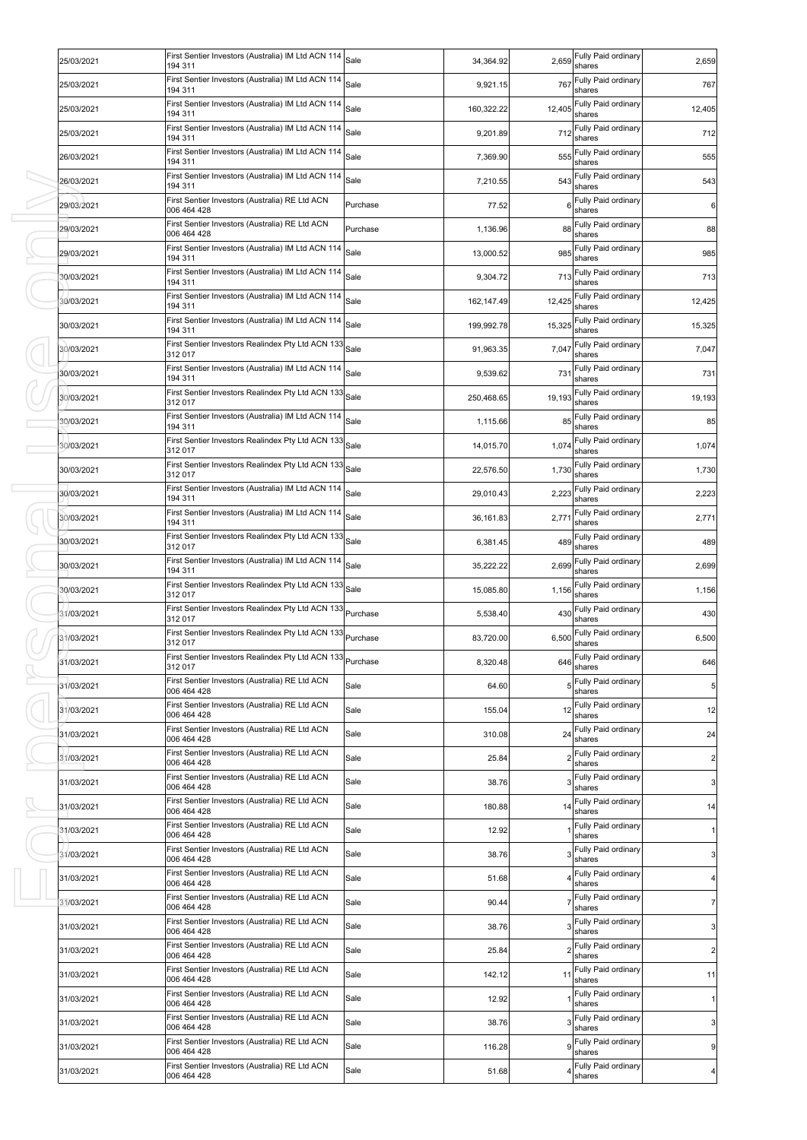| 25/03/2021 | First Sentier Investors (Australia) IM Ltd ACN 114 Sale<br>194 311    |          | 34,364.92  | 2,659          | Fully Paid ordinary<br>shares     | 2,659                   |
|------------|-----------------------------------------------------------------------|----------|------------|----------------|-----------------------------------|-------------------------|
| 25/03/2021 | First Sentier Investors (Australia) IM Ltd ACN 114<br>194 311         | Sale     | 9,921.15   | 767            | Fully Paid ordinary<br>shares     | 767                     |
| 25/03/2021 | First Sentier Investors (Australia) IM Ltd ACN 114<br>194 311         | Sale     | 160,322.22 | 12,405         | Fully Paid ordinary<br>shares     | 12,405                  |
| 25/03/2021 | First Sentier Investors (Australia) IM Ltd ACN 114<br>194 311         | Sale     | 9,201.89   | 712            | Fully Paid ordinary<br>shares     | 712                     |
| 26/03/2021 | First Sentier Investors (Australia) IM Ltd ACN 114<br>194 311         | Sale     | 7,369.90   | 555            | Fully Paid ordinary<br>shares     | 555                     |
| 26/03/2021 | First Sentier Investors (Australia) IM Ltd ACN 114<br>194 311         | Sale     | 7,210.55   | 543            | Fully Paid ordinary<br>shares     | 543                     |
| 29/03/2021 | First Sentier Investors (Australia) RE Ltd ACN<br>006 464 428         | Purchase | 77.52      | 6              | Fully Paid ordinary<br>shares     | $\,6$                   |
| 29/03/2021 | First Sentier Investors (Australia) RE Ltd ACN<br>006 464 428         | Purchase | 1,136.96   | 88             | Fully Paid ordinary<br>shares     | 88                      |
| 29/03/2021 | First Sentier Investors (Australia) IM Ltd ACN 114<br>194 311         | Sale     | 13,000.52  | 985            | Fully Paid ordinary<br>shares     | 985                     |
| 30/03/2021 | First Sentier Investors (Australia) IM Ltd ACN 114<br>194 311         | Sale     | 9,304.72   | 713            | Fully Paid ordinary<br>shares     | 713                     |
| 30/03/2021 | First Sentier Investors (Australia) IM Ltd ACN 114<br>194 311         | Sale     | 162,147.49 | 12,425         | Fully Paid ordinary<br>shares     | 12,425                  |
| 30/03/2021 | First Sentier Investors (Australia) IM Ltd ACN 114<br>194 311         | Sale     | 199,992.78 | 15,325         | Fully Paid ordinary<br>shares     | 15,325                  |
| 30/03/2021 | First Sentier Investors Realindex Pty Ltd ACN 133<br>312 017          | Sale     | 91,963.35  | 7,047          | Fully Paid ordinary<br>shares     | 7,047                   |
| 30/03/2021 | First Sentier Investors (Australia) IM Ltd ACN 114<br>194 311         | Sale     | 9,539.62   | 731            | Fully Paid ordinary<br>shares     | 731                     |
| 30/03/2021 | First Sentier Investors Realindex Pty Ltd ACN 133 Sale<br>312 017     |          | 250,468.65 | 19,193         | Fully Paid ordinary<br>shares     | 19,193                  |
| 30/03/2021 | First Sentier Investors (Australia) IM Ltd ACN 114 Sale<br>194 311    |          | 1,115.66   | 85             | Fully Paid ordinary<br>shares     | 85                      |
| 30/03/2021 | First Sentier Investors Realindex Pty Ltd ACN 133<br>312 017          | Sale     | 14,015.70  | 1,074          | Fully Paid ordinary<br>shares     | 1,074                   |
| 30/03/2021 | First Sentier Investors Realindex Pty Ltd ACN 133<br>312 017          | Sale     | 22,576.50  | 1,730          | Fully Paid ordinary<br>shares     | 1,730                   |
| 30/03/2021 | First Sentier Investors (Australia) IM Ltd ACN 114<br>194 311         | Sale     | 29,010.43  | 2,223          | Fully Paid ordinary<br>shares     | 2,223                   |
| 30/03/2021 | First Sentier Investors (Australia) IM Ltd ACN 114<br>194 311         | Sale     | 36,161.83  | 2,771          | Fully Paid ordinary<br>shares     | 2,771                   |
| 30/03/2021 | First Sentier Investors Realindex Pty Ltd ACN 133 Sale<br>312 017     |          | 6,381.45   | 489            | Fully Paid ordinary<br>shares     | 489                     |
| 30/03/2021 | First Sentier Investors (Australia) IM Ltd ACN 114<br>194 311         | Sale     | 35,222.22  | 2,699          | Fully Paid ordinary<br>shares     | 2,699                   |
| 30/03/2021 | First Sentier Investors Realindex Pty Ltd ACN 133 Sale<br>312 017     |          | 15,085.80  | 1,156          | Fully Paid ordinary<br>shares     | 1,156                   |
| 31/03/2021 | First Sentier Investors Realindex Pty Ltd ACN 133 Purchase<br>312 017 |          | 5,538.40   | 430            | Fully Paid ordinary<br>shares     | 430                     |
| 31/03/2021 | First Sentier Investors Realindex Pty Ltd ACN 133 Purchase<br>312 017 |          | 83,720.00  | 6,500          | Fully Paid ordinary<br>shares     | 6,500                   |
| 31/03/2021 | First Sentier Investors Realindex Pty Ltd ACN 133<br>312 017          | Purchase | 8,320.48   |                | 646 Fully Paid ordinary<br>shares | 646                     |
| 31/03/2021 | First Sentier Investors (Australia) RE Ltd ACN<br>006 464 428         | Sale     | 64.60      | 5              | Fully Paid ordinary<br>shares     | 5                       |
| 31/03/2021 | First Sentier Investors (Australia) RE Ltd ACN<br>006 464 428         | Sale     | 155.04     | 12             | Fully Paid ordinary<br>shares     | 12                      |
| 31/03/2021 | First Sentier Investors (Australia) RE Ltd ACN<br>006 464 428         | Sale     | 310.08     |                | 24 Fully Paid ordinary<br>shares  | 24                      |
| 31/03/2021 | First Sentier Investors (Australia) RE Ltd ACN<br>006 464 428         | Sale     | 25.84      | $\overline{a}$ | Fully Paid ordinary<br>shares     | $\overline{2}$          |
| 31/03/2021 | First Sentier Investors (Australia) RE Ltd ACN<br>006 464 428         | Sale     | 38.76      |                | Fully Paid ordinary<br>shares     | 3                       |
| 31/03/2021 | First Sentier Investors (Australia) RE Ltd ACN<br>006 464 428         | Sale     | 180.88     | 14             | Fully Paid ordinary<br>shares     | 14                      |
| 31/03/2021 | First Sentier Investors (Australia) RE Ltd ACN<br>006 464 428         | Sale     | 12.92      |                | Fully Paid ordinary<br>shares     | 1                       |
| 31/03/2021 | First Sentier Investors (Australia) RE Ltd ACN<br>006 464 428         | Sale     | 38.76      |                | 3 Fully Paid ordinary<br>shares   | 3                       |
| 31/03/2021 | First Sentier Investors (Australia) RE Ltd ACN<br>006 464 428         | Sale     | 51.68      |                | Fully Paid ordinary<br>shares     | 4                       |
| 31/03/2021 | First Sentier Investors (Australia) RE Ltd ACN<br>006 464 428         | Sale     | 90.44      |                | Fully Paid ordinary<br>shares     | 7                       |
| 31/03/2021 | First Sentier Investors (Australia) RE Ltd ACN<br>006 464 428         | Sale     | 38.76      |                | Fully Paid ordinary<br>shares     | $\mathbf{3}$            |
| 31/03/2021 | First Sentier Investors (Australia) RE Ltd ACN<br>006 464 428         | Sale     | 25.84      |                | Fully Paid ordinary<br>shares     | $\overline{\mathbf{c}}$ |
| 31/03/2021 | First Sentier Investors (Australia) RE Ltd ACN<br>006 464 428         | Sale     | 142.12     | 11             | Fully Paid ordinary<br>shares     | 11                      |
| 31/03/2021 | First Sentier Investors (Australia) RE Ltd ACN<br>006 464 428         | Sale     | 12.92      |                | Fully Paid ordinary<br>shares     | 1                       |
| 31/03/2021 | First Sentier Investors (Australia) RE Ltd ACN<br>006 464 428         | Sale     | 38.76      |                | Fully Paid ordinary<br>shares     | 3                       |
| 31/03/2021 | First Sentier Investors (Australia) RE Ltd ACN<br>006 464 428         | Sale     | 116.28     |                | 9 Fully Paid ordinary<br>shares   | 9                       |
| 31/03/2021 | First Sentier Investors (Australia) RE Ltd ACN<br>006 464 428         | Sale     | 51.68      |                | Fully Paid ordinary<br>shares     | 4                       |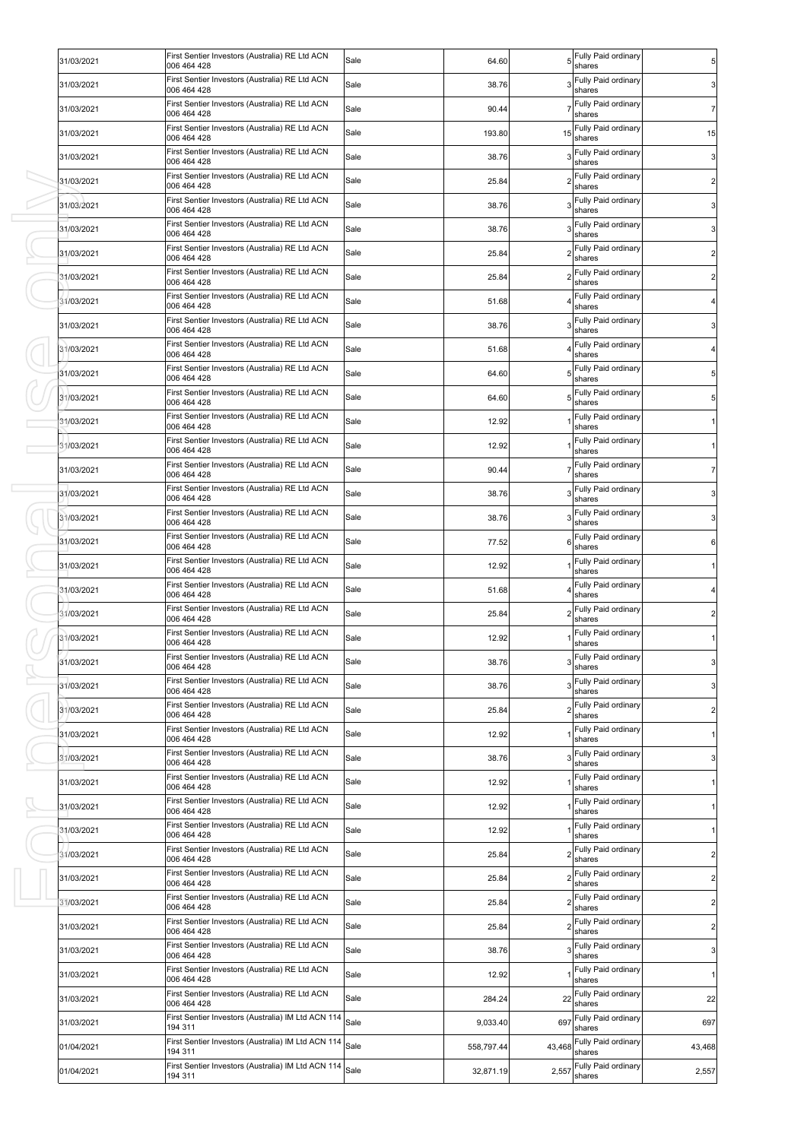| 31/03/2021 | First Sentier Investors (Australia) RE Ltd ACN<br>006 464 428     | Sale | 64.60      |        | Fully Paid ordinary<br>shares   | 5                 |
|------------|-------------------------------------------------------------------|------|------------|--------|---------------------------------|-------------------|
| 31/03/2021 | First Sentier Investors (Australia) RE Ltd ACN<br>006 464 428     | Sale | 38.76      |        | Fully Paid ordinary<br>shares   | $\mathbf{3}$      |
| 31/03/2021 | First Sentier Investors (Australia) RE Ltd ACN<br>006 464 428     | Sale | 90.44      |        | Fully Paid ordinary<br>shares   | 7                 |
| 31/03/2021 | First Sentier Investors (Australia) RE Ltd ACN<br>006 464 428     | Sale | 193.80     | 15     | Fully Paid ordinary<br>shares   | 15                |
| 31/03/2021 | First Sentier Investors (Australia) RE Ltd ACN<br>006 464 428     | Sale | 38.76      |        | Fully Paid ordinary<br>shares   | $\mathbf{3}$      |
| 31/03/2021 | First Sentier Investors (Australia) RE Ltd ACN<br>006 464 428     | Sale | 25.84      |        | Fully Paid ordinary<br>shares   | $\overline{a}$    |
| 31/03/2021 | First Sentier Investors (Australia) RE Ltd ACN<br>006 464 428     | Sale | 38.76      |        | Fully Paid ordinary<br>shares   | $\mathbf{3}$      |
| 31/03/2021 | First Sentier Investors (Australia) RE Ltd ACN<br>006 464 428     | Sale | 38.76      |        | Fully Paid ordinary<br>shares   | 3                 |
| 31/03/2021 | First Sentier Investors (Australia) RE Ltd ACN<br>006 464 428     | Sale | 25.84      |        | Fully Paid ordinary<br>shares   | 2                 |
| 31/03/2021 | First Sentier Investors (Australia) RE Ltd ACN<br>006 464 428     | Sale | 25.84      |        | Fully Paid ordinary<br>shares   | 2                 |
| 31/03/2021 | First Sentier Investors (Australia) RE Ltd ACN<br>006 464 428     | Sale | 51.68      |        | Fully Paid ordinary<br>shares   |                   |
| 31/03/2021 | First Sentier Investors (Australia) RE Ltd ACN<br>006 464 428     | Sale | 38.76      |        | Fully Paid ordinary<br>shares   | 3                 |
| 31/03/2021 | First Sentier Investors (Australia) RE Ltd ACN<br>006 464 428     | Sale | 51.68      |        | Fully Paid ordinary<br>shares   |                   |
| 31/03/2021 | First Sentier Investors (Australia) RE Ltd ACN<br>006 464 428     | Sale | 64.60      |        | Fully Paid ordinary<br>shares   | 5                 |
| 31/03/2021 | First Sentier Investors (Australia) RE Ltd ACN<br>006 464 428     | Sale | 64.60      |        | Fully Paid ordinary<br>shares   | 5                 |
| 31/03/2021 | First Sentier Investors (Australia) RE Ltd ACN<br>006 464 428     | Sale | 12.92      |        | Fully Paid ordinary             |                   |
| 31/03/2021 | First Sentier Investors (Australia) RE Ltd ACN<br>006 464 428     | Sale | 12.92      |        | shares<br>Fully Paid ordinary   |                   |
| 31/03/2021 | First Sentier Investors (Australia) RE Ltd ACN                    | Sale | 90.44      |        | shares<br>Fully Paid ordinary   |                   |
| 31/03/2021 | 006 464 428<br>First Sentier Investors (Australia) RE Ltd ACN     | Sale | 38.76      |        | shares<br>Fully Paid ordinary   | 3                 |
| 31/03/2021 | 006 464 428<br>First Sentier Investors (Australia) RE Ltd ACN     | Sale | 38.76      |        | shares<br>Fully Paid ordinary   | З                 |
| 31/03/2021 | 006 464 428<br>First Sentier Investors (Australia) RE Ltd ACN     | Sale | 77.52      | 6      | shares<br>Fully Paid ordinary   |                   |
| 31/03/2021 | 006 464 428<br>First Sentier Investors (Australia) RE Ltd ACN     | Sale | 12.92      |        | shares<br>Fully Paid ordinary   |                   |
| 31/03/2021 | 006 464 428<br>First Sentier Investors (Australia) RE Ltd ACN     | Sale | 51.68      |        | shares<br>Fully Paid ordinary   |                   |
| 31/03/2021 | 006 464 428<br>First Sentier Investors (Australia) RE Ltd ACN     | Sale | 25.84      |        | shares<br>Fully Paid ordinary   | 2                 |
| 31/03/2021 | 006 464 428<br>First Sentier Investors (Australia) RE Ltd ACN     | Sale | 12.92      |        | shares<br>Fully Paid ordinary   |                   |
| 31/03/2021 | 006 464 428<br>First Sentier Investors (Australia) RE Ltd ACN     | Sale | 38.76      |        | shares<br>3 Fully Paid ordinary | $\mathbf{3}$      |
| 31/03/2021 | 006 464 428<br>First Sentier Investors (Australia) RE Ltd ACN     | Sale | 38.76      |        | shares<br>Fully Paid ordinary   | $\mathbf{3}$      |
| 31/03/2021 | 006 464 428<br>First Sentier Investors (Australia) RE Ltd ACN     | Sale | 25.84      |        | shares<br>Fully Paid ordinary   | $\overline{c}$    |
| 31/03/2021 | 006 464 428<br>First Sentier Investors (Australia) RE Ltd ACN     | Sale | 12.92      |        | shares<br>Fully Paid ordinary   | 1                 |
|            | 006 464 428<br>First Sentier Investors (Australia) RE Ltd ACN     | Sale | 38.76      |        | shares<br>Fully Paid ordinary   |                   |
| 31/03/2021 | 006 464 428<br>First Sentier Investors (Australia) RE Ltd ACN     |      |            |        | shares<br>Fully Paid ordinary   | $\mathbf{3}$<br>1 |
| 31/03/2021 | 006 464 428<br>First Sentier Investors (Australia) RE Ltd ACN     | Sale | 12.92      |        | shares<br>Fully Paid ordinary   |                   |
| 31/03/2021 | 006 464 428<br>First Sentier Investors (Australia) RE Ltd ACN     | Sale | 12.92      |        | shares<br>Fully Paid ordinary   | 1                 |
| 31/03/2021 | 006 464 428<br>First Sentier Investors (Australia) RE Ltd ACN     | Sale | 12.92      |        | shares<br>Fully Paid ordinary   | 1                 |
| 31/03/2021 | 006 464 428<br>First Sentier Investors (Australia) RE Ltd ACN     | Sale | 25.84      |        | shares<br>Fully Paid ordinary   | $\overline{c}$    |
| 31/03/2021 | 006 464 428<br>First Sentier Investors (Australia) RE Ltd ACN     | Sale | 25.84      |        | shares<br>Fully Paid ordinary   | $\overline{c}$    |
| 31/03/2021 | 006 464 428<br>First Sentier Investors (Australia) RE Ltd ACN     | Sale | 25.84      |        | shares<br>Fully Paid ordinary   | $\overline{2}$    |
| 31/03/2021 | 006 464 428<br>First Sentier Investors (Australia) RE Ltd ACN     | Sale | 25.84      |        | shares<br>Fully Paid ordinary   | $\overline{2}$    |
| 31/03/2021 | 006 464 428<br>First Sentier Investors (Australia) RE Ltd ACN     | Sale | 38.76      |        | shares<br>Fully Paid ordinary   | $\mathbf{3}$      |
| 31/03/2021 | 006 464 428<br>First Sentier Investors (Australia) RE Ltd ACN     | Sale | 12.92      |        | shares<br>Fully Paid ordinary   | $\mathbf{1}$      |
| 31/03/2021 | 006 464 428<br>First Sentier Investors (Australia) IM Ltd ACN 114 | Sale | 284.24     | 22     | shares                          | 22                |
| 31/03/2021 | 194 311<br>First Sentier Investors (Australia) IM Ltd ACN 114     | Sale | 9,033.40   | 697    | Fully Paid ordinary<br>shares   | 697               |
| 01/04/2021 | 194 311                                                           | Sale | 558,797.44 | 43,468 | Fully Paid ordinary<br>shares   | 43,468            |
| 01/04/2021 | First Sentier Investors (Australia) IM Ltd ACN 114<br>194 311     | Sale | 32,871.19  | 2,557  | Fully Paid ordinary<br>shares   | 2,557             |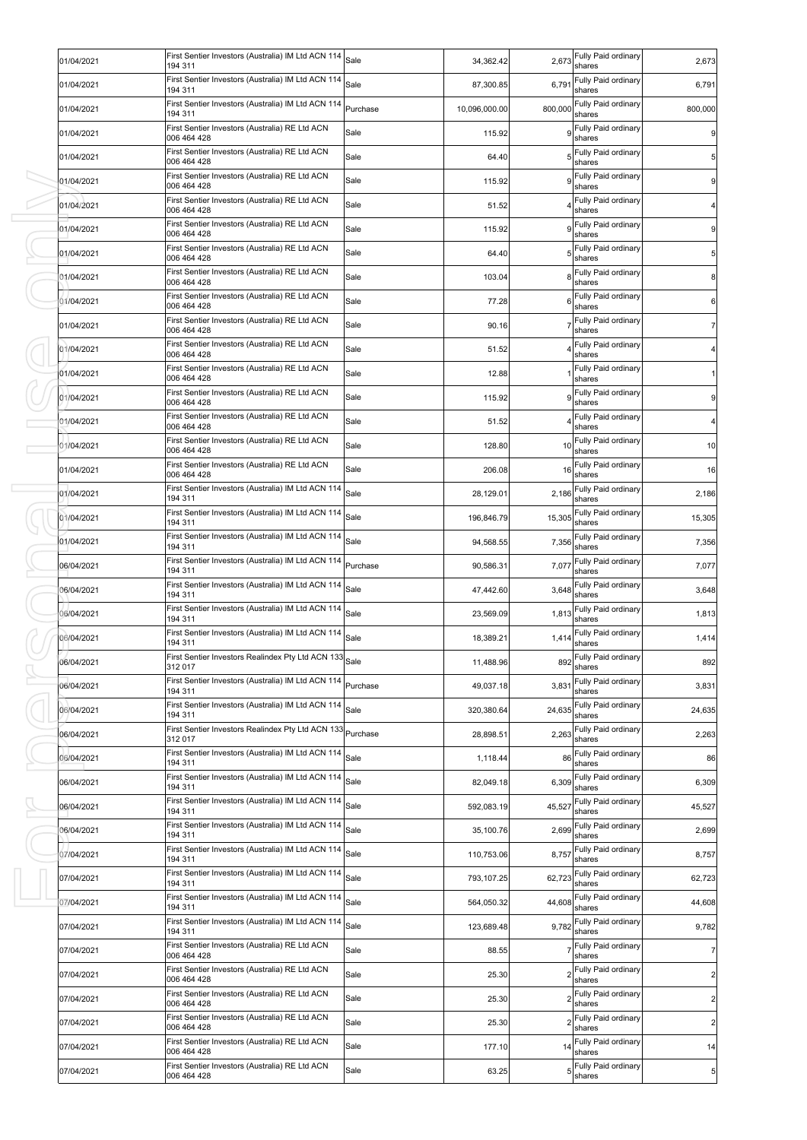| 01/04/2021 | First Sentier Investors (Australia) IM Ltd ACN 114 Sale<br>194 311 |          | 34,362.42     | 2,673   | Fully Paid ordinary<br>shares     | 2,673                   |
|------------|--------------------------------------------------------------------|----------|---------------|---------|-----------------------------------|-------------------------|
| 01/04/2021 | First Sentier Investors (Australia) IM Ltd ACN 114<br>194 311      | Sale     | 87,300.85     | 6,791   | Fully Paid ordinary<br>shares     | 6,791                   |
| 01/04/2021 | First Sentier Investors (Australia) IM Ltd ACN 114<br>194 311      | Purchase | 10,096,000.00 | 800,000 | Fully Paid ordinary<br>shares     | 800,000                 |
| 01/04/2021 | First Sentier Investors (Australia) RE Ltd ACN<br>006 464 428      | Sale     | 115.92        |         | Fully Paid ordinary<br>shares     | 9                       |
| 01/04/2021 | First Sentier Investors (Australia) RE Ltd ACN<br>006 464 428      | Sale     | 64.40         |         | Fully Paid ordinary<br>shares     | $\overline{5}$          |
| 01/04/2021 | First Sentier Investors (Australia) RE Ltd ACN<br>006 464 428      | Sale     | 115.92        |         | Fully Paid ordinary<br>shares     | 9                       |
| 01/04/2021 | First Sentier Investors (Australia) RE Ltd ACN<br>006 464 428      | Sale     | 51.52         |         | Fully Paid ordinary<br>shares     | $\overline{\mathbf{4}}$ |
| 01/04/2021 | First Sentier Investors (Australia) RE Ltd ACN<br>006 464 428      | Sale     | 115.92        |         | Fully Paid ordinary<br>shares     | 9                       |
| 01/04/2021 | First Sentier Investors (Australia) RE Ltd ACN<br>006 464 428      | Sale     | 64.40         |         | Fully Paid ordinary<br>shares     | 5                       |
| 01/04/2021 | First Sentier Investors (Australia) RE Ltd ACN<br>006 464 428      | Sale     | 103.04        |         | Fully Paid ordinary<br>shares     | 8                       |
| 01/04/2021 | First Sentier Investors (Australia) RE Ltd ACN<br>006 464 428      | Sale     | 77.28         |         | Fully Paid ordinary<br>shares     | 6                       |
| 01/04/2021 | First Sentier Investors (Australia) RE Ltd ACN<br>006 464 428      | Sale     | 90.16         |         | Fully Paid ordinary<br>shares     | $\overline{7}$          |
| 01/04/2021 | First Sentier Investors (Australia) RE Ltd ACN<br>006 464 428      | Sale     | 51.52         |         | Fully Paid ordinary<br>shares     | $\overline{4}$          |
| 01/04/2021 | First Sentier Investors (Australia) RE Ltd ACN<br>006 464 428      | Sale     | 12.88         |         | Fully Paid ordinary<br>shares     | 1                       |
| 01/04/2021 | First Sentier Investors (Australia) RE Ltd ACN<br>006 464 428      | Sale     | 115.92        |         | Fully Paid ordinary<br>shares     | 9                       |
| 01/04/2021 | First Sentier Investors (Australia) RE Ltd ACN<br>006 464 428      | Sale     | 51.52         |         | Fully Paid ordinary<br>shares     | 4                       |
| 01/04/2021 | First Sentier Investors (Australia) RE Ltd ACN<br>006 464 428      | Sale     | 128.80        | 10      | Fully Paid ordinary<br>shares     | 10                      |
| 01/04/2021 | First Sentier Investors (Australia) RE Ltd ACN<br>006 464 428      | Sale     | 206.08        | 16      | Fully Paid ordinary<br>shares     | 16                      |
| 01/04/2021 | First Sentier Investors (Australia) IM Ltd ACN 114<br>194 311      | Sale     | 28,129.01     | 2,186   | Fully Paid ordinary<br>shares     | 2,186                   |
| 01/04/2021 | First Sentier Investors (Australia) IM Ltd ACN 114<br>194 311      | Sale     | 196,846.79    | 15,305  | Fully Paid ordinary<br>shares     | 15,305                  |
| 01/04/2021 | First Sentier Investors (Australia) IM Ltd ACN 114<br>194 311      | Sale     | 94,568.55     | 7,356   | Fully Paid ordinary<br>shares     | 7,356                   |
| 06/04/2021 | First Sentier Investors (Australia) IM Ltd ACN 114<br>194 311      | Purchase | 90,586.31     | 7,077   | Fully Paid ordinary<br>shares     | 7,077                   |
| 06/04/2021 | First Sentier Investors (Australia) IM Ltd ACN 114<br>194 311      | Sale     | 47,442.60     | 3,648   | Fully Paid ordinary<br>shares     | 3,648                   |
| 06/04/2021 | First Sentier Investors (Australia) IM Ltd ACN 114<br>194 311      | Sale     | 23,569.09     | 1,813   | Fully Paid ordinary<br>shares     | 1,813                   |
| 06/04/2021 | First Sentier Investors (Australia) IM Ltd ACN 114 Sale<br>194 311 |          | 18,389.21     | 1,414   | Fully Paid ordinary<br>shares     | 1,414                   |
| 06/04/2021 | First Sentier Investors Realindex Pty Ltd ACN 133 Sale<br>312 017  |          | 11,488.96     |         | 892 Fully Paid ordinary<br>shares | 892                     |
| 06/04/2021 | First Sentier Investors (Australia) IM Ltd ACN 114<br>194 311      | Purchase | 49,037.18     | 3,831   | Fully Paid ordinary<br>shares     | 3,831                   |
| 06/04/2021 | First Sentier Investors (Australia) IM Ltd ACN 114<br>194 311      | Sale     | 320,380.64    | 24,635  | Fully Paid ordinary<br>shares     | 24,635                  |
| 06/04/2021 | First Sentier Investors Realindex Pty Ltd ACN 133<br>312 017       | Purchase | 28,898.51     | 2,263   | Fully Paid ordinary<br>shares     | 2,263                   |
| 06/04/2021 | First Sentier Investors (Australia) IM Ltd ACN 114<br>194 311      | Sale     | 1,118.44      | 86      | Fully Paid ordinary<br>shares     | 86                      |
| 06/04/2021 | First Sentier Investors (Australia) IM Ltd ACN 114<br>194 311      | Sale     | 82,049.18     | 6,309   | Fully Paid ordinary<br>shares     | 6,309                   |
| 06/04/2021 | First Sentier Investors (Australia) IM Ltd ACN 114<br>194 311      | Sale     | 592,083.19    | 45,527  | Fully Paid ordinary<br>shares     | 45,527                  |
| 06/04/2021 | First Sentier Investors (Australia) IM Ltd ACN 114 Sale<br>194 311 |          | 35,100.76     | 2,699   | Fully Paid ordinary<br>shares     | 2,699                   |
| 07/04/2021 | First Sentier Investors (Australia) IM Ltd ACN 114<br>194 311      | Sale     | 110,753.06    | 8,757   | Fully Paid ordinary<br>shares     | 8,757                   |
| 07/04/2021 | First Sentier Investors (Australia) IM Ltd ACN 114<br>194 311      | Sale     | 793,107.25    | 62,723  | Fully Paid ordinary<br>shares     | 62,723                  |
| 07/04/2021 | First Sentier Investors (Australia) IM Ltd ACN 114<br>194 311      | Sale     | 564,050.32    | 44,608  | Fully Paid ordinary<br>shares     | 44,608                  |
| 07/04/2021 | First Sentier Investors (Australia) IM Ltd ACN 114<br>194 311      | Sale     | 123,689.48    | 9,782   | Fully Paid ordinary<br>shares     | 9,782                   |
| 07/04/2021 | First Sentier Investors (Australia) RE Ltd ACN<br>006 464 428      | Sale     | 88.55         |         | Fully Paid ordinary<br>shares     | $\overline{7}$          |
| 07/04/2021 | First Sentier Investors (Australia) RE Ltd ACN<br>006 464 428      | Sale     | 25.30         |         | Fully Paid ordinary<br>shares     | $\overline{2}$          |
| 07/04/2021 | First Sentier Investors (Australia) RE Ltd ACN<br>006 464 428      | Sale     | 25.30         |         | Fully Paid ordinary<br>shares     | $\overline{2}$          |
| 07/04/2021 | First Sentier Investors (Australia) RE Ltd ACN<br>006 464 428      | Sale     | 25.30         |         | Fully Paid ordinary<br>shares     | $\overline{2}$          |
| 07/04/2021 | First Sentier Investors (Australia) RE Ltd ACN<br>006 464 428      | Sale     | 177.10        | 14      | Fully Paid ordinary<br>shares     | 14                      |
| 07/04/2021 | First Sentier Investors (Australia) RE Ltd ACN<br>006 464 428      | Sale     | 63.25         | 5       | Fully Paid ordinary<br>shares     | $5\overline{)}$         |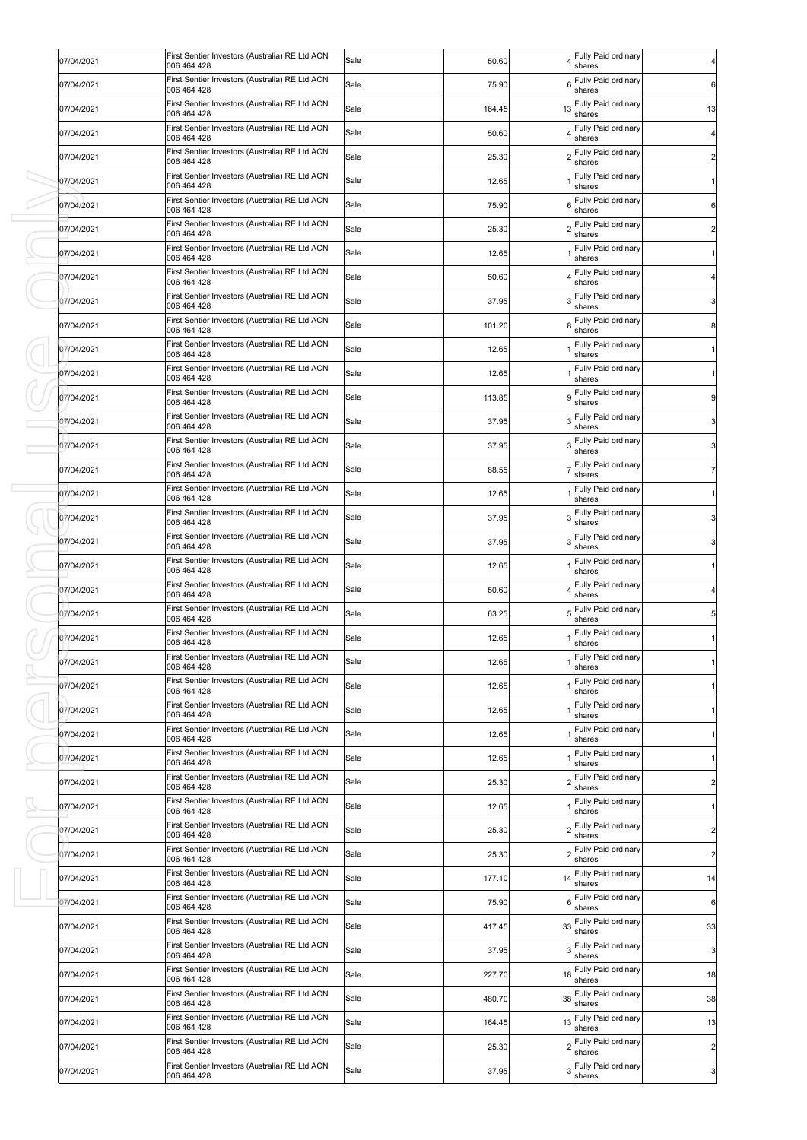| 07/04/2021 | First Sentier Investors (Australia) RE Ltd ACN                               | Sale | 50.60  |                | Fully Paid ordinary                                  | 4              |
|------------|------------------------------------------------------------------------------|------|--------|----------------|------------------------------------------------------|----------------|
|            | 006 464 428<br>First Sentier Investors (Australia) RE Ltd ACN                |      |        |                | shares<br>Fully Paid ordinary                        |                |
| 07/04/2021 | 006 464 428<br>First Sentier Investors (Australia) RE Ltd ACN                | Sale | 75.90  |                | shares<br>Fully Paid ordinary                        | 6              |
| 07/04/2021 | 006 464 428                                                                  | Sale | 164.45 | 13             | shares                                               | 13             |
| 07/04/2021 | First Sentier Investors (Australia) RE Ltd ACN<br>006 464 428                | Sale | 50.60  |                | Fully Paid ordinary<br>shares                        | 4              |
| 07/04/2021 | First Sentier Investors (Australia) RE Ltd ACN<br>006 464 428                | Sale | 25.30  |                | Fully Paid ordinary<br>shares                        | $\overline{2}$ |
| 07/04/2021 | First Sentier Investors (Australia) RE Ltd ACN<br>006 464 428                | Sale | 12.65  |                | Fully Paid ordinary<br>shares                        | 1              |
| 07/04/2021 | First Sentier Investors (Australia) RE Ltd ACN<br>006 464 428                | Sale | 75.90  | 6              | Fully Paid ordinary<br>shares                        | 6              |
| 07/04/2021 | First Sentier Investors (Australia) RE Ltd ACN<br>006 464 428                | Sale | 25.30  |                | Fully Paid ordinary<br>shares                        | 2              |
| 07/04/2021 | First Sentier Investors (Australia) RE Ltd ACN<br>006 464 428                | Sale | 12.65  |                | Fully Paid ordinary<br>shares                        |                |
| 07/04/2021 | First Sentier Investors (Australia) RE Ltd ACN<br>006 464 428                | Sale | 50.60  |                | Fully Paid ordinary<br>shares                        |                |
| 07/04/2021 | First Sentier Investors (Australia) RE Ltd ACN<br>006 464 428                | Sale | 37.95  |                | Fully Paid ordinary<br>shares                        | 3              |
| 07/04/2021 | First Sentier Investors (Australia) RE Ltd ACN<br>006 464 428                | Sale | 101.20 |                | Fully Paid ordinary<br>shares                        | 8              |
| 07/04/2021 | First Sentier Investors (Australia) RE Ltd ACN<br>006 464 428                | Sale | 12.65  |                | Fully Paid ordinary<br>shares                        |                |
| 07/04/2021 | First Sentier Investors (Australia) RE Ltd ACN<br>006 464 428                | Sale | 12.65  |                | Fully Paid ordinary<br>shares                        |                |
| 07/04/2021 | First Sentier Investors (Australia) RE Ltd ACN<br>006 464 428                | Sale | 113.85 |                | Fully Paid ordinary<br>shares                        | 9              |
| 07/04/2021 | First Sentier Investors (Australia) RE Ltd ACN                               | Sale | 37.95  |                | Fully Paid ordinary                                  | 3              |
| 07/04/2021 | 006 464 428<br>First Sentier Investors (Australia) RE Ltd ACN<br>006 464 428 | Sale | 37.95  |                | shares<br>Fully Paid ordinary                        |                |
| 07/04/2021 | First Sentier Investors (Australia) RE Ltd ACN                               | Sale | 88.55  |                | shares<br>Fully Paid ordinary                        |                |
| 07/04/2021 | 006 464 428<br>First Sentier Investors (Australia) RE Ltd ACN                | Sale | 12.65  |                | shares<br>Fully Paid ordinary                        |                |
| 07/04/2021 | 006 464 428<br>First Sentier Investors (Australia) RE Ltd ACN                | Sale | 37.95  |                | shares<br>Fully Paid ordinary                        |                |
| 07/04/2021 | 006 464 428<br>First Sentier Investors (Australia) RE Ltd ACN                | Sale | 37.95  |                | shares<br>Fully Paid ordinary                        |                |
| 07/04/2021 | 006 464 428<br>First Sentier Investors (Australia) RE Ltd ACN                | Sale | 12.65  |                | shares<br>Fully Paid ordinary                        |                |
| 07/04/2021 | 006 464 428<br>First Sentier Investors (Australia) RE Ltd ACN                | Sale | 50.60  |                | shares<br>Fully Paid ordinary                        |                |
|            | 006 464 428<br>First Sentier Investors (Australia) RE Ltd ACN                |      |        |                | shares<br>Fully Paid ordinary                        |                |
| 07/04/2021 | 006 464 428<br>First Sentier Investors (Australia) RE Ltd ACN                | Sale | 63.25  |                | shares<br>Fully Paid ordinary                        | 5              |
| 07/04/2021 | 006 464 428<br>First Sentier Investors (Australia) RE Ltd ACN                | Sale | 12.65  |                | shares                                               |                |
| 07/04/2021 | 006 464 428<br>First Sentier Investors (Australia) RE Ltd ACN                | Sale | 12.65  | 11             | Fully Paid ordinary<br>shares<br>Fully Paid ordinary | 1              |
| 07/04/2021 | 006 464 428                                                                  | Sale | 12.65  |                | shares                                               | 1              |
| 07/04/2021 | First Sentier Investors (Australia) RE Ltd ACN<br>006 464 428                | Sale | 12.65  |                | Fully Paid ordinary<br>shares                        | $\mathbf{1}$   |
| 07/04/2021 | First Sentier Investors (Australia) RE Ltd ACN<br>006 464 428                | Sale | 12.65  |                | Fully Paid ordinary<br>shares                        | 1              |
| 07/04/2021 | First Sentier Investors (Australia) RE Ltd ACN<br>006 464 428                | Sale | 12.65  |                | Fully Paid ordinary<br>shares                        | 1              |
| 07/04/2021 | First Sentier Investors (Australia) RE Ltd ACN<br>006 464 428                | Sale | 25.30  |                | Fully Paid ordinary<br>shares                        | $\overline{2}$ |
| 07/04/2021 | First Sentier Investors (Australia) RE Ltd ACN<br>006 464 428                | Sale | 12.65  |                | Fully Paid ordinary<br>shares                        | 1              |
| 07/04/2021 | First Sentier Investors (Australia) RE Ltd ACN<br>006 464 428                | Sale | 25.30  |                | Fully Paid ordinary<br>shares                        | $\overline{2}$ |
| 07/04/2021 | First Sentier Investors (Australia) RE Ltd ACN<br>006 464 428                | Sale | 25.30  | $\overline{2}$ | Fully Paid ordinary<br>shares                        | $\overline{c}$ |
| 07/04/2021 | First Sentier Investors (Australia) RE Ltd ACN<br>006 464 428                | Sale | 177.10 | 14             | Fully Paid ordinary<br>shares                        | 14             |
| 07/04/2021 | First Sentier Investors (Australia) RE Ltd ACN<br>006 464 428                | Sale | 75.90  |                | Fully Paid ordinary<br>shares                        | 6              |
| 07/04/2021 | First Sentier Investors (Australia) RE Ltd ACN<br>006 464 428                | Sale | 417.45 | 33             | Fully Paid ordinary<br>shares                        | 33             |
| 07/04/2021 | First Sentier Investors (Australia) RE Ltd ACN<br>006 464 428                | Sale | 37.95  |                | Fully Paid ordinary<br>shares                        | 3 <sup>1</sup> |
| 07/04/2021 | First Sentier Investors (Australia) RE Ltd ACN<br>006 464 428                | Sale | 227.70 | 18             | Fully Paid ordinary<br>shares                        | 18             |
| 07/04/2021 | First Sentier Investors (Australia) RE Ltd ACN<br>006 464 428                | Sale | 480.70 | 38             | Fully Paid ordinary<br>shares                        | 38             |
| 07/04/2021 | First Sentier Investors (Australia) RE Ltd ACN<br>006 464 428                | Sale | 164.45 | 13             | Fully Paid ordinary<br>shares                        | 13             |
| 07/04/2021 | First Sentier Investors (Australia) RE Ltd ACN<br>006 464 428                | Sale | 25.30  |                | Fully Paid ordinary<br>shares                        | $\overline{2}$ |
| 07/04/2021 | First Sentier Investors (Australia) RE Ltd ACN<br>006 464 428                | Sale | 37.95  | 3              | Fully Paid ordinary<br>shares                        | 3 <sub>l</sub> |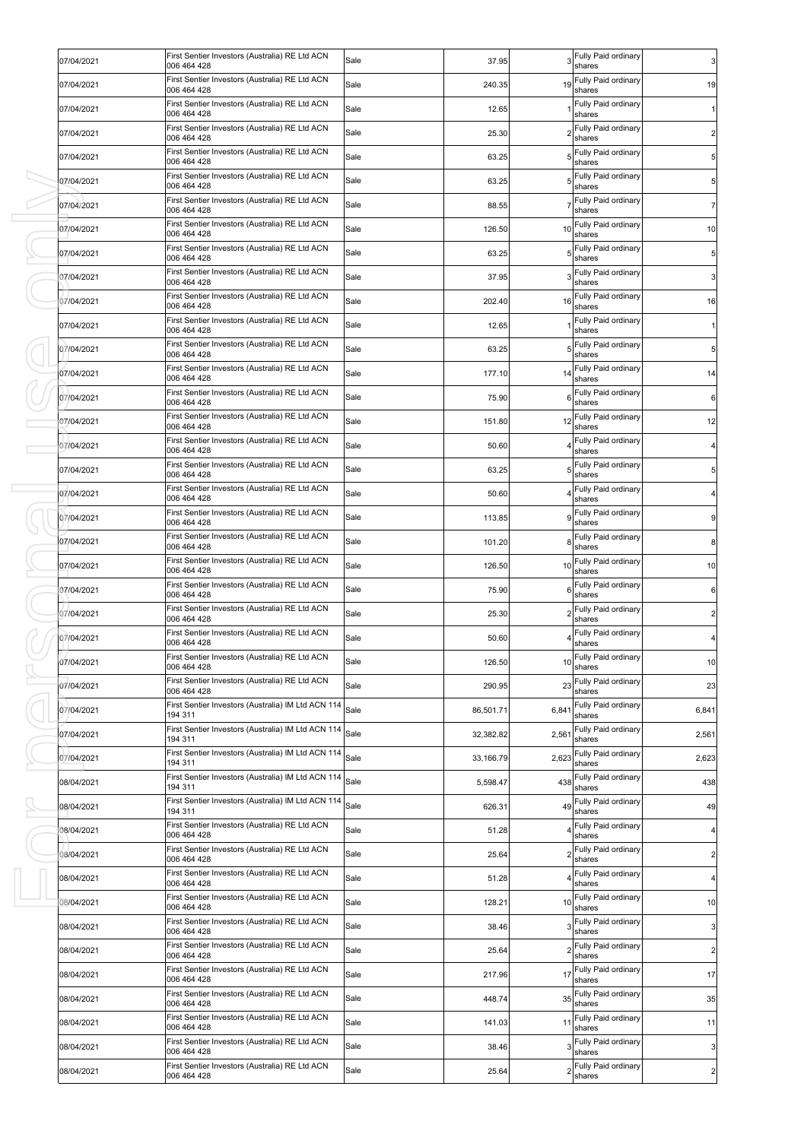| 07/04/2021 | First Sentier Investors (Australia) RE Ltd ACN<br>006 464 428                | Sale | 37.95     |                | Fully Paid ordinary<br>shares              | $\mathbf{3}$            |
|------------|------------------------------------------------------------------------------|------|-----------|----------------|--------------------------------------------|-------------------------|
| 07/04/2021 | First Sentier Investors (Australia) RE Ltd ACN<br>006 464 428                | Sale | 240.35    | 19             | Fully Paid ordinary<br>shares              | 19                      |
| 07/04/2021 | First Sentier Investors (Australia) RE Ltd ACN<br>006 464 428                | Sale | 12.65     |                | Fully Paid ordinary<br>shares              | 1                       |
| 07/04/2021 | First Sentier Investors (Australia) RE Ltd ACN<br>006 464 428                | Sale | 25.30     |                | Fully Paid ordinary<br>shares              | $\overline{\mathbf{c}}$ |
| 07/04/2021 | First Sentier Investors (Australia) RE Ltd ACN<br>006 464 428                | Sale | 63.25     |                | Fully Paid ordinary<br>shares              | 5                       |
| 07/04/2021 | First Sentier Investors (Australia) RE Ltd ACN<br>006 464 428                | Sale | 63.25     |                | Fully Paid ordinary<br>shares              | $\overline{5}$          |
| 07/04/2021 | First Sentier Investors (Australia) RE Ltd ACN<br>006 464 428                | Sale | 88.55     |                | Fully Paid ordinary<br>shares              | $\overline{7}$          |
| 07/04/2021 | First Sentier Investors (Australia) RE Ltd ACN<br>006 464 428                | Sale | 126.50    | 10             | Fully Paid ordinary<br>shares              | 10                      |
| 07/04/2021 | First Sentier Investors (Australia) RE Ltd ACN<br>006 464 428                | Sale | 63.25     | 5              | Fully Paid ordinary<br>shares              | 5                       |
| 07/04/2021 | First Sentier Investors (Australia) RE Ltd ACN<br>006 464 428                | Sale | 37.95     |                | Fully Paid ordinary<br>shares              | 3                       |
| 07/04/2021 | First Sentier Investors (Australia) RE Ltd ACN<br>006 464 428                | Sale | 202.40    | 16             | Fully Paid ordinary<br>shares              | 16                      |
| 07/04/2021 | First Sentier Investors (Australia) RE Ltd ACN<br>006 464 428                | Sale | 12.65     |                | Fully Paid ordinary<br>shares              |                         |
| 07/04/2021 | First Sentier Investors (Australia) RE Ltd ACN<br>006 464 428                | Sale | 63.25     |                | Fully Paid ordinary<br>shares              | 5                       |
| 07/04/2021 | First Sentier Investors (Australia) RE Ltd ACN<br>006 464 428                | Sale | 177.10    | 14             | Fully Paid ordinary<br>shares              | 14                      |
| 07/04/2021 | First Sentier Investors (Australia) RE Ltd ACN<br>006 464 428                | Sale | 75.90     | 6              | Fully Paid ordinary<br>shares              | 6                       |
| 07/04/2021 | First Sentier Investors (Australia) RE Ltd ACN<br>006 464 428                | Sale | 151.80    | 12             | Fully Paid ordinary<br>shares              | 12                      |
| 07/04/2021 | First Sentier Investors (Australia) RE Ltd ACN<br>006 464 428                | Sale | 50.60     |                | Fully Paid ordinary<br>shares              |                         |
| 07/04/2021 | First Sentier Investors (Australia) RE Ltd ACN<br>006 464 428                | Sale | 63.25     | 5              | Fully Paid ordinary<br>shares              | 5                       |
| 07/04/2021 | First Sentier Investors (Australia) RE Ltd ACN<br>006 464 428                | Sale | 50.60     |                | Fully Paid ordinary<br>shares              |                         |
| 07/04/2021 | First Sentier Investors (Australia) RE Ltd ACN<br>006 464 428                | Sale | 113.85    | 9              | Fully Paid ordinary<br>shares              | 9                       |
| 07/04/2021 | First Sentier Investors (Australia) RE Ltd ACN<br>006 464 428                | Sale | 101.20    | 8              | Fully Paid ordinary<br>shares              | 8                       |
| 07/04/2021 | First Sentier Investors (Australia) RE Ltd ACN<br>006 464 428                | Sale | 126.50    | 10             | Fully Paid ordinary<br>shares              | 10                      |
| 07/04/2021 | First Sentier Investors (Australia) RE Ltd ACN                               | Sale | 75.90     | 6              | Fully Paid ordinary<br>shares              | 6                       |
| 07/04/2021 | 006 464 428<br>First Sentier Investors (Australia) RE Ltd ACN<br>006 464 428 | Sale | 25.30     |                | Fully Paid ordinary                        | 2                       |
| 07/04/2021 | First Sentier Investors (Australia) RE Ltd ACN                               | Sale | 50.60     |                | shares<br>Fully Paid ordinary              | 4                       |
| 07/04/2021 | 006 464 428<br>First Sentier Investors (Australia) RE Ltd ACN                | Sale | 126.50    |                | shares<br>10 Fully Paid ordinary<br>shares | 10                      |
| 07/04/2021 | 006 464 428<br>First Sentier Investors (Australia) RE Ltd ACN<br>006 464 428 | Sale | 290.95    | 23             | Fully Paid ordinary                        | 23                      |
| 07/04/2021 | First Sentier Investors (Australia) IM Ltd ACN 114<br>194 311                | Sale | 86,501.71 | 6,841          | shares<br>Fully Paid ordinary              | 6,841                   |
| 07/04/2021 | First Sentier Investors (Australia) IM Ltd ACN 114                           | Sale | 32,382.82 | 2,561          | shares<br>Fully Paid ordinary              | 2,561                   |
| 07/04/2021 | 194 311<br>First Sentier Investors (Australia) IM Ltd ACN 114                | Sale | 33.166.79 | 2,623          | shares<br>Fully Paid ordinary              | 2,623                   |
| 08/04/2021 | 194 311<br>First Sentier Investors (Australia) IM Ltd ACN 114                | Sale | 5,598.47  | 438            | shares<br>Fully Paid ordinary              | 438                     |
| 08/04/2021 | 194 311<br>First Sentier Investors (Australia) IM Ltd ACN 114                | Sale | 626.31    | 49             | shares<br>Fully Paid ordinary              | 49                      |
| 08/04/2021 | 194 311<br>First Sentier Investors (Australia) RE Ltd ACN                    | Sale | 51.28     |                | shares<br>Fully Paid ordinary              | 4                       |
| 08/04/2021 | 006 464 428<br>First Sentier Investors (Australia) RE Ltd ACN                | Sale | 25.64     |                | shares<br>Fully Paid ordinary              | $\overline{c}$          |
| 08/04/2021 | 006 464 428<br>First Sentier Investors (Australia) RE Ltd ACN                | Sale | 51.28     |                | shares<br>Fully Paid ordinary              | 4                       |
| 08/04/2021 | 006 464 428<br>First Sentier Investors (Australia) RE Ltd ACN                | Sale | 128.21    | 10             | shares<br>Fully Paid ordinary              | 10                      |
| 08/04/2021 | 006 464 428<br>First Sentier Investors (Australia) RE Ltd ACN                | Sale | 38.46     | 3              | shares<br>Fully Paid ordinary              | $\mathbf{3}$            |
| 08/04/2021 | 006 464 428<br>First Sentier Investors (Australia) RE Ltd ACN                | Sale | 25.64     | $\overline{a}$ | shares<br>Fully Paid ordinary              | $\overline{c}$          |
| 08/04/2021 | 006 464 428<br>First Sentier Investors (Australia) RE Ltd ACN                | Sale | 217.96    | 17             | shares<br>Fully Paid ordinary              | 17                      |
| 08/04/2021 | 006 464 428<br>First Sentier Investors (Australia) RE Ltd ACN                | Sale | 448.74    | 35             | shares<br>Fully Paid ordinary              | 35                      |
| 08/04/2021 | 006 464 428<br>First Sentier Investors (Australia) RE Ltd ACN                | Sale | 141.03    | 11             | shares<br>Fully Paid ordinary              | 11                      |
| 08/04/2021 | 006 464 428<br>First Sentier Investors (Australia) RE Ltd ACN                | Sale | 38.46     |                | shares<br>Fully Paid ordinary              | $\mathbf{3}$            |
|            | 006 464 428<br>First Sentier Investors (Australia) RE Ltd ACN                | Sale |           |                | shares<br>2 Fully Paid ordinary            |                         |
| 08/04/2021 | 006 464 428                                                                  |      | 25.64     |                | shares                                     | $\overline{\mathbf{c}}$ |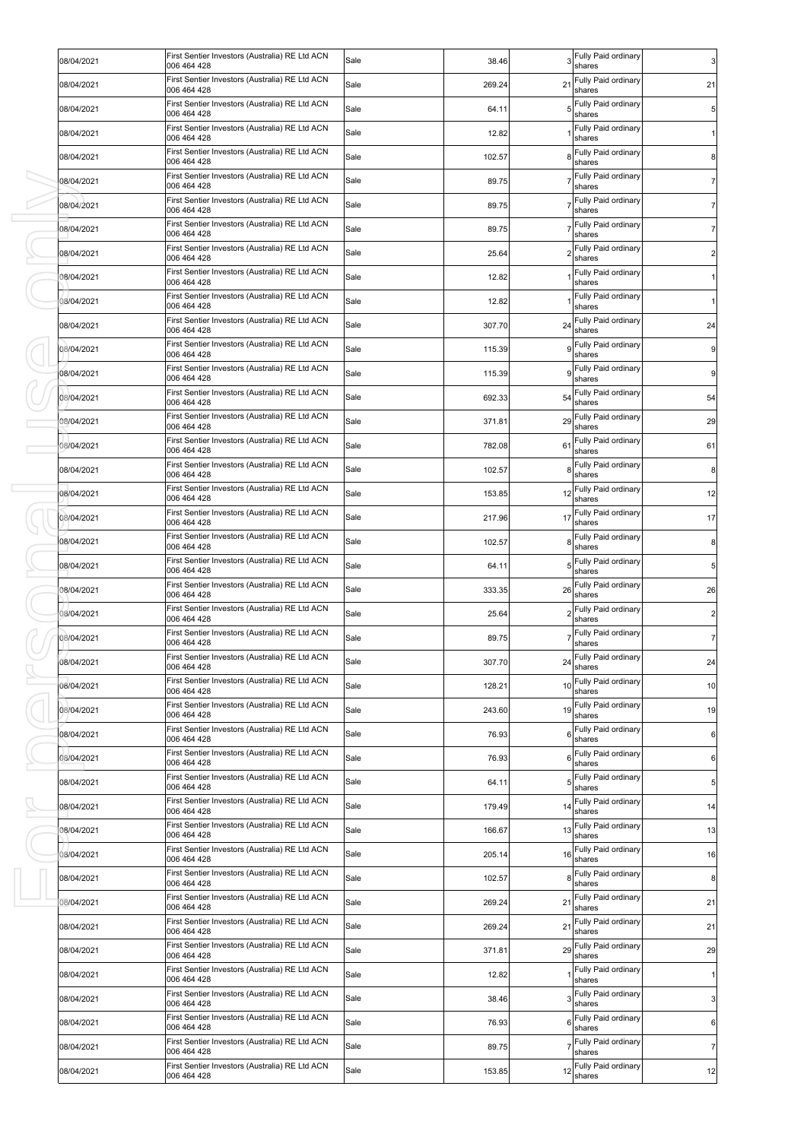| 08/04/2021 | First Sentier Investors (Australia) RE Ltd ACN<br>006 464 428                                                   | Sale | 38.46  |    | Fully Paid ordinary<br>shares    | $\mathbf{3}$   |
|------------|-----------------------------------------------------------------------------------------------------------------|------|--------|----|----------------------------------|----------------|
| 08/04/2021 | First Sentier Investors (Australia) RE Ltd ACN<br>006 464 428                                                   | Sale | 269.24 | 21 | Fully Paid ordinary<br>shares    | 21             |
| 08/04/2021 | First Sentier Investors (Australia) RE Ltd ACN<br>006 464 428                                                   | Sale | 64.11  | 5  | Fully Paid ordinary<br>shares    | 5              |
| 08/04/2021 | First Sentier Investors (Australia) RE Ltd ACN<br>006 464 428                                                   | Sale | 12.82  |    | Fully Paid ordinary<br>shares    | 1              |
| 08/04/2021 | First Sentier Investors (Australia) RE Ltd ACN<br>006 464 428                                                   | Sale | 102.57 |    | Fully Paid ordinary<br>shares    | 8              |
| 08/04/2021 | First Sentier Investors (Australia) RE Ltd ACN<br>006 464 428                                                   | Sale | 89.75  |    | Fully Paid ordinary<br>shares    | $\overline{7}$ |
| 08/04/2021 | First Sentier Investors (Australia) RE Ltd ACN<br>006 464 428                                                   | Sale | 89.75  |    | Fully Paid ordinary<br>shares    | $\overline{7}$ |
| 08/04/2021 | First Sentier Investors (Australia) RE Ltd ACN<br>006 464 428                                                   | Sale | 89.75  |    | Fully Paid ordinary<br>shares    | $\overline{7}$ |
| 08/04/2021 | First Sentier Investors (Australia) RE Ltd ACN<br>006 464 428                                                   | Sale | 25.64  |    | Fully Paid ordinary<br>shares    | 2              |
| 08/04/2021 | First Sentier Investors (Australia) RE Ltd ACN<br>006 464 428                                                   | Sale | 12.82  |    | Fully Paid ordinary<br>shares    |                |
| 08/04/2021 | First Sentier Investors (Australia) RE Ltd ACN<br>006 464 428                                                   | Sale | 12.82  |    | Fully Paid ordinary<br>shares    |                |
| 08/04/2021 | First Sentier Investors (Australia) RE Ltd ACN<br>006 464 428                                                   | Sale | 307.70 | 24 | Fully Paid ordinary<br>shares    | 24             |
| 08/04/2021 | First Sentier Investors (Australia) RE Ltd ACN<br>006 464 428                                                   | Sale | 115.39 | 9  | Fully Paid ordinary<br>shares    | 9              |
| 08/04/2021 | First Sentier Investors (Australia) RE Ltd ACN<br>006 464 428                                                   | Sale | 115.39 | 9  | Fully Paid ordinary<br>shares    | 9              |
| 08/04/2021 | First Sentier Investors (Australia) RE Ltd ACN<br>006 464 428                                                   | Sale | 692.33 | 54 | Fully Paid ordinary<br>shares    | 54             |
| 08/04/2021 | First Sentier Investors (Australia) RE Ltd ACN<br>006 464 428                                                   | Sale | 371.81 | 29 | Fully Paid ordinary<br>shares    | 29             |
| 08/04/2021 | First Sentier Investors (Australia) RE Ltd ACN<br>006 464 428                                                   | Sale | 782.08 | 61 | Fully Paid ordinary<br>shares    | 61             |
| 08/04/2021 | First Sentier Investors (Australia) RE Ltd ACN<br>006 464 428                                                   | Sale | 102.57 | 8  | Fully Paid ordinary<br>shares    | 8              |
| 08/04/2021 | First Sentier Investors (Australia) RE Ltd ACN<br>006 464 428                                                   | Sale | 153.85 | 12 | Fully Paid ordinary<br>shares    | 12             |
| 08/04/2021 | First Sentier Investors (Australia) RE Ltd ACN<br>006 464 428                                                   | Sale | 217.96 | 17 | Fully Paid ordinary<br>shares    | 17             |
| 08/04/2021 | First Sentier Investors (Australia) RE Ltd ACN<br>006 464 428                                                   | Sale | 102.57 | 8  | Fully Paid ordinary<br>shares    | 8              |
| 08/04/2021 | First Sentier Investors (Australia) RE Ltd ACN<br>006 464 428                                                   | Sale | 64.11  | 5  | Fully Paid ordinary<br>shares    | 5              |
| 08/04/2021 | First Sentier Investors (Australia) RE Ltd ACN<br>006 464 428                                                   | Sale | 333.35 | 26 | Fully Paid ordinary<br>shares    | 26             |
| 08/04/2021 | First Sentier Investors (Australia) RE Ltd ACN<br>006 464 428                                                   | Sale | 25.64  |    | Fully Paid ordinary<br>shares    | $\overline{2}$ |
| 08/04/2021 | First Sentier Investors (Australia) RE Ltd ACN<br>006 464 428                                                   | Sale | 89.75  |    | Fully Paid ordinary<br>shares    | 7              |
| 08/04/2021 | First Sentier Investors (Australia) RE Ltd ACN<br>006 464 428                                                   | Sale | 307.70 |    | 24 Fully Paid ordinary<br>shares | 24             |
| 08/04/2021 | First Sentier Investors (Australia) RE Ltd ACN<br>006 464 428                                                   | Sale | 128.21 | 10 | Fully Paid ordinary<br>shares    | 10             |
| 08/04/2021 | First Sentier Investors (Australia) RE Ltd ACN<br>006 464 428                                                   | Sale | 243.60 | 19 | Fully Paid ordinary<br>shares    | 19             |
| 08/04/2021 | First Sentier Investors (Australia) RE Ltd ACN<br>006 464 428                                                   | Sale | 76.93  | 6  | Fully Paid ordinary<br>shares    | 6              |
| 08/04/2021 | First Sentier Investors (Australia) RE Ltd ACN<br>006 464 428                                                   | Sale | 76.93  | 6  | Fully Paid ordinary<br>shares    | 6              |
| 08/04/2021 | First Sentier Investors (Australia) RE Ltd ACN<br>006 464 428                                                   | Sale | 64.11  | 5  | Fully Paid ordinary<br>shares    | $\overline{5}$ |
| 08/04/2021 | First Sentier Investors (Australia) RE Ltd ACN<br>006 464 428                                                   | Sale | 179.49 | 14 | Fully Paid ordinary<br>shares    | 14             |
| 08/04/2021 | First Sentier Investors (Australia) RE Ltd ACN<br>006 464 428                                                   | Sale | 166.67 | 13 | Fully Paid ordinary<br>shares    | 13             |
| 08/04/2021 | First Sentier Investors (Australia) RE Ltd ACN<br>006 464 428                                                   | Sale | 205.14 | 16 | Fully Paid ordinary<br>shares    | 16             |
| 08/04/2021 | First Sentier Investors (Australia) RE Ltd ACN<br>006 464 428                                                   | Sale | 102.57 | 8  | Fully Paid ordinary<br>shares    | 8              |
| 08/04/2021 | First Sentier Investors (Australia) RE Ltd ACN<br>006 464 428                                                   | Sale | 269.24 | 21 | Fully Paid ordinary<br>shares    | 21             |
| 08/04/2021 | First Sentier Investors (Australia) RE Ltd ACN<br>006 464 428<br>First Sentier Investors (Australia) RE Ltd ACN | Sale | 269.24 | 21 | Fully Paid ordinary<br>shares    | 21             |
| 08/04/2021 | 006 464 428                                                                                                     | Sale | 371.81 | 29 | Fully Paid ordinary<br>shares    | 29             |
| 08/04/2021 | First Sentier Investors (Australia) RE Ltd ACN<br>006 464 428                                                   | Sale | 12.82  |    | Fully Paid ordinary<br>shares    | $\mathbf{1}$   |
| 08/04/2021 | First Sentier Investors (Australia) RE Ltd ACN<br>006 464 428                                                   | Sale | 38.46  | 3  | Fully Paid ordinary<br>shares    | $\mathbf{3}$   |
| 08/04/2021 | First Sentier Investors (Australia) RE Ltd ACN<br>006 464 428                                                   | Sale | 76.93  | 6  | Fully Paid ordinary<br>shares    | 6              |
| 08/04/2021 | First Sentier Investors (Australia) RE Ltd ACN<br>006 464 428                                                   | Sale | 89.75  |    | Fully Paid ordinary<br>shares    | $\overline{7}$ |
| 08/04/2021 | First Sentier Investors (Australia) RE Ltd ACN<br>006 464 428                                                   | Sale | 153.85 |    | 12 Fully Paid ordinary<br>shares | 12             |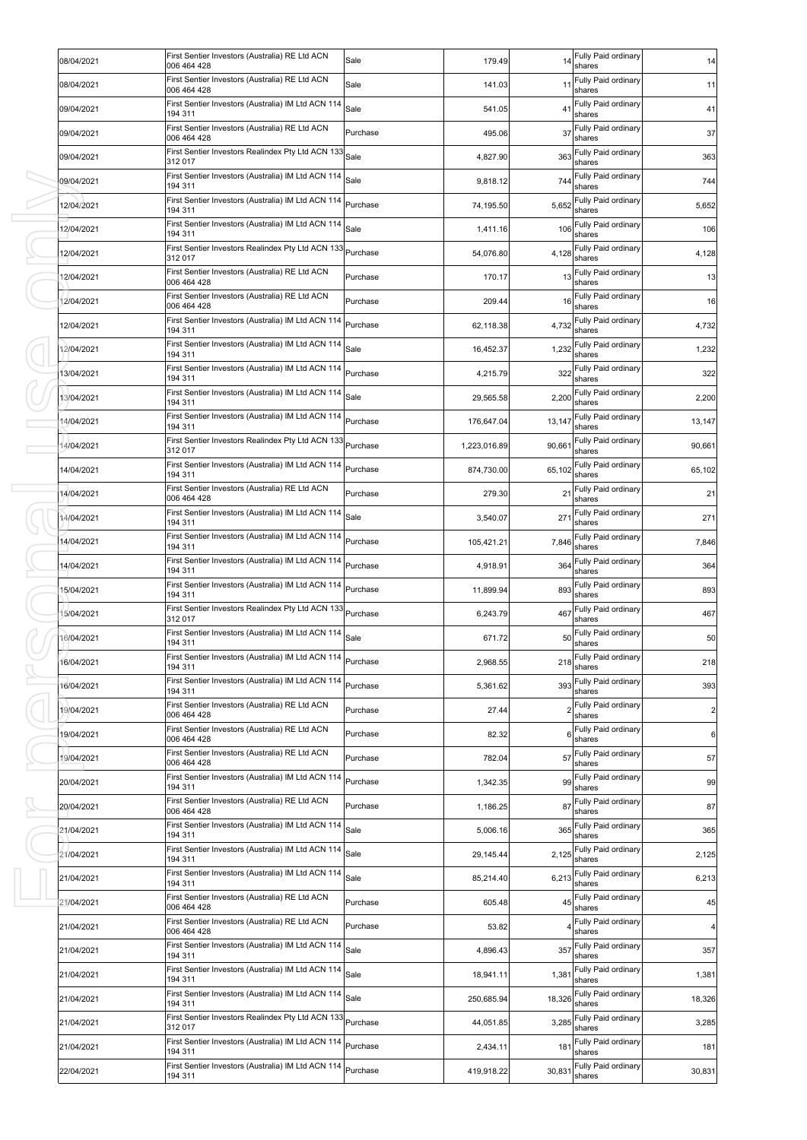| First Sentier Investors (Australia) RE Ltd ACN<br>Fully Paid ordinary<br>08/04/2021<br>Sale<br>11<br>11<br>141.03<br>shares<br>006 464 428<br>First Sentier Investors (Australia) IM Ltd ACN 114<br>Fully Paid ordinary<br>Sale<br>09/04/2021<br>41<br>41<br>541.05<br>194 311<br>shares<br>First Sentier Investors (Australia) RE Ltd ACN<br>Fully Paid ordinary<br>37<br>37<br>Purchase<br>09/04/2021<br>495.06<br>shares<br>006 464 428<br>First Sentier Investors Realindex Pty Ltd ACN 133<br>Fully Paid ordinary<br>Sale<br>363<br>363<br>09/04/2021<br>4,827.90<br>312 017<br>shares<br>First Sentier Investors (Australia) IM Ltd ACN 114<br>Fully Paid ordinary<br>Sale<br>744<br>09/04/2021<br>9,818.12<br>744<br>194 311<br>shares<br>First Sentier Investors (Australia) IM Ltd ACN 114<br>Fully Paid ordinary<br>Purchase<br>12/04/2021<br>5,652<br>5,652<br>74,195.50<br>shares<br>194 311<br>First Sentier Investors (Australia) IM Ltd ACN 114<br>Fully Paid ordinary<br>Sale<br>12/04/2021<br>106<br>106<br>1,411.16<br>194 311<br>shares<br>First Sentier Investors Realindex Pty Ltd ACN 133<br>Fully Paid ordinary<br>Purchase<br>12/04/2021<br>4,128<br>4,128<br>54,076.80<br>312 017<br>shares<br>First Sentier Investors (Australia) RE Ltd ACN<br>13 Fully Paid ordinary<br>12/04/2021<br>Purchase<br>170.17<br>13<br>006 464 428<br>shares<br>First Sentier Investors (Australia) RE Ltd ACN<br>Fully Paid ordinary<br>12/04/2021<br>Purchase<br>209.44<br>16<br>16<br>006 464 428<br>shares<br>First Sentier Investors (Australia) IM Ltd ACN 114<br>Fully Paid ordinary<br>Purchase<br>4,732<br>4,732<br>12/04/2021<br>62,118.38<br>shares<br>194 311<br>First Sentier Investors (Australia) IM Ltd ACN 114<br>Fully Paid ordinary<br>Sale<br>1,232<br>1,232<br>12/04/2021<br>16,452.37<br>194 311<br>shares<br>First Sentier Investors (Australia) IM Ltd ACN 114<br>Fully Paid ordinary<br>Purchase<br>13/04/2021<br>322<br>322<br>4,215.79<br>194 311<br>shares<br>First Sentier Investors (Australia) IM Ltd ACN 114<br>Fully Paid ordinary<br>Sale<br>2,200<br>2,200<br>13/04/2021<br>29,565.58<br>shares<br>194 311<br>First Sentier Investors (Australia) IM Ltd ACN 114<br>Fully Paid ordinary<br>Purchase<br>13,147<br>14/04/2021<br>176,647.04<br>13,147<br>194 311<br>shares<br>First Sentier Investors Realindex Pty Ltd ACN 133 Purchase<br>Fully Paid ordinary<br>90,661<br>14/04/2021<br>1,223,016.89<br>90,661<br>312 017<br>shares<br>First Sentier Investors (Australia) IM Ltd ACN 114<br>Fully Paid ordinary<br>Purchase<br>65,102<br>65,102<br>14/04/2021<br>874,730.00<br>194 311<br>shares<br>First Sentier Investors (Australia) RE Ltd ACN<br>Fully Paid ordinary<br>Purchase<br>21<br>21<br>14/04/2021<br>279.30<br>006 464 428<br>shares<br>First Sentier Investors (Australia) IM Ltd ACN 114<br>Fully Paid ordinary<br>14/04/2021<br>Sale<br>271<br>271<br>3,540.07<br>shares<br>194 311<br>First Sentier Investors (Australia) IM Ltd ACN 114<br>Fully Paid ordinary<br>Purchase<br>7,846<br>14/04/2021<br>105,421.21<br>7,846<br>194 311<br>shares<br>First Sentier Investors (Australia) IM Ltd ACN 114<br>Fully Paid ordinary<br>Purchase<br>14/04/2021<br>364<br>364<br>4,918.91<br>194 311<br>shares<br>First Sentier Investors (Australia) IM Ltd ACN 114<br>Fully Paid ordinary<br>Purchase<br>893<br>15/04/2021<br>11,899.94<br>893<br>shares<br>194 311<br>First Sentier Investors Realindex Pty Ltd ACN 133<br>Fully Paid ordinary<br>Purchase<br>15/04/2021<br>467<br>6,243.79<br>467<br>312 017<br>shares<br>First Sentier Investors (Australia) IM Ltd ACN 114<br>Fully Paid ordinary<br>Sale<br>50<br>16/04/2021<br>671.72<br>50<br>194 311<br>shares<br>First Sentier Investors (Australia) IM Ltd ACN 114<br>218 Fully Paid ordinary<br>16/04/2021<br>Purchase<br>2,968.55<br>218<br>shares<br>194 311<br>First Sentier Investors (Australia) IM Ltd ACN 114<br>Fully Paid ordinary<br>Purchase<br>393<br>16/04/2021<br>5,361.62<br>393<br>194 311<br>shares<br>First Sentier Investors (Australia) RE Ltd ACN<br>Fully Paid ordinary<br>19/04/2021<br>Purchase<br>$2 \vert$<br>27.44<br>006 464 428<br>shares<br>First Sentier Investors (Australia) RE Ltd ACN<br>Fully Paid ordinary<br>Purchase<br>19/04/2021<br>82.32<br>6<br>006 464 428<br>shares<br>First Sentier Investors (Australia) RE Ltd ACN<br>Fully Paid ordinary<br>Purchase<br>57<br>19/04/2021<br>57<br>782.04<br>006 464 428<br>shares<br>First Sentier Investors (Australia) IM Ltd ACN 114<br>Fully Paid ordinary<br>Purchase<br>99<br>99<br>20/04/2021<br>1,342.35<br>shares<br>194 311<br>First Sentier Investors (Australia) RE Ltd ACN<br>Fully Paid ordinary<br>Purchase<br>87<br>87<br>20/04/2021<br>1,186.25<br>006 464 428<br>shares<br>First Sentier Investors (Australia) IM Ltd ACN 114<br>Fully Paid ordinary<br>Sale<br>21/04/2021<br>365<br>365<br>5,006.16<br>194 311<br>shares<br>First Sentier Investors (Australia) IM Ltd ACN 114<br>Fully Paid ordinary<br>21/04/2021<br>Sale<br>2,125<br>2,125<br>29,145.44<br>shares<br>194 311<br>First Sentier Investors (Australia) IM Ltd ACN 114<br>Fully Paid ordinary<br>Sale<br>21/04/2021<br>6,213<br>6,213<br>85,214.40<br>194 311<br>shares<br>First Sentier Investors (Australia) RE Ltd ACN<br>Fully Paid ordinary<br>45<br>21/04/2021<br>Purchase<br>605.48<br>45<br>006 464 428<br>shares<br>First Sentier Investors (Australia) RE Ltd ACN<br>Fully Paid ordinary<br>$4 \overline{ }$<br>21/04/2021<br>Purchase<br>53.82<br>shares<br>006 464 428<br>First Sentier Investors (Australia) IM Ltd ACN 114<br>Fully Paid ordinary<br>Sale<br>357<br>357<br>21/04/2021<br>4,896.43<br>194 311<br>shares<br>First Sentier Investors (Australia) IM Ltd ACN 114<br>Fully Paid ordinary | 08/04/2021 | First Sentier Investors (Australia) RE Ltd ACN<br>006 464 428 | Sale | 179.49    | 14    | Fully Paid ordinary<br>shares | 14    |
|-------------------------------------------------------------------------------------------------------------------------------------------------------------------------------------------------------------------------------------------------------------------------------------------------------------------------------------------------------------------------------------------------------------------------------------------------------------------------------------------------------------------------------------------------------------------------------------------------------------------------------------------------------------------------------------------------------------------------------------------------------------------------------------------------------------------------------------------------------------------------------------------------------------------------------------------------------------------------------------------------------------------------------------------------------------------------------------------------------------------------------------------------------------------------------------------------------------------------------------------------------------------------------------------------------------------------------------------------------------------------------------------------------------------------------------------------------------------------------------------------------------------------------------------------------------------------------------------------------------------------------------------------------------------------------------------------------------------------------------------------------------------------------------------------------------------------------------------------------------------------------------------------------------------------------------------------------------------------------------------------------------------------------------------------------------------------------------------------------------------------------------------------------------------------------------------------------------------------------------------------------------------------------------------------------------------------------------------------------------------------------------------------------------------------------------------------------------------------------------------------------------------------------------------------------------------------------------------------------------------------------------------------------------------------------------------------------------------------------------------------------------------------------------------------------------------------------------------------------------------------------------------------------------------------------------------------------------------------------------------------------------------------------------------------------------------------------------------------------------------------------------------------------------------------------------------------------------------------------------------------------------------------------------------------------------------------------------------------------------------------------------------------------------------------------------------------------------------------------------------------------------------------------------------------------------------------------------------------------------------------------------------------------------------------------------------------------------------------------------------------------------------------------------------------------------------------------------------------------------------------------------------------------------------------------------------------------------------------------------------------------------------------------------------------------------------------------------------------------------------------------------------------------------------------------------------------------------------------------------------------------------------------------------------------------------------------------------------------------------------------------------------------------------------------------------------------------------------------------------------------------------------------------------------------------------------------------------------------------------------------------------------------------------------------------------------------------------------------------------------------------------------------------------------------------------------------------------------------------------------------------------------------------------------------------------------------------------------------------------------------------------------------------------------------------------------------------------------------------------------------------------------------------------------------------------------------------------------------------------------------------------------------------------------------------------------------------------------------------------------------------------------------------------------------------------------------------------------------------------------------------------------------------------------------------------------------------------------------------------------------------------------------------------------------------------------------------------------------------------------------------------------------------------------------------|------------|---------------------------------------------------------------|------|-----------|-------|-------------------------------|-------|
|                                                                                                                                                                                                                                                                                                                                                                                                                                                                                                                                                                                                                                                                                                                                                                                                                                                                                                                                                                                                                                                                                                                                                                                                                                                                                                                                                                                                                                                                                                                                                                                                                                                                                                                                                                                                                                                                                                                                                                                                                                                                                                                                                                                                                                                                                                                                                                                                                                                                                                                                                                                                                                                                                                                                                                                                                                                                                                                                                                                                                                                                                                                                                                                                                                                                                                                                                                                                                                                                                                                                                                                                                                                                                                                                                                                                                                                                                                                                                                                                                                                                                                                                                                                                                                                                                                                                                                                                                                                                                                                                                                                                                                                                                                                                                                                                                                                                                                                                                                                                                                                                                                                                                                                                                                                                                                                                                                                                                                                                                                                                                                                                                                                                                                                                                                                                       |            |                                                               |      |           |       |                               |       |
|                                                                                                                                                                                                                                                                                                                                                                                                                                                                                                                                                                                                                                                                                                                                                                                                                                                                                                                                                                                                                                                                                                                                                                                                                                                                                                                                                                                                                                                                                                                                                                                                                                                                                                                                                                                                                                                                                                                                                                                                                                                                                                                                                                                                                                                                                                                                                                                                                                                                                                                                                                                                                                                                                                                                                                                                                                                                                                                                                                                                                                                                                                                                                                                                                                                                                                                                                                                                                                                                                                                                                                                                                                                                                                                                                                                                                                                                                                                                                                                                                                                                                                                                                                                                                                                                                                                                                                                                                                                                                                                                                                                                                                                                                                                                                                                                                                                                                                                                                                                                                                                                                                                                                                                                                                                                                                                                                                                                                                                                                                                                                                                                                                                                                                                                                                                                       |            |                                                               |      |           |       |                               |       |
|                                                                                                                                                                                                                                                                                                                                                                                                                                                                                                                                                                                                                                                                                                                                                                                                                                                                                                                                                                                                                                                                                                                                                                                                                                                                                                                                                                                                                                                                                                                                                                                                                                                                                                                                                                                                                                                                                                                                                                                                                                                                                                                                                                                                                                                                                                                                                                                                                                                                                                                                                                                                                                                                                                                                                                                                                                                                                                                                                                                                                                                                                                                                                                                                                                                                                                                                                                                                                                                                                                                                                                                                                                                                                                                                                                                                                                                                                                                                                                                                                                                                                                                                                                                                                                                                                                                                                                                                                                                                                                                                                                                                                                                                                                                                                                                                                                                                                                                                                                                                                                                                                                                                                                                                                                                                                                                                                                                                                                                                                                                                                                                                                                                                                                                                                                                                       |            |                                                               |      |           |       |                               |       |
|                                                                                                                                                                                                                                                                                                                                                                                                                                                                                                                                                                                                                                                                                                                                                                                                                                                                                                                                                                                                                                                                                                                                                                                                                                                                                                                                                                                                                                                                                                                                                                                                                                                                                                                                                                                                                                                                                                                                                                                                                                                                                                                                                                                                                                                                                                                                                                                                                                                                                                                                                                                                                                                                                                                                                                                                                                                                                                                                                                                                                                                                                                                                                                                                                                                                                                                                                                                                                                                                                                                                                                                                                                                                                                                                                                                                                                                                                                                                                                                                                                                                                                                                                                                                                                                                                                                                                                                                                                                                                                                                                                                                                                                                                                                                                                                                                                                                                                                                                                                                                                                                                                                                                                                                                                                                                                                                                                                                                                                                                                                                                                                                                                                                                                                                                                                                       |            |                                                               |      |           |       |                               |       |
|                                                                                                                                                                                                                                                                                                                                                                                                                                                                                                                                                                                                                                                                                                                                                                                                                                                                                                                                                                                                                                                                                                                                                                                                                                                                                                                                                                                                                                                                                                                                                                                                                                                                                                                                                                                                                                                                                                                                                                                                                                                                                                                                                                                                                                                                                                                                                                                                                                                                                                                                                                                                                                                                                                                                                                                                                                                                                                                                                                                                                                                                                                                                                                                                                                                                                                                                                                                                                                                                                                                                                                                                                                                                                                                                                                                                                                                                                                                                                                                                                                                                                                                                                                                                                                                                                                                                                                                                                                                                                                                                                                                                                                                                                                                                                                                                                                                                                                                                                                                                                                                                                                                                                                                                                                                                                                                                                                                                                                                                                                                                                                                                                                                                                                                                                                                                       |            |                                                               |      |           |       |                               |       |
|                                                                                                                                                                                                                                                                                                                                                                                                                                                                                                                                                                                                                                                                                                                                                                                                                                                                                                                                                                                                                                                                                                                                                                                                                                                                                                                                                                                                                                                                                                                                                                                                                                                                                                                                                                                                                                                                                                                                                                                                                                                                                                                                                                                                                                                                                                                                                                                                                                                                                                                                                                                                                                                                                                                                                                                                                                                                                                                                                                                                                                                                                                                                                                                                                                                                                                                                                                                                                                                                                                                                                                                                                                                                                                                                                                                                                                                                                                                                                                                                                                                                                                                                                                                                                                                                                                                                                                                                                                                                                                                                                                                                                                                                                                                                                                                                                                                                                                                                                                                                                                                                                                                                                                                                                                                                                                                                                                                                                                                                                                                                                                                                                                                                                                                                                                                                       |            |                                                               |      |           |       |                               |       |
|                                                                                                                                                                                                                                                                                                                                                                                                                                                                                                                                                                                                                                                                                                                                                                                                                                                                                                                                                                                                                                                                                                                                                                                                                                                                                                                                                                                                                                                                                                                                                                                                                                                                                                                                                                                                                                                                                                                                                                                                                                                                                                                                                                                                                                                                                                                                                                                                                                                                                                                                                                                                                                                                                                                                                                                                                                                                                                                                                                                                                                                                                                                                                                                                                                                                                                                                                                                                                                                                                                                                                                                                                                                                                                                                                                                                                                                                                                                                                                                                                                                                                                                                                                                                                                                                                                                                                                                                                                                                                                                                                                                                                                                                                                                                                                                                                                                                                                                                                                                                                                                                                                                                                                                                                                                                                                                                                                                                                                                                                                                                                                                                                                                                                                                                                                                                       |            |                                                               |      |           |       |                               |       |
|                                                                                                                                                                                                                                                                                                                                                                                                                                                                                                                                                                                                                                                                                                                                                                                                                                                                                                                                                                                                                                                                                                                                                                                                                                                                                                                                                                                                                                                                                                                                                                                                                                                                                                                                                                                                                                                                                                                                                                                                                                                                                                                                                                                                                                                                                                                                                                                                                                                                                                                                                                                                                                                                                                                                                                                                                                                                                                                                                                                                                                                                                                                                                                                                                                                                                                                                                                                                                                                                                                                                                                                                                                                                                                                                                                                                                                                                                                                                                                                                                                                                                                                                                                                                                                                                                                                                                                                                                                                                                                                                                                                                                                                                                                                                                                                                                                                                                                                                                                                                                                                                                                                                                                                                                                                                                                                                                                                                                                                                                                                                                                                                                                                                                                                                                                                                       |            |                                                               |      |           |       |                               |       |
|                                                                                                                                                                                                                                                                                                                                                                                                                                                                                                                                                                                                                                                                                                                                                                                                                                                                                                                                                                                                                                                                                                                                                                                                                                                                                                                                                                                                                                                                                                                                                                                                                                                                                                                                                                                                                                                                                                                                                                                                                                                                                                                                                                                                                                                                                                                                                                                                                                                                                                                                                                                                                                                                                                                                                                                                                                                                                                                                                                                                                                                                                                                                                                                                                                                                                                                                                                                                                                                                                                                                                                                                                                                                                                                                                                                                                                                                                                                                                                                                                                                                                                                                                                                                                                                                                                                                                                                                                                                                                                                                                                                                                                                                                                                                                                                                                                                                                                                                                                                                                                                                                                                                                                                                                                                                                                                                                                                                                                                                                                                                                                                                                                                                                                                                                                                                       |            |                                                               |      |           |       |                               |       |
|                                                                                                                                                                                                                                                                                                                                                                                                                                                                                                                                                                                                                                                                                                                                                                                                                                                                                                                                                                                                                                                                                                                                                                                                                                                                                                                                                                                                                                                                                                                                                                                                                                                                                                                                                                                                                                                                                                                                                                                                                                                                                                                                                                                                                                                                                                                                                                                                                                                                                                                                                                                                                                                                                                                                                                                                                                                                                                                                                                                                                                                                                                                                                                                                                                                                                                                                                                                                                                                                                                                                                                                                                                                                                                                                                                                                                                                                                                                                                                                                                                                                                                                                                                                                                                                                                                                                                                                                                                                                                                                                                                                                                                                                                                                                                                                                                                                                                                                                                                                                                                                                                                                                                                                                                                                                                                                                                                                                                                                                                                                                                                                                                                                                                                                                                                                                       |            |                                                               |      |           |       |                               |       |
|                                                                                                                                                                                                                                                                                                                                                                                                                                                                                                                                                                                                                                                                                                                                                                                                                                                                                                                                                                                                                                                                                                                                                                                                                                                                                                                                                                                                                                                                                                                                                                                                                                                                                                                                                                                                                                                                                                                                                                                                                                                                                                                                                                                                                                                                                                                                                                                                                                                                                                                                                                                                                                                                                                                                                                                                                                                                                                                                                                                                                                                                                                                                                                                                                                                                                                                                                                                                                                                                                                                                                                                                                                                                                                                                                                                                                                                                                                                                                                                                                                                                                                                                                                                                                                                                                                                                                                                                                                                                                                                                                                                                                                                                                                                                                                                                                                                                                                                                                                                                                                                                                                                                                                                                                                                                                                                                                                                                                                                                                                                                                                                                                                                                                                                                                                                                       |            |                                                               |      |           |       |                               |       |
|                                                                                                                                                                                                                                                                                                                                                                                                                                                                                                                                                                                                                                                                                                                                                                                                                                                                                                                                                                                                                                                                                                                                                                                                                                                                                                                                                                                                                                                                                                                                                                                                                                                                                                                                                                                                                                                                                                                                                                                                                                                                                                                                                                                                                                                                                                                                                                                                                                                                                                                                                                                                                                                                                                                                                                                                                                                                                                                                                                                                                                                                                                                                                                                                                                                                                                                                                                                                                                                                                                                                                                                                                                                                                                                                                                                                                                                                                                                                                                                                                                                                                                                                                                                                                                                                                                                                                                                                                                                                                                                                                                                                                                                                                                                                                                                                                                                                                                                                                                                                                                                                                                                                                                                                                                                                                                                                                                                                                                                                                                                                                                                                                                                                                                                                                                                                       |            |                                                               |      |           |       |                               |       |
|                                                                                                                                                                                                                                                                                                                                                                                                                                                                                                                                                                                                                                                                                                                                                                                                                                                                                                                                                                                                                                                                                                                                                                                                                                                                                                                                                                                                                                                                                                                                                                                                                                                                                                                                                                                                                                                                                                                                                                                                                                                                                                                                                                                                                                                                                                                                                                                                                                                                                                                                                                                                                                                                                                                                                                                                                                                                                                                                                                                                                                                                                                                                                                                                                                                                                                                                                                                                                                                                                                                                                                                                                                                                                                                                                                                                                                                                                                                                                                                                                                                                                                                                                                                                                                                                                                                                                                                                                                                                                                                                                                                                                                                                                                                                                                                                                                                                                                                                                                                                                                                                                                                                                                                                                                                                                                                                                                                                                                                                                                                                                                                                                                                                                                                                                                                                       |            |                                                               |      |           |       |                               |       |
|                                                                                                                                                                                                                                                                                                                                                                                                                                                                                                                                                                                                                                                                                                                                                                                                                                                                                                                                                                                                                                                                                                                                                                                                                                                                                                                                                                                                                                                                                                                                                                                                                                                                                                                                                                                                                                                                                                                                                                                                                                                                                                                                                                                                                                                                                                                                                                                                                                                                                                                                                                                                                                                                                                                                                                                                                                                                                                                                                                                                                                                                                                                                                                                                                                                                                                                                                                                                                                                                                                                                                                                                                                                                                                                                                                                                                                                                                                                                                                                                                                                                                                                                                                                                                                                                                                                                                                                                                                                                                                                                                                                                                                                                                                                                                                                                                                                                                                                                                                                                                                                                                                                                                                                                                                                                                                                                                                                                                                                                                                                                                                                                                                                                                                                                                                                                       |            |                                                               |      |           |       |                               |       |
|                                                                                                                                                                                                                                                                                                                                                                                                                                                                                                                                                                                                                                                                                                                                                                                                                                                                                                                                                                                                                                                                                                                                                                                                                                                                                                                                                                                                                                                                                                                                                                                                                                                                                                                                                                                                                                                                                                                                                                                                                                                                                                                                                                                                                                                                                                                                                                                                                                                                                                                                                                                                                                                                                                                                                                                                                                                                                                                                                                                                                                                                                                                                                                                                                                                                                                                                                                                                                                                                                                                                                                                                                                                                                                                                                                                                                                                                                                                                                                                                                                                                                                                                                                                                                                                                                                                                                                                                                                                                                                                                                                                                                                                                                                                                                                                                                                                                                                                                                                                                                                                                                                                                                                                                                                                                                                                                                                                                                                                                                                                                                                                                                                                                                                                                                                                                       |            |                                                               |      |           |       |                               |       |
|                                                                                                                                                                                                                                                                                                                                                                                                                                                                                                                                                                                                                                                                                                                                                                                                                                                                                                                                                                                                                                                                                                                                                                                                                                                                                                                                                                                                                                                                                                                                                                                                                                                                                                                                                                                                                                                                                                                                                                                                                                                                                                                                                                                                                                                                                                                                                                                                                                                                                                                                                                                                                                                                                                                                                                                                                                                                                                                                                                                                                                                                                                                                                                                                                                                                                                                                                                                                                                                                                                                                                                                                                                                                                                                                                                                                                                                                                                                                                                                                                                                                                                                                                                                                                                                                                                                                                                                                                                                                                                                                                                                                                                                                                                                                                                                                                                                                                                                                                                                                                                                                                                                                                                                                                                                                                                                                                                                                                                                                                                                                                                                                                                                                                                                                                                                                       |            |                                                               |      |           |       |                               |       |
|                                                                                                                                                                                                                                                                                                                                                                                                                                                                                                                                                                                                                                                                                                                                                                                                                                                                                                                                                                                                                                                                                                                                                                                                                                                                                                                                                                                                                                                                                                                                                                                                                                                                                                                                                                                                                                                                                                                                                                                                                                                                                                                                                                                                                                                                                                                                                                                                                                                                                                                                                                                                                                                                                                                                                                                                                                                                                                                                                                                                                                                                                                                                                                                                                                                                                                                                                                                                                                                                                                                                                                                                                                                                                                                                                                                                                                                                                                                                                                                                                                                                                                                                                                                                                                                                                                                                                                                                                                                                                                                                                                                                                                                                                                                                                                                                                                                                                                                                                                                                                                                                                                                                                                                                                                                                                                                                                                                                                                                                                                                                                                                                                                                                                                                                                                                                       |            |                                                               |      |           |       |                               |       |
|                                                                                                                                                                                                                                                                                                                                                                                                                                                                                                                                                                                                                                                                                                                                                                                                                                                                                                                                                                                                                                                                                                                                                                                                                                                                                                                                                                                                                                                                                                                                                                                                                                                                                                                                                                                                                                                                                                                                                                                                                                                                                                                                                                                                                                                                                                                                                                                                                                                                                                                                                                                                                                                                                                                                                                                                                                                                                                                                                                                                                                                                                                                                                                                                                                                                                                                                                                                                                                                                                                                                                                                                                                                                                                                                                                                                                                                                                                                                                                                                                                                                                                                                                                                                                                                                                                                                                                                                                                                                                                                                                                                                                                                                                                                                                                                                                                                                                                                                                                                                                                                                                                                                                                                                                                                                                                                                                                                                                                                                                                                                                                                                                                                                                                                                                                                                       |            |                                                               |      |           |       |                               |       |
|                                                                                                                                                                                                                                                                                                                                                                                                                                                                                                                                                                                                                                                                                                                                                                                                                                                                                                                                                                                                                                                                                                                                                                                                                                                                                                                                                                                                                                                                                                                                                                                                                                                                                                                                                                                                                                                                                                                                                                                                                                                                                                                                                                                                                                                                                                                                                                                                                                                                                                                                                                                                                                                                                                                                                                                                                                                                                                                                                                                                                                                                                                                                                                                                                                                                                                                                                                                                                                                                                                                                                                                                                                                                                                                                                                                                                                                                                                                                                                                                                                                                                                                                                                                                                                                                                                                                                                                                                                                                                                                                                                                                                                                                                                                                                                                                                                                                                                                                                                                                                                                                                                                                                                                                                                                                                                                                                                                                                                                                                                                                                                                                                                                                                                                                                                                                       |            |                                                               |      |           |       |                               |       |
|                                                                                                                                                                                                                                                                                                                                                                                                                                                                                                                                                                                                                                                                                                                                                                                                                                                                                                                                                                                                                                                                                                                                                                                                                                                                                                                                                                                                                                                                                                                                                                                                                                                                                                                                                                                                                                                                                                                                                                                                                                                                                                                                                                                                                                                                                                                                                                                                                                                                                                                                                                                                                                                                                                                                                                                                                                                                                                                                                                                                                                                                                                                                                                                                                                                                                                                                                                                                                                                                                                                                                                                                                                                                                                                                                                                                                                                                                                                                                                                                                                                                                                                                                                                                                                                                                                                                                                                                                                                                                                                                                                                                                                                                                                                                                                                                                                                                                                                                                                                                                                                                                                                                                                                                                                                                                                                                                                                                                                                                                                                                                                                                                                                                                                                                                                                                       |            |                                                               |      |           |       |                               |       |
|                                                                                                                                                                                                                                                                                                                                                                                                                                                                                                                                                                                                                                                                                                                                                                                                                                                                                                                                                                                                                                                                                                                                                                                                                                                                                                                                                                                                                                                                                                                                                                                                                                                                                                                                                                                                                                                                                                                                                                                                                                                                                                                                                                                                                                                                                                                                                                                                                                                                                                                                                                                                                                                                                                                                                                                                                                                                                                                                                                                                                                                                                                                                                                                                                                                                                                                                                                                                                                                                                                                                                                                                                                                                                                                                                                                                                                                                                                                                                                                                                                                                                                                                                                                                                                                                                                                                                                                                                                                                                                                                                                                                                                                                                                                                                                                                                                                                                                                                                                                                                                                                                                                                                                                                                                                                                                                                                                                                                                                                                                                                                                                                                                                                                                                                                                                                       |            |                                                               |      |           |       |                               |       |
|                                                                                                                                                                                                                                                                                                                                                                                                                                                                                                                                                                                                                                                                                                                                                                                                                                                                                                                                                                                                                                                                                                                                                                                                                                                                                                                                                                                                                                                                                                                                                                                                                                                                                                                                                                                                                                                                                                                                                                                                                                                                                                                                                                                                                                                                                                                                                                                                                                                                                                                                                                                                                                                                                                                                                                                                                                                                                                                                                                                                                                                                                                                                                                                                                                                                                                                                                                                                                                                                                                                                                                                                                                                                                                                                                                                                                                                                                                                                                                                                                                                                                                                                                                                                                                                                                                                                                                                                                                                                                                                                                                                                                                                                                                                                                                                                                                                                                                                                                                                                                                                                                                                                                                                                                                                                                                                                                                                                                                                                                                                                                                                                                                                                                                                                                                                                       |            |                                                               |      |           |       |                               |       |
|                                                                                                                                                                                                                                                                                                                                                                                                                                                                                                                                                                                                                                                                                                                                                                                                                                                                                                                                                                                                                                                                                                                                                                                                                                                                                                                                                                                                                                                                                                                                                                                                                                                                                                                                                                                                                                                                                                                                                                                                                                                                                                                                                                                                                                                                                                                                                                                                                                                                                                                                                                                                                                                                                                                                                                                                                                                                                                                                                                                                                                                                                                                                                                                                                                                                                                                                                                                                                                                                                                                                                                                                                                                                                                                                                                                                                                                                                                                                                                                                                                                                                                                                                                                                                                                                                                                                                                                                                                                                                                                                                                                                                                                                                                                                                                                                                                                                                                                                                                                                                                                                                                                                                                                                                                                                                                                                                                                                                                                                                                                                                                                                                                                                                                                                                                                                       |            |                                                               |      |           |       |                               |       |
|                                                                                                                                                                                                                                                                                                                                                                                                                                                                                                                                                                                                                                                                                                                                                                                                                                                                                                                                                                                                                                                                                                                                                                                                                                                                                                                                                                                                                                                                                                                                                                                                                                                                                                                                                                                                                                                                                                                                                                                                                                                                                                                                                                                                                                                                                                                                                                                                                                                                                                                                                                                                                                                                                                                                                                                                                                                                                                                                                                                                                                                                                                                                                                                                                                                                                                                                                                                                                                                                                                                                                                                                                                                                                                                                                                                                                                                                                                                                                                                                                                                                                                                                                                                                                                                                                                                                                                                                                                                                                                                                                                                                                                                                                                                                                                                                                                                                                                                                                                                                                                                                                                                                                                                                                                                                                                                                                                                                                                                                                                                                                                                                                                                                                                                                                                                                       |            |                                                               |      |           |       |                               |       |
|                                                                                                                                                                                                                                                                                                                                                                                                                                                                                                                                                                                                                                                                                                                                                                                                                                                                                                                                                                                                                                                                                                                                                                                                                                                                                                                                                                                                                                                                                                                                                                                                                                                                                                                                                                                                                                                                                                                                                                                                                                                                                                                                                                                                                                                                                                                                                                                                                                                                                                                                                                                                                                                                                                                                                                                                                                                                                                                                                                                                                                                                                                                                                                                                                                                                                                                                                                                                                                                                                                                                                                                                                                                                                                                                                                                                                                                                                                                                                                                                                                                                                                                                                                                                                                                                                                                                                                                                                                                                                                                                                                                                                                                                                                                                                                                                                                                                                                                                                                                                                                                                                                                                                                                                                                                                                                                                                                                                                                                                                                                                                                                                                                                                                                                                                                                                       |            |                                                               |      |           |       |                               |       |
|                                                                                                                                                                                                                                                                                                                                                                                                                                                                                                                                                                                                                                                                                                                                                                                                                                                                                                                                                                                                                                                                                                                                                                                                                                                                                                                                                                                                                                                                                                                                                                                                                                                                                                                                                                                                                                                                                                                                                                                                                                                                                                                                                                                                                                                                                                                                                                                                                                                                                                                                                                                                                                                                                                                                                                                                                                                                                                                                                                                                                                                                                                                                                                                                                                                                                                                                                                                                                                                                                                                                                                                                                                                                                                                                                                                                                                                                                                                                                                                                                                                                                                                                                                                                                                                                                                                                                                                                                                                                                                                                                                                                                                                                                                                                                                                                                                                                                                                                                                                                                                                                                                                                                                                                                                                                                                                                                                                                                                                                                                                                                                                                                                                                                                                                                                                                       |            |                                                               |      |           |       |                               |       |
|                                                                                                                                                                                                                                                                                                                                                                                                                                                                                                                                                                                                                                                                                                                                                                                                                                                                                                                                                                                                                                                                                                                                                                                                                                                                                                                                                                                                                                                                                                                                                                                                                                                                                                                                                                                                                                                                                                                                                                                                                                                                                                                                                                                                                                                                                                                                                                                                                                                                                                                                                                                                                                                                                                                                                                                                                                                                                                                                                                                                                                                                                                                                                                                                                                                                                                                                                                                                                                                                                                                                                                                                                                                                                                                                                                                                                                                                                                                                                                                                                                                                                                                                                                                                                                                                                                                                                                                                                                                                                                                                                                                                                                                                                                                                                                                                                                                                                                                                                                                                                                                                                                                                                                                                                                                                                                                                                                                                                                                                                                                                                                                                                                                                                                                                                                                                       |            |                                                               |      |           |       |                               |       |
|                                                                                                                                                                                                                                                                                                                                                                                                                                                                                                                                                                                                                                                                                                                                                                                                                                                                                                                                                                                                                                                                                                                                                                                                                                                                                                                                                                                                                                                                                                                                                                                                                                                                                                                                                                                                                                                                                                                                                                                                                                                                                                                                                                                                                                                                                                                                                                                                                                                                                                                                                                                                                                                                                                                                                                                                                                                                                                                                                                                                                                                                                                                                                                                                                                                                                                                                                                                                                                                                                                                                                                                                                                                                                                                                                                                                                                                                                                                                                                                                                                                                                                                                                                                                                                                                                                                                                                                                                                                                                                                                                                                                                                                                                                                                                                                                                                                                                                                                                                                                                                                                                                                                                                                                                                                                                                                                                                                                                                                                                                                                                                                                                                                                                                                                                                                                       |            |                                                               |      |           |       |                               |       |
|                                                                                                                                                                                                                                                                                                                                                                                                                                                                                                                                                                                                                                                                                                                                                                                                                                                                                                                                                                                                                                                                                                                                                                                                                                                                                                                                                                                                                                                                                                                                                                                                                                                                                                                                                                                                                                                                                                                                                                                                                                                                                                                                                                                                                                                                                                                                                                                                                                                                                                                                                                                                                                                                                                                                                                                                                                                                                                                                                                                                                                                                                                                                                                                                                                                                                                                                                                                                                                                                                                                                                                                                                                                                                                                                                                                                                                                                                                                                                                                                                                                                                                                                                                                                                                                                                                                                                                                                                                                                                                                                                                                                                                                                                                                                                                                                                                                                                                                                                                                                                                                                                                                                                                                                                                                                                                                                                                                                                                                                                                                                                                                                                                                                                                                                                                                                       |            |                                                               |      |           |       |                               |       |
|                                                                                                                                                                                                                                                                                                                                                                                                                                                                                                                                                                                                                                                                                                                                                                                                                                                                                                                                                                                                                                                                                                                                                                                                                                                                                                                                                                                                                                                                                                                                                                                                                                                                                                                                                                                                                                                                                                                                                                                                                                                                                                                                                                                                                                                                                                                                                                                                                                                                                                                                                                                                                                                                                                                                                                                                                                                                                                                                                                                                                                                                                                                                                                                                                                                                                                                                                                                                                                                                                                                                                                                                                                                                                                                                                                                                                                                                                                                                                                                                                                                                                                                                                                                                                                                                                                                                                                                                                                                                                                                                                                                                                                                                                                                                                                                                                                                                                                                                                                                                                                                                                                                                                                                                                                                                                                                                                                                                                                                                                                                                                                                                                                                                                                                                                                                                       |            |                                                               |      |           |       |                               |       |
|                                                                                                                                                                                                                                                                                                                                                                                                                                                                                                                                                                                                                                                                                                                                                                                                                                                                                                                                                                                                                                                                                                                                                                                                                                                                                                                                                                                                                                                                                                                                                                                                                                                                                                                                                                                                                                                                                                                                                                                                                                                                                                                                                                                                                                                                                                                                                                                                                                                                                                                                                                                                                                                                                                                                                                                                                                                                                                                                                                                                                                                                                                                                                                                                                                                                                                                                                                                                                                                                                                                                                                                                                                                                                                                                                                                                                                                                                                                                                                                                                                                                                                                                                                                                                                                                                                                                                                                                                                                                                                                                                                                                                                                                                                                                                                                                                                                                                                                                                                                                                                                                                                                                                                                                                                                                                                                                                                                                                                                                                                                                                                                                                                                                                                                                                                                                       |            |                                                               |      |           |       |                               |       |
|                                                                                                                                                                                                                                                                                                                                                                                                                                                                                                                                                                                                                                                                                                                                                                                                                                                                                                                                                                                                                                                                                                                                                                                                                                                                                                                                                                                                                                                                                                                                                                                                                                                                                                                                                                                                                                                                                                                                                                                                                                                                                                                                                                                                                                                                                                                                                                                                                                                                                                                                                                                                                                                                                                                                                                                                                                                                                                                                                                                                                                                                                                                                                                                                                                                                                                                                                                                                                                                                                                                                                                                                                                                                                                                                                                                                                                                                                                                                                                                                                                                                                                                                                                                                                                                                                                                                                                                                                                                                                                                                                                                                                                                                                                                                                                                                                                                                                                                                                                                                                                                                                                                                                                                                                                                                                                                                                                                                                                                                                                                                                                                                                                                                                                                                                                                                       |            |                                                               |      |           |       |                               |       |
|                                                                                                                                                                                                                                                                                                                                                                                                                                                                                                                                                                                                                                                                                                                                                                                                                                                                                                                                                                                                                                                                                                                                                                                                                                                                                                                                                                                                                                                                                                                                                                                                                                                                                                                                                                                                                                                                                                                                                                                                                                                                                                                                                                                                                                                                                                                                                                                                                                                                                                                                                                                                                                                                                                                                                                                                                                                                                                                                                                                                                                                                                                                                                                                                                                                                                                                                                                                                                                                                                                                                                                                                                                                                                                                                                                                                                                                                                                                                                                                                                                                                                                                                                                                                                                                                                                                                                                                                                                                                                                                                                                                                                                                                                                                                                                                                                                                                                                                                                                                                                                                                                                                                                                                                                                                                                                                                                                                                                                                                                                                                                                                                                                                                                                                                                                                                       |            |                                                               |      |           |       |                               |       |
|                                                                                                                                                                                                                                                                                                                                                                                                                                                                                                                                                                                                                                                                                                                                                                                                                                                                                                                                                                                                                                                                                                                                                                                                                                                                                                                                                                                                                                                                                                                                                                                                                                                                                                                                                                                                                                                                                                                                                                                                                                                                                                                                                                                                                                                                                                                                                                                                                                                                                                                                                                                                                                                                                                                                                                                                                                                                                                                                                                                                                                                                                                                                                                                                                                                                                                                                                                                                                                                                                                                                                                                                                                                                                                                                                                                                                                                                                                                                                                                                                                                                                                                                                                                                                                                                                                                                                                                                                                                                                                                                                                                                                                                                                                                                                                                                                                                                                                                                                                                                                                                                                                                                                                                                                                                                                                                                                                                                                                                                                                                                                                                                                                                                                                                                                                                                       |            |                                                               |      |           |       |                               |       |
|                                                                                                                                                                                                                                                                                                                                                                                                                                                                                                                                                                                                                                                                                                                                                                                                                                                                                                                                                                                                                                                                                                                                                                                                                                                                                                                                                                                                                                                                                                                                                                                                                                                                                                                                                                                                                                                                                                                                                                                                                                                                                                                                                                                                                                                                                                                                                                                                                                                                                                                                                                                                                                                                                                                                                                                                                                                                                                                                                                                                                                                                                                                                                                                                                                                                                                                                                                                                                                                                                                                                                                                                                                                                                                                                                                                                                                                                                                                                                                                                                                                                                                                                                                                                                                                                                                                                                                                                                                                                                                                                                                                                                                                                                                                                                                                                                                                                                                                                                                                                                                                                                                                                                                                                                                                                                                                                                                                                                                                                                                                                                                                                                                                                                                                                                                                                       |            |                                                               |      |           |       |                               |       |
|                                                                                                                                                                                                                                                                                                                                                                                                                                                                                                                                                                                                                                                                                                                                                                                                                                                                                                                                                                                                                                                                                                                                                                                                                                                                                                                                                                                                                                                                                                                                                                                                                                                                                                                                                                                                                                                                                                                                                                                                                                                                                                                                                                                                                                                                                                                                                                                                                                                                                                                                                                                                                                                                                                                                                                                                                                                                                                                                                                                                                                                                                                                                                                                                                                                                                                                                                                                                                                                                                                                                                                                                                                                                                                                                                                                                                                                                                                                                                                                                                                                                                                                                                                                                                                                                                                                                                                                                                                                                                                                                                                                                                                                                                                                                                                                                                                                                                                                                                                                                                                                                                                                                                                                                                                                                                                                                                                                                                                                                                                                                                                                                                                                                                                                                                                                                       |            |                                                               |      |           |       |                               |       |
|                                                                                                                                                                                                                                                                                                                                                                                                                                                                                                                                                                                                                                                                                                                                                                                                                                                                                                                                                                                                                                                                                                                                                                                                                                                                                                                                                                                                                                                                                                                                                                                                                                                                                                                                                                                                                                                                                                                                                                                                                                                                                                                                                                                                                                                                                                                                                                                                                                                                                                                                                                                                                                                                                                                                                                                                                                                                                                                                                                                                                                                                                                                                                                                                                                                                                                                                                                                                                                                                                                                                                                                                                                                                                                                                                                                                                                                                                                                                                                                                                                                                                                                                                                                                                                                                                                                                                                                                                                                                                                                                                                                                                                                                                                                                                                                                                                                                                                                                                                                                                                                                                                                                                                                                                                                                                                                                                                                                                                                                                                                                                                                                                                                                                                                                                                                                       |            |                                                               |      |           |       |                               |       |
|                                                                                                                                                                                                                                                                                                                                                                                                                                                                                                                                                                                                                                                                                                                                                                                                                                                                                                                                                                                                                                                                                                                                                                                                                                                                                                                                                                                                                                                                                                                                                                                                                                                                                                                                                                                                                                                                                                                                                                                                                                                                                                                                                                                                                                                                                                                                                                                                                                                                                                                                                                                                                                                                                                                                                                                                                                                                                                                                                                                                                                                                                                                                                                                                                                                                                                                                                                                                                                                                                                                                                                                                                                                                                                                                                                                                                                                                                                                                                                                                                                                                                                                                                                                                                                                                                                                                                                                                                                                                                                                                                                                                                                                                                                                                                                                                                                                                                                                                                                                                                                                                                                                                                                                                                                                                                                                                                                                                                                                                                                                                                                                                                                                                                                                                                                                                       | 21/04/2021 |                                                               | Sale | 18,941.11 | 1,381 |                               | 1,381 |
| shares<br>194 311<br>First Sentier Investors (Australia) IM Ltd ACN 114<br>Fully Paid ordinary<br>Sale<br>21/04/2021<br>18,326<br>18,326<br>250,685.94                                                                                                                                                                                                                                                                                                                                                                                                                                                                                                                                                                                                                                                                                                                                                                                                                                                                                                                                                                                                                                                                                                                                                                                                                                                                                                                                                                                                                                                                                                                                                                                                                                                                                                                                                                                                                                                                                                                                                                                                                                                                                                                                                                                                                                                                                                                                                                                                                                                                                                                                                                                                                                                                                                                                                                                                                                                                                                                                                                                                                                                                                                                                                                                                                                                                                                                                                                                                                                                                                                                                                                                                                                                                                                                                                                                                                                                                                                                                                                                                                                                                                                                                                                                                                                                                                                                                                                                                                                                                                                                                                                                                                                                                                                                                                                                                                                                                                                                                                                                                                                                                                                                                                                                                                                                                                                                                                                                                                                                                                                                                                                                                                                                |            |                                                               |      |           |       |                               |       |
| 194 311<br>shares<br>First Sentier Investors Realindex Pty Ltd ACN 133<br>Fully Paid ordinary<br>Purchase<br>3,285<br>3,285<br>21/04/2021<br>44,051.85                                                                                                                                                                                                                                                                                                                                                                                                                                                                                                                                                                                                                                                                                                                                                                                                                                                                                                                                                                                                                                                                                                                                                                                                                                                                                                                                                                                                                                                                                                                                                                                                                                                                                                                                                                                                                                                                                                                                                                                                                                                                                                                                                                                                                                                                                                                                                                                                                                                                                                                                                                                                                                                                                                                                                                                                                                                                                                                                                                                                                                                                                                                                                                                                                                                                                                                                                                                                                                                                                                                                                                                                                                                                                                                                                                                                                                                                                                                                                                                                                                                                                                                                                                                                                                                                                                                                                                                                                                                                                                                                                                                                                                                                                                                                                                                                                                                                                                                                                                                                                                                                                                                                                                                                                                                                                                                                                                                                                                                                                                                                                                                                                                                |            |                                                               |      |           |       |                               |       |
| 312 017<br>shares<br>First Sentier Investors (Australia) IM Ltd ACN 114<br>Fully Paid ordinary<br>Purchase<br>181<br>21/04/2021<br>2,434.11<br>181                                                                                                                                                                                                                                                                                                                                                                                                                                                                                                                                                                                                                                                                                                                                                                                                                                                                                                                                                                                                                                                                                                                                                                                                                                                                                                                                                                                                                                                                                                                                                                                                                                                                                                                                                                                                                                                                                                                                                                                                                                                                                                                                                                                                                                                                                                                                                                                                                                                                                                                                                                                                                                                                                                                                                                                                                                                                                                                                                                                                                                                                                                                                                                                                                                                                                                                                                                                                                                                                                                                                                                                                                                                                                                                                                                                                                                                                                                                                                                                                                                                                                                                                                                                                                                                                                                                                                                                                                                                                                                                                                                                                                                                                                                                                                                                                                                                                                                                                                                                                                                                                                                                                                                                                                                                                                                                                                                                                                                                                                                                                                                                                                                                    |            |                                                               |      |           |       |                               |       |
| 194 311<br>shares<br>First Sentier Investors (Australia) IM Ltd ACN 114<br>Fully Paid ordinary<br>Purchase<br>22/04/2021<br>419,918.22<br>30,831<br>30,831<br>194 311<br>shares                                                                                                                                                                                                                                                                                                                                                                                                                                                                                                                                                                                                                                                                                                                                                                                                                                                                                                                                                                                                                                                                                                                                                                                                                                                                                                                                                                                                                                                                                                                                                                                                                                                                                                                                                                                                                                                                                                                                                                                                                                                                                                                                                                                                                                                                                                                                                                                                                                                                                                                                                                                                                                                                                                                                                                                                                                                                                                                                                                                                                                                                                                                                                                                                                                                                                                                                                                                                                                                                                                                                                                                                                                                                                                                                                                                                                                                                                                                                                                                                                                                                                                                                                                                                                                                                                                                                                                                                                                                                                                                                                                                                                                                                                                                                                                                                                                                                                                                                                                                                                                                                                                                                                                                                                                                                                                                                                                                                                                                                                                                                                                                                                       |            |                                                               |      |           |       |                               |       |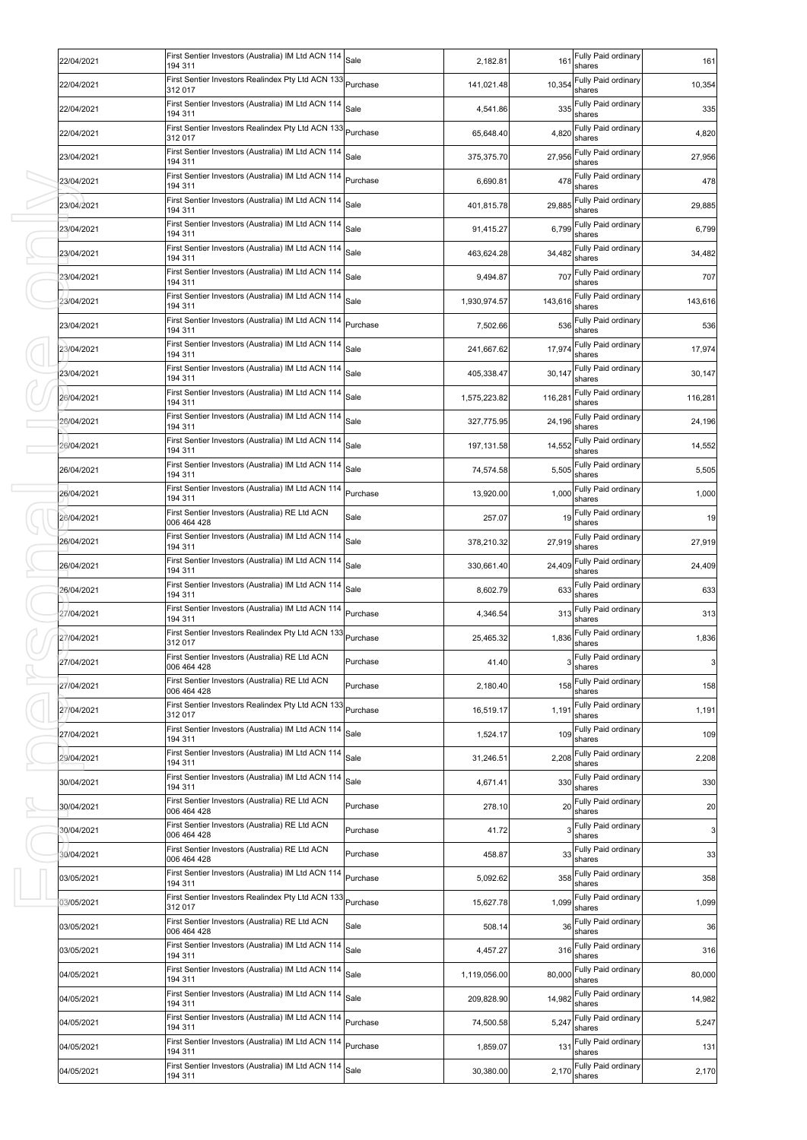| 22/04/2021 | First Sentier Investors (Australia) IM Ltd ACN 114<br>194 311 | Sale     | 2,182.81     | 161     | Fully Paid ordinary<br>shares       | 161                     |
|------------|---------------------------------------------------------------|----------|--------------|---------|-------------------------------------|-------------------------|
| 22/04/2021 | First Sentier Investors Realindex Pty Ltd ACN 133<br>312 017  | Purchase | 141,021.48   | 10,354  | Fully Paid ordinary<br>shares       | 10,354                  |
| 22/04/2021 | First Sentier Investors (Australia) IM Ltd ACN 114<br>194 311 | Sale     | 4,541.86     | 335     | Fully Paid ordinary<br>shares       | 335                     |
| 22/04/2021 | First Sentier Investors Realindex Pty Ltd ACN 133<br>312 017  | Purchase | 65,648.40    | 4,820   | Fully Paid ordinary<br>shares       | 4,820                   |
| 23/04/2021 | First Sentier Investors (Australia) IM Ltd ACN 114<br>194 311 | Sale     | 375,375.70   | 27,956  | Fully Paid ordinary<br>shares       | 27,956                  |
| 23/04/2021 | First Sentier Investors (Australia) IM Ltd ACN 114<br>194 311 | Purchase | 6,690.81     | 478     | Fully Paid ordinary<br>shares       | 478                     |
| 23/04/2021 | First Sentier Investors (Australia) IM Ltd ACN 114<br>194 311 | Sale     | 401,815.78   | 29,885  | Fully Paid ordinary<br>shares       | 29,885                  |
| 23/04/2021 | First Sentier Investors (Australia) IM Ltd ACN 114<br>194 311 | Sale     | 91,415.27    | 6,799   | Fully Paid ordinary<br>shares       | 6,799                   |
| 23/04/2021 | First Sentier Investors (Australia) IM Ltd ACN 114<br>194 311 | Sale     | 463,624.28   | 34,482  | Fully Paid ordinary<br>shares       | 34,482                  |
| 23/04/2021 | First Sentier Investors (Australia) IM Ltd ACN 114<br>194 311 | Sale     | 9,494.87     | 707     | Fully Paid ordinary<br>shares       | 707                     |
| 23/04/2021 | First Sentier Investors (Australia) IM Ltd ACN 114<br>194 311 | Sale     | 1,930,974.57 | 143,616 | Fully Paid ordinary<br>shares       | 143,616                 |
| 23/04/2021 | First Sentier Investors (Australia) IM Ltd ACN 114<br>194 311 | Purchase | 7,502.66     | 536     | Fully Paid ordinary<br>shares       | 536                     |
| 23/04/2021 | First Sentier Investors (Australia) IM Ltd ACN 114<br>194 311 | Sale     | 241,667.62   | 17,974  | Fully Paid ordinary<br>shares       | 17,974                  |
| 23/04/2021 | First Sentier Investors (Australia) IM Ltd ACN 114<br>194 311 | Sale     | 405,338.47   | 30,147  | Fully Paid ordinary<br>shares       | 30,147                  |
| 26/04/2021 | First Sentier Investors (Australia) IM Ltd ACN 114<br>194 311 | Sale     | 1,575,223.82 | 116,281 | Fully Paid ordinary<br>shares       | 116,281                 |
| 26/04/2021 | First Sentier Investors (Australia) IM Ltd ACN 114<br>194 311 | Sale     | 327,775.95   | 24,196  | Fully Paid ordinary<br>shares       | 24,196                  |
| 26/04/2021 | First Sentier Investors (Australia) IM Ltd ACN 114<br>194 311 | Sale     | 197,131.58   | 14,552  | Fully Paid ordinary<br>shares       | 14,552                  |
| 26/04/2021 | First Sentier Investors (Australia) IM Ltd ACN 114<br>194 311 | Sale     | 74,574.58    | 5,505   | Fully Paid ordinary<br>shares       | 5,505                   |
| 26/04/2021 | First Sentier Investors (Australia) IM Ltd ACN 114<br>194 311 | Purchase | 13,920.00    | 1,000   | Fully Paid ordinary<br>shares       | 1,000                   |
| 26/04/2021 | First Sentier Investors (Australia) RE Ltd ACN<br>006 464 428 | Sale     | 257.07       | 19      | Fully Paid ordinary<br>shares       | 19                      |
| 26/04/2021 | First Sentier Investors (Australia) IM Ltd ACN 114<br>194 311 | Sale     | 378,210.32   | 27,919  | Fully Paid ordinary<br>shares       | 27,919                  |
| 26/04/2021 | First Sentier Investors (Australia) IM Ltd ACN 114<br>194 311 | Sale     | 330,661.40   | 24,409  | Fully Paid ordinary<br>shares       | 24,409                  |
| 26/04/2021 | First Sentier Investors (Australia) IM Ltd ACN 114<br>194 311 | Sale     | 8,602.79     | 633     | Fully Paid ordinary<br>shares       | 633                     |
| 27/04/2021 | First Sentier Investors (Australia) IM Ltd ACN 114<br>194 311 | Purchase | 4,346.54     | 313     | Fully Paid ordinary<br>shares       | 313                     |
| 27/04/2021 | First Sentier Investors Realindex Pty Ltd ACN 133<br>312 017  | Purchase | 25,465.32    | 1,836   | Fully Paid ordinary<br>shares       | 1,836                   |
| 27/04/2021 | First Sentier Investors (Australia) RE Ltd ACN<br>006 464 428 | Purchase | 41.40        |         | 3 Fully Paid ordinary<br>shares     | $\overline{\mathbf{3}}$ |
| 27/04/2021 | First Sentier Investors (Australia) RE Ltd ACN<br>006 464 428 | Purchase | 2,180.40     | 158     | Fully Paid ordinary<br>shares       | 158                     |
| 27/04/2021 | First Sentier Investors Realindex Ptv Ltd ACN 133<br>312 017  | Purchase | 16,519.17    | 1,191   | Fully Paid ordinary<br>shares       | 1,191                   |
| 27/04/2021 | First Sentier Investors (Australia) IM Ltd ACN 114<br>194 311 | Sale     | 1,524.17     | 109     | Fully Paid ordinary<br>shares       | 109                     |
| 29/04/2021 | First Sentier Investors (Australia) IM Ltd ACN 114<br>194 311 | Sale     | 31,246.51    | 2,208   | Fully Paid ordinary<br>shares       | 2,208                   |
| 30/04/2021 | First Sentier Investors (Australia) IM Ltd ACN 114<br>194 311 | Sale     | 4,671.41     |         | 330 Fully Paid ordinary<br>shares   | 330                     |
| 30/04/2021 | First Sentier Investors (Australia) RE Ltd ACN<br>006 464 428 | Purchase | 278.10       | 20      | Fully Paid ordinary<br>shares       | 20                      |
| 30/04/2021 | First Sentier Investors (Australia) RE Ltd ACN<br>006 464 428 | Purchase | 41.72        |         | Fully Paid ordinary<br>shares       | 3 <sub>l</sub>          |
| 30/04/2021 | First Sentier Investors (Australia) RE Ltd ACN<br>006 464 428 | Purchase | 458.87       |         | 33 Fully Paid ordinary<br>shares    | 33                      |
| 03/05/2021 | First Sentier Investors (Australia) IM Ltd ACN 114<br>194 311 | Purchase | 5,092.62     | 358     | Fully Paid ordinary<br>shares       | 358                     |
| 03/05/2021 | First Sentier Investors Realindex Pty Ltd ACN 133<br>312 017  | Purchase | 15,627.78    | 1,099   | Fully Paid ordinary<br>shares       | 1,099                   |
| 03/05/2021 | First Sentier Investors (Australia) RE Ltd ACN<br>006 464 428 | Sale     | 508.14       | 36      | Fully Paid ordinary<br>shares       | 36                      |
| 03/05/2021 | First Sentier Investors (Australia) IM Ltd ACN 114<br>194 311 | Sale     | 4,457.27     | 316     | Fully Paid ordinary<br>shares       | 316                     |
| 04/05/2021 | First Sentier Investors (Australia) IM Ltd ACN 114<br>194 311 | Sale     | 1,119,056.00 | 80,000  | Fully Paid ordinary<br>shares       | 80,000                  |
| 04/05/2021 | First Sentier Investors (Australia) IM Ltd ACN 114<br>194 311 | Sale     | 209,828.90   | 14,982  | Fully Paid ordinary<br>shares       | 14,982                  |
| 04/05/2021 | First Sentier Investors (Australia) IM Ltd ACN 114<br>194 311 | Purchase | 74,500.58    | 5,247   | Fully Paid ordinary<br>shares       | 5,247                   |
| 04/05/2021 | First Sentier Investors (Australia) IM Ltd ACN 114<br>194 311 | Purchase | 1,859.07     | 131     | Fully Paid ordinary<br>shares       | 131                     |
| 04/05/2021 | First Sentier Investors (Australia) IM Ltd ACN 114<br>194 311 | Sale     | 30,380.00    |         | 2,170 Fully Paid ordinary<br>shares | 2,170                   |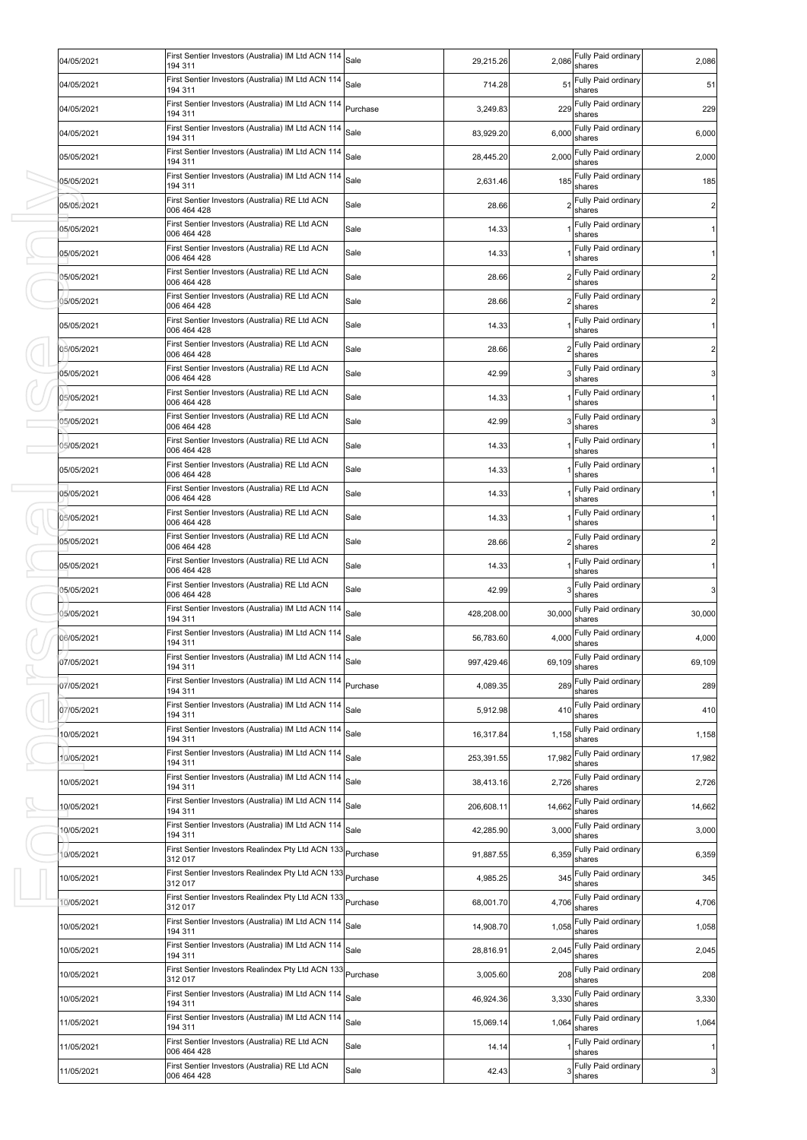| 04/05/2021 | First Sentier Investors (Australia) IM Ltd ACN 114<br>194 311      | Sale     | 29,215.26  | 2,086          | Fully Paid ordinary<br>shares        | 2,086          |
|------------|--------------------------------------------------------------------|----------|------------|----------------|--------------------------------------|----------------|
| 04/05/2021 | First Sentier Investors (Australia) IM Ltd ACN 114<br>194 311      | Sale     | 714.28     | 51             | Fully Paid ordinary<br>shares        | 51             |
| 04/05/2021 | First Sentier Investors (Australia) IM Ltd ACN 114<br>194 311      | Purchase | 3,249.83   | 229            | Fully Paid ordinary<br>shares        | 229            |
| 04/05/2021 | First Sentier Investors (Australia) IM Ltd ACN 114<br>194 311      | Sale     | 83,929.20  | 6,000          | Fully Paid ordinary<br>shares        | 6,000          |
| 05/05/2021 | First Sentier Investors (Australia) IM Ltd ACN 114<br>194 311      | Sale     | 28,445.20  | 2,000          | Fully Paid ordinary<br>shares        | 2,000          |
| 05/05/2021 | First Sentier Investors (Australia) IM Ltd ACN 114<br>194 311      | Sale     | 2,631.46   | 185            | Fully Paid ordinary<br>shares        | 185            |
| 05/05/2021 | First Sentier Investors (Australia) RE Ltd ACN<br>006 464 428      | Sale     | 28.66      | $\overline{c}$ | Fully Paid ordinary<br>shares        | $\overline{c}$ |
| 05/05/2021 | First Sentier Investors (Australia) RE Ltd ACN<br>006 464 428      | Sale     | 14.33      |                | Fully Paid ordinary<br>shares        |                |
| 05/05/2021 | First Sentier Investors (Australia) RE Ltd ACN<br>006 464 428      | Sale     | 14.33      |                | Fully Paid ordinary<br>shares        |                |
| 05/05/2021 | First Sentier Investors (Australia) RE Ltd ACN<br>006 464 428      | Sale     | 28.66      |                | Fully Paid ordinary<br>shares        | 2              |
| 05/05/2021 | First Sentier Investors (Australia) RE Ltd ACN<br>006 464 428      | Sale     | 28.66      |                | Fully Paid ordinary<br>shares        | 2              |
| 05/05/2021 | First Sentier Investors (Australia) RE Ltd ACN<br>006 464 428      | Sale     | 14.33      |                | Fully Paid ordinary<br>shares        |                |
| 05/05/2021 | First Sentier Investors (Australia) RE Ltd ACN<br>006 464 428      | Sale     | 28.66      | $\overline{c}$ | Fully Paid ordinary<br>shares        | 2              |
| 05/05/2021 | First Sentier Investors (Australia) RE Ltd ACN<br>006 464 428      | Sale     | 42.99      |                | Fully Paid ordinary<br>shares        | 3              |
| 05/05/2021 | First Sentier Investors (Australia) RE Ltd ACN<br>006 464 428      | Sale     | 14.33      |                | Fully Paid ordinary<br>shares        |                |
| 05/05/2021 | First Sentier Investors (Australia) RE Ltd ACN<br>006 464 428      | Sale     | 42.99      |                | Fully Paid ordinary<br>shares        | 3              |
| 05/05/2021 | First Sentier Investors (Australia) RE Ltd ACN<br>006 464 428      | Sale     | 14.33      |                | Fully Paid ordinary<br>shares        |                |
| 05/05/2021 | First Sentier Investors (Australia) RE Ltd ACN<br>006 464 428      | Sale     | 14.33      |                | Fully Paid ordinary<br>shares        |                |
| 05/05/2021 | First Sentier Investors (Australia) RE Ltd ACN<br>006 464 428      | Sale     | 14.33      |                | Fully Paid ordinary<br>shares        |                |
| 05/05/2021 | First Sentier Investors (Australia) RE Ltd ACN<br>006 464 428      | Sale     | 14.33      |                | Fully Paid ordinary<br>shares        |                |
| 05/05/2021 | First Sentier Investors (Australia) RE Ltd ACN<br>006 464 428      | Sale     | 28.66      |                | Fully Paid ordinary<br>shares        |                |
| 05/05/2021 | First Sentier Investors (Australia) RE Ltd ACN<br>006 464 428      | Sale     | 14.33      |                | Fully Paid ordinary<br>shares        |                |
| 05/05/2021 | First Sentier Investors (Australia) RE Ltd ACN<br>006 464 428      | Sale     | 42.99      |                | Fully Paid ordinary<br>shares        | 3              |
| 05/05/2021 | First Sentier Investors (Australia) IM Ltd ACN 114<br>194 311      | Sale     | 428,208.00 | 30,000         | Fully Paid ordinary<br>shares        | 30,000         |
| 06/05/2021 | First Sentier Investors (Australia) IM Ltd ACN 114<br>194 311      | Sale     | 56,783.60  | 4,000          | Fully Paid ordinary<br>shares        | 4,000          |
| 07/05/2021 | First Sentier Investors (Australia) IM Ltd ACN 114<br>194 311      | Sale     | 997,429.46 |                | 69,109 Fully Paid ordinary<br>shares | 69,109         |
| 07/05/2021 | First Sentier Investors (Australia) IM Ltd ACN 114<br>194 311      | Purchase | 4,089.35   | 289            | Fully Paid ordinary<br>shares        | 289            |
| 07/05/2021 | First Sentier Investors (Australia) IM Ltd ACN 114<br>194 311      | Sale     | 5,912.98   | 410            | Fully Paid ordinary<br>shares        | 410            |
| 10/05/2021 | First Sentier Investors (Australia) IM Ltd ACN 114<br>194 311      | Sale     | 16,317.84  | 1,158          | Fully Paid ordinary<br>shares        | 1,158          |
| 10/05/2021 | First Sentier Investors (Australia) IM Ltd ACN 114<br>194 311      | Sale     | 253.391.55 | 17,982         | Fully Paid ordinary<br>shares        | 17,982         |
| 10/05/2021 | First Sentier Investors (Australia) IM Ltd ACN 114<br>194 311      | Sale     | 38,413.16  | 2,726          | Fully Paid ordinary<br>shares        | 2,726          |
| 10/05/2021 | First Sentier Investors (Australia) IM Ltd ACN 114<br>194 311      | Sale     | 206,608.11 | 14,662         | Fully Paid ordinary<br>shares        | 14,662         |
| 10/05/2021 | First Sentier Investors (Australia) IM Ltd ACN 114<br>194 311      | Sale     | 42,285.90  | 3,000          | Fully Paid ordinary<br>shares        | 3,000          |
| 10/05/2021 | First Sentier Investors Realindex Pty Ltd ACN 133<br>312 017       | Purchase | 91,887.55  |                | 6,359 Fully Paid ordinary<br>shares  | 6,359          |
| 10/05/2021 | First Sentier Investors Realindex Pty Ltd ACN 133<br>312 017       | Purchase | 4,985.25   | 345            | Fully Paid ordinary<br>shares        | 345            |
| 10/05/2021 | First Sentier Investors Realindex Pty Ltd ACN 133<br>312 017       | Purchase | 68,001.70  | 4,706          | Fully Paid ordinary<br>shares        | 4,706          |
| 10/05/2021 | First Sentier Investors (Australia) IM Ltd ACN 114<br>194 311      | Sale     | 14,908.70  | 1,058          | Fully Paid ordinary<br>shares        | 1,058          |
| 10/05/2021 | First Sentier Investors (Australia) IM Ltd ACN 114<br>194 311      | Sale     | 28,816.91  | 2,045          | Fully Paid ordinary<br>shares        | 2,045          |
| 10/05/2021 | First Sentier Investors Realindex Pty Ltd ACN 133<br>312 017       | Purchase | 3,005.60   | 208            | Fully Paid ordinary<br>shares        | 208            |
| 10/05/2021 | First Sentier Investors (Australia) IM Ltd ACN 114<br>194 311      | Sale     | 46,924.36  | 3,330          | Fully Paid ordinary<br>shares        | 3,330          |
| 11/05/2021 | First Sentier Investors (Australia) IM Ltd ACN 114 Sale<br>194 311 |          | 15,069.14  | 1,064          | Fully Paid ordinary<br>shares        | 1,064          |
| 11/05/2021 | First Sentier Investors (Australia) RE Ltd ACN<br>006 464 428      | Sale     | 14.14      |                | Fully Paid ordinary<br>shares        | $\mathbf{1}$   |
| 11/05/2021 | First Sentier Investors (Australia) RE Ltd ACN<br>006 464 428      | Sale     | 42.43      |                | Fully Paid ordinary<br>shares        | $\mathbf{3}$   |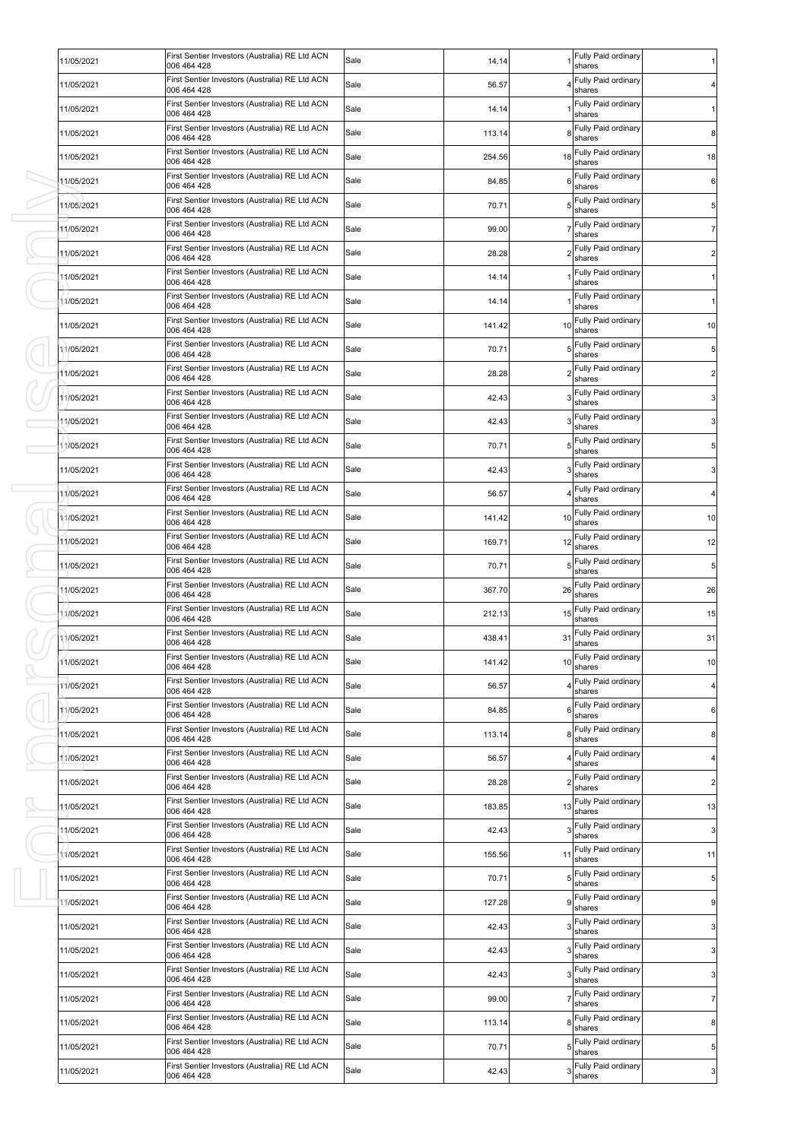|            | First Sentier Investors (Australia) RE Ltd ACN                |      |        |    | Fully Paid ordinary              |                |
|------------|---------------------------------------------------------------|------|--------|----|----------------------------------|----------------|
| 11/05/2021 | 006 464 428<br>First Sentier Investors (Australia) RE Ltd ACN | Sale | 14.14  |    | shares<br>Fully Paid ordinary    | 1              |
| 11/05/2021 | 006 464 428                                                   | Sale | 56.57  |    | shares                           |                |
| 11/05/2021 | First Sentier Investors (Australia) RE Ltd ACN<br>006 464 428 | Sale | 14.14  |    | Fully Paid ordinary<br>shares    | 1              |
| 11/05/2021 | First Sentier Investors (Australia) RE Ltd ACN<br>006 464 428 | Sale | 113.14 |    | Fully Paid ordinary<br>shares    | 8              |
| 11/05/2021 | First Sentier Investors (Australia) RE Ltd ACN<br>006 464 428 | Sale | 254.56 | 18 | Fully Paid ordinary<br>shares    | 18             |
| 11/05/2021 | First Sentier Investors (Australia) RE Ltd ACN<br>006 464 428 | Sale | 84.85  | 6  | Fully Paid ordinary<br>shares    | 6              |
| 1/05/2021  | First Sentier Investors (Australia) RE Ltd ACN<br>006 464 428 | Sale | 70.71  |    | Fully Paid ordinary<br>shares    | 5 <sub>5</sub> |
| 11/05/2021 | First Sentier Investors (Australia) RE Ltd ACN<br>006 464 428 | Sale | 99.00  |    | Fully Paid ordinary<br>shares    | $\overline{7}$ |
| 11/05/2021 | First Sentier Investors (Australia) RE Ltd ACN<br>006 464 428 | Sale | 28.28  |    | Fully Paid ordinary<br>shares    | 2              |
| 11/05/2021 | First Sentier Investors (Australia) RE Ltd ACN<br>006 464 428 | Sale | 14.14  |    | Fully Paid ordinary<br>shares    | 1              |
| 11/05/2021 | First Sentier Investors (Australia) RE Ltd ACN<br>006 464 428 | Sale | 14.14  |    | Fully Paid ordinary<br>shares    |                |
| 11/05/2021 | First Sentier Investors (Australia) RE Ltd ACN<br>006 464 428 | Sale | 141.42 | 10 | Fully Paid ordinary<br>shares    | 10             |
| 11/05/2021 | First Sentier Investors (Australia) RE Ltd ACN<br>006 464 428 | Sale | 70.71  |    | Fully Paid ordinary<br>shares    | 5              |
| 11/05/2021 | First Sentier Investors (Australia) RE Ltd ACN<br>006 464 428 | Sale | 28.28  |    | Fully Paid ordinary<br>shares    | 2              |
| 11/05/2021 | First Sentier Investors (Australia) RE Ltd ACN<br>006 464 428 | Sale | 42.43  |    | Fully Paid ordinary<br>shares    | 3              |
| 1/05/2021  | First Sentier Investors (Australia) RE Ltd ACN                | Sale | 42.43  |    | Fully Paid ordinary              | 3              |
| 1/05/2021  | 006 464 428<br>First Sentier Investors (Australia) RE Ltd ACN | Sale | 70.71  |    | shares<br>Fully Paid ordinary    | 5              |
| 11/05/2021 | 006 464 428<br>First Sentier Investors (Australia) RE Ltd ACN | Sale | 42.43  |    | shares<br>Fully Paid ordinary    | 3              |
| 11/05/2021 | 006 464 428<br>First Sentier Investors (Australia) RE Ltd ACN | Sale | 56.57  |    | shares<br>Fully Paid ordinary    |                |
| 11/05/2021 | 006 464 428<br>First Sentier Investors (Australia) RE Ltd ACN | Sale | 141.42 | 10 | shares<br>Fully Paid ordinary    | 10             |
| 11/05/2021 | 006 464 428<br>First Sentier Investors (Australia) RE Ltd ACN | Sale | 169.71 | 12 | shares<br>Fully Paid ordinary    | 12             |
| 11/05/2021 | 006 464 428<br>First Sentier Investors (Australia) RE Ltd ACN | Sale | 70.71  | 5  | shares<br>Fully Paid ordinary    | 5              |
| 11/05/2021 | 006 464 428<br>First Sentier Investors (Australia) RE Ltd ACN | Sale | 367.70 | 26 | shares<br>Fully Paid ordinary    | 26             |
|            | 006 464 428<br>First Sentier Investors (Australia) RE Ltd ACN |      |        |    | shares<br>Fully Paid ordinary    |                |
| 11/05/2021 | 006 464 428<br>First Sentier Investors (Australia) RE Ltd ACN | Sale | 212.13 | 15 | shares<br>Fully Paid ordinary    | 15             |
| 11/05/2021 | 006 464 428<br>First Sentier Investors (Australia) RE Ltd ACN | Sale | 438.41 | 31 | shares<br>10 Fully Paid ordinary | 31             |
| 11/05/2021 | 006 464 428<br>First Sentier Investors (Australia) RE Ltd ACN | Sale | 141.42 |    | shares<br>Fully Paid ordinary    | 10             |
| 11/05/2021 | 006 464 428                                                   | Sale | 56.57  |    | shares                           | 4              |
| 11/05/2021 | First Sentier Investors (Australia) RE Ltd ACN<br>006 464 428 | Sale | 84.85  |    | Fully Paid ordinary<br>shares    | 6              |
| 11/05/2021 | First Sentier Investors (Australia) RE Ltd ACN<br>006 464 428 | Sale | 113.14 |    | Fully Paid ordinary<br>shares    | 8              |
| 1/05/2021  | First Sentier Investors (Australia) RE Ltd ACN<br>006 464 428 | Sale | 56.57  |    | Fully Paid ordinary<br>shares    | 4              |
| 11/05/2021 | First Sentier Investors (Australia) RE Ltd ACN<br>006 464 428 | Sale | 28.28  |    | Fully Paid ordinary<br>shares    | $\overline{2}$ |
| 11/05/2021 | First Sentier Investors (Australia) RE Ltd ACN<br>006 464 428 | Sale | 183.85 | 13 | Fully Paid ordinary<br>shares    | 13             |
| 11/05/2021 | First Sentier Investors (Australia) RE Ltd ACN<br>006 464 428 | Sale | 42.43  | 3  | Fully Paid ordinary<br>shares    | 3 <sup>1</sup> |
| 11/05/2021 | First Sentier Investors (Australia) RE Ltd ACN<br>006 464 428 | Sale | 155.56 | 11 | Fully Paid ordinary<br>shares    | 11             |
| 11/05/2021 | First Sentier Investors (Australia) RE Ltd ACN<br>006 464 428 | Sale | 70.71  | 5  | Fully Paid ordinary<br>shares    | 5              |
| 11/05/2021 | First Sentier Investors (Australia) RE Ltd ACN<br>006 464 428 | Sale | 127.28 | 9  | Fully Paid ordinary<br>shares    | 9              |
| 11/05/2021 | First Sentier Investors (Australia) RE Ltd ACN<br>006 464 428 | Sale | 42.43  |    | Fully Paid ordinary<br>shares    | 3              |
| 11/05/2021 | First Sentier Investors (Australia) RE Ltd ACN<br>006 464 428 | Sale | 42.43  |    | Fully Paid ordinary<br>shares    | 3              |
| 11/05/2021 | First Sentier Investors (Australia) RE Ltd ACN<br>006 464 428 | Sale | 42.43  |    | Fully Paid ordinary<br>shares    | 3              |
| 11/05/2021 | First Sentier Investors (Australia) RE Ltd ACN<br>006 464 428 | Sale | 99.00  |    | Fully Paid ordinary<br>shares    | 7              |
| 11/05/2021 | First Sentier Investors (Australia) RE Ltd ACN<br>006 464 428 | Sale | 113.14 |    | Fully Paid ordinary<br>shares    | 8              |
| 11/05/2021 | First Sentier Investors (Australia) RE Ltd ACN<br>006 464 428 | Sale | 70.71  | 5  | Fully Paid ordinary<br>shares    | 5              |
| 11/05/2021 | First Sentier Investors (Australia) RE Ltd ACN<br>006 464 428 | Sale | 42.43  |    | Fully Paid ordinary<br>shares    | 3 <sup>1</sup> |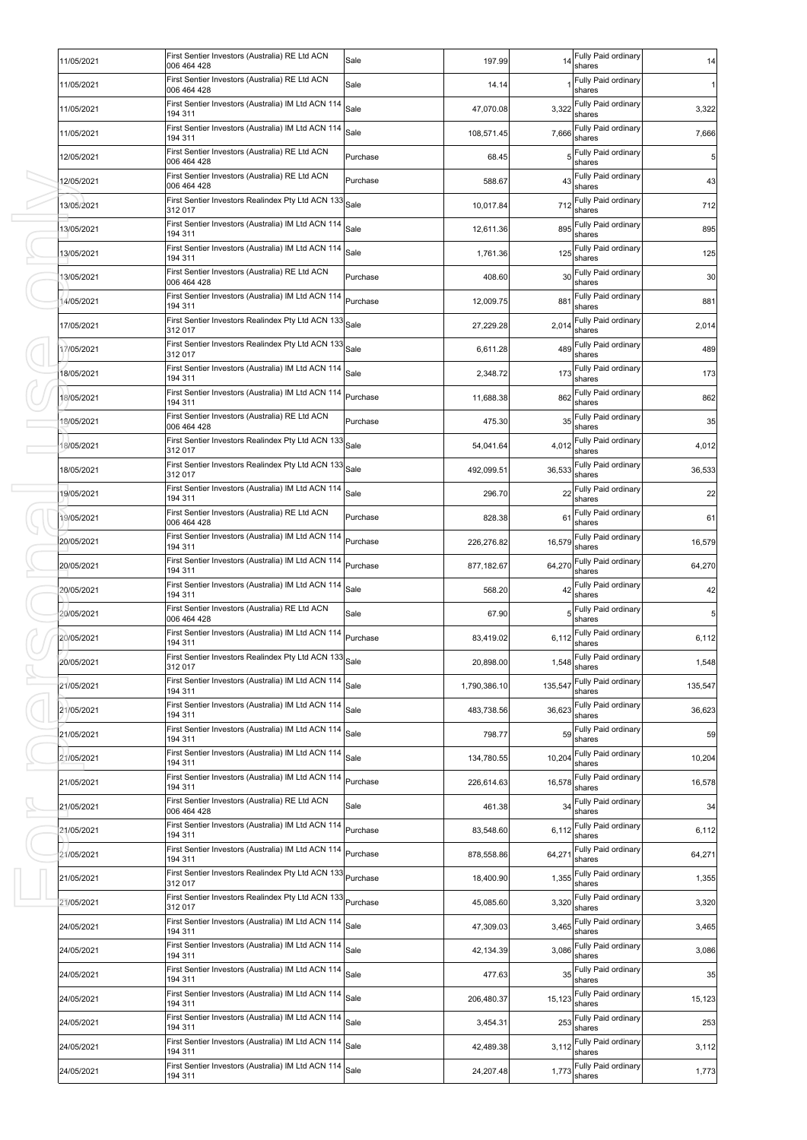| 11/05/2021 | First Sentier Investors (Australia) RE Ltd ACN<br>006 464 428     | Sale     | 197.99       | 14      | Fully Paid ordinary<br>shares       | 14             |
|------------|-------------------------------------------------------------------|----------|--------------|---------|-------------------------------------|----------------|
| 11/05/2021 | First Sentier Investors (Australia) RE Ltd ACN<br>006 464 428     | Sale     | 14.14        |         | Fully Paid ordinary<br>shares       | $\mathbf{1}$   |
| 11/05/2021 | First Sentier Investors (Australia) IM Ltd ACN 114<br>194 311     | Sale     | 47,070.08    | 3,322   | Fully Paid ordinary<br>shares       | 3,322          |
| 11/05/2021 | First Sentier Investors (Australia) IM Ltd ACN 114<br>194 311     | Sale     | 108,571.45   | 7,666   | Fully Paid ordinary<br>shares       | 7,666          |
| 12/05/2021 | First Sentier Investors (Australia) RE Ltd ACN<br>006 464 428     | Purchase | 68.45        |         | Fully Paid ordinary<br>shares       | 5 <sub>1</sub> |
| 12/05/2021 | First Sentier Investors (Australia) RE Ltd ACN<br>006 464 428     | Purchase | 588.67       | 43      | Fully Paid ordinary<br>shares       | 43             |
| 13/05/2021 | First Sentier Investors Realindex Pty Ltd ACN 133<br>312 017      | Sale     | 10,017.84    | 712     | Fully Paid ordinary<br>shares       | 712            |
| 13/05/2021 | First Sentier Investors (Australia) IM Ltd ACN 114<br>194 311     | Sale     | 12,611.36    | 895     | Fully Paid ordinary<br>shares       | 895            |
| 13/05/2021 | First Sentier Investors (Australia) IM Ltd ACN 114<br>194 311     | Sale     | 1,761.36     | 125     | Fully Paid ordinary<br>shares       | 125            |
| 13/05/2021 | First Sentier Investors (Australia) RE Ltd ACN<br>006 464 428     | Purchase | 408.60       |         | 30 Fully Paid ordinary<br>shares    | 30             |
| 14/05/2021 | First Sentier Investors (Australia) IM Ltd ACN 114<br>194 311     | Purchase | 12,009.75    | 881     | Fully Paid ordinary<br>shares       | 881            |
| 17/05/2021 | First Sentier Investors Realindex Pty Ltd ACN 133<br>312 017      | Sale     | 27,229.28    | 2,014   | Fully Paid ordinary<br>shares       | 2,014          |
| 17/05/2021 | First Sentier Investors Realindex Pty Ltd ACN 133<br>312 017      | Sale     | 6,611.28     | 489     | Fully Paid ordinary<br>shares       | 489            |
| 18/05/2021 | First Sentier Investors (Australia) IM Ltd ACN 114<br>194 311     | Sale     | 2,348.72     | 173     | Fully Paid ordinary<br>shares       | 173            |
| 18/05/2021 | First Sentier Investors (Australia) IM Ltd ACN 114<br>194 311     | Purchase | 11,688.38    | 862     | Fully Paid ordinary<br>shares       | 862            |
| 18/05/2021 | First Sentier Investors (Australia) RE Ltd ACN<br>006 464 428     | Purchase | 475.30       | 35      | Fully Paid ordinary<br>shares       | 35             |
| 18/05/2021 | First Sentier Investors Realindex Pty Ltd ACN 133<br>312 017      | Sale     | 54,041.64    | 4,012   | Fully Paid ordinary<br>shares       | 4,012          |
| 18/05/2021 | First Sentier Investors Realindex Pty Ltd ACN 133<br>312 017      | Sale     | 492,099.51   | 36,533  | Fully Paid ordinary<br>shares       | 36,533         |
| 19/05/2021 | First Sentier Investors (Australia) IM Ltd ACN 114<br>194 311     | Sale     | 296.70       | 22      | Fully Paid ordinary<br>shares       | 22             |
| 19/05/2021 | First Sentier Investors (Australia) RE Ltd ACN<br>006 464 428     | Purchase | 828.38       | 61      | Fully Paid ordinary<br>shares       | 61             |
| 20/05/2021 | First Sentier Investors (Australia) IM Ltd ACN 114<br>194 311     | Purchase | 226,276.82   | 16,579  | Fully Paid ordinary<br>shares       | 16,579         |
| 20/05/2021 | First Sentier Investors (Australia) IM Ltd ACN 114<br>194 311     | Purchase | 877,182.67   | 64,270  | Fully Paid ordinary<br>shares       | 64,270         |
| 20/05/2021 | First Sentier Investors (Australia) IM Ltd ACN 114<br>194 311     | Sale     | 568.20       | 42      | Fully Paid ordinary<br>shares       | 42             |
| 20/05/2021 | First Sentier Investors (Australia) RE Ltd ACN<br>006 464 428     | Sale     | 67.90        |         | Fully Paid ordinary<br>shares       | 5              |
| 20/05/2021 | First Sentier Investors (Australia) IM Ltd ACN 114<br>194 311     | Purchase | 83,419.02    | 6,112   | Fully Paid ordinary<br>shares       | 6,112          |
| 20/05/2021 | First Sentier Investors Realindex Pty Ltd ACN 133 Sale<br>312 017 |          | 20,898.00    |         | 1,548 Fully Paid ordinary<br>shares | 1,548          |
| 21/05/2021 | First Sentier Investors (Australia) IM Ltd ACN 114<br>194 311     | Sale     | 1,790,386.10 | 135,547 | Fully Paid ordinary<br>shares       | 135,547        |
| 21/05/2021 | First Sentier Investors (Australia) IM Ltd ACN 114<br>194 311     | Sale     | 483,738.56   | 36,623  | Fully Paid ordinary<br>shares       | 36,623         |
| 21/05/2021 | First Sentier Investors (Australia) IM Ltd ACN 114<br>194 311     | Sale     | 798.77       | 59      | Fully Paid ordinary<br>shares       | 59             |
| 21/05/2021 | First Sentier Investors (Australia) IM Ltd ACN 114<br>194 311     | Sale     | 134,780.55   | 10,204  | Fully Paid ordinary<br>shares       | 10,204         |
| 21/05/2021 | First Sentier Investors (Australia) IM Ltd ACN 114<br>194 311     | Purchase | 226,614.63   | 16,578  | Fully Paid ordinary<br>shares       | 16,578         |
| 21/05/2021 | First Sentier Investors (Australia) RE Ltd ACN<br>006 464 428     | Sale     | 461.38       | 34      | Fully Paid ordinary<br>shares       | 34             |
| 21/05/2021 | First Sentier Investors (Australia) IM Ltd ACN 114<br>194 311     | Purchase | 83,548.60    | 6,112   | Fully Paid ordinary<br>shares       | 6,112          |
| 21/05/2021 | First Sentier Investors (Australia) IM Ltd ACN 114<br>194 311     | Purchase | 878,558.86   | 64,271  | Fully Paid ordinary<br>shares       | 64,271         |
| 21/05/2021 | First Sentier Investors Realindex Pty Ltd ACN 133<br>312 017      | Purchase | 18,400.90    | 1,355   | Fully Paid ordinary<br>shares       | 1,355          |
| 21/05/2021 | First Sentier Investors Realindex Pty Ltd ACN 133<br>312 017      | Purchase | 45,085.60    | 3,320   | Fully Paid ordinary<br>shares       | 3,320          |
| 24/05/2021 | First Sentier Investors (Australia) IM Ltd ACN 114<br>194 311     | Sale     | 47,309.03    | 3,465   | Fully Paid ordinary<br>shares       | 3,465          |
| 24/05/2021 | First Sentier Investors (Australia) IM Ltd ACN 114<br>194 311     | Sale     | 42,134.39    | 3,086   | Fully Paid ordinary<br>shares       | 3,086          |
| 24/05/2021 | First Sentier Investors (Australia) IM Ltd ACN 114<br>194 311     | Sale     | 477.63       | 35      | Fully Paid ordinary<br>shares       | 35             |
| 24/05/2021 | First Sentier Investors (Australia) IM Ltd ACN 114<br>194 311     | Sale     | 206,480.37   | 15,123  | Fully Paid ordinary<br>shares       | 15,123         |
| 24/05/2021 | First Sentier Investors (Australia) IM Ltd ACN 114<br>194 311     | Sale     | 3,454.31     | 253     | Fully Paid ordinary<br>shares       | 253            |
| 24/05/2021 | First Sentier Investors (Australia) IM Ltd ACN 114<br>194 311     | Sale     | 42,489.38    | 3,112   | Fully Paid ordinary<br>shares       | 3,112          |
| 24/05/2021 | First Sentier Investors (Australia) IM Ltd ACN 114<br>194 311     | Sale     | 24,207.48    | 1,773   | Fully Paid ordinary<br>shares       | 1,773          |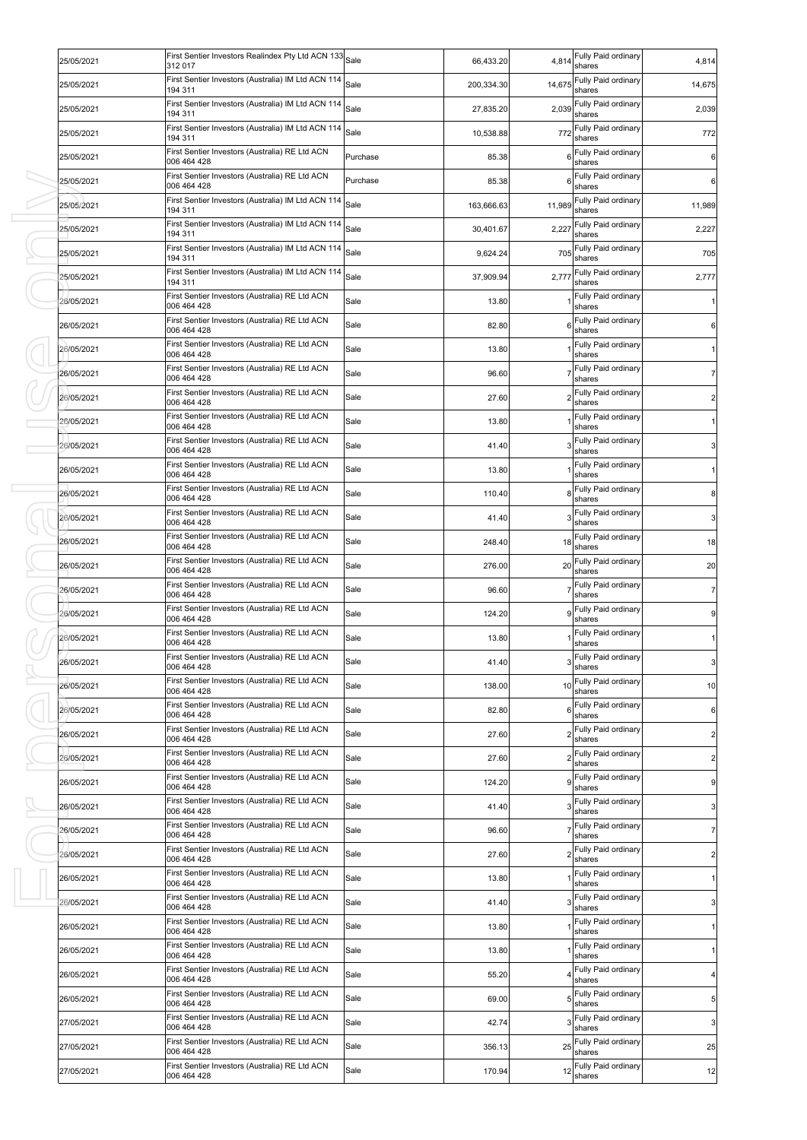| 25/05/2021 | First Sentier Investors Realindex Pty Ltd ACN 133 Sale<br>312 017 |          | 66,433.20  | 4,814  | Fully Paid ordinary<br>shares    | 4,814          |
|------------|-------------------------------------------------------------------|----------|------------|--------|----------------------------------|----------------|
| 25/05/2021 | First Sentier Investors (Australia) IM Ltd ACN 114<br>194 311     | Sale     | 200,334.30 | 14,675 | Fully Paid ordinary<br>shares    | 14,675         |
| 25/05/2021 | First Sentier Investors (Australia) IM Ltd ACN 114<br>194 311     | Sale     | 27,835.20  | 2,039  | Fully Paid ordinary<br>shares    | 2,039          |
| 25/05/2021 | First Sentier Investors (Australia) IM Ltd ACN 114<br>194 311     | Sale     | 10,538.88  | 772    | Fully Paid ordinary<br>shares    | 772            |
| 25/05/2021 | First Sentier Investors (Australia) RE Ltd ACN<br>006 464 428     | Purchase | 85.38      | 6      | Fully Paid ordinary<br>shares    | $\,6$          |
| 25/05/2021 | First Sentier Investors (Australia) RE Ltd ACN<br>006 464 428     | Purchase | 85.38      | 6      | Fully Paid ordinary<br>shares    | 6              |
| 25/05/2021 | First Sentier Investors (Australia) IM Ltd ACN 114<br>194 311     | Sale     | 163,666.63 | 11,989 | Fully Paid ordinary<br>shares    | 11,989         |
| 25/05/2021 | First Sentier Investors (Australia) IM Ltd ACN 114<br>194 311     | Sale     | 30,401.67  | 2,227  | Fully Paid ordinary<br>shares    | 2,227          |
| 25/05/2021 | First Sentier Investors (Australia) IM Ltd ACN 114<br>194 311     | Sale     | 9,624.24   | 705    | Fully Paid ordinary<br>shares    | 705            |
| 25/05/2021 | First Sentier Investors (Australia) IM Ltd ACN 114<br>194 311     | Sale     | 37,909.94  | 2,777  | Fully Paid ordinary<br>shares    | 2,777          |
| 26/05/2021 | First Sentier Investors (Australia) RE Ltd ACN<br>006 464 428     | Sale     | 13.80      |        | Fully Paid ordinary<br>shares    |                |
| 26/05/2021 | First Sentier Investors (Australia) RE Ltd ACN<br>006 464 428     | Sale     | 82.80      | 6      | Fully Paid ordinary<br>shares    | 6              |
| 26/05/2021 | First Sentier Investors (Australia) RE Ltd ACN<br>006 464 428     | Sale     | 13.80      |        | Fully Paid ordinary<br>shares    |                |
| 26/05/2021 | First Sentier Investors (Australia) RE Ltd ACN<br>006 464 428     | Sale     | 96.60      |        | Fully Paid ordinary<br>shares    |                |
| 26/05/2021 | First Sentier Investors (Australia) RE Ltd ACN<br>006 464 428     | Sale     | 27.60      |        | Fully Paid ordinary<br>shares    |                |
| 26/05/2021 | First Sentier Investors (Australia) RE Ltd ACN<br>006 464 428     | Sale     | 13.80      |        | Fully Paid ordinary<br>shares    |                |
| 26/05/2021 | First Sentier Investors (Australia) RE Ltd ACN<br>006 464 428     | Sale     | 41.40      |        | Fully Paid ordinary<br>shares    |                |
| 26/05/2021 | First Sentier Investors (Australia) RE Ltd ACN<br>006 464 428     | Sale     | 13.80      |        | Fully Paid ordinary<br>shares    |                |
| 26/05/2021 | First Sentier Investors (Australia) RE Ltd ACN<br>006 464 428     | Sale     | 110.40     | 8      | Fully Paid ordinary<br>shares    | 8              |
| 26/05/2021 | First Sentier Investors (Australia) RE Ltd ACN<br>006 464 428     | Sale     | 41.40      |        | Fully Paid ordinary<br>shares    | 3              |
| 26/05/2021 | First Sentier Investors (Australia) RE Ltd ACN<br>006 464 428     | Sale     | 248.40     | 18     | Fully Paid ordinary<br>shares    | 18             |
| 26/05/2021 | First Sentier Investors (Australia) RE Ltd ACN<br>006 464 428     | Sale     | 276.00     | 20     | Fully Paid ordinary<br>shares    | 20             |
| 26/05/2021 | First Sentier Investors (Australia) RE Ltd ACN<br>006 464 428     | Sale     | 96.60      |        | Fully Paid ordinary<br>shares    | $\overline{7}$ |
| 26/05/2021 | First Sentier Investors (Australia) RE Ltd ACN<br>006 464 428     | Sale     | 124.20     |        | Fully Paid ordinary<br>shares    | 9              |
| 26/05/2021 | First Sentier Investors (Australia) RE Ltd ACN<br>006 464 428     | Sale     | 13.80      |        | Fully Paid ordinary<br>shares    |                |
| 26/05/2021 | First Sentier Investors (Australia) RE Ltd ACN<br>006 464 428     | Sale     | 41.40      |        | 3 Fully Paid ordinary<br>shares  | $\overline{3}$ |
| 26/05/2021 | First Sentier Investors (Australia) RE Ltd ACN<br>006 464 428     | Sale     | 138.00     |        | 10 Fully Paid ordinary<br>shares | 10             |
| 26/05/2021 | First Sentier Investors (Australia) RE Ltd ACN<br>006 464 428     | Sale     | 82.80      | 6      | Fully Paid ordinary<br>shares    | 6              |
| 26/05/2021 | First Sentier Investors (Australia) RE Ltd ACN<br>006 464 428     | Sale     | 27.60      |        | 2 Fully Paid ordinary<br>shares  | $\overline{a}$ |
| 26/05/2021 | First Sentier Investors (Australia) RE Ltd ACN<br>006 464 428     | Sale     | 27.60      |        | Fully Paid ordinary<br>shares    | $\overline{2}$ |
| 26/05/2021 | First Sentier Investors (Australia) RE Ltd ACN<br>006 464 428     | Sale     | 124.20     | 9      | Fully Paid ordinary<br>shares    | 9              |
| 26/05/2021 | First Sentier Investors (Australia) RE Ltd ACN<br>006 464 428     | Sale     | 41.40      |        | Fully Paid ordinary<br>shares    | 3              |
| 26/05/2021 | First Sentier Investors (Australia) RE Ltd ACN<br>006 464 428     | Sale     | 96.60      |        | Fully Paid ordinary<br>shares    | $\overline{7}$ |
| 26/05/2021 | First Sentier Investors (Australia) RE Ltd ACN<br>006 464 428     | Sale     | 27.60      |        | 2 Fully Paid ordinary<br>shares  | 2              |
| 26/05/2021 | First Sentier Investors (Australia) RE Ltd ACN<br>006 464 428     | Sale     | 13.80      |        | Fully Paid ordinary<br>shares    | 1              |
| 26/05/2021 | First Sentier Investors (Australia) RE Ltd ACN<br>006 464 428     | Sale     | 41.40      |        | Fully Paid ordinary<br>shares    | 3              |
| 26/05/2021 | First Sentier Investors (Australia) RE Ltd ACN<br>006 464 428     | Sale     | 13.80      |        | Fully Paid ordinary<br>shares    | 1              |
| 26/05/2021 | First Sentier Investors (Australia) RE Ltd ACN<br>006 464 428     | Sale     | 13.80      |        | Fully Paid ordinary<br>shares    | 1              |
| 26/05/2021 | First Sentier Investors (Australia) RE Ltd ACN<br>006 464 428     | Sale     | 55.20      |        | Fully Paid ordinary<br>shares    | 4              |
| 26/05/2021 | First Sentier Investors (Australia) RE Ltd ACN<br>006 464 428     | Sale     | 69.00      | 5      | Fully Paid ordinary<br>shares    | 5              |
| 27/05/2021 | First Sentier Investors (Australia) RE Ltd ACN<br>006 464 428     | Sale     | 42.74      |        | Fully Paid ordinary<br>shares    | 3              |
| 27/05/2021 | First Sentier Investors (Australia) RE Ltd ACN<br>006 464 428     | Sale     | 356.13     | 25     | Fully Paid ordinary<br>shares    | 25             |
| 27/05/2021 | First Sentier Investors (Australia) RE Ltd ACN<br>006 464 428     | Sale     | 170.94     | 12     | Fully Paid ordinary<br>shares    | 12             |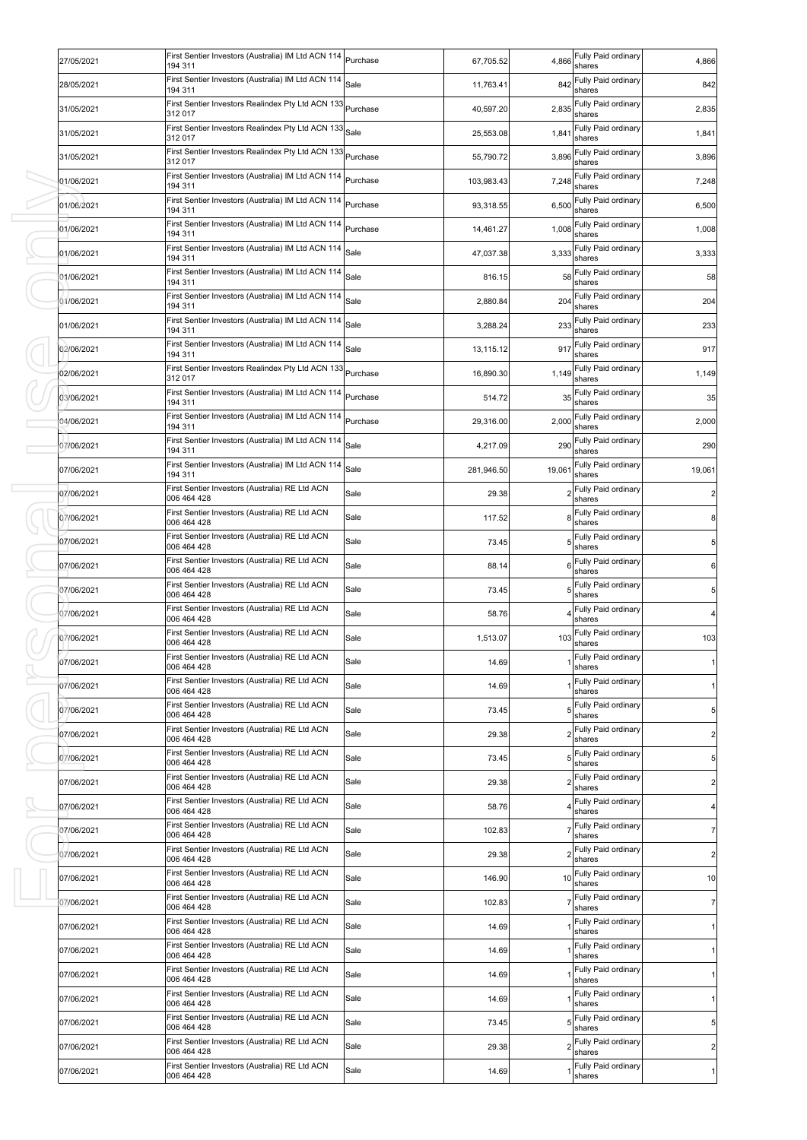| 194 311<br>shares<br>First Sentier Investors (Australia) IM Ltd ACN 114<br>Fully Paid ordinary<br>Sale<br>842<br>28/05/2021<br>842<br>11,763.41<br>194 311<br>shares<br>First Sentier Investors Realindex Pty Ltd ACN 133 Purchase<br>Fully Paid ordinary<br>2,835<br>31/05/2021<br>2,835<br>40,597.20<br>312 017<br>shares<br>First Sentier Investors Realindex Pty Ltd ACN 133<br>Fully Paid ordinary<br>Sale<br>1,841<br>31/05/2021<br>25,553.08<br>1,841<br>312 017<br>shares<br>First Sentier Investors Realindex Pty Ltd ACN 133<br>Fully Paid ordinary<br>Purchase<br>3,896<br>3,896<br>31/05/2021<br>55,790.72<br>312 017<br>shares<br>First Sentier Investors (Australia) IM Ltd ACN 114<br>Fully Paid ordinary<br>Purchase<br>7,248<br>103,983.43<br>7,248<br>01/06/2021<br>194 311<br>shares<br>First Sentier Investors (Australia) IM Ltd ACN 114<br>Fully Paid ordinary<br>Purchase<br>6,500<br>01/06/2021<br>6,500<br>93,318.55<br>shares<br>194 311<br>First Sentier Investors (Australia) IM Ltd ACN 114<br>Fully Paid ordinary<br>Purchase<br>01/06/2021<br>1,008<br>1,008<br>14,461.27<br>194 311<br>shares<br>First Sentier Investors (Australia) IM Ltd ACN 114<br>Fully Paid ordinary<br>Sale<br>01/06/2021<br>3,333<br>3,333<br>47,037.38<br>194 311<br>shares<br>First Sentier Investors (Australia) IM Ltd ACN 114<br>Fully Paid ordinary<br>Sale<br>58<br>58<br>01/06/2021<br>816.15<br>194 311<br>shares<br>First Sentier Investors (Australia) IM Ltd ACN 114<br>Fully Paid ordinary<br>Sale<br>204<br>204<br>01/06/2021<br>2,880.84<br>194 311<br>shares<br>First Sentier Investors (Australia) IM Ltd ACN 114<br>Fully Paid ordinary<br>Sale<br>233<br>233<br>01/06/2021<br>3,288.24<br>shares<br>194 311<br>First Sentier Investors (Australia) IM Ltd ACN 114<br>Fully Paid ordinary<br>Sale<br>917<br>917<br>02/06/2021<br>13,115.12<br>194 311<br>shares<br>First Sentier Investors Realindex Pty Ltd ACN 133<br>Fully Paid ordinary<br>Purchase<br>02/06/2021<br>1,149<br>1,149<br>16,890.30<br>312 017<br>shares<br>First Sentier Investors (Australia) IM Ltd ACN 114<br>Fully Paid ordinary<br>35<br>Purchase<br>35<br>03/06/2021<br>514.72<br>shares<br>194 311<br>First Sentier Investors (Australia) IM Ltd ACN 114<br>Fully Paid ordinary<br>Purchase<br>2,000<br>2,000<br>04/06/2021<br>29,316.00<br>194 311<br>shares<br>First Sentier Investors (Australia) IM Ltd ACN 114<br>Fully Paid ordinary<br>Sale<br>290<br>07/06/2021<br>4,217.09<br>290<br>194 311<br>shares<br>First Sentier Investors (Australia) IM Ltd ACN 114<br>Fully Paid ordinary<br>Sale<br>19,061<br>19,061<br>07/06/2021<br>281,946.50<br>194 311<br>shares<br>First Sentier Investors (Australia) RE Ltd ACN<br>Fully Paid ordinary<br>Sale<br>$\overline{c}$<br>07/06/2021<br>29.38<br>006 464 428<br>shares<br>First Sentier Investors (Australia) RE Ltd ACN<br>Fully Paid ordinary<br>Sale<br>07/06/2021<br>117.52<br>8<br>8<br>006 464 428<br>shares<br>First Sentier Investors (Australia) RE Ltd ACN<br>Fully Paid ordinary<br>Sale<br>07/06/2021<br>73.45<br>5<br>006 464 428<br>shares<br>First Sentier Investors (Australia) RE Ltd ACN<br>Fully Paid ordinary<br>Sale<br>07/06/2021<br>88.14<br>6<br>6<br>006 464 428<br>shares<br>First Sentier Investors (Australia) RE Ltd ACN<br>Fully Paid ordinary<br>Sale<br>07/06/2021<br>73.45<br>5<br>shares<br>006 464 428<br>First Sentier Investors (Australia) RE Ltd ACN<br>Fully Paid ordinary<br>Sale<br>07/06/2021<br>58.76<br>006 464 428<br>shares<br>First Sentier Investors (Australia) RE Ltd ACN<br>Fully Paid ordinary<br>Sale<br>07/06/2021<br>1,513.07<br>103<br>103<br>006 464 428<br>shares<br>First Sentier Investors (Australia) RE Ltd ACN<br>Fully Paid ordinary<br>07/06/2021<br>Sale<br>14.69<br>1<br>shares<br>006 464 428<br>First Sentier Investors (Australia) RE Ltd ACN<br>Fully Paid ordinary<br>Sale<br>07/06/2021<br>14.69<br>1<br>006 464 428<br>shares<br>First Sentier Investors (Australia) RE Ltd ACN<br>Fully Paid ordinary<br>07/06/2021<br>Sale<br>73.45<br>5<br>006 464 428<br>shares<br>First Sentier Investors (Australia) RE Ltd ACN<br>Fully Paid ordinary<br>07/06/2021<br>Sale<br>29.38<br>$\overline{c}$<br>006 464 428<br>shares<br>First Sentier Investors (Australia) RE Ltd ACN<br>Fully Paid ordinary<br>Sale<br>07/06/2021<br>73.45<br>5<br>006 464 428<br>shares<br>First Sentier Investors (Australia) RE Ltd ACN<br>Fully Paid ordinary<br>$\overline{2}$<br>07/06/2021<br>29.38<br>Sale<br>006 464 428<br>shares<br>First Sentier Investors (Australia) RE Ltd ACN<br>Fully Paid ordinary<br>07/06/2021<br>Sale<br>58.76<br>4<br>006 464 428<br>shares<br>First Sentier Investors (Australia) RE Ltd ACN<br>Fully Paid ordinary<br>07/06/2021<br>Sale<br>102.83<br>$\overline{7}$<br>006 464 428<br>shares<br>First Sentier Investors (Australia) RE Ltd ACN<br>Fully Paid ordinary<br>07/06/2021<br>29.38<br>$\overline{2}$<br>Sale<br>006 464 428<br>shares<br>First Sentier Investors (Australia) RE Ltd ACN<br>Fully Paid ordinary<br>Sale<br>10<br>07/06/2021<br>146.90<br>10<br>006 464 428<br>shares<br>First Sentier Investors (Australia) RE Ltd ACN<br>Fully Paid ordinary<br>07/06/2021<br>Sale<br>102.83<br>$\overline{7}$<br>006 464 428<br>shares<br>First Sentier Investors (Australia) RE Ltd ACN<br>Fully Paid ordinary<br>Sale<br>07/06/2021<br>14.69<br>$\mathbf{1}$<br>006 464 428<br>shares<br>First Sentier Investors (Australia) RE Ltd ACN<br>Fully Paid ordinary<br>Sale<br>07/06/2021<br>14.69<br>1<br>006 464 428<br>shares<br>First Sentier Investors (Australia) RE Ltd ACN<br>Fully Paid ordinary<br>07/06/2021<br>Sale<br>14.69<br>1<br>006 464 428<br>shares | 27/05/2021 | First Sentier Investors (Australia) IM Ltd ACN 114 Purchase | 67,705.52 | 4,866 | Fully Paid ordinary | 4,866 |
|---------------------------------------------------------------------------------------------------------------------------------------------------------------------------------------------------------------------------------------------------------------------------------------------------------------------------------------------------------------------------------------------------------------------------------------------------------------------------------------------------------------------------------------------------------------------------------------------------------------------------------------------------------------------------------------------------------------------------------------------------------------------------------------------------------------------------------------------------------------------------------------------------------------------------------------------------------------------------------------------------------------------------------------------------------------------------------------------------------------------------------------------------------------------------------------------------------------------------------------------------------------------------------------------------------------------------------------------------------------------------------------------------------------------------------------------------------------------------------------------------------------------------------------------------------------------------------------------------------------------------------------------------------------------------------------------------------------------------------------------------------------------------------------------------------------------------------------------------------------------------------------------------------------------------------------------------------------------------------------------------------------------------------------------------------------------------------------------------------------------------------------------------------------------------------------------------------------------------------------------------------------------------------------------------------------------------------------------------------------------------------------------------------------------------------------------------------------------------------------------------------------------------------------------------------------------------------------------------------------------------------------------------------------------------------------------------------------------------------------------------------------------------------------------------------------------------------------------------------------------------------------------------------------------------------------------------------------------------------------------------------------------------------------------------------------------------------------------------------------------------------------------------------------------------------------------------------------------------------------------------------------------------------------------------------------------------------------------------------------------------------------------------------------------------------------------------------------------------------------------------------------------------------------------------------------------------------------------------------------------------------------------------------------------------------------------------------------------------------------------------------------------------------------------------------------------------------------------------------------------------------------------------------------------------------------------------------------------------------------------------------------------------------------------------------------------------------------------------------------------------------------------------------------------------------------------------------------------------------------------------------------------------------------------------------------------------------------------------------------------------------------------------------------------------------------------------------------------------------------------------------------------------------------------------------------------------------------------------------------------------------------------------------------------------------------------------------------------------------------------------------------------------------------------------------------------------------------------------------------------------------------------------------------------------------------------------------------------------------------------------------------------------------------------------------------------------------------------------------------------------------------------------------------------------------------------------------------------------------------------------------------------------------------------------------------------------------------------------------------------------------------------------------------------------------------------------------------------------------------------------------------------------------------------------------------------------------------------------------------------------------------------------------------------------------------------------------------------------------|------------|-------------------------------------------------------------|-----------|-------|---------------------|-------|
|                                                                                                                                                                                                                                                                                                                                                                                                                                                                                                                                                                                                                                                                                                                                                                                                                                                                                                                                                                                                                                                                                                                                                                                                                                                                                                                                                                                                                                                                                                                                                                                                                                                                                                                                                                                                                                                                                                                                                                                                                                                                                                                                                                                                                                                                                                                                                                                                                                                                                                                                                                                                                                                                                                                                                                                                                                                                                                                                                                                                                                                                                                                                                                                                                                                                                                                                                                                                                                                                                                                                                                                                                                                                                                                                                                                                                                                                                                                                                                                                                                                                                                                                                                                                                                                                                                                                                                                                                                                                                                                                                                                                                                                                                                                                                                                                                                                                                                                                                                                                                                                                                                                                                                                                                                                                                                                                                                                                                                                                                                                                                                                                                                                                                                                                 |            |                                                             |           |       |                     |       |
|                                                                                                                                                                                                                                                                                                                                                                                                                                                                                                                                                                                                                                                                                                                                                                                                                                                                                                                                                                                                                                                                                                                                                                                                                                                                                                                                                                                                                                                                                                                                                                                                                                                                                                                                                                                                                                                                                                                                                                                                                                                                                                                                                                                                                                                                                                                                                                                                                                                                                                                                                                                                                                                                                                                                                                                                                                                                                                                                                                                                                                                                                                                                                                                                                                                                                                                                                                                                                                                                                                                                                                                                                                                                                                                                                                                                                                                                                                                                                                                                                                                                                                                                                                                                                                                                                                                                                                                                                                                                                                                                                                                                                                                                                                                                                                                                                                                                                                                                                                                                                                                                                                                                                                                                                                                                                                                                                                                                                                                                                                                                                                                                                                                                                                                                 |            |                                                             |           |       |                     |       |
|                                                                                                                                                                                                                                                                                                                                                                                                                                                                                                                                                                                                                                                                                                                                                                                                                                                                                                                                                                                                                                                                                                                                                                                                                                                                                                                                                                                                                                                                                                                                                                                                                                                                                                                                                                                                                                                                                                                                                                                                                                                                                                                                                                                                                                                                                                                                                                                                                                                                                                                                                                                                                                                                                                                                                                                                                                                                                                                                                                                                                                                                                                                                                                                                                                                                                                                                                                                                                                                                                                                                                                                                                                                                                                                                                                                                                                                                                                                                                                                                                                                                                                                                                                                                                                                                                                                                                                                                                                                                                                                                                                                                                                                                                                                                                                                                                                                                                                                                                                                                                                                                                                                                                                                                                                                                                                                                                                                                                                                                                                                                                                                                                                                                                                                                 |            |                                                             |           |       |                     |       |
|                                                                                                                                                                                                                                                                                                                                                                                                                                                                                                                                                                                                                                                                                                                                                                                                                                                                                                                                                                                                                                                                                                                                                                                                                                                                                                                                                                                                                                                                                                                                                                                                                                                                                                                                                                                                                                                                                                                                                                                                                                                                                                                                                                                                                                                                                                                                                                                                                                                                                                                                                                                                                                                                                                                                                                                                                                                                                                                                                                                                                                                                                                                                                                                                                                                                                                                                                                                                                                                                                                                                                                                                                                                                                                                                                                                                                                                                                                                                                                                                                                                                                                                                                                                                                                                                                                                                                                                                                                                                                                                                                                                                                                                                                                                                                                                                                                                                                                                                                                                                                                                                                                                                                                                                                                                                                                                                                                                                                                                                                                                                                                                                                                                                                                                                 |            |                                                             |           |       |                     |       |
|                                                                                                                                                                                                                                                                                                                                                                                                                                                                                                                                                                                                                                                                                                                                                                                                                                                                                                                                                                                                                                                                                                                                                                                                                                                                                                                                                                                                                                                                                                                                                                                                                                                                                                                                                                                                                                                                                                                                                                                                                                                                                                                                                                                                                                                                                                                                                                                                                                                                                                                                                                                                                                                                                                                                                                                                                                                                                                                                                                                                                                                                                                                                                                                                                                                                                                                                                                                                                                                                                                                                                                                                                                                                                                                                                                                                                                                                                                                                                                                                                                                                                                                                                                                                                                                                                                                                                                                                                                                                                                                                                                                                                                                                                                                                                                                                                                                                                                                                                                                                                                                                                                                                                                                                                                                                                                                                                                                                                                                                                                                                                                                                                                                                                                                                 |            |                                                             |           |       |                     |       |
|                                                                                                                                                                                                                                                                                                                                                                                                                                                                                                                                                                                                                                                                                                                                                                                                                                                                                                                                                                                                                                                                                                                                                                                                                                                                                                                                                                                                                                                                                                                                                                                                                                                                                                                                                                                                                                                                                                                                                                                                                                                                                                                                                                                                                                                                                                                                                                                                                                                                                                                                                                                                                                                                                                                                                                                                                                                                                                                                                                                                                                                                                                                                                                                                                                                                                                                                                                                                                                                                                                                                                                                                                                                                                                                                                                                                                                                                                                                                                                                                                                                                                                                                                                                                                                                                                                                                                                                                                                                                                                                                                                                                                                                                                                                                                                                                                                                                                                                                                                                                                                                                                                                                                                                                                                                                                                                                                                                                                                                                                                                                                                                                                                                                                                                                 |            |                                                             |           |       |                     |       |
|                                                                                                                                                                                                                                                                                                                                                                                                                                                                                                                                                                                                                                                                                                                                                                                                                                                                                                                                                                                                                                                                                                                                                                                                                                                                                                                                                                                                                                                                                                                                                                                                                                                                                                                                                                                                                                                                                                                                                                                                                                                                                                                                                                                                                                                                                                                                                                                                                                                                                                                                                                                                                                                                                                                                                                                                                                                                                                                                                                                                                                                                                                                                                                                                                                                                                                                                                                                                                                                                                                                                                                                                                                                                                                                                                                                                                                                                                                                                                                                                                                                                                                                                                                                                                                                                                                                                                                                                                                                                                                                                                                                                                                                                                                                                                                                                                                                                                                                                                                                                                                                                                                                                                                                                                                                                                                                                                                                                                                                                                                                                                                                                                                                                                                                                 |            |                                                             |           |       |                     |       |
|                                                                                                                                                                                                                                                                                                                                                                                                                                                                                                                                                                                                                                                                                                                                                                                                                                                                                                                                                                                                                                                                                                                                                                                                                                                                                                                                                                                                                                                                                                                                                                                                                                                                                                                                                                                                                                                                                                                                                                                                                                                                                                                                                                                                                                                                                                                                                                                                                                                                                                                                                                                                                                                                                                                                                                                                                                                                                                                                                                                                                                                                                                                                                                                                                                                                                                                                                                                                                                                                                                                                                                                                                                                                                                                                                                                                                                                                                                                                                                                                                                                                                                                                                                                                                                                                                                                                                                                                                                                                                                                                                                                                                                                                                                                                                                                                                                                                                                                                                                                                                                                                                                                                                                                                                                                                                                                                                                                                                                                                                                                                                                                                                                                                                                                                 |            |                                                             |           |       |                     |       |
|                                                                                                                                                                                                                                                                                                                                                                                                                                                                                                                                                                                                                                                                                                                                                                                                                                                                                                                                                                                                                                                                                                                                                                                                                                                                                                                                                                                                                                                                                                                                                                                                                                                                                                                                                                                                                                                                                                                                                                                                                                                                                                                                                                                                                                                                                                                                                                                                                                                                                                                                                                                                                                                                                                                                                                                                                                                                                                                                                                                                                                                                                                                                                                                                                                                                                                                                                                                                                                                                                                                                                                                                                                                                                                                                                                                                                                                                                                                                                                                                                                                                                                                                                                                                                                                                                                                                                                                                                                                                                                                                                                                                                                                                                                                                                                                                                                                                                                                                                                                                                                                                                                                                                                                                                                                                                                                                                                                                                                                                                                                                                                                                                                                                                                                                 |            |                                                             |           |       |                     |       |
|                                                                                                                                                                                                                                                                                                                                                                                                                                                                                                                                                                                                                                                                                                                                                                                                                                                                                                                                                                                                                                                                                                                                                                                                                                                                                                                                                                                                                                                                                                                                                                                                                                                                                                                                                                                                                                                                                                                                                                                                                                                                                                                                                                                                                                                                                                                                                                                                                                                                                                                                                                                                                                                                                                                                                                                                                                                                                                                                                                                                                                                                                                                                                                                                                                                                                                                                                                                                                                                                                                                                                                                                                                                                                                                                                                                                                                                                                                                                                                                                                                                                                                                                                                                                                                                                                                                                                                                                                                                                                                                                                                                                                                                                                                                                                                                                                                                                                                                                                                                                                                                                                                                                                                                                                                                                                                                                                                                                                                                                                                                                                                                                                                                                                                                                 |            |                                                             |           |       |                     |       |
|                                                                                                                                                                                                                                                                                                                                                                                                                                                                                                                                                                                                                                                                                                                                                                                                                                                                                                                                                                                                                                                                                                                                                                                                                                                                                                                                                                                                                                                                                                                                                                                                                                                                                                                                                                                                                                                                                                                                                                                                                                                                                                                                                                                                                                                                                                                                                                                                                                                                                                                                                                                                                                                                                                                                                                                                                                                                                                                                                                                                                                                                                                                                                                                                                                                                                                                                                                                                                                                                                                                                                                                                                                                                                                                                                                                                                                                                                                                                                                                                                                                                                                                                                                                                                                                                                                                                                                                                                                                                                                                                                                                                                                                                                                                                                                                                                                                                                                                                                                                                                                                                                                                                                                                                                                                                                                                                                                                                                                                                                                                                                                                                                                                                                                                                 |            |                                                             |           |       |                     |       |
|                                                                                                                                                                                                                                                                                                                                                                                                                                                                                                                                                                                                                                                                                                                                                                                                                                                                                                                                                                                                                                                                                                                                                                                                                                                                                                                                                                                                                                                                                                                                                                                                                                                                                                                                                                                                                                                                                                                                                                                                                                                                                                                                                                                                                                                                                                                                                                                                                                                                                                                                                                                                                                                                                                                                                                                                                                                                                                                                                                                                                                                                                                                                                                                                                                                                                                                                                                                                                                                                                                                                                                                                                                                                                                                                                                                                                                                                                                                                                                                                                                                                                                                                                                                                                                                                                                                                                                                                                                                                                                                                                                                                                                                                                                                                                                                                                                                                                                                                                                                                                                                                                                                                                                                                                                                                                                                                                                                                                                                                                                                                                                                                                                                                                                                                 |            |                                                             |           |       |                     |       |
|                                                                                                                                                                                                                                                                                                                                                                                                                                                                                                                                                                                                                                                                                                                                                                                                                                                                                                                                                                                                                                                                                                                                                                                                                                                                                                                                                                                                                                                                                                                                                                                                                                                                                                                                                                                                                                                                                                                                                                                                                                                                                                                                                                                                                                                                                                                                                                                                                                                                                                                                                                                                                                                                                                                                                                                                                                                                                                                                                                                                                                                                                                                                                                                                                                                                                                                                                                                                                                                                                                                                                                                                                                                                                                                                                                                                                                                                                                                                                                                                                                                                                                                                                                                                                                                                                                                                                                                                                                                                                                                                                                                                                                                                                                                                                                                                                                                                                                                                                                                                                                                                                                                                                                                                                                                                                                                                                                                                                                                                                                                                                                                                                                                                                                                                 |            |                                                             |           |       |                     |       |
|                                                                                                                                                                                                                                                                                                                                                                                                                                                                                                                                                                                                                                                                                                                                                                                                                                                                                                                                                                                                                                                                                                                                                                                                                                                                                                                                                                                                                                                                                                                                                                                                                                                                                                                                                                                                                                                                                                                                                                                                                                                                                                                                                                                                                                                                                                                                                                                                                                                                                                                                                                                                                                                                                                                                                                                                                                                                                                                                                                                                                                                                                                                                                                                                                                                                                                                                                                                                                                                                                                                                                                                                                                                                                                                                                                                                                                                                                                                                                                                                                                                                                                                                                                                                                                                                                                                                                                                                                                                                                                                                                                                                                                                                                                                                                                                                                                                                                                                                                                                                                                                                                                                                                                                                                                                                                                                                                                                                                                                                                                                                                                                                                                                                                                                                 |            |                                                             |           |       |                     |       |
|                                                                                                                                                                                                                                                                                                                                                                                                                                                                                                                                                                                                                                                                                                                                                                                                                                                                                                                                                                                                                                                                                                                                                                                                                                                                                                                                                                                                                                                                                                                                                                                                                                                                                                                                                                                                                                                                                                                                                                                                                                                                                                                                                                                                                                                                                                                                                                                                                                                                                                                                                                                                                                                                                                                                                                                                                                                                                                                                                                                                                                                                                                                                                                                                                                                                                                                                                                                                                                                                                                                                                                                                                                                                                                                                                                                                                                                                                                                                                                                                                                                                                                                                                                                                                                                                                                                                                                                                                                                                                                                                                                                                                                                                                                                                                                                                                                                                                                                                                                                                                                                                                                                                                                                                                                                                                                                                                                                                                                                                                                                                                                                                                                                                                                                                 |            |                                                             |           |       |                     |       |
|                                                                                                                                                                                                                                                                                                                                                                                                                                                                                                                                                                                                                                                                                                                                                                                                                                                                                                                                                                                                                                                                                                                                                                                                                                                                                                                                                                                                                                                                                                                                                                                                                                                                                                                                                                                                                                                                                                                                                                                                                                                                                                                                                                                                                                                                                                                                                                                                                                                                                                                                                                                                                                                                                                                                                                                                                                                                                                                                                                                                                                                                                                                                                                                                                                                                                                                                                                                                                                                                                                                                                                                                                                                                                                                                                                                                                                                                                                                                                                                                                                                                                                                                                                                                                                                                                                                                                                                                                                                                                                                                                                                                                                                                                                                                                                                                                                                                                                                                                                                                                                                                                                                                                                                                                                                                                                                                                                                                                                                                                                                                                                                                                                                                                                                                 |            |                                                             |           |       |                     |       |
|                                                                                                                                                                                                                                                                                                                                                                                                                                                                                                                                                                                                                                                                                                                                                                                                                                                                                                                                                                                                                                                                                                                                                                                                                                                                                                                                                                                                                                                                                                                                                                                                                                                                                                                                                                                                                                                                                                                                                                                                                                                                                                                                                                                                                                                                                                                                                                                                                                                                                                                                                                                                                                                                                                                                                                                                                                                                                                                                                                                                                                                                                                                                                                                                                                                                                                                                                                                                                                                                                                                                                                                                                                                                                                                                                                                                                                                                                                                                                                                                                                                                                                                                                                                                                                                                                                                                                                                                                                                                                                                                                                                                                                                                                                                                                                                                                                                                                                                                                                                                                                                                                                                                                                                                                                                                                                                                                                                                                                                                                                                                                                                                                                                                                                                                 |            |                                                             |           |       |                     |       |
|                                                                                                                                                                                                                                                                                                                                                                                                                                                                                                                                                                                                                                                                                                                                                                                                                                                                                                                                                                                                                                                                                                                                                                                                                                                                                                                                                                                                                                                                                                                                                                                                                                                                                                                                                                                                                                                                                                                                                                                                                                                                                                                                                                                                                                                                                                                                                                                                                                                                                                                                                                                                                                                                                                                                                                                                                                                                                                                                                                                                                                                                                                                                                                                                                                                                                                                                                                                                                                                                                                                                                                                                                                                                                                                                                                                                                                                                                                                                                                                                                                                                                                                                                                                                                                                                                                                                                                                                                                                                                                                                                                                                                                                                                                                                                                                                                                                                                                                                                                                                                                                                                                                                                                                                                                                                                                                                                                                                                                                                                                                                                                                                                                                                                                                                 |            |                                                             |           |       |                     |       |
|                                                                                                                                                                                                                                                                                                                                                                                                                                                                                                                                                                                                                                                                                                                                                                                                                                                                                                                                                                                                                                                                                                                                                                                                                                                                                                                                                                                                                                                                                                                                                                                                                                                                                                                                                                                                                                                                                                                                                                                                                                                                                                                                                                                                                                                                                                                                                                                                                                                                                                                                                                                                                                                                                                                                                                                                                                                                                                                                                                                                                                                                                                                                                                                                                                                                                                                                                                                                                                                                                                                                                                                                                                                                                                                                                                                                                                                                                                                                                                                                                                                                                                                                                                                                                                                                                                                                                                                                                                                                                                                                                                                                                                                                                                                                                                                                                                                                                                                                                                                                                                                                                                                                                                                                                                                                                                                                                                                                                                                                                                                                                                                                                                                                                                                                 |            |                                                             |           |       |                     |       |
|                                                                                                                                                                                                                                                                                                                                                                                                                                                                                                                                                                                                                                                                                                                                                                                                                                                                                                                                                                                                                                                                                                                                                                                                                                                                                                                                                                                                                                                                                                                                                                                                                                                                                                                                                                                                                                                                                                                                                                                                                                                                                                                                                                                                                                                                                                                                                                                                                                                                                                                                                                                                                                                                                                                                                                                                                                                                                                                                                                                                                                                                                                                                                                                                                                                                                                                                                                                                                                                                                                                                                                                                                                                                                                                                                                                                                                                                                                                                                                                                                                                                                                                                                                                                                                                                                                                                                                                                                                                                                                                                                                                                                                                                                                                                                                                                                                                                                                                                                                                                                                                                                                                                                                                                                                                                                                                                                                                                                                                                                                                                                                                                                                                                                                                                 |            |                                                             |           |       |                     |       |
|                                                                                                                                                                                                                                                                                                                                                                                                                                                                                                                                                                                                                                                                                                                                                                                                                                                                                                                                                                                                                                                                                                                                                                                                                                                                                                                                                                                                                                                                                                                                                                                                                                                                                                                                                                                                                                                                                                                                                                                                                                                                                                                                                                                                                                                                                                                                                                                                                                                                                                                                                                                                                                                                                                                                                                                                                                                                                                                                                                                                                                                                                                                                                                                                                                                                                                                                                                                                                                                                                                                                                                                                                                                                                                                                                                                                                                                                                                                                                                                                                                                                                                                                                                                                                                                                                                                                                                                                                                                                                                                                                                                                                                                                                                                                                                                                                                                                                                                                                                                                                                                                                                                                                                                                                                                                                                                                                                                                                                                                                                                                                                                                                                                                                                                                 |            |                                                             |           |       |                     |       |
|                                                                                                                                                                                                                                                                                                                                                                                                                                                                                                                                                                                                                                                                                                                                                                                                                                                                                                                                                                                                                                                                                                                                                                                                                                                                                                                                                                                                                                                                                                                                                                                                                                                                                                                                                                                                                                                                                                                                                                                                                                                                                                                                                                                                                                                                                                                                                                                                                                                                                                                                                                                                                                                                                                                                                                                                                                                                                                                                                                                                                                                                                                                                                                                                                                                                                                                                                                                                                                                                                                                                                                                                                                                                                                                                                                                                                                                                                                                                                                                                                                                                                                                                                                                                                                                                                                                                                                                                                                                                                                                                                                                                                                                                                                                                                                                                                                                                                                                                                                                                                                                                                                                                                                                                                                                                                                                                                                                                                                                                                                                                                                                                                                                                                                                                 |            |                                                             |           |       |                     |       |
|                                                                                                                                                                                                                                                                                                                                                                                                                                                                                                                                                                                                                                                                                                                                                                                                                                                                                                                                                                                                                                                                                                                                                                                                                                                                                                                                                                                                                                                                                                                                                                                                                                                                                                                                                                                                                                                                                                                                                                                                                                                                                                                                                                                                                                                                                                                                                                                                                                                                                                                                                                                                                                                                                                                                                                                                                                                                                                                                                                                                                                                                                                                                                                                                                                                                                                                                                                                                                                                                                                                                                                                                                                                                                                                                                                                                                                                                                                                                                                                                                                                                                                                                                                                                                                                                                                                                                                                                                                                                                                                                                                                                                                                                                                                                                                                                                                                                                                                                                                                                                                                                                                                                                                                                                                                                                                                                                                                                                                                                                                                                                                                                                                                                                                                                 |            |                                                             |           |       |                     |       |
|                                                                                                                                                                                                                                                                                                                                                                                                                                                                                                                                                                                                                                                                                                                                                                                                                                                                                                                                                                                                                                                                                                                                                                                                                                                                                                                                                                                                                                                                                                                                                                                                                                                                                                                                                                                                                                                                                                                                                                                                                                                                                                                                                                                                                                                                                                                                                                                                                                                                                                                                                                                                                                                                                                                                                                                                                                                                                                                                                                                                                                                                                                                                                                                                                                                                                                                                                                                                                                                                                                                                                                                                                                                                                                                                                                                                                                                                                                                                                                                                                                                                                                                                                                                                                                                                                                                                                                                                                                                                                                                                                                                                                                                                                                                                                                                                                                                                                                                                                                                                                                                                                                                                                                                                                                                                                                                                                                                                                                                                                                                                                                                                                                                                                                                                 |            |                                                             |           |       |                     |       |
|                                                                                                                                                                                                                                                                                                                                                                                                                                                                                                                                                                                                                                                                                                                                                                                                                                                                                                                                                                                                                                                                                                                                                                                                                                                                                                                                                                                                                                                                                                                                                                                                                                                                                                                                                                                                                                                                                                                                                                                                                                                                                                                                                                                                                                                                                                                                                                                                                                                                                                                                                                                                                                                                                                                                                                                                                                                                                                                                                                                                                                                                                                                                                                                                                                                                                                                                                                                                                                                                                                                                                                                                                                                                                                                                                                                                                                                                                                                                                                                                                                                                                                                                                                                                                                                                                                                                                                                                                                                                                                                                                                                                                                                                                                                                                                                                                                                                                                                                                                                                                                                                                                                                                                                                                                                                                                                                                                                                                                                                                                                                                                                                                                                                                                                                 |            |                                                             |           |       |                     |       |
|                                                                                                                                                                                                                                                                                                                                                                                                                                                                                                                                                                                                                                                                                                                                                                                                                                                                                                                                                                                                                                                                                                                                                                                                                                                                                                                                                                                                                                                                                                                                                                                                                                                                                                                                                                                                                                                                                                                                                                                                                                                                                                                                                                                                                                                                                                                                                                                                                                                                                                                                                                                                                                                                                                                                                                                                                                                                                                                                                                                                                                                                                                                                                                                                                                                                                                                                                                                                                                                                                                                                                                                                                                                                                                                                                                                                                                                                                                                                                                                                                                                                                                                                                                                                                                                                                                                                                                                                                                                                                                                                                                                                                                                                                                                                                                                                                                                                                                                                                                                                                                                                                                                                                                                                                                                                                                                                                                                                                                                                                                                                                                                                                                                                                                                                 |            |                                                             |           |       |                     |       |
|                                                                                                                                                                                                                                                                                                                                                                                                                                                                                                                                                                                                                                                                                                                                                                                                                                                                                                                                                                                                                                                                                                                                                                                                                                                                                                                                                                                                                                                                                                                                                                                                                                                                                                                                                                                                                                                                                                                                                                                                                                                                                                                                                                                                                                                                                                                                                                                                                                                                                                                                                                                                                                                                                                                                                                                                                                                                                                                                                                                                                                                                                                                                                                                                                                                                                                                                                                                                                                                                                                                                                                                                                                                                                                                                                                                                                                                                                                                                                                                                                                                                                                                                                                                                                                                                                                                                                                                                                                                                                                                                                                                                                                                                                                                                                                                                                                                                                                                                                                                                                                                                                                                                                                                                                                                                                                                                                                                                                                                                                                                                                                                                                                                                                                                                 |            |                                                             |           |       |                     |       |
|                                                                                                                                                                                                                                                                                                                                                                                                                                                                                                                                                                                                                                                                                                                                                                                                                                                                                                                                                                                                                                                                                                                                                                                                                                                                                                                                                                                                                                                                                                                                                                                                                                                                                                                                                                                                                                                                                                                                                                                                                                                                                                                                                                                                                                                                                                                                                                                                                                                                                                                                                                                                                                                                                                                                                                                                                                                                                                                                                                                                                                                                                                                                                                                                                                                                                                                                                                                                                                                                                                                                                                                                                                                                                                                                                                                                                                                                                                                                                                                                                                                                                                                                                                                                                                                                                                                                                                                                                                                                                                                                                                                                                                                                                                                                                                                                                                                                                                                                                                                                                                                                                                                                                                                                                                                                                                                                                                                                                                                                                                                                                                                                                                                                                                                                 |            |                                                             |           |       |                     |       |
|                                                                                                                                                                                                                                                                                                                                                                                                                                                                                                                                                                                                                                                                                                                                                                                                                                                                                                                                                                                                                                                                                                                                                                                                                                                                                                                                                                                                                                                                                                                                                                                                                                                                                                                                                                                                                                                                                                                                                                                                                                                                                                                                                                                                                                                                                                                                                                                                                                                                                                                                                                                                                                                                                                                                                                                                                                                                                                                                                                                                                                                                                                                                                                                                                                                                                                                                                                                                                                                                                                                                                                                                                                                                                                                                                                                                                                                                                                                                                                                                                                                                                                                                                                                                                                                                                                                                                                                                                                                                                                                                                                                                                                                                                                                                                                                                                                                                                                                                                                                                                                                                                                                                                                                                                                                                                                                                                                                                                                                                                                                                                                                                                                                                                                                                 |            |                                                             |           |       |                     |       |
|                                                                                                                                                                                                                                                                                                                                                                                                                                                                                                                                                                                                                                                                                                                                                                                                                                                                                                                                                                                                                                                                                                                                                                                                                                                                                                                                                                                                                                                                                                                                                                                                                                                                                                                                                                                                                                                                                                                                                                                                                                                                                                                                                                                                                                                                                                                                                                                                                                                                                                                                                                                                                                                                                                                                                                                                                                                                                                                                                                                                                                                                                                                                                                                                                                                                                                                                                                                                                                                                                                                                                                                                                                                                                                                                                                                                                                                                                                                                                                                                                                                                                                                                                                                                                                                                                                                                                                                                                                                                                                                                                                                                                                                                                                                                                                                                                                                                                                                                                                                                                                                                                                                                                                                                                                                                                                                                                                                                                                                                                                                                                                                                                                                                                                                                 |            |                                                             |           |       |                     |       |
|                                                                                                                                                                                                                                                                                                                                                                                                                                                                                                                                                                                                                                                                                                                                                                                                                                                                                                                                                                                                                                                                                                                                                                                                                                                                                                                                                                                                                                                                                                                                                                                                                                                                                                                                                                                                                                                                                                                                                                                                                                                                                                                                                                                                                                                                                                                                                                                                                                                                                                                                                                                                                                                                                                                                                                                                                                                                                                                                                                                                                                                                                                                                                                                                                                                                                                                                                                                                                                                                                                                                                                                                                                                                                                                                                                                                                                                                                                                                                                                                                                                                                                                                                                                                                                                                                                                                                                                                                                                                                                                                                                                                                                                                                                                                                                                                                                                                                                                                                                                                                                                                                                                                                                                                                                                                                                                                                                                                                                                                                                                                                                                                                                                                                                                                 |            |                                                             |           |       |                     |       |
|                                                                                                                                                                                                                                                                                                                                                                                                                                                                                                                                                                                                                                                                                                                                                                                                                                                                                                                                                                                                                                                                                                                                                                                                                                                                                                                                                                                                                                                                                                                                                                                                                                                                                                                                                                                                                                                                                                                                                                                                                                                                                                                                                                                                                                                                                                                                                                                                                                                                                                                                                                                                                                                                                                                                                                                                                                                                                                                                                                                                                                                                                                                                                                                                                                                                                                                                                                                                                                                                                                                                                                                                                                                                                                                                                                                                                                                                                                                                                                                                                                                                                                                                                                                                                                                                                                                                                                                                                                                                                                                                                                                                                                                                                                                                                                                                                                                                                                                                                                                                                                                                                                                                                                                                                                                                                                                                                                                                                                                                                                                                                                                                                                                                                                                                 |            |                                                             |           |       |                     |       |
|                                                                                                                                                                                                                                                                                                                                                                                                                                                                                                                                                                                                                                                                                                                                                                                                                                                                                                                                                                                                                                                                                                                                                                                                                                                                                                                                                                                                                                                                                                                                                                                                                                                                                                                                                                                                                                                                                                                                                                                                                                                                                                                                                                                                                                                                                                                                                                                                                                                                                                                                                                                                                                                                                                                                                                                                                                                                                                                                                                                                                                                                                                                                                                                                                                                                                                                                                                                                                                                                                                                                                                                                                                                                                                                                                                                                                                                                                                                                                                                                                                                                                                                                                                                                                                                                                                                                                                                                                                                                                                                                                                                                                                                                                                                                                                                                                                                                                                                                                                                                                                                                                                                                                                                                                                                                                                                                                                                                                                                                                                                                                                                                                                                                                                                                 |            |                                                             |           |       |                     |       |
|                                                                                                                                                                                                                                                                                                                                                                                                                                                                                                                                                                                                                                                                                                                                                                                                                                                                                                                                                                                                                                                                                                                                                                                                                                                                                                                                                                                                                                                                                                                                                                                                                                                                                                                                                                                                                                                                                                                                                                                                                                                                                                                                                                                                                                                                                                                                                                                                                                                                                                                                                                                                                                                                                                                                                                                                                                                                                                                                                                                                                                                                                                                                                                                                                                                                                                                                                                                                                                                                                                                                                                                                                                                                                                                                                                                                                                                                                                                                                                                                                                                                                                                                                                                                                                                                                                                                                                                                                                                                                                                                                                                                                                                                                                                                                                                                                                                                                                                                                                                                                                                                                                                                                                                                                                                                                                                                                                                                                                                                                                                                                                                                                                                                                                                                 |            |                                                             |           |       |                     |       |
|                                                                                                                                                                                                                                                                                                                                                                                                                                                                                                                                                                                                                                                                                                                                                                                                                                                                                                                                                                                                                                                                                                                                                                                                                                                                                                                                                                                                                                                                                                                                                                                                                                                                                                                                                                                                                                                                                                                                                                                                                                                                                                                                                                                                                                                                                                                                                                                                                                                                                                                                                                                                                                                                                                                                                                                                                                                                                                                                                                                                                                                                                                                                                                                                                                                                                                                                                                                                                                                                                                                                                                                                                                                                                                                                                                                                                                                                                                                                                                                                                                                                                                                                                                                                                                                                                                                                                                                                                                                                                                                                                                                                                                                                                                                                                                                                                                                                                                                                                                                                                                                                                                                                                                                                                                                                                                                                                                                                                                                                                                                                                                                                                                                                                                                                 |            |                                                             |           |       |                     |       |
|                                                                                                                                                                                                                                                                                                                                                                                                                                                                                                                                                                                                                                                                                                                                                                                                                                                                                                                                                                                                                                                                                                                                                                                                                                                                                                                                                                                                                                                                                                                                                                                                                                                                                                                                                                                                                                                                                                                                                                                                                                                                                                                                                                                                                                                                                                                                                                                                                                                                                                                                                                                                                                                                                                                                                                                                                                                                                                                                                                                                                                                                                                                                                                                                                                                                                                                                                                                                                                                                                                                                                                                                                                                                                                                                                                                                                                                                                                                                                                                                                                                                                                                                                                                                                                                                                                                                                                                                                                                                                                                                                                                                                                                                                                                                                                                                                                                                                                                                                                                                                                                                                                                                                                                                                                                                                                                                                                                                                                                                                                                                                                                                                                                                                                                                 |            |                                                             |           |       |                     |       |
|                                                                                                                                                                                                                                                                                                                                                                                                                                                                                                                                                                                                                                                                                                                                                                                                                                                                                                                                                                                                                                                                                                                                                                                                                                                                                                                                                                                                                                                                                                                                                                                                                                                                                                                                                                                                                                                                                                                                                                                                                                                                                                                                                                                                                                                                                                                                                                                                                                                                                                                                                                                                                                                                                                                                                                                                                                                                                                                                                                                                                                                                                                                                                                                                                                                                                                                                                                                                                                                                                                                                                                                                                                                                                                                                                                                                                                                                                                                                                                                                                                                                                                                                                                                                                                                                                                                                                                                                                                                                                                                                                                                                                                                                                                                                                                                                                                                                                                                                                                                                                                                                                                                                                                                                                                                                                                                                                                                                                                                                                                                                                                                                                                                                                                                                 |            |                                                             |           |       |                     |       |
|                                                                                                                                                                                                                                                                                                                                                                                                                                                                                                                                                                                                                                                                                                                                                                                                                                                                                                                                                                                                                                                                                                                                                                                                                                                                                                                                                                                                                                                                                                                                                                                                                                                                                                                                                                                                                                                                                                                                                                                                                                                                                                                                                                                                                                                                                                                                                                                                                                                                                                                                                                                                                                                                                                                                                                                                                                                                                                                                                                                                                                                                                                                                                                                                                                                                                                                                                                                                                                                                                                                                                                                                                                                                                                                                                                                                                                                                                                                                                                                                                                                                                                                                                                                                                                                                                                                                                                                                                                                                                                                                                                                                                                                                                                                                                                                                                                                                                                                                                                                                                                                                                                                                                                                                                                                                                                                                                                                                                                                                                                                                                                                                                                                                                                                                 |            |                                                             |           |       |                     |       |
|                                                                                                                                                                                                                                                                                                                                                                                                                                                                                                                                                                                                                                                                                                                                                                                                                                                                                                                                                                                                                                                                                                                                                                                                                                                                                                                                                                                                                                                                                                                                                                                                                                                                                                                                                                                                                                                                                                                                                                                                                                                                                                                                                                                                                                                                                                                                                                                                                                                                                                                                                                                                                                                                                                                                                                                                                                                                                                                                                                                                                                                                                                                                                                                                                                                                                                                                                                                                                                                                                                                                                                                                                                                                                                                                                                                                                                                                                                                                                                                                                                                                                                                                                                                                                                                                                                                                                                                                                                                                                                                                                                                                                                                                                                                                                                                                                                                                                                                                                                                                                                                                                                                                                                                                                                                                                                                                                                                                                                                                                                                                                                                                                                                                                                                                 |            |                                                             |           |       |                     |       |
| First Sentier Investors (Australia) RE Ltd ACN<br>Fully Paid ordinary<br>Sale<br>07/06/2021<br>14.69<br>1<br>006 464 428                                                                                                                                                                                                                                                                                                                                                                                                                                                                                                                                                                                                                                                                                                                                                                                                                                                                                                                                                                                                                                                                                                                                                                                                                                                                                                                                                                                                                                                                                                                                                                                                                                                                                                                                                                                                                                                                                                                                                                                                                                                                                                                                                                                                                                                                                                                                                                                                                                                                                                                                                                                                                                                                                                                                                                                                                                                                                                                                                                                                                                                                                                                                                                                                                                                                                                                                                                                                                                                                                                                                                                                                                                                                                                                                                                                                                                                                                                                                                                                                                                                                                                                                                                                                                                                                                                                                                                                                                                                                                                                                                                                                                                                                                                                                                                                                                                                                                                                                                                                                                                                                                                                                                                                                                                                                                                                                                                                                                                                                                                                                                                                                        |            |                                                             |           |       |                     |       |
| shares<br>First Sentier Investors (Australia) RE Ltd ACN<br>Fully Paid ordinary<br>Sale<br>07/06/2021<br>73.45<br>5                                                                                                                                                                                                                                                                                                                                                                                                                                                                                                                                                                                                                                                                                                                                                                                                                                                                                                                                                                                                                                                                                                                                                                                                                                                                                                                                                                                                                                                                                                                                                                                                                                                                                                                                                                                                                                                                                                                                                                                                                                                                                                                                                                                                                                                                                                                                                                                                                                                                                                                                                                                                                                                                                                                                                                                                                                                                                                                                                                                                                                                                                                                                                                                                                                                                                                                                                                                                                                                                                                                                                                                                                                                                                                                                                                                                                                                                                                                                                                                                                                                                                                                                                                                                                                                                                                                                                                                                                                                                                                                                                                                                                                                                                                                                                                                                                                                                                                                                                                                                                                                                                                                                                                                                                                                                                                                                                                                                                                                                                                                                                                                                             |            |                                                             |           |       |                     |       |
| 006 464 428<br>shares<br>First Sentier Investors (Australia) RE Ltd ACN<br>Fully Paid ordinary<br>Sale<br>07/06/2021<br>29.38<br>2                                                                                                                                                                                                                                                                                                                                                                                                                                                                                                                                                                                                                                                                                                                                                                                                                                                                                                                                                                                                                                                                                                                                                                                                                                                                                                                                                                                                                                                                                                                                                                                                                                                                                                                                                                                                                                                                                                                                                                                                                                                                                                                                                                                                                                                                                                                                                                                                                                                                                                                                                                                                                                                                                                                                                                                                                                                                                                                                                                                                                                                                                                                                                                                                                                                                                                                                                                                                                                                                                                                                                                                                                                                                                                                                                                                                                                                                                                                                                                                                                                                                                                                                                                                                                                                                                                                                                                                                                                                                                                                                                                                                                                                                                                                                                                                                                                                                                                                                                                                                                                                                                                                                                                                                                                                                                                                                                                                                                                                                                                                                                                                              |            |                                                             |           |       |                     |       |
| 006 464 428<br>shares<br>First Sentier Investors (Australia) RE Ltd ACN<br>Fully Paid ordinary<br>Sale<br>07/06/2021<br>14.69<br>006 464 428<br>shares                                                                                                                                                                                                                                                                                                                                                                                                                                                                                                                                                                                                                                                                                                                                                                                                                                                                                                                                                                                                                                                                                                                                                                                                                                                                                                                                                                                                                                                                                                                                                                                                                                                                                                                                                                                                                                                                                                                                                                                                                                                                                                                                                                                                                                                                                                                                                                                                                                                                                                                                                                                                                                                                                                                                                                                                                                                                                                                                                                                                                                                                                                                                                                                                                                                                                                                                                                                                                                                                                                                                                                                                                                                                                                                                                                                                                                                                                                                                                                                                                                                                                                                                                                                                                                                                                                                                                                                                                                                                                                                                                                                                                                                                                                                                                                                                                                                                                                                                                                                                                                                                                                                                                                                                                                                                                                                                                                                                                                                                                                                                                                          |            |                                                             |           |       |                     |       |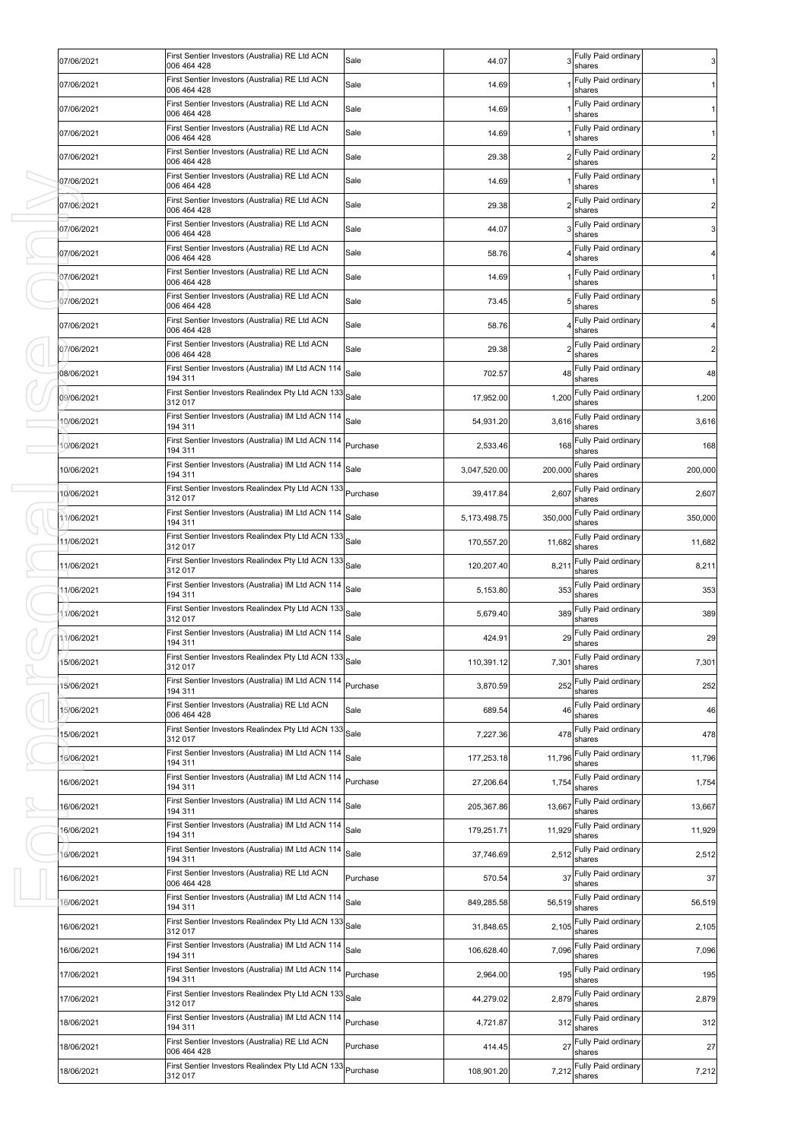| 07/06/2021 | First Sentier Investors (Australia) RE Ltd ACN<br>006 464 428          | Sale     | 44.07        |         | Fully Paid ordinary<br>shares       | 3              |
|------------|------------------------------------------------------------------------|----------|--------------|---------|-------------------------------------|----------------|
| 07/06/2021 | First Sentier Investors (Australia) RE Ltd ACN<br>006 464 428          | Sale     | 14.69        |         | Fully Paid ordinary<br>shares       |                |
| 07/06/2021 | First Sentier Investors (Australia) RE Ltd ACN<br>006 464 428          | Sale     | 14.69        |         | Fully Paid ordinary<br>shares       |                |
| 07/06/2021 | First Sentier Investors (Australia) RE Ltd ACN<br>006 464 428          | Sale     | 14.69        |         | Fully Paid ordinary<br>shares       |                |
| 07/06/2021 | First Sentier Investors (Australia) RE Ltd ACN<br>006 464 428          | Sale     | 29.38        |         | Fully Paid ordinary<br>shares       | $\overline{c}$ |
| 07/06/2021 | First Sentier Investors (Australia) RE Ltd ACN<br>006 464 428          | Sale     | 14.69        |         | Fully Paid ordinary<br>shares       |                |
| 07/06/2021 | First Sentier Investors (Australia) RE Ltd ACN<br>006 464 428          | Sale     | 29.38        |         | Fully Paid ordinary<br>shares       | $\overline{c}$ |
| 07/06/2021 | First Sentier Investors (Australia) RE Ltd ACN<br>006 464 428          | Sale     | 44.07        |         | Fully Paid ordinary<br>shares       | 3              |
| 07/06/2021 | First Sentier Investors (Australia) RE Ltd ACN<br>006 464 428          | Sale     | 58.76        |         | Fully Paid ordinary<br>shares       |                |
| 07/06/2021 | First Sentier Investors (Australia) RE Ltd ACN<br>006 464 428          | Sale     | 14.69        |         | Fully Paid ordinary<br>shares       |                |
| 07/06/2021 | First Sentier Investors (Australia) RE Ltd ACN<br>006 464 428          | Sale     | 73.45        |         | Fully Paid ordinary<br>shares       | 5              |
| 07/06/2021 | First Sentier Investors (Australia) RE Ltd ACN<br>006 464 428          | Sale     | 58.76        |         | Fully Paid ordinary<br>shares       |                |
| 07/06/2021 | First Sentier Investors (Australia) RE Ltd ACN<br>006 464 428          | Sale     | 29.38        |         | Fully Paid ordinary<br>shares       | $\overline{2}$ |
| 08/06/2021 | First Sentier Investors (Australia) IM Ltd ACN 114<br>194 311          | Sale     | 702.57       | 48      | Fully Paid ordinary<br>shares       | 48             |
| 09/06/2021 | First Sentier Investors Realindex Pty Ltd ACN 133<br>312 017           | Sale     | 17,952.00    | 1,200   | Fully Paid ordinary<br>shares       | 1,200          |
| 10/06/2021 | First Sentier Investors (Australia) IM Ltd ACN 114<br>194 311          | Sale     | 54,931.20    | 3,616   | Fully Paid ordinary<br>shares       | 3,616          |
| 10/06/2021 | First Sentier Investors (Australia) IM Ltd ACN 114<br>194 311          | Purchase | 2,533.46     | 168     | Fully Paid ordinary<br>shares       | 168            |
| 10/06/2021 | First Sentier Investors (Australia) IM Ltd ACN 114<br>194 311          | Sale     | 3,047,520.00 | 200,000 | Fully Paid ordinary<br>shares       | 200,000        |
| 10/06/2021 | First Sentier Investors Realindex Pty Ltd ACN 133 Purchase<br>312 017  |          | 39,417.84    | 2,607   | Fully Paid ordinary<br>shares       | 2,607          |
| 11/06/2021 | First Sentier Investors (Australia) IM Ltd ACN 114<br>194 311          | Sale     | 5,173,498.75 | 350,000 | Fully Paid ordinary<br>shares       | 350,000        |
| 11/06/2021 | First Sentier Investors Realindex Pty Ltd ACN 133<br>312 017           | Sale     | 170,557.20   | 11,682  | Fully Paid ordinary<br>shares       | 11,682         |
| 11/06/2021 | First Sentier Investors Realindex Pty Ltd ACN 133<br>312 017           | Sale     | 120,207.40   | 8,211   | Fully Paid ordinary<br>shares       | 8,211          |
| 11/06/2021 | First Sentier Investors (Australia) IM Ltd ACN 114<br>194 311          | Sale     | 5,153.80     | 353     | Fully Paid ordinary<br>shares       | 353            |
| 11/06/2021 | First Sentier Investors Realindex Pty Ltd ACN 133<br>312 017           | Sale     | 5,679.40     | 389     | Fully Paid ordinary<br>shares       | 389            |
| 11/06/2021 | First Sentier Investors (Australia) IM Ltd ACN 114<br>194 311          | Sale     | 424.91       | 29      | Fully Paid ordinary<br>shares       | 29             |
| 15/06/2021 | First Sentier Investors Realindex Pty Ltd ACN 133 Sale<br>312 017      |          | 110,391.12   |         | 7,301 Fully Paid ordinary<br>shares | 7,301          |
| 15/06/2021 | First Sentier Investors (Australia) IM Ltd ACN 114<br>194 311          | Purchase | 3,870.59     | 252     | Fully Paid ordinary<br>shares       | 252            |
| 15/06/2021 | First Sentier Investors (Australia) RE Ltd ACN<br>006 464 428          | Sale     | 689.54       | 46      | Fully Paid ordinary<br>shares       | 46             |
| 15/06/2021 | First Sentier Investors Realindex Pty Ltd ACN 133<br>312 017           | Sale     | 7,227.36     | 478     | Fully Paid ordinary<br>shares       | 478            |
| 16/06/2021 | First Sentier Investors (Australia) IM Ltd ACN 114<br>194 311          | Sale     | 177,253.18   | 11,796  | Fully Paid ordinary<br>shares       | 11,796         |
| 16/06/2021 | First Sentier Investors (Australia) IM Ltd ACN 114<br>194 311          | Purchase | 27,206.64    | 1,754   | Fully Paid ordinary<br>shares       | 1,754          |
| 16/06/2021 | First Sentier Investors (Australia) IM Ltd ACN 114<br>194 311          | Sale     | 205,367.86   | 13,667  | Fully Paid ordinary<br>shares       | 13,667         |
| 16/06/2021 | First Sentier Investors (Australia) IM Ltd ACN 114<br>194 311          | Sale     | 179,251.71   | 11,929  | Fully Paid ordinary<br>shares       | 11,929         |
| 16/06/2021 | First Sentier Investors (Australia) IM Ltd ACN 114<br>194 311          | Sale     | 37,746.69    |         | 2,512 Fully Paid ordinary<br>shares | 2,512          |
| 16/06/2021 | First Sentier Investors (Australia) RE Ltd ACN<br>006 464 428          | Purchase | 570.54       | 37      | Fully Paid ordinary<br>shares       | 37             |
| 16/06/2021 | First Sentier Investors (Australia) IM Ltd ACN 114<br>194 311          | Sale     | 849,285.58   | 56,519  | Fully Paid ordinary<br>shares       | 56,519         |
| 16/06/2021 | First Sentier Investors Realindex Pty Ltd ACN 133 Sale<br>312 017      |          | 31,848.65    | 2,105   | Fully Paid ordinary<br>shares       | 2,105          |
| 16/06/2021 | First Sentier Investors (Australia) IM Ltd ACN 114<br>194 311          | Sale     | 106,628.40   | 7,096   | Fully Paid ordinary<br>shares       | 7,096          |
| 17/06/2021 | First Sentier Investors (Australia) IM Ltd ACN 114 Purchase<br>194 311 |          | 2,964.00     | 195     | Fully Paid ordinary<br>shares       | 195            |
| 17/06/2021 | First Sentier Investors Realindex Pty Ltd ACN 133<br>312 017           | Sale     | 44,279.02    | 2,879   | Fully Paid ordinary<br>shares       | 2,879          |
| 18/06/2021 | First Sentier Investors (Australia) IM Ltd ACN 114 Purchase<br>194 311 |          | 4,721.87     | 312     | Fully Paid ordinary<br>shares       | 312            |
| 18/06/2021 | First Sentier Investors (Australia) RE Ltd ACN<br>006 464 428          | Purchase | 414.45       | 27      | Fully Paid ordinary<br>shares       | 27             |
| 18/06/2021 | First Sentier Investors Realindex Pty Ltd ACN 133 Purchase<br>312 017  |          | 108,901.20   | 7,212   | Fully Paid ordinary<br>shares       | 7,212          |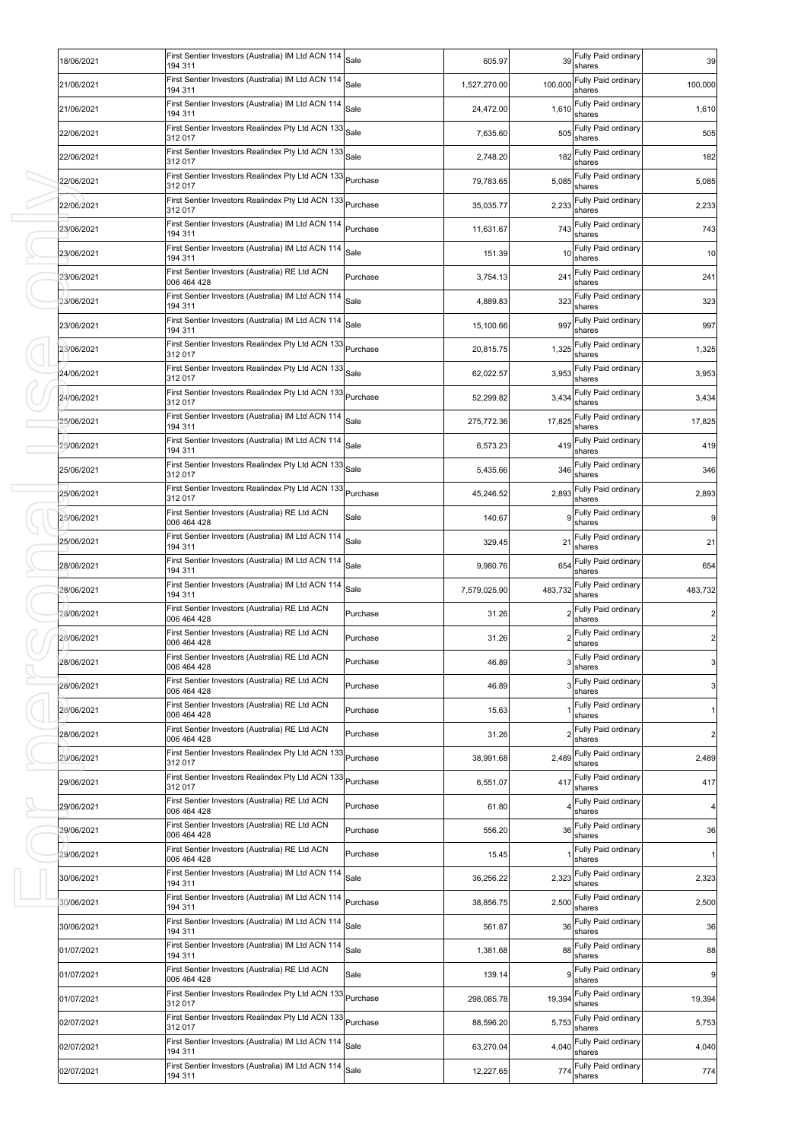| 18/06/2021 | First Sentier Investors (Australia) IM Ltd ACN 114 Sale<br>194 311    |          | 605.97       | 39      | Fully Paid ordinary<br>shares   | 39             |
|------------|-----------------------------------------------------------------------|----------|--------------|---------|---------------------------------|----------------|
| 21/06/2021 | First Sentier Investors (Australia) IM Ltd ACN 114<br>194 311         | Sale     | 1,527,270.00 | 100,000 | Fully Paid ordinary<br>shares   | 100,000        |
| 21/06/2021 | First Sentier Investors (Australia) IM Ltd ACN 114<br>194 311         | Sale     | 24,472.00    | 1,610   | Fully Paid ordinary<br>shares   | 1,610          |
| 22/06/2021 | First Sentier Investors Realindex Pty Ltd ACN 133<br>312 017          | Sale     | 7,635.60     | 505     | Fully Paid ordinary<br>shares   | 505            |
| 22/06/2021 | First Sentier Investors Realindex Pty Ltd ACN 133<br>312 017          | Sale     | 2,748.20     | 182     | Fully Paid ordinary<br>shares   | 182            |
| 22/06/2021 | First Sentier Investors Realindex Pty Ltd ACN 133<br>312 017          | Purchase | 79,783.65    | 5,085   | Fully Paid ordinary<br>shares   | 5,085          |
| 22/06/2021 | First Sentier Investors Realindex Pty Ltd ACN 133<br>312 017          | Purchase | 35,035.77    | 2,233   | Fully Paid ordinary<br>shares   | 2,233          |
| 23/06/2021 | First Sentier Investors (Australia) IM Ltd ACN 114<br>194 311         | Purchase | 11,631.67    | 743     | Fully Paid ordinary<br>shares   | 743            |
| 23/06/2021 | First Sentier Investors (Australia) IM Ltd ACN 114<br>194 311         | Sale     | 151.39       | 10      | Fully Paid ordinary<br>shares   | 10             |
| 23/06/2021 | First Sentier Investors (Australia) RE Ltd ACN<br>006 464 428         | Purchase | 3,754.13     | 241     | Fully Paid ordinary<br>shares   | 241            |
| 23/06/2021 | First Sentier Investors (Australia) IM Ltd ACN 114<br>194 311         | Sale     | 4,889.83     | 323     | Fully Paid ordinary<br>shares   | 323            |
| 23/06/2021 | First Sentier Investors (Australia) IM Ltd ACN 114<br>194 311         | Sale     | 15,100.66    | 997     | Fully Paid ordinary<br>shares   | 997            |
| 23/06/2021 | First Sentier Investors Realindex Pty Ltd ACN 133 Purchase<br>312 017 |          | 20,815.75    | 1,325   | Fully Paid ordinary<br>shares   | 1,325          |
| 24/06/2021 | First Sentier Investors Realindex Pty Ltd ACN 133<br>312 017          | Sale     | 62,022.57    | 3,953   | Fully Paid ordinary<br>shares   | 3,953          |
| 24/06/2021 | First Sentier Investors Realindex Pty Ltd ACN 133 Purchase<br>312 017 |          | 52,299.82    | 3,434   | Fully Paid ordinary<br>shares   | 3,434          |
| 25/06/2021 | First Sentier Investors (Australia) IM Ltd ACN 114<br>194 311         | Sale     | 275,772.36   | 17,825  | Fully Paid ordinary<br>shares   | 17,825         |
| 25/06/2021 | First Sentier Investors (Australia) IM Ltd ACN 114 Sale<br>194 311    |          | 6,573.23     | 419     | Fully Paid ordinary<br>shares   | 419            |
| 25/06/2021 | First Sentier Investors Realindex Pty Ltd ACN 133<br>312 017          | Sale     | 5,435.66     | 346     | Fully Paid ordinary<br>shares   | 346            |
| 25/06/2021 | First Sentier Investors Realindex Pty Ltd ACN 133 Purchase<br>312 017 |          | 45,246.52    | 2,893   | Fully Paid ordinary<br>shares   | 2,893          |
| 25/06/2021 | First Sentier Investors (Australia) RE Ltd ACN<br>006 464 428         | Sale     | 140.67       |         | Fully Paid ordinary<br>shares   | $\overline{9}$ |
| 25/06/2021 | First Sentier Investors (Australia) IM Ltd ACN 114<br>194 311         | Sale     | 329.45       | 21      | Fully Paid ordinary<br>shares   | 21             |
| 28/06/2021 | First Sentier Investors (Australia) IM Ltd ACN 114<br>194 311         | Sale     | 9,980.76     | 654     | Fully Paid ordinary<br>shares   | 654            |
| 28/06/2021 | First Sentier Investors (Australia) IM Ltd ACN 114<br>194 311         | Sale     | 7,579,025.90 | 483,732 | Fully Paid ordinary<br>shares   | 483,732        |
| 28/06/2021 | First Sentier Investors (Australia) RE Ltd ACN<br>006 464 428         | Purchase | 31.26        |         | Fully Paid ordinary<br>shares   | $\overline{2}$ |
| 28/06/2021 | First Sentier Investors (Australia) RE Ltd ACN<br>006 464 428         | Purchase | 31.26        |         | Fully Paid ordinary<br>shares   | $\overline{c}$ |
| 28/06/2021 | First Sentier Investors (Australia) RE Ltd ACN<br>006 464 428         | Purchase | 46.89        |         | 3 Fully Paid ordinary<br>shares | 3 <sub>l</sub> |
| 28/06/2021 | First Sentier Investors (Australia) RE Ltd ACN<br>006 464 428         | Purchase | 46.89        |         | Fully Paid ordinary<br>shares   | 3 <sup>1</sup> |
| 28/06/2021 | First Sentier Investors (Australia) RE Ltd ACN<br>006 464 428         | Purchase | 15.63        |         | Fully Paid ordinary<br>shares   | 1              |
| 28/06/2021 | First Sentier Investors (Australia) RE Ltd ACN<br>006 464 428         | Purchase | 31.26        |         | Fully Paid ordinary<br>shares   | $\overline{2}$ |
| 29/06/2021 | First Sentier Investors Realindex Pty Ltd ACN 133<br>312 017          | Purchase | 38,991.68    | 2,489   | Fully Paid ordinary<br>shares   | 2,489          |
| 29/06/2021 | First Sentier Investors Realindex Pty Ltd ACN 133<br>312 017          | Purchase | 6,551.07     | 417     | Fully Paid ordinary<br>shares   | 417            |
| 29/06/2021 | First Sentier Investors (Australia) RE Ltd ACN<br>006 464 428         | Purchase | 61.80        |         | Fully Paid ordinary<br>shares   | 4              |
| 29/06/2021 | First Sentier Investors (Australia) RE Ltd ACN<br>006 464 428         | Purchase | 556.20       | 36      | Fully Paid ordinary<br>shares   | 36             |
| 29/06/2021 | First Sentier Investors (Australia) RE Ltd ACN<br>006 464 428         | Purchase | 15.45        |         | Fully Paid ordinary<br>shares   | 1              |
| 30/06/2021 | First Sentier Investors (Australia) IM Ltd ACN 114<br>194 311         | Sale     | 36,256.22    | 2,323   | Fully Paid ordinary<br>shares   | 2,323          |
| 30/06/2021 | First Sentier Investors (Australia) IM Ltd ACN 114<br>194 311         | Purchase | 38,856.75    | 2,500   | Fully Paid ordinary<br>shares   | 2,500          |
| 30/06/2021 | First Sentier Investors (Australia) IM Ltd ACN 114<br>194 311         | Sale     | 561.87       | 36      | Fully Paid ordinary<br>shares   | 36             |
| 01/07/2021 | First Sentier Investors (Australia) IM Ltd ACN 114<br>194 311         | Sale     | 1,381.68     | 88      | Fully Paid ordinary<br>shares   | 88             |
| 01/07/2021 | First Sentier Investors (Australia) RE Ltd ACN<br>006 464 428         | Sale     | 139.14       |         | Fully Paid ordinary<br>shares   | 9              |
| 01/07/2021 | First Sentier Investors Realindex Pty Ltd ACN 133 Purchase<br>312 017 |          | 298,085.78   | 19,394  | Fully Paid ordinary<br>shares   | 19,394         |
| 02/07/2021 | First Sentier Investors Realindex Pty Ltd ACN 133 Purchase<br>312 017 |          | 88,596.20    | 5,753   | Fully Paid ordinary<br>shares   | 5,753          |
| 02/07/2021 | First Sentier Investors (Australia) IM Ltd ACN 114<br>194 311         | Sale     | 63,270.04    | 4,040   | Fully Paid ordinary<br>shares   | 4,040          |
| 02/07/2021 | First Sentier Investors (Australia) IM Ltd ACN 114 Sale<br>194 311    |          | 12,227.65    | 774     | Fully Paid ordinary<br>shares   | 774            |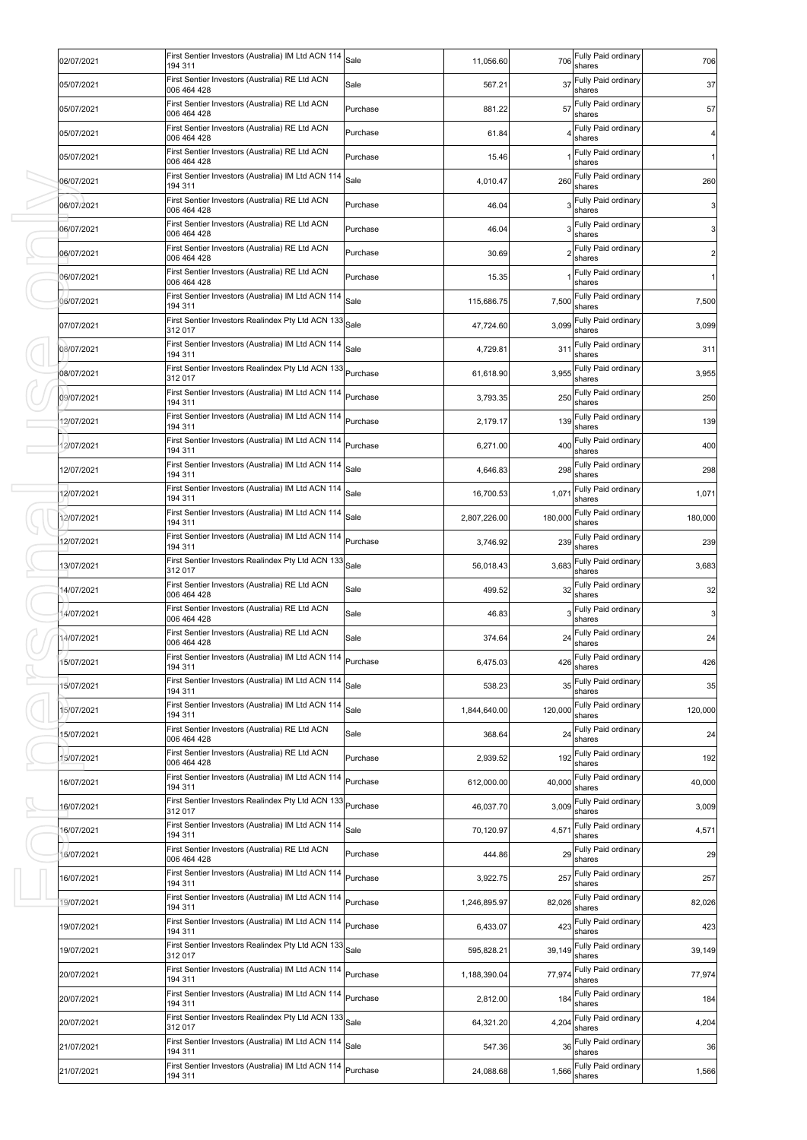| 02/07/2021 | First Sentier Investors (Australia) IM Ltd ACN 114<br>194 311          | Sale     | 11,056.60    | 706     | Fully Paid ordinary<br>shares     | 706            |
|------------|------------------------------------------------------------------------|----------|--------------|---------|-----------------------------------|----------------|
| 05/07/2021 | First Sentier Investors (Australia) RE Ltd ACN<br>006 464 428          | Sale     | 567.21       | 37      | Fully Paid ordinary<br>shares     | 37             |
| 05/07/2021 | First Sentier Investors (Australia) RE Ltd ACN<br>006 464 428          | Purchase | 881.22       | 57      | Fully Paid ordinary<br>shares     | 57             |
| 05/07/2021 | First Sentier Investors (Australia) RE Ltd ACN<br>006 464 428          | Purchase | 61.84        |         | Fully Paid ordinary<br>shares     | $\overline{a}$ |
| 05/07/2021 | First Sentier Investors (Australia) RE Ltd ACN<br>006 464 428          | Purchase | 15.46        |         | Fully Paid ordinary<br>shares     | $\mathbf{1}$   |
| 06/07/2021 | First Sentier Investors (Australia) IM Ltd ACN 114<br>194 311          | Sale     | 4,010.47     | 260     | Fully Paid ordinary<br>shares     | 260            |
| 06/07/2021 | First Sentier Investors (Australia) RE Ltd ACN<br>006 464 428          | Purchase | 46.04        |         | Fully Paid ordinary<br>shares     | 3 <sub>l</sub> |
| 06/07/2021 | First Sentier Investors (Australia) RE Ltd ACN<br>006 464 428          | Purchase | 46.04        |         | Fully Paid ordinary<br>shares     | 3 <sub>l</sub> |
| 06/07/2021 | First Sentier Investors (Australia) RE Ltd ACN<br>006 464 428          | Purchase | 30.69        |         | Fully Paid ordinary<br>shares     | $\overline{2}$ |
| 06/07/2021 | First Sentier Investors (Australia) RE Ltd ACN<br>006 464 428          | Purchase | 15.35        |         | Fully Paid ordinary<br>shares     | $\mathbf{1}$   |
| 06/07/2021 | First Sentier Investors (Australia) IM Ltd ACN 114<br>194 311          | Sale     | 115,686.75   | 7,500   | Fully Paid ordinary<br>shares     | 7,500          |
| 07/07/2021 | First Sentier Investors Realindex Pty Ltd ACN 133<br>312 017           | Sale     | 47,724.60    | 3,099   | Fully Paid ordinary<br>shares     | 3,099          |
| 08/07/2021 | First Sentier Investors (Australia) IM Ltd ACN 114<br>194 311          | Sale     | 4,729.81     | 311     | Fully Paid ordinary<br>shares     | 311            |
| 08/07/2021 | First Sentier Investors Realindex Pty Ltd ACN 133<br>312 017           | Purchase | 61,618.90    | 3,955   | Fully Paid ordinary<br>shares     | 3,955          |
| 09/07/2021 | First Sentier Investors (Australia) IM Ltd ACN 114<br>194 311          | Purchase | 3,793.35     | 250     | Fully Paid ordinary<br>shares     | 250            |
| 12/07/2021 | First Sentier Investors (Australia) IM Ltd ACN 114<br>194 311          | Purchase | 2,179.17     | 139     | Fully Paid ordinary<br>shares     | 139            |
| 12/07/2021 | First Sentier Investors (Australia) IM Ltd ACN 114<br>194 311          | Purchase | 6,271.00     | 400     | Fully Paid ordinary<br>shares     | 400            |
| 12/07/2021 | First Sentier Investors (Australia) IM Ltd ACN 114<br>194 311          | Sale     | 4,646.83     | 298     | Fully Paid ordinary<br>shares     | 298            |
| 12/07/2021 | First Sentier Investors (Australia) IM Ltd ACN 114<br>194 311          | Sale     | 16,700.53    | 1,071   | Fully Paid ordinary<br>shares     | 1,071          |
| 12/07/2021 | First Sentier Investors (Australia) IM Ltd ACN 114<br>194 311          | Sale     | 2,807,226.00 | 180,000 | Fully Paid ordinary<br>shares     | 180,000        |
| 12/07/2021 | First Sentier Investors (Australia) IM Ltd ACN 114<br>194 311          | Purchase | 3,746.92     | 239     | Fully Paid ordinary<br>shares     | 239            |
| 13/07/2021 | First Sentier Investors Realindex Pty Ltd ACN 133<br>312 017           | Sale     | 56,018.43    | 3,683   | Fully Paid ordinary<br>shares     | 3,683          |
| 14/07/2021 | First Sentier Investors (Australia) RE Ltd ACN<br>006 464 428          | Sale     | 499.52       | 32      | Fully Paid ordinary<br>shares     | 32             |
| 14/07/2021 | First Sentier Investors (Australia) RE Ltd ACN<br>006 464 428          | Sale     | 46.83        |         | Fully Paid ordinary<br>shares     | $\mathbf{3}$   |
| 14/07/2021 | First Sentier Investors (Australia) RE Ltd ACN<br>006 464 428          | Sale     | 374.64       | 24      | Fully Paid ordinary<br>shares     | 24             |
| 15/07/2021 | First Sentier Investors (Australia) IM Ltd ACN 11<br>194 311           | Purchase | 6,475.03     |         | 426 Fully Paid ordinary<br>shares | 426            |
| 15/07/2021 | First Sentier Investors (Australia) IM Ltd ACN 114<br>194 311          | Sale     | 538.23       | 35      | Fully Paid ordinary<br>shares     | 35             |
| 15/07/2021 | First Sentier Investors (Australia) IM Ltd ACN 114<br>194 311          | Sale     | 1,844,640.00 | 120,000 | Fully Paid ordinary<br>shares     | 120,000        |
| 15/07/2021 | First Sentier Investors (Australia) RE Ltd ACN<br>006 464 428          | Sale     | 368.64       | 24      | Fully Paid ordinary<br>shares     | 24             |
| 15/07/2021 | First Sentier Investors (Australia) RE Ltd ACN<br>006 464 428          | Purchase | 2,939.52     | 192     | Fully Paid ordinary<br>shares     | 192            |
| 16/07/2021 | First Sentier Investors (Australia) IM Ltd ACN 114<br>194 311          | Purchase | 612,000.00   | 40,000  | Fully Paid ordinary<br>shares     | 40,000         |
| 16/07/2021 | First Sentier Investors Realindex Pty Ltd ACN 133<br>312 017           | Purchase | 46,037.70    | 3,009   | Fully Paid ordinary<br>shares     | 3,009          |
| 16/07/2021 | First Sentier Investors (Australia) IM Ltd ACN 114<br>194 311          | Sale     | 70,120.97    | 4,571   | Fully Paid ordinary<br>shares     | 4,571          |
| 16/07/2021 | First Sentier Investors (Australia) RE Ltd ACN<br>006 464 428          | Purchase | 444.86       | 29      | Fully Paid ordinary<br>shares     | 29             |
| 16/07/2021 | First Sentier Investors (Australia) IM Ltd ACN 114<br>194 311          | Purchase | 3,922.75     | 257     | Fully Paid ordinary<br>shares     | 257            |
| 19/07/2021 | First Sentier Investors (Australia) IM Ltd ACN 114<br>194 311          | Purchase | 1,246,895.97 | 82,026  | Fully Paid ordinary<br>shares     | 82,026         |
| 19/07/2021 | First Sentier Investors (Australia) IM Ltd ACN 114<br>194 311          | Purchase | 6,433.07     | 423     | Fully Paid ordinary<br>shares     | 423            |
| 19/07/2021 | First Sentier Investors Realindex Pty Ltd ACN 133<br>312 017           | Sale     | 595,828.21   | 39,149  | Fully Paid ordinary<br>shares     | 39,149         |
| 20/07/2021 | First Sentier Investors (Australia) IM Ltd ACN 114<br>194 311          | Purchase | 1,188,390.04 | 77,974  | Fully Paid ordinary<br>shares     | 77,974         |
| 20/07/2021 | First Sentier Investors (Australia) IM Ltd ACN 114<br>194 311          | Purchase | 2,812.00     | 184     | Fully Paid ordinary<br>shares     | 184            |
| 20/07/2021 | First Sentier Investors Realindex Pty Ltd ACN 133<br>312 017           | Sale     | 64,321.20    | 4,204   | Fully Paid ordinary<br>shares     | 4,204          |
| 21/07/2021 | First Sentier Investors (Australia) IM Ltd ACN 114<br>194 311          | Sale     | 547.36       | 36      | Fully Paid ordinary<br>shares     | 36             |
| 21/07/2021 | First Sentier Investors (Australia) IM Ltd ACN 114 Purchase<br>194 311 |          | 24,088.68    | 1,566   | Fully Paid ordinary<br>shares     | 1,566          |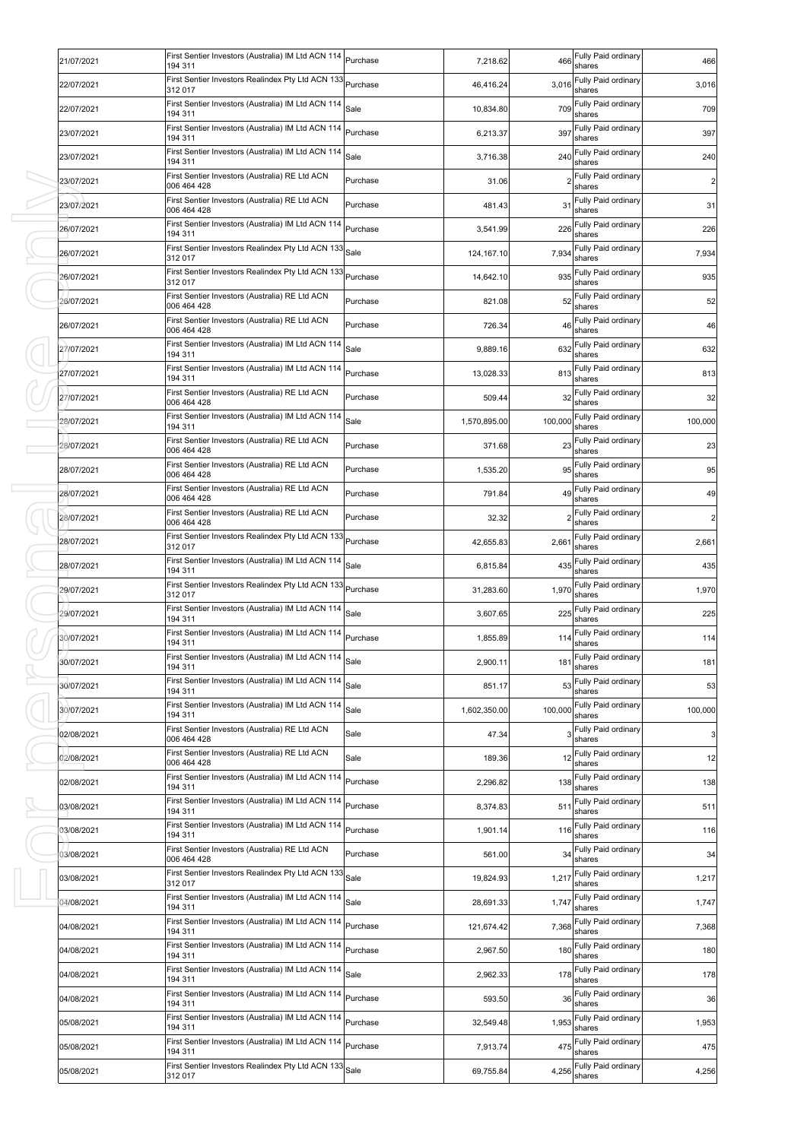| 21/07/2021 | First Sentier Investors (Australia) IM Ltd ACN 114 Purchase<br>194 311 |          | 7,218.62     | 466     | Fully Paid ordinary<br>shares     | 466            |
|------------|------------------------------------------------------------------------|----------|--------------|---------|-----------------------------------|----------------|
| 22/07/2021 | First Sentier Investors Realindex Pty Ltd ACN 133<br>312 017           | Purchase | 46,416.24    | 3,016   | Fully Paid ordinary<br>shares     | 3,016          |
| 22/07/2021 | First Sentier Investors (Australia) IM Ltd ACN 114<br>194 311          | Sale     | 10,834.80    | 709     | Fully Paid ordinary<br>shares     | 709            |
| 23/07/2021 | First Sentier Investors (Australia) IM Ltd ACN 114<br>194 311          | Purchase | 6,213.37     | 397     | Fully Paid ordinary<br>shares     | 397            |
| 23/07/2021 | First Sentier Investors (Australia) IM Ltd ACN 114<br>194 311          | Sale     | 3,716.38     | 240     | Fully Paid ordinary<br>shares     | 240            |
| 23/07/2021 | First Sentier Investors (Australia) RE Ltd ACN<br>006 464 428          | Purchase | 31.06        |         | Fully Paid ordinary<br>shares     | $\overline{2}$ |
| 23/07/2021 | First Sentier Investors (Australia) RE Ltd ACN<br>006 464 428          | Purchase | 481.43       | 31      | Fully Paid ordinary<br>shares     | 31             |
| 26/07/2021 | First Sentier Investors (Australia) IM Ltd ACN 114<br>194 311          | Purchase | 3,541.99     | 226     | Fully Paid ordinary<br>shares     | 226            |
| 26/07/2021 | First Sentier Investors Realindex Pty Ltd ACN 133<br>312 017           | Sale     | 124,167.10   | 7,934   | Fully Paid ordinary<br>shares     | 7,934          |
| 26/07/2021 | First Sentier Investors Realindex Pty Ltd ACN 133<br>312 017           | Purchase | 14,642.10    | 935     | Fully Paid ordinary<br>shares     | 935            |
| 26/07/2021 | First Sentier Investors (Australia) RE Ltd ACN<br>006 464 428          | Purchase | 821.08       | 52      | Fully Paid ordinary<br>shares     | 52             |
| 26/07/2021 | First Sentier Investors (Australia) RE Ltd ACN<br>006 464 428          | Purchase | 726.34       | 46      | Fully Paid ordinary<br>shares     | 46             |
| 27/07/2021 | First Sentier Investors (Australia) IM Ltd ACN 114<br>194 311          | Sale     | 9,889.16     | 632     | Fully Paid ordinary<br>shares     | 632            |
| 27/07/2021 | First Sentier Investors (Australia) IM Ltd ACN 114<br>194 311          | Purchase | 13,028.33    | 813     | Fully Paid ordinary<br>shares     | 813            |
| 27/07/2021 | First Sentier Investors (Australia) RE Ltd ACN<br>006 464 428          | Purchase | 509.44       | 32      | Fully Paid ordinary<br>shares     | 32             |
| 28/07/2021 | First Sentier Investors (Australia) IM Ltd ACN 114<br>194 311          | Sale     | 1,570,895.00 | 100,000 | Fully Paid ordinary<br>shares     | 100,000        |
| 28/07/2021 | First Sentier Investors (Australia) RE Ltd ACN<br>006 464 428          | Purchase | 371.68       | 23      | Fully Paid ordinary<br>shares     | 23             |
| 28/07/2021 | First Sentier Investors (Australia) RE Ltd ACN<br>006 464 428          | Purchase | 1,535.20     |         | 95 Fully Paid ordinary<br>shares  | 95             |
| 28/07/2021 | First Sentier Investors (Australia) RE Ltd ACN<br>006 464 428          | Purchase | 791.84       | 49      | Fully Paid ordinary<br>shares     | 49             |
| 28/07/2021 | First Sentier Investors (Australia) RE Ltd ACN<br>006 464 428          | Purchase | 32.32        |         | Fully Paid ordinary<br>shares     | $2 \mid$       |
| 28/07/2021 | First Sentier Investors Realindex Pty Ltd ACN 133<br>312 017           | Purchase | 42,655.83    | 2,661   | Fully Paid ordinary<br>shares     | 2,661          |
| 28/07/2021 | First Sentier Investors (Australia) IM Ltd ACN 114<br>194 311          | Sale     | 6,815.84     | 435     | Fully Paid ordinary<br>shares     | 435            |
| 29/07/2021 | First Sentier Investors Realindex Pty Ltd ACN 133 Purchase<br>312 017  |          | 31,283.60    | 1,970   | Fully Paid ordinary<br>shares     | 1,970          |
| 29/07/2021 | First Sentier Investors (Australia) IM Ltd ACN 114<br>194 311          | Sale     | 3,607.65     | 225     | Fully Paid ordinary<br>shares     | 225            |
| 30/07/2021 | First Sentier Investors (Australia) IM Ltd ACN 114 Purchase<br>194 311 |          | 1,855.89     | 114     | Fully Paid ordinary<br>shares     | 114            |
| 30/07/2021 | First Sentier Investors (Australia) IM Ltd ACN 114<br>194 311          | Sale     | 2,900.11     |         | 181 Fully Paid ordinary<br>shares | 181            |
| 30/07/2021 | First Sentier Investors (Australia) IM Ltd ACN 114<br>194 311          | Sale     | 851.17       | 53      | Fully Paid ordinary<br>shares     | 53             |
| 30/07/2021 | First Sentier Investors (Australia) IM Ltd ACN 114<br>194 311          | Sale     | 1,602,350.00 | 100,000 | Fully Paid ordinary<br>shares     | 100,000        |
| 02/08/2021 | First Sentier Investors (Australia) RE Ltd ACN<br>006 464 428          | Sale     | 47.34        |         | Fully Paid ordinary<br>shares     | 3 <sub>l</sub> |
| 02/08/2021 | First Sentier Investors (Australia) RE Ltd ACN<br>006 464 428          | Sale     | 189.36       | 12      | Fully Paid ordinary<br>shares     | 12             |
| 02/08/2021 | First Sentier Investors (Australia) IM Ltd ACN 114<br>194 311          | Purchase | 2,296.82     | 138     | Fully Paid ordinary<br>shares     | 138            |
| 03/08/2021 | First Sentier Investors (Australia) IM Ltd ACN 114<br>194 311          | Purchase | 8,374.83     | 511     | Fully Paid ordinary<br>shares     | 511            |
| 03/08/2021 | First Sentier Investors (Australia) IM Ltd ACN 114<br>194 311          | Purchase | 1,901.14     | 116     | Fully Paid ordinary<br>shares     | 116            |
| 03/08/2021 | First Sentier Investors (Australia) RE Ltd ACN<br>006 464 428          | Purchase | 561.00       | 34      | Fully Paid ordinary<br>shares     | 34             |
| 03/08/2021 | First Sentier Investors Realindex Pty Ltd ACN 133 Sale<br>312 017      |          | 19,824.93    | 1,217   | Fully Paid ordinary<br>shares     | 1,217          |
| 04/08/2021 | First Sentier Investors (Australia) IM Ltd ACN 114<br>194 311          | Sale     | 28,691.33    | 1,747   | Fully Paid ordinary<br>shares     | 1,747          |
| 04/08/2021 | First Sentier Investors (Australia) IM Ltd ACN 114<br>194 311          | Purchase | 121,674.42   | 7,368   | Fully Paid ordinary<br>shares     | 7,368          |
| 04/08/2021 | First Sentier Investors (Australia) IM Ltd ACN 114<br>194 311          | Purchase | 2,967.50     | 180     | Fully Paid ordinary<br>shares     | 180            |
| 04/08/2021 | First Sentier Investors (Australia) IM Ltd ACN 114<br>194 311          | Sale     | 2,962.33     | 178     | Fully Paid ordinary<br>shares     | 178            |
| 04/08/2021 | First Sentier Investors (Australia) IM Ltd ACN 114 Purchase<br>194 311 |          | 593.50       | 36      | Fully Paid ordinary<br>shares     | 36             |
| 05/08/2021 | First Sentier Investors (Australia) IM Ltd ACN 114<br>194 311          | Purchase | 32,549.48    | 1,953   | Fully Paid ordinary<br>shares     | 1,953          |
| 05/08/2021 | First Sentier Investors (Australia) IM Ltd ACN 114 Purchase<br>194 311 |          | 7,913.74     | 475     | Fully Paid ordinary<br>shares     | 475            |
| 05/08/2021 | First Sentier Investors Realindex Pty Ltd ACN 133 Sale<br>312 017      |          | 69,755.84    | 4,256   | Fully Paid ordinary<br>shares     | 4,256          |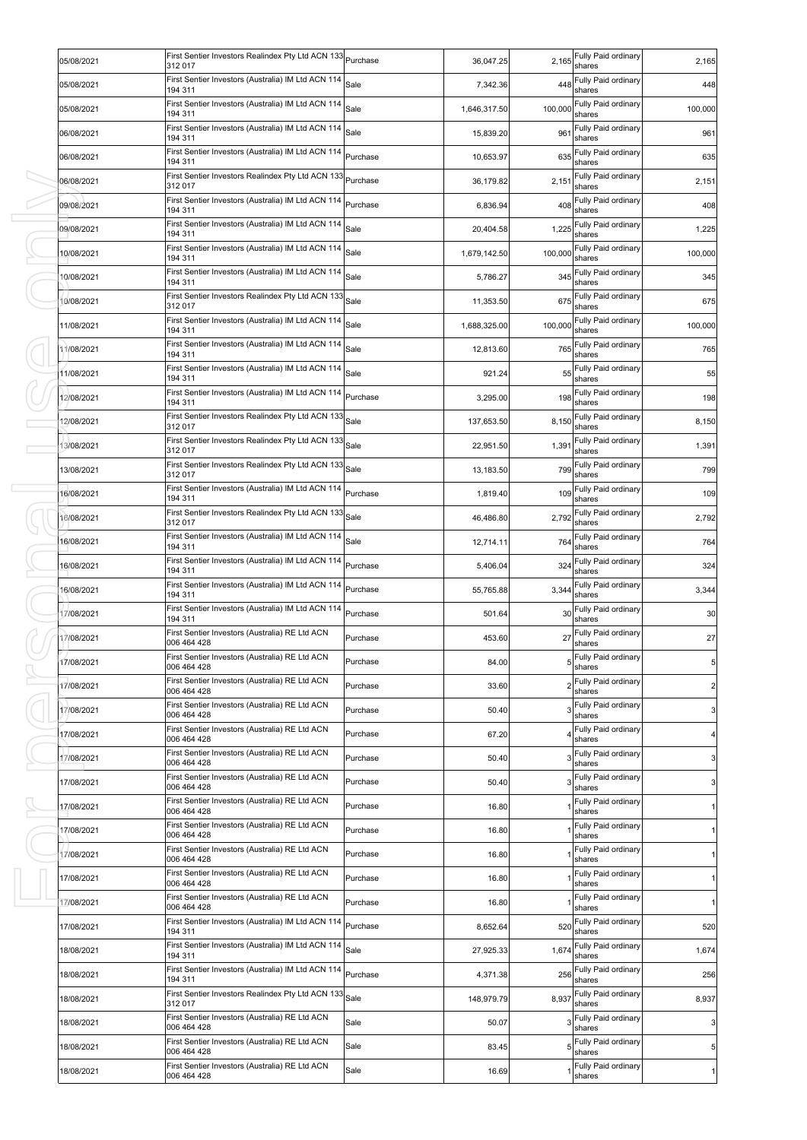| 05/08/2021 | First Sentier Investors Realindex Pty Ltd ACN 133 Purchase<br>312 017 |          | 36,047.25    | 2,165   | Fully Paid ordinary<br>shares   | 2,165          |
|------------|-----------------------------------------------------------------------|----------|--------------|---------|---------------------------------|----------------|
| 05/08/2021 | First Sentier Investors (Australia) IM Ltd ACN 114<br>194 311         | Sale     | 7,342.36     | 448     | Fully Paid ordinary<br>shares   | 448            |
| 05/08/2021 | First Sentier Investors (Australia) IM Ltd ACN 114<br>194 311         | Sale     | 1,646,317.50 | 100,000 | Fully Paid ordinary<br>shares   | 100,000        |
| 06/08/2021 | First Sentier Investors (Australia) IM Ltd ACN 114<br>194 311         | Sale     | 15,839.20    | 961     | Fully Paid ordinary<br>shares   | 961            |
| 06/08/2021 | First Sentier Investors (Australia) IM Ltd ACN 114<br>194 311         | Purchase | 10,653.97    | 635     | Fully Paid ordinary<br>shares   | 635            |
| 06/08/2021 | First Sentier Investors Realindex Pty Ltd ACN 133<br>312 017          | Purchase | 36,179.82    | 2,151   | Fully Paid ordinary<br>shares   | 2,151          |
| 09/08/2021 | First Sentier Investors (Australia) IM Ltd ACN 114<br>194 311         | Purchase | 6,836.94     | 408     | Fully Paid ordinary<br>shares   | 408            |
| 09/08/2021 | First Sentier Investors (Australia) IM Ltd ACN 114<br>194 311         | Sale     | 20,404.58    | 1,225   | Fully Paid ordinary<br>shares   | 1,225          |
| 10/08/2021 | First Sentier Investors (Australia) IM Ltd ACN 114<br>194 311         | Sale     | 1,679,142.50 | 100,000 | Fully Paid ordinary<br>shares   | 100,000        |
| 10/08/2021 | First Sentier Investors (Australia) IM Ltd ACN 114<br>194 311         | Sale     | 5,786.27     | 345     | Fully Paid ordinary<br>shares   | 345            |
| 10/08/2021 | First Sentier Investors Realindex Pty Ltd ACN 133<br>312 017          | Sale     | 11,353.50    | 675     | Fully Paid ordinary<br>shares   | 675            |
| 11/08/2021 | First Sentier Investors (Australia) IM Ltd ACN 114<br>194 311         | Sale     | 1,688,325.00 | 100,000 | Fully Paid ordinary<br>shares   | 100,000        |
| 11/08/2021 | First Sentier Investors (Australia) IM Ltd ACN 114<br>194 311         | Sale     | 12,813.60    | 765     | Fully Paid ordinary<br>shares   | 765            |
| 11/08/2021 | First Sentier Investors (Australia) IM Ltd ACN 114<br>194 311         | Sale     | 921.24       | 55      | Fully Paid ordinary<br>shares   | 55             |
| 12/08/2021 | First Sentier Investors (Australia) IM Ltd ACN 114<br>194 311         | Purchase | 3,295.00     | 198     | Fully Paid ordinary<br>shares   | 198            |
| 12/08/2021 | First Sentier Investors Realindex Pty Ltd ACN 133<br>312 017          | Sale     | 137,653.50   | 8,150   | Fully Paid ordinary<br>shares   | 8,150          |
| 13/08/2021 | First Sentier Investors Realindex Pty Ltd ACN 133 Sale<br>312 017     |          | 22,951.50    | 1,391   | Fully Paid ordinary<br>shares   | 1,391          |
| 13/08/2021 | First Sentier Investors Realindex Pty Ltd ACN 133 Sale<br>312 017     |          | 13,183.50    | 799     | Fully Paid ordinary<br>shares   | 799            |
| 16/08/2021 | First Sentier Investors (Australia) IM Ltd ACN 114<br>194 311         | Purchase | 1,819.40     | 109     | Fully Paid ordinary<br>shares   | 109            |
| 16/08/2021 | First Sentier Investors Realindex Pty Ltd ACN 133<br>312 017          | Sale     | 46,486.80    | 2,792   | Fully Paid ordinary<br>shares   | 2,792          |
| 16/08/2021 | First Sentier Investors (Australia) IM Ltd ACN 114<br>194 311         | Sale     | 12,714.11    | 764     | Fully Paid ordinary<br>shares   | 764            |
| 16/08/2021 | First Sentier Investors (Australia) IM Ltd ACN 114<br>194 311         | Purchase | 5,406.04     | 324     | Fully Paid ordinary<br>shares   | 324            |
| 16/08/2021 | First Sentier Investors (Australia) IM Ltd ACN 114<br>194 311         | Purchase | 55,765.88    | 3,344   | Fully Paid ordinary<br>shares   | 3,344          |
| 17/08/2021 | First Sentier Investors (Australia) IM Ltd ACN 114<br>194 311         | Purchase | 501.64       | 30      | Fully Paid ordinary<br>shares   | 30             |
| 17/08/2021 | First Sentier Investors (Australia) RE Ltd ACN<br>006 464 428         | Purchase | 453.60       | 27      | Fully Paid ordinary<br>shares   | 27             |
| 17/08/2021 | First Sentier Investors (Australia) RE Ltd ACN<br>006 464 428         | Purchase | 84.00        |         | 5 Fully Paid ordinary<br>shares | 5              |
| 17/08/2021 | First Sentier Investors (Australia) RE Ltd ACN<br>006 464 428         | Purchase | 33.60        |         | Fully Paid ordinary<br>shares   | $\overline{2}$ |
| 17/08/2021 | First Sentier Investors (Australia) RE Ltd ACN<br>006 464 428         | Purchase | 50.40        |         | Fully Paid ordinary<br>shares   | $\mathbf{3}$   |
| 17/08/2021 | First Sentier Investors (Australia) RE Ltd ACN<br>006 464 428         | Purchase | 67.20        |         | Fully Paid ordinary<br>shares   | 4              |
| 17/08/2021 | First Sentier Investors (Australia) RE Ltd ACN<br>006 464 428         | Purchase | 50.40        |         | Fully Paid ordinary<br>shares   | $\mathbf{3}$   |
| 17/08/2021 | First Sentier Investors (Australia) RE Ltd ACN<br>006 464 428         | Purchase | 50.40        |         | Fully Paid ordinary<br>shares   | $\mathbf{3}$   |
| 17/08/2021 | First Sentier Investors (Australia) RE Ltd ACN<br>006 464 428         | Purchase | 16.80        |         | Fully Paid ordinary<br>shares   | 1              |
| 17/08/2021 | First Sentier Investors (Australia) RE Ltd ACN<br>006 464 428         | Purchase | 16.80        |         | Fully Paid ordinary<br>shares   |                |
| 17/08/2021 | First Sentier Investors (Australia) RE Ltd ACN<br>006 464 428         | Purchase | 16.80        |         | Fully Paid ordinary<br>shares   | 1              |
| 17/08/2021 | First Sentier Investors (Australia) RE Ltd ACN<br>006 464 428         | Purchase | 16.80        |         | Fully Paid ordinary<br>shares   | $\mathbf{1}$   |
| 17/08/2021 | First Sentier Investors (Australia) RE Ltd ACN<br>006 464 428         | Purchase | 16.80        |         | Fully Paid ordinary<br>shares   | 1              |
| 17/08/2021 | First Sentier Investors (Australia) IM Ltd ACN 114<br>194 311         | Purchase | 8,652.64     | 520     | Fully Paid ordinary<br>shares   | 520            |
| 18/08/2021 | First Sentier Investors (Australia) IM Ltd ACN 114<br>194 311         | Sale     | 27,925.33    | 1,674   | Fully Paid ordinary<br>shares   | 1,674          |
| 18/08/2021 | First Sentier Investors (Australia) IM Ltd ACN 114<br>194 311         | Purchase | 4,371.38     | 256     | Fully Paid ordinary<br>shares   | 256            |
| 18/08/2021 | First Sentier Investors Realindex Pty Ltd ACN 133<br>312 017          | Sale     | 148,979.79   | 8,937   | Fully Paid ordinary<br>shares   | 8,937          |
| 18/08/2021 | First Sentier Investors (Australia) RE Ltd ACN<br>006 464 428         | Sale     | 50.07        |         | Fully Paid ordinary<br>shares   | $\mathbf{3}$   |
| 18/08/2021 | First Sentier Investors (Australia) RE Ltd ACN<br>006 464 428         | Sale     | 83.45        |         | Fully Paid ordinary<br>shares   | 5              |
| 18/08/2021 | First Sentier Investors (Australia) RE Ltd ACN<br>006 464 428         | Sale     | 16.69        |         | Fully Paid ordinary<br>shares   | $\mathbf{1}$   |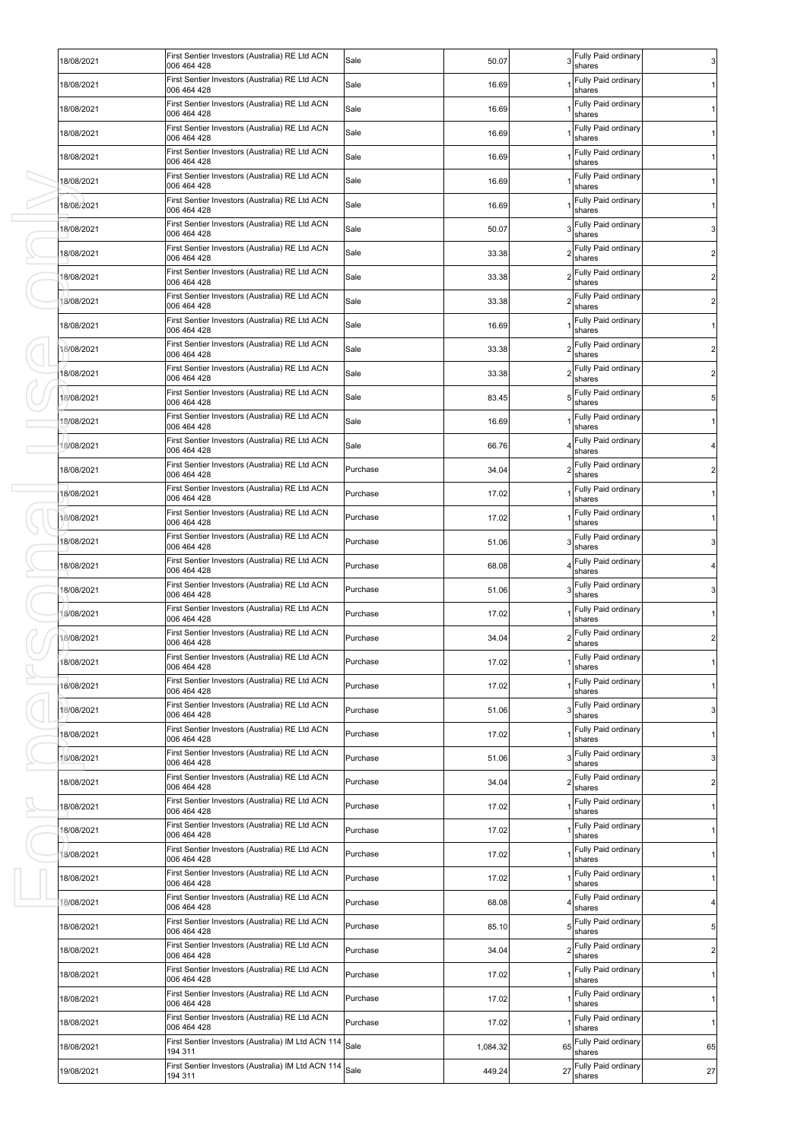| 18/08/2021 | First Sentier Investors (Australia) RE Ltd ACN<br>006 464 428 | Sale     | 50.07    |    | 3 Fully Paid ordinary<br>shares | 3              |
|------------|---------------------------------------------------------------|----------|----------|----|---------------------------------|----------------|
| 18/08/2021 | First Sentier Investors (Australia) RE Ltd ACN<br>006 464 428 | Sale     | 16.69    |    | Fully Paid ordinary<br>shares   |                |
| 18/08/2021 | First Sentier Investors (Australia) RE Ltd ACN<br>006 464 428 | Sale     | 16.69    |    | Fully Paid ordinary<br>shares   |                |
| 18/08/2021 | First Sentier Investors (Australia) RE Ltd ACN<br>006 464 428 | Sale     | 16.69    |    | Fully Paid ordinary<br>shares   |                |
| 18/08/2021 | First Sentier Investors (Australia) RE Ltd ACN<br>006 464 428 | Sale     | 16.69    |    | Fully Paid ordinary<br>shares   |                |
| 18/08/2021 | First Sentier Investors (Australia) RE Ltd ACN<br>006 464 428 | Sale     | 16.69    |    | Fully Paid ordinary<br>shares   |                |
| 18/08/2021 | First Sentier Investors (Australia) RE Ltd ACN<br>006 464 428 | Sale     | 16.69    |    | Fully Paid ordinary<br>shares   |                |
| 18/08/2021 | First Sentier Investors (Australia) RE Ltd ACN<br>006 464 428 | Sale     | 50.07    |    | Fully Paid ordinary<br>shares   | 3              |
| 18/08/2021 | First Sentier Investors (Australia) RE Ltd ACN<br>006 464 428 | Sale     | 33.38    |    | Fully Paid ordinary<br>shares   | 2              |
| 18/08/2021 | First Sentier Investors (Australia) RE Ltd ACN<br>006 464 428 | Sale     | 33.38    |    | Fully Paid ordinary<br>shares   | 2              |
| 18/08/2021 | First Sentier Investors (Australia) RE Ltd ACN<br>006 464 428 | Sale     | 33.38    |    | Fully Paid ordinary<br>shares   | 2              |
| 18/08/2021 | First Sentier Investors (Australia) RE Ltd ACN<br>006 464 428 | Sale     | 16.69    |    | Fully Paid ordinary<br>shares   |                |
| 18/08/2021 | First Sentier Investors (Australia) RE Ltd ACN<br>006 464 428 | Sale     | 33.38    | 2  | Fully Paid ordinary<br>shares   | 2              |
| 18/08/2021 | First Sentier Investors (Australia) RE Ltd ACN<br>006 464 428 | Sale     | 33.38    |    | Fully Paid ordinary<br>shares   | 2              |
| 18/08/2021 | First Sentier Investors (Australia) RE Ltd ACN<br>006 464 428 | Sale     | 83.45    |    | Fully Paid ordinary<br>shares   | 5              |
| 18/08/2021 | First Sentier Investors (Australia) RE Ltd ACN<br>006 464 428 | Sale     | 16.69    |    | Fully Paid ordinary<br>shares   |                |
| 8/08/2021  | First Sentier Investors (Australia) RE Ltd ACN<br>006 464 428 | Sale     | 66.76    |    | Fully Paid ordinary<br>shares   |                |
| 18/08/2021 | First Sentier Investors (Australia) RE Ltd ACN<br>006 464 428 | Purchase | 34.04    |    | Fully Paid ordinary<br>shares   |                |
| 18/08/2021 | First Sentier Investors (Australia) RE Ltd ACN<br>006 464 428 | Purchase | 17.02    |    | Fully Paid ordinary<br>shares   |                |
| 18/08/2021 | First Sentier Investors (Australia) RE Ltd ACN<br>006 464 428 | Purchase | 17.02    |    | Fully Paid ordinary<br>shares   |                |
| 18/08/2021 | First Sentier Investors (Australia) RE Ltd ACN<br>006 464 428 | Purchase | 51.06    |    | Fully Paid ordinary<br>shares   | 3              |
| 18/08/2021 | First Sentier Investors (Australia) RE Ltd ACN<br>006 464 428 | Purchase | 68.08    |    | Fully Paid ordinary<br>shares   |                |
| 18/08/2021 | First Sentier Investors (Australia) RE Ltd ACN<br>006 464 428 | Purchase | 51.06    |    | Fully Paid ordinary<br>shares   | 3              |
| 18/08/2021 | First Sentier Investors (Australia) RE Ltd ACN<br>006 464 428 | Purchase | 17.02    |    | Fully Paid ordinary<br>shares   |                |
| 18/08/2021 | First Sentier Investors (Australia) RE Ltd ACN<br>006 464 428 | Purchase | 34.04    |    | Fully Paid ordinary<br>shares   | 2              |
| 18/08/2021 | First Sentier Investors (Australia) RE Ltd ACN<br>006 464 428 | Purchase | 17.02    | 1  | Fully Paid ordinary<br>shares   | $\mathbf{1}$   |
| 18/08/2021 | First Sentier Investors (Australia) RE Ltd ACN<br>006 464 428 | Purchase | 17.02    |    | Fully Paid ordinary<br>shares   | 1              |
| 18/08/2021 | First Sentier Investors (Australia) RE Ltd ACN<br>006 464 428 | Purchase | 51.06    |    | Fully Paid ordinary<br>shares   | $\mathbf{3}$   |
| 18/08/2021 | First Sentier Investors (Australia) RE Ltd ACN<br>006 464 428 | Purchase | 17.02    |    | Fully Paid ordinary<br>shares   | 1              |
| 18/08/2021 | First Sentier Investors (Australia) RE Ltd ACN<br>006 464 428 | Purchase | 51.06    |    | Fully Paid ordinary<br>shares   | $\mathbf{3}$   |
| 18/08/2021 | First Sentier Investors (Australia) RE Ltd ACN<br>006 464 428 | Purchase | 34.04    |    | Fully Paid ordinary<br>shares   | $\overline{2}$ |
| 18/08/2021 | First Sentier Investors (Australia) RE Ltd ACN<br>006 464 428 | Purchase | 17.02    |    | Fully Paid ordinary<br>shares   | 1              |
| 18/08/2021 | First Sentier Investors (Australia) RE Ltd ACN<br>006 464 428 | Purchase | 17.02    |    | Fully Paid ordinary<br>shares   |                |
| 18/08/2021 | First Sentier Investors (Australia) RE Ltd ACN<br>006 464 428 | Purchase | 17.02    |    | Fully Paid ordinary<br>shares   |                |
| 18/08/2021 | First Sentier Investors (Australia) RE Ltd ACN<br>006 464 428 | Purchase | 17.02    |    | Fully Paid ordinary<br>shares   |                |
| 18/08/2021 | First Sentier Investors (Australia) RE Ltd ACN<br>006 464 428 | Purchase | 68.08    |    | Fully Paid ordinary<br>shares   | 4              |
| 18/08/2021 | First Sentier Investors (Australia) RE Ltd ACN<br>006 464 428 | Purchase | 85.10    |    | Fully Paid ordinary<br>shares   | 5              |
| 18/08/2021 | First Sentier Investors (Australia) RE Ltd ACN<br>006 464 428 | Purchase | 34.04    |    | Fully Paid ordinary<br>shares   | 2              |
| 18/08/2021 | First Sentier Investors (Australia) RE Ltd ACN<br>006 464 428 | Purchase | 17.02    |    | Fully Paid ordinary<br>shares   | 1              |
| 18/08/2021 | First Sentier Investors (Australia) RE Ltd ACN<br>006 464 428 | Purchase | 17.02    |    | Fully Paid ordinary<br>shares   | 1              |
| 18/08/2021 | First Sentier Investors (Australia) RE Ltd ACN<br>006 464 428 | Purchase | 17.02    |    | Fully Paid ordinary<br>shares   |                |
| 18/08/2021 | First Sentier Investors (Australia) IM Ltd ACN 114<br>194 311 | Sale     | 1,084.32 | 65 | Fully Paid ordinary<br>shares   | 65             |
| 19/08/2021 | First Sentier Investors (Australia) IM Ltd ACN 114<br>194 311 | Sale     | 449.24   | 27 | Fully Paid ordinary<br>shares   | 27             |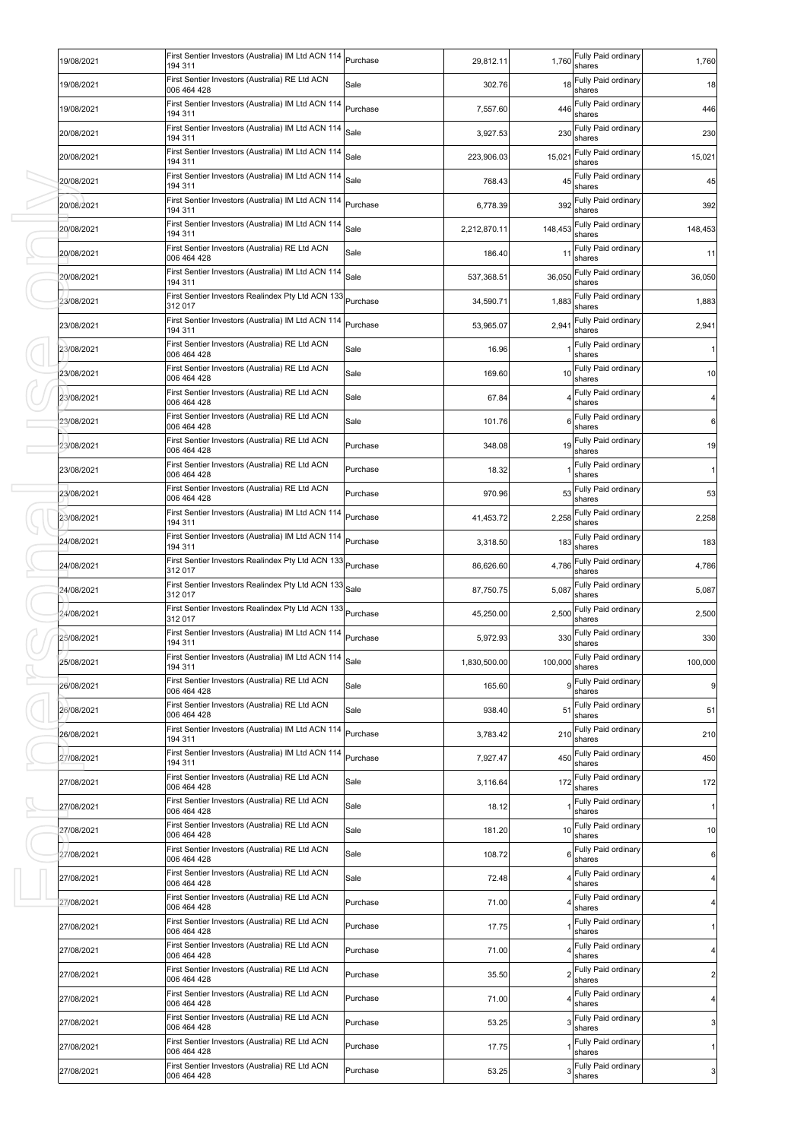| 19/08/2021 | First Sentier Investors (Australia) IM Ltd ACN 114 Purchase<br>194 311 |          | 29,812.11    | 1,760   | Fully Paid ordinary<br>shares         | 1,760          |
|------------|------------------------------------------------------------------------|----------|--------------|---------|---------------------------------------|----------------|
| 19/08/2021 | First Sentier Investors (Australia) RE Ltd ACN<br>006 464 428          | Sale     | 302.76       | 18      | Fully Paid ordinary<br>shares         | 18             |
| 19/08/2021 | First Sentier Investors (Australia) IM Ltd ACN 114<br>194 311          | Purchase | 7,557.60     | 446     | Fully Paid ordinary<br>shares         | 446            |
| 20/08/2021 | First Sentier Investors (Australia) IM Ltd ACN 114<br>194 311          | Sale     | 3,927.53     | 230     | Fully Paid ordinary<br>shares         | 230            |
| 20/08/2021 | First Sentier Investors (Australia) IM Ltd ACN 114<br>194 311          | Sale     | 223,906.03   | 15,021  | Fully Paid ordinary<br>shares         | 15,021         |
| 20/08/2021 | First Sentier Investors (Australia) IM Ltd ACN 114<br>194 311          | Sale     | 768.43       | 45      | Fully Paid ordinary<br>shares         | 45             |
| 20/08/2021 | First Sentier Investors (Australia) IM Ltd ACN 114<br>194 311          | Purchase | 6,778.39     | 392     | Fully Paid ordinary<br>shares         | 392            |
| 20/08/2021 | First Sentier Investors (Australia) IM Ltd ACN 114<br>194 311          | Sale     | 2,212,870.11 | 148,453 | Fully Paid ordinary<br>shares         | 148,453        |
| 20/08/2021 | First Sentier Investors (Australia) RE Ltd ACN<br>006 464 428          | Sale     | 186.40       | 11      | Fully Paid ordinary<br>shares         | 11             |
| 20/08/2021 | First Sentier Investors (Australia) IM Ltd ACN 114<br>194 311          | Sale     | 537,368.51   | 36,050  | Fully Paid ordinary<br>shares         | 36,050         |
| 23/08/2021 | First Sentier Investors Realindex Pty Ltd ACN 133<br>312 017           | Purchase | 34,590.71    | 1,883   | Fully Paid ordinary<br>shares         | 1,883          |
| 23/08/2021 | First Sentier Investors (Australia) IM Ltd ACN 114<br>194 311          | Purchase | 53,965.07    | 2,941   | Fully Paid ordinary<br>shares         | 2,941          |
| 23/08/2021 | First Sentier Investors (Australia) RE Ltd ACN<br>006 464 428          | Sale     | 16.96        |         | Fully Paid ordinary<br>shares         | $\mathbf{1}$   |
| 23/08/2021 | First Sentier Investors (Australia) RE Ltd ACN<br>006 464 428          | Sale     | 169.60       | 10      | Fully Paid ordinary<br>shares         | 10             |
| 23/08/2021 | First Sentier Investors (Australia) RE Ltd ACN<br>006 464 428          | Sale     | 67.84        |         | Fully Paid ordinary<br>shares         | $\overline{a}$ |
| 23/08/2021 | First Sentier Investors (Australia) RE Ltd ACN<br>006 464 428          | Sale     | 101.76       | 6       | Fully Paid ordinary<br>shares         | 6              |
| 23/08/2021 | First Sentier Investors (Australia) RE Ltd ACN<br>006 464 428          | Purchase | 348.08       | 19      | Fully Paid ordinary<br>shares         | 19             |
| 23/08/2021 | First Sentier Investors (Australia) RE Ltd ACN<br>006 464 428          | Purchase | 18.32        |         | Fully Paid ordinary<br>shares         | $\mathbf{1}$   |
| 23/08/2021 | First Sentier Investors (Australia) RE Ltd ACN<br>006 464 428          | Purchase | 970.96       | 53      | Fully Paid ordinary<br>shares         | 53             |
| 23/08/2021 | First Sentier Investors (Australia) IM Ltd ACN 114<br>194 311          | Purchase | 41,453.72    | 2,258   | Fully Paid ordinary<br>shares         | 2,258          |
| 24/08/2021 | First Sentier Investors (Australia) IM Ltd ACN 114<br>194 311          | Purchase | 3,318.50     | 183     | Fully Paid ordinary<br>shares         | 183            |
| 24/08/2021 | First Sentier Investors Realindex Pty Ltd ACN 133 Purchase<br>312 017  |          | 86,626.60    | 4,786   | Fully Paid ordinary<br>shares         | 4,786          |
| 24/08/2021 | First Sentier Investors Realindex Pty Ltd ACN 133 Sale<br>312 017      |          | 87,750.75    | 5,087   | Fully Paid ordinary<br>shares         | 5,087          |
| 24/08/2021 | First Sentier Investors Realindex Pty Ltd ACN 133 Purchase<br>312 017  |          | 45,250.00    | 2,500   | Fully Paid ordinary<br>shares         | 2,500          |
| 25/08/2021 | First Sentier Investors (Australia) IM Ltd ACN 114 Purchase<br>194 311 |          | 5,972.93     | 330     | Fully Paid ordinary<br>shares         | 330            |
| 25/08/2021 | First Sentier Investors (Australia) IM Ltd ACN 114<br>194 311          | Sale     | 1,830,500.00 |         | 100,000 Fully Paid ordinary<br>shares | 100,000        |
| 26/08/2021 | First Sentier Investors (Australia) RE Ltd ACN<br>006 464 428          | Sale     | 165.60       |         | Fully Paid ordinary<br>shares         | 9              |
| 26/08/2021 | First Sentier Investors (Australia) RE Ltd ACN<br>006 464 428          | Sale     | 938.40       | 51      | Fully Paid ordinary<br>shares         | 51             |
| 26/08/2021 | First Sentier Investors (Australia) IM Ltd ACN 114<br>194 311          | Purchase | 3,783.42     | 210     | Fully Paid ordinary<br>shares         | 210            |
| 27/08/2021 | First Sentier Investors (Australia) IM Ltd ACN 114<br>194 311          | Purchase | 7.927.47     | 450     | Fully Paid ordinary<br>shares         | 450            |
| 27/08/2021 | First Sentier Investors (Australia) RE Ltd ACN<br>006 464 428          | Sale     | 3,116.64     | 172     | Fully Paid ordinary<br>shares         | 172            |
| 27/08/2021 | First Sentier Investors (Australia) RE Ltd ACN<br>006 464 428          | Sale     | 18.12        |         | Fully Paid ordinary<br>shares         | 1              |
| 27/08/2021 | First Sentier Investors (Australia) RE Ltd ACN<br>006 464 428          | Sale     | 181.20       | 10      | Fully Paid ordinary<br>shares         | 10             |
| 27/08/2021 | First Sentier Investors (Australia) RE Ltd ACN<br>006 464 428          | Sale     | 108.72       |         | Fully Paid ordinary<br>shares         | 6              |
| 27/08/2021 | First Sentier Investors (Australia) RE Ltd ACN<br>006 464 428          | Sale     | 72.48        |         | Fully Paid ordinary<br>shares         | 4 <sub>1</sub> |
| 27/08/2021 | First Sentier Investors (Australia) RE Ltd ACN<br>006 464 428          | Purchase | 71.00        |         | Fully Paid ordinary<br>shares         | $\overline{a}$ |
| 27/08/2021 | First Sentier Investors (Australia) RE Ltd ACN<br>006 464 428          | Purchase | 17.75        |         | Fully Paid ordinary<br>shares         | 1              |
| 27/08/2021 | First Sentier Investors (Australia) RE Ltd ACN<br>006 464 428          | Purchase | 71.00        |         | Fully Paid ordinary<br>shares         | $\overline{4}$ |
| 27/08/2021 | First Sentier Investors (Australia) RE Ltd ACN<br>006 464 428          | Purchase | 35.50        |         | Fully Paid ordinary<br>shares         | $\overline{2}$ |
| 27/08/2021 | First Sentier Investors (Australia) RE Ltd ACN<br>006 464 428          | Purchase | 71.00        |         | Fully Paid ordinary<br>shares         | $\overline{4}$ |
| 27/08/2021 | First Sentier Investors (Australia) RE Ltd ACN<br>006 464 428          | Purchase | 53.25        |         | Fully Paid ordinary<br>shares         | 3 <sup>1</sup> |
| 27/08/2021 | First Sentier Investors (Australia) RE Ltd ACN<br>006 464 428          | Purchase | 17.75        |         | Fully Paid ordinary<br>shares         | $\mathbf{1}$   |
| 27/08/2021 | First Sentier Investors (Australia) RE Ltd ACN<br>006 464 428          | Purchase | 53.25        |         | Fully Paid ordinary<br>shares         | 3 <sub>l</sub> |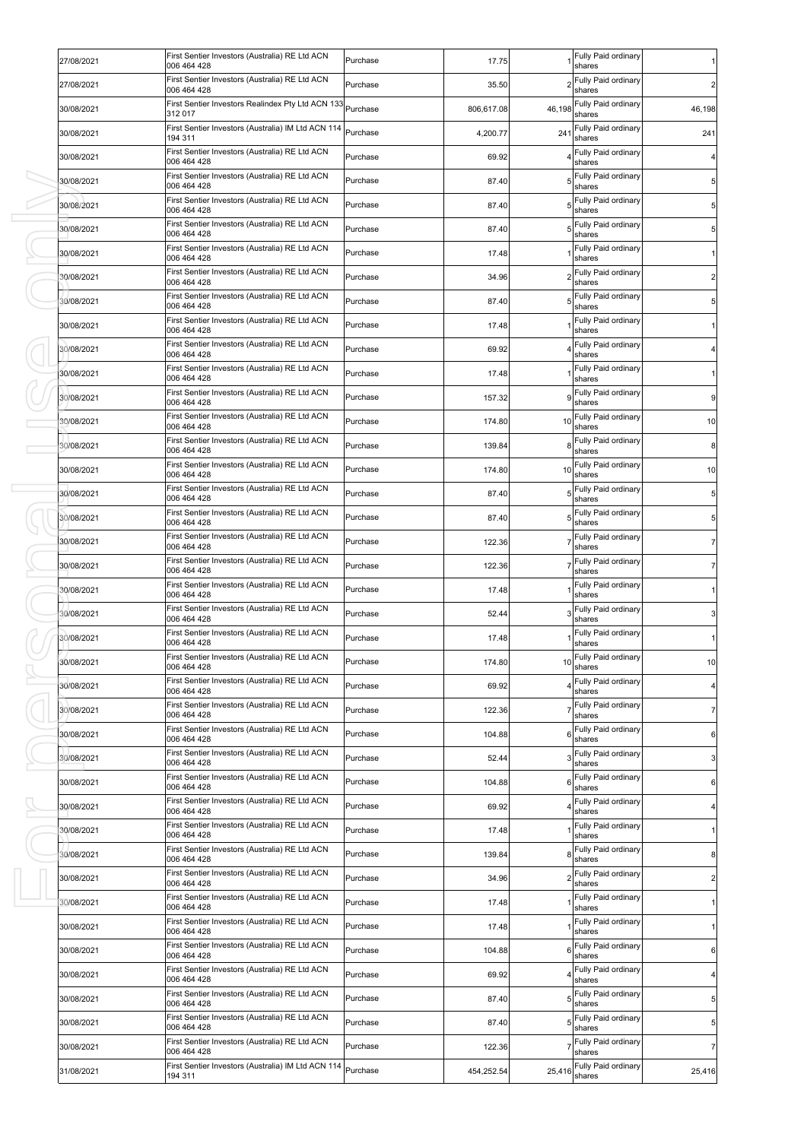| 27/08/2021 | First Sentier Investors (Australia) RE Ltd ACN<br>006 464 428 | Purchase | 17.75      |        | Fully Paid ordinary<br>shares    |                |
|------------|---------------------------------------------------------------|----------|------------|--------|----------------------------------|----------------|
| 27/08/2021 | First Sentier Investors (Australia) RE Ltd ACN<br>006 464 428 | Purchase | 35.50      |        | Fully Paid ordinary<br>shares    | $\overline{2}$ |
| 30/08/2021 | First Sentier Investors Realindex Pty Ltd ACN 133<br>312 017  | Purchase | 806,617.08 | 46,198 | Fully Paid ordinary<br>shares    | 46,198         |
| 30/08/2021 | First Sentier Investors (Australia) IM Ltd ACN 114<br>194 311 | Purchase | 4,200.77   | 241    | Fully Paid ordinary<br>shares    | 241            |
| 30/08/2021 | First Sentier Investors (Australia) RE Ltd ACN<br>006 464 428 | Purchase | 69.92      |        | Fully Paid ordinary<br>shares    | 4              |
| 30/08/2021 | First Sentier Investors (Australia) RE Ltd ACN<br>006 464 428 | Purchase | 87.40      |        | Fully Paid ordinary<br>shares    | 5              |
| 30/08/2021 | First Sentier Investors (Australia) RE Ltd ACN<br>006 464 428 | Purchase | 87.40      |        | Fully Paid ordinary<br>shares    | 5              |
| 30/08/2021 | First Sentier Investors (Australia) RE Ltd ACN<br>006 464 428 | Purchase | 87.40      |        | Fully Paid ordinary<br>shares    | 5              |
| 30/08/2021 | First Sentier Investors (Australia) RE Ltd ACN<br>006 464 428 | Purchase | 17.48      |        | Fully Paid ordinary<br>shares    |                |
| 30/08/2021 | First Sentier Investors (Australia) RE Ltd ACN<br>006 464 428 | Purchase | 34.96      |        | Fully Paid ordinary<br>shares    | 2              |
| 30/08/2021 | First Sentier Investors (Australia) RE Ltd ACN<br>006 464 428 | Purchase | 87.40      |        | Fully Paid ordinary<br>shares    | 5              |
| 30/08/2021 | First Sentier Investors (Australia) RE Ltd ACN<br>006 464 428 | Purchase | 17.48      |        | Fully Paid ordinary<br>shares    |                |
| 30/08/2021 | First Sentier Investors (Australia) RE Ltd ACN<br>006 464 428 | Purchase | 69.92      |        | Fully Paid ordinary<br>shares    |                |
| 30/08/2021 | First Sentier Investors (Australia) RE Ltd ACN<br>006 464 428 | Purchase | 17.48      |        | Fully Paid ordinary<br>shares    |                |
| 30/08/2021 | First Sentier Investors (Australia) RE Ltd ACN<br>006 464 428 | Purchase | 157.32     | 9      | Fully Paid ordinary<br>shares    | 9              |
| 30/08/2021 | First Sentier Investors (Australia) RE Ltd ACN<br>006 464 428 | Purchase | 174.80     | 10     | Fully Paid ordinary<br>shares    | 10             |
| 30/08/2021 | First Sentier Investors (Australia) RE Ltd ACN<br>006 464 428 | Purchase | 139.84     |        | Fully Paid ordinary<br>shares    | 8              |
| 30/08/2021 | First Sentier Investors (Australia) RE Ltd ACN<br>006 464 428 | Purchase | 174.80     | 10     | Fully Paid ordinary<br>shares    | 10             |
| 30/08/2021 | First Sentier Investors (Australia) RE Ltd ACN<br>006 464 428 | Purchase | 87.40      | 5      | Fully Paid ordinary<br>shares    | 5              |
| 30/08/2021 | First Sentier Investors (Australia) RE Ltd ACN<br>006 464 428 | Purchase | 87.40      |        | Fully Paid ordinary<br>shares    | 5              |
| 30/08/2021 | First Sentier Investors (Australia) RE Ltd ACN<br>006 464 428 | Purchase | 122.36     |        | Fully Paid ordinary<br>shares    | 7              |
| 30/08/2021 | First Sentier Investors (Australia) RE Ltd ACN<br>006 464 428 | Purchase | 122.36     |        | Fully Paid ordinary<br>shares    |                |
| 30/08/2021 | First Sentier Investors (Australia) RE Ltd ACN<br>006 464 428 | Purchase | 17.48      |        | Fully Paid ordinary<br>shares    |                |
| 30/08/2021 | First Sentier Investors (Australia) RE Ltd ACN<br>006 464 428 | Purchase | 52.44      |        | Fully Paid ordinary<br>shares    | 3              |
| 30/08/2021 | First Sentier Investors (Australia) RE Ltd ACN<br>006 464 428 | Purchase | 17.48      |        | Fully Paid ordinary<br>shares    |                |
| 30/08/2021 | First Sentier Investors (Australia) RE Ltd ACN<br>006 464 428 | Purchase | 174.80     |        | 10 Fully Paid ordinary<br>shares | 10             |
| 30/08/2021 | First Sentier Investors (Australia) RE Ltd ACN<br>006 464 428 | Purchase | 69.92      |        | Fully Paid ordinary<br>shares    | 4              |
| 30/08/2021 | First Sentier Investors (Australia) RE Ltd ACN<br>006 464 428 | Purchase | 122.36     |        | Fully Paid ordinary<br>shares    | $\overline{7}$ |
| 30/08/2021 | First Sentier Investors (Australia) RE Ltd ACN<br>006 464 428 | Purchase | 104.88     | 6      | Fully Paid ordinary<br>shares    | $\,6$          |
| 30/08/2021 | First Sentier Investors (Australia) RE Ltd ACN<br>006 464 428 | Purchase | 52.44      |        | Fully Paid ordinary<br>shares    | $\mathbf{3}$   |
| 30/08/2021 | First Sentier Investors (Australia) RE Ltd ACN<br>006 464 428 | Purchase | 104.88     | 6      | Fully Paid ordinary<br>shares    | 6              |
| 30/08/2021 | First Sentier Investors (Australia) RE Ltd ACN<br>006 464 428 | Purchase | 69.92      |        | Fully Paid ordinary<br>shares    | 4              |
| 30/08/2021 | First Sentier Investors (Australia) RE Ltd ACN<br>006 464 428 | Purchase | 17.48      |        | Fully Paid ordinary<br>shares    | 1              |
| 30/08/2021 | First Sentier Investors (Australia) RE Ltd ACN<br>006 464 428 | Purchase | 139.84     | 8      | Fully Paid ordinary<br>shares    | 8              |
| 30/08/2021 | First Sentier Investors (Australia) RE Ltd ACN<br>006 464 428 | Purchase | 34.96      |        | Fully Paid ordinary<br>shares    | $\overline{2}$ |
| 30/08/2021 | First Sentier Investors (Australia) RE Ltd ACN<br>006 464 428 | Purchase | 17.48      |        | Fully Paid ordinary<br>shares    | 1              |
| 30/08/2021 | First Sentier Investors (Australia) RE Ltd ACN<br>006 464 428 | Purchase | 17.48      |        | Fully Paid ordinary<br>shares    |                |
| 30/08/2021 | First Sentier Investors (Australia) RE Ltd ACN<br>006 464 428 | Purchase | 104.88     | 6      | Fully Paid ordinary<br>shares    | 6              |
| 30/08/2021 | First Sentier Investors (Australia) RE Ltd ACN<br>006 464 428 | Purchase | 69.92      |        | Fully Paid ordinary<br>shares    | 4              |
| 30/08/2021 | First Sentier Investors (Australia) RE Ltd ACN<br>006 464 428 | Purchase | 87.40      |        | Fully Paid ordinary<br>shares    | 5              |
| 30/08/2021 | First Sentier Investors (Australia) RE Ltd ACN<br>006 464 428 | Purchase | 87.40      |        | Fully Paid ordinary<br>shares    | 5              |
| 30/08/2021 | First Sentier Investors (Australia) RE Ltd ACN<br>006 464 428 | Purchase | 122.36     |        | Fully Paid ordinary<br>shares    | 7              |
| 31/08/2021 | First Sentier Investors (Australia) IM Ltd ACN 114<br>194 311 | Purchase | 454,252.54 | 25,416 | Fully Paid ordinary<br>shares    | 25,416         |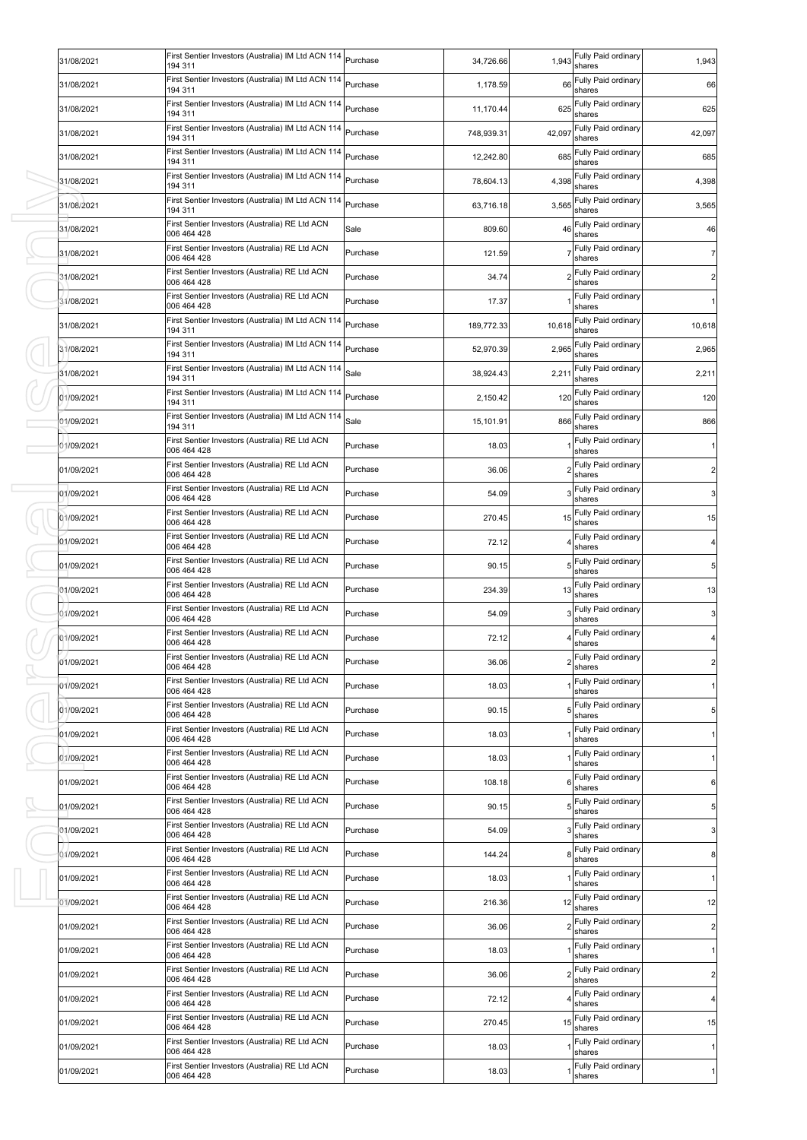| 31/08/2021 | First Sentier Investors (Australia) IM Ltd ACN 114 Purchase<br>194 311 |          | 34,726.66  |        | 1,943 Fully Paid ordinary<br>shares | 1,943           |
|------------|------------------------------------------------------------------------|----------|------------|--------|-------------------------------------|-----------------|
| 31/08/2021 | First Sentier Investors (Australia) IM Ltd ACN 114<br>194 311          | Purchase | 1,178.59   | 66     | Fully Paid ordinary<br>shares       | 66              |
| 31/08/2021 | First Sentier Investors (Australia) IM Ltd ACN 114<br>194 311          | Purchase | 11,170.44  | 625    | Fully Paid ordinary<br>shares       | 625             |
| 31/08/2021 | First Sentier Investors (Australia) IM Ltd ACN 114<br>194 311          | Purchase | 748,939.31 | 42,097 | Fully Paid ordinary<br>shares       | 42,097          |
| 31/08/2021 | First Sentier Investors (Australia) IM Ltd ACN 114<br>194 311          | Purchase | 12,242.80  | 685    | Fully Paid ordinary<br>shares       | 685             |
| 31/08/2021 | First Sentier Investors (Australia) IM Ltd ACN 114<br>194 311          | Purchase | 78,604.13  | 4,398  | Fully Paid ordinary<br>shares       | 4,398           |
| 31/08/2021 | First Sentier Investors (Australia) IM Ltd ACN 114<br>194 311          | Purchase | 63,716.18  | 3,565  | Fully Paid ordinary<br>shares       | 3,565           |
| 31/08/2021 | First Sentier Investors (Australia) RE Ltd ACN<br>006 464 428          | Sale     | 809.60     | 46     | Fully Paid ordinary<br>shares       | 46              |
| 31/08/2021 | First Sentier Investors (Australia) RE Ltd ACN<br>006 464 428          | Purchase | 121.59     |        | Fully Paid ordinary<br>shares       | $\overline{7}$  |
| 31/08/2021 | First Sentier Investors (Australia) RE Ltd ACN<br>006 464 428          | Purchase | 34.74      |        | Fully Paid ordinary<br>shares       | $\overline{c}$  |
| 31/08/2021 | First Sentier Investors (Australia) RE Ltd ACN<br>006 464 428          | Purchase | 17.37      |        | Fully Paid ordinary<br>shares       | $\mathbf{1}$    |
| 31/08/2021 | First Sentier Investors (Australia) IM Ltd ACN 114<br>194 311          | Purchase | 189,772.33 | 10,618 | Fully Paid ordinary<br>shares       | 10,618          |
| 31/08/2021 | First Sentier Investors (Australia) IM Ltd ACN 114<br>194 311          | Purchase | 52,970.39  | 2,965  | Fully Paid ordinary<br>shares       | 2,965           |
| 31/08/2021 | First Sentier Investors (Australia) IM Ltd ACN 114<br>194 311          | Sale     | 38,924.43  | 2,211  | Fully Paid ordinary<br>shares       | 2,211           |
| 01/09/2021 | First Sentier Investors (Australia) IM Ltd ACN 114<br>194 311          | Purchase | 2,150.42   | 120    | Fully Paid ordinary<br>shares       | 120             |
| 01/09/2021 | First Sentier Investors (Australia) IM Ltd ACN 114<br>194 311          | Sale     | 15,101.91  | 866    | Fully Paid ordinary<br>shares       | 866             |
| 01/09/2021 | First Sentier Investors (Australia) RE Ltd ACN<br>006 464 428          | Purchase | 18.03      |        | Fully Paid ordinary<br>shares       | $\mathbf{1}$    |
| 01/09/2021 | First Sentier Investors (Australia) RE Ltd ACN<br>006 464 428          | Purchase | 36.06      |        | Fully Paid ordinary<br>shares       | $\overline{2}$  |
| 01/09/2021 | First Sentier Investors (Australia) RE Ltd ACN<br>006 464 428          | Purchase | 54.09      |        | Fully Paid ordinary<br>shares       | 3 <sup>1</sup>  |
| 01/09/2021 | First Sentier Investors (Australia) RE Ltd ACN<br>006 464 428          | Purchase | 270.45     | 15     | Fully Paid ordinary<br>shares       | 15              |
| 01/09/2021 | First Sentier Investors (Australia) RE Ltd ACN<br>006 464 428          | Purchase | 72.12      |        | Fully Paid ordinary<br>shares       | 4               |
| 01/09/2021 | First Sentier Investors (Australia) RE Ltd ACN<br>006 464 428          | Purchase | 90.15      |        | Fully Paid ordinary<br>shares       | $5\phantom{.0}$ |
| 01/09/2021 | First Sentier Investors (Australia) RE Ltd ACN<br>006 464 428          | Purchase | 234.39     | 13     | Fully Paid ordinary<br>shares       | 13              |
| 01/09/2021 | First Sentier Investors (Australia) RE Ltd ACN<br>006 464 428          | Purchase | 54.09      |        | Fully Paid ordinary<br>shares       | $\mathbf{3}$    |
| 01/09/2021 | First Sentier Investors (Australia) RE Ltd ACN<br>006 464 428          | Purchase | 72.12      |        | Fully Paid ordinary<br>shares       | 4 <sub>1</sub>  |
| 01/09/2021 | First Sentier Investors (Australia) RE Ltd ACN<br>006 464 428          | Purchase | 36.06      |        | Fully Paid ordinary<br>shares       | $\mathbf{2}$    |
| 01/09/2021 | First Sentier Investors (Australia) RE Ltd ACN<br>006 464 428          | Purchase | 18.03      |        | Fully Paid ordinary<br>shares       | $\mathbf{1}$    |
| 01/09/2021 | First Sentier Investors (Australia) RE Ltd ACN<br>006 464 428          | Purchase | 90.15      |        | Fully Paid ordinary<br>shares       | 5               |
| 01/09/2021 | First Sentier Investors (Australia) RE Ltd ACN<br>006 464 428          | Purchase | 18.03      |        | Fully Paid ordinary<br>shares       | $\mathbf{1}$    |
| 01/09/2021 | First Sentier Investors (Australia) RE Ltd ACN<br>006 464 428          | Purchase | 18.03      |        | Fully Paid ordinary<br>shares       | 1               |
| 01/09/2021 | First Sentier Investors (Australia) RE Ltd ACN<br>006 464 428          | Purchase | 108.18     | 6      | Fully Paid ordinary<br>shares       | 6               |
| 01/09/2021 | First Sentier Investors (Australia) RE Ltd ACN<br>006 464 428          | Purchase | 90.15      |        | Fully Paid ordinary<br>shares       | 5 <sub>1</sub>  |
| 01/09/2021 | First Sentier Investors (Australia) RE Ltd ACN<br>006 464 428          | Purchase | 54.09      |        | Fully Paid ordinary<br>shares       | 3 <sub>l</sub>  |
| 01/09/2021 | First Sentier Investors (Australia) RE Ltd ACN<br>006 464 428          | Purchase | 144.24     |        | 8 Fully Paid ordinary<br>shares     | 8               |
| 01/09/2021 | First Sentier Investors (Australia) RE Ltd ACN<br>006 464 428          | Purchase | 18.03      |        | Fully Paid ordinary<br>shares       | 1               |
| 01/09/2021 | First Sentier Investors (Australia) RE Ltd ACN<br>006 464 428          | Purchase | 216.36     | 12     | Fully Paid ordinary<br>shares       | 12              |
| 01/09/2021 | First Sentier Investors (Australia) RE Ltd ACN<br>006 464 428          | Purchase | 36.06      |        | Fully Paid ordinary<br>shares       | $\overline{2}$  |
| 01/09/2021 | First Sentier Investors (Australia) RE Ltd ACN<br>006 464 428          | Purchase | 18.03      |        | Fully Paid ordinary<br>shares       | $\mathbf{1}$    |
| 01/09/2021 | First Sentier Investors (Australia) RE Ltd ACN<br>006 464 428          | Purchase | 36.06      |        | Fully Paid ordinary<br>shares       | $\overline{2}$  |
| 01/09/2021 | First Sentier Investors (Australia) RE Ltd ACN<br>006 464 428          | Purchase | 72.12      |        | Fully Paid ordinary<br>shares       | 4               |
| 01/09/2021 | First Sentier Investors (Australia) RE Ltd ACN<br>006 464 428          | Purchase | 270.45     | 15     | Fully Paid ordinary<br>shares       | 15              |
| 01/09/2021 | First Sentier Investors (Australia) RE Ltd ACN<br>006 464 428          | Purchase | 18.03      |        | Fully Paid ordinary<br>shares       | 1               |
| 01/09/2021 | First Sentier Investors (Australia) RE Ltd ACN<br>006 464 428          | Purchase | 18.03      |        | Fully Paid ordinary<br>shares       | 1               |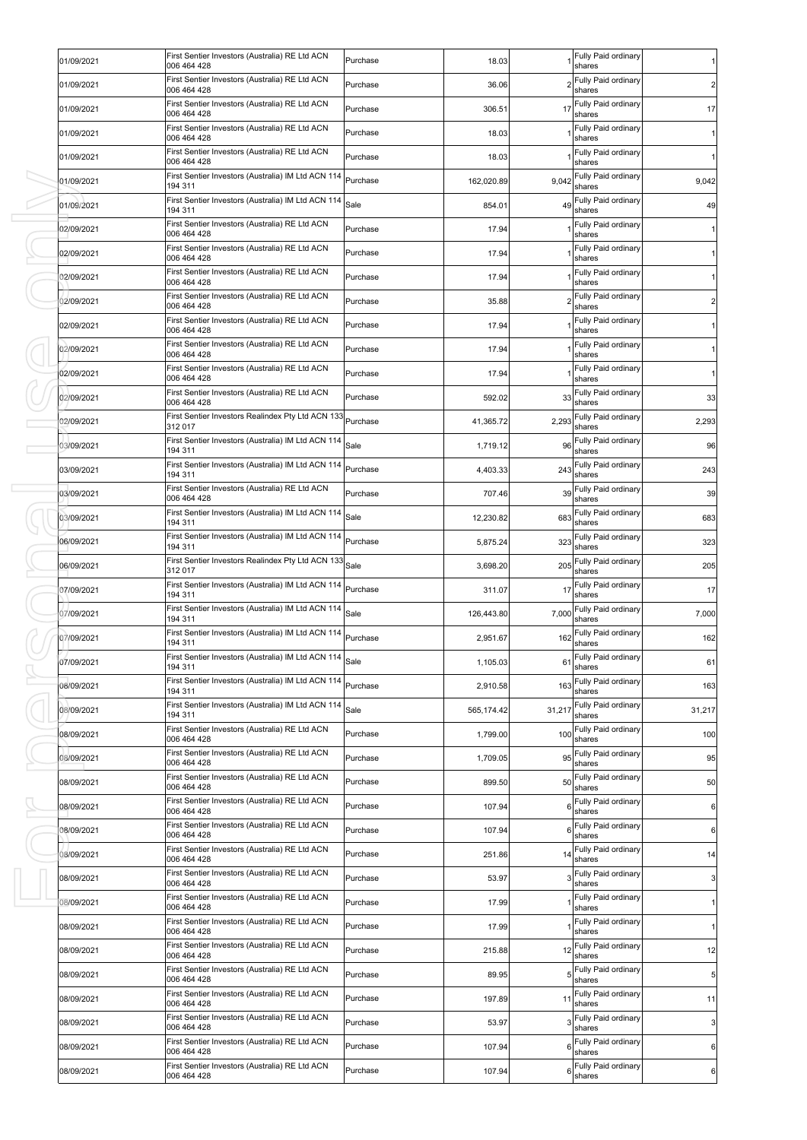| 01/09/2021               | First Sentier Investors (Australia) RE Ltd ACN<br>006 464 428          | Purchase | 18.03           |        | Fully Paid ordinary<br>shares    |                |
|--------------------------|------------------------------------------------------------------------|----------|-----------------|--------|----------------------------------|----------------|
| 01/09/2021               | First Sentier Investors (Australia) RE Ltd ACN<br>006 464 428          | Purchase | 36.06           |        | Fully Paid ordinary<br>shares    | $\overline{c}$ |
| 01/09/2021               | First Sentier Investors (Australia) RE Ltd ACN<br>006 464 428          | Purchase | 306.51          | 17     | Fully Paid ordinary<br>shares    | 17             |
| 01/09/2021               | First Sentier Investors (Australia) RE Ltd ACN<br>006 464 428          | Purchase | 18.03           |        | Fully Paid ordinary<br>shares    | 1              |
| 01/09/2021               | First Sentier Investors (Australia) RE Ltd ACN<br>006 464 428          | Purchase | 18.03           |        | Fully Paid ordinary<br>shares    |                |
| 01/09/2021               | First Sentier Investors (Australia) IM Ltd ACN 114<br>194 311          | Purchase | 162,020.89      | 9,042  | Fully Paid ordinary<br>shares    | 9,042          |
| 01/09/2021               | First Sentier Investors (Australia) IM Ltd ACN 114<br>194 311          | Sale     | 854.01          | 49     | Fully Paid ordinary<br>shares    | 49             |
| 02/09/2021               | First Sentier Investors (Australia) RE Ltd ACN<br>006 464 428          | Purchase | 17.94           |        | Fully Paid ordinary<br>shares    | 1              |
| 02/09/2021               | First Sentier Investors (Australia) RE Ltd ACN<br>006 464 428          | Purchase | 17.94           |        | Fully Paid ordinary<br>shares    |                |
| 02/09/2021               | First Sentier Investors (Australia) RE Ltd ACN<br>006 464 428          | Purchase | 17.94           |        | Fully Paid ordinary<br>shares    |                |
| 02/09/2021               | First Sentier Investors (Australia) RE Ltd ACN<br>006 464 428          | Purchase | 35.88           |        | Fully Paid ordinary<br>shares    | $\overline{2}$ |
| 02/09/2021               | First Sentier Investors (Australia) RE Ltd ACN<br>006 464 428          | Purchase | 17.94           |        | Fully Paid ordinary<br>shares    |                |
| 02/09/2021               | First Sentier Investors (Australia) RE Ltd ACN<br>006 464 428          | Purchase | 17.94           |        | Fully Paid ordinary<br>shares    |                |
| 02/09/2021               | First Sentier Investors (Australia) RE Ltd ACN<br>006 464 428          | Purchase | 17.94           |        | Fully Paid ordinary<br>shares    |                |
| 02/09/2021               | First Sentier Investors (Australia) RE Ltd ACN<br>006 464 428          | Purchase | 592.02          | 33     | Fully Paid ordinary<br>shares    | 33             |
| 02/09/2021               | First Sentier Investors Realindex Pty Ltd ACN 133<br>312 017           | Purchase | 41.365.72       | 2,293  | Fully Paid ordinary<br>shares    | 2,293          |
| 03/09/2021               | First Sentier Investors (Australia) IM Ltd ACN 114<br>194 311          | Sale     | 1,719.12        | 96     | Fully Paid ordinary<br>shares    | 96             |
| 03/09/2021               | First Sentier Investors (Australia) IM Ltd ACN 114<br>194 311          | Purchase | 4,403.33        | 243    | Fully Paid ordinary<br>shares    | 243            |
| 03/09/2021               | First Sentier Investors (Australia) RE Ltd ACN                         | Purchase | 707.46          |        | 39 Fully Paid ordinary           | 39             |
| 03/09/2021               | 006 464 428<br>First Sentier Investors (Australia) IM Ltd ACN 114      | Sale     | 12,230.82       | 683    | shares<br>Fully Paid ordinary    | 683            |
| 06/09/2021               | 194 311<br>First Sentier Investors (Australia) IM Ltd ACN 114          | Purchase | 5,875.24        | 323    | shares<br>Fully Paid ordinary    | 323            |
| 06/09/2021               | 194 311<br>First Sentier Investors Realindex Pty Ltd ACN 133           | Sale     | 3,698.20        | 205    | shares<br>Fully Paid ordinary    | 205            |
| 07/09/2021               | 312 017<br>First Sentier Investors (Australia) IM Ltd ACN 114          | Purchase | 311.07          | 17     | shares<br>Fully Paid ordinary    | 17             |
| 07/09/2021               | 194 311<br>First Sentier Investors (Australia) IM Ltd ACN 114          | Sale     | 126,443.80      | 7,000  | shares<br>Fully Paid ordinary    | 7,000          |
| 07/09/2021               | 194 311<br>First Sentier Investors (Australia) IM Ltd ACN 114 Purchase |          | 2,951.67        | 162    | shares<br>Fully Paid ordinary    | 162            |
| 07/09/2021               | 194 311<br>First Sentier Investors (Australia) IM Ltd ACN 114          | Sale     | 1,105.03        |        | shares<br>61 Fully Paid ordinary | 61             |
| 08/09/2021               | 194 311<br>First Sentier Investors (Australia) IM Ltd ACN 114          | Purchase | 2,910.58        | 163    | shares<br>Fully Paid ordinary    | 163            |
| 08/09/2021               | 194 311<br>First Sentier Investors (Australia) IM Ltd ACN 114          | Sale     | 565,174.42      | 31,217 | shares<br>Fully Paid ordinary    | 31,217         |
| 08/09/2021               | 194 311<br>First Sentier Investors (Australia) RE Ltd ACN              | Purchase | 1,799.00        | 100    | shares<br>Fully Paid ordinary    | 100            |
| 08/09/2021               | 006 464 428<br>First Sentier Investors (Australia) RE Ltd ACN          | Purchase | 1,709.05        | 95     | shares<br>Fully Paid ordinary    | 95             |
| 08/09/2021               | 006 464 428<br>First Sentier Investors (Australia) RE Ltd ACN          | Purchase | 899.50          |        | shares<br>50 Fully Paid ordinary | 50             |
| 08/09/2021               | 006 464 428<br>First Sentier Investors (Australia) RE Ltd ACN          | Purchase | 107.94          | 6      | shares<br>Fully Paid ordinary    | 6              |
| 08/09/2021               | 006 464 428<br>First Sentier Investors (Australia) RE Ltd ACN          | Purchase | 107.94          | 6      | shares<br>Fully Paid ordinary    | $\,6$          |
| 08/09/2021               | 006 464 428<br>First Sentier Investors (Australia) RE Ltd ACN          | Purchase | 251.86          | 14     | shares<br>Fully Paid ordinary    | 14             |
| 08/09/2021               | 006 464 428<br>First Sentier Investors (Australia) RE Ltd ACN          | Purchase | 53.97           | 3      | shares<br>Fully Paid ordinary    | 3              |
| 08/09/2021               | 006 464 428<br>First Sentier Investors (Australia) RE Ltd ACN          | Purchase | 17.99           |        | shares<br>Fully Paid ordinary    | 1              |
|                          | 006 464 428<br>First Sentier Investors (Australia) RE Ltd ACN          | Purchase |                 |        | shares<br>Fully Paid ordinary    | 1              |
| 08/09/2021<br>08/09/2021 | 006 464 428<br>First Sentier Investors (Australia) RE Ltd ACN          | Purchase | 17.99<br>215.88 | 12     | shares<br>Fully Paid ordinary    | 12             |
|                          | 006 464 428<br>First Sentier Investors (Australia) RE Ltd ACN          |          | 89.95           | 5      | shares<br>Fully Paid ordinary    | 5              |
| 08/09/2021               | 006 464 428<br>First Sentier Investors (Australia) RE Ltd ACN          | Purchase |                 |        | shares<br>Fully Paid ordinary    |                |
| 08/09/2021               | 006 464 428<br>First Sentier Investors (Australia) RE Ltd ACN          | Purchase | 197.89          | 11     | shares<br>Fully Paid ordinary    | 11             |
| 08/09/2021               | 006 464 428<br>First Sentier Investors (Australia) RE Ltd ACN          | Purchase | 53.97           |        | shares<br>Fully Paid ordinary    | $\mathbf{3}$   |
| 08/09/2021               | 006 464 428<br>First Sentier Investors (Australia) RE Ltd ACN          | Purchase | 107.94          | 6      | shares<br>Fully Paid ordinary    | 6              |
| 08/09/2021               | 006 464 428                                                            | Purchase | 107.94          | 6      | shares                           | 6              |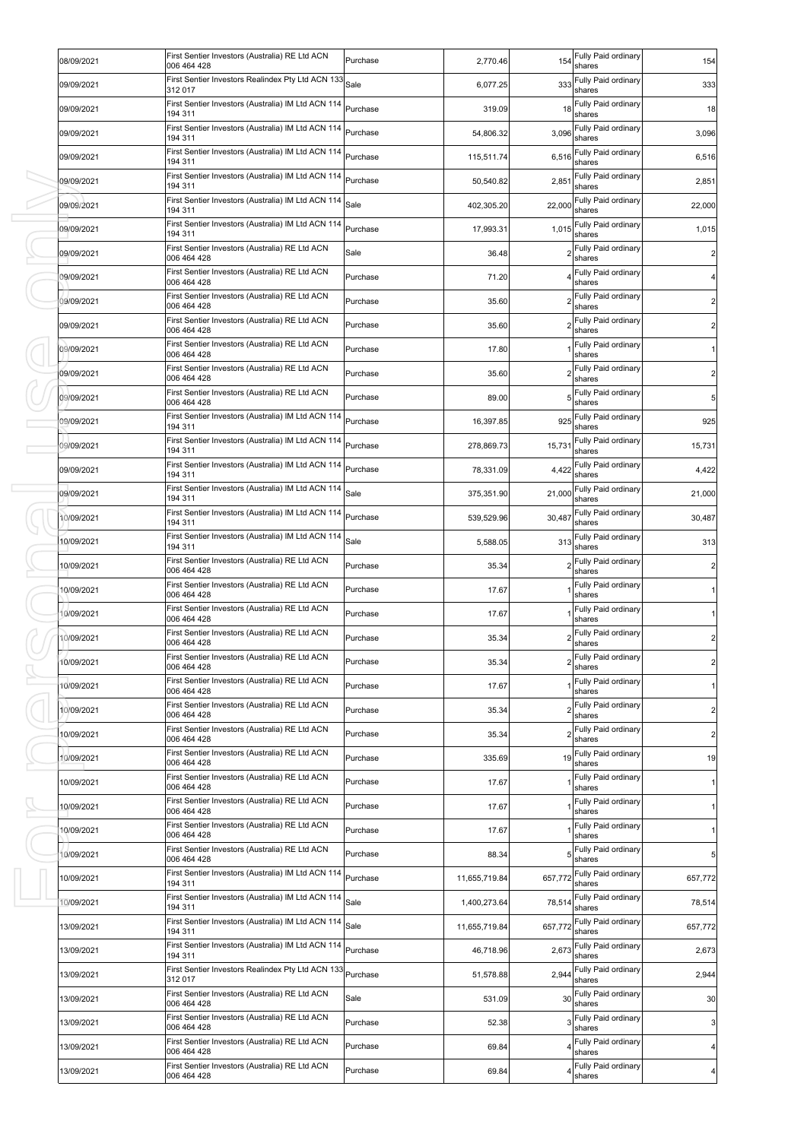| 08/09/2021 | First Sentier Investors (Australia) RE Ltd ACN<br>006 464 428         | Purchase | 2,770.46      | 154     | Fully Paid ordinary<br>shares   | 154            |
|------------|-----------------------------------------------------------------------|----------|---------------|---------|---------------------------------|----------------|
| 09/09/2021 | First Sentier Investors Realindex Pty Ltd ACN 133<br>312 017          | Sale     | 6,077.25      | 333     | Fully Paid ordinary<br>shares   | 333            |
| 09/09/2021 | First Sentier Investors (Australia) IM Ltd ACN 114<br>194 311         | Purchase | 319.09        | 18      | Fully Paid ordinary<br>shares   | 18             |
| 09/09/2021 | First Sentier Investors (Australia) IM Ltd ACN 114<br>194 311         | Purchase | 54,806.32     | 3,096   | Fully Paid ordinary<br>shares   | 3,096          |
| 09/09/2021 | First Sentier Investors (Australia) IM Ltd ACN 114<br>194 311         | Purchase | 115,511.74    | 6,516   | Fully Paid ordinary<br>shares   | 6,516          |
| 09/09/2021 | First Sentier Investors (Australia) IM Ltd ACN 114<br>194 311         | Purchase | 50,540.82     | 2,851   | Fully Paid ordinary<br>shares   | 2,851          |
| 09/09/2021 | First Sentier Investors (Australia) IM Ltd ACN 114<br>194 311         | Sale     | 402,305.20    | 22,000  | Fully Paid ordinary<br>shares   | 22,000         |
| 09/09/2021 | First Sentier Investors (Australia) IM Ltd ACN 114<br>194 311         | Purchase | 17,993.31     | 1,015   | Fully Paid ordinary<br>shares   | 1,015          |
| 09/09/2021 | First Sentier Investors (Australia) RE Ltd ACN<br>006 464 428         | Sale     | 36.48         |         | Fully Paid ordinary<br>shares   | $\overline{2}$ |
| 09/09/2021 | First Sentier Investors (Australia) RE Ltd ACN<br>006 464 428         | Purchase | 71.20         |         | Fully Paid ordinary<br>shares   | $\overline{a}$ |
| 09/09/2021 | First Sentier Investors (Australia) RE Ltd ACN<br>006 464 428         | Purchase | 35.60         |         | Fully Paid ordinary<br>shares   | $\overline{c}$ |
| 09/09/2021 | First Sentier Investors (Australia) RE Ltd ACN<br>006 464 428         | Purchase | 35.60         |         | Fully Paid ordinary<br>shares   | $\overline{2}$ |
| 09/09/2021 | First Sentier Investors (Australia) RE Ltd ACN<br>006 464 428         | Purchase | 17.80         |         | Fully Paid ordinary<br>shares   | 1              |
| 09/09/2021 | First Sentier Investors (Australia) RE Ltd ACN<br>006 464 428         | Purchase | 35.60         |         | Fully Paid ordinary<br>shares   | 2              |
| 09/09/2021 | First Sentier Investors (Australia) RE Ltd ACN<br>006 464 428         | Purchase | 89.00         |         | Fully Paid ordinary<br>shares   | 5              |
| 09/09/2021 | First Sentier Investors (Australia) IM Ltd ACN 114<br>194 311         | Purchase | 16,397.85     | 925     | Fully Paid ordinary<br>shares   | 925            |
| 09/09/2021 | First Sentier Investors (Australia) IM Ltd ACN 114<br>194 311         | Purchase | 278,869.73    | 15,731  | Fully Paid ordinary<br>shares   | 15,731         |
| 09/09/2021 | First Sentier Investors (Australia) IM Ltd ACN 114<br>194 311         | Purchase | 78,331.09     | 4,422   | Fully Paid ordinary<br>shares   | 4,422          |
| 09/09/2021 | First Sentier Investors (Australia) IM Ltd ACN 114<br>194 311         | Sale     | 375,351.90    | 21,000  | Fully Paid ordinary<br>shares   | 21,000         |
| 10/09/2021 | First Sentier Investors (Australia) IM Ltd ACN 114<br>194 311         | Purchase | 539,529.96    | 30,487  | Fully Paid ordinary<br>shares   | 30,487         |
| 10/09/2021 | First Sentier Investors (Australia) IM Ltd ACN 114<br>194 311         | Sale     | 5,588.05      | 313     | Fully Paid ordinary<br>shares   | 313            |
| 10/09/2021 | First Sentier Investors (Australia) RE Ltd ACN<br>006 464 428         | Purchase | 35.34         |         | Fully Paid ordinary<br>shares   | $\overline{c}$ |
| 10/09/2021 | First Sentier Investors (Australia) RE Ltd ACN<br>006 464 428         | Purchase | 17.67         |         | Fully Paid ordinary<br>shares   | $\mathbf{1}$   |
| 10/09/2021 | First Sentier Investors (Australia) RE Ltd ACN<br>006 464 428         | Purchase | 17.67         |         | Fully Paid ordinary<br>shares   | 1              |
| 10/09/2021 | First Sentier Investors (Australia) RE Ltd ACN<br>006 464 428         | Purchase | 35.34         |         | Fully Paid ordinary<br>shares   | $\overline{2}$ |
| 10/09/2021 | First Sentier Investors (Australia) RE Ltd ACN<br>006 464 428         | Purchase | 35.34         |         | 2 Fully Paid ordinary<br>shares | 2              |
| 10/09/2021 | First Sentier Investors (Australia) RE Ltd ACN<br>006 464 428         | Purchase | 17.67         |         | Fully Paid ordinary<br>shares   | 1              |
| 10/09/2021 | First Sentier Investors (Australia) RE Ltd ACN<br>006 464 428         | Purchase | 35.34         |         | Fully Paid ordinary<br>shares   | $\overline{2}$ |
| 10/09/2021 | First Sentier Investors (Australia) RE Ltd ACN<br>006 464 428         | Purchase | 35.34         |         | Fully Paid ordinary<br>shares   | $2 \vert$      |
| 10/09/2021 | First Sentier Investors (Australia) RE Ltd ACN<br>006 464 428         | Purchase | 335.69        | 19      | Fully Paid ordinary<br>shares   | 19             |
| 10/09/2021 | First Sentier Investors (Australia) RE Ltd ACN<br>006 464 428         | Purchase | 17.67         |         | Fully Paid ordinary<br>shares   | 1              |
| 10/09/2021 | First Sentier Investors (Australia) RE Ltd ACN<br>006 464 428         | Purchase | 17.67         |         | Fully Paid ordinary<br>shares   | 1              |
| 10/09/2021 | First Sentier Investors (Australia) RE Ltd ACN<br>006 464 428         | Purchase | 17.67         |         | Fully Paid ordinary<br>shares   | 11             |
| 10/09/2021 | First Sentier Investors (Australia) RE Ltd ACN<br>006 464 428         | Purchase | 88.34         |         | Fully Paid ordinary<br>shares   | 5              |
| 10/09/2021 | First Sentier Investors (Australia) IM Ltd ACN 114<br>194 311         | Purchase | 11,655,719.84 | 657,772 | Fully Paid ordinary<br>shares   | 657,772        |
| 10/09/2021 | First Sentier Investors (Australia) IM Ltd ACN 114<br>194 311         | Sale     | 1,400,273.64  | 78,514  | Fully Paid ordinary<br>shares   | 78,514         |
| 13/09/2021 | First Sentier Investors (Australia) IM Ltd ACN 114<br>194 311         | Sale     | 11,655,719.84 | 657,772 | Fully Paid ordinary<br>shares   | 657,772        |
| 13/09/2021 | First Sentier Investors (Australia) IM Ltd ACN 114<br>194 311         | Purchase | 46,718.96     | 2,673   | Fully Paid ordinary<br>shares   | 2,673          |
| 13/09/2021 | First Sentier Investors Realindex Pty Ltd ACN 133 Purchase<br>312 017 |          | 51,578.88     | 2,944   | Fully Paid ordinary<br>shares   | 2,944          |
| 13/09/2021 | First Sentier Investors (Australia) RE Ltd ACN<br>006 464 428         | Sale     | 531.09        | 30      | Fully Paid ordinary<br>shares   | 30             |
| 13/09/2021 | First Sentier Investors (Australia) RE Ltd ACN<br>006 464 428         | Purchase | 52.38         |         | Fully Paid ordinary<br>shares   | 3 <sub>l</sub> |
| 13/09/2021 | First Sentier Investors (Australia) RE Ltd ACN<br>006 464 428         | Purchase | 69.84         |         | Fully Paid ordinary<br>shares   | $\overline{4}$ |
| 13/09/2021 | First Sentier Investors (Australia) RE Ltd ACN<br>006 464 428         | Purchase | 69.84         |         | Fully Paid ordinary<br>shares   | $\overline{a}$ |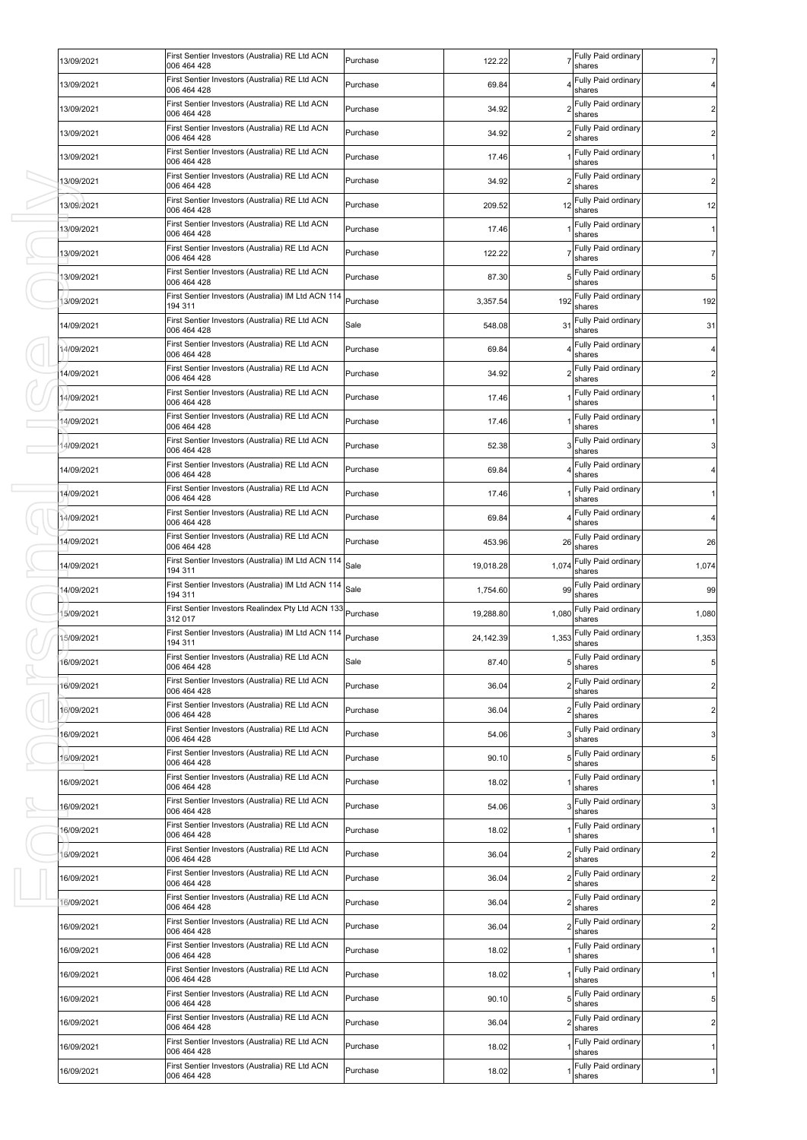| 13/09/2021 | First Sentier Investors (Australia) RE Ltd ACN<br>006 464 428          | Purchase | 122.22    |                | Fully Paid ordinary<br>shares   | $\overline{7}$          |
|------------|------------------------------------------------------------------------|----------|-----------|----------------|---------------------------------|-------------------------|
| 13/09/2021 | First Sentier Investors (Australia) RE Ltd ACN<br>006 464 428          | Purchase | 69.84     |                | Fully Paid ordinary<br>shares   | 4                       |
| 13/09/2021 | First Sentier Investors (Australia) RE Ltd ACN<br>006 464 428          | Purchase | 34.92     |                | Fully Paid ordinary<br>shares   | $\overline{2}$          |
| 13/09/2021 | First Sentier Investors (Australia) RE Ltd ACN<br>006 464 428          | Purchase | 34.92     |                | Fully Paid ordinary<br>shares   | $\overline{c}$          |
| 13/09/2021 | First Sentier Investors (Australia) RE Ltd ACN<br>006 464 428          | Purchase | 17.46     |                | Fully Paid ordinary<br>shares   | 1                       |
| 13/09/2021 | First Sentier Investors (Australia) RE Ltd ACN<br>006 464 428          | Purchase | 34.92     |                | Fully Paid ordinary<br>shares   | $\overline{c}$          |
| 13/09/2021 | First Sentier Investors (Australia) RE Ltd ACN<br>006 464 428          | Purchase | 209.52    | 12             | Fully Paid ordinary<br>shares   | 12                      |
| 13/09/2021 | First Sentier Investors (Australia) RE Ltd ACN<br>006 464 428          | Purchase | 17.46     |                | Fully Paid ordinary<br>shares   | 1                       |
| 13/09/2021 | First Sentier Investors (Australia) RE Ltd ACN<br>006 464 428          | Purchase | 122.22    |                | Fully Paid ordinary<br>shares   | $\overline{7}$          |
| 13/09/2021 | First Sentier Investors (Australia) RE Ltd ACN<br>006 464 428          | Purchase | 87.30     |                | Fully Paid ordinary<br>shares   | 5                       |
| 13/09/2021 | First Sentier Investors (Australia) IM Ltd ACN 114<br>194 311          | Purchase | 3,357.54  | 192            | Fully Paid ordinary<br>shares   | 192                     |
| 14/09/2021 | First Sentier Investors (Australia) RE Ltd ACN<br>006 464 428          | Sale     | 548.08    | 31             | Fully Paid ordinary<br>shares   | 31                      |
| 14/09/2021 | First Sentier Investors (Australia) RE Ltd ACN<br>006 464 428          | Purchase | 69.84     |                | Fully Paid ordinary<br>shares   | 4                       |
| 14/09/2021 | First Sentier Investors (Australia) RE Ltd ACN<br>006 464 428          | Purchase | 34.92     |                | Fully Paid ordinary<br>shares   | 2                       |
| 14/09/2021 | First Sentier Investors (Australia) RE Ltd ACN<br>006 464 428          | Purchase | 17.46     |                | Fully Paid ordinary<br>shares   |                         |
| 14/09/2021 | First Sentier Investors (Australia) RE Ltd ACN<br>006 464 428          | Purchase | 17.46     |                | Fully Paid ordinary             |                         |
| 14/09/2021 | First Sentier Investors (Australia) RE Ltd ACN                         | Purchase | 52.38     |                | shares<br>Fully Paid ordinary   | 3                       |
| 14/09/2021 | 006 464 428<br>First Sentier Investors (Australia) RE Ltd ACN          | Purchase | 69.84     |                | shares<br>Fully Paid ordinary   |                         |
| 14/09/2021 | 006 464 428<br>First Sentier Investors (Australia) RE Ltd ACN          | Purchase | 17.46     |                | shares<br>Fully Paid ordinary   |                         |
| 14/09/2021 | 006 464 428<br>First Sentier Investors (Australia) RE Ltd ACN          | Purchase | 69.84     |                | shares<br>Fully Paid ordinary   |                         |
| 14/09/2021 | 006 464 428<br>First Sentier Investors (Australia) RE Ltd ACN          | Purchase | 453.96    | 26             | shares<br>Fully Paid ordinary   | 26                      |
| 14/09/2021 | 006 464 428<br>First Sentier Investors (Australia) IM Ltd ACN 114      | Sale     | 19,018.28 | 1,074          | shares<br>Fully Paid ordinary   | 1,074                   |
| 14/09/2021 | 194 311<br>First Sentier Investors (Australia) IM Ltd ACN 114          | Sale     | 1,754.60  | 99             | shares<br>Fully Paid ordinary   | 99                      |
| 15/09/2021 | 194 311<br>First Sentier Investors Realindex Pty Ltd ACN 133 Purchase  |          | 19,288.80 | 1,080          | shares<br>Fully Paid ordinary   | 1,080                   |
| 15/09/2021 | 312 017<br>First Sentier Investors (Australia) IM Ltd ACN 114 Purchase |          | 24,142.39 | 1,353          | shares<br>Fully Paid ordinary   | 1,353                   |
| 16/09/2021 | 194 311<br>First Sentier Investors (Australia) RE Ltd ACN              | Sale     | 87.40     |                | shares<br>5 Fully Paid ordinary | $\sqrt{5}$              |
| 16/09/2021 | 006 464 428<br>First Sentier Investors (Australia) RE Ltd ACN          | Purchase | 36.04     |                | shares<br>Fully Paid ordinary   | $\overline{c}$          |
| 16/09/2021 | 006 464 428<br>First Sentier Investors (Australia) RE Ltd ACN          | Purchase | 36.04     |                | shares<br>Fully Paid ordinary   | $\overline{c}$          |
|            | 006 464 428<br>First Sentier Investors (Australia) RE Ltd ACN          |          |           |                | shares<br>Fully Paid ordinary   |                         |
| 16/09/2021 | 006 464 428<br>First Sentier Investors (Australia) RE Ltd ACN          | Purchase | 54.06     |                | shares<br>Fully Paid ordinary   | $\mathbf{3}$            |
| 16/09/2021 | 006 464 428<br>First Sentier Investors (Australia) RE Ltd ACN          | Purchase | 90.10     |                | shares<br>Fully Paid ordinary   | 5                       |
| 16/09/2021 | 006 464 428<br>First Sentier Investors (Australia) RE Ltd ACN          | Purchase | 18.02     |                | shares<br>Fully Paid ordinary   | 1                       |
| 16/09/2021 | 006 464 428<br>First Sentier Investors (Australia) RE Ltd ACN          | Purchase | 54.06     |                | shares<br>Fully Paid ordinary   | $\mathbf{3}$            |
| 16/09/2021 | 006 464 428<br>First Sentier Investors (Australia) RE Ltd ACN          | Purchase | 18.02     |                | shares<br>Fully Paid ordinary   | 1                       |
| 16/09/2021 | 006 464 428<br>First Sentier Investors (Australia) RE Ltd ACN          | Purchase | 36.04     |                | shares<br>Fully Paid ordinary   | $\overline{c}$          |
| 16/09/2021 | 006 464 428<br>First Sentier Investors (Australia) RE Ltd ACN          | Purchase | 36.04     | $\overline{2}$ | shares<br>Fully Paid ordinary   | $\overline{c}$          |
| 16/09/2021 | 006 464 428<br>First Sentier Investors (Australia) RE Ltd ACN          | Purchase | 36.04     |                | shares<br>Fully Paid ordinary   | $\overline{c}$          |
| 16/09/2021 | 006 464 428<br>First Sentier Investors (Australia) RE Ltd ACN          | Purchase | 36.04     |                | shares<br>Fully Paid ordinary   | $\overline{c}$          |
| 16/09/2021 | 006 464 428<br>First Sentier Investors (Australia) RE Ltd ACN          | Purchase | 18.02     |                | shares<br>Fully Paid ordinary   | 1                       |
| 16/09/2021 | 006 464 428<br>First Sentier Investors (Australia) RE Ltd ACN          | Purchase | 18.02     |                | shares<br>Fully Paid ordinary   | 1                       |
| 16/09/2021 | 006 464 428                                                            | Purchase | 90.10     |                | shares                          | 5                       |
| 16/09/2021 | First Sentier Investors (Australia) RE Ltd ACN<br>006 464 428          | Purchase | 36.04     |                | Fully Paid ordinary<br>shares   | $\overline{\mathbf{c}}$ |
| 16/09/2021 | First Sentier Investors (Australia) RE Ltd ACN<br>006 464 428          | Purchase | 18.02     |                | Fully Paid ordinary<br>shares   | 1                       |
| 16/09/2021 | First Sentier Investors (Australia) RE Ltd ACN<br>006 464 428          | Purchase | 18.02     |                | Fully Paid ordinary<br>shares   |                         |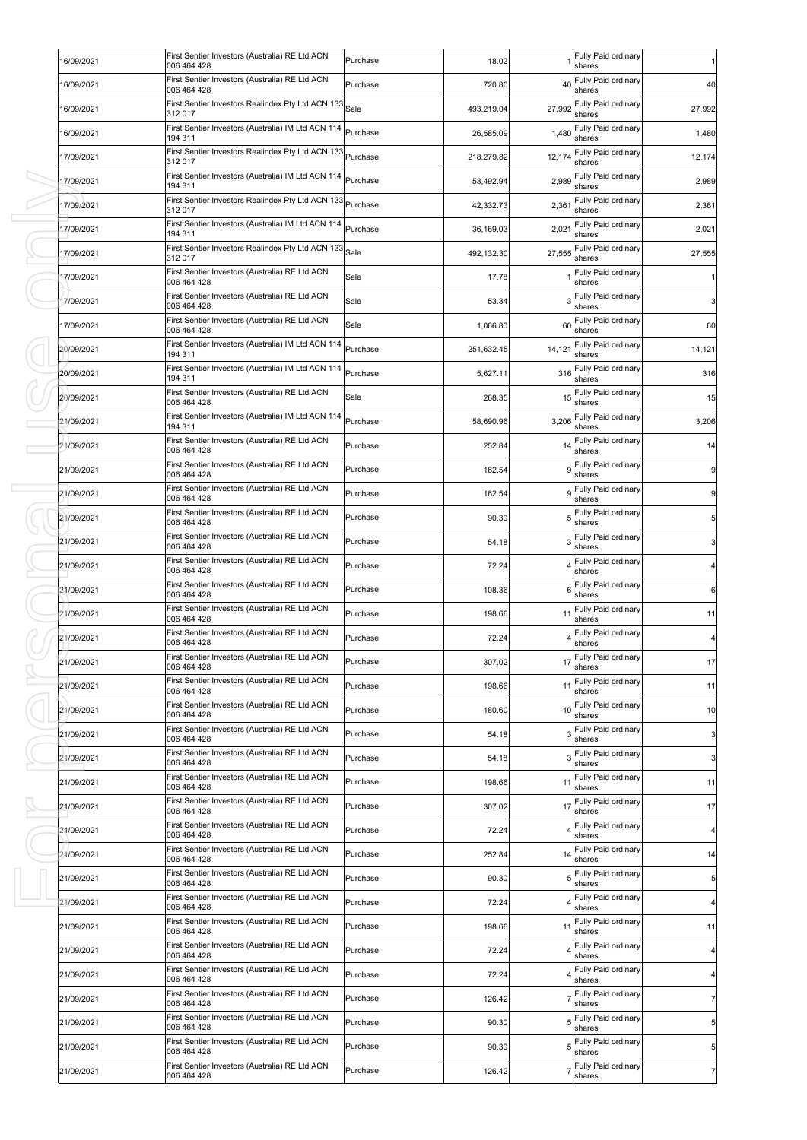| 16/09/2021 | First Sentier Investors (Australia) RE Ltd ACN<br>006 464 428         | Purchase | 18.02      |                | Fully Paid ordinary<br>shares    |                |
|------------|-----------------------------------------------------------------------|----------|------------|----------------|----------------------------------|----------------|
| 16/09/2021 | First Sentier Investors (Australia) RE Ltd ACN<br>006 464 428         | Purchase | 720.80     | 40             | Fully Paid ordinary<br>shares    | 40             |
| 16/09/2021 | First Sentier Investors Realindex Pty Ltd ACN 133<br>312 017          | Sale     | 493,219.04 | 27,992         | Fully Paid ordinary<br>shares    | 27,992         |
| 16/09/2021 | First Sentier Investors (Australia) IM Ltd ACN 114<br>194 311         | Purchase | 26,585.09  | 1,480          | Fully Paid ordinary<br>shares    | 1,480          |
| 17/09/2021 | First Sentier Investors Realindex Pty Ltd ACN 133 Purchase<br>312 017 |          | 218,279.82 | 12,174         | Fully Paid ordinary<br>shares    | 12,174         |
| 17/09/2021 | First Sentier Investors (Australia) IM Ltd ACN 114<br>194 311         | Purchase | 53,492.94  | 2,989          | Fully Paid ordinary<br>shares    | 2,989          |
| 17/09/2021 | First Sentier Investors Realindex Pty Ltd ACN 133<br>312 017          | Purchase | 42,332.73  | 2,361          | Fully Paid ordinary<br>shares    | 2,361          |
| 17/09/2021 | First Sentier Investors (Australia) IM Ltd ACN 114<br>194 311         | Purchase | 36,169.03  | 2,021          | Fully Paid ordinary<br>shares    | 2,021          |
| 17/09/2021 | First Sentier Investors Realindex Pty Ltd ACN 133<br>312 017          | Sale     | 492,132.30 | 27,555         | Fully Paid ordinary<br>shares    | 27,555         |
| 17/09/2021 | First Sentier Investors (Australia) RE Ltd ACN<br>006 464 428         | Sale     | 17.78      |                | Fully Paid ordinary<br>shares    |                |
| 17/09/2021 | First Sentier Investors (Australia) RE Ltd ACN<br>006 464 428         | Sale     | 53.34      |                | Fully Paid ordinary<br>shares    | $\mathbf{3}$   |
| 17/09/2021 | First Sentier Investors (Australia) RE Ltd ACN<br>006 464 428         | Sale     | 1,066.80   | 60             | Fully Paid ordinary<br>shares    | 60             |
| 20/09/2021 | First Sentier Investors (Australia) IM Ltd ACN 114<br>194 311         | Purchase | 251,632.45 | 14,121         | Fully Paid ordinary<br>shares    | 14,121         |
| 20/09/2021 | First Sentier Investors (Australia) IM Ltd ACN 114<br>194 311         | Purchase | 5,627.11   | 316            | Fully Paid ordinary<br>shares    | 316            |
| 20/09/2021 | First Sentier Investors (Australia) RE Ltd ACN<br>006 464 428         | Sale     | 268.35     | 15             | Fully Paid ordinary<br>shares    | 15             |
| 21/09/2021 | First Sentier Investors (Australia) IM Ltd ACN 114<br>194 311         | Purchase | 58,690.96  | 3,206          | Fully Paid ordinary<br>shares    | 3,206          |
| 21/09/2021 | First Sentier Investors (Australia) RE Ltd ACN<br>006 464 428         | Purchase | 252.84     | 14             | Fully Paid ordinary<br>shares    | 14             |
| 21/09/2021 | First Sentier Investors (Australia) RE Ltd ACN<br>006 464 428         | Purchase | 162.54     | 9              | Fully Paid ordinary<br>shares    | 9              |
| 21/09/2021 | First Sentier Investors (Australia) RE Ltd ACN<br>006 464 428         | Purchase | 162.54     |                | Fully Paid ordinary<br>shares    | 9              |
| 21/09/2021 | First Sentier Investors (Australia) RE Ltd ACN<br>006 464 428         | Purchase | 90.30      |                | Fully Paid ordinary<br>shares    | 5              |
| 21/09/2021 | First Sentier Investors (Australia) RE Ltd ACN<br>006 464 428         | Purchase | 54.18      |                | Fully Paid ordinary<br>shares    |                |
| 21/09/2021 | First Sentier Investors (Australia) RE Ltd ACN<br>006 464 428         | Purchase | 72.24      |                | Fully Paid ordinary<br>shares    |                |
| 21/09/2021 | First Sentier Investors (Australia) RE Ltd ACN<br>006 464 428         | Purchase | 108.36     | 6              | Fully Paid ordinary<br>shares    | 6              |
| 21/09/2021 | First Sentier Investors (Australia) RE Ltd ACN<br>006 464 428         | Purchase | 198.66     | 11             | Fully Paid ordinary<br>shares    | 11             |
| 21/09/2021 | First Sentier Investors (Australia) RE Ltd ACN<br>006 464 428         | Purchase | 72.24      |                | Fully Paid ordinary<br>shares    |                |
| 21/09/2021 | First Sentier Investors (Australia) RE Ltd ACN<br>006 464 428         | Purchase | 307.02     |                | 17 Fully Paid ordinary<br>shares | 17             |
| 21/09/2021 | First Sentier Investors (Australia) RE Ltd ACN<br>006 464 428         | Purchase | 198.66     | 11             | Fully Paid ordinary<br>shares    | 11             |
| 21/09/2021 | First Sentier Investors (Australia) RE Ltd ACN<br>006 464 428         | Purchase | 180.60     | 10             | Fully Paid ordinary<br>shares    | 10             |
| 21/09/2021 | First Sentier Investors (Australia) RE Ltd ACN<br>006 464 428         | Purchase | 54.18      |                | Fully Paid ordinary<br>shares    | $\mathbf{3}$   |
| 21/09/2021 | First Sentier Investors (Australia) RE Ltd ACN<br>006 464 428         | Purchase | 54.18      |                | Fully Paid ordinary<br>shares    | $\mathbf{3}$   |
| 21/09/2021 | First Sentier Investors (Australia) RE Ltd ACN<br>006 464 428         | Purchase | 198.66     | 1 <sup>1</sup> | Fully Paid ordinary<br>shares    | 11             |
| 21/09/2021 | First Sentier Investors (Australia) RE Ltd ACN<br>006 464 428         | Purchase | 307.02     | 17             | Fully Paid ordinary<br>shares    | 17             |
| 21/09/2021 | First Sentier Investors (Australia) RE Ltd ACN<br>006 464 428         | Purchase | 72.24      |                | Fully Paid ordinary<br>shares    | 4              |
| 21/09/2021 | First Sentier Investors (Australia) RE Ltd ACN<br>006 464 428         | Purchase | 252.84     | 14             | Fully Paid ordinary<br>shares    | 14             |
| 21/09/2021 | First Sentier Investors (Australia) RE Ltd ACN<br>006 464 428         | Purchase | 90.30      | 5              | Fully Paid ordinary<br>shares    | 5              |
| 21/09/2021 | First Sentier Investors (Australia) RE Ltd ACN<br>006 464 428         | Purchase | 72.24      |                | Fully Paid ordinary<br>shares    | 4              |
| 21/09/2021 | First Sentier Investors (Australia) RE Ltd ACN<br>006 464 428         | Purchase | 198.66     | 11             | Fully Paid ordinary<br>shares    | 11             |
| 21/09/2021 | First Sentier Investors (Australia) RE Ltd ACN<br>006 464 428         | Purchase | 72.24      |                | Fully Paid ordinary<br>shares    | 4              |
| 21/09/2021 | First Sentier Investors (Australia) RE Ltd ACN<br>006 464 428         | Purchase | 72.24      |                | Fully Paid ordinary<br>shares    | 4              |
| 21/09/2021 | First Sentier Investors (Australia) RE Ltd ACN<br>006 464 428         | Purchase | 126.42     |                | Fully Paid ordinary<br>shares    | 7              |
| 21/09/2021 | First Sentier Investors (Australia) RE Ltd ACN<br>006 464 428         | Purchase | 90.30      | 5              | Fully Paid ordinary<br>shares    | 5              |
| 21/09/2021 | First Sentier Investors (Australia) RE Ltd ACN<br>006 464 428         | Purchase | 90.30      | 5              | Fully Paid ordinary<br>shares    | 5              |
| 21/09/2021 | First Sentier Investors (Australia) RE Ltd ACN<br>006 464 428         | Purchase | 126.42     |                | Fully Paid ordinary<br>shares    | $\overline{7}$ |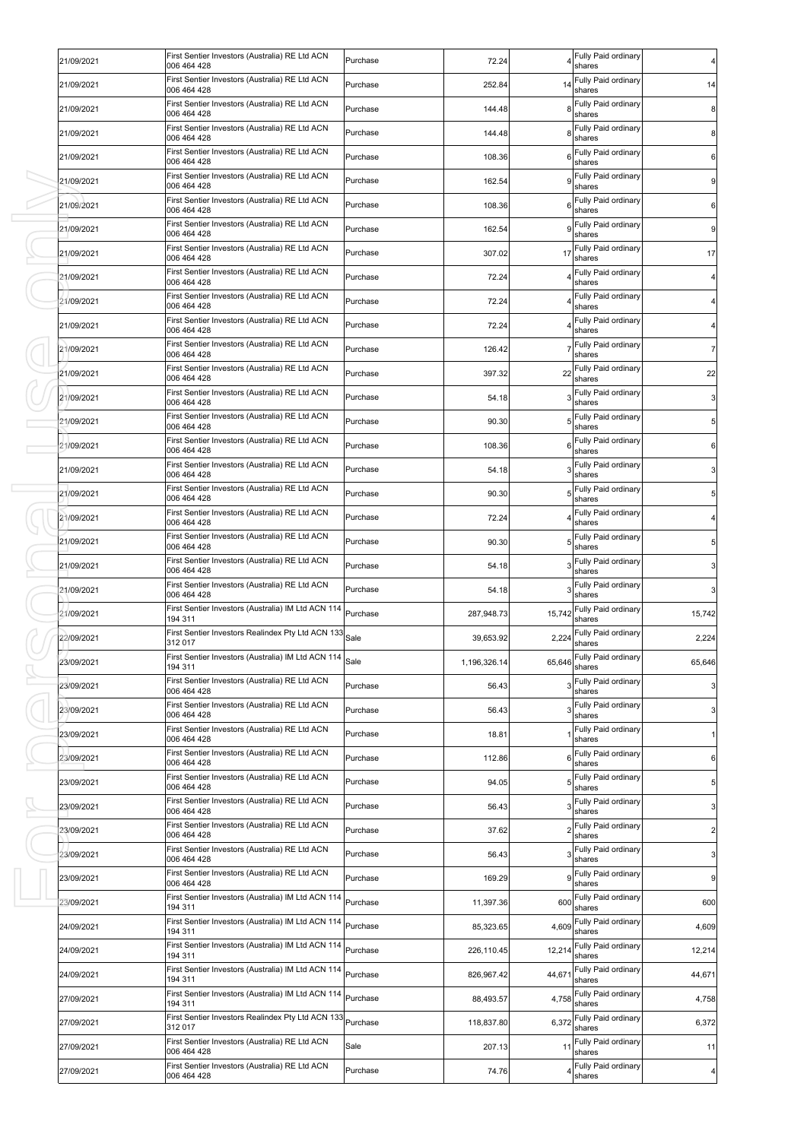| First Sentier Investors (Australia) RE Ltd ACN<br>Fully Paid ordinary<br>21/09/2021<br>Purchase<br>252.84<br>14<br>14<br>006 464 428<br>shares<br>First Sentier Investors (Australia) RE Ltd ACN<br>Fully Paid ordinary<br>Purchase<br>21/09/2021<br>144.48<br>8<br>8<br>006 464 428<br>shares<br>First Sentier Investors (Australia) RE Ltd ACN<br>Fully Paid ordinary<br>21/09/2021<br>Purchase<br>144.48<br>006 464 428<br>shares<br>First Sentier Investors (Australia) RE Ltd ACN<br>Fully Paid ordinary<br>Purchase<br>21/09/2021<br>108.36<br>006 464 428<br>shares<br>First Sentier Investors (Australia) RE Ltd ACN<br>Fully Paid ordinary<br>Purchase<br>21/09/2021<br>162.54<br>006 464 428<br>shares<br>First Sentier Investors (Australia) RE Ltd ACN<br>Fully Paid ordinary<br>21/09/2021<br>Purchase<br>108.36<br>shares<br>006 464 428<br>First Sentier Investors (Australia) RE Ltd ACN<br>Fully Paid ordinary<br>Purchase<br>21/09/2021<br>162.54<br>006 464 428<br>shares<br>First Sentier Investors (Australia) RE Ltd ACN<br>Fully Paid ordinary<br>21/09/2021<br>Purchase<br>307.02<br>17<br>006 464 428<br>shares<br>First Sentier Investors (Australia) RE Ltd ACN<br>Fully Paid ordinary<br>72.24<br>21/09/2021<br>Purchase<br>4<br>006 464 428<br>shares<br>First Sentier Investors (Australia) RE Ltd ACN<br>Fully Paid ordinary<br>Purchase<br>21/09/2021<br>72.24<br>4<br>006 464 428<br>shares<br>First Sentier Investors (Australia) RE Ltd ACN<br>Fully Paid ordinary<br>72.24<br>21/09/2021<br>Purchase<br>shares<br>006 464 428<br>First Sentier Investors (Australia) RE Ltd ACN<br>Fully Paid ordinary<br>21/09/2021<br>Purchase<br>126.42<br>7<br>006 464 428<br>shares<br>First Sentier Investors (Australia) RE Ltd ACN<br>Fully Paid ordinary<br>22<br>Purchase<br>21/09/2021<br>397.32<br>006 464 428<br>shares<br>First Sentier Investors (Australia) RE Ltd ACN<br>Fully Paid ordinary<br>21/09/2021<br>Purchase<br>54.18<br>3<br>shares<br>006 464 428<br>First Sentier Investors (Australia) RE Ltd ACN<br>Fully Paid ordinary<br>Purchase<br>90.30<br>5<br>21/09/2021<br>5<br>006 464 428<br>shares<br>First Sentier Investors (Australia) RE Ltd ACN<br>Fully Paid ordinary<br>Purchase<br>21/09/2021<br>108.36<br>6<br>006 464 428<br>shares<br>First Sentier Investors (Australia) RE Ltd ACN<br>Fully Paid ordinary<br>21/09/2021<br>Purchase<br>54.18<br>3<br>006 464 428<br>shares<br>First Sentier Investors (Australia) RE Ltd ACN<br>Fully Paid ordinary<br>Purchase<br>21/09/2021<br>90.30<br>5<br>006 464 428<br>shares<br>First Sentier Investors (Australia) RE Ltd ACN<br>Fully Paid ordinary<br>72.24<br>21/09/2021<br>Purchase<br>006 464 428<br>shares<br>First Sentier Investors (Australia) RE Ltd ACN<br>Fully Paid ordinary<br>Purchase<br>21/09/2021<br>90.30<br>5<br>006 464 428<br>shares<br>First Sentier Investors (Australia) RE Ltd ACN<br>Fully Paid ordinary<br>21/09/2021<br>Purchase<br>54.18<br>3<br>006 464 428<br>shares<br>First Sentier Investors (Australia) RE Ltd ACN<br>Fully Paid ordinary<br>21/09/2021<br>Purchase<br>54.18<br>3<br>006 464 428<br>shares<br>First Sentier Investors (Australia) IM Ltd ACN 114<br>Fully Paid ordinary<br>Purchase<br>21/09/2021<br>287,948.73<br>15,742<br>15,742<br>194 311<br>shares<br>First Sentier Investors Realindex Pty Ltd ACN 133 Sale<br>Fully Paid ordinary<br>2,224<br>22/09/2021<br>39,653.92<br>2,224<br>312 017<br>shares<br>First Sentier Investors (Australia) IM Ltd ACN 114 Sale<br>65,646 Fully Paid ordinary<br>23/09/2021<br>1,196,326.14<br>shares<br>194 311<br>First Sentier Investors (Australia) RE Ltd ACN<br>Fully Paid ordinary<br>Purchase<br>23/09/2021<br>56.43<br>006 464 428<br>shares<br>First Sentier Investors (Australia) RE Ltd ACN<br>Fully Paid ordinary<br>23/09/2021<br>Purchase<br>56.43<br>006 464 428<br>shares<br>First Sentier Investors (Australia) RE Ltd ACN<br>Fully Paid ordinary<br>23/09/2021<br>Purchase<br>18.81<br>006 464 428<br>shares<br>First Sentier Investors (Australia) RE Ltd ACN<br>Fully Paid ordinary<br>23/09/2021<br>Purchase<br>112.86<br>006 464 428<br>shares<br>First Sentier Investors (Australia) RE Ltd ACN<br>Fully Paid ordinary<br>23/09/2021<br>Purchase<br>94.05<br>shares<br>006 464 428<br>First Sentier Investors (Australia) RE Ltd ACN<br>Fully Paid ordinary<br>23/09/2021<br>Purchase<br>56.43<br>006 464 428<br>shares<br>First Sentier Investors (Australia) RE Ltd ACN<br>Fully Paid ordinary<br>Purchase<br>37.62<br>23/09/2021<br>006 464 428<br>shares<br>First Sentier Investors (Australia) RE Ltd ACN<br>Fully Paid ordinary<br>23/09/2021<br>56.43<br>Purchase<br>006 464 428<br>shares<br>First Sentier Investors (Australia) RE Ltd ACN<br>Fully Paid ordinary<br>$\mathbf{Q}$<br>23/09/2021<br>Purchase<br>169.29<br>006 464 428<br>shares<br>First Sentier Investors (Australia) IM Ltd ACN 114<br>Fully Paid ordinary<br>Purchase<br>600<br>23/09/2021<br>11,397.36<br>194 311<br>shares<br>First Sentier Investors (Australia) IM Ltd ACN 114<br>Fully Paid ordinary<br>Purchase<br>4,609<br>24/09/2021<br>85,323.65<br>shares<br>194 311<br>First Sentier Investors (Australia) IM Ltd ACN 114<br>Fully Paid ordinary<br>Purchase<br>12,214<br>12,214<br>24/09/2021<br>226,110.45<br>194 311<br>shares<br>First Sentier Investors (Australia) IM Ltd ACN 114<br>Fully Paid ordinary<br>Purchase<br>44,671<br>44,671<br>826,967.42<br>24/09/2021<br>shares<br>194 311<br>First Sentier Investors (Australia) IM Ltd ACN 114<br>Fully Paid ordinary<br>Purchase<br>4,758<br>27/09/2021<br>88,493.57<br>194 311<br>shares<br>First Sentier Investors Realindex Pty Ltd ACN 133 Purchase<br>Fully Paid ordinary<br>6,372<br>6,372<br>27/09/2021<br>118,837.80<br>312 017<br>shares<br>First Sentier Investors (Australia) RE Ltd ACN<br>Fully Paid ordinary<br>Sale<br>11<br>27/09/2021<br>207.13<br>006 464 428<br>shares | 21/09/2021 | First Sentier Investors (Australia) RE Ltd ACN<br>006 464 428 | Purchase | 72.24 | Fully Paid ordinary<br>shares | 4 |
|-----------------------------------------------------------------------------------------------------------------------------------------------------------------------------------------------------------------------------------------------------------------------------------------------------------------------------------------------------------------------------------------------------------------------------------------------------------------------------------------------------------------------------------------------------------------------------------------------------------------------------------------------------------------------------------------------------------------------------------------------------------------------------------------------------------------------------------------------------------------------------------------------------------------------------------------------------------------------------------------------------------------------------------------------------------------------------------------------------------------------------------------------------------------------------------------------------------------------------------------------------------------------------------------------------------------------------------------------------------------------------------------------------------------------------------------------------------------------------------------------------------------------------------------------------------------------------------------------------------------------------------------------------------------------------------------------------------------------------------------------------------------------------------------------------------------------------------------------------------------------------------------------------------------------------------------------------------------------------------------------------------------------------------------------------------------------------------------------------------------------------------------------------------------------------------------------------------------------------------------------------------------------------------------------------------------------------------------------------------------------------------------------------------------------------------------------------------------------------------------------------------------------------------------------------------------------------------------------------------------------------------------------------------------------------------------------------------------------------------------------------------------------------------------------------------------------------------------------------------------------------------------------------------------------------------------------------------------------------------------------------------------------------------------------------------------------------------------------------------------------------------------------------------------------------------------------------------------------------------------------------------------------------------------------------------------------------------------------------------------------------------------------------------------------------------------------------------------------------------------------------------------------------------------------------------------------------------------------------------------------------------------------------------------------------------------------------------------------------------------------------------------------------------------------------------------------------------------------------------------------------------------------------------------------------------------------------------------------------------------------------------------------------------------------------------------------------------------------------------------------------------------------------------------------------------------------------------------------------------------------------------------------------------------------------------------------------------------------------------------------------------------------------------------------------------------------------------------------------------------------------------------------------------------------------------------------------------------------------------------------------------------------------------------------------------------------------------------------------------------------------------------------------------------------------------------------------------------------------------------------------------------------------------------------------------------------------------------------------------------------------------------------------------------------------------------------------------------------------------------------------------------------------------------------------------------------------------------------------------------------------------------------------------------------------------------------------------------------------------------------------------------------------------------------------------------------------------------------------------------------------------------------------------------------------------------------------------------------------------------------------------------------------------------------------------------------------------------------------------------------------------------------------------------------------------------------------------------------------------------------------------------------------------------------------------------------------------------|------------|---------------------------------------------------------------|----------|-------|-------------------------------|---|
|                                                                                                                                                                                                                                                                                                                                                                                                                                                                                                                                                                                                                                                                                                                                                                                                                                                                                                                                                                                                                                                                                                                                                                                                                                                                                                                                                                                                                                                                                                                                                                                                                                                                                                                                                                                                                                                                                                                                                                                                                                                                                                                                                                                                                                                                                                                                                                                                                                                                                                                                                                                                                                                                                                                                                                                                                                                                                                                                                                                                                                                                                                                                                                                                                                                                                                                                                                                                                                                                                                                                                                                                                                                                                                                                                                                                                                                                                                                                                                                                                                                                                                                                                                                                                                                                                                                                                                                                                                                                                                                                                                                                                                                                                                                                                                                                                                                                                                                                                                                                                                                                                                                                                                                                                                                                                                                                                                                                                                                                                                                                                                                                                                                                                                                                                                                                                                                                                                                                                                 |            |                                                               |          |       |                               |   |
| 8<br>6<br>9<br>$\,6$<br>$\boldsymbol{9}$<br>17<br>22<br>65,646<br>$\mathbf{3}$<br>$\mathbf{3}$<br>1<br>6<br>5<br>$\mathbf{3}$<br>$\overline{2}$<br>3<br>$\boldsymbol{9}$<br>600<br>4,609<br>4,758<br>11                                                                                                                                                                                                                                                                                                                                                                                                                                                                                                                                                                                                                                                                                                                                                                                                                                                                                                                                                                                                                                                                                                                                                                                                                                                                                                                                                                                                                                                                                                                                                                                                                                                                                                                                                                                                                                                                                                                                                                                                                                                                                                                                                                                                                                                                                                                                                                                                                                                                                                                                                                                                                                                                                                                                                                                                                                                                                                                                                                                                                                                                                                                                                                                                                                                                                                                                                                                                                                                                                                                                                                                                                                                                                                                                                                                                                                                                                                                                                                                                                                                                                                                                                                                                                                                                                                                                                                                                                                                                                                                                                                                                                                                                                                                                                                                                                                                                                                                                                                                                                                                                                                                                                                                                                                                                                                                                                                                                                                                                                                                                                                                                                                                                                                                                                         |            |                                                               |          |       |                               |   |
|                                                                                                                                                                                                                                                                                                                                                                                                                                                                                                                                                                                                                                                                                                                                                                                                                                                                                                                                                                                                                                                                                                                                                                                                                                                                                                                                                                                                                                                                                                                                                                                                                                                                                                                                                                                                                                                                                                                                                                                                                                                                                                                                                                                                                                                                                                                                                                                                                                                                                                                                                                                                                                                                                                                                                                                                                                                                                                                                                                                                                                                                                                                                                                                                                                                                                                                                                                                                                                                                                                                                                                                                                                                                                                                                                                                                                                                                                                                                                                                                                                                                                                                                                                                                                                                                                                                                                                                                                                                                                                                                                                                                                                                                                                                                                                                                                                                                                                                                                                                                                                                                                                                                                                                                                                                                                                                                                                                                                                                                                                                                                                                                                                                                                                                                                                                                                                                                                                                                                                 |            |                                                               |          |       |                               |   |
|                                                                                                                                                                                                                                                                                                                                                                                                                                                                                                                                                                                                                                                                                                                                                                                                                                                                                                                                                                                                                                                                                                                                                                                                                                                                                                                                                                                                                                                                                                                                                                                                                                                                                                                                                                                                                                                                                                                                                                                                                                                                                                                                                                                                                                                                                                                                                                                                                                                                                                                                                                                                                                                                                                                                                                                                                                                                                                                                                                                                                                                                                                                                                                                                                                                                                                                                                                                                                                                                                                                                                                                                                                                                                                                                                                                                                                                                                                                                                                                                                                                                                                                                                                                                                                                                                                                                                                                                                                                                                                                                                                                                                                                                                                                                                                                                                                                                                                                                                                                                                                                                                                                                                                                                                                                                                                                                                                                                                                                                                                                                                                                                                                                                                                                                                                                                                                                                                                                                                                 |            |                                                               |          |       |                               |   |
|                                                                                                                                                                                                                                                                                                                                                                                                                                                                                                                                                                                                                                                                                                                                                                                                                                                                                                                                                                                                                                                                                                                                                                                                                                                                                                                                                                                                                                                                                                                                                                                                                                                                                                                                                                                                                                                                                                                                                                                                                                                                                                                                                                                                                                                                                                                                                                                                                                                                                                                                                                                                                                                                                                                                                                                                                                                                                                                                                                                                                                                                                                                                                                                                                                                                                                                                                                                                                                                                                                                                                                                                                                                                                                                                                                                                                                                                                                                                                                                                                                                                                                                                                                                                                                                                                                                                                                                                                                                                                                                                                                                                                                                                                                                                                                                                                                                                                                                                                                                                                                                                                                                                                                                                                                                                                                                                                                                                                                                                                                                                                                                                                                                                                                                                                                                                                                                                                                                                                                 |            |                                                               |          |       |                               |   |
|                                                                                                                                                                                                                                                                                                                                                                                                                                                                                                                                                                                                                                                                                                                                                                                                                                                                                                                                                                                                                                                                                                                                                                                                                                                                                                                                                                                                                                                                                                                                                                                                                                                                                                                                                                                                                                                                                                                                                                                                                                                                                                                                                                                                                                                                                                                                                                                                                                                                                                                                                                                                                                                                                                                                                                                                                                                                                                                                                                                                                                                                                                                                                                                                                                                                                                                                                                                                                                                                                                                                                                                                                                                                                                                                                                                                                                                                                                                                                                                                                                                                                                                                                                                                                                                                                                                                                                                                                                                                                                                                                                                                                                                                                                                                                                                                                                                                                                                                                                                                                                                                                                                                                                                                                                                                                                                                                                                                                                                                                                                                                                                                                                                                                                                                                                                                                                                                                                                                                                 |            |                                                               |          |       |                               |   |
|                                                                                                                                                                                                                                                                                                                                                                                                                                                                                                                                                                                                                                                                                                                                                                                                                                                                                                                                                                                                                                                                                                                                                                                                                                                                                                                                                                                                                                                                                                                                                                                                                                                                                                                                                                                                                                                                                                                                                                                                                                                                                                                                                                                                                                                                                                                                                                                                                                                                                                                                                                                                                                                                                                                                                                                                                                                                                                                                                                                                                                                                                                                                                                                                                                                                                                                                                                                                                                                                                                                                                                                                                                                                                                                                                                                                                                                                                                                                                                                                                                                                                                                                                                                                                                                                                                                                                                                                                                                                                                                                                                                                                                                                                                                                                                                                                                                                                                                                                                                                                                                                                                                                                                                                                                                                                                                                                                                                                                                                                                                                                                                                                                                                                                                                                                                                                                                                                                                                                                 |            |                                                               |          |       |                               |   |
|                                                                                                                                                                                                                                                                                                                                                                                                                                                                                                                                                                                                                                                                                                                                                                                                                                                                                                                                                                                                                                                                                                                                                                                                                                                                                                                                                                                                                                                                                                                                                                                                                                                                                                                                                                                                                                                                                                                                                                                                                                                                                                                                                                                                                                                                                                                                                                                                                                                                                                                                                                                                                                                                                                                                                                                                                                                                                                                                                                                                                                                                                                                                                                                                                                                                                                                                                                                                                                                                                                                                                                                                                                                                                                                                                                                                                                                                                                                                                                                                                                                                                                                                                                                                                                                                                                                                                                                                                                                                                                                                                                                                                                                                                                                                                                                                                                                                                                                                                                                                                                                                                                                                                                                                                                                                                                                                                                                                                                                                                                                                                                                                                                                                                                                                                                                                                                                                                                                                                                 |            |                                                               |          |       |                               |   |
|                                                                                                                                                                                                                                                                                                                                                                                                                                                                                                                                                                                                                                                                                                                                                                                                                                                                                                                                                                                                                                                                                                                                                                                                                                                                                                                                                                                                                                                                                                                                                                                                                                                                                                                                                                                                                                                                                                                                                                                                                                                                                                                                                                                                                                                                                                                                                                                                                                                                                                                                                                                                                                                                                                                                                                                                                                                                                                                                                                                                                                                                                                                                                                                                                                                                                                                                                                                                                                                                                                                                                                                                                                                                                                                                                                                                                                                                                                                                                                                                                                                                                                                                                                                                                                                                                                                                                                                                                                                                                                                                                                                                                                                                                                                                                                                                                                                                                                                                                                                                                                                                                                                                                                                                                                                                                                                                                                                                                                                                                                                                                                                                                                                                                                                                                                                                                                                                                                                                                                 |            |                                                               |          |       |                               |   |
|                                                                                                                                                                                                                                                                                                                                                                                                                                                                                                                                                                                                                                                                                                                                                                                                                                                                                                                                                                                                                                                                                                                                                                                                                                                                                                                                                                                                                                                                                                                                                                                                                                                                                                                                                                                                                                                                                                                                                                                                                                                                                                                                                                                                                                                                                                                                                                                                                                                                                                                                                                                                                                                                                                                                                                                                                                                                                                                                                                                                                                                                                                                                                                                                                                                                                                                                                                                                                                                                                                                                                                                                                                                                                                                                                                                                                                                                                                                                                                                                                                                                                                                                                                                                                                                                                                                                                                                                                                                                                                                                                                                                                                                                                                                                                                                                                                                                                                                                                                                                                                                                                                                                                                                                                                                                                                                                                                                                                                                                                                                                                                                                                                                                                                                                                                                                                                                                                                                                                                 |            |                                                               |          |       |                               |   |
|                                                                                                                                                                                                                                                                                                                                                                                                                                                                                                                                                                                                                                                                                                                                                                                                                                                                                                                                                                                                                                                                                                                                                                                                                                                                                                                                                                                                                                                                                                                                                                                                                                                                                                                                                                                                                                                                                                                                                                                                                                                                                                                                                                                                                                                                                                                                                                                                                                                                                                                                                                                                                                                                                                                                                                                                                                                                                                                                                                                                                                                                                                                                                                                                                                                                                                                                                                                                                                                                                                                                                                                                                                                                                                                                                                                                                                                                                                                                                                                                                                                                                                                                                                                                                                                                                                                                                                                                                                                                                                                                                                                                                                                                                                                                                                                                                                                                                                                                                                                                                                                                                                                                                                                                                                                                                                                                                                                                                                                                                                                                                                                                                                                                                                                                                                                                                                                                                                                                                                 |            |                                                               |          |       |                               |   |
|                                                                                                                                                                                                                                                                                                                                                                                                                                                                                                                                                                                                                                                                                                                                                                                                                                                                                                                                                                                                                                                                                                                                                                                                                                                                                                                                                                                                                                                                                                                                                                                                                                                                                                                                                                                                                                                                                                                                                                                                                                                                                                                                                                                                                                                                                                                                                                                                                                                                                                                                                                                                                                                                                                                                                                                                                                                                                                                                                                                                                                                                                                                                                                                                                                                                                                                                                                                                                                                                                                                                                                                                                                                                                                                                                                                                                                                                                                                                                                                                                                                                                                                                                                                                                                                                                                                                                                                                                                                                                                                                                                                                                                                                                                                                                                                                                                                                                                                                                                                                                                                                                                                                                                                                                                                                                                                                                                                                                                                                                                                                                                                                                                                                                                                                                                                                                                                                                                                                                                 |            |                                                               |          |       |                               |   |
|                                                                                                                                                                                                                                                                                                                                                                                                                                                                                                                                                                                                                                                                                                                                                                                                                                                                                                                                                                                                                                                                                                                                                                                                                                                                                                                                                                                                                                                                                                                                                                                                                                                                                                                                                                                                                                                                                                                                                                                                                                                                                                                                                                                                                                                                                                                                                                                                                                                                                                                                                                                                                                                                                                                                                                                                                                                                                                                                                                                                                                                                                                                                                                                                                                                                                                                                                                                                                                                                                                                                                                                                                                                                                                                                                                                                                                                                                                                                                                                                                                                                                                                                                                                                                                                                                                                                                                                                                                                                                                                                                                                                                                                                                                                                                                                                                                                                                                                                                                                                                                                                                                                                                                                                                                                                                                                                                                                                                                                                                                                                                                                                                                                                                                                                                                                                                                                                                                                                                                 |            |                                                               |          |       |                               |   |
|                                                                                                                                                                                                                                                                                                                                                                                                                                                                                                                                                                                                                                                                                                                                                                                                                                                                                                                                                                                                                                                                                                                                                                                                                                                                                                                                                                                                                                                                                                                                                                                                                                                                                                                                                                                                                                                                                                                                                                                                                                                                                                                                                                                                                                                                                                                                                                                                                                                                                                                                                                                                                                                                                                                                                                                                                                                                                                                                                                                                                                                                                                                                                                                                                                                                                                                                                                                                                                                                                                                                                                                                                                                                                                                                                                                                                                                                                                                                                                                                                                                                                                                                                                                                                                                                                                                                                                                                                                                                                                                                                                                                                                                                                                                                                                                                                                                                                                                                                                                                                                                                                                                                                                                                                                                                                                                                                                                                                                                                                                                                                                                                                                                                                                                                                                                                                                                                                                                                                                 |            |                                                               |          |       |                               |   |
|                                                                                                                                                                                                                                                                                                                                                                                                                                                                                                                                                                                                                                                                                                                                                                                                                                                                                                                                                                                                                                                                                                                                                                                                                                                                                                                                                                                                                                                                                                                                                                                                                                                                                                                                                                                                                                                                                                                                                                                                                                                                                                                                                                                                                                                                                                                                                                                                                                                                                                                                                                                                                                                                                                                                                                                                                                                                                                                                                                                                                                                                                                                                                                                                                                                                                                                                                                                                                                                                                                                                                                                                                                                                                                                                                                                                                                                                                                                                                                                                                                                                                                                                                                                                                                                                                                                                                                                                                                                                                                                                                                                                                                                                                                                                                                                                                                                                                                                                                                                                                                                                                                                                                                                                                                                                                                                                                                                                                                                                                                                                                                                                                                                                                                                                                                                                                                                                                                                                                                 |            |                                                               |          |       |                               |   |
|                                                                                                                                                                                                                                                                                                                                                                                                                                                                                                                                                                                                                                                                                                                                                                                                                                                                                                                                                                                                                                                                                                                                                                                                                                                                                                                                                                                                                                                                                                                                                                                                                                                                                                                                                                                                                                                                                                                                                                                                                                                                                                                                                                                                                                                                                                                                                                                                                                                                                                                                                                                                                                                                                                                                                                                                                                                                                                                                                                                                                                                                                                                                                                                                                                                                                                                                                                                                                                                                                                                                                                                                                                                                                                                                                                                                                                                                                                                                                                                                                                                                                                                                                                                                                                                                                                                                                                                                                                                                                                                                                                                                                                                                                                                                                                                                                                                                                                                                                                                                                                                                                                                                                                                                                                                                                                                                                                                                                                                                                                                                                                                                                                                                                                                                                                                                                                                                                                                                                                 |            |                                                               |          |       |                               |   |
|                                                                                                                                                                                                                                                                                                                                                                                                                                                                                                                                                                                                                                                                                                                                                                                                                                                                                                                                                                                                                                                                                                                                                                                                                                                                                                                                                                                                                                                                                                                                                                                                                                                                                                                                                                                                                                                                                                                                                                                                                                                                                                                                                                                                                                                                                                                                                                                                                                                                                                                                                                                                                                                                                                                                                                                                                                                                                                                                                                                                                                                                                                                                                                                                                                                                                                                                                                                                                                                                                                                                                                                                                                                                                                                                                                                                                                                                                                                                                                                                                                                                                                                                                                                                                                                                                                                                                                                                                                                                                                                                                                                                                                                                                                                                                                                                                                                                                                                                                                                                                                                                                                                                                                                                                                                                                                                                                                                                                                                                                                                                                                                                                                                                                                                                                                                                                                                                                                                                                                 |            |                                                               |          |       |                               |   |
|                                                                                                                                                                                                                                                                                                                                                                                                                                                                                                                                                                                                                                                                                                                                                                                                                                                                                                                                                                                                                                                                                                                                                                                                                                                                                                                                                                                                                                                                                                                                                                                                                                                                                                                                                                                                                                                                                                                                                                                                                                                                                                                                                                                                                                                                                                                                                                                                                                                                                                                                                                                                                                                                                                                                                                                                                                                                                                                                                                                                                                                                                                                                                                                                                                                                                                                                                                                                                                                                                                                                                                                                                                                                                                                                                                                                                                                                                                                                                                                                                                                                                                                                                                                                                                                                                                                                                                                                                                                                                                                                                                                                                                                                                                                                                                                                                                                                                                                                                                                                                                                                                                                                                                                                                                                                                                                                                                                                                                                                                                                                                                                                                                                                                                                                                                                                                                                                                                                                                                 |            |                                                               |          |       |                               |   |
|                                                                                                                                                                                                                                                                                                                                                                                                                                                                                                                                                                                                                                                                                                                                                                                                                                                                                                                                                                                                                                                                                                                                                                                                                                                                                                                                                                                                                                                                                                                                                                                                                                                                                                                                                                                                                                                                                                                                                                                                                                                                                                                                                                                                                                                                                                                                                                                                                                                                                                                                                                                                                                                                                                                                                                                                                                                                                                                                                                                                                                                                                                                                                                                                                                                                                                                                                                                                                                                                                                                                                                                                                                                                                                                                                                                                                                                                                                                                                                                                                                                                                                                                                                                                                                                                                                                                                                                                                                                                                                                                                                                                                                                                                                                                                                                                                                                                                                                                                                                                                                                                                                                                                                                                                                                                                                                                                                                                                                                                                                                                                                                                                                                                                                                                                                                                                                                                                                                                                                 |            |                                                               |          |       |                               |   |
|                                                                                                                                                                                                                                                                                                                                                                                                                                                                                                                                                                                                                                                                                                                                                                                                                                                                                                                                                                                                                                                                                                                                                                                                                                                                                                                                                                                                                                                                                                                                                                                                                                                                                                                                                                                                                                                                                                                                                                                                                                                                                                                                                                                                                                                                                                                                                                                                                                                                                                                                                                                                                                                                                                                                                                                                                                                                                                                                                                                                                                                                                                                                                                                                                                                                                                                                                                                                                                                                                                                                                                                                                                                                                                                                                                                                                                                                                                                                                                                                                                                                                                                                                                                                                                                                                                                                                                                                                                                                                                                                                                                                                                                                                                                                                                                                                                                                                                                                                                                                                                                                                                                                                                                                                                                                                                                                                                                                                                                                                                                                                                                                                                                                                                                                                                                                                                                                                                                                                                 |            |                                                               |          |       |                               |   |
|                                                                                                                                                                                                                                                                                                                                                                                                                                                                                                                                                                                                                                                                                                                                                                                                                                                                                                                                                                                                                                                                                                                                                                                                                                                                                                                                                                                                                                                                                                                                                                                                                                                                                                                                                                                                                                                                                                                                                                                                                                                                                                                                                                                                                                                                                                                                                                                                                                                                                                                                                                                                                                                                                                                                                                                                                                                                                                                                                                                                                                                                                                                                                                                                                                                                                                                                                                                                                                                                                                                                                                                                                                                                                                                                                                                                                                                                                                                                                                                                                                                                                                                                                                                                                                                                                                                                                                                                                                                                                                                                                                                                                                                                                                                                                                                                                                                                                                                                                                                                                                                                                                                                                                                                                                                                                                                                                                                                                                                                                                                                                                                                                                                                                                                                                                                                                                                                                                                                                                 |            |                                                               |          |       |                               |   |
|                                                                                                                                                                                                                                                                                                                                                                                                                                                                                                                                                                                                                                                                                                                                                                                                                                                                                                                                                                                                                                                                                                                                                                                                                                                                                                                                                                                                                                                                                                                                                                                                                                                                                                                                                                                                                                                                                                                                                                                                                                                                                                                                                                                                                                                                                                                                                                                                                                                                                                                                                                                                                                                                                                                                                                                                                                                                                                                                                                                                                                                                                                                                                                                                                                                                                                                                                                                                                                                                                                                                                                                                                                                                                                                                                                                                                                                                                                                                                                                                                                                                                                                                                                                                                                                                                                                                                                                                                                                                                                                                                                                                                                                                                                                                                                                                                                                                                                                                                                                                                                                                                                                                                                                                                                                                                                                                                                                                                                                                                                                                                                                                                                                                                                                                                                                                                                                                                                                                                                 |            |                                                               |          |       |                               |   |
|                                                                                                                                                                                                                                                                                                                                                                                                                                                                                                                                                                                                                                                                                                                                                                                                                                                                                                                                                                                                                                                                                                                                                                                                                                                                                                                                                                                                                                                                                                                                                                                                                                                                                                                                                                                                                                                                                                                                                                                                                                                                                                                                                                                                                                                                                                                                                                                                                                                                                                                                                                                                                                                                                                                                                                                                                                                                                                                                                                                                                                                                                                                                                                                                                                                                                                                                                                                                                                                                                                                                                                                                                                                                                                                                                                                                                                                                                                                                                                                                                                                                                                                                                                                                                                                                                                                                                                                                                                                                                                                                                                                                                                                                                                                                                                                                                                                                                                                                                                                                                                                                                                                                                                                                                                                                                                                                                                                                                                                                                                                                                                                                                                                                                                                                                                                                                                                                                                                                                                 |            |                                                               |          |       |                               |   |
|                                                                                                                                                                                                                                                                                                                                                                                                                                                                                                                                                                                                                                                                                                                                                                                                                                                                                                                                                                                                                                                                                                                                                                                                                                                                                                                                                                                                                                                                                                                                                                                                                                                                                                                                                                                                                                                                                                                                                                                                                                                                                                                                                                                                                                                                                                                                                                                                                                                                                                                                                                                                                                                                                                                                                                                                                                                                                                                                                                                                                                                                                                                                                                                                                                                                                                                                                                                                                                                                                                                                                                                                                                                                                                                                                                                                                                                                                                                                                                                                                                                                                                                                                                                                                                                                                                                                                                                                                                                                                                                                                                                                                                                                                                                                                                                                                                                                                                                                                                                                                                                                                                                                                                                                                                                                                                                                                                                                                                                                                                                                                                                                                                                                                                                                                                                                                                                                                                                                                                 |            |                                                               |          |       |                               |   |
|                                                                                                                                                                                                                                                                                                                                                                                                                                                                                                                                                                                                                                                                                                                                                                                                                                                                                                                                                                                                                                                                                                                                                                                                                                                                                                                                                                                                                                                                                                                                                                                                                                                                                                                                                                                                                                                                                                                                                                                                                                                                                                                                                                                                                                                                                                                                                                                                                                                                                                                                                                                                                                                                                                                                                                                                                                                                                                                                                                                                                                                                                                                                                                                                                                                                                                                                                                                                                                                                                                                                                                                                                                                                                                                                                                                                                                                                                                                                                                                                                                                                                                                                                                                                                                                                                                                                                                                                                                                                                                                                                                                                                                                                                                                                                                                                                                                                                                                                                                                                                                                                                                                                                                                                                                                                                                                                                                                                                                                                                                                                                                                                                                                                                                                                                                                                                                                                                                                                                                 |            |                                                               |          |       |                               |   |
|                                                                                                                                                                                                                                                                                                                                                                                                                                                                                                                                                                                                                                                                                                                                                                                                                                                                                                                                                                                                                                                                                                                                                                                                                                                                                                                                                                                                                                                                                                                                                                                                                                                                                                                                                                                                                                                                                                                                                                                                                                                                                                                                                                                                                                                                                                                                                                                                                                                                                                                                                                                                                                                                                                                                                                                                                                                                                                                                                                                                                                                                                                                                                                                                                                                                                                                                                                                                                                                                                                                                                                                                                                                                                                                                                                                                                                                                                                                                                                                                                                                                                                                                                                                                                                                                                                                                                                                                                                                                                                                                                                                                                                                                                                                                                                                                                                                                                                                                                                                                                                                                                                                                                                                                                                                                                                                                                                                                                                                                                                                                                                                                                                                                                                                                                                                                                                                                                                                                                                 |            |                                                               |          |       |                               |   |
|                                                                                                                                                                                                                                                                                                                                                                                                                                                                                                                                                                                                                                                                                                                                                                                                                                                                                                                                                                                                                                                                                                                                                                                                                                                                                                                                                                                                                                                                                                                                                                                                                                                                                                                                                                                                                                                                                                                                                                                                                                                                                                                                                                                                                                                                                                                                                                                                                                                                                                                                                                                                                                                                                                                                                                                                                                                                                                                                                                                                                                                                                                                                                                                                                                                                                                                                                                                                                                                                                                                                                                                                                                                                                                                                                                                                                                                                                                                                                                                                                                                                                                                                                                                                                                                                                                                                                                                                                                                                                                                                                                                                                                                                                                                                                                                                                                                                                                                                                                                                                                                                                                                                                                                                                                                                                                                                                                                                                                                                                                                                                                                                                                                                                                                                                                                                                                                                                                                                                                 |            |                                                               |          |       |                               |   |
|                                                                                                                                                                                                                                                                                                                                                                                                                                                                                                                                                                                                                                                                                                                                                                                                                                                                                                                                                                                                                                                                                                                                                                                                                                                                                                                                                                                                                                                                                                                                                                                                                                                                                                                                                                                                                                                                                                                                                                                                                                                                                                                                                                                                                                                                                                                                                                                                                                                                                                                                                                                                                                                                                                                                                                                                                                                                                                                                                                                                                                                                                                                                                                                                                                                                                                                                                                                                                                                                                                                                                                                                                                                                                                                                                                                                                                                                                                                                                                                                                                                                                                                                                                                                                                                                                                                                                                                                                                                                                                                                                                                                                                                                                                                                                                                                                                                                                                                                                                                                                                                                                                                                                                                                                                                                                                                                                                                                                                                                                                                                                                                                                                                                                                                                                                                                                                                                                                                                                                 |            |                                                               |          |       |                               |   |
|                                                                                                                                                                                                                                                                                                                                                                                                                                                                                                                                                                                                                                                                                                                                                                                                                                                                                                                                                                                                                                                                                                                                                                                                                                                                                                                                                                                                                                                                                                                                                                                                                                                                                                                                                                                                                                                                                                                                                                                                                                                                                                                                                                                                                                                                                                                                                                                                                                                                                                                                                                                                                                                                                                                                                                                                                                                                                                                                                                                                                                                                                                                                                                                                                                                                                                                                                                                                                                                                                                                                                                                                                                                                                                                                                                                                                                                                                                                                                                                                                                                                                                                                                                                                                                                                                                                                                                                                                                                                                                                                                                                                                                                                                                                                                                                                                                                                                                                                                                                                                                                                                                                                                                                                                                                                                                                                                                                                                                                                                                                                                                                                                                                                                                                                                                                                                                                                                                                                                                 |            |                                                               |          |       |                               |   |
|                                                                                                                                                                                                                                                                                                                                                                                                                                                                                                                                                                                                                                                                                                                                                                                                                                                                                                                                                                                                                                                                                                                                                                                                                                                                                                                                                                                                                                                                                                                                                                                                                                                                                                                                                                                                                                                                                                                                                                                                                                                                                                                                                                                                                                                                                                                                                                                                                                                                                                                                                                                                                                                                                                                                                                                                                                                                                                                                                                                                                                                                                                                                                                                                                                                                                                                                                                                                                                                                                                                                                                                                                                                                                                                                                                                                                                                                                                                                                                                                                                                                                                                                                                                                                                                                                                                                                                                                                                                                                                                                                                                                                                                                                                                                                                                                                                                                                                                                                                                                                                                                                                                                                                                                                                                                                                                                                                                                                                                                                                                                                                                                                                                                                                                                                                                                                                                                                                                                                                 |            |                                                               |          |       |                               |   |
|                                                                                                                                                                                                                                                                                                                                                                                                                                                                                                                                                                                                                                                                                                                                                                                                                                                                                                                                                                                                                                                                                                                                                                                                                                                                                                                                                                                                                                                                                                                                                                                                                                                                                                                                                                                                                                                                                                                                                                                                                                                                                                                                                                                                                                                                                                                                                                                                                                                                                                                                                                                                                                                                                                                                                                                                                                                                                                                                                                                                                                                                                                                                                                                                                                                                                                                                                                                                                                                                                                                                                                                                                                                                                                                                                                                                                                                                                                                                                                                                                                                                                                                                                                                                                                                                                                                                                                                                                                                                                                                                                                                                                                                                                                                                                                                                                                                                                                                                                                                                                                                                                                                                                                                                                                                                                                                                                                                                                                                                                                                                                                                                                                                                                                                                                                                                                                                                                                                                                                 |            |                                                               |          |       |                               |   |
|                                                                                                                                                                                                                                                                                                                                                                                                                                                                                                                                                                                                                                                                                                                                                                                                                                                                                                                                                                                                                                                                                                                                                                                                                                                                                                                                                                                                                                                                                                                                                                                                                                                                                                                                                                                                                                                                                                                                                                                                                                                                                                                                                                                                                                                                                                                                                                                                                                                                                                                                                                                                                                                                                                                                                                                                                                                                                                                                                                                                                                                                                                                                                                                                                                                                                                                                                                                                                                                                                                                                                                                                                                                                                                                                                                                                                                                                                                                                                                                                                                                                                                                                                                                                                                                                                                                                                                                                                                                                                                                                                                                                                                                                                                                                                                                                                                                                                                                                                                                                                                                                                                                                                                                                                                                                                                                                                                                                                                                                                                                                                                                                                                                                                                                                                                                                                                                                                                                                                                 |            |                                                               |          |       |                               |   |
|                                                                                                                                                                                                                                                                                                                                                                                                                                                                                                                                                                                                                                                                                                                                                                                                                                                                                                                                                                                                                                                                                                                                                                                                                                                                                                                                                                                                                                                                                                                                                                                                                                                                                                                                                                                                                                                                                                                                                                                                                                                                                                                                                                                                                                                                                                                                                                                                                                                                                                                                                                                                                                                                                                                                                                                                                                                                                                                                                                                                                                                                                                                                                                                                                                                                                                                                                                                                                                                                                                                                                                                                                                                                                                                                                                                                                                                                                                                                                                                                                                                                                                                                                                                                                                                                                                                                                                                                                                                                                                                                                                                                                                                                                                                                                                                                                                                                                                                                                                                                                                                                                                                                                                                                                                                                                                                                                                                                                                                                                                                                                                                                                                                                                                                                                                                                                                                                                                                                                                 |            |                                                               |          |       |                               |   |
|                                                                                                                                                                                                                                                                                                                                                                                                                                                                                                                                                                                                                                                                                                                                                                                                                                                                                                                                                                                                                                                                                                                                                                                                                                                                                                                                                                                                                                                                                                                                                                                                                                                                                                                                                                                                                                                                                                                                                                                                                                                                                                                                                                                                                                                                                                                                                                                                                                                                                                                                                                                                                                                                                                                                                                                                                                                                                                                                                                                                                                                                                                                                                                                                                                                                                                                                                                                                                                                                                                                                                                                                                                                                                                                                                                                                                                                                                                                                                                                                                                                                                                                                                                                                                                                                                                                                                                                                                                                                                                                                                                                                                                                                                                                                                                                                                                                                                                                                                                                                                                                                                                                                                                                                                                                                                                                                                                                                                                                                                                                                                                                                                                                                                                                                                                                                                                                                                                                                                                 |            |                                                               |          |       |                               |   |
|                                                                                                                                                                                                                                                                                                                                                                                                                                                                                                                                                                                                                                                                                                                                                                                                                                                                                                                                                                                                                                                                                                                                                                                                                                                                                                                                                                                                                                                                                                                                                                                                                                                                                                                                                                                                                                                                                                                                                                                                                                                                                                                                                                                                                                                                                                                                                                                                                                                                                                                                                                                                                                                                                                                                                                                                                                                                                                                                                                                                                                                                                                                                                                                                                                                                                                                                                                                                                                                                                                                                                                                                                                                                                                                                                                                                                                                                                                                                                                                                                                                                                                                                                                                                                                                                                                                                                                                                                                                                                                                                                                                                                                                                                                                                                                                                                                                                                                                                                                                                                                                                                                                                                                                                                                                                                                                                                                                                                                                                                                                                                                                                                                                                                                                                                                                                                                                                                                                                                                 |            |                                                               |          |       |                               |   |
|                                                                                                                                                                                                                                                                                                                                                                                                                                                                                                                                                                                                                                                                                                                                                                                                                                                                                                                                                                                                                                                                                                                                                                                                                                                                                                                                                                                                                                                                                                                                                                                                                                                                                                                                                                                                                                                                                                                                                                                                                                                                                                                                                                                                                                                                                                                                                                                                                                                                                                                                                                                                                                                                                                                                                                                                                                                                                                                                                                                                                                                                                                                                                                                                                                                                                                                                                                                                                                                                                                                                                                                                                                                                                                                                                                                                                                                                                                                                                                                                                                                                                                                                                                                                                                                                                                                                                                                                                                                                                                                                                                                                                                                                                                                                                                                                                                                                                                                                                                                                                                                                                                                                                                                                                                                                                                                                                                                                                                                                                                                                                                                                                                                                                                                                                                                                                                                                                                                                                                 |            |                                                               |          |       |                               |   |
|                                                                                                                                                                                                                                                                                                                                                                                                                                                                                                                                                                                                                                                                                                                                                                                                                                                                                                                                                                                                                                                                                                                                                                                                                                                                                                                                                                                                                                                                                                                                                                                                                                                                                                                                                                                                                                                                                                                                                                                                                                                                                                                                                                                                                                                                                                                                                                                                                                                                                                                                                                                                                                                                                                                                                                                                                                                                                                                                                                                                                                                                                                                                                                                                                                                                                                                                                                                                                                                                                                                                                                                                                                                                                                                                                                                                                                                                                                                                                                                                                                                                                                                                                                                                                                                                                                                                                                                                                                                                                                                                                                                                                                                                                                                                                                                                                                                                                                                                                                                                                                                                                                                                                                                                                                                                                                                                                                                                                                                                                                                                                                                                                                                                                                                                                                                                                                                                                                                                                                 |            |                                                               |          |       |                               |   |
|                                                                                                                                                                                                                                                                                                                                                                                                                                                                                                                                                                                                                                                                                                                                                                                                                                                                                                                                                                                                                                                                                                                                                                                                                                                                                                                                                                                                                                                                                                                                                                                                                                                                                                                                                                                                                                                                                                                                                                                                                                                                                                                                                                                                                                                                                                                                                                                                                                                                                                                                                                                                                                                                                                                                                                                                                                                                                                                                                                                                                                                                                                                                                                                                                                                                                                                                                                                                                                                                                                                                                                                                                                                                                                                                                                                                                                                                                                                                                                                                                                                                                                                                                                                                                                                                                                                                                                                                                                                                                                                                                                                                                                                                                                                                                                                                                                                                                                                                                                                                                                                                                                                                                                                                                                                                                                                                                                                                                                                                                                                                                                                                                                                                                                                                                                                                                                                                                                                                                                 |            |                                                               |          |       |                               |   |
|                                                                                                                                                                                                                                                                                                                                                                                                                                                                                                                                                                                                                                                                                                                                                                                                                                                                                                                                                                                                                                                                                                                                                                                                                                                                                                                                                                                                                                                                                                                                                                                                                                                                                                                                                                                                                                                                                                                                                                                                                                                                                                                                                                                                                                                                                                                                                                                                                                                                                                                                                                                                                                                                                                                                                                                                                                                                                                                                                                                                                                                                                                                                                                                                                                                                                                                                                                                                                                                                                                                                                                                                                                                                                                                                                                                                                                                                                                                                                                                                                                                                                                                                                                                                                                                                                                                                                                                                                                                                                                                                                                                                                                                                                                                                                                                                                                                                                                                                                                                                                                                                                                                                                                                                                                                                                                                                                                                                                                                                                                                                                                                                                                                                                                                                                                                                                                                                                                                                                                 |            |                                                               |          |       |                               |   |
|                                                                                                                                                                                                                                                                                                                                                                                                                                                                                                                                                                                                                                                                                                                                                                                                                                                                                                                                                                                                                                                                                                                                                                                                                                                                                                                                                                                                                                                                                                                                                                                                                                                                                                                                                                                                                                                                                                                                                                                                                                                                                                                                                                                                                                                                                                                                                                                                                                                                                                                                                                                                                                                                                                                                                                                                                                                                                                                                                                                                                                                                                                                                                                                                                                                                                                                                                                                                                                                                                                                                                                                                                                                                                                                                                                                                                                                                                                                                                                                                                                                                                                                                                                                                                                                                                                                                                                                                                                                                                                                                                                                                                                                                                                                                                                                                                                                                                                                                                                                                                                                                                                                                                                                                                                                                                                                                                                                                                                                                                                                                                                                                                                                                                                                                                                                                                                                                                                                                                                 |            |                                                               |          |       |                               |   |
|                                                                                                                                                                                                                                                                                                                                                                                                                                                                                                                                                                                                                                                                                                                                                                                                                                                                                                                                                                                                                                                                                                                                                                                                                                                                                                                                                                                                                                                                                                                                                                                                                                                                                                                                                                                                                                                                                                                                                                                                                                                                                                                                                                                                                                                                                                                                                                                                                                                                                                                                                                                                                                                                                                                                                                                                                                                                                                                                                                                                                                                                                                                                                                                                                                                                                                                                                                                                                                                                                                                                                                                                                                                                                                                                                                                                                                                                                                                                                                                                                                                                                                                                                                                                                                                                                                                                                                                                                                                                                                                                                                                                                                                                                                                                                                                                                                                                                                                                                                                                                                                                                                                                                                                                                                                                                                                                                                                                                                                                                                                                                                                                                                                                                                                                                                                                                                                                                                                                                                 |            |                                                               |          |       |                               |   |
| Purchase<br>27/09/2021<br>74.76<br>4<br>006 464 428<br>shares                                                                                                                                                                                                                                                                                                                                                                                                                                                                                                                                                                                                                                                                                                                                                                                                                                                                                                                                                                                                                                                                                                                                                                                                                                                                                                                                                                                                                                                                                                                                                                                                                                                                                                                                                                                                                                                                                                                                                                                                                                                                                                                                                                                                                                                                                                                                                                                                                                                                                                                                                                                                                                                                                                                                                                                                                                                                                                                                                                                                                                                                                                                                                                                                                                                                                                                                                                                                                                                                                                                                                                                                                                                                                                                                                                                                                                                                                                                                                                                                                                                                                                                                                                                                                                                                                                                                                                                                                                                                                                                                                                                                                                                                                                                                                                                                                                                                                                                                                                                                                                                                                                                                                                                                                                                                                                                                                                                                                                                                                                                                                                                                                                                                                                                                                                                                                                                                                                   |            | First Sentier Investors (Australia) RE Ltd ACN                |          |       | Fully Paid ordinary           |   |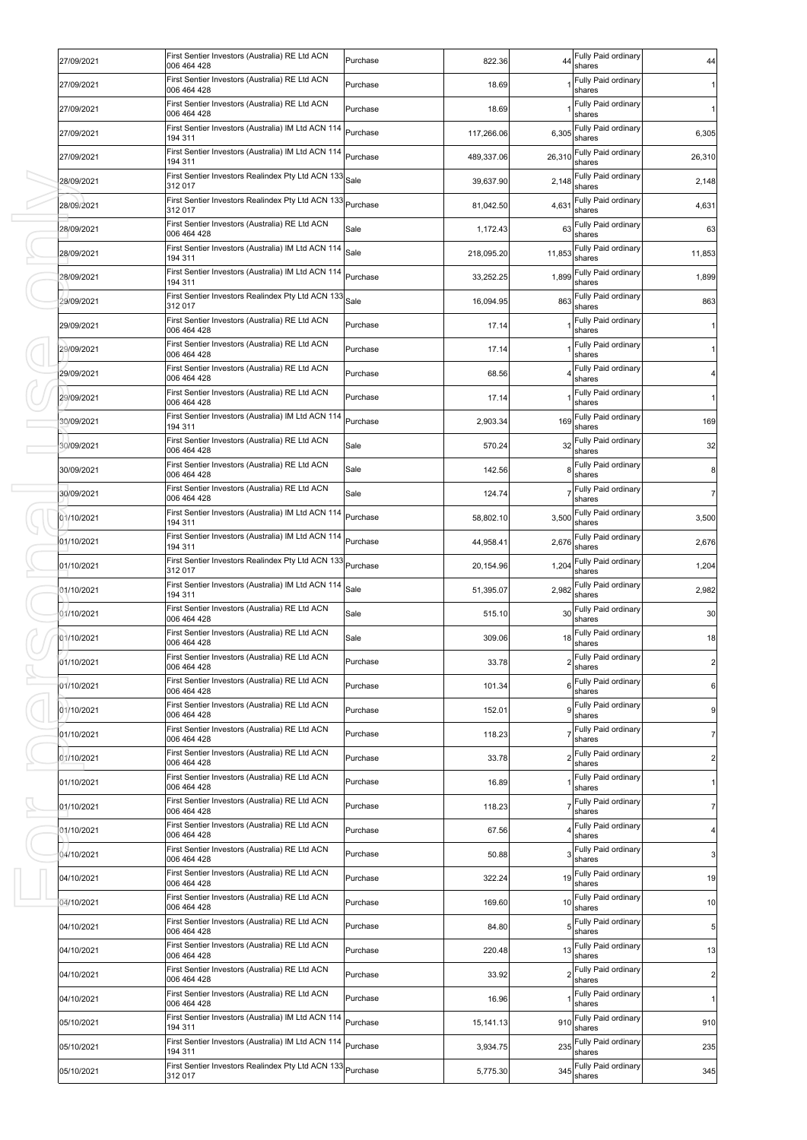| 27/09/2021 | First Sentier Investors (Australia) RE Ltd ACN<br>006 464 428                                                   | Purchase | 822.36      | 44     | Fully Paid ordinary<br>shares                        | 44             |
|------------|-----------------------------------------------------------------------------------------------------------------|----------|-------------|--------|------------------------------------------------------|----------------|
| 27/09/2021 | First Sentier Investors (Australia) RE Ltd ACN<br>006 464 428                                                   | Purchase | 18.69       |        | Fully Paid ordinary<br>shares                        | 1              |
| 27/09/2021 | First Sentier Investors (Australia) RE Ltd ACN<br>006 464 428                                                   | Purchase | 18.69       |        | Fully Paid ordinary<br>shares                        | $\mathbf{1}$   |
| 27/09/2021 | First Sentier Investors (Australia) IM Ltd ACN 114<br>194 311                                                   | Purchase | 117,266.06  | 6,305  | Fully Paid ordinary<br>shares                        | 6,305          |
| 27/09/2021 | First Sentier Investors (Australia) IM Ltd ACN 114<br>194 311                                                   | Purchase | 489,337.06  | 26,310 | Fully Paid ordinary<br>shares                        | 26,310         |
| 28/09/2021 | First Sentier Investors Realindex Pty Ltd ACN 133<br>312 017                                                    | Sale     | 39.637.90   | 2,148  | Fully Paid ordinary<br>shares                        | 2,148          |
| 28/09/2021 | First Sentier Investors Realindex Pty Ltd ACN 133<br>312 017                                                    | Purchase | 81,042.50   | 4,631  | Fully Paid ordinary<br>shares                        | 4,631          |
| 28/09/2021 | First Sentier Investors (Australia) RE Ltd ACN<br>006 464 428                                                   | Sale     | 1,172.43    | 63     | Fully Paid ordinary<br>shares                        | 63             |
| 28/09/2021 | First Sentier Investors (Australia) IM Ltd ACN 114<br>194 311                                                   | Sale     | 218,095.20  | 11,853 | Fully Paid ordinary<br>shares                        | 11,853         |
| 28/09/2021 | First Sentier Investors (Australia) IM Ltd ACN 114<br>194 311                                                   | Purchase | 33,252.25   |        | 1,899 Fully Paid ordinary<br>shares                  | 1,899          |
| 29/09/2021 | First Sentier Investors Realindex Pty Ltd ACN 133<br>312 017                                                    | Sale     | 16,094.95   | 863    | Fully Paid ordinary<br>shares                        | 863            |
| 29/09/2021 | First Sentier Investors (Australia) RE Ltd ACN<br>006 464 428                                                   | Purchase | 17.14       |        | Fully Paid ordinary<br>shares                        | 1              |
| 29/09/2021 | First Sentier Investors (Australia) RE Ltd ACN<br>006 464 428                                                   | Purchase | 17.14       |        | Fully Paid ordinary<br>shares                        | 11             |
| 29/09/2021 | First Sentier Investors (Australia) RE Ltd ACN<br>006 464 428                                                   | Purchase | 68.56       |        | Fully Paid ordinary<br>shares                        | $\overline{4}$ |
| 29/09/2021 | First Sentier Investors (Australia) RE Ltd ACN<br>006 464 428                                                   | Purchase | 17.14       |        | Fully Paid ordinary<br>shares                        | $\mathbf{1}$   |
| 30/09/2021 | First Sentier Investors (Australia) IM Ltd ACN 114<br>194 311                                                   | Purchase | 2,903.34    | 169    | Fully Paid ordinary<br>shares                        | 169            |
| 30/09/2021 | First Sentier Investors (Australia) RE Ltd ACN<br>006 464 428                                                   | Sale     | 570.24      | 32     | Fully Paid ordinary<br>shares                        | 32             |
| 30/09/2021 | First Sentier Investors (Australia) RE Ltd ACN<br>006 464 428                                                   | Sale     | 142.56      |        | Fully Paid ordinary<br>shares                        | 8              |
| 30/09/2021 | First Sentier Investors (Australia) RE Ltd ACN<br>006 464 428                                                   | Sale     | 124.74      |        | Fully Paid ordinary<br>shares                        | $\overline{7}$ |
| 01/10/2021 | First Sentier Investors (Australia) IM Ltd ACN 114<br>194 311                                                   | Purchase | 58,802.10   | 3,500  | Fully Paid ordinary<br>shares                        | 3,500          |
| 01/10/2021 | First Sentier Investors (Australia) IM Ltd ACN 114<br>194 311                                                   | Purchase | 44,958.41   | 2,676  | Fully Paid ordinary<br>shares                        | 2,676          |
| 01/10/2021 | First Sentier Investors Realindex Pty Ltd ACN 133<br>312 017                                                    | Purchase | 20,154.96   | 1,204  | Fully Paid ordinary<br>shares                        | 1,204          |
| 01/10/2021 | First Sentier Investors (Australia) IM Ltd ACN 114<br>194 311                                                   | Sale     | 51,395.07   | 2,982  | Fully Paid ordinary<br>shares                        | 2,982          |
| 01/10/2021 | First Sentier Investors (Australia) RE Ltd ACN<br>006 464 428                                                   | Sale     | 515.10      | 30     | Fully Paid ordinary<br>shares                        | 30             |
| 01/10/2021 | First Sentier Investors (Australia) RE Ltd ACN<br>006 464 428                                                   | Sale     | 309.06      | 18     | Fully Paid ordinary<br>shares                        | 18             |
| 01/10/2021 | First Sentier Investors (Australia) RE Ltd ACN<br>006 464 428                                                   | Purchase | 33.78       |        | 2 Fully Paid ordinary<br>shares                      | $\overline{2}$ |
| 01/10/2021 | First Sentier Investors (Australia) RE Ltd ACN<br>006 464 428                                                   | Purchase | 101.34      |        | Fully Paid ordinary<br>shares                        | 6              |
| 01/10/2021 | First Sentier Investors (Australia) RE Ltd ACN<br>006 464 428                                                   | Purchase | 152.01      |        | Fully Paid ordinary<br>shares                        | 9              |
| 01/10/2021 | First Sentier Investors (Australia) RE Ltd ACN<br>006 464 428                                                   | Purchase | 118.23      |        | Fully Paid ordinary<br>shares                        | $\overline{7}$ |
| 01/10/2021 | First Sentier Investors (Australia) RE Ltd ACN<br>006 464 428                                                   | Purchase | 33.78       |        | Fully Paid ordinary<br>shares                        | $2 \mid$       |
| 01/10/2021 | First Sentier Investors (Australia) RE Ltd ACN<br>006 464 428<br>First Sentier Investors (Australia) RE Ltd ACN | Purchase | 16.89       |        | Fully Paid ordinary<br>shares                        | $\mathbf{1}$   |
| 01/10/2021 | 006 464 428<br>First Sentier Investors (Australia) RE Ltd ACN                                                   | Purchase | 118.23      |        | Fully Paid ordinary<br>shares<br>Fully Paid ordinary | $\overline{7}$ |
| 01/10/2021 | 006 464 428<br>First Sentier Investors (Australia) RE Ltd ACN                                                   | Purchase | 67.56       |        | shares<br>Fully Paid ordinary                        | 4 <sub>1</sub> |
| 04/10/2021 | 006 464 428<br>First Sentier Investors (Australia) RE Ltd ACN                                                   | Purchase | 50.88       |        | shares<br>Fully Paid ordinary                        | 3 <sup>1</sup> |
| 04/10/2021 | 006 464 428<br>First Sentier Investors (Australia) RE Ltd ACN                                                   | Purchase | 322.24      | 19     | shares<br>Fully Paid ordinary                        | 19             |
| 04/10/2021 | 006 464 428<br>First Sentier Investors (Australia) RE Ltd ACN                                                   | Purchase | 169.60      | 10     | shares<br>Fully Paid ordinary                        | 10             |
| 04/10/2021 | 006 464 428<br>First Sentier Investors (Australia) RE Ltd ACN                                                   | Purchase | 84.80       |        | shares<br>Fully Paid ordinary                        | 5 <sub>1</sub> |
| 04/10/2021 | 006 464 428<br>First Sentier Investors (Australia) RE Ltd ACN                                                   | Purchase | 220.48      | 13     | shares<br>Fully Paid ordinary                        | 13             |
| 04/10/2021 | 006 464 428<br>First Sentier Investors (Australia) RE Ltd ACN                                                   | Purchase | 33.92       |        | shares<br>Fully Paid ordinary                        | $2 \mid$       |
| 04/10/2021 | 006 464 428<br>First Sentier Investors (Australia) IM Ltd ACN 114                                               | Purchase | 16.96       |        | shares<br>Fully Paid ordinary                        | $\mathbf{1}$   |
| 05/10/2021 | 194 311<br>First Sentier Investors (Australia) IM Ltd ACN 114                                                   | Purchase | 15, 141. 13 | 910    | shares<br>Fully Paid ordinary                        | 910            |
| 05/10/2021 | 194 311<br>First Sentier Investors Realindex Pty Ltd ACN 133 Purchase                                           | Purchase | 3,934.75    | 235    | shares                                               | 235            |
| 05/10/2021 | 312 017                                                                                                         |          | 5,775.30    | 345    | Fully Paid ordinary<br>shares                        | 345            |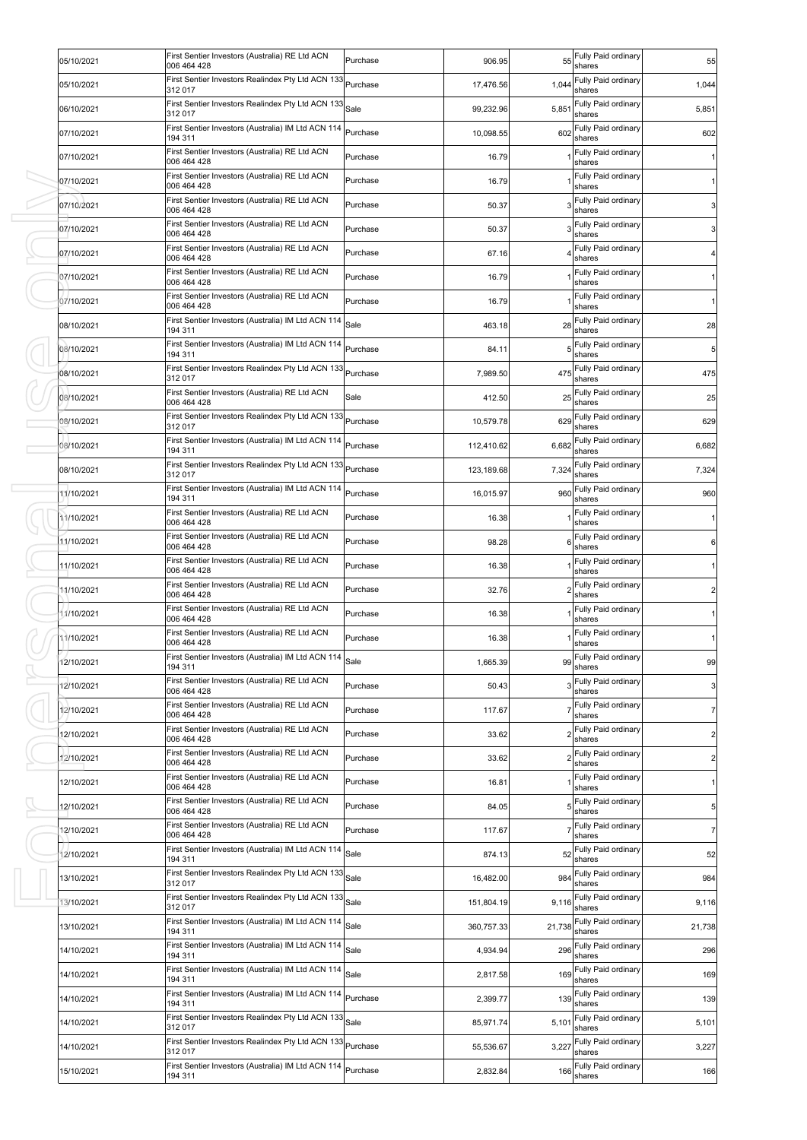| 05/10/2021 | First Sentier Investors (Australia) RE Ltd ACN<br>006 464 428 | Purchase | 906.95     | 55     | Fully Paid ordinary<br>shares    | 55             |
|------------|---------------------------------------------------------------|----------|------------|--------|----------------------------------|----------------|
| 05/10/2021 | First Sentier Investors Realindex Pty Ltd ACN 133<br>312 017  | Purchase | 17,476.56  | 1,044  | Fully Paid ordinary<br>shares    | 1,044          |
| 06/10/2021 | First Sentier Investors Realindex Pty Ltd ACN 133<br>312 017  | Sale     | 99,232.96  | 5,851  | Fully Paid ordinary<br>shares    | 5,851          |
| 07/10/2021 | First Sentier Investors (Australia) IM Ltd ACN 114<br>194 311 | Purchase | 10,098.55  | 602    | Fully Paid ordinary<br>shares    | 602            |
| 07/10/2021 | First Sentier Investors (Australia) RE Ltd ACN<br>006 464 428 | Purchase | 16.79      |        | Fully Paid ordinary<br>shares    | $\mathbf{1}$   |
| 07/10/2021 | First Sentier Investors (Australia) RE Ltd ACN<br>006 464 428 | Purchase | 16.79      |        | Fully Paid ordinary<br>shares    | 1              |
| 07/10/2021 | First Sentier Investors (Australia) RE Ltd ACN<br>006 464 428 | Purchase | 50.37      |        | Fully Paid ordinary<br>shares    | 3 <sub>l</sub> |
| 07/10/2021 | First Sentier Investors (Australia) RE Ltd ACN<br>006 464 428 | Purchase | 50.37      |        | Fully Paid ordinary<br>shares    | 3 <sub>l</sub> |
| 07/10/2021 | First Sentier Investors (Australia) RE Ltd ACN<br>006 464 428 | Purchase | 67.16      |        | Fully Paid ordinary<br>shares    | 4              |
| 07/10/2021 | First Sentier Investors (Australia) RE Ltd ACN<br>006 464 428 | Purchase | 16.79      |        | Fully Paid ordinary<br>shares    | $\mathbf{1}$   |
| 07/10/2021 | First Sentier Investors (Australia) RE Ltd ACN<br>006 464 428 | Purchase | 16.79      |        | Fully Paid ordinary<br>shares    | $\mathbf{1}$   |
| 08/10/2021 | First Sentier Investors (Australia) IM Ltd ACN 114<br>194 311 | Sale     | 463.18     | 28     | Fully Paid ordinary<br>shares    | 28             |
| 08/10/2021 | First Sentier Investors (Australia) IM Ltd ACN 114<br>194 311 | Purchase | 84.11      |        | Fully Paid ordinary<br>shares    | 5              |
| 08/10/2021 | First Sentier Investors Realindex Pty Ltd ACN 133<br>312 017  | Purchase | 7,989.50   | 475    | Fully Paid ordinary<br>shares    | 475            |
| 08/10/2021 | First Sentier Investors (Australia) RE Ltd ACN<br>006 464 428 | Sale     | 412.50     | 25     | Fully Paid ordinary<br>shares    | 25             |
| 08/10/2021 | First Sentier Investors Realindex Pty Ltd ACN 133<br>312 017  | Purchase | 10,579.78  | 629    | Fully Paid ordinary<br>shares    | 629            |
| 08/10/2021 | First Sentier Investors (Australia) IM Ltd ACN 114<br>194 311 | Purchase | 112,410.62 | 6,682  | Fully Paid ordinary<br>shares    | 6,682          |
| 08/10/2021 | First Sentier Investors Realindex Pty Ltd ACN 133<br>312 017  | Purchase | 123,189.68 | 7,324  | Fully Paid ordinary<br>shares    | 7,324          |
| 11/10/2021 | First Sentier Investors (Australia) IM Ltd ACN 114<br>194 311 | Purchase | 16,015.97  | 960    | Fully Paid ordinary<br>shares    | 960            |
| 11/10/2021 | First Sentier Investors (Australia) RE Ltd ACN<br>006 464 428 | Purchase | 16.38      |        | Fully Paid ordinary<br>shares    | $\mathbf{1}$   |
| 11/10/2021 | First Sentier Investors (Australia) RE Ltd ACN<br>006 464 428 | Purchase | 98.28      | 6      | Fully Paid ordinary<br>shares    | 6              |
| 11/10/2021 | First Sentier Investors (Australia) RE Ltd ACN<br>006 464 428 | Purchase | 16.38      |        | Fully Paid ordinary<br>shares    | $\mathbf{1}$   |
| 11/10/2021 | First Sentier Investors (Australia) RE Ltd ACN<br>006 464 428 | Purchase | 32.76      |        | Fully Paid ordinary<br>shares    | $\overline{c}$ |
| 11/10/2021 | First Sentier Investors (Australia) RE Ltd ACN<br>006 464 428 | Purchase | 16.38      |        | Fully Paid ordinary<br>shares    | $\mathbf{1}$   |
| 11/10/2021 | First Sentier Investors (Australia) RE Ltd ACN<br>006 464 428 | Purchase | 16.38      |        | Fully Paid ordinary<br>shares    | 1              |
| 12/10/2021 | First Sentier Investors (Australia) IM Ltd ACN 114<br>194 311 | Sale     | 1,665.39   |        | 99 Fully Paid ordinary<br>shares | 99             |
| 12/10/2021 | First Sentier Investors (Australia) RE Ltd ACN<br>006 464 428 | Purchase | 50.43      |        | Fully Paid ordinary<br>shares    | 3 <sub>l</sub> |
| 12/10/2021 | First Sentier Investors (Australia) RE Ltd ACN<br>006 464 428 | Purchase | 117.67     |        | Fully Paid ordinary<br>shares    | $\overline{7}$ |
| 12/10/2021 | First Sentier Investors (Australia) RE Ltd ACN<br>006 464 428 | Purchase | 33.62      |        | Fully Paid ordinary<br>shares    | $2 \mid$       |
| 12/10/2021 | First Sentier Investors (Australia) RE Ltd ACN<br>006 464 428 | Purchase | 33.62      |        | Fully Paid ordinary<br>shares    | $\overline{2}$ |
| 12/10/2021 | First Sentier Investors (Australia) RE Ltd ACN<br>006 464 428 | Purchase | 16.81      |        | Fully Paid ordinary<br>shares    | $\vert$ 1      |
| 12/10/2021 | First Sentier Investors (Australia) RE Ltd ACN<br>006 464 428 | Purchase | 84.05      |        | Fully Paid ordinary<br>shares    | 5 <sub>l</sub> |
| 12/10/2021 | First Sentier Investors (Australia) RE Ltd ACN<br>006 464 428 | Purchase | 117.67     |        | Fully Paid ordinary<br>shares    | $\overline{7}$ |
| 12/10/2021 | First Sentier Investors (Australia) IM Ltd ACN 114<br>194 311 | Sale     | 874.13     | 52     | Fully Paid ordinary<br>shares    | 52             |
| 13/10/2021 | First Sentier Investors Realindex Pty Ltd ACN 133<br>312 017  | Sale     | 16,482.00  | 984    | Fully Paid ordinary<br>shares    | 984            |
| 13/10/2021 | First Sentier Investors Realindex Pty Ltd ACN 133<br>312 017  | Sale     | 151,804.19 | 9,116  | Fully Paid ordinary<br>shares    | 9,116          |
| 13/10/2021 | First Sentier Investors (Australia) IM Ltd ACN 114<br>194 311 | Sale     | 360,757.33 | 21,738 | Fully Paid ordinary<br>shares    | 21,738         |
| 14/10/2021 | First Sentier Investors (Australia) IM Ltd ACN 114<br>194 311 | Sale     | 4,934.94   | 296    | Fully Paid ordinary<br>shares    | 296            |
| 14/10/2021 | First Sentier Investors (Australia) IM Ltd ACN 114<br>194 311 | Sale     | 2,817.58   | 169    | Fully Paid ordinary<br>shares    | 169            |
| 14/10/2021 | First Sentier Investors (Australia) IM Ltd ACN 114<br>194 311 | Purchase | 2,399.77   | 139    | Fully Paid ordinary<br>shares    | 139            |
| 14/10/2021 | First Sentier Investors Realindex Pty Ltd ACN 133<br>312 017  | Sale     | 85,971.74  | 5,101  | Fully Paid ordinary<br>shares    | 5,101          |
| 14/10/2021 | First Sentier Investors Realindex Pty Ltd ACN 133<br>312 017  | Purchase | 55,536.67  | 3,227  | Fully Paid ordinary<br>shares    | 3,227          |
| 15/10/2021 | First Sentier Investors (Australia) IM Ltd ACN 114<br>194 311 | Purchase | 2,832.84   | 166    | Fully Paid ordinary<br>shares    | 166            |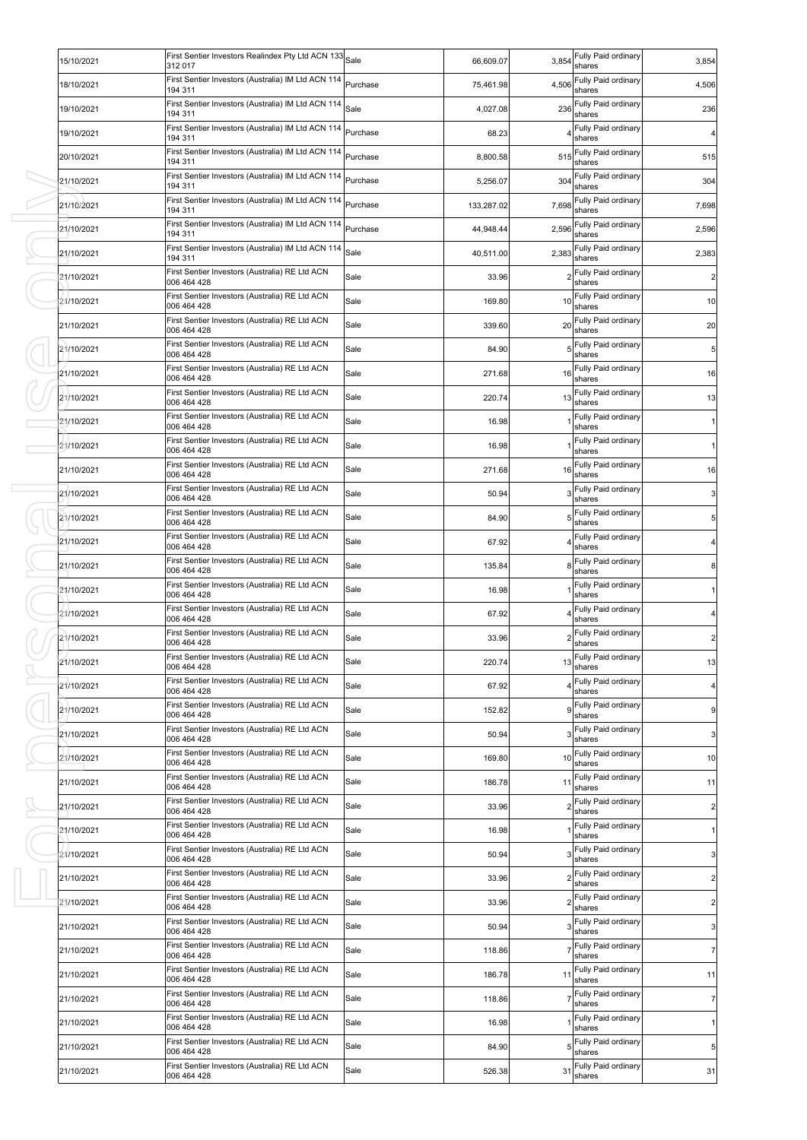| 15/10/2021 | First Sentier Investors Realindex Pty Ltd ACN 133 Sale<br>312 017 |          | 66,609.07  | 3,854          | Fully Paid ordinary<br>shares    | 3,854                   |
|------------|-------------------------------------------------------------------|----------|------------|----------------|----------------------------------|-------------------------|
| 18/10/2021 | First Sentier Investors (Australia) IM Ltd ACN 114<br>194 311     | Purchase | 75,461.98  | 4,506          | Fully Paid ordinary<br>shares    | 4,506                   |
| 19/10/2021 | First Sentier Investors (Australia) IM Ltd ACN 114<br>194 311     | Sale     | 4,027.08   | 236            | Fully Paid ordinary<br>shares    | 236                     |
| 19/10/2021 | First Sentier Investors (Australia) IM Ltd ACN 114<br>194 311     | Purchase | 68.23      |                | Fully Paid ordinary<br>shares    | 4                       |
| 20/10/2021 | First Sentier Investors (Australia) IM Ltd ACN 114<br>194 311     | Purchase | 8,800.58   | 515            | Fully Paid ordinary<br>shares    | 515                     |
| 21/10/2021 | First Sentier Investors (Australia) IM Ltd ACN 114<br>194 311     | Purchase | 5,256.07   | 304            | Fully Paid ordinary<br>shares    | 304                     |
| 21/10/2021 | First Sentier Investors (Australia) IM Ltd ACN 114<br>194 311     | Purchase | 133,287.02 | 7,698          | Fully Paid ordinary<br>shares    | 7,698                   |
| 21/10/2021 | First Sentier Investors (Australia) IM Ltd ACN 114<br>194 311     | Purchase | 44,948.44  | 2,596          | Fully Paid ordinary<br>shares    | 2,596                   |
| 21/10/2021 | First Sentier Investors (Australia) IM Ltd ACN 114<br>194 311     | Sale     | 40,511.00  | 2,383          | Fully Paid ordinary<br>shares    | 2,383                   |
| 21/10/2021 | First Sentier Investors (Australia) RE Ltd ACN<br>006 464 428     | Sale     | 33.96      | $\overline{2}$ | Fully Paid ordinary<br>shares    | $\overline{2}$          |
| 21/10/2021 | First Sentier Investors (Australia) RE Ltd ACN<br>006 464 428     | Sale     | 169.80     | 10             | Fully Paid ordinary<br>shares    | 10                      |
| 21/10/2021 | First Sentier Investors (Australia) RE Ltd ACN<br>006 464 428     | Sale     | 339.60     | 20             | Fully Paid ordinary<br>shares    | 20                      |
| 21/10/2021 | First Sentier Investors (Australia) RE Ltd ACN<br>006 464 428     | Sale     | 84.90      | 5              | Fully Paid ordinary<br>shares    | 5                       |
| 21/10/2021 | First Sentier Investors (Australia) RE Ltd ACN<br>006 464 428     | Sale     | 271.68     | 16             | Fully Paid ordinary<br>shares    | 16                      |
| 21/10/2021 | First Sentier Investors (Australia) RE Ltd ACN<br>006 464 428     | Sale     | 220.74     | 13             | Fully Paid ordinary<br>shares    | 13                      |
| 21/10/2021 | First Sentier Investors (Australia) RE Ltd ACN<br>006 464 428     | Sale     | 16.98      |                | Fully Paid ordinary<br>shares    |                         |
| 21/10/2021 | First Sentier Investors (Australia) RE Ltd ACN<br>006 464 428     | Sale     | 16.98      |                | Fully Paid ordinary<br>shares    |                         |
| 21/10/2021 | First Sentier Investors (Australia) RE Ltd ACN<br>006 464 428     | Sale     | 271.68     | 16             | Fully Paid ordinary<br>shares    | 16                      |
| 21/10/2021 | First Sentier Investors (Australia) RE Ltd ACN<br>006 464 428     | Sale     | 50.94      |                | Fully Paid ordinary<br>shares    | 3                       |
| 21/10/2021 | First Sentier Investors (Australia) RE Ltd ACN<br>006 464 428     | Sale     | 84.90      |                | Fully Paid ordinary<br>shares    | 5                       |
| 21/10/2021 | First Sentier Investors (Australia) RE Ltd ACN<br>006 464 428     | Sale     | 67.92      |                | Fully Paid ordinary<br>shares    |                         |
| 21/10/2021 | First Sentier Investors (Australia) RE Ltd ACN<br>006 464 428     | Sale     | 135.84     |                | Fully Paid ordinary<br>shares    | 8                       |
| 21/10/2021 | First Sentier Investors (Australia) RE Ltd ACN<br>006 464 428     | Sale     | 16.98      |                | Fully Paid ordinary<br>shares    |                         |
| 21/10/2021 | First Sentier Investors (Australia) RE Ltd ACN<br>006 464 428     | Sale     | 67.92      |                | Fully Paid ordinary<br>shares    |                         |
| 21/10/2021 | First Sentier Investors (Australia) RE Ltd ACN<br>006 464 428     | Sale     | 33.96      |                | Fully Paid ordinary<br>shares    | $\overline{\mathbf{c}}$ |
| 21/10/2021 | First Sentier Investors (Australia) RE Ltd ACN<br>006 464 428     | Sale     | 220.74     |                | 13 Fully Paid ordinary<br>shares | 13                      |
| 21/10/2021 | First Sentier Investors (Australia) RE Ltd ACN<br>006 464 428     | Sale     | 67.92      |                | Fully Paid ordinary<br>shares    | $\overline{\mathbf{4}}$ |
| 21/10/2021 | First Sentier Investors (Australia) RE Ltd ACN<br>006 464 428     | Sale     | 152.82     |                | Fully Paid ordinary<br>shares    | 9                       |
| 21/10/2021 | First Sentier Investors (Australia) RE Ltd ACN<br>006 464 428     | Sale     | 50.94      |                | Fully Paid ordinary<br>shares    | $\mathbf{3}$            |
| 21/10/2021 | First Sentier Investors (Australia) RE Ltd ACN<br>006 464 428     | Sale     | 169.80     | 10             | Fully Paid ordinary<br>shares    | 10                      |
| 21/10/2021 | First Sentier Investors (Australia) RE Ltd ACN<br>006 464 428     | Sale     | 186.78     | 11             | Fully Paid ordinary<br>shares    | 11                      |
| 21/10/2021 | First Sentier Investors (Australia) RE Ltd ACN<br>006 464 428     | Sale     | 33.96      | $\mathfrak{p}$ | Fully Paid ordinary<br>shares    | $\overline{2}$          |
| 21/10/2021 | First Sentier Investors (Australia) RE Ltd ACN<br>006 464 428     | Sale     | 16.98      |                | Fully Paid ordinary<br>shares    | 1                       |
| 21/10/2021 | First Sentier Investors (Australia) RE Ltd ACN<br>006 464 428     | Sale     | 50.94      |                | Fully Paid ordinary<br>shares    | 3                       |
| 21/10/2021 | First Sentier Investors (Australia) RE Ltd ACN<br>006 464 428     | Sale     | 33.96      | $\overline{2}$ | Fully Paid ordinary<br>shares    | $\overline{2}$          |
| 21/10/2021 | First Sentier Investors (Australia) RE Ltd ACN<br>006 464 428     | Sale     | 33.96      | $\overline{c}$ | Fully Paid ordinary<br>shares    | $\overline{c}$          |
| 21/10/2021 | First Sentier Investors (Australia) RE Ltd ACN<br>006 464 428     | Sale     | 50.94      |                | Fully Paid ordinary<br>shares    | $\mathbf{3}$            |
| 21/10/2021 | First Sentier Investors (Australia) RE Ltd ACN<br>006 464 428     | Sale     | 118.86     |                | Fully Paid ordinary<br>shares    | 7                       |
| 21/10/2021 | First Sentier Investors (Australia) RE Ltd ACN<br>006 464 428     | Sale     | 186.78     | 11             | Fully Paid ordinary<br>shares    | 11                      |
| 21/10/2021 | First Sentier Investors (Australia) RE Ltd ACN<br>006 464 428     | Sale     | 118.86     |                | Fully Paid ordinary<br>shares    | 7                       |
| 21/10/2021 | First Sentier Investors (Australia) RE Ltd ACN<br>006 464 428     | Sale     | 16.98      |                | Fully Paid ordinary<br>shares    | 1                       |
| 21/10/2021 | First Sentier Investors (Australia) RE Ltd ACN<br>006 464 428     | Sale     | 84.90      | 5              | Fully Paid ordinary<br>shares    | 5                       |
| 21/10/2021 | First Sentier Investors (Australia) RE Ltd ACN<br>006 464 428     | Sale     | 526.38     | 31             | Fully Paid ordinary<br>shares    | 31                      |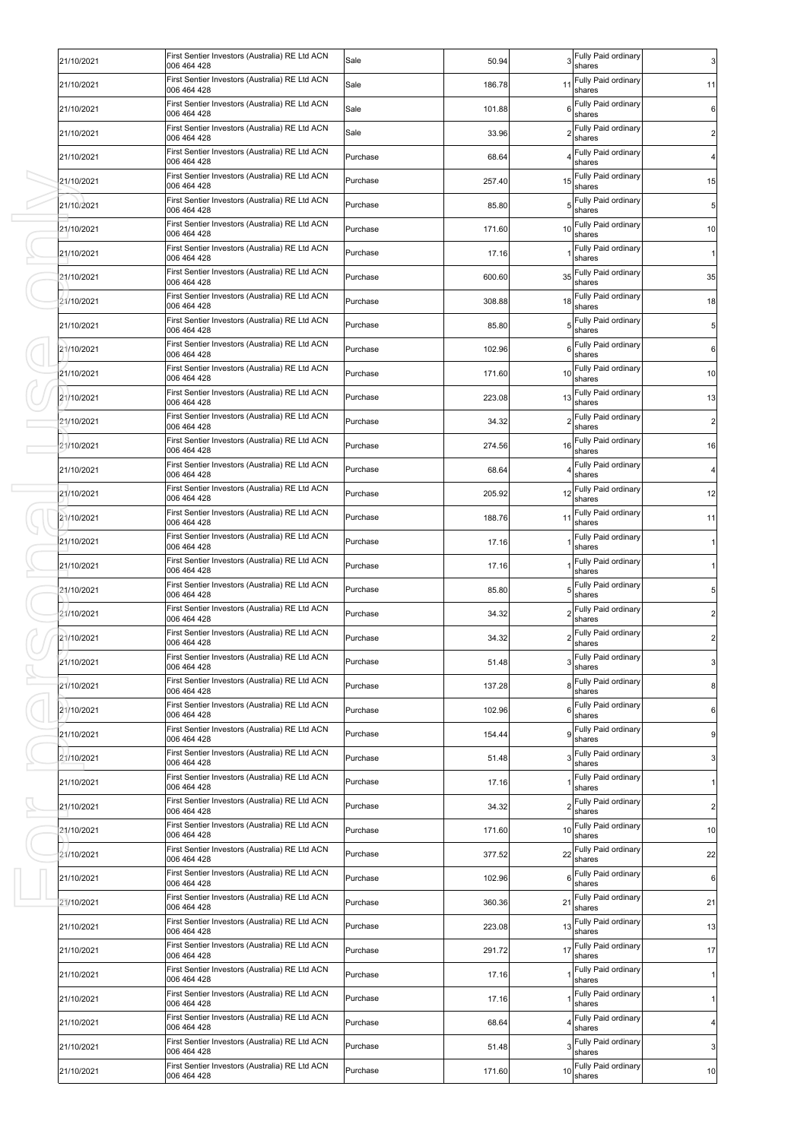| 21/10/2021 | First Sentier Investors (Australia) RE Ltd ACN<br>006 464 428 | Sale     | 50.94  |    | Fully Paid ordinary<br>shares   | $\mathbf{3}$            |
|------------|---------------------------------------------------------------|----------|--------|----|---------------------------------|-------------------------|
| 21/10/2021 | First Sentier Investors (Australia) RE Ltd ACN<br>006 464 428 | Sale     | 186.78 | 11 | Fully Paid ordinary<br>shares   | 11                      |
| 21/10/2021 | First Sentier Investors (Australia) RE Ltd ACN<br>006 464 428 | Sale     | 101.88 |    | Fully Paid ordinary<br>shares   | $\,6$                   |
| 21/10/2021 | First Sentier Investors (Australia) RE Ltd ACN<br>006 464 428 | Sale     | 33.96  |    | Fully Paid ordinary<br>shares   | $\overline{c}$          |
| 21/10/2021 | First Sentier Investors (Australia) RE Ltd ACN<br>006 464 428 | Purchase | 68.64  |    | Fully Paid ordinary<br>shares   | 4                       |
| 21/10/2021 | First Sentier Investors (Australia) RE Ltd ACN<br>006 464 428 | Purchase | 257.40 | 15 | Fully Paid ordinary<br>shares   | 15                      |
| 21/10/2021 | First Sentier Investors (Australia) RE Ltd ACN<br>006 464 428 | Purchase | 85.80  |    | Fully Paid ordinary<br>shares   | 5                       |
| 21/10/2021 | First Sentier Investors (Australia) RE Ltd ACN<br>006 464 428 | Purchase | 171.60 | 10 | Fully Paid ordinary<br>shares   | 10                      |
| 21/10/2021 | First Sentier Investors (Australia) RE Ltd ACN<br>006 464 428 | Purchase | 17.16  |    | Fully Paid ordinary<br>shares   | $\mathbf{1}$            |
| 21/10/2021 | First Sentier Investors (Australia) RE Ltd ACN<br>006 464 428 | Purchase | 600.60 | 35 | Fully Paid ordinary<br>shares   | 35                      |
| 21/10/2021 | First Sentier Investors (Australia) RE Ltd ACN<br>006 464 428 | Purchase | 308.88 | 18 | Fully Paid ordinary<br>shares   | 18                      |
| 21/10/2021 | First Sentier Investors (Australia) RE Ltd ACN<br>006 464 428 | Purchase | 85.80  |    | Fully Paid ordinary<br>shares   | 5                       |
| 21/10/2021 | First Sentier Investors (Australia) RE Ltd ACN<br>006 464 428 | Purchase | 102.96 |    | Fully Paid ordinary<br>shares   | 6                       |
| 21/10/2021 | First Sentier Investors (Australia) RE Ltd ACN<br>006 464 428 | Purchase | 171.60 | 10 | Fully Paid ordinary<br>shares   | 10                      |
| 21/10/2021 | First Sentier Investors (Australia) RE Ltd ACN<br>006 464 428 | Purchase | 223.08 | 13 | Fully Paid ordinary<br>shares   | 13                      |
| 21/10/2021 | First Sentier Investors (Australia) RE Ltd ACN<br>006 464 428 | Purchase | 34.32  |    | Fully Paid ordinary<br>shares   | $\overline{\mathbf{c}}$ |
| 21/10/2021 | First Sentier Investors (Australia) RE Ltd ACN<br>006 464 428 | Purchase | 274.56 | 16 | Fully Paid ordinary<br>shares   | 16                      |
| 21/10/2021 | First Sentier Investors (Australia) RE Ltd ACN<br>006 464 428 | Purchase | 68.64  |    | Fully Paid ordinary<br>shares   | 4                       |
| 21/10/2021 | First Sentier Investors (Australia) RE Ltd ACN<br>006 464 428 | Purchase | 205.92 | 12 | Fully Paid ordinary<br>shares   | 12                      |
| 21/10/2021 | First Sentier Investors (Australia) RE Ltd ACN<br>006 464 428 | Purchase | 188.76 | 11 | Fully Paid ordinary<br>shares   | 11                      |
| 21/10/2021 | First Sentier Investors (Australia) RE Ltd ACN<br>006 464 428 | Purchase | 17.16  |    | Fully Paid ordinary<br>shares   |                         |
| 21/10/2021 | First Sentier Investors (Australia) RE Ltd ACN<br>006 464 428 | Purchase | 17.16  |    | Fully Paid ordinary<br>shares   |                         |
| 21/10/2021 | First Sentier Investors (Australia) RE Ltd ACN<br>006 464 428 | Purchase | 85.80  |    | Fully Paid ordinary<br>shares   | 5                       |
| 21/10/2021 | First Sentier Investors (Australia) RE Ltd ACN<br>006 464 428 | Purchase | 34.32  |    | Fully Paid ordinary<br>shares   | 2                       |
| 21/10/2021 | First Sentier Investors (Australia) RE Ltd ACN<br>006 464 428 | Purchase | 34.32  |    | Fully Paid ordinary<br>shares   | $\overline{2}$          |
| 21/10/2021 | First Sentier Investors (Australia) RE Ltd ACN<br>006 464 428 | Purchase | 51.48  |    | 3 Fully Paid ordinary<br>shares | $\mathbf{3}$            |
| 21/10/2021 | First Sentier Investors (Australia) RE Ltd ACN<br>006 464 428 | Purchase | 137.28 | 8  | Fully Paid ordinary<br>shares   | 8                       |
| 21/10/2021 | First Sentier Investors (Australia) RE Ltd ACN<br>006 464 428 | Purchase | 102.96 |    | Fully Paid ordinary<br>shares   | $\,6$                   |
| 21/10/2021 | First Sentier Investors (Australia) RE Ltd ACN<br>006 464 428 | Purchase | 154.44 |    | Fully Paid ordinary<br>shares   | 9                       |
| 21/10/2021 | First Sentier Investors (Australia) RE Ltd ACN<br>006 464 428 | Purchase | 51.48  |    | Fully Paid ordinary<br>shares   | $\mathbf{3}$            |
| 21/10/2021 | First Sentier Investors (Australia) RE Ltd ACN<br>006 464 428 | Purchase | 17.16  |    | Fully Paid ordinary<br>shares   | 1                       |
| 21/10/2021 | First Sentier Investors (Australia) RE Ltd ACN<br>006 464 428 | Purchase | 34.32  |    | Fully Paid ordinary<br>shares   | $\overline{2}$          |
| 21/10/2021 | First Sentier Investors (Australia) RE Ltd ACN<br>006 464 428 | Purchase | 171.60 | 10 | Fully Paid ordinary<br>shares   | 10                      |
| 21/10/2021 | First Sentier Investors (Australia) RE Ltd ACN<br>006 464 428 | Purchase | 377.52 | 22 | Fully Paid ordinary<br>shares   | 22                      |
| 21/10/2021 | First Sentier Investors (Australia) RE Ltd ACN<br>006 464 428 | Purchase | 102.96 | 6  | Fully Paid ordinary<br>shares   | 6                       |
| 21/10/2021 | First Sentier Investors (Australia) RE Ltd ACN<br>006 464 428 | Purchase | 360.36 | 21 | Fully Paid ordinary<br>shares   | 21                      |
| 21/10/2021 | First Sentier Investors (Australia) RE Ltd ACN<br>006 464 428 | Purchase | 223.08 | 13 | Fully Paid ordinary<br>shares   | 13                      |
| 21/10/2021 | First Sentier Investors (Australia) RE Ltd ACN<br>006 464 428 | Purchase | 291.72 | 17 | Fully Paid ordinary<br>shares   | 17                      |
| 21/10/2021 | First Sentier Investors (Australia) RE Ltd ACN<br>006 464 428 | Purchase | 17.16  |    | Fully Paid ordinary<br>shares   | $\mathbf{1}$            |
| 21/10/2021 | First Sentier Investors (Australia) RE Ltd ACN<br>006 464 428 | Purchase | 17.16  |    | Fully Paid ordinary<br>shares   | 1                       |
| 21/10/2021 | First Sentier Investors (Australia) RE Ltd ACN<br>006 464 428 | Purchase | 68.64  |    | Fully Paid ordinary<br>shares   | 4                       |
| 21/10/2021 | First Sentier Investors (Australia) RE Ltd ACN<br>006 464 428 | Purchase | 51.48  |    | Fully Paid ordinary<br>shares   | 3                       |
| 21/10/2021 | First Sentier Investors (Australia) RE Ltd ACN<br>006 464 428 | Purchase | 171.60 | 10 | Fully Paid ordinary<br>shares   | 10                      |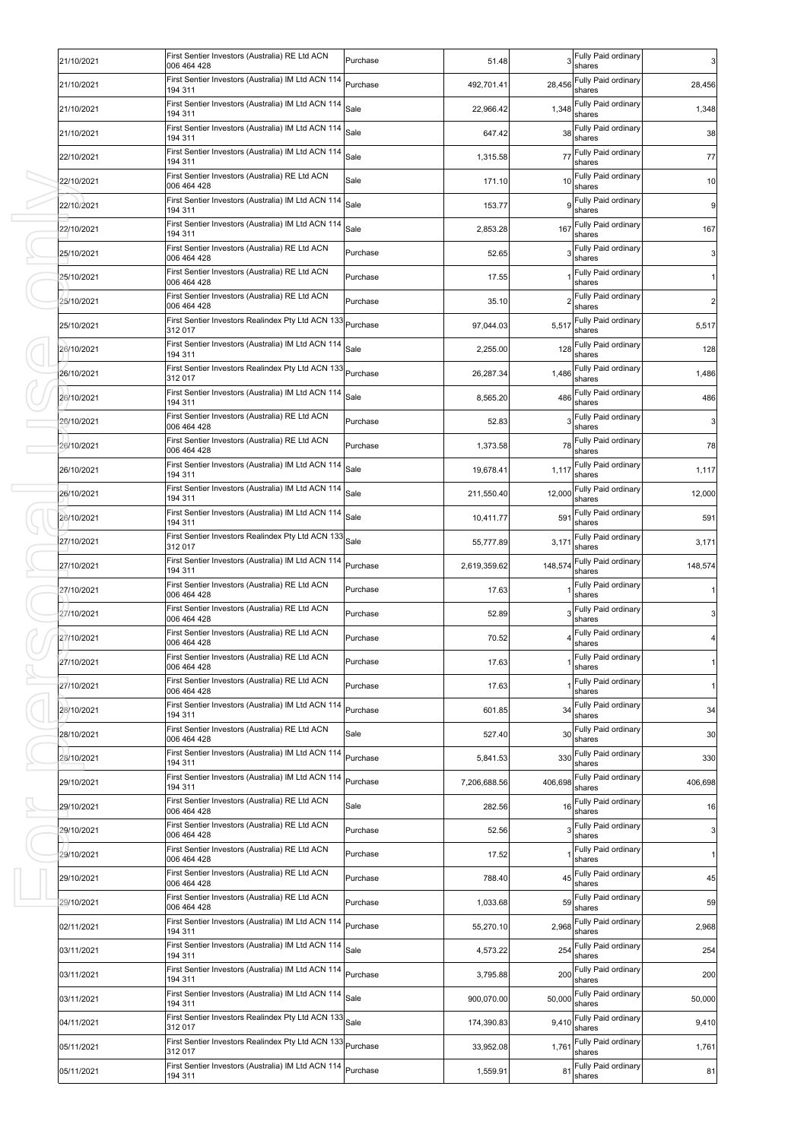| 21/10/2021 | First Sentier Investors (Australia) RE Ltd ACN<br>006 464 428          | Purchase | 51.48        |         | Fully Paid ordinary<br>shares   | 3 <sup>1</sup> |
|------------|------------------------------------------------------------------------|----------|--------------|---------|---------------------------------|----------------|
| 21/10/2021 | First Sentier Investors (Australia) IM Ltd ACN 114<br>194 311          | Purchase | 492,701.41   | 28,456  | Fully Paid ordinary<br>shares   | 28,456         |
| 21/10/2021 | First Sentier Investors (Australia) IM Ltd ACN 114<br>194 311          | Sale     | 22,966.42    | 1,348   | Fully Paid ordinary<br>shares   | 1,348          |
| 21/10/2021 | First Sentier Investors (Australia) IM Ltd ACN 114<br>194 311          | Sale     | 647.42       | 38      | Fully Paid ordinary<br>shares   | 38             |
| 22/10/2021 | First Sentier Investors (Australia) IM Ltd ACN 114<br>194 311          | Sale     | 1,315.58     | 77      | Fully Paid ordinary<br>shares   | 77             |
| 22/10/2021 | First Sentier Investors (Australia) RE Ltd ACN<br>006 464 428          | Sale     | 171.10       | 10      | Fully Paid ordinary<br>shares   | 10             |
| 22/10/2021 | First Sentier Investors (Australia) IM Ltd ACN 114<br>194 311          | Sale     | 153.77       |         | Fully Paid ordinary<br>shares   | 9              |
| 22/10/2021 | First Sentier Investors (Australia) IM Ltd ACN 114<br>194 311          | Sale     | 2,853.28     | 167     | Fully Paid ordinary<br>shares   | 167            |
| 25/10/2021 | First Sentier Investors (Australia) RE Ltd ACN<br>006 464 428          | Purchase | 52.65        |         | Fully Paid ordinary<br>shares   | 3 <sub>l</sub> |
| 25/10/2021 | First Sentier Investors (Australia) RE Ltd ACN<br>006 464 428          | Purchase | 17.55        |         | Fully Paid ordinary<br>shares   | 1              |
| 25/10/2021 | First Sentier Investors (Australia) RE Ltd ACN<br>006 464 428          | Purchase | 35.10        |         | Fully Paid ordinary<br>shares   | $\overline{2}$ |
| 25/10/2021 | First Sentier Investors Realindex Pty Ltd ACN 133<br>312 017           | Purchase | 97,044.03    | 5,517   | Fully Paid ordinary<br>shares   | 5,517          |
| 26/10/2021 | First Sentier Investors (Australia) IM Ltd ACN 114<br>194 311          | Sale     | 2,255.00     | 128     | Fully Paid ordinary<br>shares   | 128            |
| 26/10/2021 | First Sentier Investors Realindex Pty Ltd ACN 133<br>312 017           | Purchase | 26,287.34    | 1,486   | Fully Paid ordinary<br>shares   | 1,486          |
| 26/10/2021 | First Sentier Investors (Australia) IM Ltd ACN 114<br>194 311          | Sale     | 8,565.20     | 486     | Fully Paid ordinary<br>shares   | 486            |
| 26/10/2021 | First Sentier Investors (Australia) RE Ltd ACN<br>006 464 428          | Purchase | 52.83        |         | Fully Paid ordinary<br>shares   | 3              |
| 26/10/2021 | First Sentier Investors (Australia) RE Ltd ACN<br>006 464 428          | Purchase | 1,373.58     | 78      | Fully Paid ordinary<br>shares   | 78             |
| 26/10/2021 | First Sentier Investors (Australia) IM Ltd ACN 114<br>194 311          | Sale     | 19,678.41    | 1,117   | Fully Paid ordinary<br>shares   | 1,117          |
| 26/10/2021 | First Sentier Investors (Australia) IM Ltd ACN 114<br>194 311          | Sale     | 211,550.40   | 12,000  | Fully Paid ordinary<br>shares   | 12,000         |
| 26/10/2021 | First Sentier Investors (Australia) IM Ltd ACN 114<br>194 311          | Sale     | 10,411.77    | 591     | Fully Paid ordinary<br>shares   | 591            |
| 27/10/2021 | First Sentier Investors Realindex Pty Ltd ACN 133<br>312 017           | Sale     | 55,777.89    | 3,171   | Fully Paid ordinary<br>shares   | 3,171          |
| 27/10/2021 | First Sentier Investors (Australia) IM Ltd ACN 114<br>194 311          | Purchase | 2,619,359.62 | 148,574 | Fully Paid ordinary<br>shares   | 148,574        |
| 27/10/2021 | First Sentier Investors (Australia) RE Ltd ACN<br>006 464 428          | Purchase | 17.63        |         | Fully Paid ordinary<br>shares   | 1              |
| 27/10/2021 | First Sentier Investors (Australia) RE Ltd ACN<br>006 464 428          | Purchase | 52.89        |         | Fully Paid ordinary<br>shares   | 3              |
| 27/10/2021 | First Sentier Investors (Australia) RE Ltd ACN<br>006 464 428          | Purchase | 70.52        |         | Fully Paid ordinary<br>shares   | 4              |
| 27/10/2021 | First Sentier Investors (Australia) RE Ltd ACN<br>006 464 428          | Purchase | 17.63        |         | 1 Fully Paid ordinary<br>shares | 1              |
| 27/10/2021 | First Sentier Investors (Australia) RE Ltd ACN<br>006 464 428          | Purchase | 17.63        |         | Fully Paid ordinary<br>shares   | 1              |
| 28/10/2021 | First Sentier Investors (Australia) IM Ltd ACN 114<br>194 311          | Purchase | 601.85       | 34      | Fully Paid ordinary<br>shares   | 34             |
| 28/10/2021 | First Sentier Investors (Australia) RE Ltd ACN<br>006 464 428          | Sale     | 527.40       | 30      | Fully Paid ordinary<br>shares   | 30             |
| 28/10/2021 | First Sentier Investors (Australia) IM Ltd ACN 114<br>194 311          | Purchase | 5,841.53     | 330     | Fully Paid ordinary<br>shares   | 330            |
| 29/10/2021 | First Sentier Investors (Australia) IM Ltd ACN 114<br>194 311          | Purchase | 7,206,688.56 | 406,698 | Fully Paid ordinary<br>shares   | 406,698        |
| 29/10/2021 | First Sentier Investors (Australia) RE Ltd ACN<br>006 464 428          | Sale     | 282.56       | 16      | Fully Paid ordinary<br>shares   | 16             |
| 29/10/2021 | First Sentier Investors (Australia) RE Ltd ACN<br>006 464 428          | Purchase | 52.56        |         | Fully Paid ordinary<br>shares   | 3 <sub>l</sub> |
| 29/10/2021 | First Sentier Investors (Australia) RE Ltd ACN<br>006 464 428          | Purchase | 17.52        |         | Fully Paid ordinary<br>shares   | 1              |
| 29/10/2021 | First Sentier Investors (Australia) RE Ltd ACN<br>006 464 428          | Purchase | 788.40       | 45      | Fully Paid ordinary<br>shares   | 45             |
| 29/10/2021 | First Sentier Investors (Australia) RE Ltd ACN<br>006 464 428          | Purchase | 1,033.68     | 59      | Fully Paid ordinary<br>shares   | 59             |
| 02/11/2021 | First Sentier Investors (Australia) IM Ltd ACN 114<br>194 311          | Purchase | 55,270.10    | 2,968   | Fully Paid ordinary<br>shares   | 2,968          |
| 03/11/2021 | First Sentier Investors (Australia) IM Ltd ACN 114<br>194 311          | Sale     | 4,573.22     | 254     | Fully Paid ordinary<br>shares   | 254            |
| 03/11/2021 | First Sentier Investors (Australia) IM Ltd ACN 114<br>194 311          | Purchase | 3,795.88     | 200     | Fully Paid ordinary<br>shares   | 200            |
| 03/11/2021 | First Sentier Investors (Australia) IM Ltd ACN 114<br>194 311          | Sale     | 900,070.00   | 50,000  | Fully Paid ordinary<br>shares   | 50,000         |
| 04/11/2021 | First Sentier Investors Realindex Pty Ltd ACN 133<br>312 017           | Sale     | 174,390.83   | 9,410   | Fully Paid ordinary<br>shares   | 9,410          |
| 05/11/2021 | First Sentier Investors Realindex Pty Ltd ACN 133<br>312 017           | Purchase | 33,952.08    | 1,761   | Fully Paid ordinary<br>shares   | 1,761          |
| 05/11/2021 | First Sentier Investors (Australia) IM Ltd ACN 114 Purchase<br>194 311 |          | 1,559.91     | 81      | Fully Paid ordinary<br>shares   | 81             |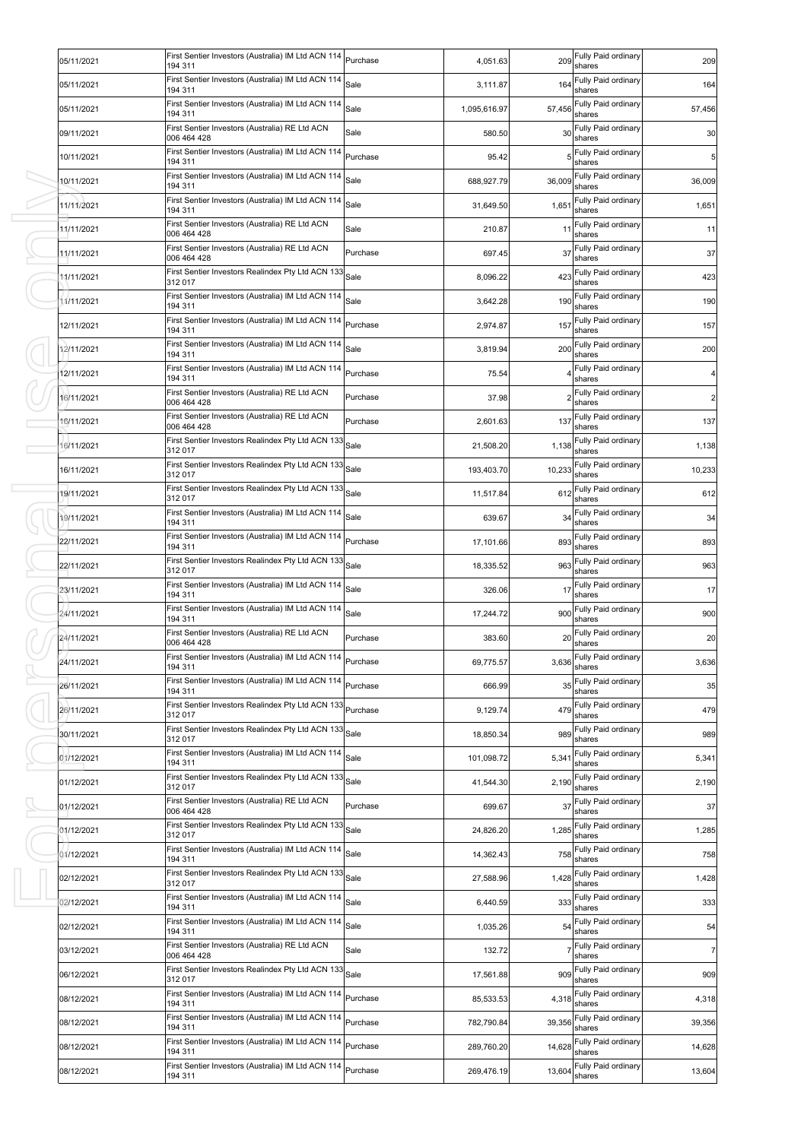| 05/11/2021 | First Sentier Investors (Australia) IM Ltd ACN 114<br>194 311          | Purchase | 4,051.63     | 209    | Fully Paid ordinary<br>shares       | 209            |
|------------|------------------------------------------------------------------------|----------|--------------|--------|-------------------------------------|----------------|
| 05/11/2021 | First Sentier Investors (Australia) IM Ltd ACN 114<br>194 311          | Sale     | 3,111.87     | 164    | Fully Paid ordinary<br>shares       | 164            |
| 05/11/2021 | First Sentier Investors (Australia) IM Ltd ACN 114<br>194 311          | Sale     | 1,095,616.97 | 57,456 | Fully Paid ordinary<br>shares       | 57,456         |
| 09/11/2021 | First Sentier Investors (Australia) RE Ltd ACN<br>006 464 428          | Sale     | 580.50       | 30     | Fully Paid ordinary<br>shares       | 30             |
| 10/11/2021 | First Sentier Investors (Australia) IM Ltd ACN 114<br>194 311          | Purchase | 95.42        |        | Fully Paid ordinary<br>shares       | 5 <sub>l</sub> |
| 10/11/2021 | First Sentier Investors (Australia) IM Ltd ACN 114<br>194 311          | Sale     | 688,927.79   | 36,009 | Fully Paid ordinary<br>shares       | 36,009         |
| 11/11/2021 | First Sentier Investors (Australia) IM Ltd ACN 114<br>194 311          | Sale     | 31,649.50    | 1,651  | Fully Paid ordinary<br>shares       | 1,651          |
| 11/11/2021 | First Sentier Investors (Australia) RE Ltd ACN<br>006 464 428          | Sale     | 210.87       | 11     | Fully Paid ordinary<br>shares       | 11             |
| 11/11/2021 | First Sentier Investors (Australia) RE Ltd ACN<br>006 464 428          | Purchase | 697.45       | 37     | Fully Paid ordinary<br>shares       | 37             |
| 11/11/2021 | First Sentier Investors Realindex Pty Ltd ACN 133<br>312 017           | Sale     | 8,096.22     | 423    | Fully Paid ordinary<br>shares       | 423            |
| 11/11/2021 | First Sentier Investors (Australia) IM Ltd ACN 114<br>194 311          | Sale     | 3,642.28     | 190    | Fully Paid ordinary<br>shares       | 190            |
| 12/11/2021 | First Sentier Investors (Australia) IM Ltd ACN 114<br>194 311          | Purchase | 2,974.87     | 157    | Fully Paid ordinary<br>shares       | 157            |
| 12/11/2021 | First Sentier Investors (Australia) IM Ltd ACN 114<br>194 311          | Sale     | 3,819.94     | 200    | Fully Paid ordinary<br>shares       | 200            |
| 12/11/2021 | First Sentier Investors (Australia) IM Ltd ACN 114<br>194 311          | Purchase | 75.54        |        | Fully Paid ordinary<br>shares       | 4 <sub>1</sub> |
| 16/11/2021 | First Sentier Investors (Australia) RE Ltd ACN<br>006 464 428          | Purchase | 37.98        |        | Fully Paid ordinary<br>shares       | $\overline{2}$ |
| 16/11/2021 | First Sentier Investors (Australia) RE Ltd ACN<br>006 464 428          | Purchase | 2,601.63     | 137    | Fully Paid ordinary<br>shares       | 137            |
| 16/11/2021 | First Sentier Investors Realindex Pty Ltd ACN 133<br>312 017           | Sale     | 21,508.20    | 1,138  | Fully Paid ordinary<br>shares       | 1,138          |
| 16/11/2021 | First Sentier Investors Realindex Pty Ltd ACN 133<br>312 017           | Sale     | 193,403.70   | 10,233 | Fully Paid ordinary<br>shares       | 10,233         |
| 19/11/2021 | First Sentier Investors Realindex Pty Ltd ACN 133<br>312 017           | Sale     | 11,517.84    | 612    | Fully Paid ordinary<br>shares       | 612            |
| 19/11/2021 | First Sentier Investors (Australia) IM Ltd ACN 114<br>194 311          | Sale     | 639.67       | 34     | Fully Paid ordinary<br>shares       | 34             |
| 22/11/2021 | First Sentier Investors (Australia) IM Ltd ACN 114<br>194 311          | Purchase | 17,101.66    | 893    | Fully Paid ordinary<br>shares       | 893            |
| 22/11/2021 | First Sentier Investors Realindex Pty Ltd ACN 133<br>312 017           | Sale     | 18,335.52    | 963    | Fully Paid ordinary<br>shares       | 963            |
| 23/11/2021 | First Sentier Investors (Australia) IM Ltd ACN 114<br>194 311          | Sale     | 326.06       | 17     | Fully Paid ordinary<br>shares       | 17             |
| 24/11/2021 | First Sentier Investors (Australia) IM Ltd ACN 114<br>194 311          | Sale     | 17,244.72    | 900    | Fully Paid ordinary<br>shares       | 900            |
| 24/11/2021 | First Sentier Investors (Australia) RE Ltd ACN<br>006 464 428          | Purchase | 383.60       | 20     | Fully Paid ordinary<br>shares       | 20             |
| 24/11/2021 | First Sentier Investors (Australia) IM Ltd ACN 114<br>194 311          | Purchase | 69,775.57    |        | 3,636 Fully Paid ordinary<br>shares | 3,636          |
| 26/11/2021 | First Sentier Investors (Australia) IM Ltd ACN 114<br>194 311          | Purchase | 666.99       | 35     | Fully Paid ordinary<br>shares       | 35             |
| 26/11/2021 | First Sentier Investors Realindex Pty Ltd ACN 133<br>312 017           | Purchase | 9,129.74     | 479    | Fully Paid ordinary<br>shares       | 479            |
| 30/11/2021 | First Sentier Investors Realindex Pty Ltd ACN 133<br>312 017           | Sale     | 18,850.34    | 989    | Fully Paid ordinary<br>shares       | 989            |
| 01/12/2021 | First Sentier Investors (Australia) IM Ltd ACN 114<br>194 311          | Sale     | 101,098.72   | 5,341  | Fully Paid ordinary<br>shares       | 5,341          |
| 01/12/2021 | First Sentier Investors Realindex Pty Ltd ACN 133<br>312 017           | Sale     | 41,544.30    | 2,190  | Fully Paid ordinary<br>shares       | 2,190          |
| 01/12/2021 | First Sentier Investors (Australia) RE Ltd ACN<br>006 464 428          | Purchase | 699.67       | 37     | Fully Paid ordinary<br>shares       | 37             |
| 01/12/2021 | First Sentier Investors Realindex Pty Ltd ACN 133<br>312 017           | Sale     | 24,826.20    | 1,285  | Fully Paid ordinary<br>shares       | 1,285          |
| 01/12/2021 | First Sentier Investors (Australia) IM Ltd ACN 114<br>194 311          | Sale     | 14,362.43    | 758    | Fully Paid ordinary<br>shares       | 758            |
| 02/12/2021 | First Sentier Investors Realindex Pty Ltd ACN 133<br>312 017           | Sale     | 27,588.96    | 1,428  | Fully Paid ordinary<br>shares       | 1,428          |
| 02/12/2021 | First Sentier Investors (Australia) IM Ltd ACN 114<br>194 311          | Sale     | 6,440.59     | 333    | Fully Paid ordinary<br>shares       | 333            |
| 02/12/2021 | First Sentier Investors (Australia) IM Ltd ACN 114<br>194 311          | Sale     | 1,035.26     | 54     | Fully Paid ordinary<br>shares       | 54             |
| 03/12/2021 | First Sentier Investors (Australia) RE Ltd ACN<br>006 464 428          | Sale     | 132.72       |        | Fully Paid ordinary<br>shares       | $\overline{7}$ |
| 06/12/2021 | First Sentier Investors Realindex Pty Ltd ACN 133<br>312 017           | Sale     | 17,561.88    | 909    | Fully Paid ordinary<br>shares       | 909            |
| 08/12/2021 | First Sentier Investors (Australia) IM Ltd ACN 114<br>194 311          | Purchase | 85,533.53    | 4,318  | Fully Paid ordinary<br>shares       | 4,318          |
| 08/12/2021 | First Sentier Investors (Australia) IM Ltd ACN 114<br>194 311          | Purchase | 782,790.84   | 39,356 | Fully Paid ordinary<br>shares       | 39,356         |
| 08/12/2021 | First Sentier Investors (Australia) IM Ltd ACN 114<br>194 311          | Purchase | 289,760.20   | 14,628 | Fully Paid ordinary<br>shares       | 14,628         |
| 08/12/2021 | First Sentier Investors (Australia) IM Ltd ACN 114 Purchase<br>194 311 |          | 269,476.19   | 13,604 | Fully Paid ordinary<br>shares       | 13,604         |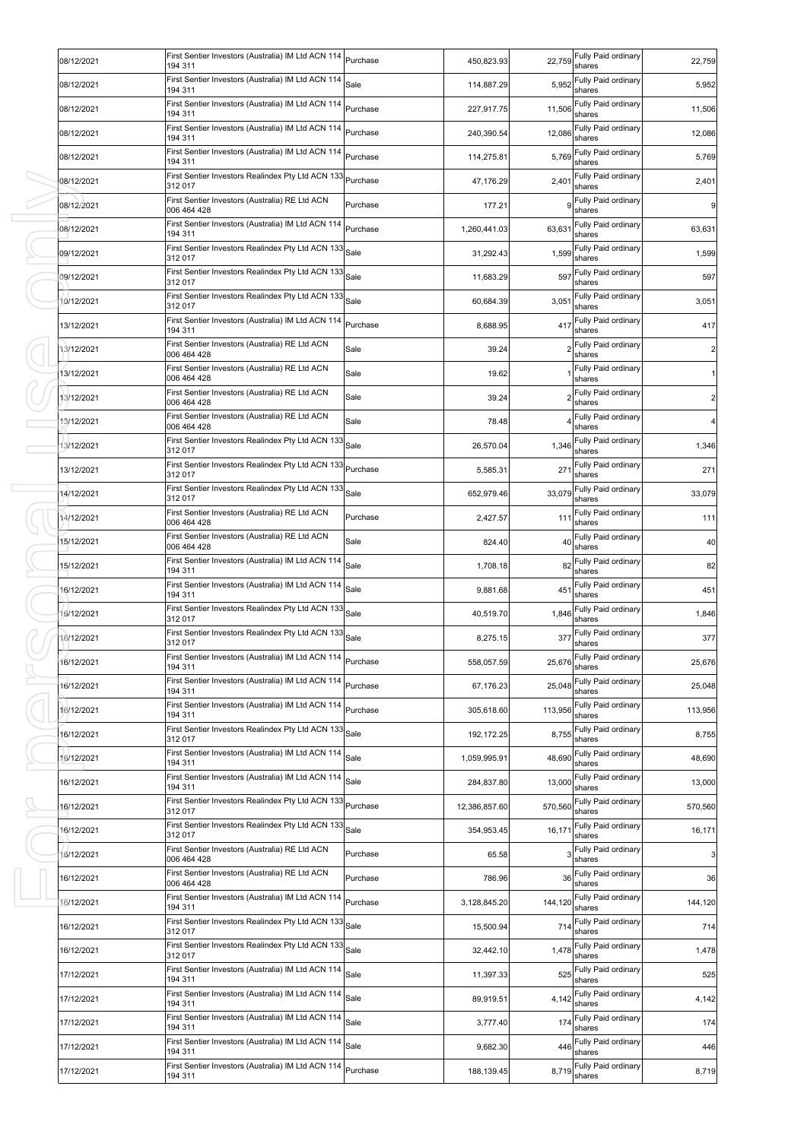| 08/12/2021 | First Sentier Investors (Australia) IM Ltd ACN 114<br>194 311     | Purchase | 450,823.93    | 22,759  | Fully Paid ordinary<br>shares        | 22,759                  |
|------------|-------------------------------------------------------------------|----------|---------------|---------|--------------------------------------|-------------------------|
| 08/12/2021 | First Sentier Investors (Australia) IM Ltd ACN 114<br>194 311     | Sale     | 114,887.29    | 5,952   | Fully Paid ordinary<br>shares        | 5,952                   |
| 08/12/2021 | First Sentier Investors (Australia) IM Ltd ACN 114<br>194 311     | Purchase | 227,917.75    | 11,506  | Fully Paid ordinary<br>shares        | 11,506                  |
| 08/12/2021 | First Sentier Investors (Australia) IM Ltd ACN 114<br>194 311     | Purchase | 240,390.54    | 12,086  | Fully Paid ordinary<br>shares        | 12,086                  |
| 08/12/2021 | First Sentier Investors (Australia) IM Ltd ACN 114<br>194 311     | Purchase | 114,275.81    | 5,769   | Fully Paid ordinary<br>shares        | 5,769                   |
| 08/12/2021 | First Sentier Investors Realindex Pty Ltd ACN 133<br>312 017      | Purchase | 47,176.29     | 2,401   | Fully Paid ordinary<br>shares        | 2,401                   |
| 08/12/2021 | First Sentier Investors (Australia) RE Ltd ACN<br>006 464 428     | Purchase | 177.21        |         | Fully Paid ordinary<br>shares        | 9                       |
| 08/12/2021 | First Sentier Investors (Australia) IM Ltd ACN 114<br>194 311     | Purchase | 1,260,441.03  | 63,631  | Fully Paid ordinary<br>shares        | 63,631                  |
| 09/12/2021 | First Sentier Investors Realindex Pty Ltd ACN 133<br>312 017      | Sale     | 31,292.43     | 1,599   | Fully Paid ordinary<br>shares        | 1,599                   |
| 09/12/2021 | First Sentier Investors Realindex Pty Ltd ACN 133<br>312 017      | Sale     | 11,683.29     | 597     | Fully Paid ordinary<br>shares        | 597                     |
| 10/12/2021 | First Sentier Investors Realindex Pty Ltd ACN 133<br>312 017      | Sale     | 60,684.39     | 3,051   | Fully Paid ordinary<br>shares        | 3,051                   |
| 13/12/2021 | First Sentier Investors (Australia) IM Ltd ACN 114<br>194 311     | Purchase | 8,688.95      | 417     | Fully Paid ordinary<br>shares        | 417                     |
| 13/12/2021 | First Sentier Investors (Australia) RE Ltd ACN<br>006 464 428     | Sale     | 39.24         |         | Fully Paid ordinary<br>shares        | $\overline{c}$          |
| 13/12/2021 | First Sentier Investors (Australia) RE Ltd ACN<br>006 464 428     | Sale     | 19.62         |         | Fully Paid ordinary<br>shares        | $\mathbf{1}$            |
| 13/12/2021 | First Sentier Investors (Australia) RE Ltd ACN<br>006 464 428     | Sale     | 39.24         |         | Fully Paid ordinary<br>shares        | $\overline{2}$          |
| 13/12/2021 | First Sentier Investors (Australia) RE Ltd ACN<br>006 464 428     | Sale     | 78.48         |         | Fully Paid ordinary<br>shares        | $\overline{\mathbf{4}}$ |
| 13/12/2021 | First Sentier Investors Realindex Pty Ltd ACN 133 Sale<br>312 017 |          | 26,570.04     | 1,346   | Fully Paid ordinary<br>shares        | 1,346                   |
| 13/12/2021 | First Sentier Investors Realindex Pty Ltd ACN 133<br>312 017      | Purchase | 5,585.31      | 271     | Fully Paid ordinary<br>shares        | 271                     |
| 14/12/2021 | First Sentier Investors Realindex Pty Ltd ACN 133<br>312 017      | Sale     | 652,979.46    | 33,079  | Fully Paid ordinary<br>shares        | 33,079                  |
| 14/12/2021 | First Sentier Investors (Australia) RE Ltd ACN<br>006 464 428     | Purchase | 2,427.57      | 111     | Fully Paid ordinary<br>shares        | 111                     |
| 15/12/2021 | First Sentier Investors (Australia) RE Ltd ACN<br>006 464 428     | Sale     | 824.40        | 40      | Fully Paid ordinary<br>shares        | 40                      |
| 15/12/2021 | First Sentier Investors (Australia) IM Ltd ACN 114<br>194 311     | Sale     | 1,708.18      | 82      | Fully Paid ordinary<br>shares        | 82                      |
| 16/12/2021 | First Sentier Investors (Australia) IM Ltd ACN 114<br>194 311     | Sale     | 9,881.68      | 451     | Fully Paid ordinary<br>shares        | 451                     |
| 16/12/2021 | First Sentier Investors Realindex Pty Ltd ACN 133<br>312 017      | Sale     | 40,519.70     | 1,846   | Fully Paid ordinary<br>shares        | 1,846                   |
| 16/12/2021 | First Sentier Investors Realindex Pty Ltd ACN 133<br>312 017      | Sale     | 8,275.15      | 377     | Fully Paid ordinary<br>shares        | 377                     |
| 16/12/2021 | First Sentier Investors (Australia) IM Ltd ACN 11<br>194 311      | Purchase | 558,057.59    |         | 25,676 Fully Paid ordinary<br>shares | 25,676                  |
| 16/12/2021 | First Sentier Investors (Australia) IM Ltd ACN 114<br>194 311     | Purchase | 67,176.23     | 25,048  | Fully Paid ordinary<br>shares        | 25,048                  |
| 16/12/2021 | First Sentier Investors (Australia) IM Ltd ACN 114<br>194 311     | Purchase | 305,618.60    | 113,956 | Fully Paid ordinary<br>shares        | 113,956                 |
| 16/12/2021 | First Sentier Investors Realindex Pty Ltd ACN 133<br>312 017      | Sale     | 192,172.25    | 8,755   | Fully Paid ordinary<br>shares        | 8,755                   |
| 16/12/2021 | First Sentier Investors (Australia) IM Ltd ACN 114<br>194 311     | Sale     | 1,059,995.91  | 48,690  | Fully Paid ordinary<br>shares        | 48,690                  |
| 16/12/2021 | First Sentier Investors (Australia) IM Ltd ACN 114<br>194 311     | Sale     | 284,837.80    | 13,000  | Fully Paid ordinary<br>shares        | 13,000                  |
| 16/12/2021 | First Sentier Investors Realindex Pty Ltd ACN 133<br>312 017      | Purchase | 12.386.857.60 | 570.560 | Fully Paid ordinary<br>shares        | 570,560                 |
| 16/12/2021 | First Sentier Investors Realindex Pty Ltd ACN 133<br>312 017      | Sale     | 354,953.45    | 16,171  | Fully Paid ordinary<br>shares        | 16,171                  |
| 16/12/2021 | First Sentier Investors (Australia) RE Ltd ACN<br>006 464 428     | Purchase | 65.58         |         | Fully Paid ordinary<br>shares        | 3 <sub>l</sub>          |
| 16/12/2021 | First Sentier Investors (Australia) RE Ltd ACN<br>006 464 428     | Purchase | 786.96        | 36      | Fully Paid ordinary<br>shares        | 36                      |
| 16/12/2021 | First Sentier Investors (Australia) IM Ltd ACN 114<br>194 311     | Purchase | 3,128,845.20  | 144,120 | Fully Paid ordinary<br>shares        | 144,120                 |
| 16/12/2021 | First Sentier Investors Realindex Pty Ltd ACN 133<br>312 017      | Sale     | 15,500.94     | 714     | Fully Paid ordinary<br>shares        | 714                     |
| 16/12/2021 | First Sentier Investors Realindex Pty Ltd ACN 133<br>312 017      | Sale     | 32,442.10     | 1,478   | Fully Paid ordinary<br>shares        | 1,478                   |
| 17/12/2021 | First Sentier Investors (Australia) IM Ltd ACN 114<br>194 311     | Sale     | 11,397.33     | 525     | Fully Paid ordinary<br>shares        | 525                     |
| 17/12/2021 | First Sentier Investors (Australia) IM Ltd ACN 114<br>194 311     | Sale     | 89,919.51     | 4,142   | Fully Paid ordinary<br>shares        | 4,142                   |
| 17/12/2021 | First Sentier Investors (Australia) IM Ltd ACN 114<br>194 311     | Sale     | 3,777.40      | 174     | Fully Paid ordinary<br>shares        | 174                     |
| 17/12/2021 | First Sentier Investors (Australia) IM Ltd ACN 114<br>194 311     | Sale     | 9,682.30      | 446     | Fully Paid ordinary<br>shares        | 446                     |
| 17/12/2021 | First Sentier Investors (Australia) IM Ltd ACN 114<br>194 311     | Purchase | 188,139.45    | 8,719   | Fully Paid ordinary<br>shares        | 8,719                   |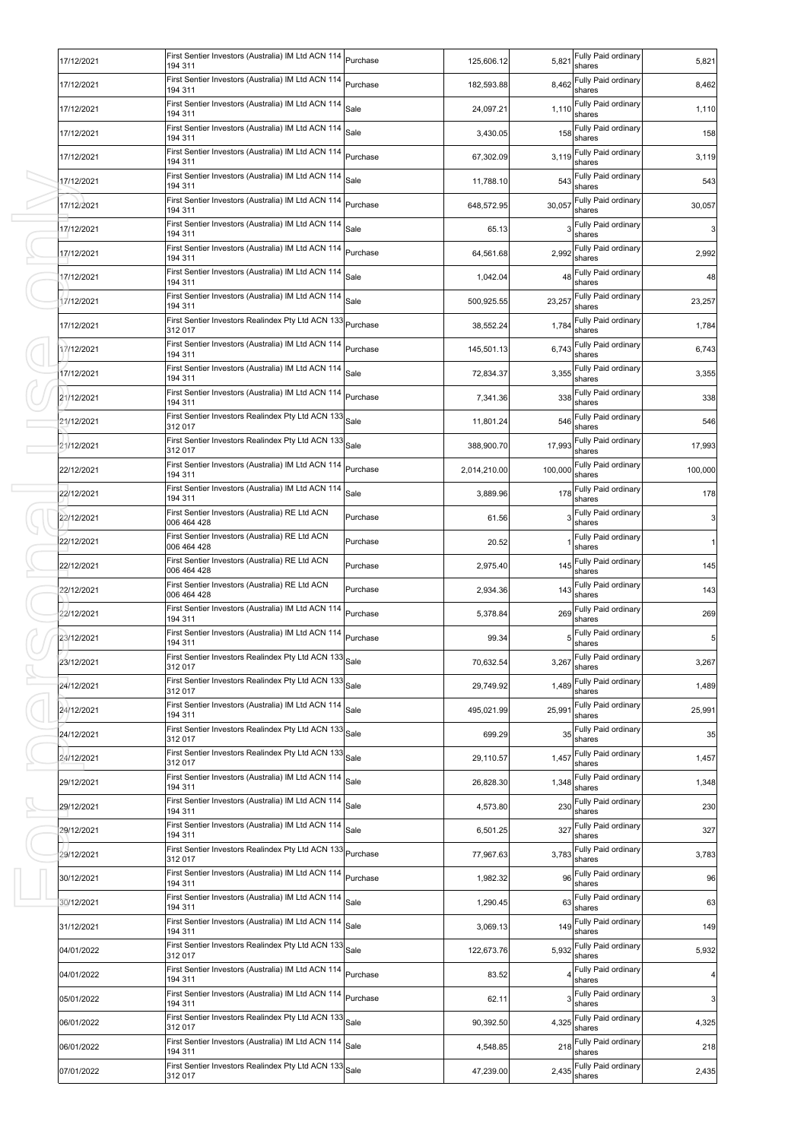| 17/12/2021 | First Sentier Investors (Australia) IM Ltd ACN 114 Purchase<br>194 311 |          | 125,606.12   | 5,821   | Fully Paid ordinary<br>shares       | 5,821           |
|------------|------------------------------------------------------------------------|----------|--------------|---------|-------------------------------------|-----------------|
| 17/12/2021 | First Sentier Investors (Australia) IM Ltd ACN 114<br>194 311          | Purchase | 182,593.88   | 8,462   | Fully Paid ordinary<br>shares       | 8,462           |
| 17/12/2021 | First Sentier Investors (Australia) IM Ltd ACN 114<br>194 311          | Sale     | 24,097.21    | 1,110   | Fully Paid ordinary<br>shares       | 1,110           |
| 17/12/2021 | First Sentier Investors (Australia) IM Ltd ACN 114<br>194 311          | Sale     | 3,430.05     | 158     | Fully Paid ordinary<br>shares       | 158             |
| 17/12/2021 | First Sentier Investors (Australia) IM Ltd ACN 114<br>194 311          | Purchase | 67,302.09    | 3,119   | Fully Paid ordinary<br>shares       | 3,119           |
| 17/12/2021 | First Sentier Investors (Australia) IM Ltd ACN 114<br>194 311          | Sale     | 11,788.10    | 543     | Fully Paid ordinary<br>shares       | 543             |
| 17/12/2021 | First Sentier Investors (Australia) IM Ltd ACN 114<br>194 311          | Purchase | 648,572.95   | 30,057  | Fully Paid ordinary<br>shares       | 30,057          |
| 17/12/2021 | First Sentier Investors (Australia) IM Ltd ACN 114<br>194 311          | Sale     | 65.13        |         | Fully Paid ordinary<br>shares       | 3 <sup>1</sup>  |
| 17/12/2021 | First Sentier Investors (Australia) IM Ltd ACN 114<br>194 311          | Purchase | 64,561.68    | 2,992   | Fully Paid ordinary<br>shares       | 2,992           |
| 17/12/2021 | First Sentier Investors (Australia) IM Ltd ACN 114<br>194 311          | Sale     | 1,042.04     | 48      | Fully Paid ordinary<br>shares       | 48              |
| 17/12/2021 | First Sentier Investors (Australia) IM Ltd ACN 114<br>194 311          | Sale     | 500,925.55   | 23,257  | Fully Paid ordinary<br>shares       | 23,257          |
| 17/12/2021 | First Sentier Investors Realindex Pty Ltd ACN 133<br>312 017           | Purchase | 38,552.24    | 1,784   | Fully Paid ordinary<br>shares       | 1,784           |
| 17/12/2021 | First Sentier Investors (Australia) IM Ltd ACN 114<br>194 311          | Purchase | 145,501.13   | 6,743   | Fully Paid ordinary<br>shares       | 6,743           |
| 17/12/2021 | First Sentier Investors (Australia) IM Ltd ACN 114<br>194 311          | Sale     | 72,834.37    | 3,355   | Fully Paid ordinary<br>shares       | 3,355           |
| 21/12/2021 | First Sentier Investors (Australia) IM Ltd ACN 114<br>194 311          | Purchase | 7,341.36     | 338     | Fully Paid ordinary<br>shares       | 338             |
| 21/12/2021 | First Sentier Investors Realindex Pty Ltd ACN 133                      | Sale     | 11,801.24    | 546     | Fully Paid ordinary                 | 546             |
| 21/12/2021 | 312 017<br>First Sentier Investors Realindex Pty Ltd ACN 133           | Sale     | 388,900.70   | 17,993  | shares<br>Fully Paid ordinary       | 17,993          |
| 22/12/2021 | 312 017<br>First Sentier Investors (Australia) IM Ltd ACN 114          | Purchase | 2,014,210.00 | 100,000 | shares<br>Fully Paid ordinary       | 100,000         |
| 22/12/2021 | 194 311<br>First Sentier Investors (Australia) IM Ltd ACN 114          | Sale     | 3,889.96     | 178     | shares<br>Fully Paid ordinary       | 178             |
| 22/12/2021 | 194 311<br>First Sentier Investors (Australia) RE Ltd ACN              | Purchase | 61.56        |         | shares<br>Fully Paid ordinary       | 3 <sub>l</sub>  |
| 22/12/2021 | 006 464 428<br>First Sentier Investors (Australia) RE Ltd ACN          | Purchase | 20.52        |         | shares<br>Fully Paid ordinary       | $\mathbf{1}$    |
| 22/12/2021 | 006 464 428<br>First Sentier Investors (Australia) RE Ltd ACN          | Purchase | 2,975.40     | 145     | shares<br>Fully Paid ordinary       | 145             |
| 22/12/2021 | 006 464 428<br>First Sentier Investors (Australia) RE Ltd ACN          | Purchase | 2,934.36     | 143     | shares<br>Fully Paid ordinary       | 143             |
| 22/12/2021 | 006 464 428<br>First Sentier Investors (Australia) IM Ltd ACN 114      | Purchase | 5,378.84     | 269     | shares<br>Fully Paid ordinary       | 269             |
| 23/12/2021 | 194 311<br>First Sentier Investors (Australia) IM Ltd ACN 114          | Purchase | 99.34        |         | shares<br>Fully Paid ordinary       |                 |
|            | 194 311<br>First Sentier Investors Realindex Pty Ltd ACN 133 Sale      |          |              |         | shares<br>3,267 Fully Paid ordinary | $5\phantom{.0}$ |
| 23/12/2021 | 312 017<br>First Sentier Investors Realindex Pty Ltd ACN 133           |          | 70,632.54    |         | shares<br>Fully Paid ordinary       | 3,267           |
| 24/12/2021 | 312 017<br>First Sentier Investors (Australia) IM Ltd ACN 114          | Sale     | 29,749.92    | 1,489   | shares<br>Fully Paid ordinary       | 1,489           |
| 24/12/2021 | 194 311<br>First Sentier Investors Realindex Pty Ltd ACN 133           | Sale     | 495,021.99   | 25,991  | shares<br>Fully Paid ordinary       | 25,991          |
| 24/12/2021 | 312 017<br>First Sentier Investors Realindex Ptv Ltd ACN 133           | Sale     | 699.29       | 35      | shares<br>Fully Paid ordinary       | 35              |
| 24/12/2021 | 312 017<br>First Sentier Investors (Australia) IM Ltd ACN 114          | Sale     | 29,110.57    | 1,457   | shares<br>Fully Paid ordinary       | 1,457           |
| 29/12/2021 | 194 311<br>First Sentier Investors (Australia) IM Ltd ACN 114          | Sale     | 26,828.30    | 1,348   | shares                              | 1,348           |
| 29/12/2021 | 194 311                                                                | Sale     | 4,573.80     | 230     | Fully Paid ordinary<br>shares       | 230             |
| 29/12/2021 | First Sentier Investors (Australia) IM Ltd ACN 114<br>194 311          | Sale     | 6,501.25     | 327     | Fully Paid ordinary<br>shares       | 327             |
| 29/12/2021 | First Sentier Investors Realindex Pty Ltd ACN 133<br>312 017           | Purchase | 77,967.63    |         | 3,783 Fully Paid ordinary<br>shares | 3,783           |
| 30/12/2021 | First Sentier Investors (Australia) IM Ltd ACN 114<br>194 311          | Purchase | 1,982.32     | 96      | Fully Paid ordinary<br>shares       | 96              |
| 30/12/2021 | First Sentier Investors (Australia) IM Ltd ACN 114<br>194 311          | Sale     | 1,290.45     | 63      | Fully Paid ordinary<br>shares       | 63              |
| 31/12/2021 | First Sentier Investors (Australia) IM Ltd ACN 114<br>194 311          | Sale     | 3,069.13     | 149     | Fully Paid ordinary<br>shares       | 149             |
| 04/01/2022 | First Sentier Investors Realindex Pty Ltd ACN 133<br>312 017           | Sale     | 122,673.76   | 5,932   | Fully Paid ordinary<br>shares       | 5,932           |
| 04/01/2022 | First Sentier Investors (Australia) IM Ltd ACN 114<br>194 311          | Purchase | 83.52        |         | Fully Paid ordinary<br>shares       | 4 <sub>1</sub>  |
| 05/01/2022 | First Sentier Investors (Australia) IM Ltd ACN 114<br>194 311          | Purchase | 62.11        |         | Fully Paid ordinary<br>shares       | 3 <sub>l</sub>  |
| 06/01/2022 | First Sentier Investors Realindex Pty Ltd ACN 133<br>312 017           | Sale     | 90,392.50    | 4,325   | Fully Paid ordinary<br>shares       | 4,325           |
| 06/01/2022 | First Sentier Investors (Australia) IM Ltd ACN 114<br>194 311          | Sale     | 4,548.85     | 218     | Fully Paid ordinary<br>shares       | 218             |
| 07/01/2022 | First Sentier Investors Realindex Pty Ltd ACN 133 Sale<br>312 017      |          | 47,239.00    | 2,435   | Fully Paid ordinary<br>shares       | 2,435           |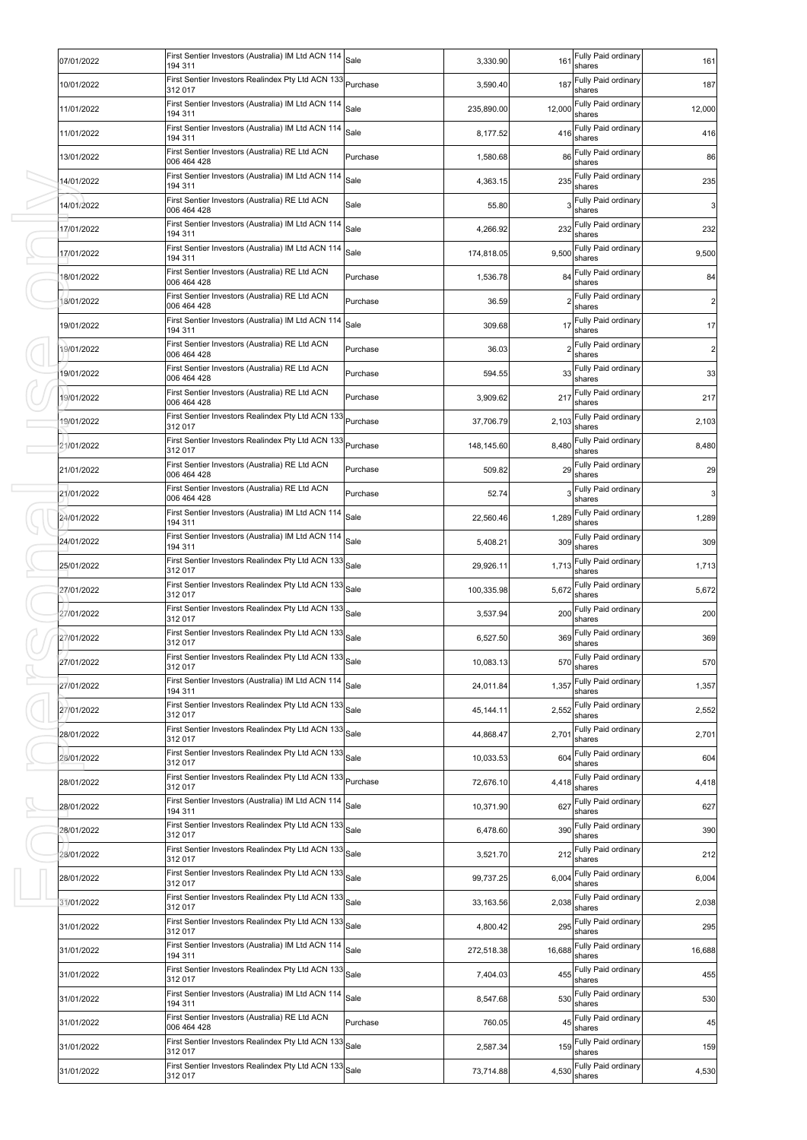| 07/01/2022 | First Sentier Investors (Australia) IM Ltd ACN 114<br>194 311         | Sale     | 3,330.90   | 161    | Fully Paid ordinary<br>shares     | 161            |
|------------|-----------------------------------------------------------------------|----------|------------|--------|-----------------------------------|----------------|
| 10/01/2022 | First Sentier Investors Realindex Pty Ltd ACN 133<br>312 017          | Purchase | 3,590.40   | 187    | Fully Paid ordinary<br>shares     | 187            |
| 11/01/2022 | First Sentier Investors (Australia) IM Ltd ACN 114<br>194 311         | Sale     | 235,890.00 | 12,000 | Fully Paid ordinary<br>shares     | 12,000         |
| 11/01/2022 | First Sentier Investors (Australia) IM Ltd ACN 114<br>194 311         | Sale     | 8,177.52   | 416    | Fully Paid ordinary<br>shares     | 416            |
| 13/01/2022 | First Sentier Investors (Australia) RE Ltd ACN<br>006 464 428         | Purchase | 1,580.68   | 86     | Fully Paid ordinary<br>shares     | 86             |
| 14/01/2022 | First Sentier Investors (Australia) IM Ltd ACN 114<br>194 311         | Sale     | 4,363.15   | 235    | Fully Paid ordinary<br>shares     | 235            |
| 14/01/2022 | First Sentier Investors (Australia) RE Ltd ACN<br>006 464 428         | Sale     | 55.80      |        | Fully Paid ordinary<br>shares     | 3 <sup>1</sup> |
| 17/01/2022 | First Sentier Investors (Australia) IM Ltd ACN 114<br>194 311         | Sale     | 4,266.92   | 232    | Fully Paid ordinary<br>shares     | 232            |
| 17/01/2022 | First Sentier Investors (Australia) IM Ltd ACN 114<br>194 311         | Sale     | 174,818.05 | 9,500  | Fully Paid ordinary<br>shares     | 9,500          |
| 18/01/2022 | First Sentier Investors (Australia) RE Ltd ACN<br>006 464 428         | Purchase | 1,536.78   | 84     | Fully Paid ordinary<br>shares     | 84             |
| 18/01/2022 | First Sentier Investors (Australia) RE Ltd ACN<br>006 464 428         | Purchase | 36.59      |        | Fully Paid ordinary<br>shares     | $\overline{c}$ |
| 19/01/2022 | First Sentier Investors (Australia) IM Ltd ACN 114<br>194 311         | Sale     | 309.68     | 17     | Fully Paid ordinary<br>shares     | 17             |
| 19/01/2022 | First Sentier Investors (Australia) RE Ltd ACN<br>006 464 428         | Purchase | 36.03      |        | Fully Paid ordinary<br>shares     | $\overline{c}$ |
| 19/01/2022 | First Sentier Investors (Australia) RE Ltd ACN<br>006 464 428         | Purchase | 594.55     | 33     | Fully Paid ordinary<br>shares     | 33             |
| 19/01/2022 | First Sentier Investors (Australia) RE Ltd ACN<br>006 464 428         | Purchase | 3,909.62   | 217    | Fully Paid ordinary<br>shares     | 217            |
| 19/01/2022 | First Sentier Investors Realindex Pty Ltd ACN 133<br>312 017          | Purchase | 37,706.79  | 2,103  | Fully Paid ordinary<br>shares     | 2,103          |
| 21/01/2022 | First Sentier Investors Realindex Pty Ltd ACN 133 Purchase<br>312 017 |          | 148,145.60 | 8,480  | Fully Paid ordinary<br>shares     | 8,480          |
| 21/01/2022 | First Sentier Investors (Australia) RE Ltd ACN<br>006 464 428         | Purchase | 509.82     | 29     | Fully Paid ordinary<br>shares     | 29             |
| 21/01/2022 | First Sentier Investors (Australia) RE Ltd ACN<br>006 464 428         | Purchase | 52.74      |        | Fully Paid ordinary<br>shares     | 3 <sup>1</sup> |
| 24/01/2022 | First Sentier Investors (Australia) IM Ltd ACN 114<br>194 311         | Sale     | 22,560.46  | 1,289  | Fully Paid ordinary<br>shares     | 1,289          |
| 24/01/2022 | First Sentier Investors (Australia) IM Ltd ACN 114<br>194 311         | Sale     | 5,408.21   | 309    | Fully Paid ordinary<br>shares     | 309            |
| 25/01/2022 | First Sentier Investors Realindex Pty Ltd ACN 133<br>312 017          | Sale     | 29,926.11  | 1,713  | Fully Paid ordinary<br>shares     | 1,713          |
| 27/01/2022 | First Sentier Investors Realindex Pty Ltd ACN 133<br>312 017          | Sale     | 100,335.98 | 5,672  | Fully Paid ordinary<br>shares     | 5,672          |
| 27/01/2022 | First Sentier Investors Realindex Pty Ltd ACN 133<br>312 017          | Sale     | 3,537.94   | 200    | Fully Paid ordinary<br>shares     | 200            |
| 27/01/2022 | First Sentier Investors Realindex Pty Ltd ACN 133<br>312 017          | Sale     | 6,527.50   | 369    | Fully Paid ordinary<br>shares     | 369            |
| 27/01/2022 | First Sentier Investors Realindex Pty Ltd ACN 133<br>312 017          | Sale     | 10,083.13  |        | 570 Fully Paid ordinary<br>shares | 570            |
| 27/01/2022 | First Sentier Investors (Australia) IM Ltd ACN 114<br>194 311         | Sale     | 24,011.84  | 1,357  | Fully Paid ordinary<br>shares     | 1,357          |
| 27/01/2022 | First Sentier Investors Realindex Pty Ltd ACN 133<br>312 017          | Sale     | 45,144.11  | 2,552  | Fully Paid ordinary<br>shares     | 2,552          |
| 28/01/2022 | First Sentier Investors Realindex Pty Ltd ACN 133<br>312 017          | Sale     | 44,868.47  | 2,701  | Fully Paid ordinary<br>shares     | 2,701          |
| 28/01/2022 | First Sentier Investors Realindex Pty Ltd ACN 133<br>312 017          | Sale     | 10,033.53  | 604    | Fully Paid ordinary<br>shares     | 604            |
| 28/01/2022 | First Sentier Investors Realindex Pty Ltd ACN 133<br>312 017          | Purchase | 72,676.10  | 4,418  | Fully Paid ordinary<br>shares     | 4,418          |
| 28/01/2022 | First Sentier Investors (Australia) IM Ltd ACN 114<br>194 311         | Sale     | 10,371.90  | 627    | Fully Paid ordinary<br>shares     | 627            |
| 28/01/2022 | First Sentier Investors Realindex Pty Ltd ACN 133<br>312 017          | Sale     | 6,478.60   | 390    | Fully Paid ordinary<br>shares     | 390            |
| 28/01/2022 | First Sentier Investors Realindex Pty Ltd ACN 133<br>312 017          | Sale     | 3,521.70   | 212    | Fully Paid ordinary<br>shares     | 212            |
| 28/01/2022 | First Sentier Investors Realindex Pty Ltd ACN 133<br>312 017          | Sale     | 99,737.25  | 6,004  | Fully Paid ordinary<br>shares     | 6,004          |
| 31/01/2022 | First Sentier Investors Realindex Pty Ltd ACN 133<br>312 017          | Sale     | 33,163.56  | 2,038  | Fully Paid ordinary<br>shares     | 2,038          |
| 31/01/2022 | First Sentier Investors Realindex Pty Ltd ACN 133<br>312 017          | Sale     | 4,800.42   | 295    | Fully Paid ordinary<br>shares     | 295            |
| 31/01/2022 | First Sentier Investors (Australia) IM Ltd ACN 114<br>194 311         | Sale     | 272,518.38 | 16,688 | Fully Paid ordinary<br>shares     | 16,688         |
| 31/01/2022 | First Sentier Investors Realindex Pty Ltd ACN 133<br>312 017          | Sale     | 7,404.03   | 455    | Fully Paid ordinary<br>shares     | 455            |
| 31/01/2022 | First Sentier Investors (Australia) IM Ltd ACN 114<br>194 311         | Sale     | 8,547.68   | 530    | Fully Paid ordinary<br>shares     | 530            |
| 31/01/2022 | First Sentier Investors (Australia) RE Ltd ACN<br>006 464 428         | Purchase | 760.05     | 45     | Fully Paid ordinary<br>shares     | 45             |
| 31/01/2022 | First Sentier Investors Realindex Pty Ltd ACN 133<br>312 017          | Sale     | 2,587.34   | 159    | Fully Paid ordinary<br>shares     | 159            |
| 31/01/2022 | First Sentier Investors Realindex Pty Ltd ACN 133<br>312 017          | Sale     | 73,714.88  | 4,530  | Fully Paid ordinary<br>shares     | 4,530          |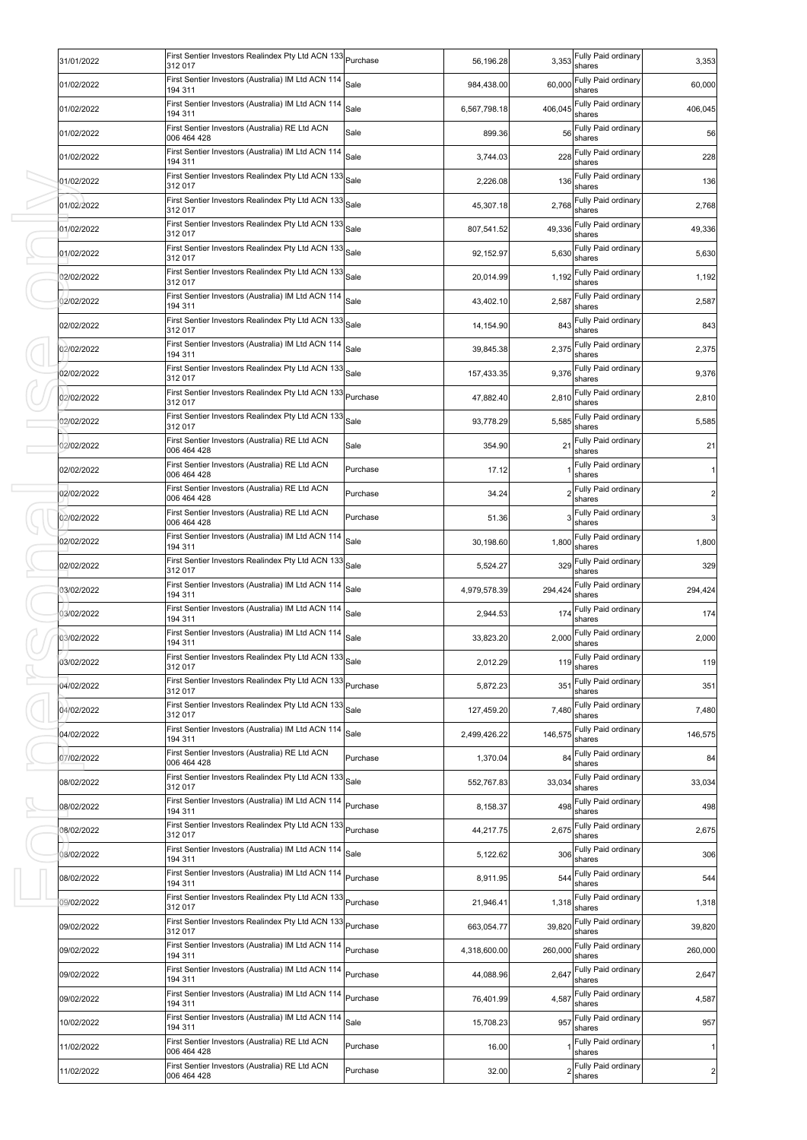| 31/01/2022 | First Sentier Investors Realindex Pty Ltd ACN 133 Purchase<br>312 017 |          | 56,196.28    | 3,353   | Fully Paid ordinary<br>shares           | 3,353          |
|------------|-----------------------------------------------------------------------|----------|--------------|---------|-----------------------------------------|----------------|
| 01/02/2022 | First Sentier Investors (Australia) IM Ltd ACN 114<br>194 311         | Sale     | 984,438.00   | 60,000  | Fully Paid ordinary<br>shares           | 60,000         |
| 01/02/2022 | First Sentier Investors (Australia) IM Ltd ACN 114<br>194 311         | Sale     | 6,567,798.18 | 406,045 | Fully Paid ordinary<br>shares           | 406,045        |
| 01/02/2022 | First Sentier Investors (Australia) RE Ltd ACN<br>006 464 428         | Sale     | 899.36       | 56      | Fully Paid ordinary<br>shares           | 56             |
| 01/02/2022 | First Sentier Investors (Australia) IM Ltd ACN 114<br>194 311         | Sale     | 3,744.03     | 228     | Fully Paid ordinary<br>shares           | 228            |
| 01/02/2022 | First Sentier Investors Realindex Pty Ltd ACN 133<br>312 017          | Sale     | 2,226.08     | 136     | Fully Paid ordinary<br>shares           | 136            |
| 01/02/2022 | First Sentier Investors Realindex Pty Ltd ACN 133<br>312 017          | Sale     | 45,307.18    | 2,768   | Fully Paid ordinary<br>shares           | 2,768          |
| 01/02/2022 | First Sentier Investors Realindex Pty Ltd ACN 133<br>312 017          | Sale     | 807,541.52   | 49,336  | Fully Paid ordinary<br>shares           | 49,336         |
| 01/02/2022 | First Sentier Investors Realindex Pty Ltd ACN 133<br>312 017          | Sale     | 92,152.97    | 5,630   | Fully Paid ordinary<br>shares           | 5,630          |
| 02/02/2022 | First Sentier Investors Realindex Pty Ltd ACN 133<br>312 017          | Sale     | 20,014.99    | 1,192   | Fully Paid ordinary<br>shares           | 1,192          |
| 02/02/2022 | First Sentier Investors (Australia) IM Ltd ACN 114<br>194 311         | Sale     | 43,402.10    | 2,587   | Fully Paid ordinary<br>shares           | 2,587          |
| 02/02/2022 | First Sentier Investors Realindex Pty Ltd ACN 133<br>312 017          | Sale     | 14,154.90    | 843     | Fully Paid ordinary<br>shares           | 843            |
| 02/02/2022 | First Sentier Investors (Australia) IM Ltd ACN 114<br>194 311         | Sale     | 39,845.38    | 2,375   | Fully Paid ordinary<br>shares           | 2,375          |
| 02/02/2022 | First Sentier Investors Realindex Pty Ltd ACN 133<br>312 017          | Sale     | 157,433.35   | 9,376   | Fully Paid ordinary<br>shares           | 9,376          |
| 02/02/2022 | First Sentier Investors Realindex Pty Ltd ACN 133 Purchase<br>312 017 |          | 47,882.40    | 2,810   | Fully Paid ordinary<br>shares           | 2,810          |
| 02/02/2022 | First Sentier Investors Realindex Pty Ltd ACN 133<br>312 017          | Sale     | 93,778.29    | 5,585   | Fully Paid ordinary<br>shares           | 5,585          |
| 02/02/2022 | First Sentier Investors (Australia) RE Ltd ACN<br>006 464 428         | Sale     | 354.90       | 21      | Fully Paid ordinary<br>shares           | 21             |
| 02/02/2022 | First Sentier Investors (Australia) RE Ltd ACN<br>006 464 428         | Purchase | 17.12        |         | Fully Paid ordinary<br>shares           | $\mathbf{1}$   |
| 02/02/2022 | First Sentier Investors (Australia) RE Ltd ACN<br>006 464 428         | Purchase | 34.24        |         | Fully Paid ordinary<br>shares           | $\overline{2}$ |
| 02/02/2022 | First Sentier Investors (Australia) RE Ltd ACN<br>006 464 428         | Purchase | 51.36        |         | Fully Paid ordinary<br>shares           | $\overline{3}$ |
| 02/02/2022 | First Sentier Investors (Australia) IM Ltd ACN 114<br>194 311         | Sale     | 30,198.60    | 1,800   | Fully Paid ordinary                     | 1,800          |
| 02/02/2022 | First Sentier Investors Realindex Pty Ltd ACN 133<br>312 017          | Sale     | 5,524.27     | 329     | shares<br>Fully Paid ordinary<br>shares | 329            |
| 03/02/2022 | First Sentier Investors (Australia) IM Ltd ACN 114<br>194 311         | Sale     | 4,979,578.39 | 294,424 | Fully Paid ordinary<br>shares           | 294,424        |
| 03/02/2022 | First Sentier Investors (Australia) IM Ltd ACN 114<br>194 311         | Sale     | 2,944.53     | 174     | Fully Paid ordinary                     | 174            |
| 03/02/2022 | First Sentier Investors (Australia) IM Ltd ACN 114 Sale               |          | 33,823.20    | 2,000   | shares<br>Fully Paid ordinary           | 2,000          |
| 03/02/2022 | 194 311<br>First Sentier Investors Realindex Pty Ltd ACN 133 Sale     |          | 2,012.29     |         | shares<br>119 Fully Paid ordinary       | 119            |
| 04/02/2022 | 312 017<br>First Sentier Investors Realindex Pty Ltd ACN 133 Purchase |          | 5,872.23     | 351     | shares<br>Fully Paid ordinary           | 351            |
| 04/02/2022 | 312 017<br>First Sentier Investors Realindex Ptv Ltd ACN 133          | Sale     | 127,459.20   | 7,480   | shares<br>Fully Paid ordinary           | 7,480          |
| 04/02/2022 | 312 017<br>First Sentier Investors (Australia) IM Ltd ACN 114         | Sale     | 2,499,426.22 | 146,575 | shares<br>Fully Paid ordinary           | 146,575        |
| 07/02/2022 | 194 311<br>First Sentier Investors (Australia) RE Ltd ACN             | Purchase | 1,370.04     | 84      | shares<br>Fully Paid ordinary           | 84             |
| 08/02/2022 | 006 464 428<br>First Sentier Investors Realindex Pty Ltd ACN 133      | Sale     | 552.767.83   | 33,034  | shares<br>Fully Paid ordinary           | 33,034         |
| 08/02/2022 | 312 017<br>First Sentier Investors (Australia) IM Ltd ACN 114         | Purchase | 8,158.37     | 498     | shares<br>Fully Paid ordinary           | 498            |
| 08/02/2022 | 194 311<br>First Sentier Investors Realindex Pty Ltd ACN 133 Purchase |          | 44,217.75    | 2,675   | shares<br>Fully Paid ordinary           | 2,675          |
| 08/02/2022 | 312 017<br>First Sentier Investors (Australia) IM Ltd ACN 114         | Sale     | 5,122.62     | 306     | shares<br>Fully Paid ordinary           | 306            |
| 08/02/2022 | 194 311<br>First Sentier Investors (Australia) IM Ltd ACN 114         | Purchase | 8,911.95     | 544     | shares<br>Fully Paid ordinary           | 544            |
| 09/02/2022 | 194 311<br>First Sentier Investors Realindex Pty Ltd ACN 133          | Purchase | 21,946.41    | 1,318   | shares<br>Fully Paid ordinary           | 1,318          |
| 09/02/2022 | 312 017<br>First Sentier Investors Realindex Pty Ltd ACN 133 Purchase |          | 663,054.77   | 39,820  | shares<br>Fully Paid ordinary           | 39,820         |
| 09/02/2022 | 312 017<br>First Sentier Investors (Australia) IM Ltd ACN 114         | Purchase | 4,318,600.00 | 260,000 | shares<br>Fully Paid ordinary           | 260,000        |
| 09/02/2022 | 194 311<br>First Sentier Investors (Australia) IM Ltd ACN 114         | Purchase | 44,088.96    | 2,647   | shares<br>Fully Paid ordinary           | 2,647          |
| 09/02/2022 | 194 311<br>First Sentier Investors (Australia) IM Ltd ACN 114         | Purchase | 76,401.99    | 4,587   | shares<br>Fully Paid ordinary           | 4,587          |
| 10/02/2022 | 194 311<br>First Sentier Investors (Australia) IM Ltd ACN 114         | Sale     |              | 957     | shares<br>Fully Paid ordinary           | 957            |
|            | 194 311<br>First Sentier Investors (Australia) RE Ltd ACN             |          | 15,708.23    |         | shares<br>Fully Paid ordinary           | 1              |
| 11/02/2022 | 006 464 428<br>First Sentier Investors (Australia) RE Ltd ACN         | Purchase | 16.00        |         | shares<br>Fully Paid ordinary           |                |
| 11/02/2022 | 006 464 428                                                           | Purchase | 32.00        |         | shares                                  | $2 \mid$       |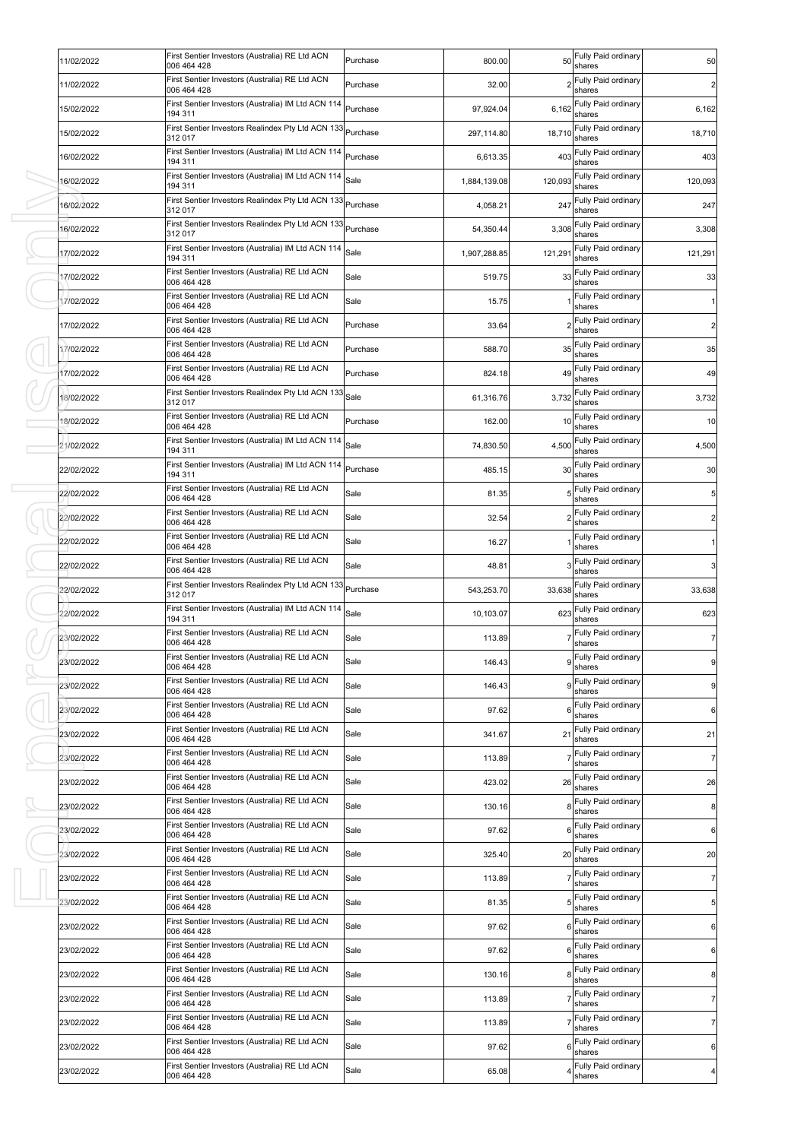| 11/02/2022 | First Sentier Investors (Australia) RE Ltd ACN<br>006 464 428 | Purchase | 800.00       | 50      | Fully Paid ordinary<br>shares    | 50              |
|------------|---------------------------------------------------------------|----------|--------------|---------|----------------------------------|-----------------|
| 11/02/2022 | First Sentier Investors (Australia) RE Ltd ACN<br>006 464 428 | Purchase | 32.00        |         | Fully Paid ordinary<br>shares    | $2 \mid$        |
| 15/02/2022 | First Sentier Investors (Australia) IM Ltd ACN 114<br>194 311 | Purchase | 97,924.04    | 6,162   | Fully Paid ordinary<br>shares    | 6,162           |
| 15/02/2022 | First Sentier Investors Realindex Pty Ltd ACN 133<br>312 017  | Purchase | 297,114.80   | 18,710  | Fully Paid ordinary<br>shares    | 18,710          |
| 16/02/2022 | First Sentier Investors (Australia) IM Ltd ACN 114<br>194 311 | Purchase | 6,613.35     | 403     | Fully Paid ordinary<br>shares    | 403             |
| 16/02/2022 | First Sentier Investors (Australia) IM Ltd ACN 114<br>194 311 | Sale     | 1,884,139.08 | 120,093 | Fully Paid ordinary<br>shares    | 120,093         |
| 16/02/2022 | First Sentier Investors Realindex Pty Ltd ACN 133<br>312 017  | Purchase | 4,058.21     | 247     | Fully Paid ordinary<br>shares    | 247             |
| 16/02/2022 | First Sentier Investors Realindex Pty Ltd ACN 133<br>312 017  | Purchase | 54,350.44    | 3,308   | Fully Paid ordinary<br>shares    | 3,308           |
| 17/02/2022 | First Sentier Investors (Australia) IM Ltd ACN 114<br>194 311 | Sale     | 1,907,288.85 | 121,291 | Fully Paid ordinary<br>shares    | 121,291         |
| 17/02/2022 | First Sentier Investors (Australia) RE Ltd ACN<br>006 464 428 | Sale     | 519.75       |         | 33 Fully Paid ordinary<br>shares | 33              |
| 17/02/2022 | First Sentier Investors (Australia) RE Ltd ACN<br>006 464 428 | Sale     | 15.75        |         | Fully Paid ordinary<br>shares    | 1               |
| 17/02/2022 | First Sentier Investors (Australia) RE Ltd ACN<br>006 464 428 | Purchase | 33.64        |         | Fully Paid ordinary<br>shares    | $\overline{2}$  |
| 17/02/2022 | First Sentier Investors (Australia) RE Ltd ACN<br>006 464 428 | Purchase | 588.70       | 35      | Fully Paid ordinary<br>shares    | 35              |
| 17/02/2022 | First Sentier Investors (Australia) RE Ltd ACN<br>006 464 428 | Purchase | 824.18       | 49      | Fully Paid ordinary<br>shares    | 49              |
| 18/02/2022 | First Sentier Investors Realindex Pty Ltd ACN 133<br>312 017  | Sale     | 61,316.76    | 3,732   | Fully Paid ordinary<br>shares    | 3,732           |
| 18/02/2022 | First Sentier Investors (Australia) RE Ltd ACN<br>006 464 428 | Purchase | 162.00       | 10      | Fully Paid ordinary<br>shares    | 10              |
| 21/02/2022 | First Sentier Investors (Australia) IM Ltd ACN 114<br>194 311 | Sale     | 74,830.50    | 4,500   | Fully Paid ordinary<br>shares    | 4,500           |
| 22/02/2022 | First Sentier Investors (Australia) IM Ltd ACN 114<br>194 311 | Purchase | 485.15       |         | 30 Fully Paid ordinary<br>shares | 30              |
| 22/02/2022 | First Sentier Investors (Australia) RE Ltd ACN<br>006 464 428 | Sale     | 81.35        |         | Fully Paid ordinary<br>shares    | $5\phantom{.0}$ |
| 22/02/2022 | First Sentier Investors (Australia) RE Ltd ACN<br>006 464 428 | Sale     | 32.54        |         | Fully Paid ordinary<br>shares    | $\overline{2}$  |
| 22/02/2022 | First Sentier Investors (Australia) RE Ltd ACN<br>006 464 428 | Sale     | 16.27        |         | Fully Paid ordinary<br>shares    | $\mathbf{1}$    |
| 22/02/2022 | First Sentier Investors (Australia) RE Ltd ACN<br>006 464 428 | Sale     | 48.81        |         | Fully Paid ordinary<br>shares    | 3               |
| 22/02/2022 | First Sentier Investors Realindex Pty Ltd ACN 133<br>312 017  | Purchase | 543,253.70   | 33,638  | Fully Paid ordinary<br>shares    | 33,638          |
| 22/02/2022 | First Sentier Investors (Australia) IM Ltd ACN 114<br>194 311 | Sale     | 10,103.07    | 623     | Fully Paid ordinary<br>shares    | 623             |
| 23/02/2022 | First Sentier Investors (Australia) RE Ltd ACN<br>006 464 428 | Sale     | 113.89       |         | Fully Paid ordinary<br>shares    | $\overline{7}$  |
| 23/02/2022 | First Sentier Investors (Australia) RE Ltd ACN<br>006 464 428 | Sale     | 146.43       |         | 9 Fully Paid ordinary<br>shares  | 9               |
| 23/02/2022 | First Sentier Investors (Australia) RE Ltd ACN<br>006 464 428 | Sale     | 146.43       | 9       | Fully Paid ordinary<br>shares    | 9               |
| 23/02/2022 | First Sentier Investors (Australia) RE Ltd ACN<br>006 464 428 | Sale     | 97.62        |         | Fully Paid ordinary<br>shares    | 6               |
| 23/02/2022 | First Sentier Investors (Australia) RE Ltd ACN<br>006 464 428 | Sale     | 341.67       | 21      | Fully Paid ordinary<br>shares    | 21              |
| 23/02/2022 | First Sentier Investors (Australia) RE Ltd ACN<br>006 464 428 | Sale     | 113.89       |         | Fully Paid ordinary<br>shares    | $\overline{7}$  |
| 23/02/2022 | First Sentier Investors (Australia) RE Ltd ACN<br>006 464 428 | Sale     | 423.02       | 26      | Fully Paid ordinary<br>shares    | 26              |
| 23/02/2022 | First Sentier Investors (Australia) RE Ltd ACN<br>006 464 428 | Sale     | 130.16       |         | Fully Paid ordinary<br>shares    | 8               |
| 23/02/2022 | First Sentier Investors (Australia) RE Ltd ACN<br>006 464 428 | Sale     | 97.62        | 6       | Fully Paid ordinary<br>shares    | 6               |
| 23/02/2022 | First Sentier Investors (Australia) RE Ltd ACN<br>006 464 428 | Sale     | 325.40       | 20      | Fully Paid ordinary<br>shares    | 20              |
| 23/02/2022 | First Sentier Investors (Australia) RE Ltd ACN<br>006 464 428 | Sale     | 113.89       |         | Fully Paid ordinary<br>shares    | $\overline{7}$  |
| 23/02/2022 | First Sentier Investors (Australia) RE Ltd ACN<br>006 464 428 | Sale     | 81.35        |         | Fully Paid ordinary<br>shares    | 5 <sub>l</sub>  |
| 23/02/2022 | First Sentier Investors (Australia) RE Ltd ACN<br>006 464 428 | Sale     | 97.62        | 6       | Fully Paid ordinary<br>shares    | 6               |
| 23/02/2022 | First Sentier Investors (Australia) RE Ltd ACN<br>006 464 428 | Sale     | 97.62        |         | Fully Paid ordinary<br>shares    | $6 \mid$        |
| 23/02/2022 | First Sentier Investors (Australia) RE Ltd ACN<br>006 464 428 | Sale     | 130.16       |         | Fully Paid ordinary<br>shares    | 8 <sub>l</sub>  |
| 23/02/2022 | First Sentier Investors (Australia) RE Ltd ACN<br>006 464 428 | Sale     | 113.89       |         | Fully Paid ordinary<br>shares    | 7               |
| 23/02/2022 | First Sentier Investors (Australia) RE Ltd ACN<br>006 464 428 | Sale     | 113.89       |         | Fully Paid ordinary<br>shares    | $\mathbf{7}$    |
| 23/02/2022 | First Sentier Investors (Australia) RE Ltd ACN<br>006 464 428 | Sale     | 97.62        | 6       | Fully Paid ordinary<br>shares    | $6 \mid$        |
| 23/02/2022 | First Sentier Investors (Australia) RE Ltd ACN<br>006 464 428 | Sale     | 65.08        |         | Fully Paid ordinary<br>shares    | 4 <sub>1</sub>  |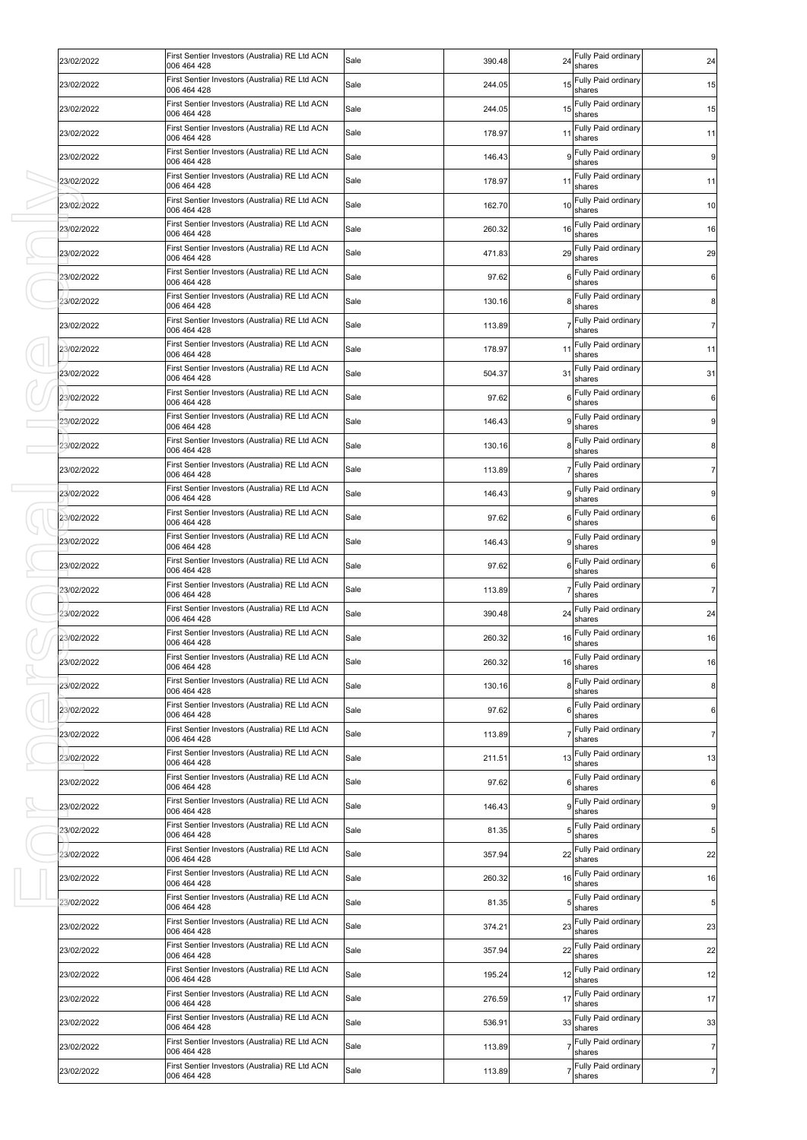| 23/02/2022 | First Sentier Investors (Australia) RE Ltd ACN<br>006 464 428 | Sale | 390.48 | 24 | Fully Paid ordinary<br>shares    | 24             |
|------------|---------------------------------------------------------------|------|--------|----|----------------------------------|----------------|
| 23/02/2022 | First Sentier Investors (Australia) RE Ltd ACN<br>006 464 428 | Sale | 244.05 | 15 | Fully Paid ordinary<br>shares    | 15             |
| 23/02/2022 | First Sentier Investors (Australia) RE Ltd ACN<br>006 464 428 | Sale | 244.05 | 15 | Fully Paid ordinary<br>shares    | 15             |
| 23/02/2022 | First Sentier Investors (Australia) RE Ltd ACN<br>006 464 428 | Sale | 178.97 | 11 | Fully Paid ordinary<br>shares    | 11             |
| 23/02/2022 | First Sentier Investors (Australia) RE Ltd ACN<br>006 464 428 | Sale | 146.43 |    | Fully Paid ordinary<br>shares    | 9              |
| 23/02/2022 | First Sentier Investors (Australia) RE Ltd ACN<br>006 464 428 | Sale | 178.97 | 11 | Fully Paid ordinary<br>shares    | 11             |
| 23/02/2022 | First Sentier Investors (Australia) RE Ltd ACN<br>006 464 428 | Sale | 162.70 | 10 | Fully Paid ordinary<br>shares    | 10             |
| 23/02/2022 | First Sentier Investors (Australia) RE Ltd ACN<br>006 464 428 | Sale | 260.32 | 16 | Fully Paid ordinary<br>shares    | 16             |
| 23/02/2022 | First Sentier Investors (Australia) RE Ltd ACN<br>006 464 428 | Sale | 471.83 | 29 | Fully Paid ordinary<br>shares    | 29             |
| 23/02/2022 | First Sentier Investors (Australia) RE Ltd ACN<br>006 464 428 | Sale | 97.62  |    | Fully Paid ordinary<br>shares    | $6 \mid$       |
| 23/02/2022 | First Sentier Investors (Australia) RE Ltd ACN<br>006 464 428 | Sale | 130.16 |    | Fully Paid ordinary<br>shares    | 8 <sub>l</sub> |
| 23/02/2022 | First Sentier Investors (Australia) RE Ltd ACN<br>006 464 428 | Sale | 113.89 |    | Fully Paid ordinary<br>shares    | $\overline{7}$ |
| 23/02/2022 | First Sentier Investors (Australia) RE Ltd ACN<br>006 464 428 | Sale | 178.97 | 11 | Fully Paid ordinary<br>shares    | 11             |
| 23/02/2022 | First Sentier Investors (Australia) RE Ltd ACN<br>006 464 428 | Sale | 504.37 | 31 | Fully Paid ordinary<br>shares    | 31             |
| 23/02/2022 | First Sentier Investors (Australia) RE Ltd ACN<br>006 464 428 | Sale | 97.62  | Բ  | Fully Paid ordinary<br>shares    | 6              |
| 23/02/2022 | First Sentier Investors (Australia) RE Ltd ACN<br>006 464 428 | Sale | 146.43 |    | Fully Paid ordinary<br>shares    | 9              |
| 23/02/2022 | First Sentier Investors (Australia) RE Ltd ACN<br>006 464 428 | Sale | 130.16 |    | Fully Paid ordinary<br>shares    | 8              |
| 23/02/2022 | First Sentier Investors (Australia) RE Ltd ACN<br>006 464 428 | Sale | 113.89 |    | Fully Paid ordinary<br>shares    | $\overline{7}$ |
| 23/02/2022 | First Sentier Investors (Australia) RE Ltd ACN<br>006 464 428 | Sale | 146.43 | g  | Fully Paid ordinary<br>shares    | 9              |
| 23/02/2022 | First Sentier Investors (Australia) RE Ltd ACN<br>006 464 428 | Sale | 97.62  | 6  | Fully Paid ordinary<br>shares    | 6              |
| 23/02/2022 | First Sentier Investors (Australia) RE Ltd ACN<br>006 464 428 | Sale | 146.43 |    | Fully Paid ordinary<br>shares    | 9              |
| 23/02/2022 | First Sentier Investors (Australia) RE Ltd ACN<br>006 464 428 | Sale | 97.62  | 6  | Fully Paid ordinary<br>shares    | 6              |
| 23/02/2022 | First Sentier Investors (Australia) RE Ltd ACN<br>006 464 428 | Sale | 113.89 |    | Fully Paid ordinary<br>shares    | $\overline{7}$ |
| 23/02/2022 | First Sentier Investors (Australia) RE Ltd ACN<br>006 464 428 | Sale | 390.48 | 24 | Fully Paid ordinary<br>shares    | 24             |
| 23/02/2022 | First Sentier Investors (Australia) RE Ltd ACN<br>006 464 428 | Sale | 260.32 | 16 | Fully Paid ordinary<br>shares    | 16             |
| 23/02/2022 | First Sentier Investors (Australia) RE Ltd ACN<br>006 464 428 | Sale | 260.32 |    | 16 Fully Paid ordinary<br>shares | 16             |
| 23/02/2022 | First Sentier Investors (Australia) RE Ltd ACN<br>006 464 428 | Sale | 130.16 |    | Fully Paid ordinary<br>shares    | 8              |
| 23/02/2022 | First Sentier Investors (Australia) RE Ltd ACN<br>006 464 428 | Sale | 97.62  | 6  | Fully Paid ordinary<br>shares    | 6              |
| 23/02/2022 | First Sentier Investors (Australia) RE Ltd ACN<br>006 464 428 | Sale | 113.89 |    | Fully Paid ordinary<br>shares    | $\overline{7}$ |
| 23/02/2022 | First Sentier Investors (Australia) RE Ltd ACN<br>006 464 428 | Sale | 211.51 | 13 | Fully Paid ordinary<br>shares    | 13             |
| 23/02/2022 | First Sentier Investors (Australia) RE Ltd ACN<br>006 464 428 | Sale | 97.62  | 6  | Fully Paid ordinary<br>shares    | 6              |
| 23/02/2022 | First Sentier Investors (Australia) RE Ltd ACN<br>006 464 428 | Sale | 146.43 | g  | Fully Paid ordinary<br>shares    | 9              |
| 23/02/2022 | First Sentier Investors (Australia) RE Ltd ACN<br>006 464 428 | Sale | 81.35  |    | Fully Paid ordinary<br>shares    | 5 <sub>l</sub> |
| 23/02/2022 | First Sentier Investors (Australia) RE Ltd ACN<br>006 464 428 | Sale | 357.94 | 22 | Fully Paid ordinary<br>shares    | 22             |
| 23/02/2022 | First Sentier Investors (Australia) RE Ltd ACN<br>006 464 428 | Sale | 260.32 | 16 | Fully Paid ordinary<br>shares    | 16             |
| 23/02/2022 | First Sentier Investors (Australia) RE Ltd ACN<br>006 464 428 | Sale | 81.35  |    | Fully Paid ordinary<br>shares    | 5 <sub>1</sub> |
| 23/02/2022 | First Sentier Investors (Australia) RE Ltd ACN<br>006 464 428 | Sale | 374.21 | 23 | Fully Paid ordinary<br>shares    | 23             |
| 23/02/2022 | First Sentier Investors (Australia) RE Ltd ACN<br>006 464 428 | Sale | 357.94 | 22 | Fully Paid ordinary<br>shares    | 22             |
| 23/02/2022 | First Sentier Investors (Australia) RE Ltd ACN<br>006 464 428 | Sale | 195.24 | 12 | Fully Paid ordinary<br>shares    | 12             |
| 23/02/2022 | First Sentier Investors (Australia) RE Ltd ACN<br>006 464 428 | Sale | 276.59 | 17 | Fully Paid ordinary<br>shares    | 17             |
| 23/02/2022 | First Sentier Investors (Australia) RE Ltd ACN<br>006 464 428 | Sale | 536.91 | 33 | Fully Paid ordinary<br>shares    | 33             |
| 23/02/2022 | First Sentier Investors (Australia) RE Ltd ACN<br>006 464 428 | Sale | 113.89 |    | Fully Paid ordinary<br>shares    | $\overline{7}$ |
| 23/02/2022 | First Sentier Investors (Australia) RE Ltd ACN<br>006 464 428 | Sale | 113.89 |    | Fully Paid ordinary<br>shares    | $\overline{7}$ |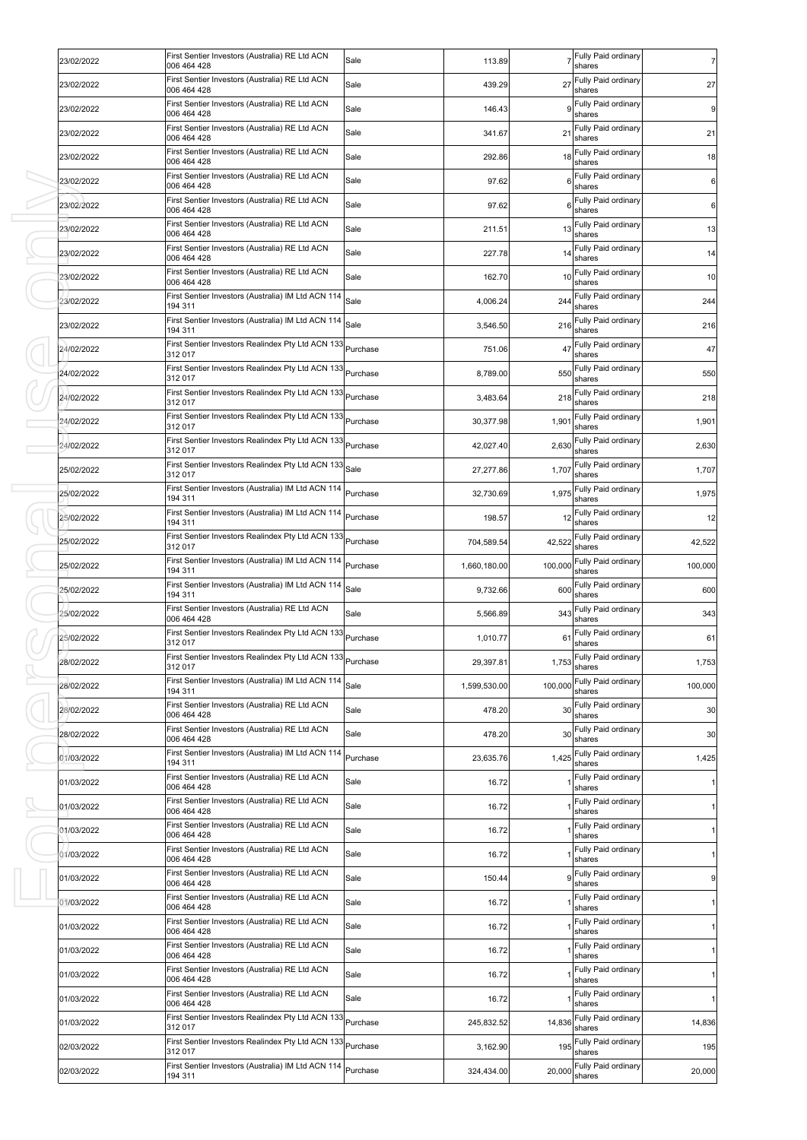| 23/02/2022 | First Sentier Investors (Australia) RE Ltd ACN<br>006 464 428         | Sale     | 113.89       |         | Fully Paid ordinary<br>shares       | $\overline{7}$ |
|------------|-----------------------------------------------------------------------|----------|--------------|---------|-------------------------------------|----------------|
| 23/02/2022 | First Sentier Investors (Australia) RE Ltd ACN<br>006 464 428         | Sale     | 439.29       | 27      | Fully Paid ordinary<br>shares       | 27             |
| 23/02/2022 | First Sentier Investors (Australia) RE Ltd ACN<br>006 464 428         | Sale     | 146.43       |         | Fully Paid ordinary<br>shares       | 9              |
| 23/02/2022 | First Sentier Investors (Australia) RE Ltd ACN<br>006 464 428         | Sale     | 341.67       | 21      | Fully Paid ordinary<br>shares       | 21             |
| 23/02/2022 | First Sentier Investors (Australia) RE Ltd ACN<br>006 464 428         | Sale     | 292.86       | 18      | Fully Paid ordinary<br>shares       | 18             |
| 23/02/2022 | First Sentier Investors (Australia) RE Ltd ACN<br>006 464 428         | Sale     | 97.62        | 6       | Fully Paid ordinary<br>shares       | 6              |
| 23/02/2022 | First Sentier Investors (Australia) RE Ltd ACN<br>006 464 428         | Sale     | 97.62        | 6       | Fully Paid ordinary<br>shares       | 6              |
| 23/02/2022 | First Sentier Investors (Australia) RE Ltd ACN<br>006 464 428         | Sale     | 211.51       | 13      | Fully Paid ordinary<br>shares       | 13             |
| 23/02/2022 | First Sentier Investors (Australia) RE Ltd ACN<br>006 464 428         | Sale     | 227.78       | 14      | Fully Paid ordinary<br>shares       | 14             |
| 23/02/2022 | First Sentier Investors (Australia) RE Ltd ACN<br>006 464 428         | Sale     | 162.70       |         | 10 Fully Paid ordinary<br>shares    | 10             |
| 23/02/2022 | First Sentier Investors (Australia) IM Ltd ACN 114<br>194 311         | Sale     | 4,006.24     | 244     | Fully Paid ordinary<br>shares       | 244            |
| 23/02/2022 | First Sentier Investors (Australia) IM Ltd ACN 114<br>194 311         | Sale     | 3,546.50     | 216     | Fully Paid ordinary<br>shares       | 216            |
| 24/02/2022 | First Sentier Investors Realindex Pty Ltd ACN 133<br>312 017          | Purchase | 751.06       | 47      | Fully Paid ordinary<br>shares       | 47             |
| 24/02/2022 | First Sentier Investors Realindex Pty Ltd ACN 133<br>312 017          | Purchase | 8,789.00     | 550     | Fully Paid ordinary<br>shares       | 550            |
| 24/02/2022 | First Sentier Investors Realindex Pty Ltd ACN 133<br>312 017          | Purchase | 3,483.64     | 218     | Fully Paid ordinary<br>shares       | 218            |
| 24/02/2022 | First Sentier Investors Realindex Pty Ltd ACN 133<br>312 017          | Purchase | 30,377.98    | 1,901   | Fully Paid ordinary<br>shares       | 1,901          |
| 24/02/2022 | First Sentier Investors Realindex Pty Ltd ACN 133 Purchase<br>312 017 |          | 42,027.40    | 2,630   | Fully Paid ordinary<br>shares       | 2,630          |
| 25/02/2022 | First Sentier Investors Realindex Pty Ltd ACN 133<br>312 017          | Sale     | 27,277.86    | 1,707   | Fully Paid ordinary<br>shares       | 1,707          |
| 25/02/2022 | First Sentier Investors (Australia) IM Ltd ACN 114<br>194 311         | Purchase | 32,730.69    | 1,975   | Fully Paid ordinary<br>shares       | 1,975          |
| 25/02/2022 | First Sentier Investors (Australia) IM Ltd ACN 114<br>194 311         | Purchase | 198.57       | 12      | Fully Paid ordinary<br>shares       | 12             |
| 25/02/2022 | First Sentier Investors Realindex Pty Ltd ACN 133<br>312 017          | Purchase | 704,589.54   | 42,522  | Fully Paid ordinary<br>shares       | 42,522         |
| 25/02/2022 | First Sentier Investors (Australia) IM Ltd ACN 114<br>194 311         | Purchase | 1,660,180.00 | 100,000 | Fully Paid ordinary<br>shares       | 100,000        |
| 25/02/2022 | First Sentier Investors (Australia) IM Ltd ACN 114<br>194 311         | Sale     | 9,732.66     | 600     | Fully Paid ordinary<br>shares       | 600            |
| 25/02/2022 | First Sentier Investors (Australia) RE Ltd ACN<br>006 464 428         | Sale     | 5,566.89     | 343     | Fully Paid ordinary<br>shares       | 343            |
| 25/02/2022 | First Sentier Investors Realindex Pty Ltd ACN 133<br>312 017          | Purchase | 1,010.77     | 61      | Fully Paid ordinary<br>shares       | 61             |
| 28/02/2022 | First Sentier Investors Realindex Pty Ltd ACN 133<br>312 017          | Purchase | 29,397.81    |         | 1,753 Fully Paid ordinary<br>shares | 1,753          |
| 28/02/2022 | First Sentier Investors (Australia) IM Ltd ACN 114<br>194 311         | Sale     | 1,599,530.00 | 100,000 | Fully Paid ordinary<br>shares       | 100,000        |
| 28/02/2022 | First Sentier Investors (Australia) RE Ltd ACN<br>006 464 428         | Sale     | 478.20       | 30      | Fully Paid ordinary<br>shares       | 30             |
| 28/02/2022 | First Sentier Investors (Australia) RE Ltd ACN<br>006 464 428         | Sale     | 478.20       | 30      | Fully Paid ordinary<br>shares       | 30             |
| 01/03/2022 | First Sentier Investors (Australia) IM Ltd ACN 114<br>194 311         | Purchase | 23,635.76    | 1,425   | Fully Paid ordinary<br>shares       | 1,425          |
| 01/03/2022 | First Sentier Investors (Australia) RE Ltd ACN<br>006 464 428         | Sale     | 16.72        |         | Fully Paid ordinary<br>shares       | 1              |
| 01/03/2022 | First Sentier Investors (Australia) RE Ltd ACN<br>006 464 428         | Sale     | 16.72        |         | Fully Paid ordinary<br>shares       | 1              |
| 01/03/2022 | First Sentier Investors (Australia) RE Ltd ACN<br>006 464 428         | Sale     | 16.72        |         | Fully Paid ordinary<br>shares       | 1              |
| 01/03/2022 | First Sentier Investors (Australia) RE Ltd ACN<br>006 464 428         | Sale     | 16.72        |         | Fully Paid ordinary<br>shares       | 11             |
| 01/03/2022 | First Sentier Investors (Australia) RE Ltd ACN<br>006 464 428         | Sale     | 150.44       |         | Fully Paid ordinary<br>shares       | 9              |
| 01/03/2022 | First Sentier Investors (Australia) RE Ltd ACN<br>006 464 428         | Sale     | 16.72        |         | Fully Paid ordinary<br>shares       | 11             |
| 01/03/2022 | First Sentier Investors (Australia) RE Ltd ACN<br>006 464 428         | Sale     | 16.72        |         | Fully Paid ordinary<br>shares       | 1              |
| 01/03/2022 | First Sentier Investors (Australia) RE Ltd ACN<br>006 464 428         | Sale     | 16.72        |         | Fully Paid ordinary<br>shares       | 1              |
| 01/03/2022 | First Sentier Investors (Australia) RE Ltd ACN<br>006 464 428         | Sale     | 16.72        |         | Fully Paid ordinary<br>shares       | $\mathbf{1}$   |
| 01/03/2022 | First Sentier Investors (Australia) RE Ltd ACN<br>006 464 428         | Sale     | 16.72        |         | Fully Paid ordinary<br>shares       | $\mathbf{1}$   |
| 01/03/2022 | First Sentier Investors Realindex Pty Ltd ACN 133<br>312 017          | Purchase | 245,832.52   | 14,836  | Fully Paid ordinary<br>shares       | 14,836         |
| 02/03/2022 | First Sentier Investors Realindex Pty Ltd ACN 133<br>312 017          | Purchase | 3,162.90     | 195     | Fully Paid ordinary<br>shares       | 195            |
| 02/03/2022 | First Sentier Investors (Australia) IM Ltd ACN 114<br>194 311         | Purchase | 324,434.00   | 20,000  | Fully Paid ordinary<br>shares       | 20,000         |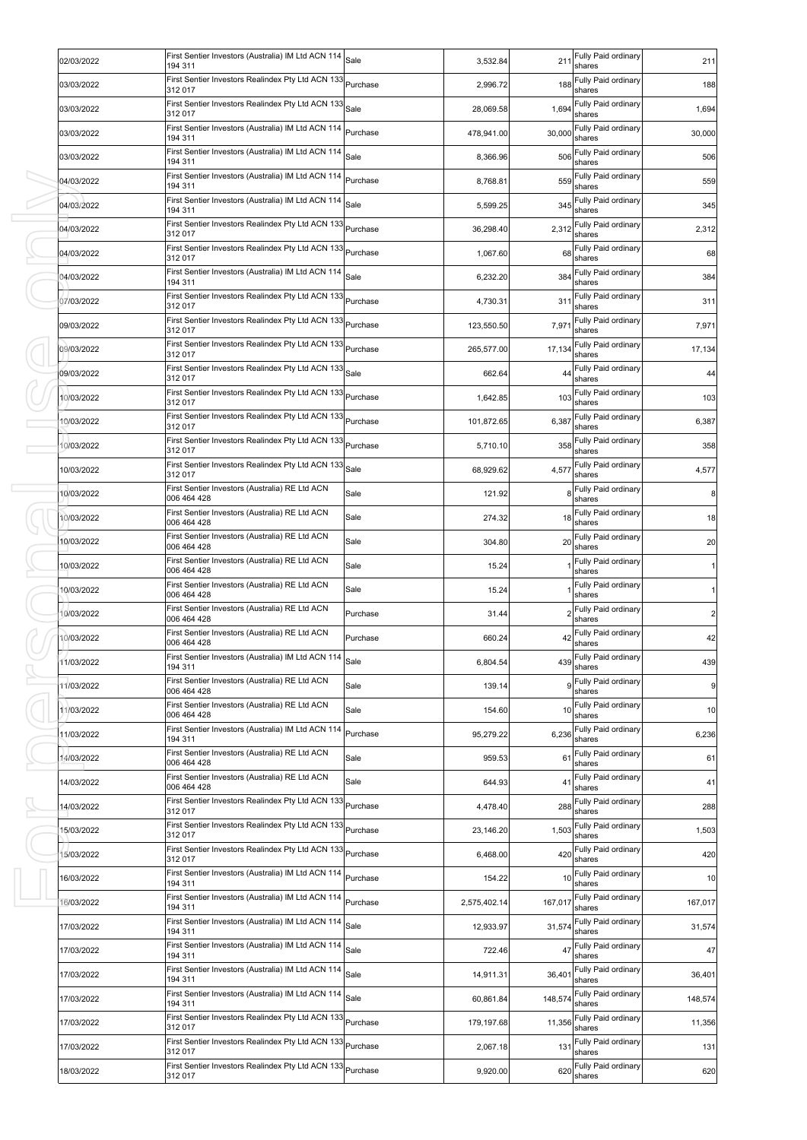| 02/03/2022 | First Sentier Investors (Australia) IM Ltd ACN 114<br>194 311         | Sale     | 3,532.84     | 211     | Fully Paid ordinary<br>shares     | 211            |
|------------|-----------------------------------------------------------------------|----------|--------------|---------|-----------------------------------|----------------|
| 03/03/2022 | First Sentier Investors Realindex Pty Ltd ACN 133<br>312 017          | Purchase | 2,996.72     | 188     | Fully Paid ordinary<br>shares     | 188            |
| 03/03/2022 | First Sentier Investors Realindex Pty Ltd ACN 133<br>312 017          | Sale     | 28,069.58    | 1,694   | Fully Paid ordinary<br>shares     | 1,694          |
| 03/03/2022 | First Sentier Investors (Australia) IM Ltd ACN 114<br>194 311         | Purchase | 478,941.00   | 30,000  | Fully Paid ordinary<br>shares     | 30,000         |
| 03/03/2022 | First Sentier Investors (Australia) IM Ltd ACN 114<br>194 311         | Sale     | 8,366.96     | 506     | Fully Paid ordinary<br>shares     | 506            |
| 04/03/2022 | First Sentier Investors (Australia) IM Ltd ACN 114<br>194 311         | Purchase | 8,768.81     | 559     | Fully Paid ordinary<br>shares     | 559            |
| 04/03/2022 | First Sentier Investors (Australia) IM Ltd ACN 114<br>194 311         | Sale     | 5,599.25     | 345     | Fully Paid ordinary<br>shares     | 345            |
| 04/03/2022 | First Sentier Investors Realindex Pty Ltd ACN 133<br>312 017          | Purchase | 36,298.40    | 2,312   | Fully Paid ordinary<br>shares     | 2,312          |
| 04/03/2022 | First Sentier Investors Realindex Pty Ltd ACN 133<br>312 017          | Purchase | 1,067.60     | 68      | Fully Paid ordinary<br>shares     | 68             |
| 04/03/2022 | First Sentier Investors (Australia) IM Ltd ACN 114<br>194 311         | Sale     | 6,232.20     | 384     | Fully Paid ordinary<br>shares     | 384            |
| 07/03/2022 | First Sentier Investors Realindex Pty Ltd ACN 133<br>312 017          | Purchase | 4,730.31     | 311     | Fully Paid ordinary<br>shares     | 311            |
| 09/03/2022 | First Sentier Investors Realindex Pty Ltd ACN 133<br>312 017          | Purchase | 123,550.50   | 7,971   | Fully Paid ordinary<br>shares     | 7,971          |
| 09/03/2022 | First Sentier Investors Realindex Pty Ltd ACN 133<br>312 017          | Purchase | 265,577.00   | 17,134  | Fully Paid ordinary<br>shares     | 17,134         |
| 09/03/2022 | First Sentier Investors Realindex Pty Ltd ACN 133<br>312 017          | Sale     | 662.64       | 44      | Fully Paid ordinary<br>shares     | 44             |
| 10/03/2022 | First Sentier Investors Realindex Pty Ltd ACN 133<br>312 017          | Purchase | 1,642.85     | 103     | Fully Paid ordinary<br>shares     | 103            |
| 10/03/2022 | First Sentier Investors Realindex Pty Ltd ACN 133<br>312 017          | Purchase | 101,872.65   | 6,387   | Fully Paid ordinary<br>shares     | 6,387          |
| 10/03/2022 | First Sentier Investors Realindex Pty Ltd ACN 133 Purchase<br>312 017 |          | 5,710.10     | 358     | Fully Paid ordinary<br>shares     | 358            |
| 10/03/2022 | First Sentier Investors Realindex Pty Ltd ACN 133<br>312 017          | Sale     | 68,929.62    | 4,577   | Fully Paid ordinary<br>shares     | 4,577          |
| 10/03/2022 | First Sentier Investors (Australia) RE Ltd ACN<br>006 464 428         | Sale     | 121.92       |         | Fully Paid ordinary<br>shares     | 8              |
| 10/03/2022 | First Sentier Investors (Australia) RE Ltd ACN<br>006 464 428         | Sale     | 274.32       | 18      | Fully Paid ordinary<br>shares     | 18             |
| 10/03/2022 | First Sentier Investors (Australia) RE Ltd ACN<br>006 464 428         | Sale     | 304.80       | 20      | Fully Paid ordinary<br>shares     | 20             |
| 10/03/2022 | First Sentier Investors (Australia) RE Ltd ACN<br>006 464 428         | Sale     | 15.24        |         | Fully Paid ordinary<br>shares     | $\mathbf{1}$   |
| 10/03/2022 | First Sentier Investors (Australia) RE Ltd ACN<br>006 464 428         | Sale     | 15.24        |         | Fully Paid ordinary<br>shares     | 1              |
| 10/03/2022 | First Sentier Investors (Australia) RE Ltd ACN<br>006 464 428         | Purchase | 31.44        |         | Fully Paid ordinary<br>shares     | $\overline{c}$ |
| 10/03/2022 | First Sentier Investors (Australia) RE Ltd ACN<br>006 464 428         | Purchase | 660.24       | 42      | Fully Paid ordinary<br>shares     | 42             |
| 11/03/2022 | First Sentier Investors (Australia) IM Ltd ACN 114<br>194 311         | Sale     | 6,804.54     |         | 439 Fully Paid ordinary<br>shares | 439            |
| 11/03/2022 | First Sentier Investors (Australia) RE Ltd ACN<br>006 464 428         | Sale     | 139.14       | 9       | Fully Paid ordinary<br>shares     | 9              |
| 11/03/2022 | First Sentier Investors (Australia) RE Ltd ACN<br>006 464 428         | Sale     | 154.60       | 10      | Fully Paid ordinary<br>shares     | 10             |
| 11/03/2022 | First Sentier Investors (Australia) IM Ltd ACN 114<br>194 311         | Purchase | 95,279.22    | 6,236   | Fully Paid ordinary<br>shares     | 6,236          |
| 14/03/2022 | First Sentier Investors (Australia) RE Ltd ACN<br>006 464 428         | Sale     | 959.53       | 61      | Fully Paid ordinary<br>shares     | 61             |
| 14/03/2022 | First Sentier Investors (Australia) RE Ltd ACN<br>006 464 428         | Sale     | 644.93       | 41      | Fully Paid ordinary<br>shares     | 41             |
| 14/03/2022 | First Sentier Investors Realindex Pty Ltd ACN 133<br>312 017          | Purchase | 4,478.40     | 288     | Fully Paid ordinary<br>shares     | 288            |
| 15/03/2022 | First Sentier Investors Realindex Pty Ltd ACN 133<br>312 017          | Purchase | 23,146.20    | 1,503   | Fully Paid ordinary<br>shares     | 1,503          |
| 15/03/2022 | First Sentier Investors Realindex Pty Ltd ACN 133<br>312 017          | Purchase | 6,468.00     |         | 420 Fully Paid ordinary<br>shares | 420            |
| 16/03/2022 | First Sentier Investors (Australia) IM Ltd ACN 114<br>194 311         | Purchase | 154.22       | 10      | Fully Paid ordinary<br>shares     | 10             |
| 16/03/2022 | First Sentier Investors (Australia) IM Ltd ACN 114<br>194 311         | Purchase | 2,575,402.14 | 167,017 | Fully Paid ordinary<br>shares     | 167,017        |
| 17/03/2022 | First Sentier Investors (Australia) IM Ltd ACN 114<br>194 311         | Sale     | 12,933.97    | 31,574  | Fully Paid ordinary<br>shares     | 31,574         |
| 17/03/2022 | First Sentier Investors (Australia) IM Ltd ACN 114<br>194 311         | Sale     | 722.46       | 47      | Fully Paid ordinary<br>shares     | 47             |
| 17/03/2022 | First Sentier Investors (Australia) IM Ltd ACN 114<br>194 311         | Sale     | 14,911.31    | 36,401  | Fully Paid ordinary<br>shares     | 36,401         |
| 17/03/2022 | First Sentier Investors (Australia) IM Ltd ACN 114<br>194 311         | Sale     | 60,861.84    | 148,574 | Fully Paid ordinary<br>shares     | 148,574        |
| 17/03/2022 | First Sentier Investors Realindex Pty Ltd ACN 133<br>312 017          | Purchase | 179,197.68   | 11,356  | Fully Paid ordinary<br>shares     | 11,356         |
| 17/03/2022 | First Sentier Investors Realindex Pty Ltd ACN 133<br>312 017          | Purchase | 2,067.18     | 131     | Fully Paid ordinary<br>shares     | 131            |
| 18/03/2022 | First Sentier Investors Realindex Pty Ltd ACN 133 Purchase<br>312 017 |          | 9,920.00     | 620     | Fully Paid ordinary<br>shares     | 620            |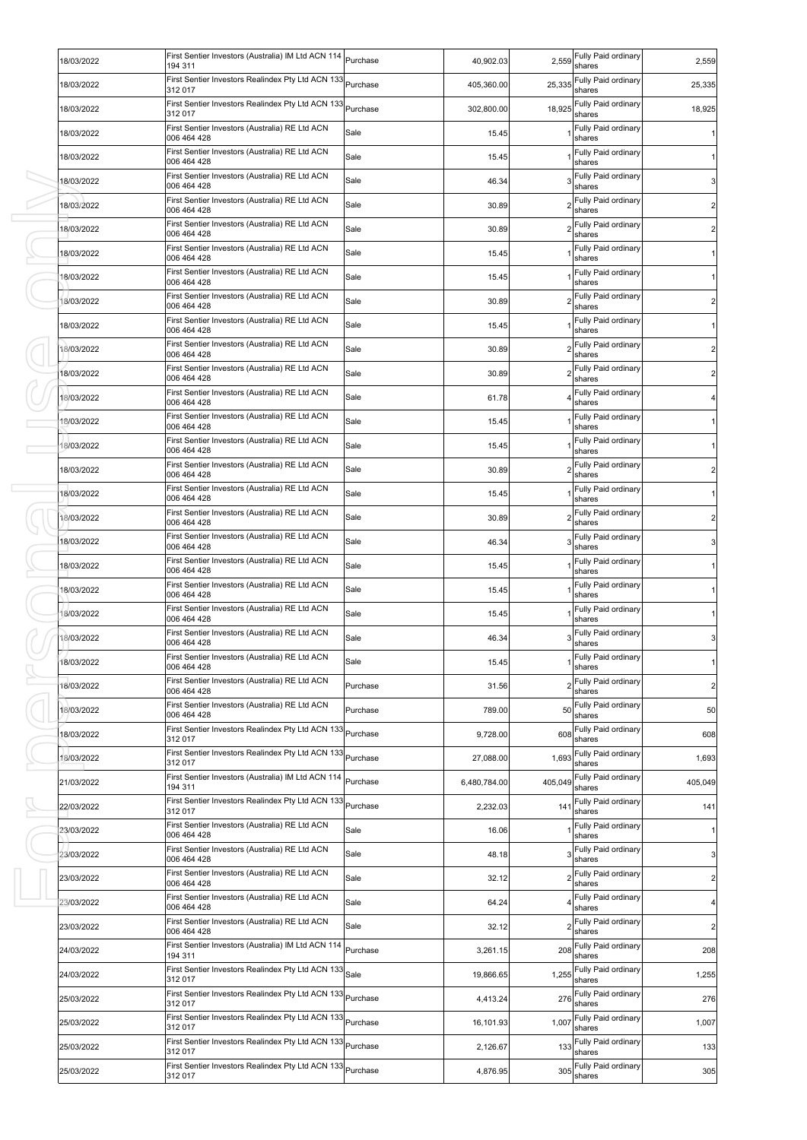| 18/03/2022 | First Sentier Investors (Australia) IM Ltd ACN 114 Purchase<br>194 311 |          | 40,902.03    | 2,559   | Fully Paid ordinary<br>shares     | 2,559          |
|------------|------------------------------------------------------------------------|----------|--------------|---------|-----------------------------------|----------------|
| 18/03/2022 | First Sentier Investors Realindex Pty Ltd ACN 133<br>312 017           | Purchase | 405.360.00   | 25,335  | Fully Paid ordinary<br>shares     | 25,335         |
| 18/03/2022 | First Sentier Investors Realindex Pty Ltd ACN 133<br>312 017           | Purchase | 302,800.00   | 18,925  | Fully Paid ordinary<br>shares     | 18,925         |
| 18/03/2022 | First Sentier Investors (Australia) RE Ltd ACN<br>006 464 428          | Sale     | 15.45        |         | Fully Paid ordinary<br>shares     |                |
| 18/03/2022 | First Sentier Investors (Australia) RE Ltd ACN<br>006 464 428          | Sale     | 15.45        |         | Fully Paid ordinary<br>shares     |                |
| 18/03/2022 | First Sentier Investors (Australia) RE Ltd ACN<br>006 464 428          | Sale     | 46.34        |         | Fully Paid ordinary<br>shares     | 3              |
| 18/03/2022 | First Sentier Investors (Australia) RE Ltd ACN<br>006 464 428          | Sale     | 30.89        |         | Fully Paid ordinary<br>shares     | 2              |
| 18/03/2022 | First Sentier Investors (Australia) RE Ltd ACN<br>006 464 428          | Sale     | 30.89        |         | Fully Paid ordinary<br>shares     | 2              |
| 18/03/2022 | First Sentier Investors (Australia) RE Ltd ACN<br>006 464 428          | Sale     | 15.45        |         | Fully Paid ordinary<br>shares     |                |
| 18/03/2022 | First Sentier Investors (Australia) RE Ltd ACN<br>006 464 428          | Sale     | 15.45        |         | Fully Paid ordinary<br>shares     |                |
| 18/03/2022 | First Sentier Investors (Australia) RE Ltd ACN<br>006 464 428          | Sale     | 30.89        |         | Fully Paid ordinary<br>shares     | 2              |
| 18/03/2022 | First Sentier Investors (Australia) RE Ltd ACN<br>006 464 428          | Sale     | 15.45        |         | Fully Paid ordinary<br>shares     |                |
| 18/03/2022 | First Sentier Investors (Australia) RE Ltd ACN<br>006 464 428          | Sale     | 30.89        |         | Fully Paid ordinary<br>shares     | 2              |
| 18/03/2022 | First Sentier Investors (Australia) RE Ltd ACN<br>006 464 428          | Sale     | 30.89        |         | Fully Paid ordinary<br>shares     | 2              |
| 18/03/2022 | First Sentier Investors (Australia) RE Ltd ACN<br>006 464 428          | Sale     | 61.78        |         | Fully Paid ordinary<br>shares     |                |
| 18/03/2022 | First Sentier Investors (Australia) RE Ltd ACN<br>006 464 428          | Sale     | 15.45        |         | Fully Paid ordinary<br>shares     |                |
| 8/03/2022  | First Sentier Investors (Australia) RE Ltd ACN<br>006 464 428          | Sale     | 15.45        |         | Fully Paid ordinary<br>shares     |                |
| 18/03/2022 | First Sentier Investors (Australia) RE Ltd ACN<br>006 464 428          | Sale     | 30.89        |         | Fully Paid ordinary<br>shares     |                |
| 18/03/2022 | First Sentier Investors (Australia) RE Ltd ACN<br>006 464 428          | Sale     | 15.45        |         | Fully Paid ordinary<br>shares     |                |
| 18/03/2022 | First Sentier Investors (Australia) RE Ltd ACN<br>006 464 428          | Sale     | 30.89        |         | Fully Paid ordinary<br>shares     |                |
| 18/03/2022 | First Sentier Investors (Australia) RE Ltd ACN<br>006 464 428          | Sale     | 46.34        |         | Fully Paid ordinary<br>shares     | 3              |
| 18/03/2022 | First Sentier Investors (Australia) RE Ltd ACN<br>006 464 428          | Sale     | 15.45        |         | Fully Paid ordinary<br>shares     |                |
| 18/03/2022 | First Sentier Investors (Australia) RE Ltd ACN<br>006 464 428          | Sale     | 15.45        |         | Fully Paid ordinary<br>shares     |                |
| 18/03/2022 | First Sentier Investors (Australia) RE Ltd ACN<br>006 464 428          | Sale     | 15.45        |         | Fully Paid ordinary<br>shares     |                |
| 18/03/2022 | First Sentier Investors (Australia) RE Ltd ACN<br>006 464 428          | Sale     | 46.34        |         | Fully Paid ordinary<br>shares     | 3              |
| 18/03/2022 | First Sentier Investors (Australia) RE Ltd ACN<br>006 464 428          | Sale     | 15.45        |         | Fully Paid ordinary<br>shares     | 1              |
| 18/03/2022 | First Sentier Investors (Australia) RE Ltd ACN<br>006 464 428          | Purchase | 31.56        |         | 2 Fully Paid ordinary<br>shares   | $\overline{a}$ |
| 18/03/2022 | First Sentier Investors (Australia) RE Ltd ACN<br>006 464 428          | Purchase | 789.00       |         | 50 Fully Paid ordinary<br>shares  | 50             |
| 18/03/2022 | First Sentier Investors Realindex Pty Ltd ACN 133<br>312 017           | Purchase | 9,728.00     | 608     | Fully Paid ordinary<br>shares     | 608            |
| 18/03/2022 | First Sentier Investors Realindex Pty Ltd ACN 133<br>312 017           | Purchase | 27,088.00    | 1,693   | Fully Paid ordinary<br>shares     | 1,693          |
| 21/03/2022 | First Sentier Investors (Australia) IM Ltd ACN 114<br>194 311          | Purchase | 6,480,784.00 | 405,049 | Fully Paid ordinary<br>shares     | 405,049        |
| 22/03/2022 | First Sentier Investors Realindex Pty Ltd ACN 133<br>312 017           | Purchase | 2,232.03     | 141     | Fully Paid ordinary<br>shares     | 141            |
| 23/03/2022 | First Sentier Investors (Australia) RE Ltd ACN<br>006 464 428          | Sale     | 16.06        |         | Fully Paid ordinary<br>shares     | 1              |
| 23/03/2022 | First Sentier Investors (Australia) RE Ltd ACN<br>006 464 428          | Sale     | 48.18        |         | 3 Fully Paid ordinary<br>shares   | 3              |
| 23/03/2022 | First Sentier Investors (Australia) RE Ltd ACN<br>006 464 428          | Sale     | 32.12        |         | Fully Paid ordinary<br>shares     | $\overline{2}$ |
| 23/03/2022 | First Sentier Investors (Australia) RE Ltd ACN<br>006 464 428          | Sale     | 64.24        |         | Fully Paid ordinary<br>shares     | 4              |
| 23/03/2022 | First Sentier Investors (Australia) RE Ltd ACN<br>006 464 428          | Sale     | 32.12        |         | Fully Paid ordinary<br>shares     | $\overline{2}$ |
| 24/03/2022 | First Sentier Investors (Australia) IM Ltd ACN 114<br>194 311          | Purchase | 3,261.15     | 208     | Fully Paid ordinary<br>shares     | 208            |
| 24/03/2022 | First Sentier Investors Realindex Pty Ltd ACN 133<br>312 017           | Sale     | 19,866.65    | 1,255   | Fully Paid ordinary<br>shares     | 1,255          |
| 25/03/2022 | First Sentier Investors Realindex Pty Ltd ACN 133 Purchase<br>312 017  |          | 4,413.24     | 276     | Fully Paid ordinary<br>shares     | 276            |
| 25/03/2022 | First Sentier Investors Realindex Pty Ltd ACN 133 Purchase<br>312 017  |          | 16,101.93    | 1,007   | Fully Paid ordinary<br>shares     | 1,007          |
| 25/03/2022 | First Sentier Investors Realindex Pty Ltd ACN 133<br>312 017           | Purchase | 2,126.67     |         | 133 Fully Paid ordinary<br>shares | 133            |
| 25/03/2022 | First Sentier Investors Realindex Pty Ltd ACN 133 Purchase<br>312 017  |          | 4,876.95     | 305     | Fully Paid ordinary<br>shares     | 305            |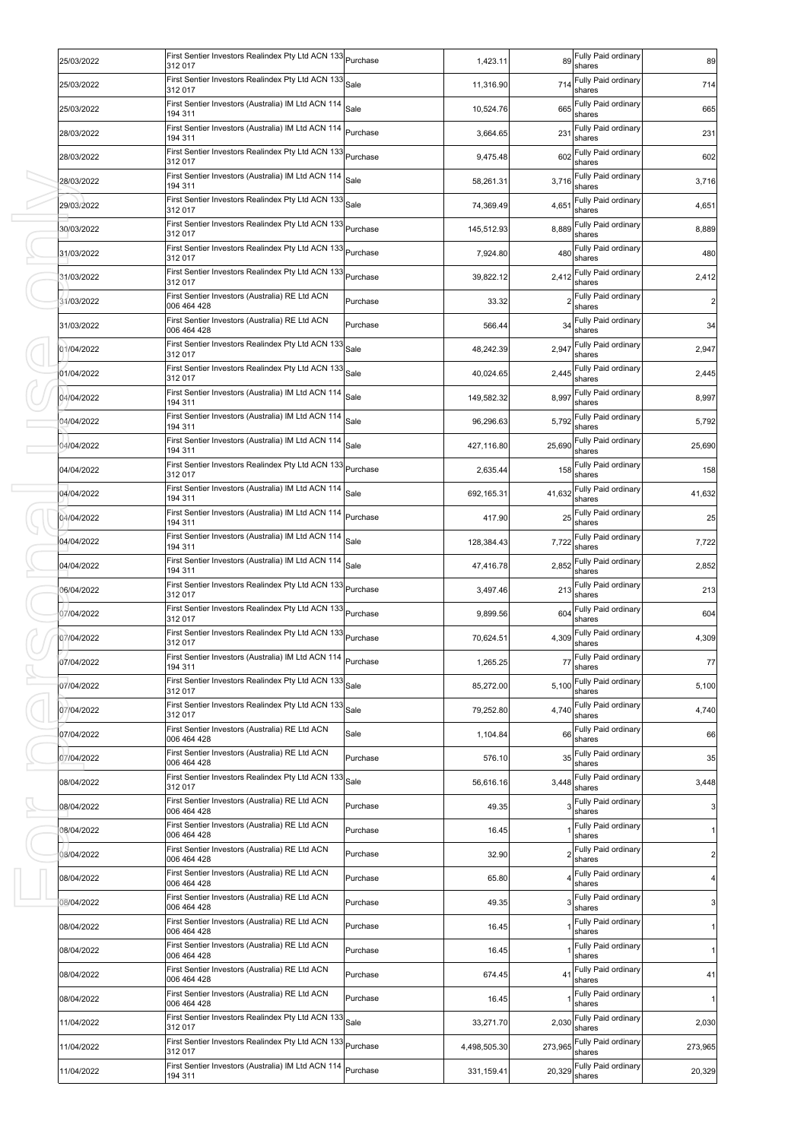| 25/03/2022 | First Sentier Investors Realindex Pty Ltd ACN 133 Purchase<br>312 017  |          | 1,423.11     | 89             | Fully Paid ordinary<br>shares    | 89             |
|------------|------------------------------------------------------------------------|----------|--------------|----------------|----------------------------------|----------------|
| 25/03/2022 | First Sentier Investors Realindex Pty Ltd ACN 133 Sale<br>312 017      |          | 11,316.90    | 714            | Fully Paid ordinary<br>shares    | 714            |
| 25/03/2022 | First Sentier Investors (Australia) IM Ltd ACN 114<br>194 311          | Sale     | 10,524.76    | 665            | Fully Paid ordinary<br>shares    | 665            |
| 28/03/2022 | First Sentier Investors (Australia) IM Ltd ACN 114<br>194 311          | Purchase | 3,664.65     | 231            | Fully Paid ordinary<br>shares    | 231            |
| 28/03/2022 | First Sentier Investors Realindex Pty Ltd ACN 133<br>312 017           | Purchase | 9,475.48     | 602            | Fully Paid ordinary<br>shares    | 602            |
| 28/03/2022 | First Sentier Investors (Australia) IM Ltd ACN 114<br>194 311          | Sale     | 58,261.31    | 3,716          | Fully Paid ordinary<br>shares    | 3,716          |
| 29/03/2022 | First Sentier Investors Realindex Pty Ltd ACN 133<br>312 017           | Sale     | 74,369.49    | 4,651          | Fully Paid ordinary<br>shares    | 4,651          |
| 30/03/2022 | First Sentier Investors Realindex Pty Ltd ACN 133<br>312 017           | Purchase | 145,512.93   | 8,889          | Fully Paid ordinary<br>shares    | 8,889          |
| 31/03/2022 | First Sentier Investors Realindex Pty Ltd ACN 133 Purchase<br>312 017  |          | 7,924.80     | 480            | Fully Paid ordinary<br>shares    | 480            |
| 31/03/2022 | First Sentier Investors Realindex Pty Ltd ACN 133<br>312 017           | Purchase | 39,822.12    | 2,412          | Fully Paid ordinary<br>shares    | 2,412          |
| 31/03/2022 | First Sentier Investors (Australia) RE Ltd ACN<br>006 464 428          | Purchase | 33.32        |                | Fully Paid ordinary<br>shares    | $\overline{a}$ |
| 31/03/2022 | First Sentier Investors (Australia) RE Ltd ACN<br>006 464 428          | Purchase | 566.44       | 34             | Fully Paid ordinary<br>shares    | 34             |
| 01/04/2022 | First Sentier Investors Realindex Pty Ltd ACN 133<br>312 017           | Sale     | 48,242.39    | 2,947          | Fully Paid ordinary<br>shares    | 2,947          |
| 01/04/2022 | First Sentier Investors Realindex Pty Ltd ACN 133<br>312 017           | Sale     | 40,024.65    | 2,445          | Fully Paid ordinary<br>shares    | 2,445          |
| 04/04/2022 | First Sentier Investors (Australia) IM Ltd ACN 114<br>194 311          | Sale     | 149,582.32   | 8,997          | Fully Paid ordinary<br>shares    | 8,997          |
| 04/04/2022 | First Sentier Investors (Australia) IM Ltd ACN 114<br>194 311          | Sale     | 96,296.63    | 5,792          | Fully Paid ordinary<br>shares    | 5,792          |
| 04/04/2022 | First Sentier Investors (Australia) IM Ltd ACN 114 Sale<br>194 311     |          | 427,116.80   | 25,690         | Fully Paid ordinary<br>shares    | 25,690         |
| 04/04/2022 | First Sentier Investors Realindex Pty Ltd ACN 133 Purchase<br>312 017  |          | 2,635.44     | 158            | Fully Paid ordinary<br>shares    | 158            |
| 04/04/2022 | First Sentier Investors (Australia) IM Ltd ACN 114 Sale<br>194 311     |          | 692,165.31   | 41,632         | Fully Paid ordinary<br>shares    | 41,632         |
| 04/04/2022 | First Sentier Investors (Australia) IM Ltd ACN 114 Purchase<br>194 311 |          | 417.90       | 25             | Fully Paid ordinary<br>shares    | 25             |
| 04/04/2022 | First Sentier Investors (Australia) IM Ltd ACN 114 Sale<br>194 311     |          | 128,384.43   | 7,722          | Fully Paid ordinary<br>shares    | 7,722          |
| 04/04/2022 | First Sentier Investors (Australia) IM Ltd ACN 114 Sale<br>194 311     |          | 47,416.78    | 2,852          | Fully Paid ordinary<br>shares    | 2,852          |
| 06/04/2022 | First Sentier Investors Realindex Pty Ltd ACN 133 Purchase<br>312 017  |          | 3,497.46     | 213            | Fully Paid ordinary<br>shares    | 213            |
| 07/04/2022 | First Sentier Investors Realindex Pty Ltd ACN 133 Purchase<br>312 017  |          | 9,899.56     | 604            | Fully Paid ordinary<br>shares    | 604            |
| 07/04/2022 | First Sentier Investors Realindex Pty Ltd ACN 133 Purchase<br>312 017  |          | 70,624.51    | 4,309          | Fully Paid ordinary<br>shares    | 4,309          |
| 07/04/2022 | First Sentier Investors (Australia) IM Ltd ACN 114<br>194 311          | Purchase | 1,265.25     |                | 77 Fully Paid ordinary<br>shares | 77             |
| 07/04/2022 | First Sentier Investors Realindex Pty Ltd ACN 133<br>312 017           | Sale     | 85,272.00    | 5,100          | Fully Paid ordinary<br>shares    | 5,100          |
| 07/04/2022 | First Sentier Investors Realindex Pty Ltd ACN 133<br>312 017           | Sale     | 79,252.80    | 4,740          | Fully Paid ordinary<br>shares    | 4,740          |
| 07/04/2022 | First Sentier Investors (Australia) RE Ltd ACN<br>006 464 428          | Sale     | 1,104.84     | 66             | Fully Paid ordinary<br>shares    | 66             |
| 07/04/2022 | First Sentier Investors (Australia) RE Ltd ACN<br>006 464 428          | Purchase | 576.10       | 35             | Fully Paid ordinary<br>shares    | 35             |
| 08/04/2022 | First Sentier Investors Realindex Pty Ltd ACN 133<br>312 017           | Sale     | 56,616.16    | 3,448          | Fully Paid ordinary<br>shares    | 3,448          |
| 08/04/2022 | First Sentier Investors (Australia) RE Ltd ACN<br>006 464 428          | Purchase | 49.35        |                | Fully Paid ordinary<br>shares    | 3 <sup>1</sup> |
| 08/04/2022 | First Sentier Investors (Australia) RE Ltd ACN<br>006 464 428          | Purchase | 16.45        |                | Fully Paid ordinary<br>shares    | 1              |
| 08/04/2022 | First Sentier Investors (Australia) RE Ltd ACN<br>006 464 428          | Purchase | 32.90        |                | Fully Paid ordinary<br>shares    | $\overline{2}$ |
| 08/04/2022 | First Sentier Investors (Australia) RE Ltd ACN<br>006 464 428          | Purchase | 65.80        |                | Fully Paid ordinary<br>shares    | $\overline{a}$ |
| 08/04/2022 | First Sentier Investors (Australia) RE Ltd ACN<br>006 464 428          | Purchase | 49.35        |                | Fully Paid ordinary<br>shares    | 3 <sub>l</sub> |
| 08/04/2022 | First Sentier Investors (Australia) RE Ltd ACN<br>006 464 428          | Purchase | 16.45        |                | Fully Paid ordinary<br>shares    | 1              |
| 08/04/2022 | First Sentier Investors (Australia) RE Ltd ACN<br>006 464 428          | Purchase | 16.45        |                | Fully Paid ordinary<br>shares    | $\mathbf{1}$   |
| 08/04/2022 | First Sentier Investors (Australia) RE Ltd ACN<br>006 464 428          | Purchase | 674.45       | 4 <sup>1</sup> | Fully Paid ordinary<br>shares    | 41             |
| 08/04/2022 | First Sentier Investors (Australia) RE Ltd ACN<br>006 464 428          | Purchase | 16.45        |                | Fully Paid ordinary<br>shares    | $\mathbf{1}$   |
| 11/04/2022 | First Sentier Investors Realindex Pty Ltd ACN 133<br>312 017           | Sale     | 33,271.70    | 2,030          | Fully Paid ordinary<br>shares    | 2,030          |
| 11/04/2022 | First Sentier Investors Realindex Pty Ltd ACN 133 Purchase<br>312 017  |          | 4,498,505.30 | 273,965        | Fully Paid ordinary<br>shares    | 273,965        |
| 11/04/2022 | First Sentier Investors (Australia) IM Ltd ACN 114 Purchase<br>194 311 |          | 331,159.41   | 20,329         | Fully Paid ordinary<br>shares    | 20,329         |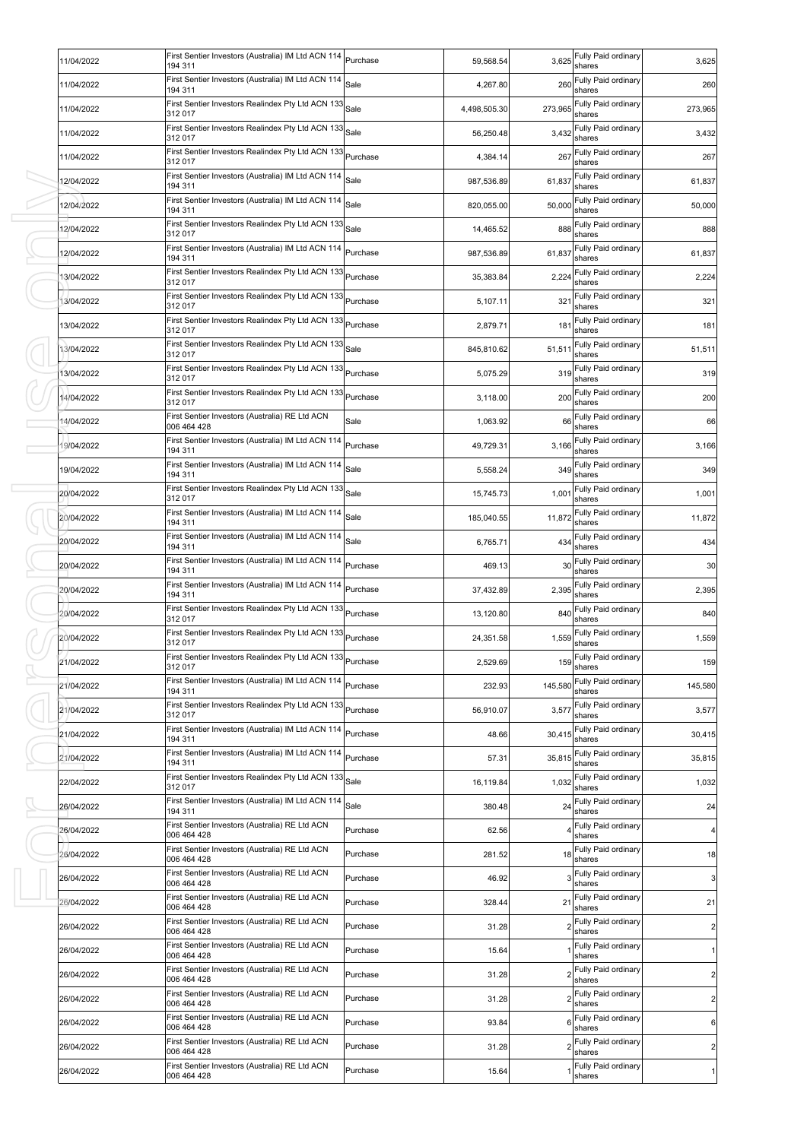| 11/04/2022 | First Sentier Investors (Australia) IM Ltd ACN 114 Purchase<br>194 311 |          | 59,568.54    | 3,625   | Fully Paid ordinary<br>shares     | 3,625          |
|------------|------------------------------------------------------------------------|----------|--------------|---------|-----------------------------------|----------------|
| 11/04/2022 | First Sentier Investors (Australia) IM Ltd ACN 114<br>194 311          | Sale     | 4,267.80     | 260     | Fully Paid ordinary<br>shares     | 260            |
| 11/04/2022 | First Sentier Investors Realindex Pty Ltd ACN 133 Sale<br>312 017      |          | 4,498,505.30 | 273,965 | Fully Paid ordinary<br>shares     | 273,965        |
| 11/04/2022 | First Sentier Investors Realindex Pty Ltd ACN 133<br>312 017           | Sale     | 56,250.48    | 3,432   | Fully Paid ordinary<br>shares     | 3,432          |
| 11/04/2022 | First Sentier Investors Realindex Pty Ltd ACN 133<br>312 017           | Purchase | 4,384.14     | 267     | Fully Paid ordinary<br>shares     | 267            |
| 12/04/2022 | First Sentier Investors (Australia) IM Ltd ACN 114<br>194 311          | Sale     | 987,536.89   | 61,837  | Fully Paid ordinary<br>shares     | 61,837         |
| 12/04/2022 | First Sentier Investors (Australia) IM Ltd ACN 114<br>194 311          | Sale     | 820,055.00   | 50,000  | Fully Paid ordinary<br>shares     | 50,000         |
| 12/04/2022 | First Sentier Investors Realindex Pty Ltd ACN 133<br>312 017           | Sale     | 14,465.52    | 888     | Fully Paid ordinary<br>shares     | 888            |
| 12/04/2022 | First Sentier Investors (Australia) IM Ltd ACN 114<br>194 311          | Purchase | 987,536.89   | 61,837  | Fully Paid ordinary<br>shares     | 61,837         |
| 13/04/2022 | First Sentier Investors Realindex Pty Ltd ACN 133<br>312 017           | Purchase | 35,383.84    | 2,224   | Fully Paid ordinary<br>shares     | 2,224          |
| 13/04/2022 | First Sentier Investors Realindex Pty Ltd ACN 133 Purchase<br>312 017  |          | 5,107.11     | 321     | Fully Paid ordinary<br>shares     | 321            |
| 13/04/2022 | First Sentier Investors Realindex Pty Ltd ACN 133 Purchase<br>312 017  |          | 2,879.71     | 181     | Fully Paid ordinary<br>shares     | 181            |
| 13/04/2022 | First Sentier Investors Realindex Pty Ltd ACN 133 Sale<br>312 017      |          | 845,810.62   | 51,511  | Fully Paid ordinary<br>shares     | 51,511         |
| 13/04/2022 | First Sentier Investors Realindex Pty Ltd ACN 133 Purchase<br>312 017  |          | 5,075.29     | 319     | Fully Paid ordinary<br>shares     | 319            |
| 14/04/2022 | First Sentier Investors Realindex Pty Ltd ACN 133 Purchase<br>312 017  |          | 3,118.00     | 200     | Fully Paid ordinary<br>shares     | 200            |
| 14/04/2022 | First Sentier Investors (Australia) RE Ltd ACN<br>006 464 428          | Sale     | 1,063.92     | 66      | Fully Paid ordinary<br>shares     | 66             |
| 19/04/2022 | First Sentier Investors (Australia) IM Ltd ACN 114 Purchase<br>194 311 |          | 49,729.31    | 3,166   | Fully Paid ordinary<br>shares     | 3,166          |
| 19/04/2022 | First Sentier Investors (Australia) IM Ltd ACN 114<br>194 311          | Sale     | 5,558.24     |         | 349 Fully Paid ordinary<br>shares | 349            |
| 20/04/2022 | First Sentier Investors Realindex Pty Ltd ACN 133<br>312 017           | Sale     | 15,745.73    | 1,001   | Fully Paid ordinary<br>shares     | 1,001          |
| 20/04/2022 | First Sentier Investors (Australia) IM Ltd ACN 114 Sale<br>194 311     |          | 185,040.55   | 11,872  | Fully Paid ordinary<br>shares     | 11,872         |
| 20/04/2022 | First Sentier Investors (Australia) IM Ltd ACN 114 Sale<br>194 311     |          | 6,765.71     | 434     | Fully Paid ordinary<br>shares     | 434            |
| 20/04/2022 | First Sentier Investors (Australia) IM Ltd ACN 114 Purchase<br>194 311 |          | 469.13       | 30      | Fully Paid ordinary<br>shares     | 30             |
| 20/04/2022 | First Sentier Investors (Australia) IM Ltd ACN 114 Purchase<br>194 311 |          | 37,432.89    | 2,395   | Fully Paid ordinary<br>shares     | 2,395          |
| 20/04/2022 | First Sentier Investors Realindex Pty Ltd ACN 133 Purchase<br>312 017  |          | 13,120.80    | 840     | Fully Paid ordinary<br>shares     | 840            |
| 20/04/2022 | First Sentier Investors Realindex Pty Ltd ACN 133 Purchase<br>312 017  |          | 24,351.58    | 1,559   | Fully Paid ordinary<br>shares     | 1,559          |
| 21/04/2022 | First Sentier Investors Realindex Pty Ltd ACN 133 Purchase<br>312 017  |          | 2,529.69     |         | 159 Fully Paid ordinary<br>shares | 159            |
| 21/04/2022 | First Sentier Investors (Australia) IM Ltd ACN 114<br>194 311          | Purchase | 232.93       | 145,580 | Fully Paid ordinary<br>shares     | 145,580        |
| 21/04/2022 | First Sentier Investors Realindex Pty Ltd ACN 133<br>312 017           | Purchase | 56,910.07    | 3,577   | Fully Paid ordinary<br>shares     | 3,577          |
| 21/04/2022 | First Sentier Investors (Australia) IM Ltd ACN 114<br>194 311          | Purchase | 48.66        | 30,415  | Fully Paid ordinary<br>shares     | 30,415         |
| 21/04/2022 | First Sentier Investors (Australia) IM Ltd ACN 114<br>194 311          | Purchase | 57.31        | 35,815  | Fully Paid ordinary<br>shares     | 35,815         |
| 22/04/2022 | First Sentier Investors Realindex Pty Ltd ACN 133<br>312 017           | Sale     | 16,119.84    | 1,032   | Fully Paid ordinary<br>shares     | 1,032          |
| 26/04/2022 | First Sentier Investors (Australia) IM Ltd ACN 114<br>194 311          | Sale     | 380.48       | 24      | Fully Paid ordinary<br>shares     | 24             |
| 26/04/2022 | First Sentier Investors (Australia) RE Ltd ACN<br>006 464 428          | Purchase | 62.56        |         | Fully Paid ordinary<br>shares     | 4 <sub>1</sub> |
| 26/04/2022 | First Sentier Investors (Australia) RE Ltd ACN<br>006 464 428          | Purchase | 281.52       | 18      | Fully Paid ordinary<br>shares     | 18             |
| 26/04/2022 | First Sentier Investors (Australia) RE Ltd ACN<br>006 464 428          | Purchase | 46.92        |         | Fully Paid ordinary<br>shares     | 3 <sub>l</sub> |
| 26/04/2022 | First Sentier Investors (Australia) RE Ltd ACN<br>006 464 428          | Purchase | 328.44       | 21      | Fully Paid ordinary<br>shares     | 21             |
| 26/04/2022 | First Sentier Investors (Australia) RE Ltd ACN<br>006 464 428          | Purchase | 31.28        |         | Fully Paid ordinary<br>shares     | $\overline{c}$ |
| 26/04/2022 | First Sentier Investors (Australia) RE Ltd ACN<br>006 464 428          | Purchase | 15.64        |         | Fully Paid ordinary<br>shares     | 1              |
| 26/04/2022 | First Sentier Investors (Australia) RE Ltd ACN<br>006 464 428          | Purchase | 31.28        |         | Fully Paid ordinary<br>shares     | $\overline{2}$ |
| 26/04/2022 | First Sentier Investors (Australia) RE Ltd ACN<br>006 464 428          | Purchase | 31.28        |         | Fully Paid ordinary<br>shares     | $\overline{2}$ |
| 26/04/2022 | First Sentier Investors (Australia) RE Ltd ACN<br>006 464 428          | Purchase | 93.84        | 6       | Fully Paid ordinary<br>shares     | $6 \mid$       |
| 26/04/2022 | First Sentier Investors (Australia) RE Ltd ACN<br>006 464 428          | Purchase | 31.28        |         | Fully Paid ordinary<br>shares     | $\overline{2}$ |
| 26/04/2022 | First Sentier Investors (Australia) RE Ltd ACN<br>006 464 428          | Purchase | 15.64        |         | Fully Paid ordinary<br>shares     | 1              |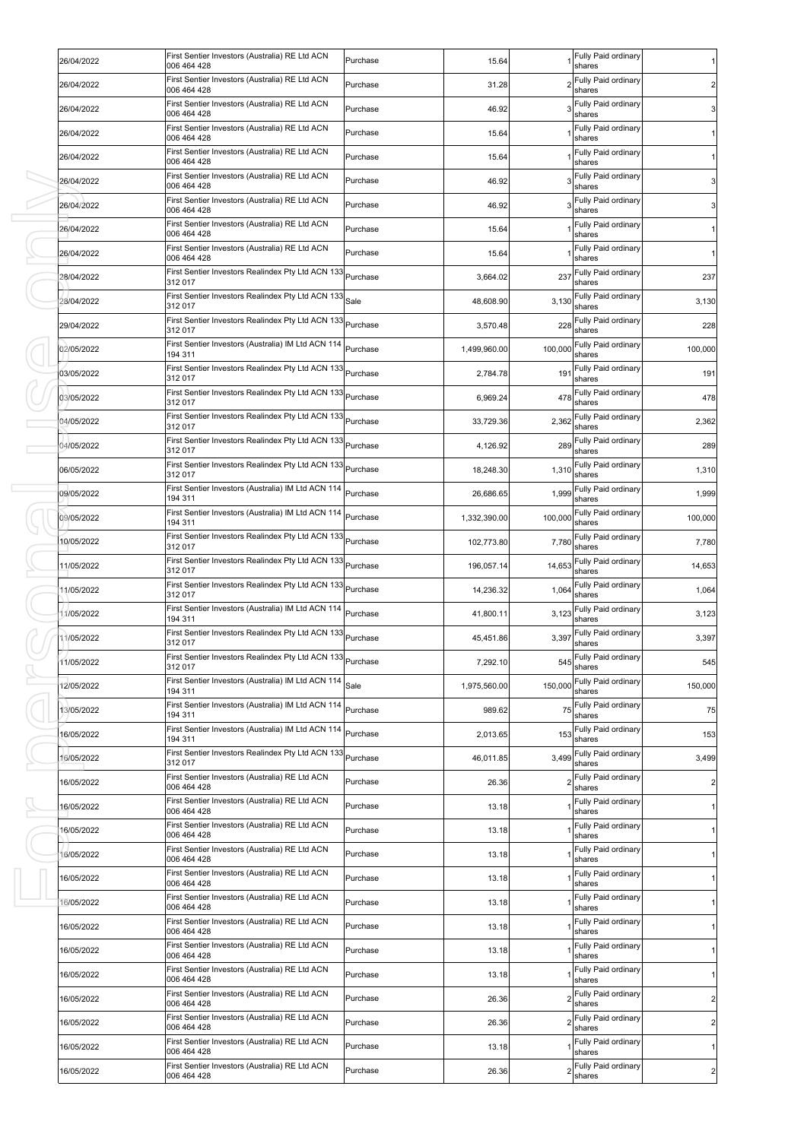| 26/04/2022 | First Sentier Investors (Australia) RE Ltd ACN<br>006 464 428          | Purchase | 15.64        |         | Fully Paid ordinary<br>shares       |                         |
|------------|------------------------------------------------------------------------|----------|--------------|---------|-------------------------------------|-------------------------|
| 26/04/2022 | First Sentier Investors (Australia) RE Ltd ACN<br>006 464 428          | Purchase | 31.28        |         | Fully Paid ordinary<br>shares       | $\overline{c}$          |
| 26/04/2022 | First Sentier Investors (Australia) RE Ltd ACN<br>006 464 428          | Purchase | 46.92        |         | Fully Paid ordinary<br>shares       | 3                       |
| 26/04/2022 | First Sentier Investors (Australia) RE Ltd ACN<br>006 464 428          | Purchase | 15.64        |         | Fully Paid ordinary<br>shares       |                         |
| 26/04/2022 | First Sentier Investors (Australia) RE Ltd ACN<br>006 464 428          | Purchase | 15.64        |         | Fully Paid ordinary<br>shares       |                         |
| 26/04/2022 | First Sentier Investors (Australia) RE Ltd ACN<br>006 464 428          | Purchase | 46.92        |         | Fully Paid ordinary<br>shares       | 3                       |
| 26/04/2022 | First Sentier Investors (Australia) RE Ltd ACN<br>006 464 428          | Purchase | 46.92        |         | Fully Paid ordinary<br>shares       | $\mathbf{3}$            |
| 26/04/2022 | First Sentier Investors (Australia) RE Ltd ACN<br>006 464 428          | Purchase | 15.64        |         | Fully Paid ordinary<br>shares       |                         |
| 26/04/2022 | First Sentier Investors (Australia) RE Ltd ACN<br>006 464 428          | Purchase | 15.64        |         | Fully Paid ordinary<br>shares       |                         |
| 28/04/2022 | First Sentier Investors Realindex Pty Ltd ACN 133<br>312 017           | Purchase | 3,664.02     | 237     | Fully Paid ordinary<br>shares       | 237                     |
| 28/04/2022 | First Sentier Investors Realindex Pty Ltd ACN 133<br>312 017           |          | 48,608.90    | 3,130   | Fully Paid ordinary<br>shares       | 3,130                   |
| 29/04/2022 | First Sentier Investors Realindex Pty Ltd ACN 133<br>312 017           | Purchase | 3,570.48     | 228     | Fully Paid ordinary<br>shares       | 228                     |
| 02/05/2022 | First Sentier Investors (Australia) IM Ltd ACN 114<br>194 311          | Purchase | 1,499,960.00 | 100,000 | Fully Paid ordinary<br>shares       | 100,000                 |
| 03/05/2022 | First Sentier Investors Realindex Pty Ltd ACN 133<br>312 017           | Purchase | 2,784.78     | 191     | Fully Paid ordinary<br>shares       | 191                     |
| 03/05/2022 | First Sentier Investors Realindex Pty Ltd ACN 133 Purchase<br>312 017  |          | 6,969.24     | 478     | Fully Paid ordinary<br>shares       | 478                     |
| 04/05/2022 | First Sentier Investors Realindex Pty Ltd ACN 133 Purchase<br>312 017  |          | 33,729.36    | 2,362   | Fully Paid ordinary                 | 2,362                   |
| 04/05/2022 | First Sentier Investors Realindex Pty Ltd ACN 133 Purchase<br>312 017  |          | 4,126.92     | 289     | shares<br>Fully Paid ordinary       | 289                     |
| 06/05/2022 | First Sentier Investors Realindex Pty Ltd ACN 133 Purchase             |          | 18,248.30    |         | shares<br>1,310 Fully Paid ordinary | 1,310                   |
| 09/05/2022 | 312 017<br>First Sentier Investors (Australia) IM Ltd ACN 114 Purchase |          | 26,686.65    | 1,999   | shares<br>Fully Paid ordinary       | 1,999                   |
| 09/05/2022 | 194 311<br>First Sentier Investors (Australia) IM Ltd ACN 114 Purchase |          | 1,332,390.00 | 100,000 | shares<br>Fully Paid ordinary       | 100,000                 |
| 10/05/2022 | 194 311<br>First Sentier Investors Realindex Pty Ltd ACN 133 Purchase  |          | 102,773.80   | 7,780   | shares<br>Fully Paid ordinary       | 7,780                   |
| 11/05/2022 | 312 017<br>First Sentier Investors Realindex Pty Ltd ACN 133 Purchase  |          | 196,057.14   | 14,653  | shares<br>Fully Paid ordinary       | 14,653                  |
| 11/05/2022 | 312 017<br>First Sentier Investors Realindex Pty Ltd ACN 133 Purchase  |          | 14,236.32    | 1,064   | shares<br>Fully Paid ordinary       | 1,064                   |
| 11/05/2022 | 312 017<br>First Sentier Investors (Australia) IM Ltd ACN 114 Purchase |          | 41,800.11    | 3,123   | shares<br>Fully Paid ordinary       | 3,123                   |
| 11/05/2022 | 194 311<br>First Sentier Investors Realindex Pty Ltd ACN 133 Purchase  |          | 45,451.86    | 3,397   | shares<br>Fully Paid ordinary       | 3,397                   |
| 11/05/2022 | 312 017<br>First Sentier Investors Realindex Pty Ltd ACN 133 Purchase  |          | 7,292.10     |         | shares<br>545 Fully Paid ordinary   | 545                     |
| 12/05/2022 | 312 017<br>First Sentier Investors (Australia) IM Ltd ACN 114          | Sale     | 1,975,560.00 | 150,000 | shares<br>Fully Paid ordinary       | 150,000                 |
| 13/05/2022 | 194 311<br>First Sentier Investors (Australia) IM Ltd ACN 114          | Purchase | 989.62       | 75      | shares<br>Fully Paid ordinary       | 75                      |
| 16/05/2022 | 194 311<br>First Sentier Investors (Australia) IM Ltd ACN 114          | Purchase | 2,013.65     | 153     | shares<br>Fully Paid ordinary       | 153                     |
| 16/05/2022 | 194 311<br>First Sentier Investors Realindex Pty Ltd ACN 133           | Purchase | 46,011.85    | 3,499   | shares<br>Fully Paid ordinary       | 3,499                   |
| 16/05/2022 | 312 017<br>First Sentier Investors (Australia) RE Ltd ACN              | Purchase | 26.36        |         | shares<br>2 Fully Paid ordinary     | $\overline{c}$          |
| 16/05/2022 | 006 464 428<br>First Sentier Investors (Australia) RE Ltd ACN          | Purchase | 13.18        |         | shares<br>Fully Paid ordinary       | $\mathbf{1}$            |
| 16/05/2022 | 006 464 428<br>First Sentier Investors (Australia) RE Ltd ACN          | Purchase | 13.18        |         | shares<br>Fully Paid ordinary       |                         |
| 16/05/2022 | 006 464 428<br>First Sentier Investors (Australia) RE Ltd ACN          | Purchase | 13.18        |         | shares<br>Fully Paid ordinary       |                         |
| 16/05/2022 | 006 464 428<br>First Sentier Investors (Australia) RE Ltd ACN          | Purchase | 13.18        |         | shares<br>Fully Paid ordinary       |                         |
| 16/05/2022 | 006 464 428<br>First Sentier Investors (Australia) RE Ltd ACN          | Purchase | 13.18        |         | shares<br>Fully Paid ordinary       |                         |
|            | 006 464 428<br>First Sentier Investors (Australia) RE Ltd ACN          | Purchase | 13.18        |         | shares<br>Fully Paid ordinary       |                         |
| 16/05/2022 | 006 464 428<br>First Sentier Investors (Australia) RE Ltd ACN          | Purchase |              |         | shares<br>Fully Paid ordinary       |                         |
| 16/05/2022 | 006 464 428<br>First Sentier Investors (Australia) RE Ltd ACN          |          | 13.18        |         | shares<br>Fully Paid ordinary       |                         |
| 16/05/2022 | 006 464 428<br>First Sentier Investors (Australia) RE Ltd ACN          | Purchase | 13.18        | 2       | shares<br>Fully Paid ordinary       |                         |
| 16/05/2022 | 006 464 428<br>First Sentier Investors (Australia) RE Ltd ACN          | Purchase | 26.36        |         | shares<br>Fully Paid ordinary       | $\overline{c}$          |
| 16/05/2022 | 006 464 428<br>First Sentier Investors (Australia) RE Ltd ACN          | Purchase | 26.36        |         | shares<br>Fully Paid ordinary       | $\overline{\mathbf{c}}$ |
| 16/05/2022 | 006 464 428<br>First Sentier Investors (Australia) RE Ltd ACN          | Purchase | 13.18        |         | shares<br>Fully Paid ordinary       | 1                       |
| 16/05/2022 | 006 464 428                                                            | Purchase | 26.36        |         | shares                              | $\overline{\mathbf{c}}$ |